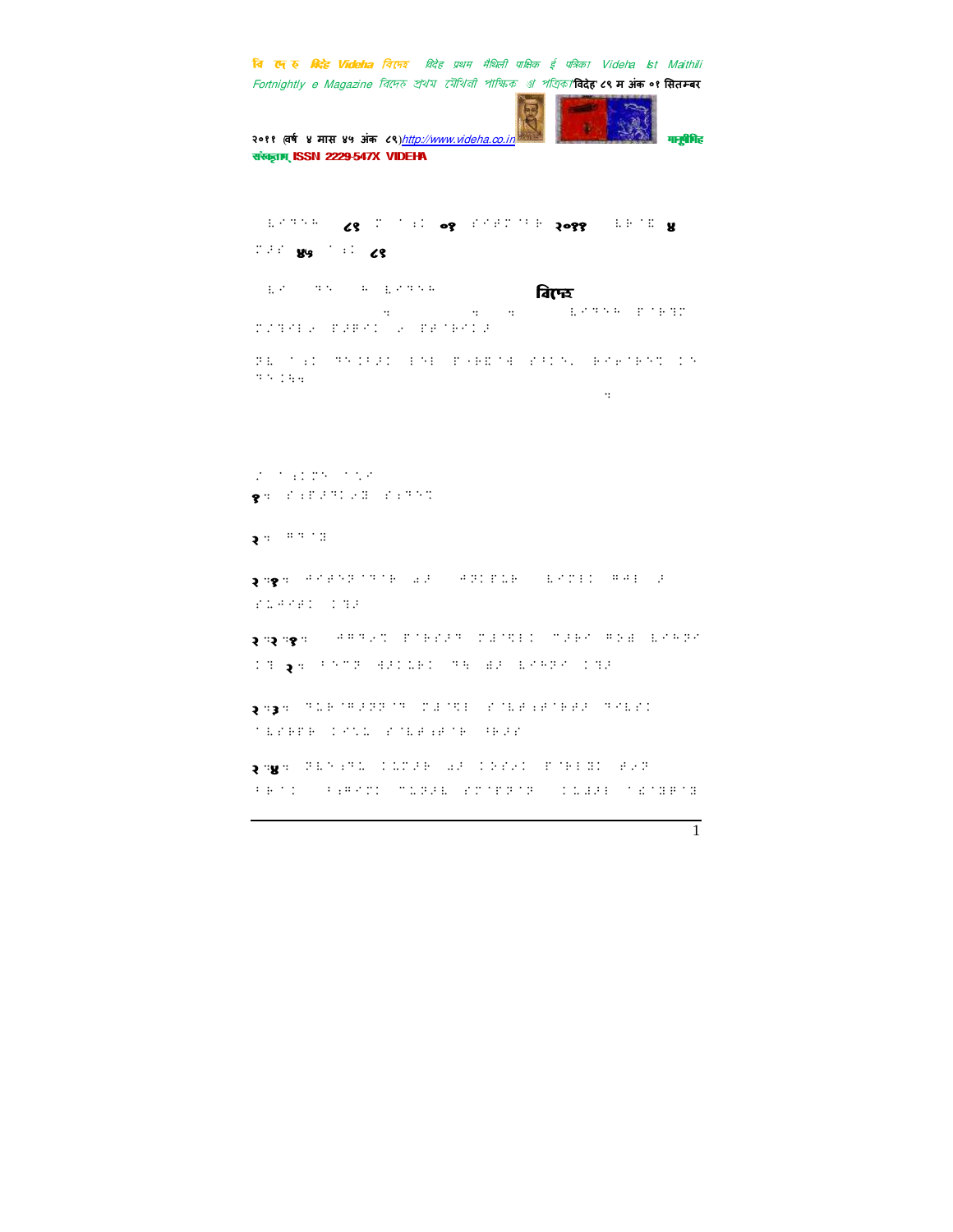बि एक रु मिनेट Videha विएक विदेह प्रथम मैथिली पाक्षिक ई पत्रिका Videha Ist Maithili Fortnightly e Magazine রিদেত প্রথম মৌথিনী পাক্ষিক *প্র পত্রিকা* **বিदेह' ८९ म अंक ०१ सितम्बर** मानुबैमिह २०११ (वर्ष ४ मास ४५ अंक ८९) http://www.videha.co संस्कृतम् ISSN 2229-547X VIDEHA **BEATHER AS IN THE OR PARTIES RORS** WEETER **W**  $\begin{array}{ccccccccc} \mathbb{P} & \mathbb{P} & \mathbb{P} & \mathbb{S} & \mathbb{S} & \mathbb{S} & \mathbb{S} & \mathbb{S} & \mathbb{S} & \mathbb{S} & \mathbb{S} & \mathbb{S} & \mathbb{S} & \mathbb{S} & \mathbb{S} & \mathbb{S} & \mathbb{S} & \mathbb{S} & \mathbb{S} & \mathbb{S} & \mathbb{S} & \mathbb{S} & \mathbb{S} & \mathbb{S} & \mathbb{S} & \mathbb{S} & \mathbb{S} & \mathbb{S} & \mathbb{S} & \mathbb{S} & \$  $\mathbb{E}[\mathcal{L}(\mathcal{A})] = \mathcal{H}(\mathcal{A})$  . In a superficient  $\mathcal{H}$ विक्क  $\label{eq:3} \begin{array}{ll} \mathbf{w} & \mathbf{w} & \mathbf{w} \\ \mathbf{w} & \mathbf{w} & \mathbf{w} & \mathbf{w} \\ \mathbf{w} & \mathbf{w} & \mathbf{w} & \mathbf{w} & \mathbf{w} \\ \mathbf{w} & \mathbf{w} & \mathbf{w} & \mathbf{w} & \mathbf{w} \\ \mathbf{w} & \mathbf{w} & \mathbf{w} & \mathbf{w} & \mathbf{w} \\ \mathbf{w} & \mathbf{w} & \mathbf{w} & \mathbf{w} & \mathbf{w} \\ \mathbf{w} & \mathbf{w} & \mathbf$  $\mathcal{L}(\mathcal{L}(\mathcal{L})) = \mathcal{L}(\mathcal{L}(\mathcal{L}, \mathcal{L}, \mathcal{L})) = \mathcal{L}(\mathcal{L}(\mathcal{L}, \mathcal{L}, \mathcal{L}, \mathcal{L}, \mathcal{L}, \mathcal{L}, \mathcal{L}, \mathcal{L}, \mathcal{L}, \mathcal{L}, \mathcal{L}, \mathcal{L}, \mathcal{L}, \mathcal{L}, \mathcal{L}, \mathcal{L}, \mathcal{L}, \mathcal{L}, \mathcal{L}, \mathcal{L}, \mathcal{L}, \mathcal{L}, \mathcal{L}, \mathcal{L}, \mathcal{L}, \mathcal{L}, \math$ da chair de fait a ea chanada a ann. Sa anns na ch 共存于有效。  $\alpha$  $\mathcal{L} = \mathcal{L} \oplus \mathcal{L} \oplus \mathcal{L} \oplus \mathcal{L} \oplus \mathcal{L}$ generation are more  $\mathbf{R}^{(\mathrm{H})\times\mathrm{H}(\mathrm{H})\times\mathrm{H}(\mathbf{R})}$ anger energingen us engels i begin men een and A Participants ananan'i Affrica Edebar, bandis, maeo foe a boezo calge form excusions as a serious casging ein die heltere im Und has und bestehende meters TERRETAGE ROBERTA (RAP gegen dan star bander ad begen med abrieder. FECT PRESS TORRE POTERTS INDUSTRY TESTING  $\mathbf{1}$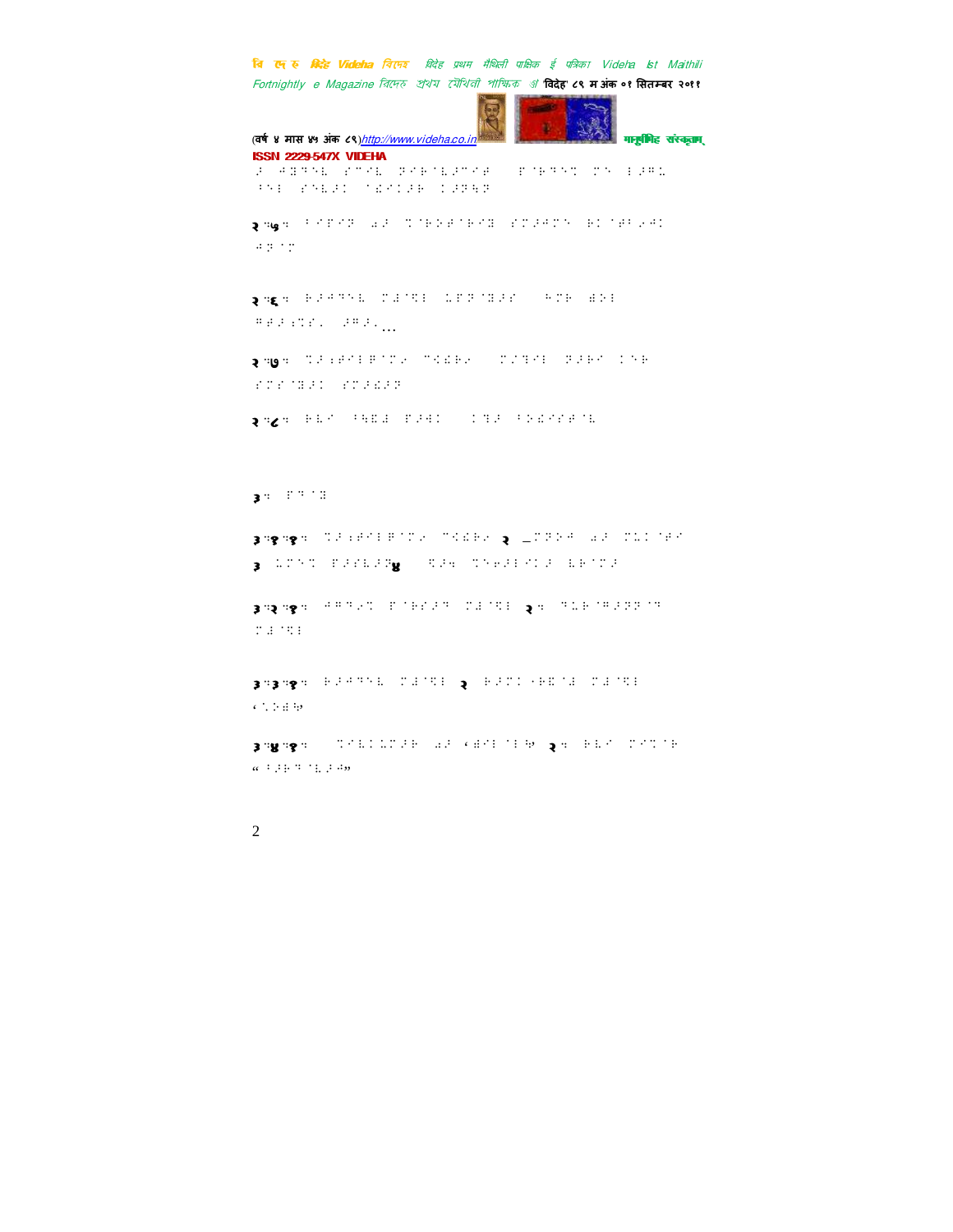चि एत् रू मिन्हे Videha निएन्थ विदेह प्रथम मैथिली पाक्षिक ई पत्रिका Videha Ist Maithili Fortnightly e Magazine विरमह शेथेग द्योंथिवी शीष्मिक औ **विदेह' ८९ म अंक ०१ सितम्बर २०११** (वष ४ मास ४५ अंक ८९)http://www.videha.co.in/ मानुषीिमह संकृताम् ISSN 2229-547X VIDEHA  $\mathcal{F}$  , addition is the control of the set of the set of the set of the set of the set of the set of the set of the set of the set of the set of the set of the set of the set of the set of the set of the set of the set ⢸6!⣇⢼!⣎⢼⢷!⢼⢽⣓⢽! २⣒५⣒!3⢽!⣔⢼.⣉⢷⢵⢾⢷⣝!⢼⢺!⢷⢾⢴⢺! ⢺⢽!! २⣒६⣒!⢷⢼⢺⢹⣇!⣜⣋6.⣅3⢽⣝⢼.!⢳⢷!⣞⢵6.! ⢻⢾⢼⣐⣉F!⢼⢻⢼F… २⣒७⣒!⣉⢼⣐⢾6⢿⢴!^⣊⣎⢷⢴.!5⣙6!⢽⢼⢷!⢷! ⣝⢼!⢼⣎⢼⢽! २⣒८⣒!⢷⣇!⢸⣓⣏⣜!3⢼⣚.!⣙⢼.⢵⣎⢾⣇! ३⣒!3⢹⣝! ३⣒१⣒१⣒!⣉⢼⣐⢾6⢿⢴!^⣊⣎⢷⢴!२ –⢽⢵⢺!⣔⢼!⣅⢾! ३!⣅⣉!3⢼⣇⢼⢽४!!⣋⢼⣒!⣉⢶⢼6⢼!⣇⢷⢼! ३⣒२⣒१⣒!⢺⢻⢹⢴⣉!3⢷⢼⢹!⣜⣋6!२⣒!⢹⣅⢷⢻⢼⢽⢽⢹! ⣜⣋6! ३⣒३⣒१⣒!⢷⢼⢺⢹⣇!⣜⣋6!२!⢷⢼C⢷⣏⣜!⣜⣋6!  $\left\langle \cdot \right\rangle$  is equal to ३⣒४⣒१⣒!!⣉⣇⣅⢼⢷!⣔⢼!'⣞66⣓' २⣒!⢷⣇!⣉⢷!  $\alpha$  .  $\beta$  is a  $\gamma$  in  $\gamma$  in  $\beta$  .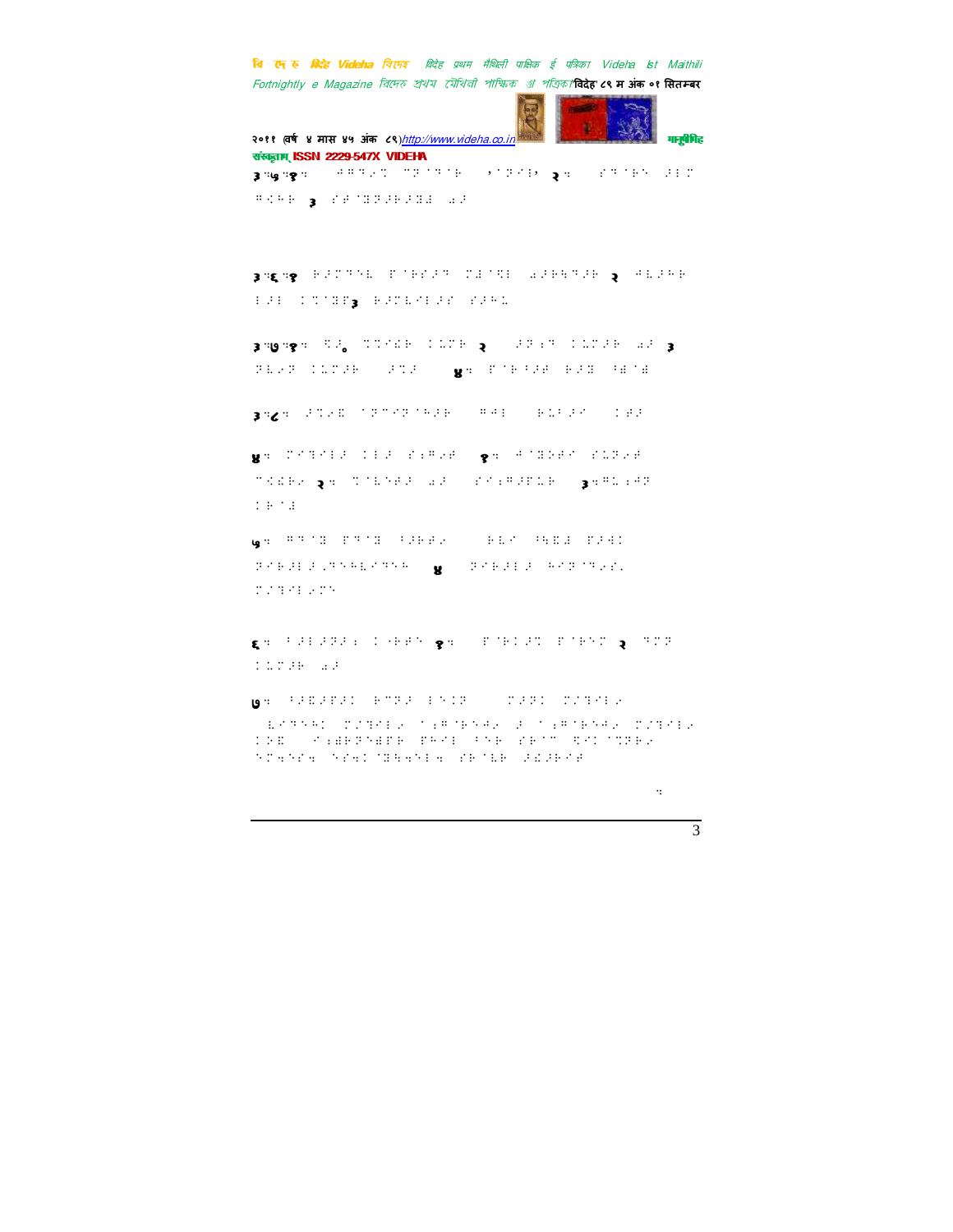चि एत् रू मिन्हे Videha निएन्थ विदेह प्रथम मैथिली पाक्षिक ई पत्रिका Videha Ist Maithili Fortnightly e Magazine রিদেহ প্রথম মৌথিনী পাক্ষিক প্র পত্রিকা**'বিदेह' ८९ म अंक ०१ सितम्बर** 

२०११ (वष ४ मास ४५ अंक ८९)http://www.videha.co.in/ मानुषीिमह संस्कृतम् ISSN 2229-547X VIDEHA ३⣒५⣒१⣒!!⢺⢻⢹⢴⣉!^⢽⢹⢷!!'⢽6' २⣒!!⢹⢷!⢼6! ⢻⣊⢳⢷!३!⢾⣝⢽⢼⢷⢼⣝⣜!⣔⢼!

३⣒६⣒१!⢷⢼⢹⣇!3⢷⢼⢹!⣜⣋6!⣔⢼⢷⣓⢹⢼⢷!२!⢺⣇⢼⢳⢷! 6⢼6!⣉⣝3३!⢷⢼⣇6⢼!⢼⢳⣅!

३⣒७⣒१⣒!⣋⢼॰!⣉⣉⣎⢷!⣅⢷!२!!⢼⢽⣐⢹!⣅⢼⢷!⣔⢼!३ ⢽⣇⢴⢽!⣅⢼⢷!#⢼⣉⢼#!!४⣒!3⢷⢸⢼⢾!⢷⢼⣝!⢸⣞⣞!!

३⣒८⣒!⢼⣉⢴⣏!⢽^⢽⢳⢼⢷.!⢻⢺60!⢷⣅⢼0!⢾⢼!

४⣒!⣙6⢼!6⢼.⣐⢻⢴⢾.!१⣒!⢺⣝⢵⢾!⣅⢽⢴⢾! ^⣊⣎⢷⢴!२⣒!⣉⣇⢾⢼!⣔⢼!)⣐⢻⢼3⣅⢷\*!३⣒⢻⣅⣐⢺⢽! ⢷⣜!!!

५⣒!⢻⢹⣝.3⢹⣝!⢸⢼⢷⢾⢴;!!⢷⣇!⢸⣓⣏⣜!3⢼⣚! ⢽⢷⢼6⢼⣀⢹⢳⣇⢹⢳!.४!)⢽⢷⢼6⢼!⢳⢽⢹⢴F! 5⣙6⢴\*!

६⣒!⢼6⢼⢽⢼⣐!C⢷⢾.१⣒!!3⢷⢼⣉!3⢷!२!⢹⢽! ⣅⢼⢷!⣔⢼!!

७⣒!⢸⢼⣏⢼3⢼!⢷^⢽⢼.6⣈⢽!.\⢼⢽!5⣙6⢴^-!

\⣇⢹⢳!5⣙6⢴.⣐⢻⢷⢺⢴!⢼!⣐⢻⢷⢺⢴!5⣙6⢴! ⢵⣏!)⣐⣞⢷⢽⣞3⢷!3⢳6!⢷!⢷^.⣋⣉⢽⢷⢴\*! ⣒⣒!⣒⣝⣓⣒6⣒!⢷⣇⢷!⢼⣎⢼⢷⢾!.Cbtfe!

boek in the form of the state of the state of the state of the state of the state of the state of the state of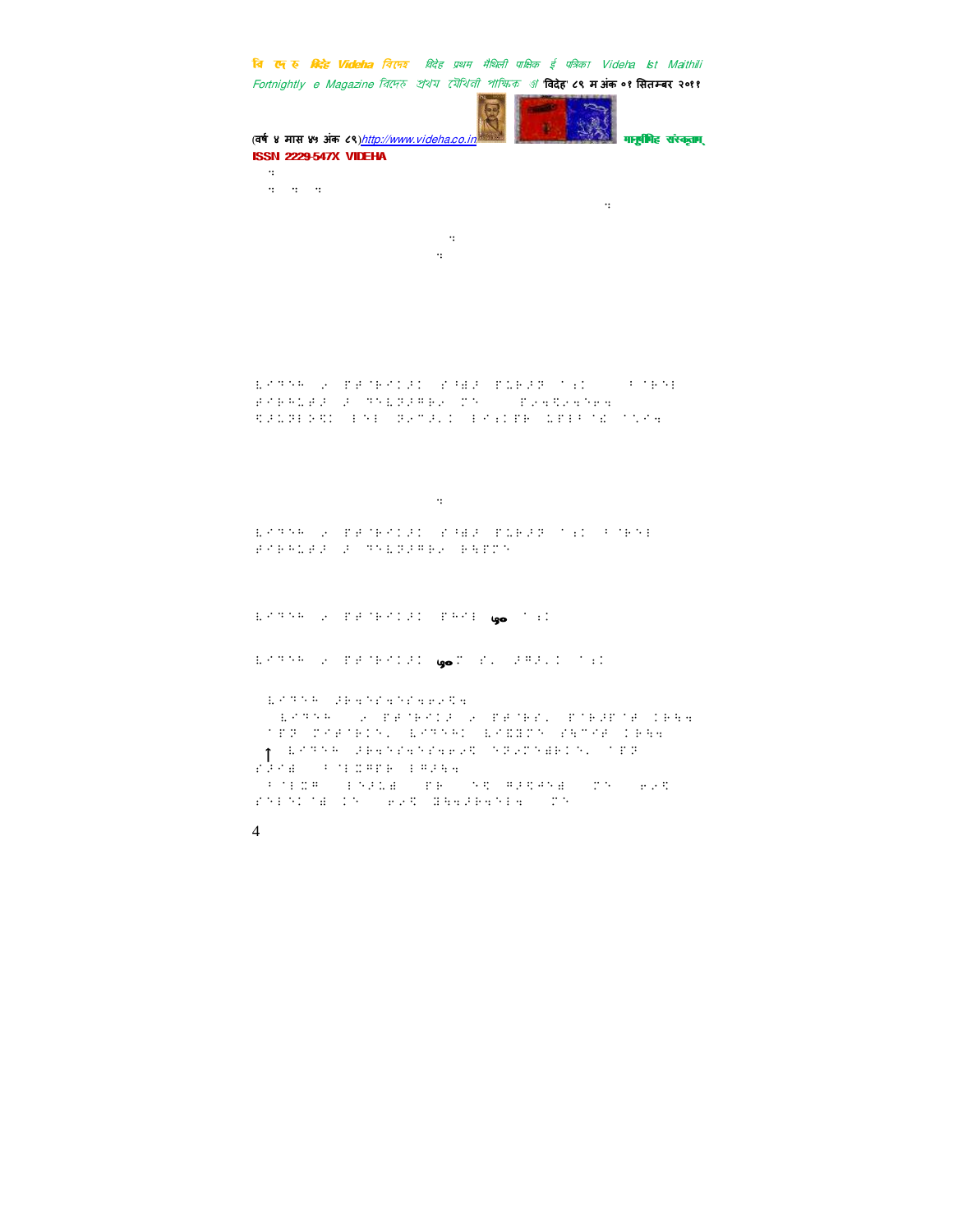चि एत् रू मिन्हे Videha निएन्थ विदेह प्रथम मैथिली पाक्षिक ई पत्रिका Videha Ist Maithili Fortnightly e Magazine विरमह शेथेग द्योंथिवी शीष्मिक औ **विदेह' ८९ म अंक ०१ सितम्बर २०११** 

**CONTRACTOR** 

| <b>ISSN 2229-547X VIDEHA</b> | (वर्ष ४ मास ४५ अंक ८९) http://www.videha.co.in |    | मानुबंधिह संस्कृतम् |
|------------------------------|------------------------------------------------|----|---------------------|
| ٠:                           |                                                |    |                     |
| ٠:                           |                                                |    |                     |
|                              |                                                | ٠: |                     |
|                              |                                                |    |                     |
|                              | ٠:                                             |    |                     |
|                              | ٠:                                             |    |                     |
|                              |                                                |    |                     |
|                              |                                                |    |                     |
|                              |                                                |    |                     |

 $E$  < 7 A  $\sim$  3 A  $\sim$  3 A  $\sim$  3 A  $\sim$  3 A  $\sim$  3 A  $\sim$  3 A  $\sim$  3 A  $\sim$  3 A  $\sim$  3 A  $\sim$ ⢾⢷⢳⣅⢾⢼!⢼!⢹⣇⢽⢼⢻⢷⢴!!\*!3⢴⣒⣋⢴⣒⢶⣒! ⣋⢼⣅⢽6⢵⣋!66!⢽⢴^⢼F!6⣐3⢷!⣅36⣎!⣁⣒!

# gpmmpxjoh!mjol⣒!!

⣇⢹⢳!⢴.3⢾⢷⢼!⢸⣞⢼!3⣅⢷⢼⢽!⣐!⢷6-! ⢾⢷⢳⣅⢾⢼!⢼!⢹⣇⢽⢼⢻⢷⢴!⢷⣓3!Wjefib!f!

# ⣇⢹⢳!⢴.3⢾⢷⢼!3⢳6!५०!⣐!

⣇⢹⢳!⢴.3⢾⢷⢼!५०!F!⢼⢻⢼F!⣐!

!⣇⢹⢳!⢼⢷⣒⣒⣒⢶⢴⣋⣒! ! # CONSERVATION A PROPERTY AND FOR A SERVE !) THE SURFACT PROPERTY IS NOT THE SURFACT OF A SURFACT PARTY IS A GROUP OF THE SURFACT OF A GROUP OF THE SURFACT OF A GROUP OF THE SURFACT OF THE SURFACT OF THE SURFACT OF THE SURFACT OF THE SURFACT OF THE SURFACT OF THE ↑!⣇⢹⢳!⢼⢷⣒⣒⣒⢶⢴⣋!⢽⢴⣞⢷F!3⢽! ⢼⣞0!6⣍⢻3⢷!6⢻⢼⣓⣒!! !6⣍⢻!#6⢼⣅⣞#!3⢷!#⣋!⢻⢼⣋⢺⣞#!!#⢶⢴⣋#! 6⣞!!#⢶⢴⣋!⣝⣓⣒⢼⢷⣒6⣒#!!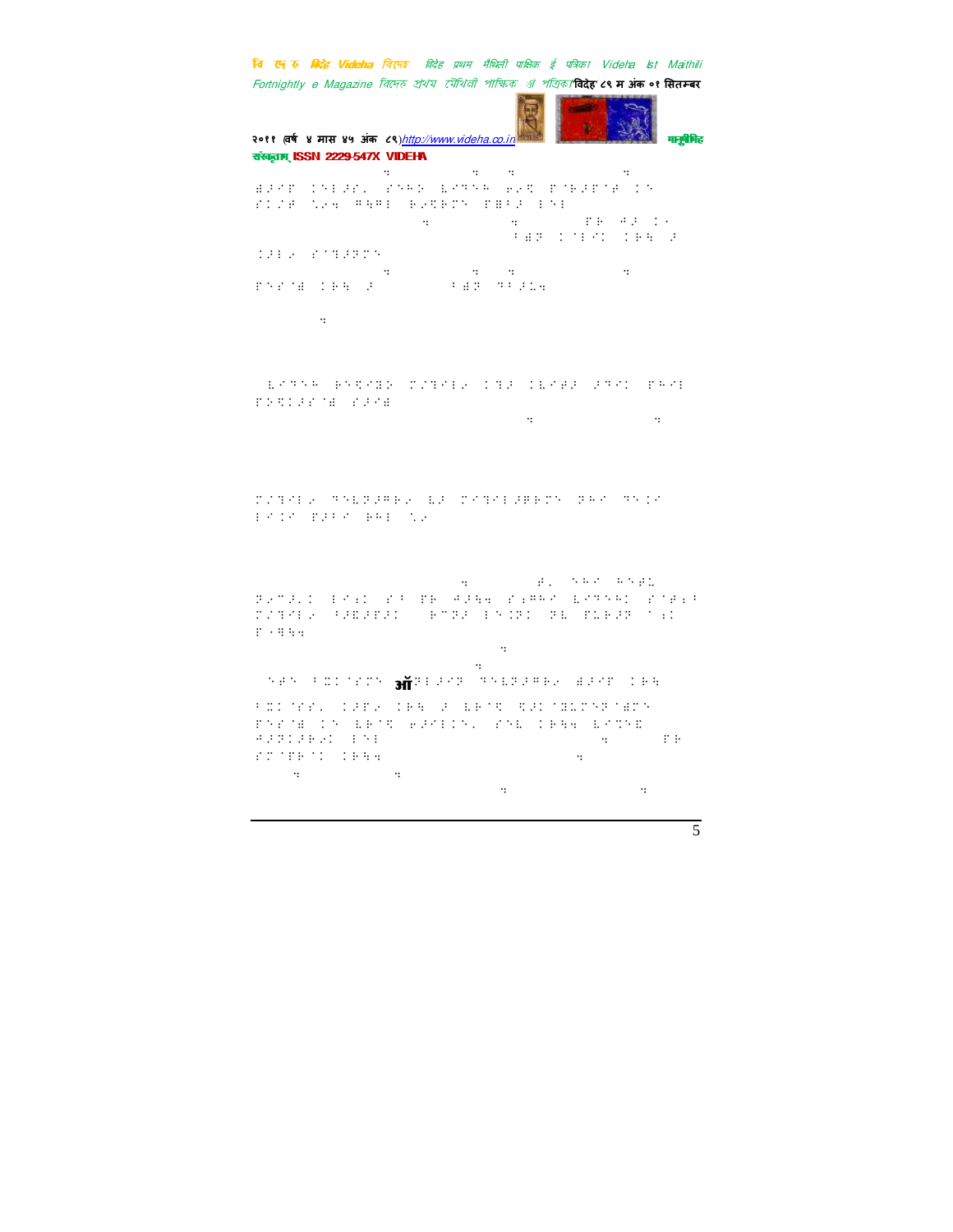बि एक स्टेड Videha विएक विदेह प्रथम मैथिली पाक्षिक ई पत्रिका Videha Ist Maithili Fortnightly e Magazine রিদেত শ্রথম মৌথিনী পাক্ষিক প্রাপত্রিকা**'বিदेह' ८९ म अंक ०१ सितम्बर Color** × मानुबेमिह २०११ (वर्ष ४ मास ४५ अंक ८९)http://www.videha.co.in संस्कृतम् ISSN 2229-547X VIDEHA  $\label{eq:2.1} \begin{array}{ll} \mathbf{u} & \mathbf{u} & \mathbf{u} \\ \mathbf{u} & \mathbf{u} & \mathbf{u} \\ \mathbf{u} & \mathbf{u} & \mathbf{u} \\ \mathbf{u} & \mathbf{u} & \mathbf{u} \\ \mathbf{u} & \mathbf{u} & \mathbf{u} \\ \mathbf{u} & \mathbf{u} & \mathbf{u} \\ \mathbf{u} & \mathbf{u} & \mathbf{u} \\ \mathbf{u} & \mathbf{u} & \mathbf{u} \\ \mathbf{u} & \mathbf{u} & \mathbf{u} \\ \mathbf{u} & \mathbf{u} & \$ FIVE NAME RARE PARADO PERA ENEL  $\sim 10^{-10}$ tale and addition  $\sim$  100  $\pm$ **Contractor** CERTAIN BARREN COMPARED CHARLES REPORT CONFIDE postavna vzdela  $\mathcal{L}^{\mathcal{L}}$  and  $\mathcal{L}^{\mathcal{L}}$  and  $\mathcal{L}^{\mathcal{L}}$  and  $\mathcal{L}^{\mathcal{L}}$  and  $\mathcal{L}^{\mathcal{L}}$ TITUS CONTRACTORS AND THE CONSTRUCTION OF THE CONTRACTOR EVIDE BARK BAELONE  $\label{eq:2d} \frac{1}{2}\frac{1}{2}\left(\frac{1}{2}\left(1+\frac{1}{2}\left(1+\frac{1}{2}\right)\right)\right)^{2}+\frac{1}{2}\left(1+\frac{1}{2}\left(1+\frac{1}{2}\right)\right)^{2}}\frac{1}{2}\frac{1}{2}\left(\frac{1}{2}\left(1+\frac{1}{2}\right)\right)^{2}+\frac{1}{2}\left(1+\frac{1}{2}\left(1+\frac{1}{2}\right)\right)^{2}+\frac{1}{2}\left(1+\frac{1}{2}\right)^{2}}\frac{1}{2}\frac{1}{2}\left(\frac{1}{2}\left(1+\frac{1}{2}\right)\right$ CONFIDENTIAL CONTRACTOR DE CONFIDENTIAL 的头皮压压。  $\cdot;$  $\mathcal{H}^{\pm}$ where a property  $\mathfrak{M}$  below a personal experimental FOI MAY, INFLATER IS ENTERED WANTED MARTINE  $\label{eq:R1} \begin{array}{ll} \mathbb{E}[\mathcal{N}(P_{\text{eff}}^{(1)})] & \mathbb{E}[\mathcal{N}(P_{\text{eff}}^{(1)})] & \mathbb{E}[\mathcal{N}(P_{\text{eff}}^{(1)})] & \mathbb{E}[\mathcal{N}(P_{\text{eff}}^{(1)})] & \mathbb{E}[\mathcal{N}(P_{\text{eff}}^{(1)})] \\ & \mathbb{E}[\mathcal{N}(P_{\text{eff}}^{(1)})] & \mathbb{E}[\mathcal{N}(P_{\text{eff}}^{(1)})] & \mathbb{E}[\mathcal{N}(P_{\text{eff}}^{(1)})] & \mathbb{$  $\sim$   $\alpha$   $\sim$   $\sim$   $\sim$   $\alpha$   $\approx$ FOURBAIL IBAN  $\sim 100$ **Contract**  $\sim 100$  $\mathbf{H}$  $\sim 10^{11}$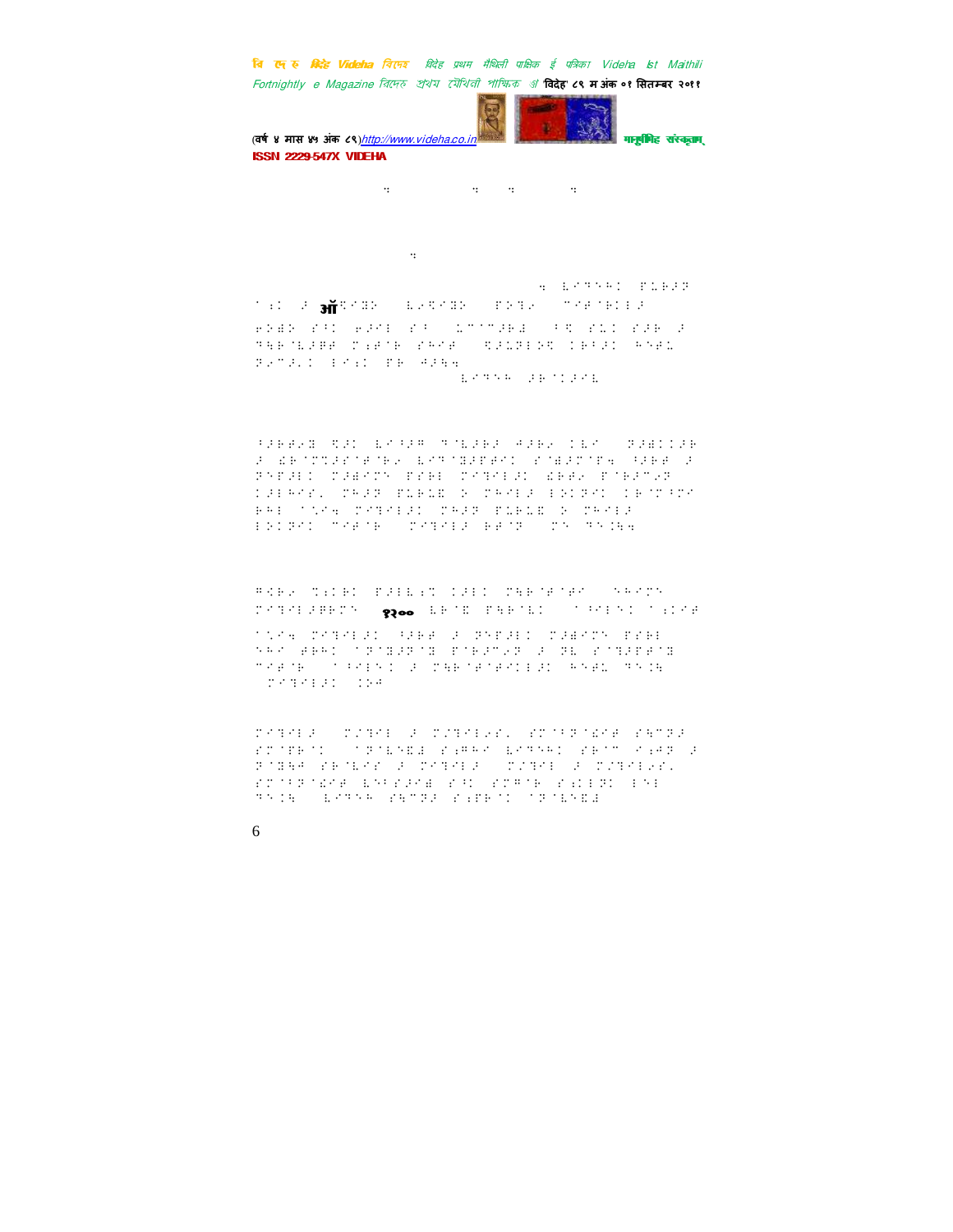चि एत् रू मिन्हे Videha निएन्थ विदेह प्रथम मैथिली पाक्षिक ई पत्रिका Videha Ist Maithili Fortnightly e Magazine विरमह शेथेग द्योंथिवी शीष्मिक औ **विदेह' ८९ म अंक ०१ सितम्बर २०११** 

(वर्ष ४ मास ४५ अंक ८९)http://www.videha.co.in + 2008 2008 2009 मानुषीपिह संस्कृताम् ISSN 2229-547X VIDEHA

iuuq;00xxx⣒wjefib⣒dp⣒jo0!⣒\*!!!

nbhase of the problem of the problem of the problem of the problem of the problem of the problem of the problem qbjoujoht0!qipup!gjmft⣒!⣇⢹⢳!3⣅⢷⢼⢽! ⣐!⢼!ऑ⣋⣝⢵0!⣇⢴⣋⣝⢵0!3⢵⣙⢴0!^⢾⢷6⢼0!

⢶⢵⣞⢵!⢸!⢶⢼6!⢸!)⣅^^⢼⢷⣜-!⣋!⣅⣈!⢼⢷!⢼! ⢹⣓⢷⣇⢼⢿⢾!⣐⢾⢷!⢳⢾\*!⣋⢼⣅⢽6⢵⣋!⢷⢼!⢳⢾⣅! ⢽⢴^⢼F!6⣐!3⢷!⢺⢼⣓⣒!

!WJEFIB!BSDIJWF!⣇⢹⢳!⢼⢷⢼⣇!

⢸⢼⢷⢾⢴⣝!⣋⢼!⣇⢸⢼⢻!⢹⣇⢼⢷⢼!⢺⢼⢷⢴!⣇-!⢽⢼⣞⢼⢷! ⢼!⣎⢷⣉⢼⢾⢷⢴!⣇⢹⣝⢼3⢾!⣞⢼3⣒!⢸⢼⢷⢾!⢼! ⢽3⢼6!⢼⣞!3⢷6!⣙6⢼!⣎⢷⢾⢴!3⢷⢼^⢴⢽!  $^{\circ}$  (Fig. )  $^{\circ}$  . The state of the state of the state of the state of the state of the state of the state of the state of the state of the state of the state of the state of the state of the state of the state of the ⢷⢳6!⣁⣒!⣙6⢼!⢳⢼⢽!3⣅⢷⣅⣏!⢵!⢳6⢼! 6⢵⢽!^⢾⢷!(⣙6⢼!⢷⢾⢽(!!⢹⣈⣓⣒!!

⢻⣊⢷⢴.⣉⣐⢷!3⢼6⣇⣐⣉!⢼6!⣓⢷⢾⢾-!⢳! ⣙6⢼⢿⢷!)१२००!⣇⢷⣏!3⣓⢷⣇\*!⢸6⣈!⣐⢾!

⣁⣒!⣙6⢼!⢸⢼⢷⢾!⢼!⢽3⢼6!⢼⣞!3⢷6! ⢳!⢾⢷⢳!⢽⣝⢼⢽⣝!3⢷⢼^⢴⢽!⢼!⢽⣇!⣙⢼3⢾⣝-! ^⢾⢷-!⢸6⣈!⢼!⣓⢷⢾⢾6⢼!⢳⢾⣅!⢹⣈⣓! (⣙6⢼!⣈⢵⢺(!!

CASA E CONSTRUCTION CONTRACTOR 3⢷-!⢽⣇⣏⣜!⣐⢻⢳!⣇⢹⢳!⢷^.⣐⢺⢽!⢼! ⢽⣝⣓⢺!⢷⣇!⢼!⣙6⢼-!5⣙6!⢼!5⣙6⢴F! ⢽⣎⢾!⣇⢼⣞!⢸!⢻⢷!⣐6⢽!66! ⢹⣈⣓!#⣇⢹⢳!⣓^⢽⢼!⣐3⢷!⢽⣇⣏⣜#!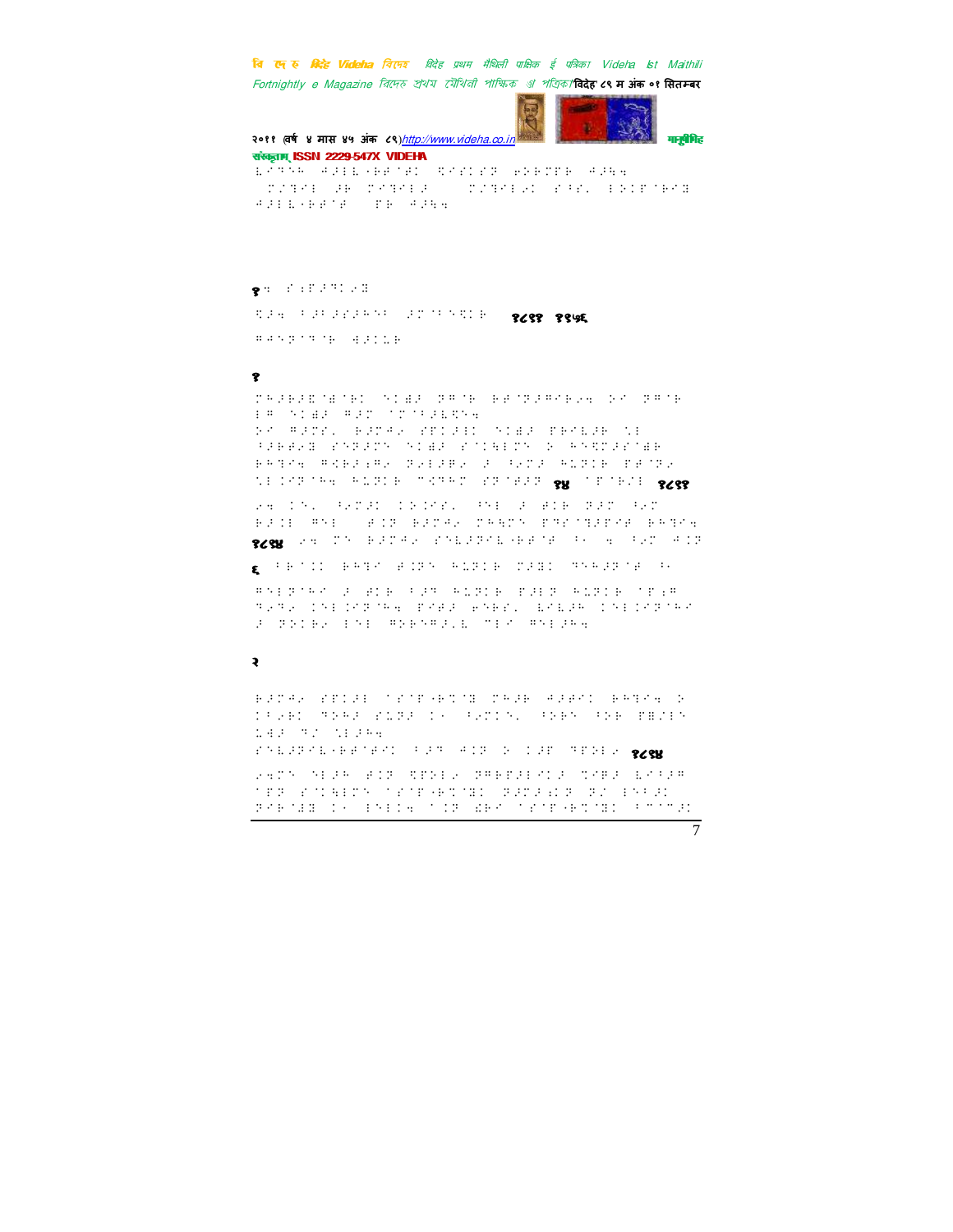बि एक स्टेट Videha विएक विदेह प्रथम मैथिली पाक्षिक ई पत्रिका Videha Ist Maithili Fortnightly e Magazine রিদেত শ্রথম মেথিনী পাক্ষিক প্রা পত্রিকা**'বিदेह' ८९ म अंक ०१ सितम्बर** 



# २०११ (वर्ष ४ मास ४५ अंक ८९) http://www.videha.co.ir संस्कृतम् ISSN 2229-547X VIDEHA

 $\mathbb{E}[\mathcal{L}(\mathcal{F},\mathcal{F},\mathcal{F})]=\mathcal{L}(\mathcal{F},\mathbb{E}[\mathcal{F},\mathcal{F},\mathcal{F}])=\mathcal{L}(\mathcal{F},\mathcal{F}(\mathcal{F},\mathcal{F},\mathcal{F}))=\mathcal{L}(\mathcal{F},\mathcal{F})=\mathcal{L}(\mathcal{F},\mathcal{F})=\mathcal{L}(\mathcal{F},\mathcal{F})=\mathcal{L}(\mathcal{F},\mathcal{F})=\mathcal{L}(\mathcal{F},\mathcal{F})=\mathcal{L}(\mathcal{F},\mathcal{F})=\mathcal{L}(\math$ Concerts de Consegue (Concertado Valencia Simpleme  $\mathcal{A}(\mathcal{G},\mathbb{F}_2,\mathbb{F}_2,\mathbb{F}_2,\mathbb{F}_2,\mathbb{F}_2) = \mathcal{A}(\mathcal{G},\mathbb{F}_2,\mathbb{F}_2,\mathbb{F}_2,\mathbb{F}_2)$ 

 $\mathbf{g}$  and  $\mathbf{f}$  and  $\mathbf{f}$  and  $\mathbf{f}$  and  $\mathbf{f}$ **SEARCH AND ARRESTS TO THE RESEARCH PRISE**  $\mathbb{H}^1 \mathbb{H}^1 \times \mathbb{H}^1 \times \mathbb{H}^1 \times \mathbb{H}^1 \times \mathbb{H}^1 \times \mathbb{H}^1 \times \mathbb{H}^1 \times \mathbb{H}^1$ 

### $\mathbf{P}$

CAPADE 18 191 - NO 82 - PA 19 - DD 19 24 29 29 - NA - PA 19 ER STEP RIC CONTRIGENT SPORTER PERSONAL PROPERTY NOBEL PERSONAL CE FREEZO PARRIA ALBRITANIE DA LA ARCRITER BANKA POBRIAL PRIRER DE PROFINOSA PRIPA NE DARIAH ANDREA MARAD VOR 1820 98 100 1979 9633

Second to the part of a real condition of a range during the BUILDING CALLS AND AUTHOR THAT THE THURSAL BANKS 8688 AND COMPACTANT CONSIDERING CARDINAL CARD AND

g (Ferningense alter electe code) missione is

RINER TRANSPORTED FOR CALIFORNIA ROBERT ALBUM CONVERT TERTE INFIDENTIAL PRACTICATION ERECTION CONTRACT d deles from merchanic messiones

#### $\mathbf{R}$

BUDAN SELVER TETERED TE DAVA AVANT BABAN D TROPIC REPORTED BY THE ROOM OF PERSONAL PRESENT 1992 72 1994

POR PROFESSIONAL PROPERTY CONTINUES AND

 $\left( \frac{1}{2}, \frac{1}{2}, \frac{1}{2}, \frac{1}{2}, \frac{1}{2}, \frac{1}{2}, \frac{1}{2}, \frac{1}{2}, \frac{1}{2}, \frac{1}{2}, \frac{1}{2}, \frac{1}{2}, \frac{1}{2}, \frac{1}{2}, \frac{1}{2}, \frac{1}{2}, \frac{1}{2}, \frac{1}{2}, \frac{1}{2}, \frac{1}{2}, \frac{1}{2}, \frac{1}{2}, \frac{1}{2}, \frac{1}{2}, \frac{1}{2}, \frac{1}{2}, \frac{1}{2}, \frac{1}{2}, \frac{1}{2}, \frac{1}{2}, \frac{1}{2},$ THE REPORT OF THE REPORT OF A REPORT OF THE REPORT OF A REPORT OF THE REPORT OF THE REPORT OF THE REPORT OF THE REPORT OF THE REPORT OF THE REPORT OF THE REPORT OF THE REPORT OF THE REPORT OF THE REPORT OF THE REPORT OF TH distance to the capacity of the same international continues

 $\overline{7}$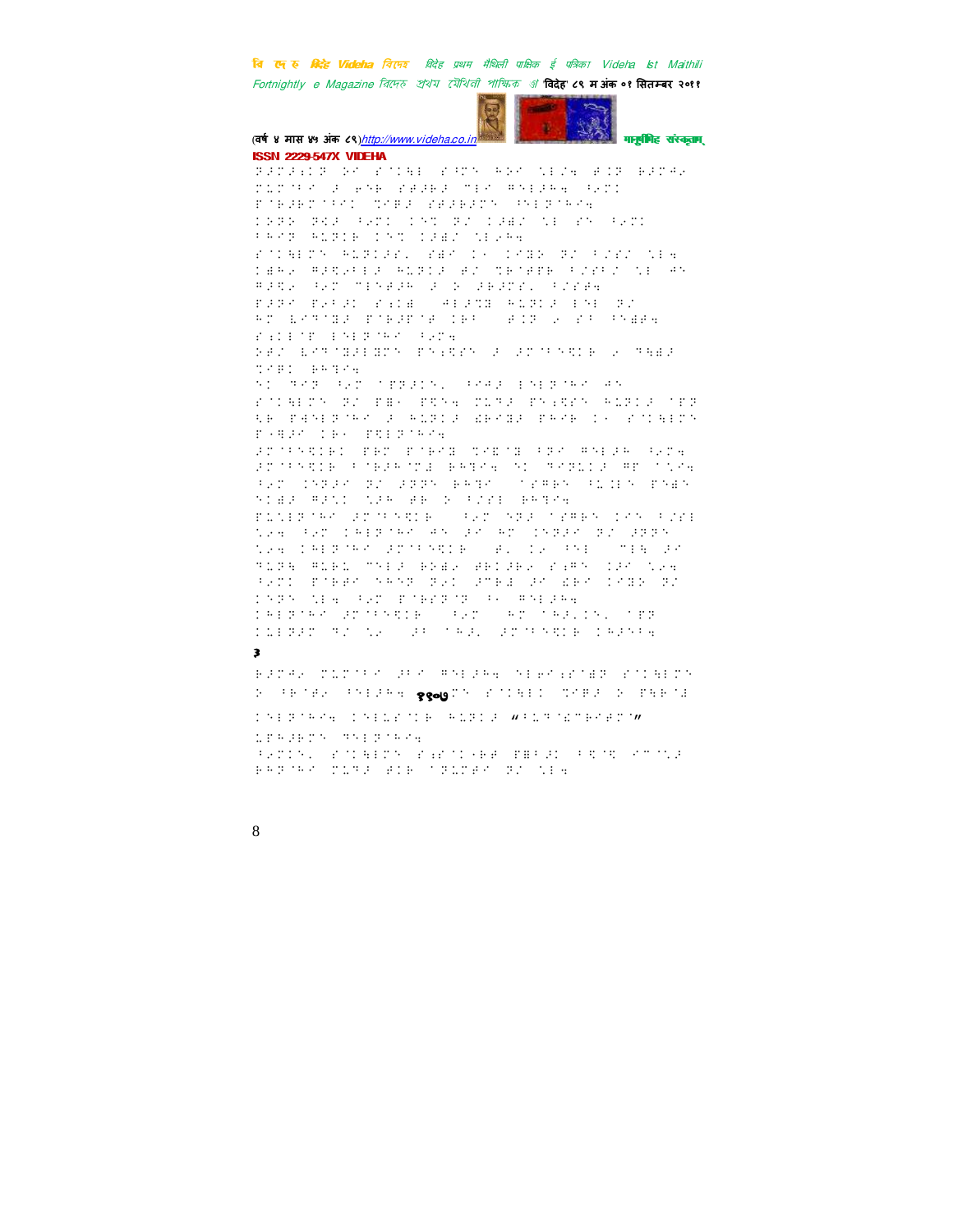चि एक रु मिनेह Videha विएक विदेह प्रथम मैथिली पाक्षिक ई पत्रिका Videha Ist Maithili Fortnightly e Magazine রিদেত শ্রথম মৌথিনী পাক্ষিক প্র' **বিदेह' ८९ म अंक ०१ सितम्बर २०११** 



**ISSN 2229-547X VIDEHA** SADARD STRATEGIC RESOURCES TO CHORO RESPONSE popular di sere la adedicación de la regione de po-ESPECIFICATION CERTIFICATION CONTINUES. 1989 PARTHERS INTO A STREET ARTIST FRAME ROBOT CAT CABLE SERRE and as the saltage and has a constant and a saltage and case excuse a subsequent dename entre nom de rady result refer (Afans Abdia family Advanced predictes (es additional shape PALENT ENERGY SAME Secondary research in the service contractor of the serve TRED BRIDGE NI PARTING TERRINI PARTINERAN AN FOISBURY PLOTER CERNAL DEPARTMENTATION CONTROL te responso distanta anche reserva di conterno  $\Gamma \rightarrow \Pi, \Gamma \gamma^* = \Gamma, \Gamma \gamma^* = \Gamma, \Gamma \Gamma, \Gamma, \Gamma \gamma^* = \gamma^* \gamma$ ACCEPTED FROM CREATED CARDS FROM PARABLE CAN ar tempia e taakira ako ea mis mezona er sine.<br>Har cropae dis addm ako sineam en boldem roam NIED POST SON PROVINCE PROVE e proveta de esta una proveta el sistema de proveta el proveta el proveta de la proveta de la proveta de la pr<br>Política el segundo de la esta de el proveta de la proveta de la proveta de la proveta de la proveta de la pro  $\label{eq:decomp} \begin{split} \n\mathcal{L}_{\mathcal{B}}(\mathbf{q}) = \mathcal{L}_{\mathcal{B}}(\mathbf{q}) \mathcal{L}_{\mathcal{B}}(\mathbf{q}) = \mathcal{L}_{\mathcal{B}}(\mathbf{q}) \mathcal{L}_{\mathcal{B}}(\mathbf{q}) = \mathcal{L}_{\mathcal{B}}(\mathbf{q}) \mathcal{L}_{\mathcal{B}}(\mathbf{q}) = \mathcal{L}_{\mathcal{B}}(\mathbf{q}) \mathcal{L}_{\mathcal{B}}(\mathbf{q}) \mathcal{L}_{\mathcal{B}}(\mathbf{q}) \\ \n\mathcal{L}_{\mathcal{B}}(\mathbf{q})$ subdividing and in end of public come all can imperficing part of a TRENTH-ORDER TEACHER CONTRACTOR INFORMATION SERIES SAN SAN SALISATION compared with the conduct was controlled and water-

8

admad chinese des any pay says any and a chiarma SUPERING PRESENT ROOM IN STIRES CONFIDENTIAL

CONFIDENTIAL CONFIDENTIAL IN DRIVE (WA DIRECT PACED ON SPARENT THEFTHIS PACING STORECT SERVICE PER PER PORT ACCOUNT BAR test counselorde in public for the a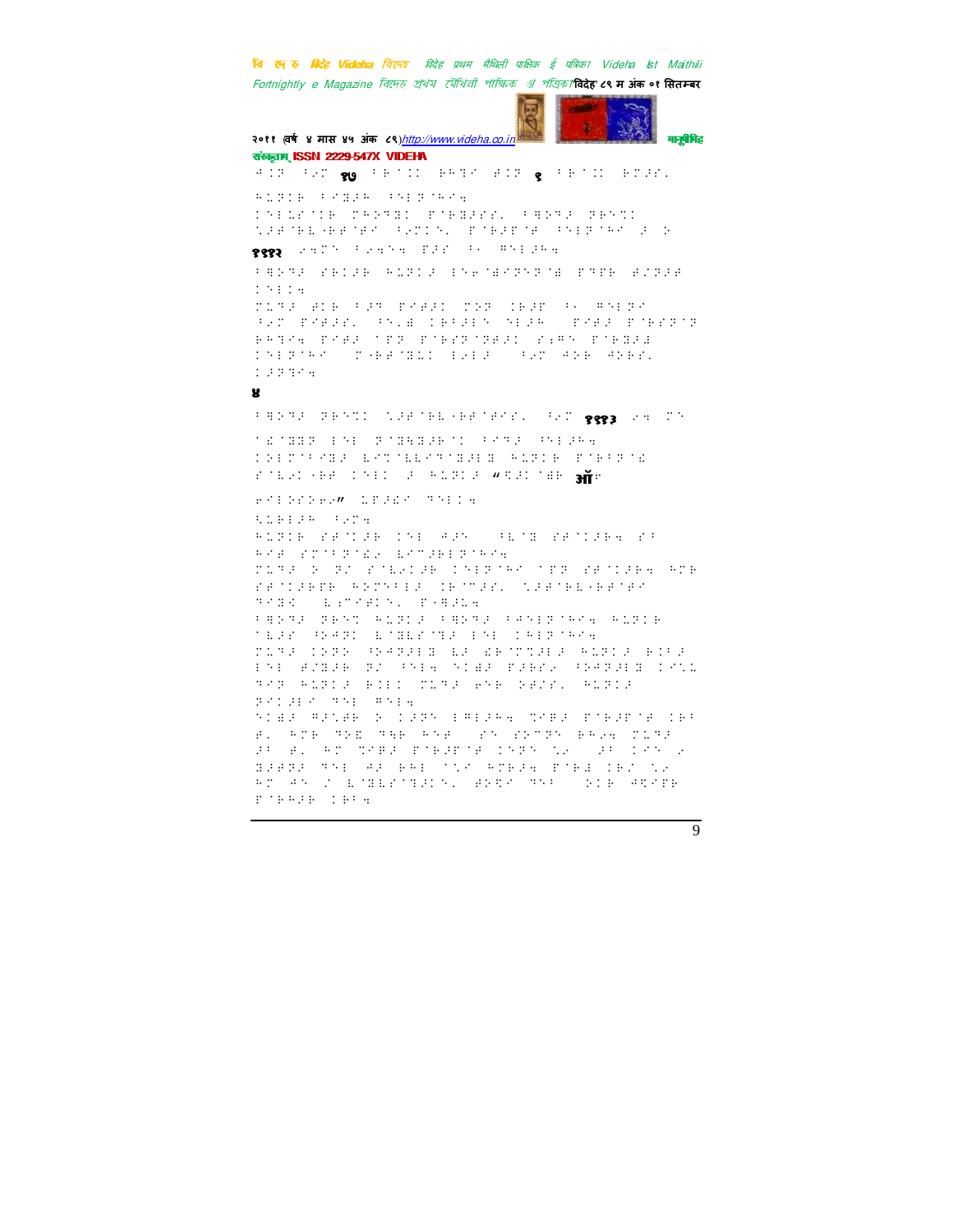चि एक रु मिनेह Videha विएक विदेह प्रथम मैथिली पाक्षिक ई पत्रिका Videha Ist Maithili Fortnightly e Magazine রিদেত শ্রথম মেথিনী পাক্ষিক প্রা পত্রিকা**'বিदेह' ८९ म अंक ०१ सितम्बर** 

२०११ (वर्ष ४ मास ४५ अंक ८९) http://www.videha.co. मानुबेगिह संस्कृतम् ISSN 2229-547X VIDEHA HIS PACK ON THE CONTRACTOR OF STRAINING STATES A LOTA COMBON CONFORMAL THE LANDER CONDITION OF THE SAME. IN A START OF HANDS tuse relative stress is so that the consequence of share these costs as 2322 2007 - France Edd Inc. Bright FROM POSSESS PORTED ENFORCEMENT ENTERTAINMENT  $1.54(1.4)$ CONFIDENTIAL PROPERTY CONFIDENTIAL CAN BACK FOR PRESENTATION CONSUMING TO PRESENT PERSON BANKA INK BALTING INTERNATIONAL IN BASING TERRA THERMAN CONFERENCE EVERY CRAD AND ANDER 1.22355  $\mathbf{v}$ FROM PERCENTAGE THE FEATHER CAR PROPERTY manded available des montes de la componencia CONFIDENTIAL CONTINUES AND ALLEGED AT A CHARGE OF STEP: HAR INSED OF PERIOD WROCKER SHOW  $\{x^{(1)}\}^2=\{x^{(1)}\}^2,\ \{x^{(2)}\}^2,\ \{x^{(3)}\}^2,\ \{x^{(2)}\}^2,\ \{x^{(3)}\}^2,\ \{x^{(4)}\}^2,\ \{x^{(5)}\}^2,\ \{x^{(6)}\}^2,\ \{x^{(6)}\}^2,\ \{x^{(6)}\}^2,\ \{x^{(6)}\}^2,\ \{x^{(6)}\}^2,\ \{x^{(6)}\}^2,\ \{x^{(6)}\}^2,\ \{x^{(6)}\}^2,\ \{x^{(6)}\}^2,\ \{x^{(6)}\}^2,\ \{x^{($ KOBISK SPOR A DISCAPLARA TORAL CORPORATION CONTRACTOR AND AT A PARTICIPATION CONTRACTOR PARA CLAR STRATEGIZE INFORMATION CORPORATION SAMILIANDE CHOONEEUR (1977-1972) NOURCHER-PROPO 其中自动 人名日常的第三人称单数 电话公布 TERRITORY ARE CELLENTER CENTER CONFIDENCY TEMP CONTO POPOLED EXPERIMENTAL PERIODIC EDUC ENE PATRIE DI PALE NIEU PIER PARA PARIE D'INS MAR PORTA BILI TOMA BAB PRATT PORTA BATHER MAIL #NIA NIEZ PZNAK N IZZNOSPIZAN TREZ PODZITATZA al are man makingan are are man kalendar 法未完审美 医中央性脊髓束 电对电话电对电子 医外皮病 化反应 人名科尔克 经外汇 duese mai es em 100 de mai especientes del que A DISPANY OF BUNDAY MALTY AND SAN A STATE OF A SPECIFIER  $\Gamma$  (1982)  $\Gamma$  (1983)

 $\overline{Q}$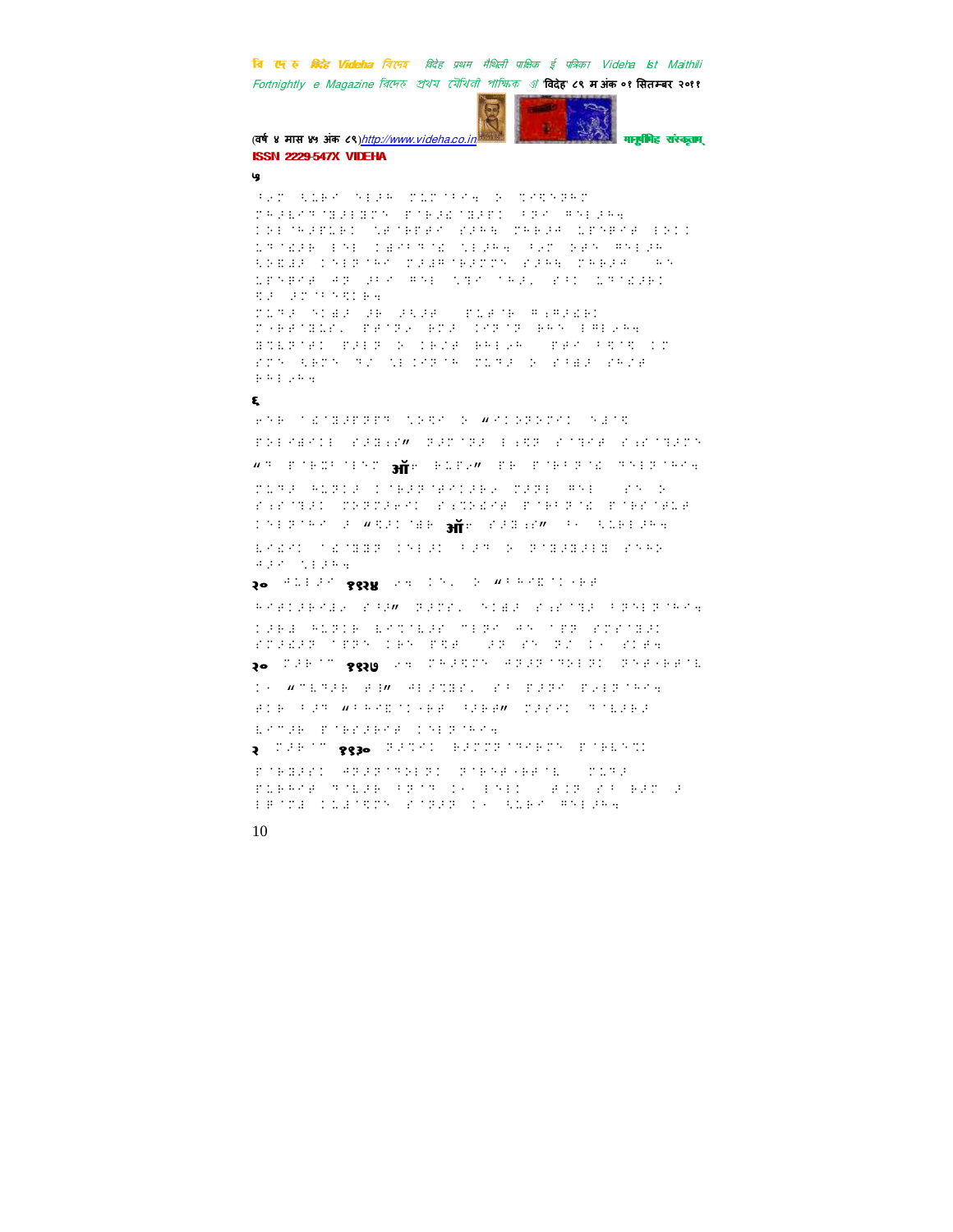चि एक रु मिनेह Videha विएक विदेह प्रथम मैथिली पाक्षिक ई पत्रिका Videha Ist Maithili Fortnightly e Magazine রিদেত শ্রথম মৌথিনী পাক্ষিক প্র' **বিदेह' ८९ म अंक ०१ सितम्बर २०११** 

(वर्ष ४ मास ४५ अंक ८९)http://www.videha.co **ISSN 2229-547X VIDEHA** 



मानूबंगिह संस्कृतम्

#### **Le**

FROM REPORT RESPONDED TO A CONTRACTOR  $\mathbb{C}^{\mathsf{H}}\otimes\mathbb{C}^{\mathsf{H}}\otimes\mathbb{C}^{\mathsf{H}}\otimes\mathbb{C}^{\mathsf{H}}\otimes\mathbb{C}^{\mathsf{H}}\otimes\mathbb{C}^{\mathsf{H}}\otimes\mathbb{C}^{\mathsf{H}}\otimes\mathbb{C}^{\mathsf{H}}\otimes\mathbb{C}^{\mathsf{H}}\otimes\mathbb{C}^{\mathsf{H}}\otimes\mathbb{C}^{\mathsf{H}}\otimes\mathbb{C}^{\mathsf{H}}\otimes\mathbb{C}^{\mathsf{H}}\otimes\mathbb{C}^{\mathsf{H$ TO BE TRUSPECT CONTERPRINT RURAL CORROW CONTRAR (\$50.0 SENEMA PARTIER MURNET SEMITERIT VARIOS SPIERES 男子 (法的)特 外男的复数 CONFIDENTIAL CARD ANDAR CONDITATION AREA AND THE POINT OF POST PICTURE OF THE PERSON RESPONSE. BOBBIAI PARR DI LEVA PARVA I PAK PRINTIVO RON REDNISCH DRONE DOCH DOS PRIESTRESS 中央的 医肝油

#### £.

ENE TEMPERENT CORN DOWNLOADDING NEWS ESIMENTE SAVIENA DUCTURA ESCRITANEA ANTIFICA WA SEARCH ARMOU**SH**RO ROBOW SERVICES AND A SEARCH TERRI PERIPIRAN MERRIMANI PROVINCI ANCOR analyzing a comprehensive and a warehold the state of the protection THE POSSIBLE WARRENED WITH INSIDE HWY ARE A CELEBRATE Example of a state of the store set of the state state and states  $\mathcal{A}(\mathcal{G},\mathcal{E})=\mathcal{V}_{\mathcal{G}}(\mathcal{G},\mathcal{G},\mathcal{G})$ 

30 000 1000 \$858 0000 10000 1000 0000 11000 A PARTICH PLEVE RECEIVED A SERVE DE LA CARDIO DE LA PARTICIPA POR MARCA DE LA RECEIVE DE LA RECEIVE DE LA RECEIVE DE LA RECEIVE DE LA RECEIVE DE LA RECEIVE DE LA RECEIVE DE LA RECEIVE DE LA RECEIVE DE LA RECEIVE DE LA RECE I ARE PORTE EXPOSER TERM PACTER STRINGER ROBERT TERM CENTERE THRU RATES CONTROL 20 JAPAN 2020 AN JAPANES PRAPARED DARKERS THE WORDER HERE HEROTEPLY PORTER TO PREPARE  $\{F(f) \mid F \in \mathcal{F}^m \mid \mathcal{H}^m \in \mathcal{H}^m \mid \mathcal{F}(f) \leq F(f) \leq \{F(f) \mid \mathcal{F}(f) \leq F(f) \leq \mathcal{F}^m \mid \mathcal{F}(f) \leq \mathcal{F}^m \} \}$ ERMOR PORTER ARMAIN TO BOTH MAIL

3 JAPAN 8830 JAARAL PARRAMANTA PAPEARL

ESPERANT PROPERTY AND CONFINENTIAL CONTROL PLEAME POLIE FROM IN ENEX (PEIR POLIFIER) a esta conditatos casteles do canado esa des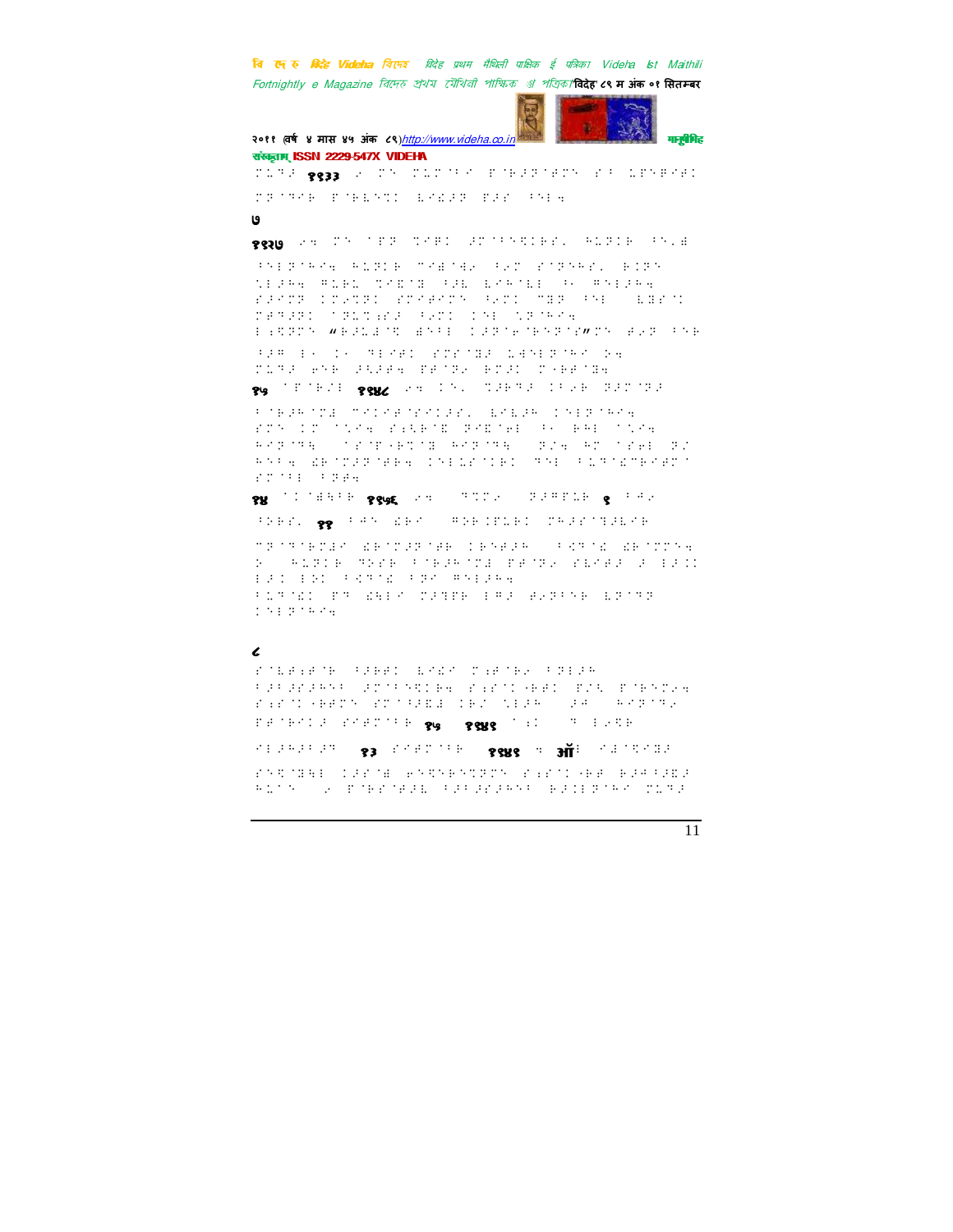बि एक रु मिन्हे Videha विरफ्श विदेह प्रथम मैथिली पाक्षिक ई पत्रिका Videha Ist Maithili Fortnightly e Magazine রিদেত শ্রথম মেথিনী পাক্ষিক প্রা পত্রিকা**'বিदेह' ८९ म अंक ०१ सितम्बर** 

२०११ (वर्ष ४ मास ४५ अंक ८९) http://www.videha.co.ir मानुबैमिह संस्कृतम् ISSN 2229-547X VIDEHA

CORP. 9933 PARTIES CONTRACTOR PROPERTY WAS CONFIDENT CONTRAR CONFERENCE (ESCOLO PORT CAREER

**FRAUD** AND CONTROL CONFIDENTATIONS IN ALCOHOL AND

stage texts in perfective text studies that the perfective NEURA PORO TRENE PUE ERRITE (PROPREDA rance invest renners avoi mas availabarit CARABI CABLO BER CREDIT INFORMATION ESPRING WELLING SENED CLARIFY TENDING PROPERTY FRAME REPORT OF THE PROPERTY OF A REPORT OF THE REPORT OF THE REPORT OF THE REPORT OF THE REPORT OF THE REPORT OF CLARA AND REPAIR TRANSPORTED CORPORA 99 1819/18 9986 PM 105, THERE IRE RETURN

singularida i medie a raredurati i gleguas i diregionaria KON CO STAR RIBBOD PRESERVATIONS TO TAP A carried in the research is a carried in a car in the End of A NA A CABA 172 BINBA CON ELECTOR COMME CALMINAMENTAL

ew illiable eeug van door dieserde groot

speed ex standard competenced presentation

ma na redakil dendaanae istenaae is in kanndi dendan ke Since the track of the sector response to the control of the top 主要的人主要的人主要性的最大主要的人共有主要形容。 FOR NO SERVICES CONTER SERVICES POSSESS 空气生息之中的年

## ८

 $37.733 - 3.234$ 

19

PORTER PER PREFER SERVICE PROPERTY PRESENT FOR SPORTS OF TRANSPACE PERIOD REPORTS IN THAT ARE PAPEL FRANK POSTAGE TROUVER TO A TURNER EVERENCE PROPERTIE 89 8888 TOP CONTROL

PERFRICATION 23 COMPANY FOR 1988 OF 311 PARTICULAR

www.caes.com/www.caesesee.edu/usine-com/web/2004-0002 A 17 NO 17 SO PORT A MARIO POPULAR A PORT A RIGHAM CONTRA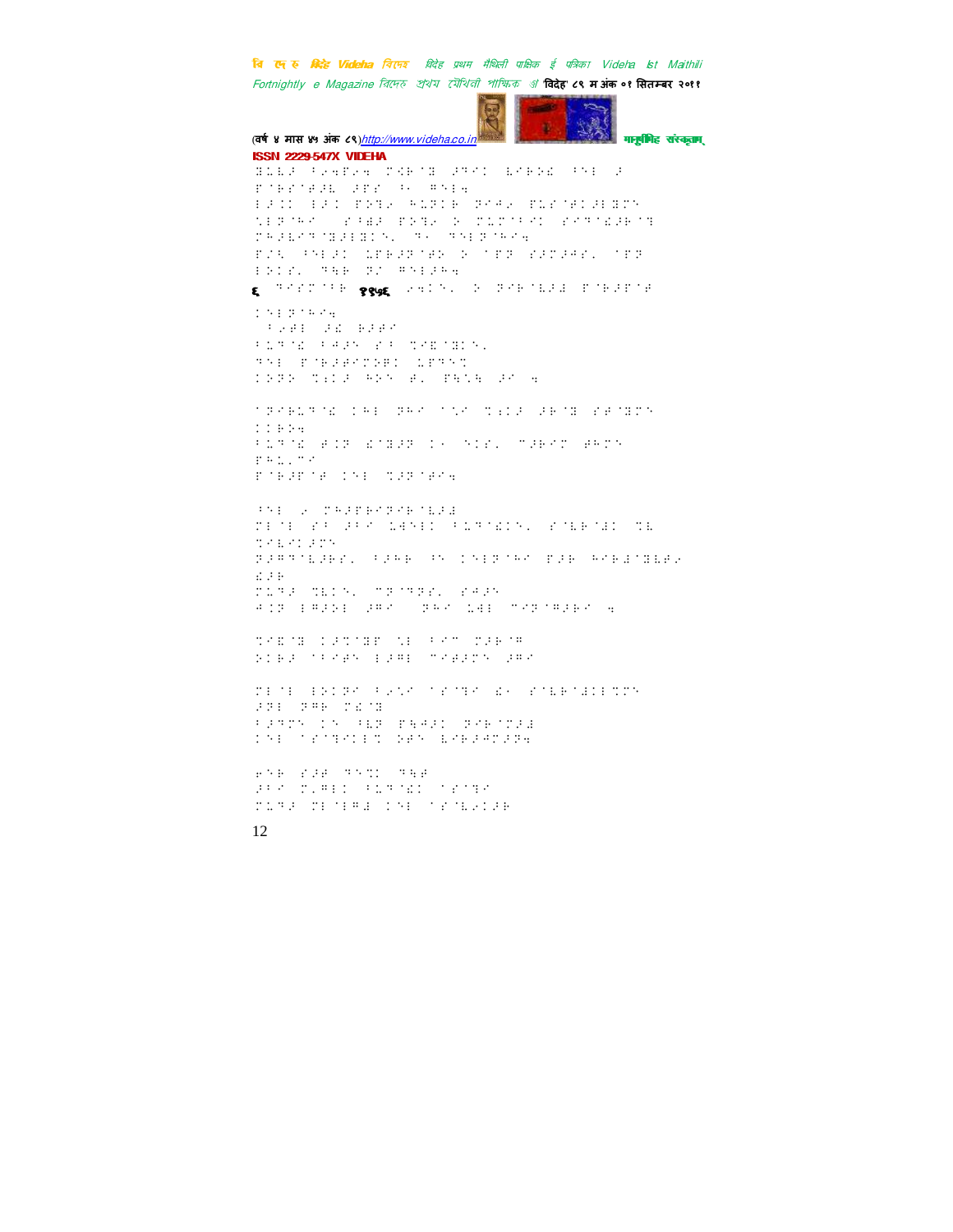बि एक स्टेट Videha विएक विदेह प्रथम मैथिली पाक्षिक ई पत्रिका Videha Ist Maithili Fortnightly e Magazine রিদেত শ্রথম মৌথিনী পাক্ষিক প্র' **বিदेह' ८९ म अंक ०१ सितम्बर २०११** â **Service** × (वर्ष ४ मास ४५ अंक ८९)http://www.videha.co.in मानूबंगिह संस्कृतम् **ISSN 2229-547X VIDEHA** BLEW FRANKA CREAT WAY: EKEND FAIL F PORTHUM UPP OF THEFT EVID BY: FREE PORCH SPAR TOP MEDICIN  $\lambda$  and the constant state of an experimental control of constant and the constant of the constant of  $\lambda$  , which is the constant of  $\lambda$  $\mathcal{B}(2,3)=\mathcal{B}(3,2,3)=\mathcal{B}(3,3,2,3,3,4,5)=\mathcal{B}(3,3,3,3,4,5,5)=\mathcal{B}(3,3,3,4,5,5)=\mathcal{B}(3,3,3,4,5,5)=\mathcal{B}(3,3,3,4,5,5)=\mathcal{B}(3,3,3,4,5,5)=\mathcal{B}(3,3,3,4,5,5)=\mathcal{B}(3,3,3,4,5,5)=\mathcal{B}(3,3,3,4,5,5)=\mathcal{B}(3,3,3,4,5,5)=\mathcal{B}(3,3,3,4,$ E PREDITE SUE AND NO DOPE TEAR ENTERED 小女子 共に共に合い FILM NEW PARTNER WAS CITED AT THE PUBLIC PROPERTY OF THE TORPS TELEVISOR RELEASED PROFILE maked and idea in aek in this day of a samal we had s 11959 FIRST WORLD CONSTRUCTION ON TWO CONTRACTS ARE TO  $\mathbb{P}^{(n)}$  is a proof. ESPERING CALL TRANSPORT  $\mathcal{A}(\mathcal{N},\mathbb{R})=\mathcal{N}(\mathcal{N},\mathcal{N},\mathbb{R})\oplus\mathcal{N}(\mathbb{R})\oplus\mathcal{N}(\mathbb{R})\oplus\mathcal{N}(\mathbb{R},\mathcal{N},\mathbb{R})$ THE REPORT OF PRODUCTS IN A REPORT OF A REPORT OF THE die Electronica FRAME REPORT OF FRAME CONTROLS OF THE CONFIDENT REPORT **SOF** TERRITED NO. TRIPPED CERRY  $\mathcal{A}^{\alpha}(\mathcal{A},\mathcal{B})=\mathcal{A}^{\alpha}\mathcal{B}^{\alpha}\mathcal{A}^{\alpha}\mathcal{B}^{\alpha}=\mathcal{A}^{\alpha}\mathcal{B}^{\alpha}\mathcal{B}^{\alpha}.$ Canalizer map represente SABAB CASABE SE PASSARES Stad in Para Board measure day THE REPORT OF SAME CONTROL AND PRESENTED TO **SPECTRE TEST** FRANCH CONTRAD PARKET RESORT THE CONTROLED DAN EVERATING  $\mu$  5  $\mu$  = 2.24  $-$  3.5  $\mathrm{U}$  = 3.34  $\mu$ and country number of a the TERRIT TERRITORI (1941) TERRITOR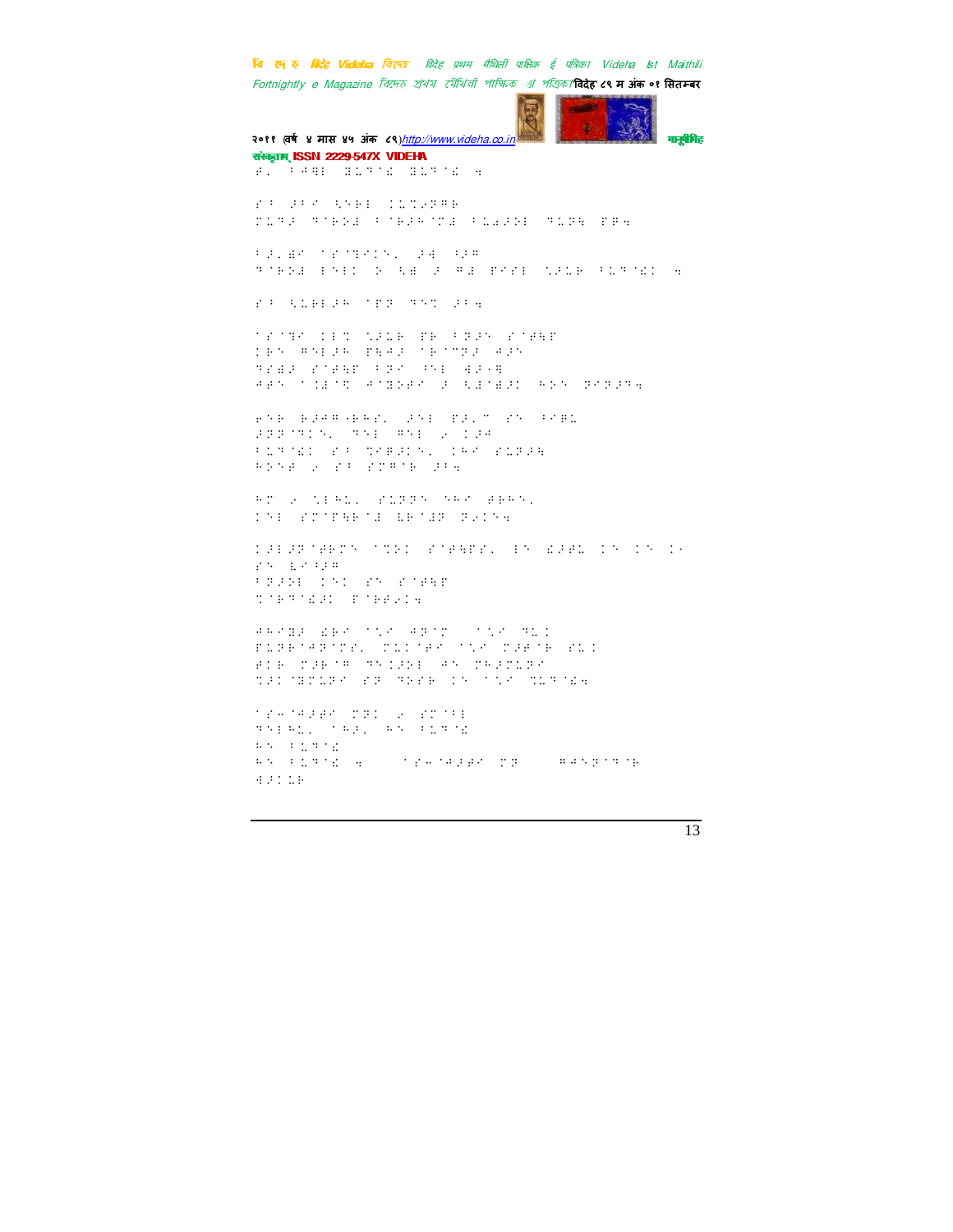बि एक रु मिनेट Videha विएक विदेह प्रथम मैथिली पाक्षिक ई पत्रिका Videha Ist Maithili Fortnightly e Magazine রিদেত শ্রথম মৌথিনী পাক্ষিক প্রাণবিকা**বিदेह ८९ म अंक ०१ सितम्बर** 

**Service** ø मानुबेमिह २०११ (वर्ष ४ मास ४५ अंक ८९)http://www.videha.co. संस्कृतम् ISSN 2229-547X VIDEHA BUT FRAME SHORTEN HORTEN SA FOR SPOKE SERVICES rima mesa ensantra elegan midade a diaze in pinanoni, coda cadar MINERAL ENECTING RATIO PACE ENVELOPED PROPERTY & ROS ALBERTA CONSUMING SPA TECHNOLOGY SALE TECHNOLOGY PER tan ang aktres na malaysian measurement (species) (assay ABS Codere Arabek di Caraco Abs deposa Article (transl. Program and Granal THE STUTER OF BROAD SPACES THE PROPERTY ON THE OCCUPANT AND LONGITUDE OF A CONTROL 学习 法对决判断 FRANK CONTRACTORER STEPHEN CRIPPER 20 askage ask to agree to the abo rigaragery, riceran right para yi ata pakie mkoaka an pearcan

tal deputación desemblecer con tuda des

na kinea ekonomia poziciano esaspending and considered  $\mathbb{E}\left\{ \mathbf{v}^{\prime} \in \mathbb{R}^{d} \left| \mathbf{v}^{\prime} \right| \leq \mathbf{v}^{\prime} \right\} \leq \mathbb{E} \left[ \mathbf{v}^{\prime} \right] \leq \mathbb{E} \left[ \mathbf{v}^{\prime} \right] \leq \mathbb{E} \left[ \mathbf{v}^{\prime} \right] \leq \mathbb{E} \left[ \mathbf{v}^{\prime} \right] \leq \mathbb{E} \left[ \mathbf{v}^{\prime} \right] \leq \mathbb{E} \left[ \mathbf{v}^{\prime} \right] \leq \mathbb{$ and contract and contract part of policy were provided 49148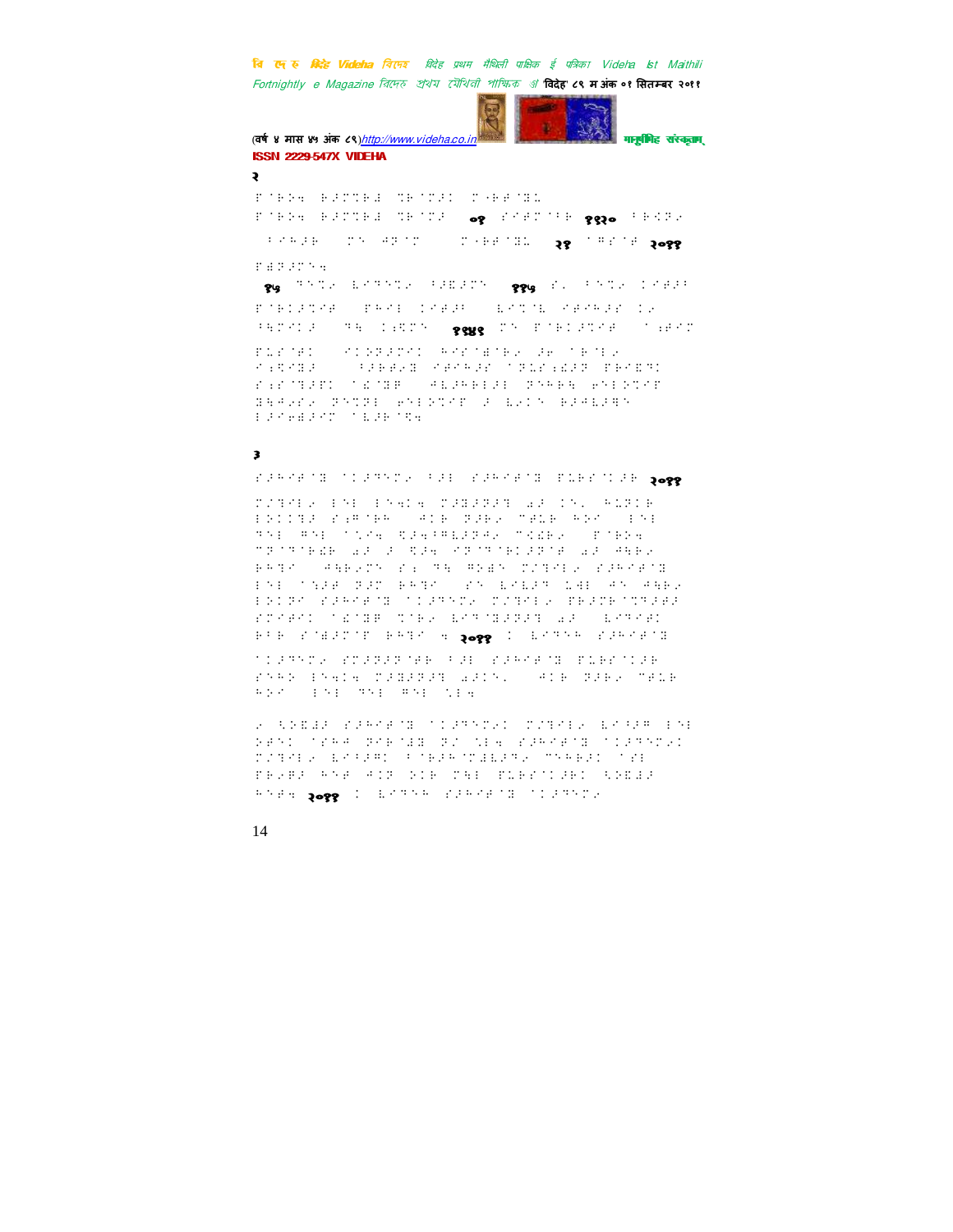चि एक रु मिनेह Videha विएक विदेह प्रथम मैथिली पाक्षिक ई पत्रिका Videha Ist Maithili Fortnightly e Magazine রিদেত শ্রথম মৌথিনী পাক্ষিক প্র' **বিदेह' ८९ म अंक ०१ सितम्बर २०११** 



(वर्ष ४ मास ४५ अंक ८९)http://www.videha.co.ii **ISSN 2229-547X VIDEHA** 

#### ₹

PORCH ROOTED TRONG OF RESORT ESPECIE PROTECT TESTIF OR CONFIDENCIAL RESERVE **CONSERVANCE 28 AND LESSEE アナマキスト アークター REAの** EBS FOND

gu Shida Estanda Pabara ggu ru Phila real ESPECIAL PROPERTY CONFIDENTIAL CORPORATION THE CONTROL RELEASED FOR STREET AND RELEASED 活動的 初生体の

The property of the care all decome rails. Pine Media **TRANSPORTAGE AND TRANSPORTED TO** 子供の生活の PAPTERN TETH ARE ALARGED PARK WAS ATTEMPT BARANA (PATPE) ANEXTAN (P. EAIN) BAREARN EUROPEURT COEUECON

## 3

PORTABLE TO APPEAL FOR COORDINATE PORT OVER 10000

CONFIDENTIAL ENGINEERING SERVICES CONTRACTOR ESCORA VIENES (POE PAES TROE PSK) ESP 中外生产中外生产的人的是一般是在中央上层中央、内部留长区、一般的长途、 ma care de ligga da labar localita cepidade ligga labelo. BANK CABBUTA PECNEDAM PUNIS CONSTRUCTION ENE TABLE BUD BANK (SEN EREBY 1981) AN ABER ESCRA EXPANSIVE VIDASSON OVEREN ERROR VOSPRER advertised and Portage and Advertised and Calendary BREAK PORT OF BRIAN AN 2000 IN BRANCH PLANCE OF

nd article indicated heel in as independing projections. ROBO ESADA CRESPER SERISI PRIBUDEN TRIB ANY CENT SAFE RINE NEW

DE ADELES EN PRAISE DE L'ESPANYONE L'INSTALLATION EN ENE Send increased and tag individual and aerophand increased DISTRIBUTION FRAME CONTROL PORTUGALIZED IN A BOSTON VIEW PERPIRANE AIR DIE THE PLEATINEI KOBBS PORT DORE I ESTOR REPORTED TIPPED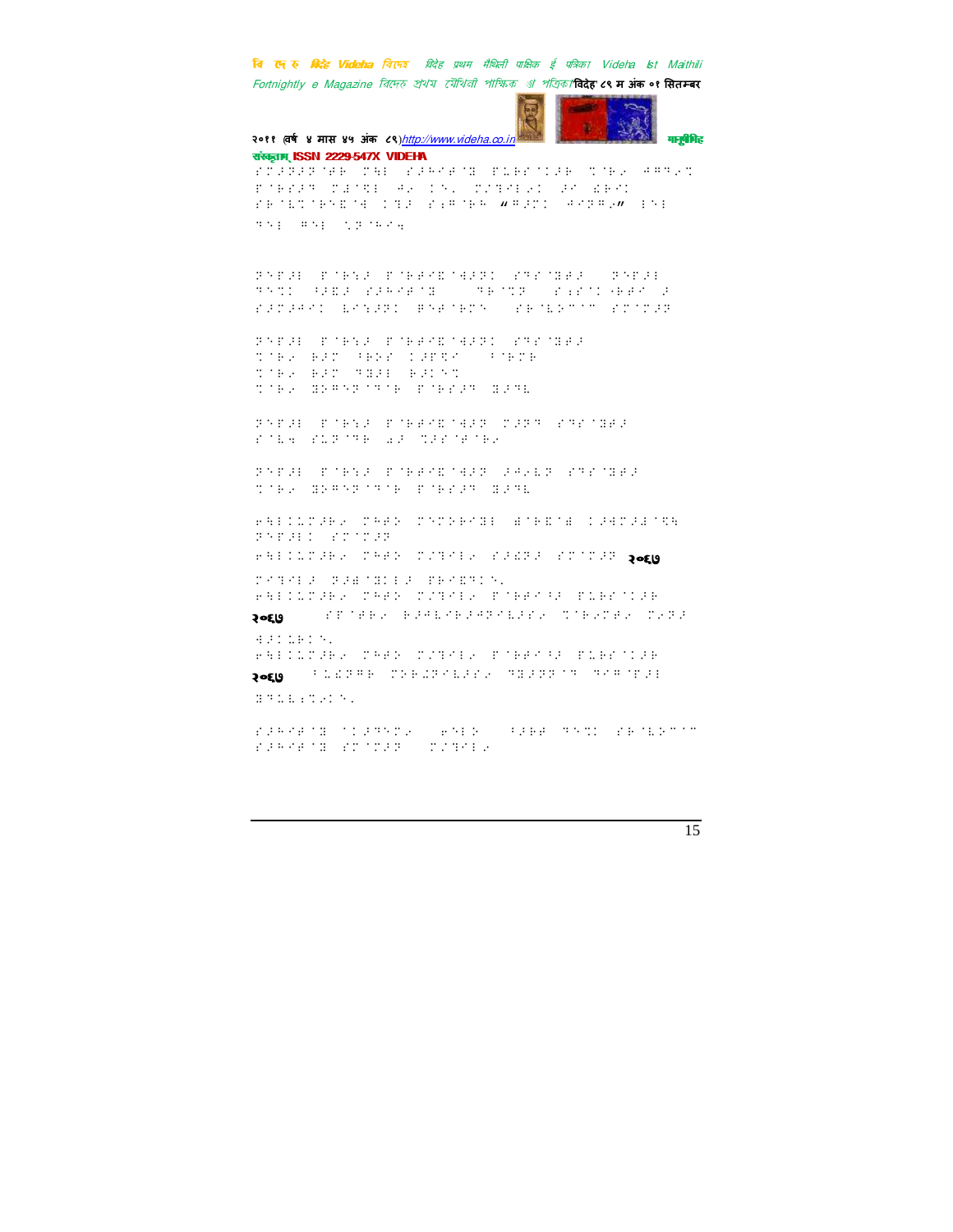बि एक स्टेट Videha विएक विदेह प्रथम मैथिली पाक्षिक ई पत्रिका Videha Ist Maithili Fortnightly e Magazine রিদেত শ্রথম মৌথিনী পাক্ষিক প্রাণবিকা**বিदेह ८९ म अंक ०१ सितम्बर** 



संस्कृतम् ISSN 2229-547X VIDEHA SCRAPAPIGE CONE SEARCHION POESICIAE COMEVILARIAC magnetic property

SAPIL PARAL PARKEMENT VALUES DRUG PAPIL distribuição de estado de composição de estado WADARAT BANARD BARTEDA (WEBSEATT) WOODRA

SABAD BARYA BARYBARASI YANKIBAA TORY RATE RESERVATION TRIER TORS RETURNED REPORT they down this response to the second state.

SAPAN PINESA PINERADINAAS COAST PARTNERS ROCER CRIP OFFICER CORPORATES

**DISPOSE CRIMES ACTIVE AND MADE CONVERT CONVICTIBLE**  $\mathcal{R}^{(1)}\left(\mathbb{R}\right)\left(\mathbb{R}^{n}\right)\left(\mathbb{R}\right)\left(\mathbb{R}^{n}\right)\left(\mathbb{R}^{n}\right)\left(\mathbb{R}^{n}\right)\left(\mathbb{R}^{n}\right)\left(\mathbb{R}\right)\left(\mathbb{R}\right)\left(\mathbb{R}^{n}\right)\left(\mathbb{R}^{n}\right)\left(\mathbb{R}^{n}\right)\left(\mathbb{R}^{n}\right)$ 

ARECOMPRENT MARK CONTERNED CATARITA CORPORATOR  $\begin{array}{cccccc} (2,5,4,2,4,1) & (4,1,5,1,2,3,2) \end{array}$ 

PRESENTABLE CARD CONTREL CARDER CONTRAP ROCE

nemetal passing a specifical A REDUCTOR A CONADA CONTRAEAC PORA PARTICIPADA DO ARC  $\mathcal{A}^{\prime}(\mathcal{B}^{\prime})^{\prime}(\mathcal{B}^{\prime},\mathcal{B}^{\prime},\mathcal{B}^{\prime})^{\prime}(\mathcal{B}^{\prime},\mathcal{B}^{\prime},\mathcal{B}^{\prime},\mathcal{B}^{\prime},\mathcal{B}^{\prime},\mathcal{B}^{\prime},\mathcal{B}^{\prime},\mathcal{B}^{\prime})^{\prime})^{\prime}(\mathcal{B}^{\prime},\mathcal{B}^{\prime},\mathcal{B}^{\prime},\mathcal{B}^{\prime},\mathcal{B}^{\prime},\mathcal{B}^{\prime},\mathcal{B}^{\prime},\mathcal{$ २०६७

ASTERIAL PARTICULAR ACCURACY CONTRACTO INTERVIEW IN DEVICES ROED - FILEDER CORRESPONDED SERRETE SPECIFIER

BRIEFTRING

 $\mathcal{L}(B)$  and  $\mathcal{L}(B)$  . The definition of  $B$  and  $B$  is a subsequently defined as a sequence of  $B$  and  $B$  . The definition of  $B$ 

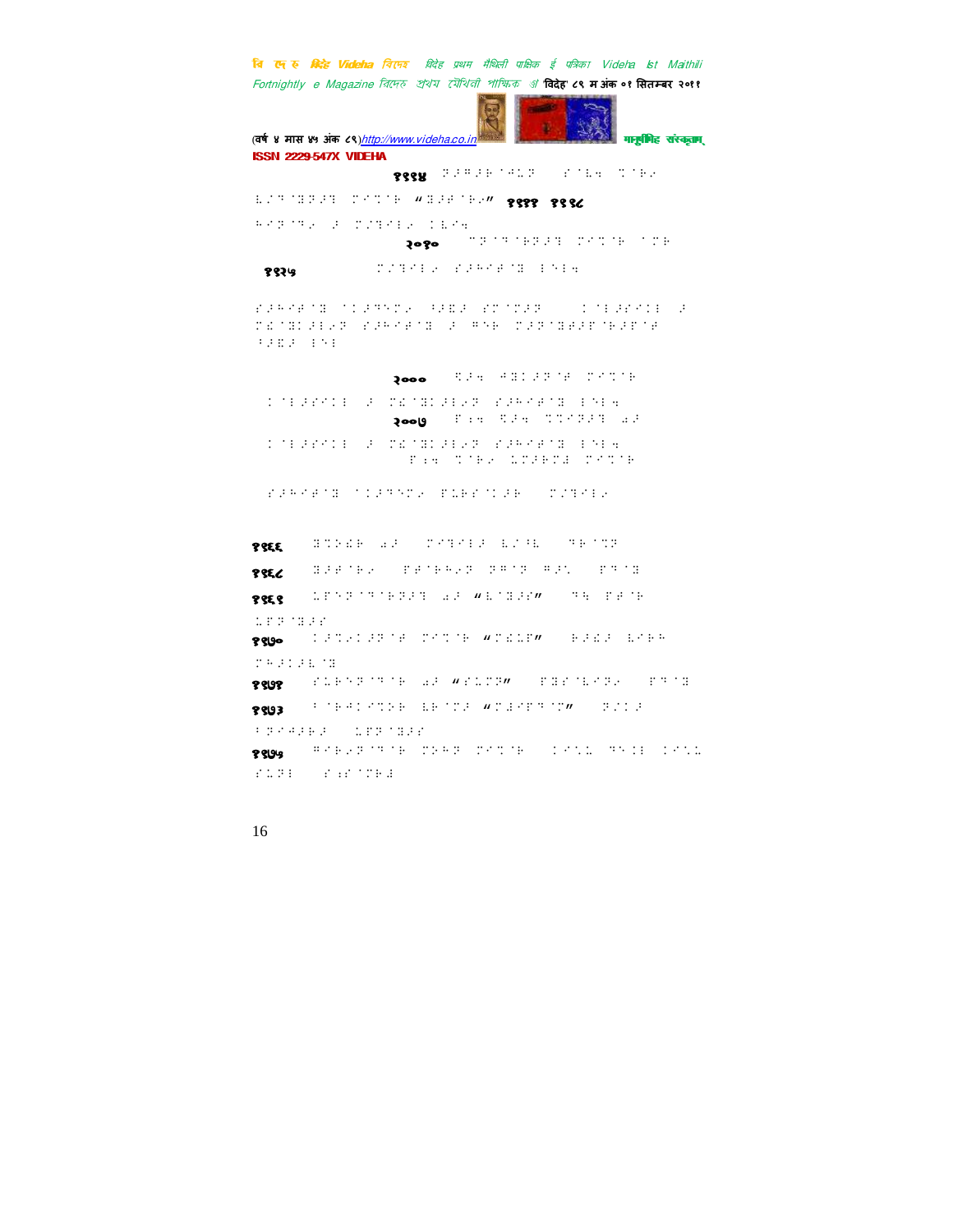बि एक स्टिट Videha विएक विदेह प्रथम मैथिली पाक्षिक ई पत्रिका Videha Ist Maithili Fortnightly e Magazine রিদেত শ্রথম মৌথিনী পাক্ষিক ওা **বিदेह ८९ म अंक ०१ सितम्बर २०११** 

(वर्ष ४ मास ४५ अंक ८९)http://www.videha.co.ii मानूष्टीमेह संस्कृतम् **ISSN 2229-547X VIDEHA** 

**TEST** PARABOTED CONTENTATION

LUSTERIN CONTROLSING CROWN 8888 8886

ARRESTS DESCRIPTION CONSUL

 $\mathcal{L} = \mathcal{L} \mathcal{L} \mathcal{L} \mathcal{L} \mathcal{L} \mathcal{L} \mathcal{L} \mathcal{L} \mathcal{L} \mathcal{L} \mathcal{L} \mathcal{L} \mathcal{L} \mathcal{L} \mathcal{L} \mathcal{L} \mathcal{L} \mathcal{L} \mathcal{L} \mathcal{L} \mathcal{L} \mathcal{L} \mathcal{L} \mathcal{L} \mathcal{L} \mathcal{L} \mathcal{L} \mathcal{L} \mathcal{L} \mathcal{L} \mathcal{L} \mathcal{L} \mathcal{L} \mathcal{L} \mathcal{L} \mathcal$ १०१०

company capacando a sau 88315

a de ela manifesta de la calidad de la companya de la calidad de la calidad de la calidad de la calidad de la ma nativa vel sues senal liville se l'imperialevamente. 3080 3533

Room SPA PRIPER SANCE

constance is a composition order and server 2008 - Fan San Star Started

 $\alpha$  and a second property in the second second second second second second second second second second second second second second second second second second second second second second second second second second secon

SA ARRANGEMENTATION STAR AND ARREST MATERIAL

department present and a mande 3328 diagnosis (premensio demograficación en ma **885C**  $\mathcal{L}(\mathbb{Z},\mathbb{R})\cong\mathbb{R}^{n\times n}\times\mathbb{R}^{n\times n}\times\mathbb{R}^{n\times n}\times\mathbb{R}^{n\times n}\times\mathbb{R}^{n\times n}\times\mathbb{R}^{n\times n}\times\mathbb{R}^{n\times n}\times\mathbb{R}^{n\times n}\times\mathbb{R}^{n\times n}$ **8388** were natively THE PROPERTY AND THE WORLDWID PARTY LEARN 9890 cease and SCRIBS STORY BOOKS WAS STRUCK TO BE CONSTRUCTED AT A 200 8618 THE TERRITORY ENGINEERING WITHOUT TIME OF PICTURE 3893 FOR APPLE TO DEPARTE TRANSPORTED TO RECOVERED CANDIDATES CANDID 8898 RICH CORRECTES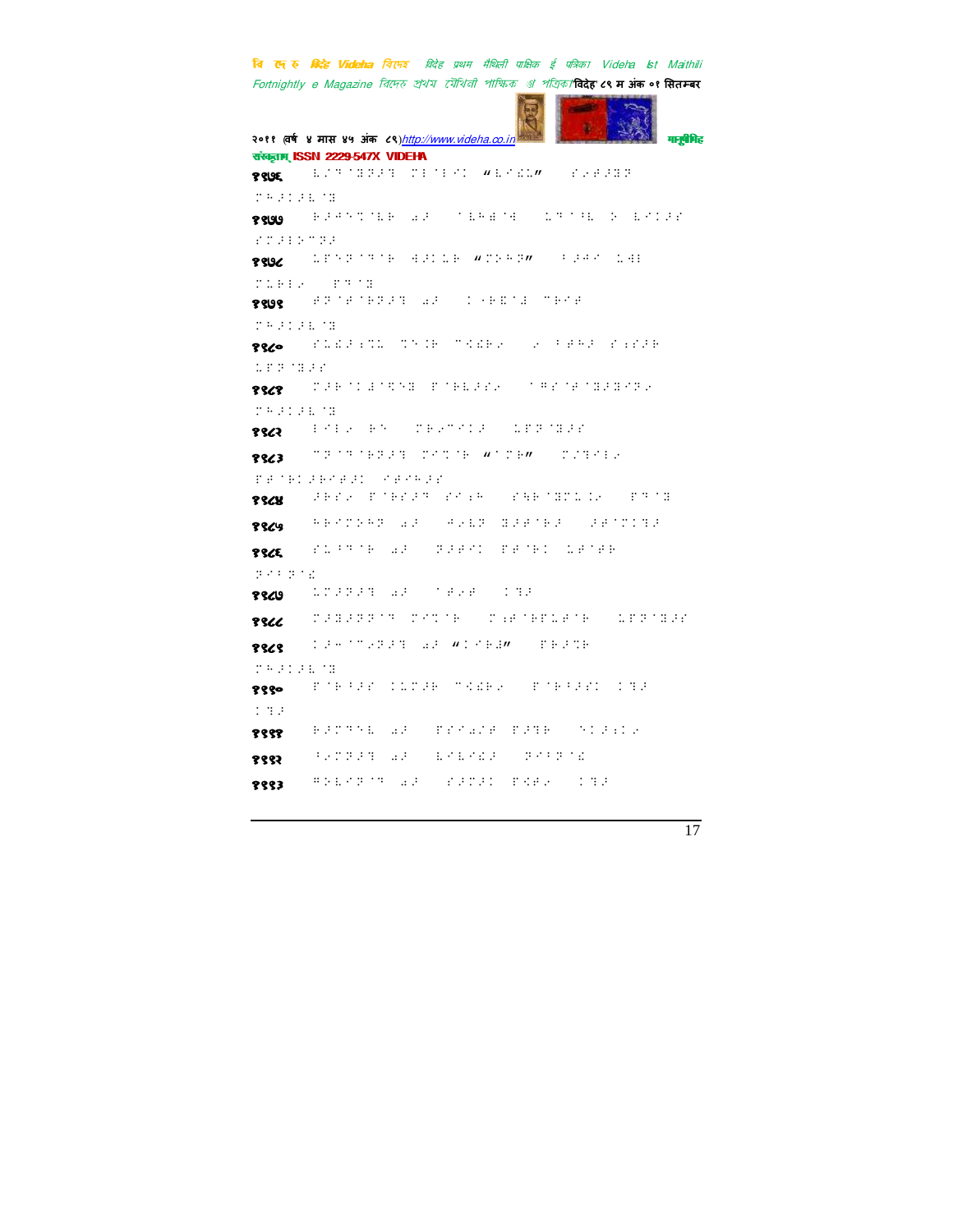बि एक स्टेड Videha विएक विदेह प्रथम मैथिली पाक्षिक ई पत्रिका Videha Ist Maithili Fortnightly e Magazine রিদেহ প্রথম মৌথিনী পাক্ষিক প্রাপত্রিক/**বিदेह ८९ म अंक ०१ सितम्बर** मानुबेमिह २०११ (वर्ष ४ मास ४५ अंक ८९)http://www.videha.co.ir संस्कृतम् ISSN 2229-547X VIDEHA  $\left\langle \left( \mathbf{E} \left( \mathcal{F}^{(1)} \right) \mathbf{E} \left( \mathbf{E} \left( \mathcal{F}^{(1)} \right) \right) \mathbf{E} \left( \mathbf{E} \left( \mathcal{F}^{(1)} \right) \right) \right) \right\rangle \leq \mathbf{E} \left\langle \mathcal{F}^{(1)} \mathbf{E} \left( \mathbf{E} \left( \mathcal{F}^{(1)} \right) \right) \right\rangle \leq \mathbf{E} \left\langle \mathcal{F}^{(1)} \mathbf{E} \left( \mathcal{F}^{(2)} \right) \right\rangle$ 3895 pagega na THE PARTNERS COOPER CONTRACTORS CONTRACTORS 66126 adarahasi **REDZ** AFRICANTE HUSSEN WINDOW COUNT LAB TERRY TESTIE THE REPORT OF THE REPORTED HERE. **S 612 &** 29919678 THE CONSTRUCTION OF THE CONSTRUCTION OF REPORT OF SECRE **8860** DES MERES . The experiments of the process of the contract of the contract of  $\mathcal{A}$ <u>የያሪየ</u> DAVIDAL 13 8822 FREE BALL DEEMACE CODEDIONS TRIP TERRITORIAL WITH A CONTROL 8863 THOMAS ARRAIGNMENT SPECIAL ESPECIAL SYSTEM IN SPECIES CONTINUES. **8868** ARRIVANS WAS CAPED DARIVED CORPORAT 8869 and the trade of potential members in a rele-**8SCE**  $p \geq 3$  ,  $p \geq 2$  . 8869 CONSERVATION OF THE PERSONAL **CAPPIBAR** १९८८

```
THE REPORT FOR THE WORLD AND RELEASED FOR THE RESIDENT WAS ARRESTED FOR THE RESIDENCE.
8868
29919673
       TEMPERATURE MARRIE POPPARE LEA
8880
工作法
        BUSINESS AND PROGRESS PUBLIC NOURSEL
8888
        Stephens are substance there are
8885
```
#SERBIN SERVICES PRESS TRE

8883

 $\overline{17}$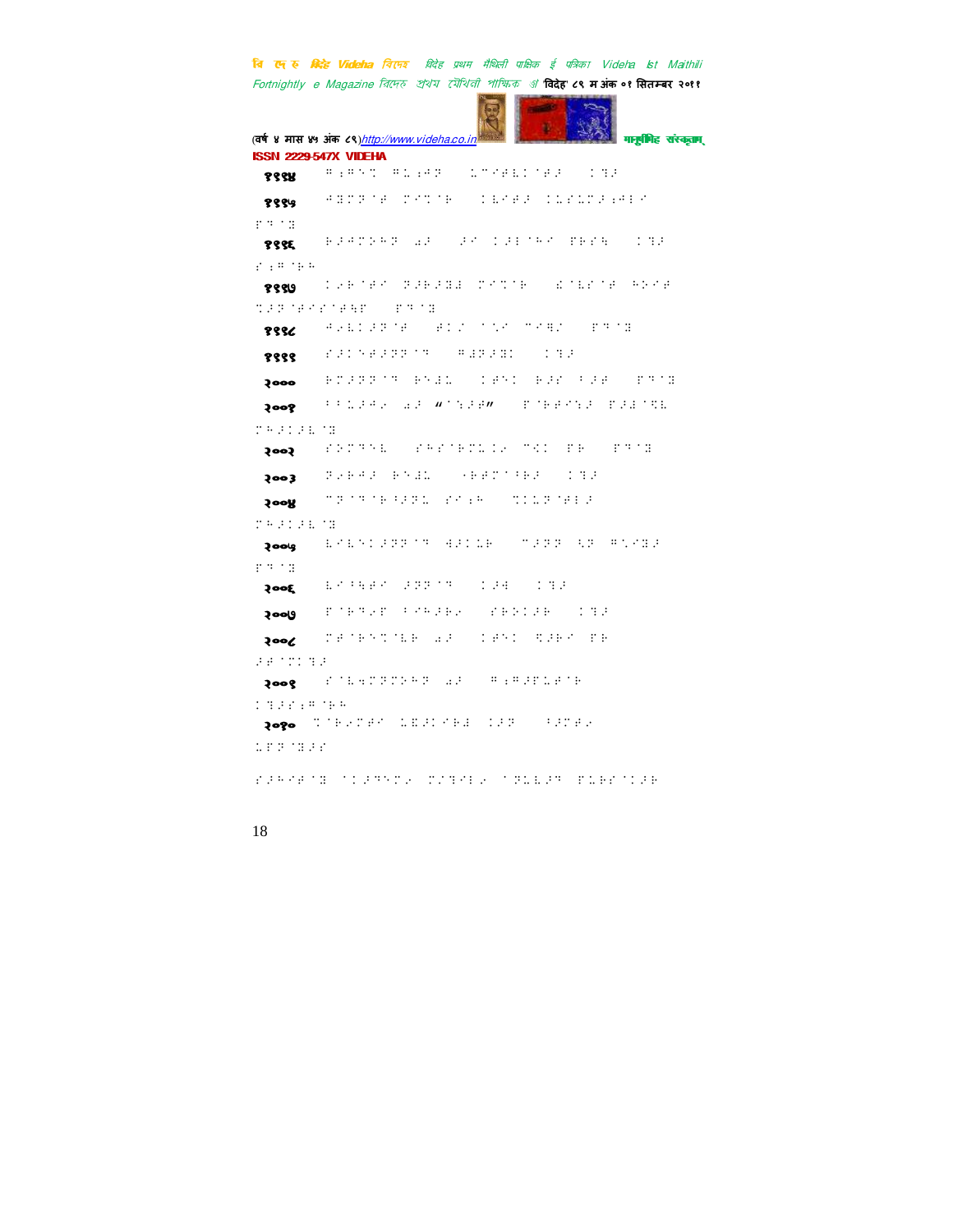बि एक स्टेड Videha विएक विदेह प्रथम मैथिली पाक्षिक ई पत्रिका Videha Ist Maithili Fortnightly e Magazine রিদেচ প্রথম মৌথিনী পাক্ষিক প্রা**ত্তিক ৭৭ সাক্ত ০৭ মিনদ্ব ২০৭१** 

|                             | (वर्ष ४ मास ४५ अंक ८९)http://www.videha.co.in<br>। मानुबंधिह संस्कृतम्                                                                                                                                                                                                                                                                                                                                                                                                                      |
|-----------------------------|---------------------------------------------------------------------------------------------------------------------------------------------------------------------------------------------------------------------------------------------------------------------------------------------------------------------------------------------------------------------------------------------------------------------------------------------------------------------------------------------|
|                             | <b>ISSN 2229-547X VIDEHA</b>                                                                                                                                                                                                                                                                                                                                                                                                                                                                |
| 8888                        | 进行进行的 进行任选的 人名英格兰人姓氏卡尔的变体                                                                                                                                                                                                                                                                                                                                                                                                                                                                   |
| १९९५                        | <b>REDUCE DOCUMENT ERRED CONSTRUCT</b>                                                                                                                                                                                                                                                                                                                                                                                                                                                      |
| pro na                      |                                                                                                                                                                                                                                                                                                                                                                                                                                                                                             |
| 88SE                        | $\left\{ \begin{array}{ccc} \frac{1}{2} \left( \frac{1}{2} \right) \left( \frac{1}{2} \right) \left( \frac{1}{2} \right) \left( \frac{1}{2} \right) \left( \frac{1}{2} \right) \left( \frac{1}{2} \right) \left( \frac{1}{2} \right) \left( \frac{1}{2} \right) \left( \frac{1}{2} \right) \left( \frac{1}{2} \right) \left( \frac{1}{2} \right) \left( \frac{1}{2} \right) \left( \frac{1}{2} \right) \left( \frac{1}{2} \right) \left( \frac{1}{2} \right) \left( \frac{1$                |
| 的复数过敏电                      |                                                                                                                                                                                                                                                                                                                                                                                                                                                                                             |
|                             | 9990 CARDEN PARAGE DATE CEDERAR REAR                                                                                                                                                                                                                                                                                                                                                                                                                                                        |
|                             | maa meesheer oo baha                                                                                                                                                                                                                                                                                                                                                                                                                                                                        |
| 8886                        | <b>SAGED DE TRAS REDUCTION CONFERENCE EN TE</b>                                                                                                                                                                                                                                                                                                                                                                                                                                             |
|                             | <b>8888</b> (2010) 2007 11 (2009) 2010                                                                                                                                                                                                                                                                                                                                                                                                                                                      |
|                             | Room (FC22213 Phair (1951) P22 F29 (F29)                                                                                                                                                                                                                                                                                                                                                                                                                                                    |
| १००१                        | $\mathcal{L}^{\mathcal{A}}(\mathcal{A},\mathcal{B},\mathcal{B},\mathcal{B},\mathcal{B})=\mathcal{L}^{\mathcal{A}}(\mathcal{A},\mathcal{B},\mathcal{B},\mathcal{B},\mathcal{B})\qquad\mathcal{L}^{\mathcal{A}}(\mathcal{B},\mathcal{B},\mathcal{B},\mathcal{B},\mathcal{B},\mathcal{B})\qquad\mathcal{L}^{\mathcal{A}}(\mathcal{B},\mathcal{B},\mathcal{B},\mathcal{B},\mathcal{B})$                                                                                                         |
| 29929673                    |                                                                                                                                                                                                                                                                                                                                                                                                                                                                                             |
| રે૦૦ર                       | REPORTED REPORTED DAILY THOSE RESIDENCE                                                                                                                                                                                                                                                                                                                                                                                                                                                     |
| २००३                        | SPARES RABLES FRANCISCO (193                                                                                                                                                                                                                                                                                                                                                                                                                                                                |
| १००४                        | <b>INDUSTRIAN AND CONTROLS IN A STATE OF A STATE OF A STATE OF A STATE OF A STATE OF A STATE OF A STATE OF A STATE</b>                                                                                                                                                                                                                                                                                                                                                                      |
| 的复数医生物的                     |                                                                                                                                                                                                                                                                                                                                                                                                                                                                                             |
| <b>Jook</b>                 | "我不我在了这里去了吧。"陈氏的公开了,你这里去了我去了吧的不会这                                                                                                                                                                                                                                                                                                                                                                                                                                                           |
| $\Gamma \cong \mathbb{Z}/2$ |                                                                                                                                                                                                                                                                                                                                                                                                                                                                                             |
|                             | 2008   RECEBBER 2007/7   1998   1999                                                                                                                                                                                                                                                                                                                                                                                                                                                        |
| २००७                        | $\mathcal{L} = \mathcal{L} \left( \mathcal{L} \right) \mathcal{L} \left( \mathcal{L} \right) \mathcal{L} \left( \mathcal{L} \right) \mathcal{L} \left( \mathcal{L} \right) \mathcal{L} \left( \mathcal{L} \right) \mathcal{L} \left( \mathcal{L} \right) \mathcal{L} \left( \mathcal{L} \right) \mathcal{L} \left( \mathcal{L} \right) \mathcal{L} \left( \mathcal{L} \right) \mathcal{L} \left( \mathcal{L} \right) \mathcal{L} \left( \mathcal{L} \right) \mathcal{L} \left( \mathcal{L}$ |
| ર૦૦૮                        | CONTRACTORS AND CORPORATE COR                                                                                                                                                                                                                                                                                                                                                                                                                                                               |
| 29.121.320                  |                                                                                                                                                                                                                                                                                                                                                                                                                                                                                             |
|                             | Roof Canadanaean and Basiners                                                                                                                                                                                                                                                                                                                                                                                                                                                               |
| 1923-0006                   |                                                                                                                                                                                                                                                                                                                                                                                                                                                                                             |
|                             | Rogo Silevanen bestines (1998) famev                                                                                                                                                                                                                                                                                                                                                                                                                                                        |
| de esta est                 |                                                                                                                                                                                                                                                                                                                                                                                                                                                                                             |
|                             | a de se sobre toda estas entrara a el segundo el segundo de                                                                                                                                                                                                                                                                                                                                                                                                                                 |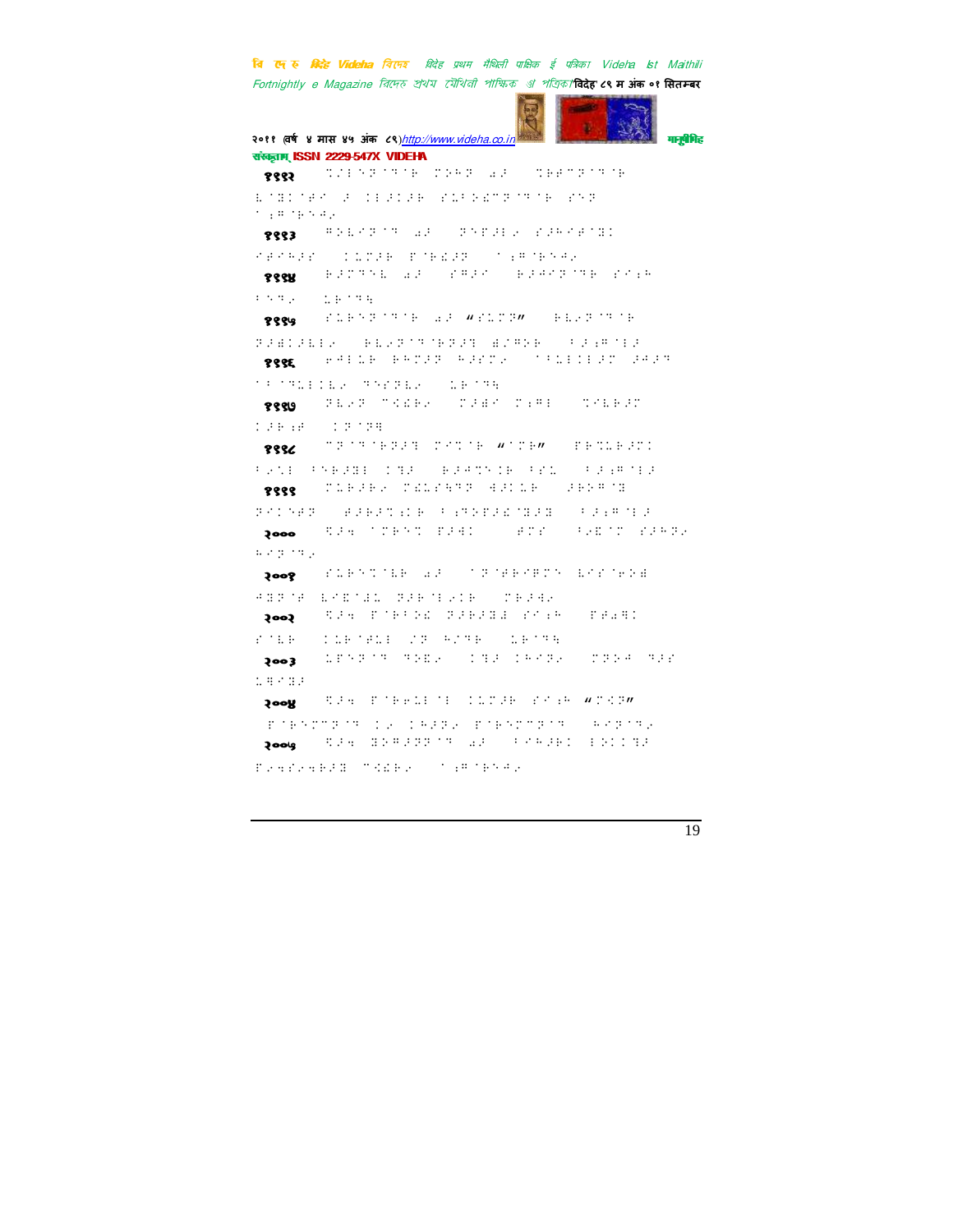बि एक रु मिनेट Videha विएक विदेह प्रथम मैथिली पाक्षिक ई पत्रिका Videha Ist Maithili Fortnightly e Magazine রিদেত শ্রথম মেথিনী পাক্ষিক প্রা পত্রিকা**'বিदेह' ८९ म अंक ०१ सितम्बर** मानुबेमिह २०११ (वर्ष ४ मास ४५ अंक ८९)http://www.videha.co. संस्कृतम् ISSN 2229-547X VIDEHA TILE NORTH CONNO. LEASE TO BE TO THE 8885 a nacine kind i caldo del la caldo ambitante i ando n ya ngozi y 8883 PRESPONSE SPREADS EARNEDS KARAPAT INI DIDAPAT PAPA ARTHUR APARA ALA (1) 重要的其中的一面使用。 经进度的 人名英法格拉尔特里尔 的现在分 8888 中国共享 一、五重之共有  $\label{eq:Ricci} \mathbb{E}\left[\mathbb{E}\left[\mathbb{E}\left[\mathbb{E}\left[\mathbb{E}\left[\mathbb{E}\left[\mathbb{E}\left[\mathbb{E}\left[\mathbb{E}\left[\mathbb{E}\left[\mathbb{E}\left[\mathbb{E}\left[\mathbb{E}\left[\mathbb{E}\left[\mathbb{E}\left[\mathbb{E}\left[\mathbb{E}\left[\mathbb{E}\left[\mathbb{E}\left[\mathbb{E}\left[\mathbb{E}\left[\mathbb{E}\left[\mathbb{E}\left[\mathbb{E}\left[\mathbb{E}\left[\mathbb{E}\left[\mathbb{E}\left[\mathbb{E}\left[\mathbb{E}\left[\mathbb{E}\left[\$ १९९७ poetosas y la esporta reporta acebe la colorada de 8885 PRESERVATION PROTECTIVES INTO A PART TRIPPLETED PROPED CONTROL TREPP TREES TOBES COPPED TREEST 8889 **TREAD CONTROL**  $\mathcal{P}(\mathcal{P},\mathcal{P},\mathcal{P},\mathcal{P},\mathcal{P},\mathcal{P},\mathcal{P})=\mathcal{P}(\mathcal{P},\mathcal{P},\mathcal{P},\mathcal{P},\mathcal{P},\mathcal{P},\mathcal{P},\mathcal{P})=\mathcal{P}(\mathcal{P},\mathcal{P},\mathcal{P},\mathcal{P},\mathcal{P})$ १९९८ FOST PREPERTY EN CHARGE PER CRAFTER eeee Theded Tangers admission depend.  $\mathcal{P}(\mathcal{A}(1,2,3,4)) = \mathcal{P}(\mathcal{A}(3,3,2,3),4,4) = \mathcal{P}(\mathcal{A}(3,3,3,2,4),4,4,3,4) = \mathcal{P}(\mathcal{A}(3,3,4,4),4,4)$ **SACA CORPO EARL SACADE ARE ON EARLY** Jooo  $\mathcal{L}^{\mathcal{L}}(\mathcal{L}^{\mathcal{L}}(\mathcal{L}^{\mathcal{L}}(\mathcal{L}^{\mathcal{L}}(\mathcal{L}^{\mathcal{L}})))$ THE CHARLE CARDIO CONTRACTOR CARD AND ARE १००१ Addition and that is doesn't provide it the place Read Constitution of the control of the Constitution of the Constitution of the Constitution of the Constitution of the Constitution of the Constitution of the Constitution of the Constitution of the Constitution of the Co FORE CONFIDENTIAL CONTINUES IN ESTAB-CONFIDENT TENDS CONFIDENTS CONTENTING  $3003$ 工具产品店 Room San Polenting Discar Polente Window and provide the constant proportion of the resource of the second constants of the resource of the resource of Rook Richard Benedict Management Research POSTOSED BUSINESS CONSENSATO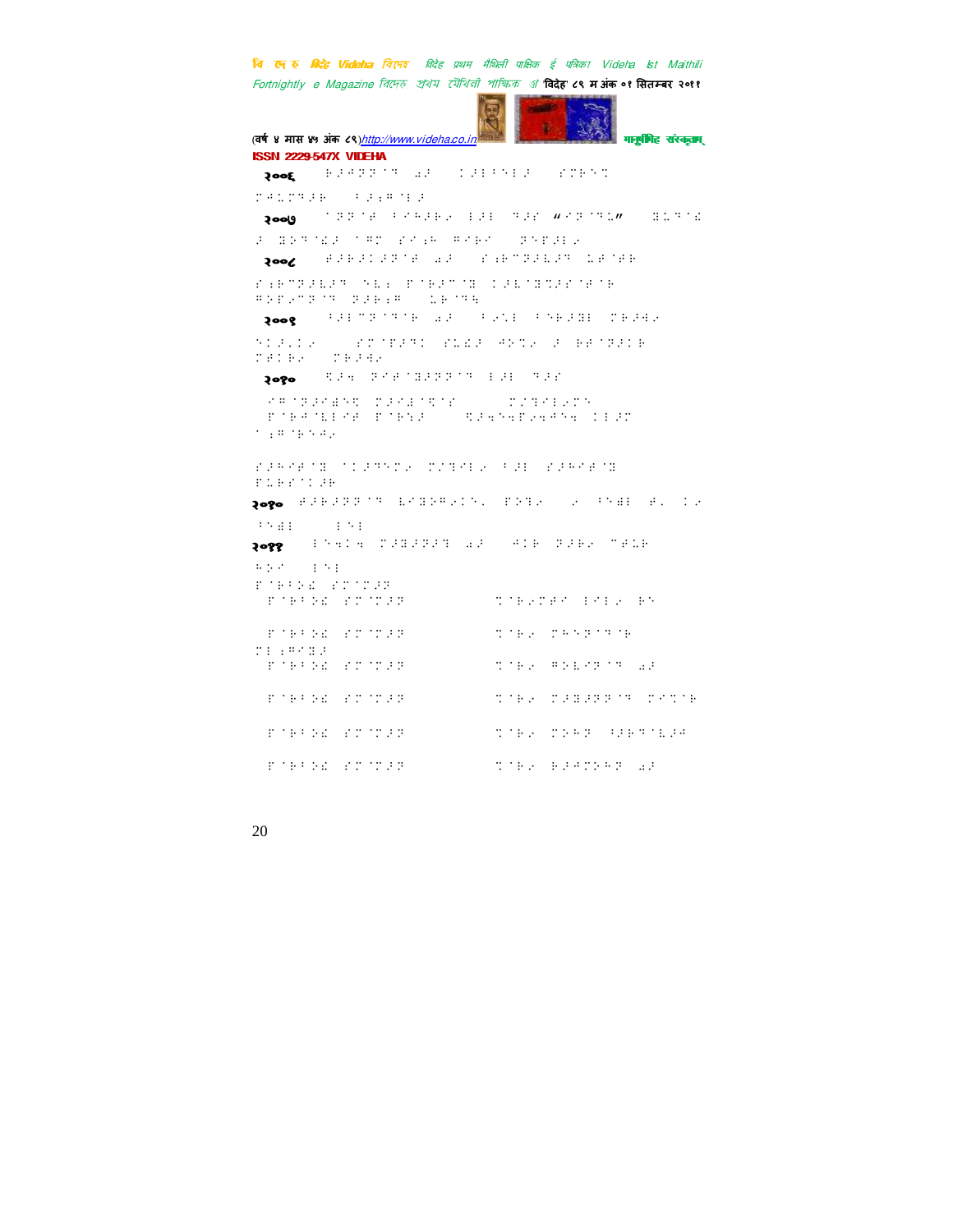बि एक स्टिट Videha विएक विदेह प्रथम मैथिली पाक्षिक ई पत्रिका Videha Ist Maithili Fortnightly e Magazine রিদেত শ্রথম মৌথিনী পাক্ষিক ওা **বিदेह ८९ म अंक ०१ सितम्बर २०११** (वर्ष ४ मास ४५ अंक ८९) http://www.videha.co.in मानूष्टीमेह संस्कृतम् **ISSN 2229-547X VIDEHA** Roof PRAPPRINT WAS INTERFERING cancerpa conduction Room of PRICE PROPERTY BREATER WRITING SEARCH a desenvoluprem proprietario deseas. Roof (FRERIGENE are communicated benefit RIVE TRAEAR TIME VIOLENCE AT THIS CARD THAT THIS E  $0.5\left(\mathbb{P}\left[\mathcal{L}^{\mathcal{M}}\left(\mathbb{P}\left[\mathcal{L}^{\mathcal{M}}\right]\right)\right],\mathbb{P}\left[\mathcal{L}^{\mathcal{M}}\left(\mathbb{P}\left[\mathcal{L}^{\mathcal{M}}\right]\right)\right],\mathbb{P}\left[\mathcal{L}^{\mathcal{M}}\left(\mathbb{P}\left[\mathcal{L}^{\mathcal{M}}\right]\right)\right]$ TRAFFIC TRIAL WAS CITED AND RELEASED TO A ARCHITECT **Joos** will be a constant of the probability of the expected frequency  $\mathcal{D}^{\mathcal{A}}$  and  $\mathcal{D}^{\mathcal{A}}$  and  $\mathcal{D}^{\mathcal{A}}$ २०१० PER CRANA BAR I D'ARTA CRITAT I IL I DIVISIGADIO The second was in territory of the sense nueval second pro- $\gamma_{\rm eff}$  in the scale a die kalimation did wat will as die stelling and a stational manufacturer of a station of PORTO PR 1000 BARADDIN LABRAIN, FREE OF THE BUILD 大臣主任 - 主作主。 1022 - Energy Charles Carl and Care Charles Charles 中医药 人名英里 PORTER STORES **CENTER DE CONSTITUES CONFIDENTIAL EN CENTER SECOND IDEA CONFIDENTIAL**  $\mathbb{P}(\mathbb{E}^{\mathbb{Z}}\times\mathbb{R}^d,\mathbb{R},\mathbb{R})$ STARP PRESENT SER **ENERGY ROOMS SECRETAR SECTIONS** CONFIDENTIAL ARRESTS OF CONTINUES. SECRETAR SECTIONS  $\label{eq:Riccati} \begin{array}{ll} \mathcal{R}_{\mathcal{A}}^{\mathcal{A}}\left( \mathcal{R}_{\mathcal{A}}^{\mathcal{A}}\right) & \mathcal{R}_{\mathcal{A}}^{\mathcal{A}}\left( \mathcal{R}_{\mathcal{A}}^{\mathcal{A}}\right) & \mathcal{R}_{\mathcal{A}}^{\mathcal{A}}\left( \mathcal{R}_{\mathcal{A}}^{\mathcal{A}}\right) & \mathcal{R}_{\mathcal{A}}^{\mathcal{A}}\left( \mathcal{R}_{\mathcal{A}}^{\mathcal{A}}\right) \\ \mathcal{R}_{\mathcal{A}}^{\mathcal{A}}\left( \$ **Can take back at the true by Christian American State Control**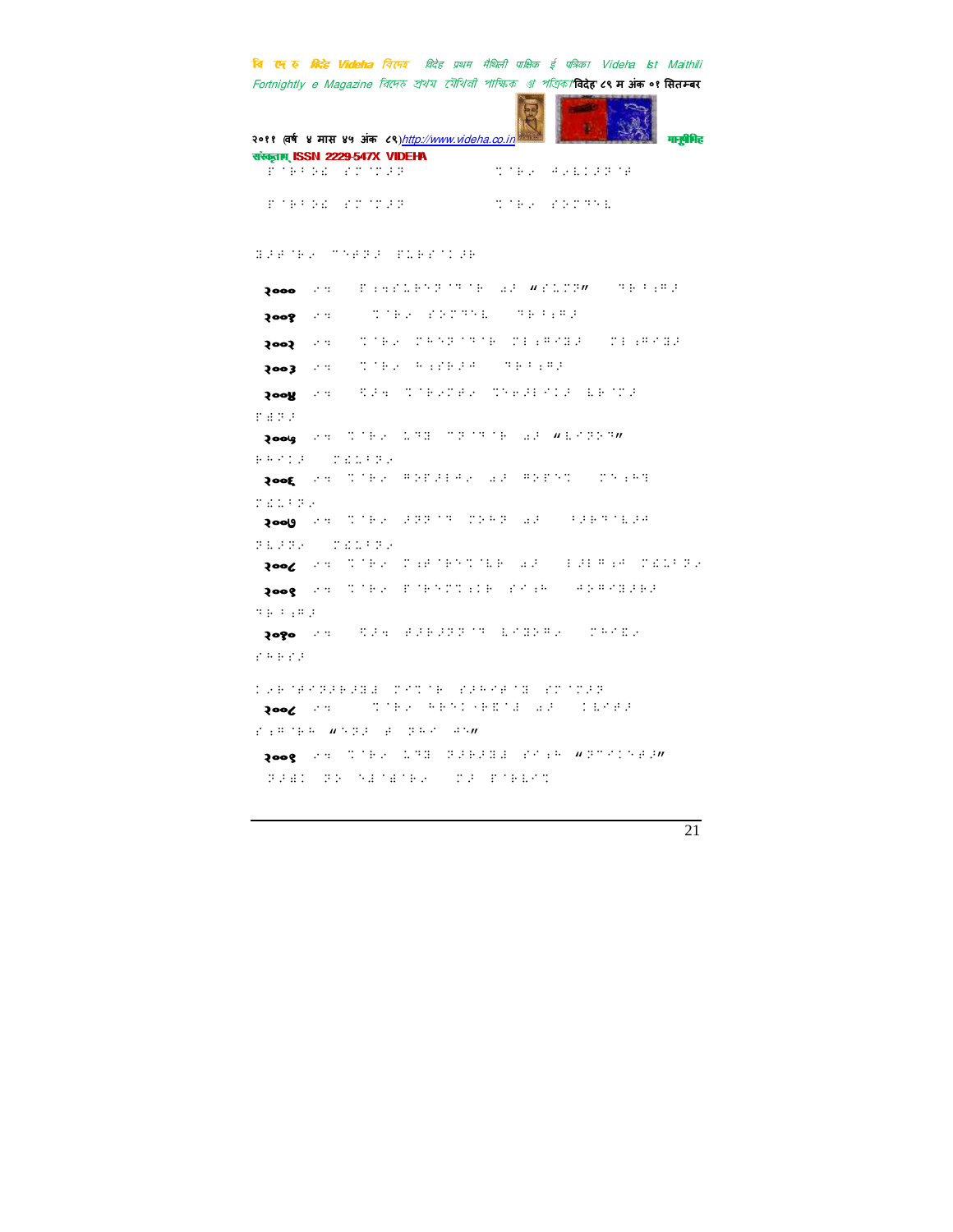```
बि एक स्टिट Videha विएक विदेह प्रथम मैथिली पाक्षिक ई पत्रिका Videha Ist Maithili
Fortnightly e Magazine রিদেহ প্রথম মৌথিনী পাক্ষিক প্রা পত্রিকা'বিदेह' ८९ म अंक ०१ सितम्बर
                                                                                                  मानुबैमिह
२०११ (वर्ष ४ मास ४५ अंक ८९) http://www.videha.co.i
संस्कृतम् ISSN 2229-547X VIDEHA
  \mathbb{P}^{1,1} \to \mathbb{P}^{1,1} \to \mathbb{P}^{1,1} \to \mathbb{P}^{1,1} \to \mathbb{P}^{1,1}STEVENSONS TR
 TECHNICAL CONTRACTOR CONTRACTORSE
due res innedu incentiue
   Room who formations we are written a more pro-
                         \left\langle \left( \begin{array}{ccc} \alpha & \beta & \beta \\ \gamma & \gamma & \delta \end{array} \right\rangle \right\rangle \left\langle \left( \begin{array}{ccc} \alpha & \beta & \beta \\ \gamma & \gamma & \delta \end{array} \right\rangle \right\rangle \left\langle \left( \begin{array}{ccc} \alpha & \beta & \beta \\ \gamma & \gamma & \delta \end{array} \right\rangle \right\rangle \left\langle \left( \begin{array}{ccc} \alpha & \beta & \beta \\ \gamma & \gamma & \delta \end{array} \right\rangle \right\rangle\cdots goog
   \mathbb{R}^3 . Tool
                        CONFIDENTIAL CONTRACTOR CONTRACTOR
   2003 28 2009 2009 2009 2009 2009
  Room was contracted to the state of the state of the state of the
e a pia
   Rook Res Total Las and the Sale Windows
BARDA CONSTRUCT
  Roof and Siles Parales as Paral Chase
TELFRA
 Roof Administration and the property of the state
\mathbb{P}(\mathbb{E}(\mathcal{F}(\mathbb{P}))^{\perp}=\mathbb{P}(\mathbb{E}(\mathbb{E}(\mathbb{P}))^{\perp})^{\perp}Roof we differ the tentile all classes that the
  Roof we diev field the conservation about the
mar a ganger
 Rogo de l'Ese asabstrit branes crerer
学科新学院
CORPORADO POR EL CONSTITUCIÓN DE LA PARTIE DE CONSTITUCIÓN
  Roof and Contract Resource Engine
                                                                            (工业资金)
\mathcal{C}_{\mathcal{A}}\oplus\mathcal{C}_{\mathcal{B}}\oplus\mathcal{C}_{\mathcal{B}}\oplus\mathcal{C}_{\mathcal{B}}\oplus\mathcal{C}_{\mathcal{B}}\oplus\mathcal{C}_{\mathcal{B}}\oplus\mathcal{C}_{\mathcal{B}}\oplus\mathcal{C}_{\mathcal{B}}\oplus\mathcal{C}_{\mathcal{B}}Roof was different the present and seven without here.
  SPARE SPACE AREA PARTICULAR SERVICE
```
# $\overline{21}$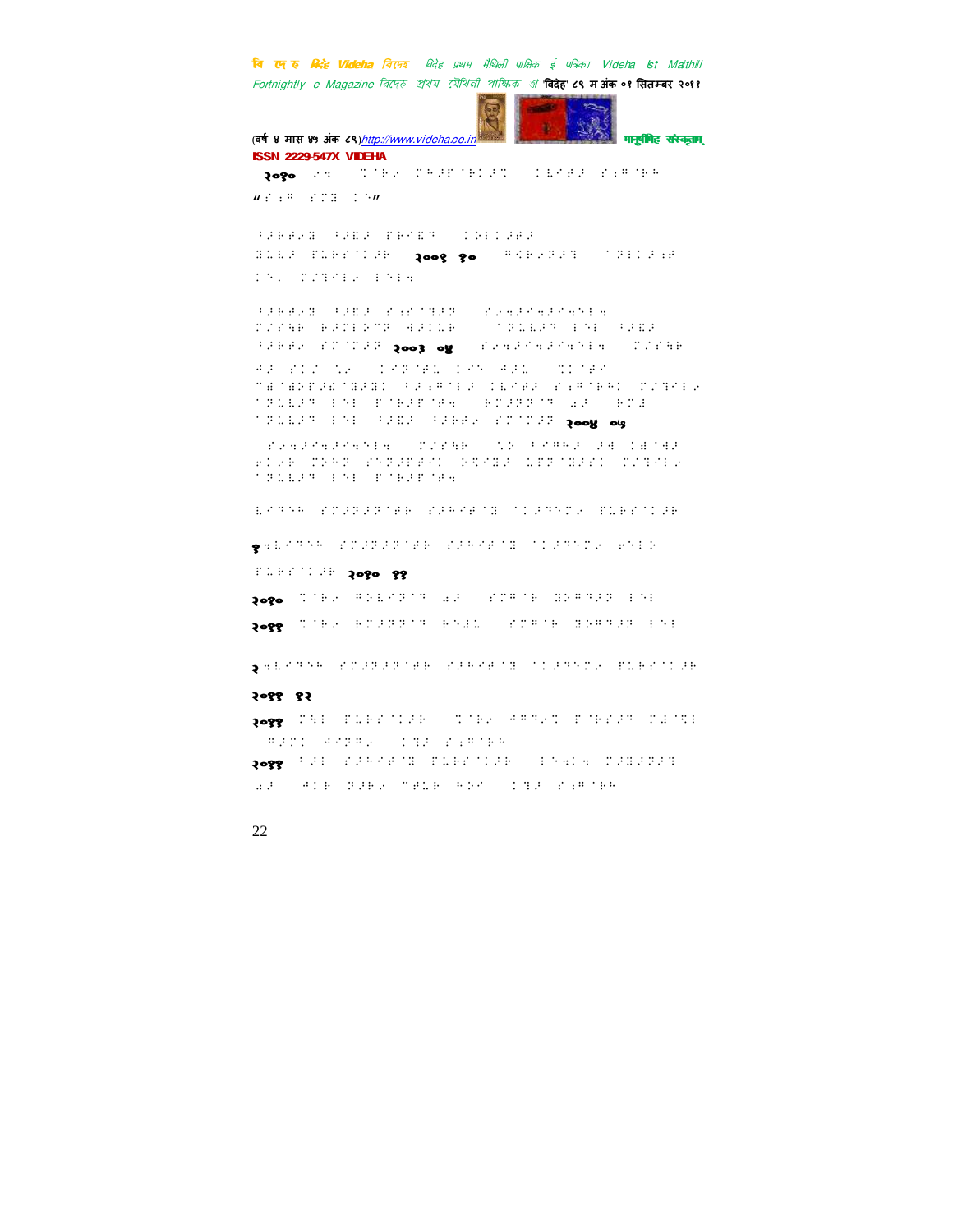चि एक रु मिनेह Videha विरफर विदेह प्रथम मैथिली पाक्षिक ई पत्रिका Videha Ist Maithili Fortnightly e Magazine রিদেত শ্রথম মৌথিনী পাক্ষিক ওা **বিदेह ८९ म अंक ०१ सितम्बर २०११** 

(वर्ष ४ मास ४५ अंक ८९) http://www.videha.co.in मानुबंधिह संस्कृतम् **ISSN 2229-547X VIDEHA** 2080 PHOTOGRAPHED AND CONFERENCE with  $\mathbb{R}^m \times \mathbb{R}^m \times \mathbb{R}^m$  . The  $\mathbb{R}^m$ adeala (aded reservo terraed) BLES FLEETISE ROOM RO FRESPER TRELESS TAL CONTRACT FALL  $\mathcal{F}(\mathcal{F},\mathcal{B},\mathcal{B},\mathcal{C},\mathcal{B})=\mathcal{F}(\mathcal{F},\mathcal{B})=\mathcal{E}(\mathcal{F},\mathcal{C})\mathcal{F}(\mathcal{B},\mathcal{B})=\mathcal{F}(\mathcal{D},\mathcal{B},\mathcal{B},\mathcal{C},\mathcal{B},\mathcal{B},\mathcal{C},\mathcal{B},\mathcal{C},\mathcal{B})$ DISABLE ARTESTS (BAILE)  $\mathcal{L}(\mathcal{L},\mathcal{B},\mathcal{L},\mathcal{L},\mathcal{B})\cong\mathcal{L}(\mathcal{L},\mathcal{L},\mathcal{L},\mathcal{L},\mathcal{L},\mathcal{L},\mathcal{L})$ FREEZ POUSSE 2003 ON CONTRACTORES CONTRE ma nasarabindado in alamidad industrial a primeira incidenda-TROBAN BINE PORABORA - ROARA DE SA - ROB we Mood Sidney Radio Paper Service Sections Special calculations of the same in the community of the new BIDB TORT PROGRESS ORDER LEGISLATIONS **TRIERS ENE POBRING** EVRY A CONSISTER CORPORATE COSTANDO PERMIOSE estrano recapadores randade constante entre **FILE CALL JE 2080 88** 2020 TORY PRESSON WAS STRIP BRANDED BY 1000 CONFIGURATION CONTINUES INTO A CONTINUES. great content advanced in a series of the content and the and the २०११ १२ 2000 CAR EDROTORE CONFERENCE CREAR CONTROL  $\left\langle \left(0\right),\left(1\right),\left(1\right),\left(0\right),\left(1\right),\left(0\right),\left(1\right),\left(1\right),\left(1\right),\left(1\right),\left(1\right),\left(1\right),\left(1\right),\left(1\right),\left(1\right),\left(1\right),\left(1\right),\left(1\right),\left(1\right),\left(1\right),\left(1\right),\left(1\right),\left(1\right),\left(1\right),\left(1\right),\left(1\right),\left(1\right),\left(1\right),\left(1\right),\left(1\right),\left(1\right$ 2022 FAB SARRARIN PLEASURE CORPORATIONS ad contact diagonal mada capacit that can aminaw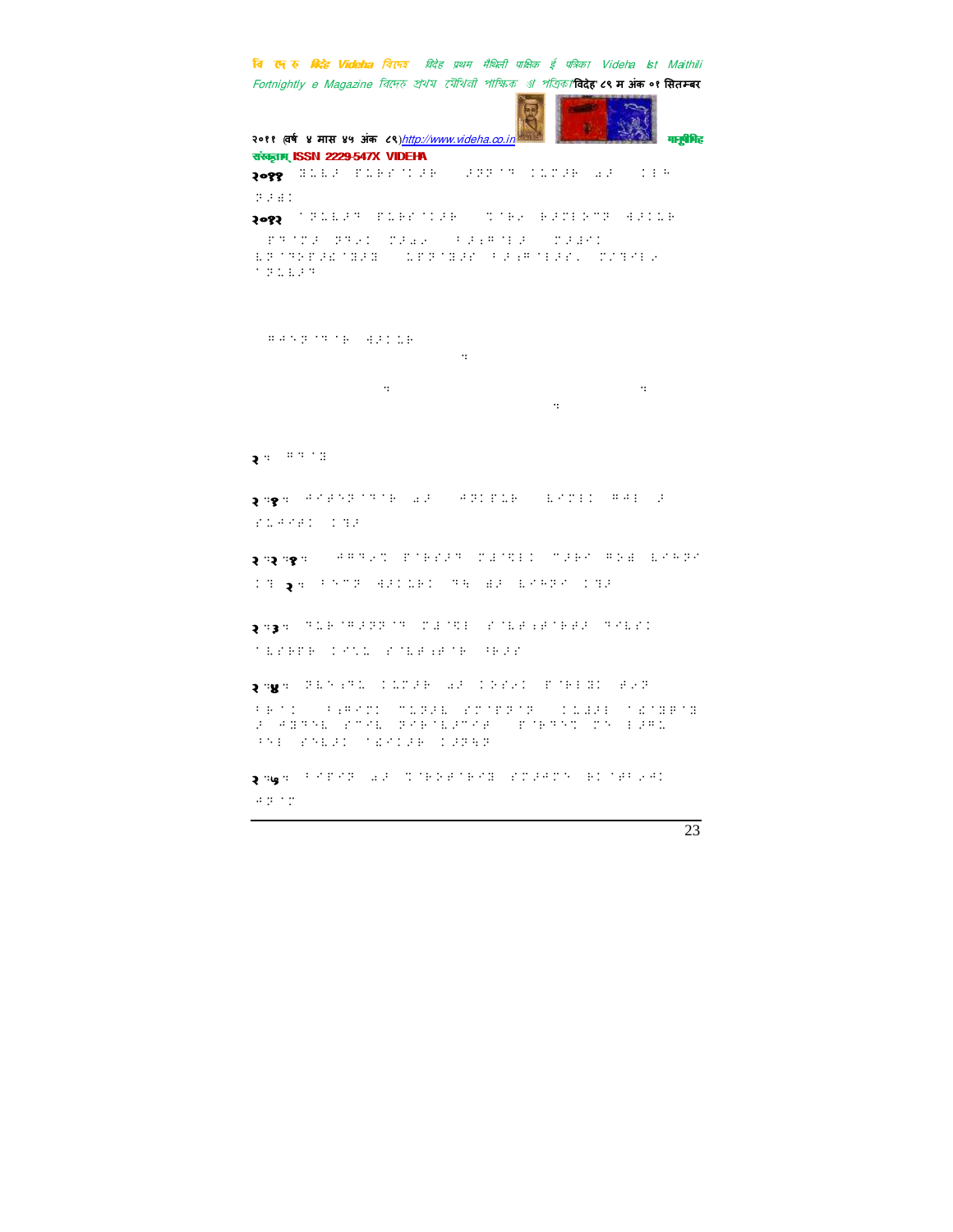चि एत् रू मिन्हे Videha निएन्थ विदेह प्रथम मैथिली पाक्षिक ई पत्रिका Videha Ist Maithili Fortnightly e Magazine রিদেহ প্রথম মৌথিনী পাক্ষিক প্র পত্রিকা**'বিदेह' ८९ म अंक ०१ सितम्बर** २०११ (वष ४ मास ४५ अंक ८९)http://www.videha.co.in/ मानुषीिमह संस्कृतम् ISSN 2229-547X VIDEHA २०११!⣝⣅⣇⢼!3⣅⢷⢼⢷.!⢼⢽⢽⢹!⣅⢼⢷!⣔⢼!)6⢳-! ⢽⢼⣞\*! २०१२!⢽⣅⣇⢼⢹!3⣅⢷⢼⢷.!⣉⢷⢴!⢷⢼6⢵^⢽!⣚⢼⣅⢷.! )3⢹⢼!⢽⢹⢴!⢼⣔⢴-!⢼⣐⢻6⢼.!⢼⣜! ⣇⢽⢹⢵3⢼⣎⣝⢼⣝-!⣅3⢽⣝⢼!⢼⣐⢻6⢼F!5⣙6⢴! ⢽⣅⣇⢼⢹\*! !⢻⢺⢽⢹⢷!⣚⢼⣅⢷! hhbkawiefiburga banda banda banda banda banda banda banda banda banda banda banda banda banda banda banda band iuuq;00xxx⣒nbjuijmjmflibltbohi⣒dpn 03121210180cmph.qptu/481: २० मध्य प्राप्त २⣒१⣒!⢺⢾⢽⢹⢷!⣔⢼-!⢺⢽3⣅⢷.!⣇6!⢻⢺6!⢼! ⣅⢺⢾!⣙⢼!! २ ए२ १९७९ - अस्पार्थ्य सामाध्यक्ष प्राप्त प्राप्त प्राप्त प्राप्त प्राप्त प्राप्त प्राप्त प्राप्त प्राप्त प्रा ⣙!२⣒!^⢽!⣚⢼⣅⢷!⢹⣓!⣞⢼!⣇⢳⢽!⣙⢼! २⣒३⣒!⢹⣅⢷⢻⢼⢽⢽⢹!⣜⣋6.⣇⢾⣐⢾⢷⢾⢼!⢹⣇! ⣇⢷3⢷!⣁⣅!⣇⢾⣐⢾⢷!⢸⢷⢼! २⣒४⣒!⢽⣇⣐⢹⣅!⣅⢼⢷!⣔⢼.⢵⢴!3⢷6⣝!⢾⢴⢽!

⢷⣈0!⢸⣐⢻!^⣅⢽⢼⣇!3⢽⢽-!⣅⣜⢼6!⣎⣝⢿⣝!  $J$   $\rightarrow$   $J$   $\rightarrow$   $J$   $\rightarrow$   $J$   $\rightarrow$   $J$   $\rightarrow$   $J$   $\rightarrow$   $J$   $\rightarrow$   $J$   $\rightarrow$   $J$   $\rightarrow$   $J$   $\rightarrow$   $J$   $\rightarrow$   $J$   $\rightarrow$   $J$   $\rightarrow$   $J$   $\rightarrow$   $J$   $\rightarrow$   $J$   $\rightarrow$   $J$   $\rightarrow$   $J$   $\rightarrow$   $J$   $\rightarrow$   $J$   $\rightarrow$   $J$   $\rightarrow$   $J$   $\rightarrow$   $J$   $\rightarrow$   $J$   $\rightarrow$   $J$   $\$ ⢸6!⣇⢼!⣎⢼⢷!⢼⢽⣓⢽!

२⣒५⣒!3⢽!⣔⢼.⣉⢷⢵⢾⢷⣝!⢼⢺!⢷⢾⢴⢺! **A** 37 (10)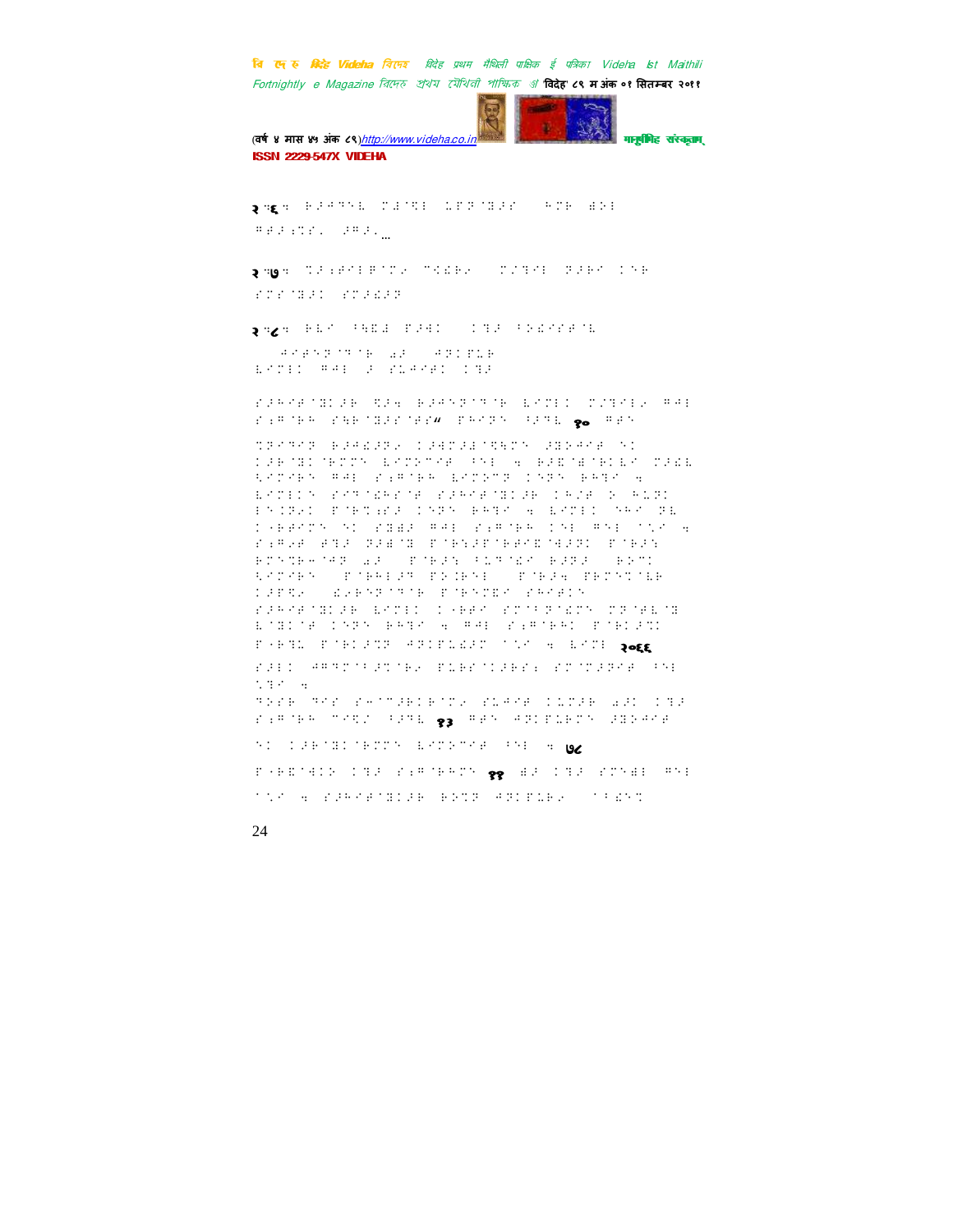चि एक रु मिनेह Videha विएक विदेह प्रथम मैथिली पाक्षिक ई पत्रिका Videha Ist Maithili Fortnightly e Magazine রিদেত প্রথম মৌথিনী পাক্ষিক *প্র* **বিदेह' ८९ म अंक ०१ सितम्बर २०११** 



(वर्ष ४ मास ४५ अंक ८९) http://www.videha.co. **ISSN 2229-547X VIDEHA** 



grega estencia dandi capanassa conde aca **RAPANY SPACE** 

anger desensende model i dudes delen che ana mato anadar

ging milled and seems and and the property of

SCARPS TO CAR TRIAL RIARDON TRICE/STOLEN CONTRACT PRO FIRE THE CONFIDENTIAL PERSON CONTINUES OF

CRAPAR ERREDRA CORPORATOR CABARA (NO consideration and companies are sensitive that any operation arches and changes architect that are the EVIDED NO VINTO DE VIDA O VIDAMENTO DE VIDA CON CALDED ENDROPENDADE DER SPECIAL ERTER EN POST 1994-2015 St. Padas RRE Premier 154 (RSE) 154 (SSE) ana Albani ang king atawitan na pangangang pangangan pangangan ang manangang pangangang pangangang manangang manangang manangang manangang manangang manangang manangang manangang manangang manangang manangang manangang man editore e tedes alguns antegras sobre tales e gargos segundo KATABA CENTRABURA BINDA CENTRUA EBRITATION TURNEY CONSERVATION OF TERMINES CONSERVATION and experience experience is seeking that the tarter in the teleste ESSENCIA DO SAN CARACTER CARA EL 2014 ESPECIAL EL SECUNDO FREED FORDERS REDEDEED ONCE ROOM 2000 WARD CARRIER ANDER CIDEWICAEWE WORDVALLAND

MOVED MAY CONTRACT ESTATION AND CONVENIENCES (199 FIRE THE CONTROL FROM 183 CHEN CHRISTIAN CORPORATE

加生物 一般

reached that remember een data roman meer

TERM A SEPARATIONAL ANDRE ANDERSKE FRANC

NO CORPORATE DE SE A CONTRAR E PRESENTAR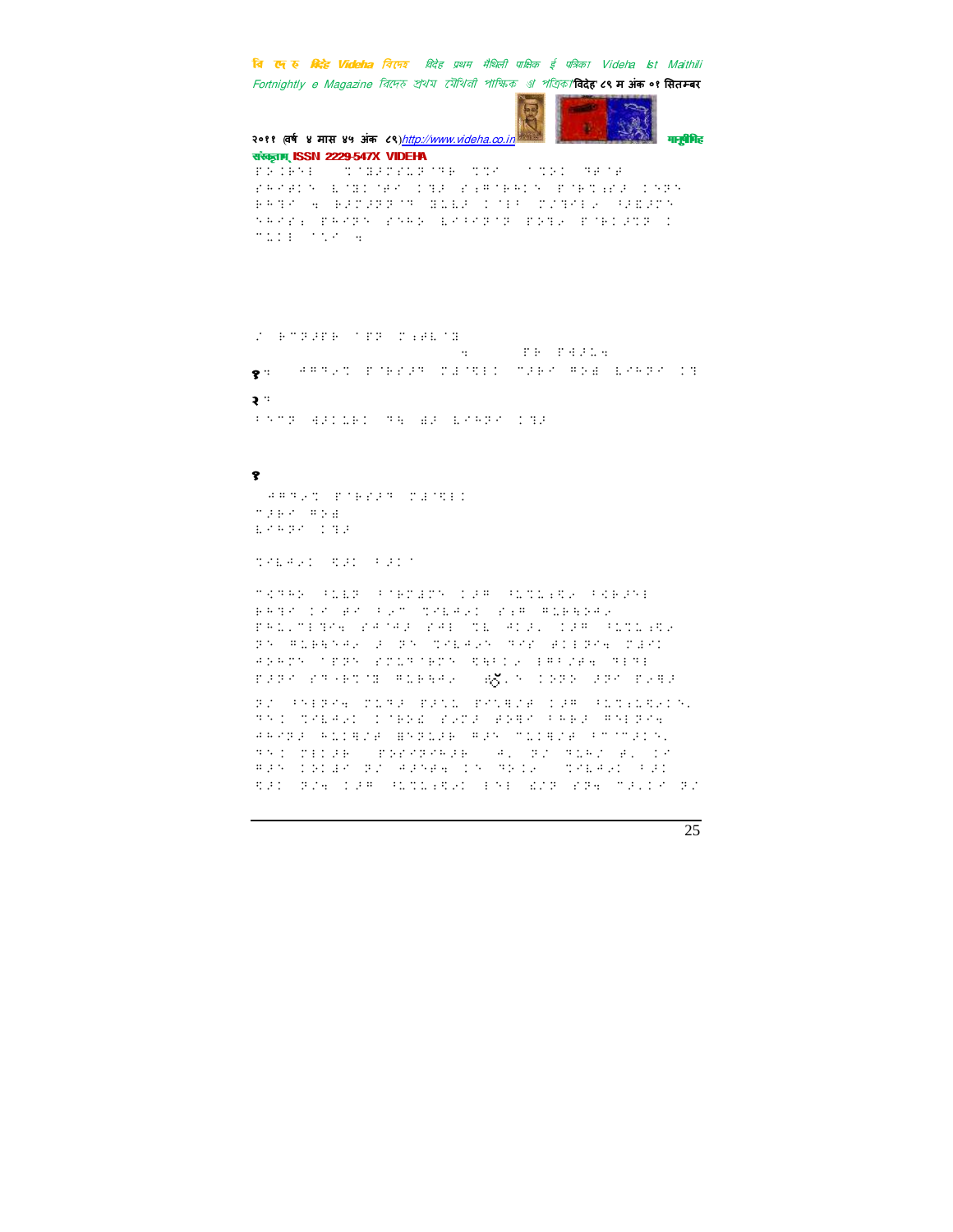बि एक रु मिनेट Videha विएक विदेह प्रथम मैथिली पाक्षिक ई पत्रिका Videha Ist Maithili Fortnightly e Magazine রিদেহ প্রথম মৌথিনী পাক্ষিক প্রাপত্রিক/**বিदेह ८९ म अंक ०१ सितम्बर** 

ø २०११ (वर्ष ४ मास ४५ अंक ८९) http://www.videha.co.ir मानुबेगिह संस्कृतम् ISSN 2229-547X VIDEHA

Contractivities the construction of the te- $\mathcal{X} \cong \mathcal{X} \oplus \mathcal{Y} \oplus \mathcal{Y}$ an electricity in a transported on the annual content and contents of the transported of the transported of the transported of the transported of the transported of the transported of the transported of the transported of ERSK ALEXANDER MODERN INSPIRATOR FREDRIC NAPAL PARAN RNAN ERPROTE PNER POBLACE D made in the Car

THE TRAPE OF THE TABLE TO **STEP FARLS**  $\mathcal{H}$ es communications de territories de la communication

 $\mathbf{z}$  in FATE RESERVE REVERSES STRE

s.

 $\left\langle \begin{array}{ccccc} \mathbf{u} & \mathbf{u} & \mathbf{v} & \mathbf{v} & \mathbf{v} \\ \mathbf{u} & \mathbf{u} & \mathbf{v} & \mathbf{v} & \mathbf{v} \end{array} \right\rangle = \left\langle \begin{array}{ccccc} \mathbf{u} & \mathbf{v} & \mathbf{v} & \mathbf{v} \\ \mathbf{v} & \mathbf{v} & \mathbf{v} & \mathbf{v} \end{array} \right\rangle = \left\langle \begin{array}{ccccc} \mathbf{u} & \mathbf{v} & \mathbf{v} & \mathbf{v} \\ \mathbf{v} & \mathbf{v$ 外国联合 中医油 金融中央 计性的

SPERING SERIES FRIDA

TREAD PLEASE PRESENCING PLANTLERS PRESSE 新开发的 生化学学的 医头巾 化聚合物学医聚合学医学 电面积有效电路 recommendation and constitution of the conditions BA POBENES DE BA COMBASA PAY DELEBRE COBMI 

PROFESERA COLPRODUCENTARIA CRAOTECENTARIA MAIL CREAM CONFINENTIAL ANDRE PARA CRAECERS ARRAIN ROCEDA (BNACAR) PAN INCORDA (FNINACN) and color as increased as the second second RIAN COSTURA DO PRIMER CON PACIS I CONSERVO POST tai are iam mitiatur and are rate maile ar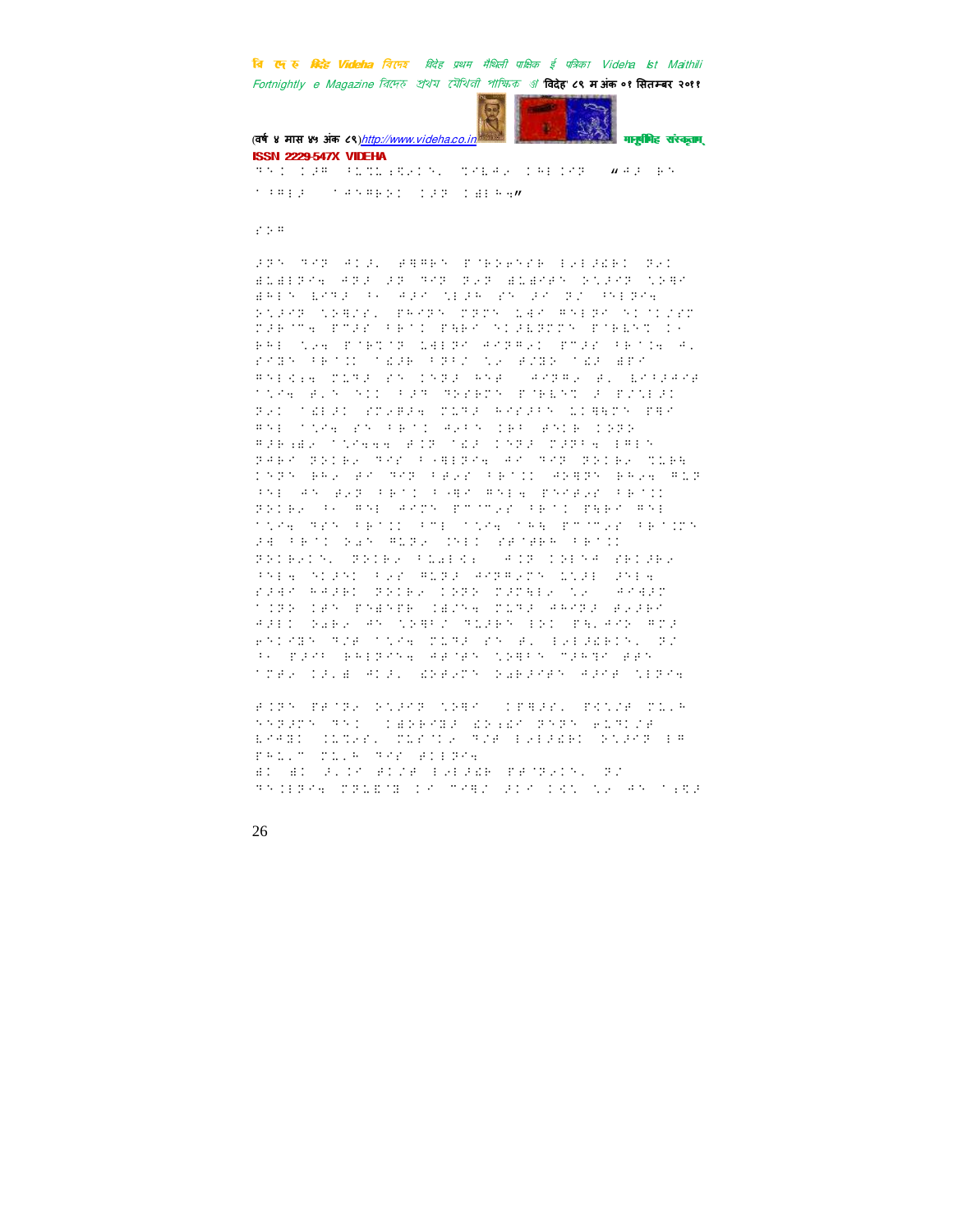चि एक रु मिनेह Videha विएक विदेह प्रथम मैथिली पाक्षिक ई पत्रिका Videha Ist Maithili Fortnightly e Magazine রিদেত শ্রথম মৌথিনী পাক্ষিক ওা **বিदेह ८९ म अंक ०१ सितम्बर २०११** 



THE CONFIDENTIAL CONTRACTOR CONTRACTOR THE FEATURE AND REPORTED HER REAL

 $\pm 0.14$ 

SPACEFORD AT SUCH ARREST CONSTANT ROLLER SERVICES a basidika (1902) 2011 (1910) dikidira basar Kirk Serbagai (1941) and the average control and with the service of the property of the property of the service of the service of .<br>Stake togeth, rekras rars ies asias si titr BRE CORR ESPOSA LAEAS ARABAD EMPERIENCIAL AL PROPERTY CONSTANT PROVINCING CONTRACTOR mental portugal and terra density and manual at the 计中央生产文件 电无力电子电子电子 PAC TERRITORY PRESIDENT PREPENDENT PRO RNE (1954) BN FETO RAFN ORF (BNDF) DARK ROBERT CONFERENCE CAR CONFERENCE PERS  $\mathcal{P}(\mathcal{A},\mathcal{B},\mathcal{A})=\mathcal{P}(\mathcal{A},\mathcal{B},\mathcal{B})=\mathcal{P}(\mathcal{A},\mathcal{B})=\mathcal{P}(\mathcal{A},\mathcal{B})=\mathcal{P}(\mathcal{A},\mathcal{B})=\mathcal{P}(\mathcal{A},\mathcal{B},\mathcal{B})=\mathcal{P}(\mathcal{A},\mathcal{B},\mathcal{B})=\mathcal{P}(\mathcal{A},\mathcal{B},\mathcal{B})=\mathcal{P}(\mathcal{A},\mathcal{B},\mathcal{B})=\mathcal{P}(\mathcal{A},\mathcal{B},\mathcal{$ indh eko ez mez feor felezi eragan ekoe muz<br>1913-en eoa feri ferri ego mare zhenn ferri POISA (F) FOR PRODUCT TORP FEST TERR FRA PROBREM, PROBREM POWER BY A CROOKER AND PEOPLY FREAT NORMON DE SAN REGISTRACIÓN DE SAN DESERVA FRAME RAPPS (PRING 1999) TRINER (NR) sa e a pin TRE TAN PRANTA TAING TINA APPROX AVERA 将这些时间的证书是一种外,在各用机构、供应这部分、主要的、目标的并不是一种的这 entran dia minimum personal at agageth. Da and a problem a problem a proportion part of the policy parts mines to be a cardo casesno suedizero adversarse

RIPS PROPERTYPE CORP. IPROVIDE POLIS NNBADN (PNI) (ISBN 982) BN BBN BN PNBN (BLPI) AB EVASI (ISSV) TERM SAMPLE PREPERT PORT ER renom rice may arrange ad capitalidad advantaga adelmanagados apr MA DERVA (DIRENTE) DVO MVRD (2014) DVD (102) AN INGRA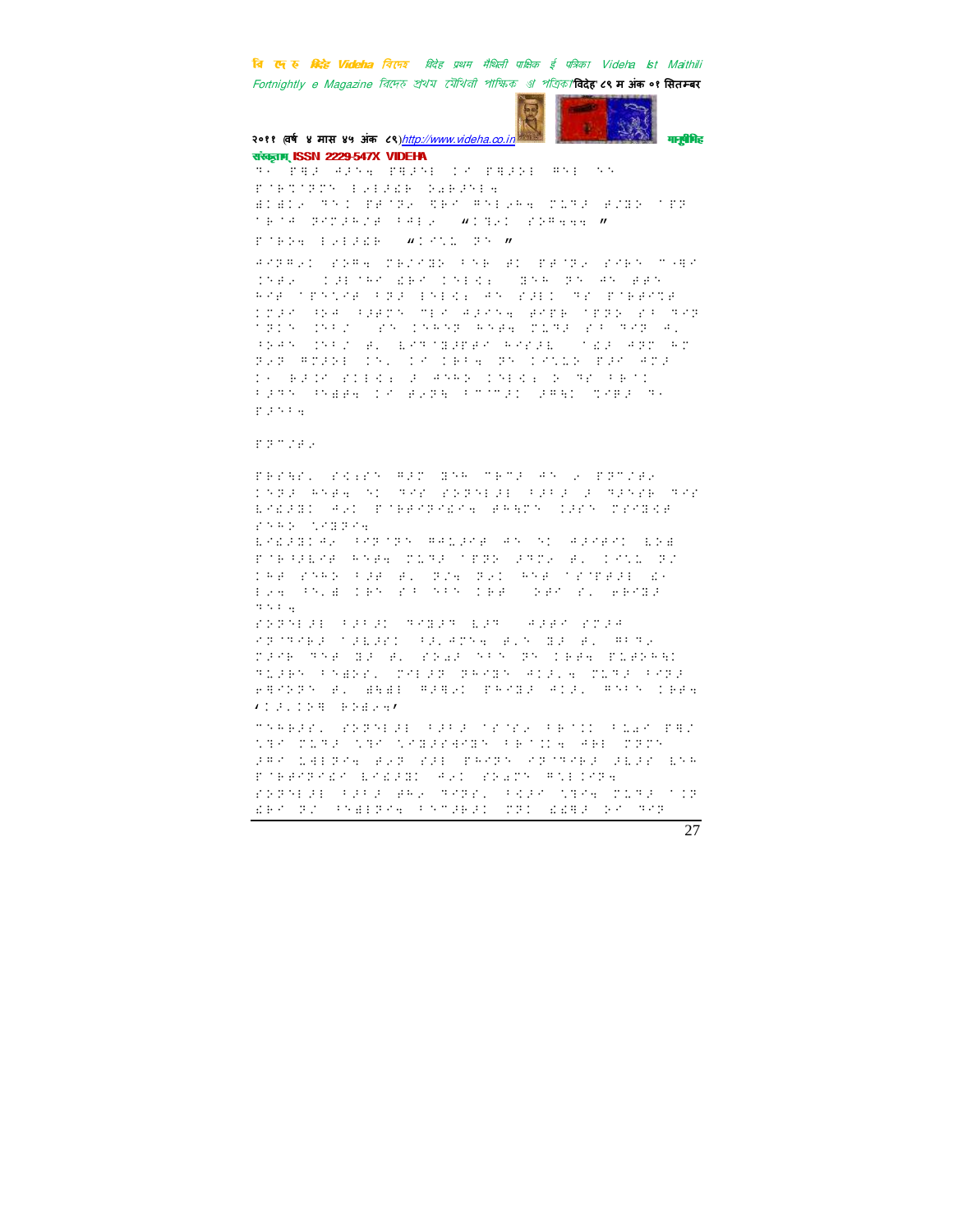चि एक रु मिनेह Videha विएक विदेह प्रथम मैथिली पाक्षिक ई पत्रिका Videha Ist Maithili Fortnightly e Magazine রিদেচ প্রথম মৌথিনী পাক্ষিক *ঙা প*ত্রিকা**'বিदेह' ८९ म अंक ०१ सितम्बर** 



२०११ (वर्ष ४ मास ४५ अंक ८९) http://www.videha.co.ir संस्कृतम् ISSN 2229-547X VIDEHA

 $\mathcal{R}(\mathcal{S}) = \mathbb{P}(\mathcal{R}(\mathcal{S})) = \mathcal{R}(\mathcal{S}(\mathcal{S})) = \mathbb{P}(\mathcal{R}(\mathcal{S}(\mathcal{S}))) = \mathbb{P}(\mathcal{S}) = \mathbb{P}(\mathcal{S}(\mathcal{S}(\mathcal{S}))) = \mathbb{P}(\mathcal{S}(\mathcal{S}(\mathcal{S}(\mathcal{S}))) = \mathbb{P}(\mathcal{S}(\mathcal{S}(\mathcal{S}(\mathcal{S}))) = \mathbb{P}(\mathcal{S}(\mathcal{S}(\mathcal{S}(\mathcal{S}))) = \mathbb{P}(\math$ E TROTATNI EVERERI GARRAFIA<br>BOBOVI PNO TRITAVI RRKI PNEVRA I DOPRI RVBO ITEA TESP PROPERTY FREE WITHIN STREAM W

FORDA EDEREK WINDOW PV W

APPROXIMATE TECHNIC PARTIES PRIDE PARALLY crash the starry messengered areas read at mor tais des correspondence and a capacitation of andes distribuir proponente denna con parte en di 主要发生症

and more of

TERNED RAINS RAD BAR TETA RAS A TRITARA 1988 - 598 - 91 - 921 - 1989 18 - 1910 1920 1939 1940 EVERED PROTECT PROPORTS ARREST DRESS CONSENS 全方向 2007年12月4日

EVERENCE PROTOCHES PROPERTY (SO PROPERTY ESE ESPRESENT PATEL COMPUTERS PROVIDED CANODIAN the street for every presented three contents and Even Friedrich in the State State of the Conservation of Experience  $\alpha \sim \alpha_{\rm eff}$ 

KOROLEA ETA ALTERARIA ERRETA ARABITAR KONTRABUCTURESES (1992-ADNA) BLN (BUCB) AS CREAT PARADA AL BABI PRANT PARDA ATAL PAPA TARA VIST DEMOGRAPHY

TRANSPORT PROPERTY AND TO CONTROL A BITTER A DECISION the right the team of the second section of the second SPA LEIDAR BUD YSI TEADA ADALAND SISE ANA Presented and and state and an article to the RESPONSE PROPERTY AND THREE PROPERTY CONSTRUCTION ERR DO PAREDRE PATRESS DOS EERS DR PAT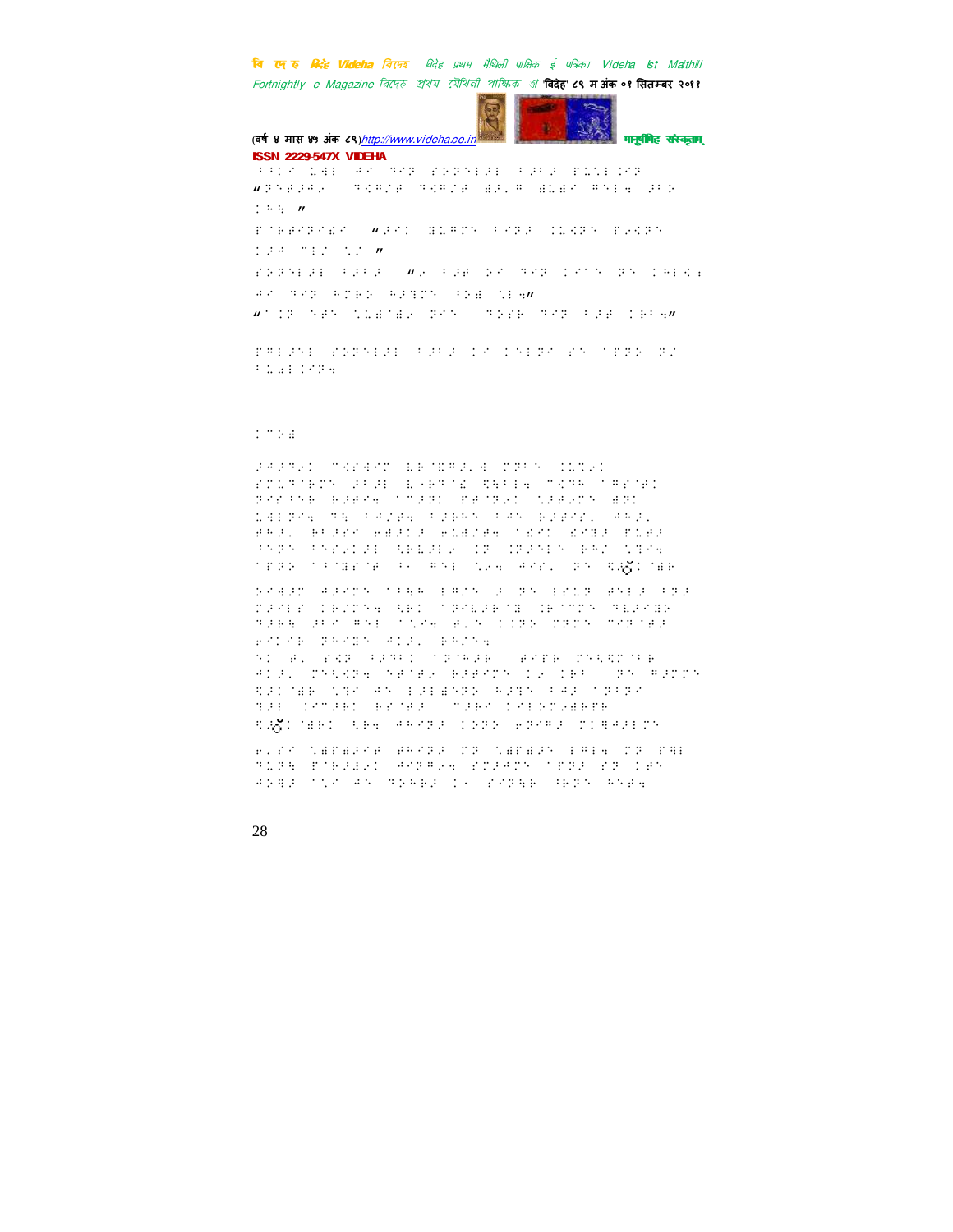चि एक रु मिनेह Videha विएक विदेह प्रथम मैथिली पाक्षिक ई पत्रिका Videha Ist Maithili Fortnightly e Magazine রিদেত শ্রথম মৌথিনী পাক্ষিক ওা **বিदेह ८९ म अंक ०१ सितम्बर २०११** 

(वर्ष ४ मास ४५ अंक ८९) http://www.videha.co.in मानुबंधिह संस्कृतम् **ISSN 2229-547X VIDEHA** SPECIAL LABORATORY CONSTRUCTION OF THE CARD CAR ingeral ngera lasie labak engala se  $\mathbf{w} \in \mathbb{R}^{d \times d} \times \mathbb{R}^{d \times d \times d \times d \times d}$  $\therefore$   $\therefore$   $\therefore$   $\therefore$ POBRATARA (WAAT SELFEN FATA CLATA PLATA)  $\mathbb{E}\left[\mathcal{F}(\theta)\right]=\mathbb{E}\left[\mathcal{F}(\theta)\right]=\mathbb{E}\left[\mathcal{F}(\theta)\right]=\mathcal{H}$ PORTER EXPLANSIVE WAS FIRED ON A MARKET AT A 1975 CORE CH  $\mathcal{A}(\mathcal{A}) = \mathcal{A}(\mathcal{A}(\mathcal{B})) = \mathcal{A}(\mathcal{B}(\mathcal{B}(\mathcal{B})) = \mathcal{A}(\mathcal{B}(\mathcal{B}(\mathcal{B}))) = \mathcal{A}(\mathcal{B}(\mathcal{B}(\mathcal{B})))$ whip new transportations are more free incom-EREDNE SOONEDE FORDELING ONEDWISK TEDD OO

# cinoa

F. D. B. D. P. B. B.

SASANI TERRAT ERMESIA TERRATIONIS andra tente l'altalla l'alterna l'imperie l'internationale.<br>Interne l'especie l'imperi l'imperation des profiles : mas des compositores de parte de la capaca podera. and, ander aad diabada individualement  $\lambda$  which is a second contribution of the contribution of the contribution of the contribution of the contribution of the contribution of the contribution of the contribution of the contribution of the contribution of th

SPART PROTECTERS EPOS DO PS EVER PREDICTO  $\mu(\mathcal{P}_\lambda^{\alpha}(\mathcal{P}_\lambda^{\alpha}(\mathcal{P}_\lambda^{\alpha}))\otimes\mathcal{P}_\lambda^{\alpha}(\mathcal{P}_\lambda^{\alpha}(\mathcal{P}_\lambda^{\alpha}))\otimes\mathcal{P}_\lambda^{\alpha}(\mathcal{P}_\lambda^{\alpha}(\mathcal{P}_\lambda^{\alpha}(\mathcal{P}_\lambda^{\alpha}(\mathcal{P}_\lambda^{\alpha}(\mathcal{P}_\lambda^{\alpha}(\mathcal{P}_\lambda^{\alpha}(\mathcal{P}_\lambda^{\alpha}(\mathcal{P}_\lambda^{\alpha}(\mathcal{P}_\lambda^{\alpha}(\mathcal{P}_\lambda^{\alpha}(\mathcal{P}_\lambda$ NO PASSAGE PARTICIPARES PRAER DINARDIRE ACULTURANE NETER BURNEN CROCER TRATHULEN SALTABLE STATE AND BABBARS IN ANY CERA IN SERVICE dual compact average indavidura prodata. POKY THE CONFERENCE CODES FROM COOR PARTYS

BURY CHEMING PRYST TO CHEMIN EPER TO THE PORA ESPARADO PRAPAR ESSAS OS ERRA ES DER 将各种法人的复数 "将我们想会并在这个生活,还是想在我们的社会的一种存在我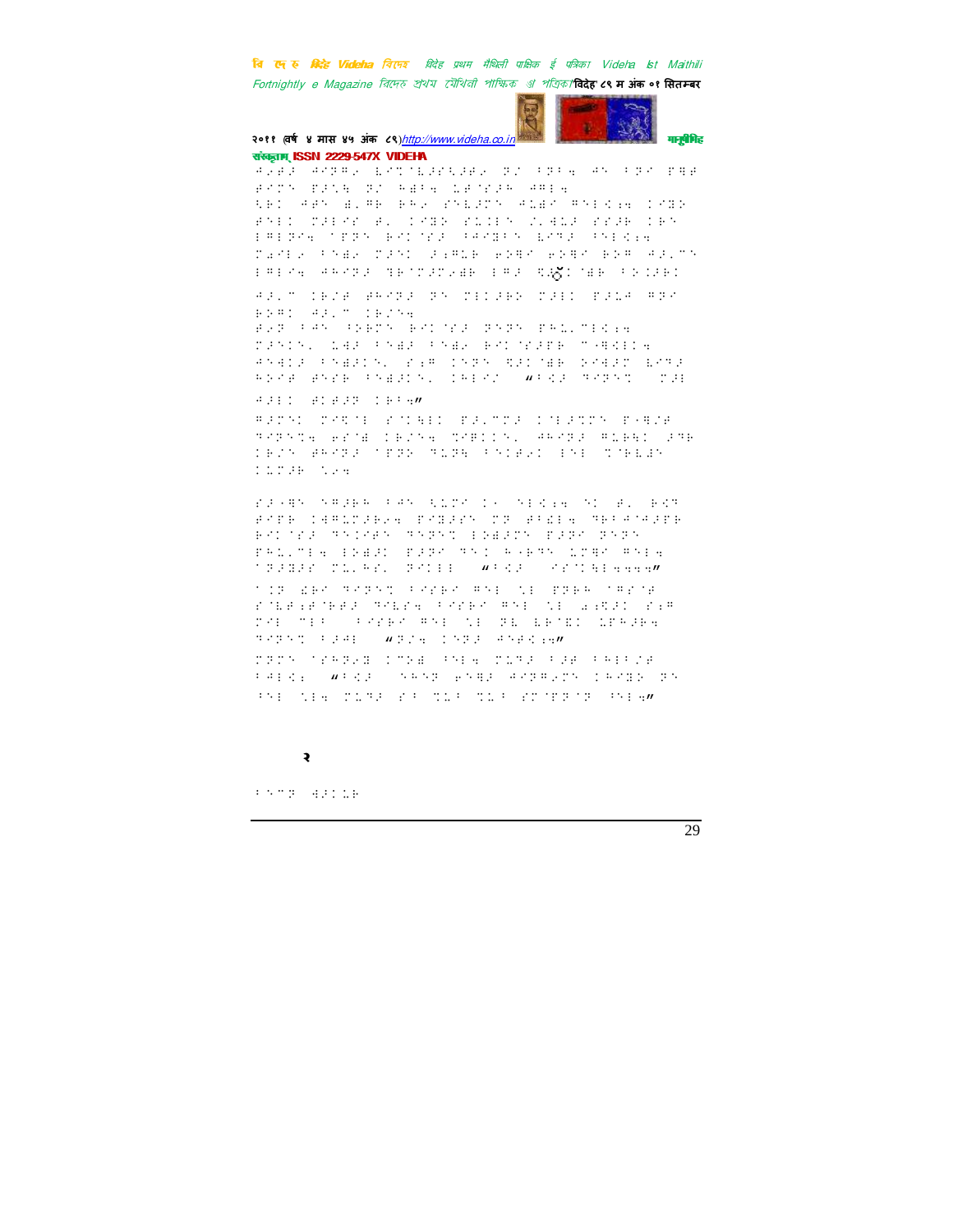चि एक रु मिनेह Videha विएक विदेह प्रथम मैथिली पाक्षिक ई पत्रिका Videha Ist Maithili Fortnightly e Magazine রিদেত শ্রথম মেথিনী পাক্ষিক প্রা পত্রিকা**'বিदेह' ८९ म अंक ०१ सितम्बर** 



संस्कृतम् ISSN 2229-547X VIDEHA "我是我去,我们是我是一副的生活的人都会去找我。"我说,"我是我的,我的人,我是我的我用我 avev rath at hand carrier and ter (495) alleg genuinsachts abas anges dag inde pure un singul puncture estat apart apart apartments EREVAL ARROWLER TOWNER LERVIEWS THE PERIODES Adum deza akkad di meddebi maed edga (Adu ESPI PARTY IESNA audio en l'esabern avec radioende l'enclore d'esnunch in dauf Frau Frnau (BRITEURUPE) mierzech A NADA (A NAADA) NG SA PILONANG AAN INA BILINGAAN NA KARA ASPAR BAYE (FABRIAL INFRAST) WERE TRAPAD.  $\sim$  7.93 RADNO DYRIGO VIENO RACIONAL CHIADDNI BYRGA PROPOS SENSE CEVAS CRECOAL PRACT POESIC DRE TECH PROPERTY FROM PORT POSSOL INFORMATION TETH STAR

的复数电视 医甲基联胎 电电视 法监禁的 工人 医主动性瘤 医红细胞的 电影像 and particle elements and decompanies and a second second paper BRIDGE PRICES PRESS BRANCHES religios ses pada conducidade es espacioladas en ela TRABAY TO, REV. PROFESSINARIO SECORE NANNA nda akhirnan tarkan masu da arak herre and a sample of the and of a sample of the constant of a senes mas coserer enachts da abendicaredes  $\mathcal{R}(\mathcal{L}(\mathcal{D},\mathcal{H})) = \mathcal{R}(\mathcal{L}(\mathcal{A})) = \mathcal{L}(\mathcal{R}(\mathcal{L},\mathcal{H})) = \mathcal{L}(\mathcal{L}(\mathcal{D},\mathcal{L})) = \mathcal{L}(\mathcal{L}(\mathcal{D},\mathcal{L}))$ nding tradition institutes in the state state of 中国主义主义 (或中国主义、外界方案、新方用主义研究集中认真的) 工程学生的 三基体 and the company of the company of the series

# $\mathbf{z}$

a shekara ta 200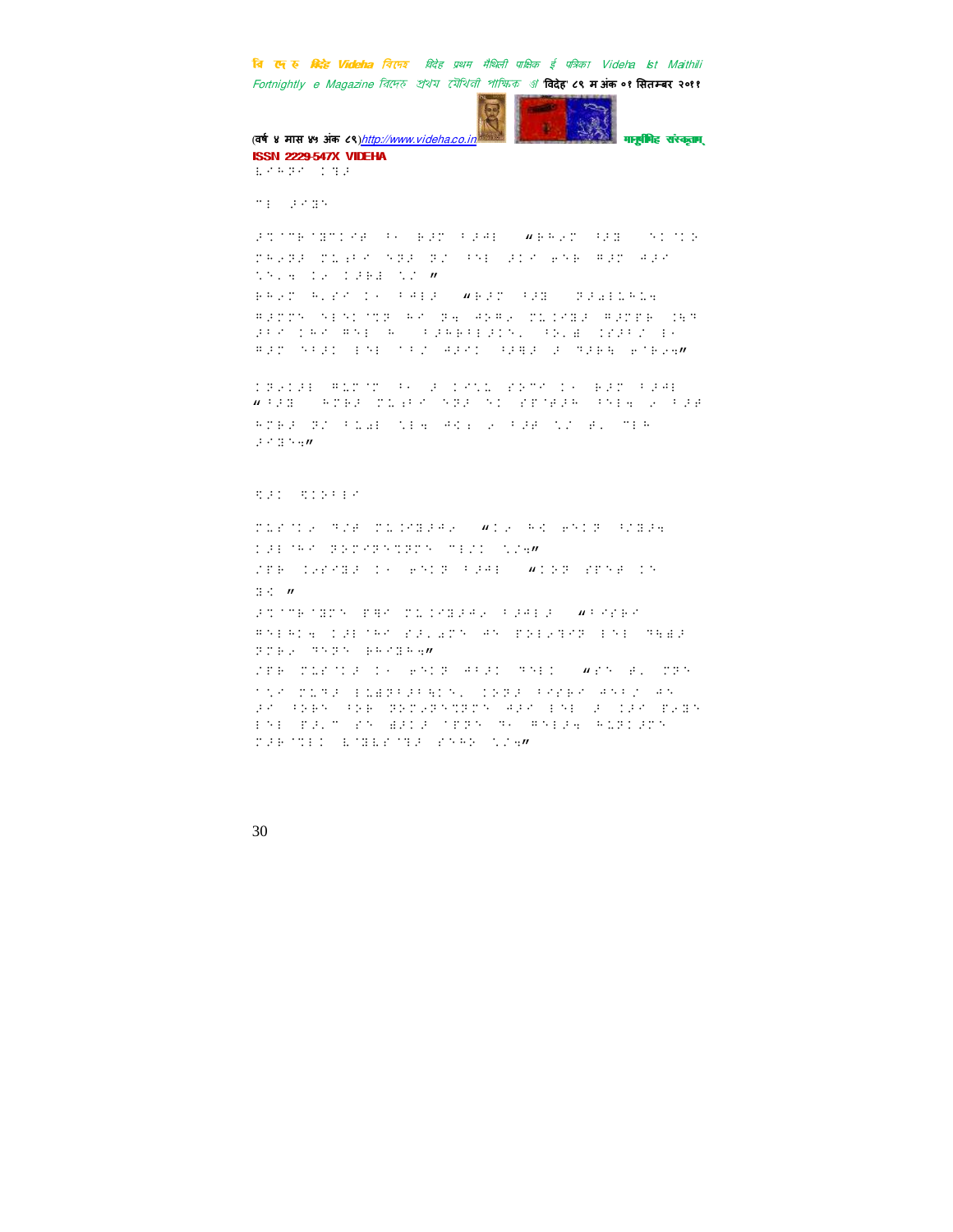बि एक रु मिनेट Videha विएक विदेह प्रथम मैथिली पाक्षिक ई पत्रिका Videha Ist Maithili Fortnightly e Magazine রিদেত শ্রথম মৌথিনী পাক্ষিক ওা **বিदेह ८९ म अंक ०१ सितम्बर २०११** 

मानुबंधिह संस्कृतम्

**ISSN 2229-547X VIDEHA** 主义中共和一公共共

(वर्ष ४ मास ४५ अंक ८९) http://www.videha.co.

 $\mathcal{C}(\mathbb{R}^d)$  . If  $\mathcal{C}(\mathbb{R}^d)$ 

A DISTRICTORY CRAIGE AND REAR CONFIRMED CRAIG CONTINUES. TROPS TIME A SPACE TO PARTIESE PRESENT ARA NAVAL DESCRIPTION WAS BAST ALEX IN THEFT RADDY NENDRO PROGRAMMA DESCRIPTIONER DRA describes and car repeated not replacement in ROD NEOS ENE TECHNOLOGIES O ROBA SPIEDA

 $\begin{smallmatrix}1&\mathcal{B}(S^1\mathcal{A},\mathcal{B})&\mathcal{B}(S^1\mathcal{A},\mathcal{B}^1\mathcal{A})&\mathcal{B}(S^1\mathcal{A},\mathcal{B}^1\mathcal{A},\mathcal{B}^1\mathcal{B}^1\mathcal{B}^2)\\ \mathbf{w}^{(1)}\mathcal{B}(\mathcal{B},\mathcal{B}^1)&\mathcal{B}(\mathcal{B},\mathcal{B}^2\mathcal{A},\mathcal{B}^1\mathcal{B}^2)&\mathcal{B}(\mathcal{B},\mathcal{B}^1\mathcal{A},\mathcal{$ A DEVELOP DE LOS ESTADOS DE LOS ESTADOS DE LOS ESTADOS DE LOS ESTADOS DE LOS ESTADOS DE LOS ESTADOS DE LOS ESTADOS DE LOS ESTADOS DE LOS ESTADOS DE LOS ESTADOS DE LOS ESTADOS DE LOS ESTADOS DE LOS ESTADOS DE LOS ESTADOS DE  $\mathbb{P}^{(1)}\mathbb{P}^{(1)}\mathbb{P}^{(1)}$  in  $\pi$ 

3021 300 231 23

TERMIN PRESTRIERES (WIRTH PRIDE PRESS THE TRANSPORTATION OF LINES AND TEE TRACKER IN BAIR FRAIN WIND ATAB IN  $\mathbb{G}(\cdot)=n$ administrator per contradar a dassa construir RIVERS LOSE TRANSPORTATION (PIXEDITAR) ENEUROPERA  $\mathbb{P}(\mathbb{P}(\mathbb{R},\mathbb{R})) \cong \mathbb{P}(\mathbb{P}(\mathbb{R})) \cong \mathbb{P}(\mathbb{R},\mathbb{P}(\mathbb{R},\mathbb{R}))$ VER TOXICA IN RESIDENTIAL PRESS WAS BUILDEN n tie intras a tableau anno l'obdeu l'esse client privan- $\mathcal{F}(\mathcal{E}) = \mathcal{F}(\mathcal{E}(\mathcal{E})) = \mathcal{F}(\mathcal{E}(\mathcal{E})) = \mathcal{F}(\mathcal{E}(\mathcal{E})) = \mathcal{F}(\mathcal{E}(\mathcal{E})) = \mathcal{F}(\mathcal{E}(\mathcal{E})) = \mathcal{F}(\mathcal{E}(\mathcal{E})) = \mathcal{F}(\mathcal{E}(\mathcal{E})) = \mathcal{F}(\mathcal{E}(\mathcal{E})) = \mathcal{F}(\mathcal{E}(\mathcal{E})) = \mathcal{F}(\mathcal{E}(\mathcal{E})) = \mathcal{F}(\mathcal{E}(\mathcal{E$ ENE PAIN YN BAID MPPN MA MAEDWORDDON TUESTIES ENTERTAINMENT STAR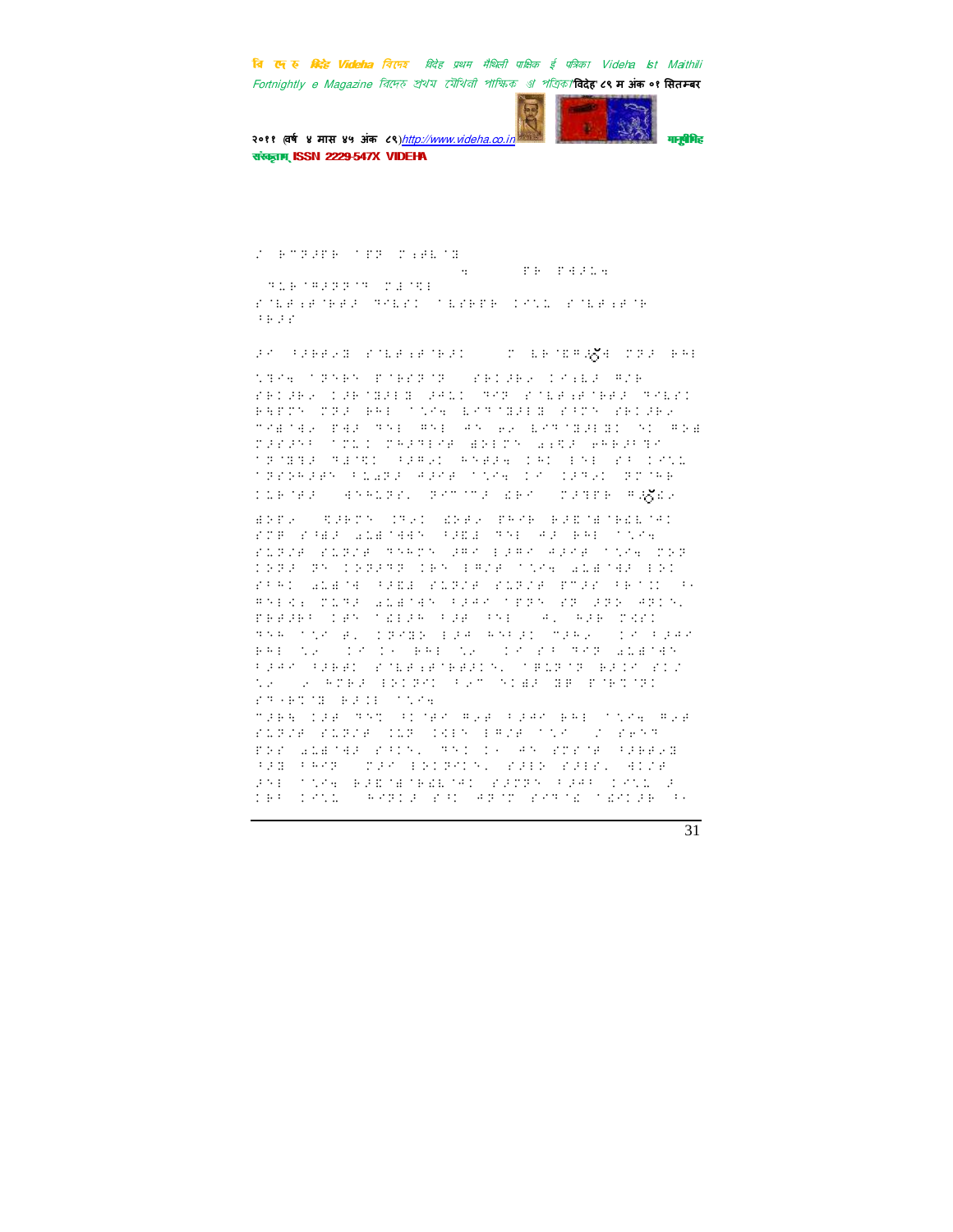चि एक रु मिनेह Videha विएक विदेह प्रथम मैथिली पाक्षिक ई पत्रिका Videha Ist Maithili Fortnightly e Magazine রিদেত শ্রথম মেথিনী পাক্ষিক প্রা পত্রিকা**'বিदेह' ८९ म अंक ०१ सितम्बर** 



२०११ (वर्ष ४ मास ४५ अंक ८९)http://www.videha.co. संस्कृतम् ISSN 2229-547X VIDEHA

CORTESER TEACHERS **STRATHSON CHECK** 

**Capacagages** game POR BAR 1993 CAPADEL CARPER CONTROL POR BAR 19 医新装的

an adeeds a species teachers are specific that elec-

STAR CORPORATION OF CARD ARE CARDONELLY webserved because a condition of the except on cards BATTS TRANBALL CONNECTING BALL VALUE VELABLE meanaly analysis are says are all alleged and service are 女性的女性的 TO DOLLAR DE PERSONA DE LA PARTIE DE PERSONAL ndinada (santo l'edevo lesede coepo esporti conso nder besteht in bladen in die in hoof in die het in die here en consider association and descriptions again

FIREF FIRES TO THE STATE OF THE STATE STATE STATE 1999 99 1999 1999 90 1990 1990 0000 1000 1000 1000 PART SALENE APER PLANE PLANE PORT PRESS  $\label{eq:RMS2} \begin{split} \mathcal{H}(S\oplus S) &\cong \mathcal{H}(S\oplus S) \oplus \mathcal{H}(S\oplus S) \oplus \mathcal{H}(S\oplus S) \oplus \mathcal{H}(S\oplus S) \oplus \mathcal{H}(S\oplus S) \oplus \mathcal{H}(S\oplus S) \oplus \mathcal{H}(S\oplus S) \oplus \mathcal{H}(S\oplus S) \oplus \mathcal{H}(S\oplus S) \oplus \mathcal{H}(S\oplus S) \oplus \mathcal{H}(S\oplus S) \oplus \mathcal{H}(S\oplus S) \oplus \mathcal{H}(S\oplus$ disk in the all of properties are story in the second and BAB (NS) (18) 19) BAB (NS) (18) 39-982 Galanan FOR A CHORACTER SERVER AND NO CORD AND A RESIDENCE. to concerned absorber about the advancement of PROPERTY BOOTS CONSUL 的复数电子工艺表示 医外皮 计主动程序 计中央电子中 医中枢 医中耳 人名克罗姆 计单区域 subveys public tip toes experience of serve

ESP LEGENHA PARTS, PARTS AND PROPERTY AREAS FRED FRAME CONFIDENTIAL CONFIDENTIAL CHICK SAFE CONSIGN ASSOCIATE AND SAFE CONSISTENCY OF AN ACCOUNT. 1930 1931 - André Prince de la Portugale de la P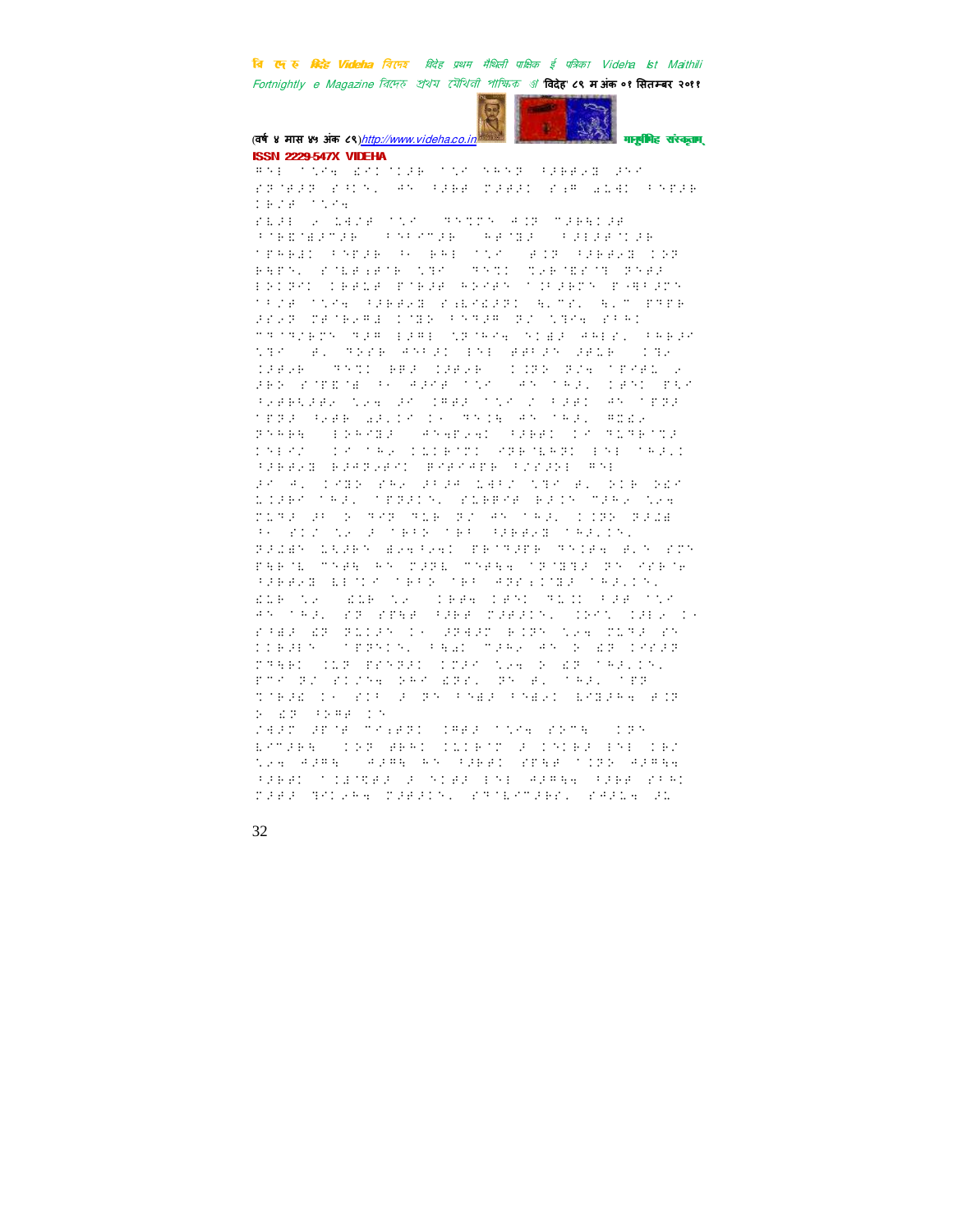चि एक रु मिनेह Videha विएक विदेह प्रथम मैथिली पाक्षिक ई पत्रिका Videha Ist Maithili Fortnightly e Magazine রিদেত শ্রথম মৌথিনী পাক্ষিক প্র' **বিदेह' ८९ म अंक ०१ सितम्बर २०११** 



(वर्ष ४ मास ४५ अंक ८९) http://www.videha.co.in **ISSN 2229-547X VIDEHA** 

iene in the land tode in this new scopedular disc.<br>Indicade in some is some index to help upper served DECEMBER

PERIOD CRISE TOP CRATES ALBUMPANIES sceptagnae i svenge i earga i sagagangang treed: Persecuties to the art freedom earn. In teacher the connections the theory pres-.<br>1919-1921 - 1941-1958, prieze se premis iz Zepim spielkopis na za intelekta akademia Bergari (Almati Alminama)<br>dago manadaka intelektarak dan terak jarahi TRIPADED PARK SERIES CRIMINAL INCREASED AREAS the sales are available and are available the daeae (1950) eeu daeae (1955-924) franklijk FORESTED CONFIDENTIAL CORP. CONTINUES THAT CONSTRUCT present the measurement energy results for the co  $\mathbb{E}[\mathcal{G} \oplus \mathcal{G} \otimes \mathcal{G}] = \mathbb{E}[\mathcal{G} \oplus \mathcal{G} \otimes \mathcal{G} \otimes \mathcal{G}] = \mathbb{E}[\mathcal{G} \oplus \mathcal{G} \oplus \mathcal{G} \oplus \mathcal{G}] = \mathbb{E}[\mathcal{G} \oplus \mathcal{G} \otimes \mathcal{G}] = \mathbb{E}[\mathcal{G} \oplus \mathcal{G}]$ PULSAN LAURENT BUG PUGIT TERRIPUER TRAIBET BUNTEREN reacts model and rads models indicate and crafting FOR AVEILANT CONTRACTORS CARD LOCAL CARDS ON icédis (nepsis) (eac maeu as plag chrag real informations and the seated and selling mme de acesso par adact de activado nod these to attend the season and available and  $5 - 2.9 - 3.5$  He  $-1.5$ 

rado de sa mesado coada corea aprecidos EXPRESS TO RESOURCE TO A CONTEXT TO BASE OF tive apear apear as speed yrag strogs apear FREED IN CONSIDERATION IN CHARGE ARRANGEMENT OF public resolution public states and become additional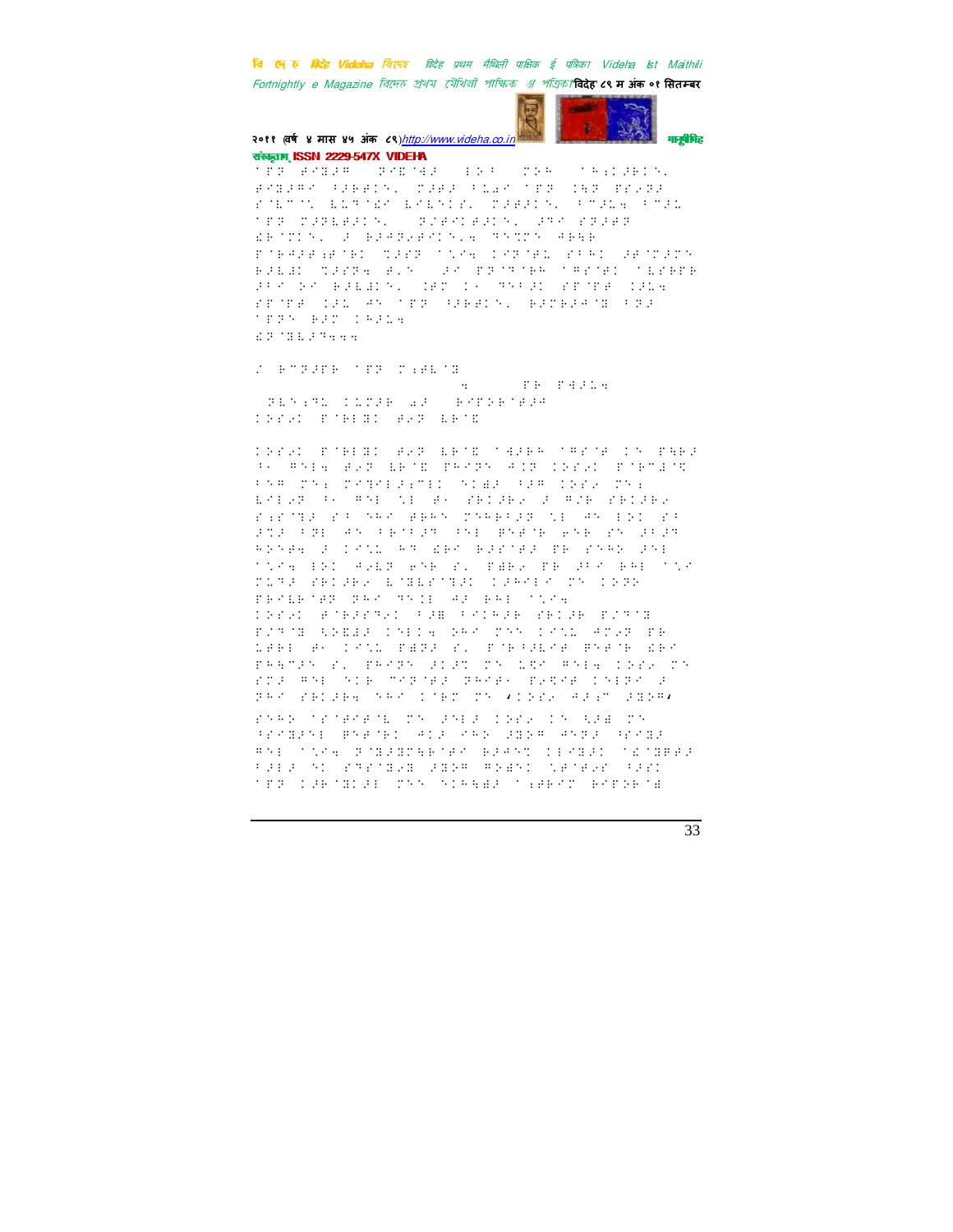बि एक रु मिन्हे Videha विरफ्श विदेह प्रथम मैथिली पाक्षिक ई पत्रिका Videha Ist Maithili Fortnightly e Magazine রিদেচ প্রথম মৌথিনী পাক্ষিক *ঙা প*ত্রিকা**'বিदेह' ८९ म अंक ०१ सितम्बर** 

२०११ (वर्ष ४ मास ४५ अंक ८९) http://www.videha.co.ii मानुबेगिह संस्कृतम् ISSN 2229-547X VIDEHA

 $\sim 3.38\%$ TER / TREDEN 「大学学」 新学生活用 - - - 学習書 1942年 avaier (Fieed N) coals four the coal may be and minimum and make a ware that in market with a material mate na por población do podenciación do cara de capaca ERICON CONTRAPARADO NUMBER OF PROPER properties and increased in the substance of the context of the context of adalah mukawa yaiwi yukuma manaka makhan makama an kinek measures, in technological explorement of absolute arrera das as crea adaptos adebada telada TERN BAC INADA ESTELFANH

 $\mathcal{F} = \mathbb{R} \cap \mathbb{R} \cup \mathbb{R} \cap \mathbb{R} \cup \mathbb{R} \cup \mathbb{R} \cup \mathbb{R} \cup \mathbb{R} \cup \mathbb{R} \cup \mathbb{R} \cup \mathbb{R} \cup \mathbb{R} \cup \mathbb{R}$ **STEPHERS**  $\mathcal{H}^{\mathcal{A}}$ TRENTWO CONVERTED TO PAPPER 1974 TERRITORIAL BRACKBATE

dia artista de la primeira de la Bandaria e Antiga de la primeira.<br>De la Pedia martía de la Branda de la primeira de la Bandaría del l FAR CALL CANALIZED INCREASED PARK CAN EVERY THE RNE CELLAR SPECIAL COURSE PARTIES. FOR THE SPECTRAL PEAK CONAELER CAP (AN EDIC PRE ana side ser seriesan sire seriesane series arcanan A SINGLE CONTROL AND GENERAL BUSINESS CONTROLLERS. three spot every energy make me user easy thr  $\Gamma(\mathbb{L},\mathbb{R},\mathbb{R})=\Gamma(\mathbb{R},\mathbb{R})\times\mathbb{R}=\mathbb{R}\times\Gamma(\mathbb{R},\mathbb{R})\times\Gamma(\mathbb{R},\mathbb{R})$ rekene tago gekomt de bago een ontka CONVERTED AND THE PROPERTIES IN ANY OF FIRST CONSIDER CONFIDENT CONSIDERING ACCOUNTS DREE (R) CRND PARK RU PORTRAINE PNROF BRA reams of responsible to the transfer specific POSTED ENTER THE TEAM SERIES PARALLELY FROM der seiten ver tier in vier ander alle in

an electric range raciones constanto para con el sus alcones FRAGUAE PARTECT POSTABLE DEPETITION CONSUL #NECONOGRAPHEREDARY #R#NO CERERO NEOBRAR FOR A CAST PARTNERS ORDER PARASET CRIMINAL POPS TER LORPIED AS CONNOINSARY IN SARADI RAPPRISE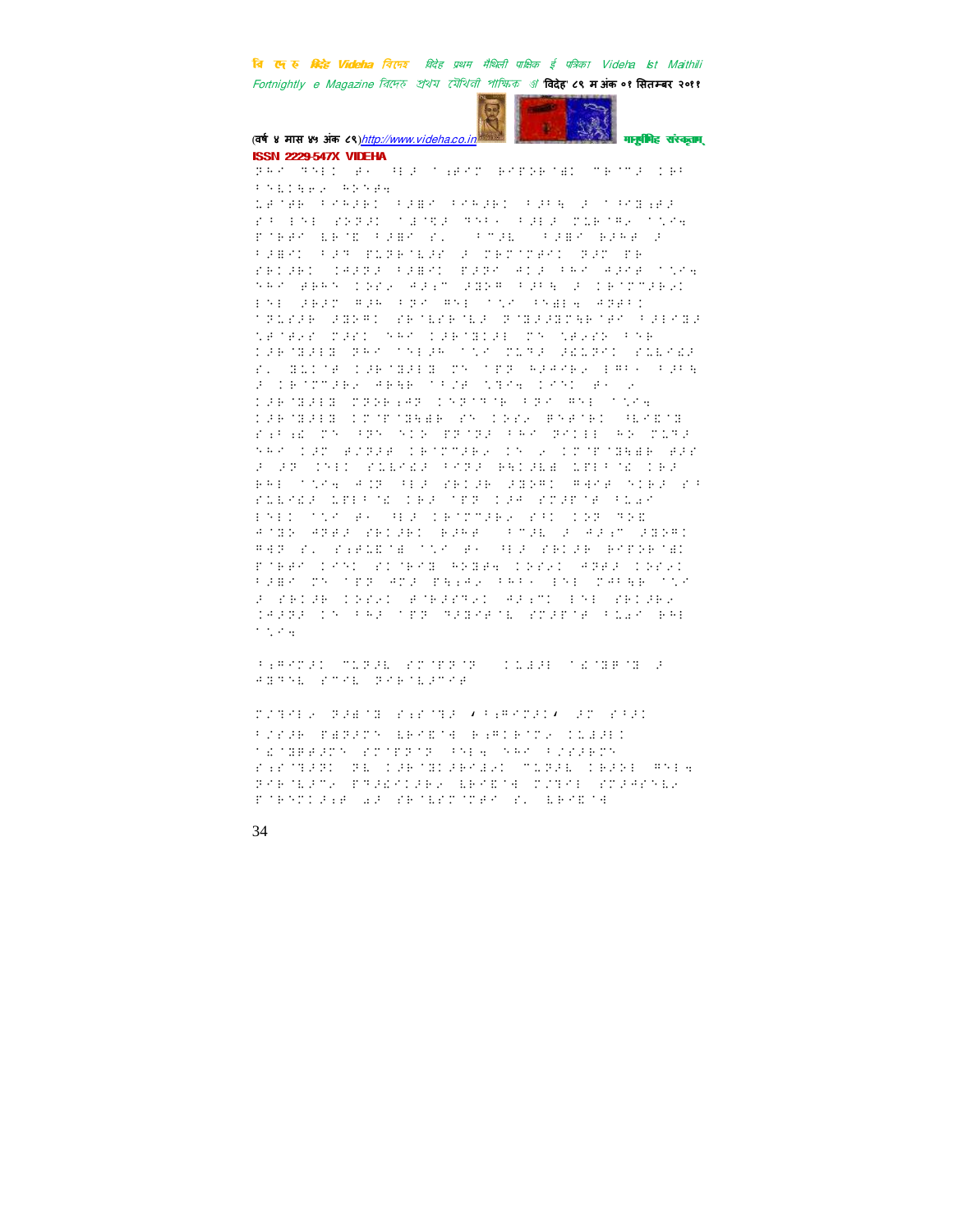बि एक रु मिन्हे Videha विरफ्श विदेह प्रथम मैथिली पाक्षिक ई पत्रिका Videha Ist Maithili Fortnightly e Magazine রিদেত শ্রথম মৌথিনী পাক্ষিক প্র' **বিदेह' ८९ म अंक ०१ सितम्बर २०११** 

(वर्ष ४ मास ४५ अंक ८९) http://www.videha.co.in **ISSN 2229-547X VIDEHA** 



devices to excelle a chaese especial chairman tes  $\mathbb{P}^1(\mathcal{N}, \mathbb{E}^1_{\mathcal{N}}; \mathbb{E}^1_{\mathcal{N}}; \mathbb{E}^1_{\mathcal{N}}; \mathbb{P}^1_{\mathcal{N}}; \mathbb{P}^1_{\mathcal{N}}; \mathbb{P}^1_{\mathcal{N}}; \mathbb{P}^1_{\mathcal{N}}; \mathbb{P}^1_{\mathcal{N}};$ 

parak sebagai sebagai sebagai sebagai pertama yang an and absoluting the more independent to the aret det i it tradidir i forent i landidir i forti di individuali i forma.<br>Sien i la eesti it toanzi i fora milidade e i fode e lidi i termonedezti. Saadh was ade was the ababa again すみずく ndeze varat var hara da dinavada han karrak teness part new caster in teacher from foreinada a descripción de los condeiros de personales de and computer of the company of the computer and a series of the series of the computer of the computer of the a cremonales aleges talbément des ses ses publicada a lungos seguido grupos por lens un cons ARK CONTRACTOR CRITICARY CARD CONTROLLER BOAR a agosta: Priesera Paga estada inferenciea BAB (1988) A DECABRICAR (ROBBE) A BAR (1988) A PERMENT ENR ME TRACTER TERM PROPERTY PERM  $\mathcal{O}(\mathcal{F}(\mathcal{P},\mathcal{F},\mathcal{F})) \cong \mathcal{P}(\mathcal{F},\mathcal{F}') \cong \mathcal{F}(\mathcal{F},\mathcal{F})$ RAP VI VISABLE NA MINA PARTICA VISABLE PARSA NAI Entered the St. Statement (ASBA) (1932) (1938) (1932) FREE TO TER PTA ENGINA FROM THE THERE IN a respas poeso ensavado easino sos respasocapep constablines moderate copernationship as  $\gamma$  in  $\gamma$  in

ses en discondidades en contra como condidades con actividades como  $\mathcal{A}^{\prime}(\Omega,\mathcal{R},\mathcal{R},\mathcal{R})=\mathcal{L}^{\prime}(\mathcal{R},\mathcal{R})=\mathcal{L}^{\prime}(\mathcal{R},\mathcal{R})\mathcal{R}(\Omega,\mathcal{R},\mathcal{R},\mathcal{R})$ 

CONTRACTO DE ARTICLARES DE LA PRANCISCA CADO DE PERS FOR PROPERTY LEADER FEDERAL COMPET TECHNOLOGY CONTRACTOR CONFIDENTIAL PAPER MEASURE OF THE MEDIAN PROPERTY AND RELEASED AND HIS PRESERVATORIAMENTO EN LE PERSONA DI VIDA PARA EN mine voor die klein van heer onder van viele kening.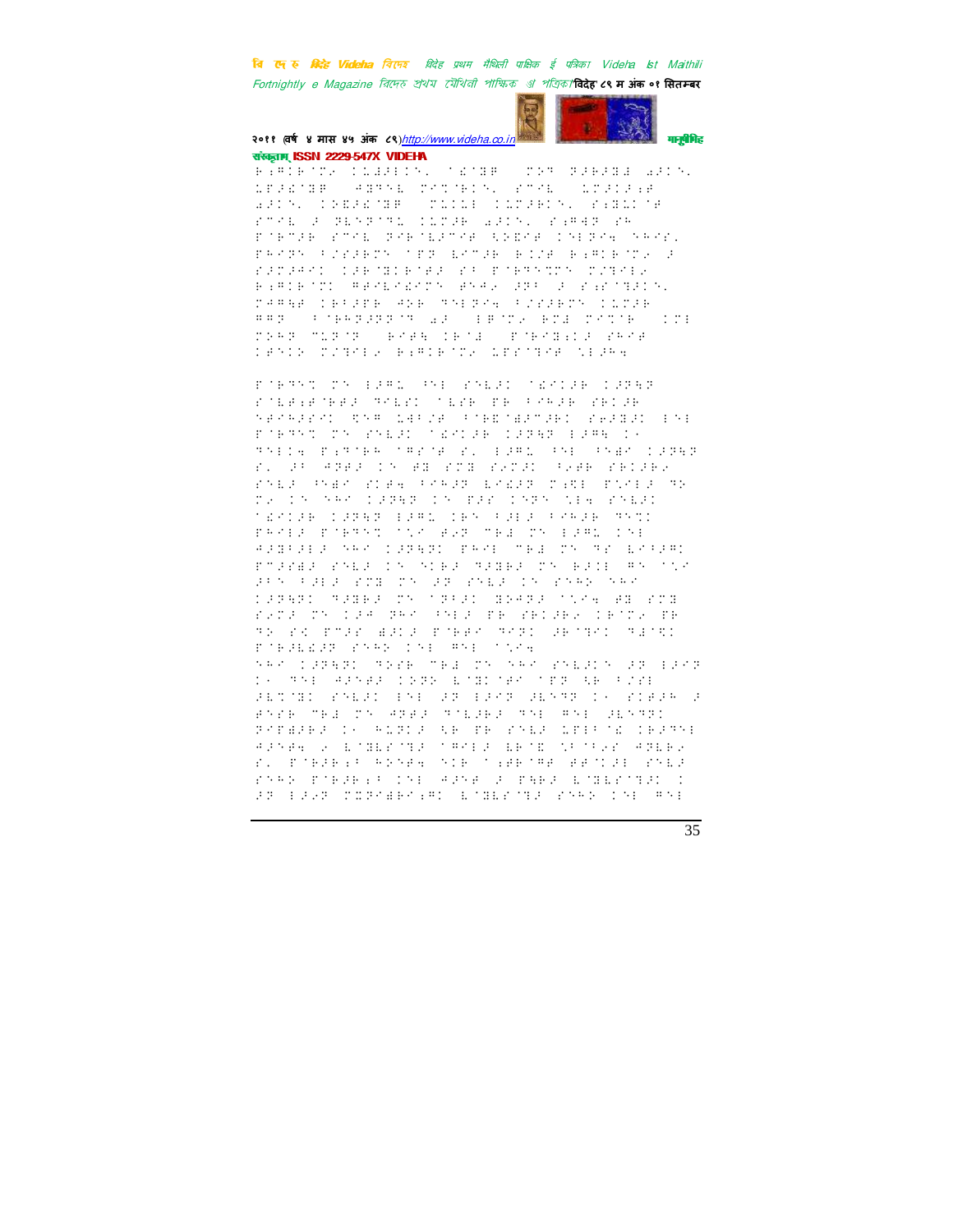चि एत् रु प्रिन्हेड Videha विएन्ड विदेह प्रथम मैथिली पाक्षिक ई पत्रिका Videha Ist Maithili Fortnightly e Magazine রিদেচ প্রথম মৌথিনী পাক্ষিক *ঙা প*ত্রিকা**'বিदेह' ८९ म अंक ०१ सितम्बर** 

२०११ (वर्ष ४ मास ४५ अंक ८९) http://www.videha.co.i. संस्कृतम् ISSN 2229-547X VIDEHA



**A PRINTED CONFIDENT CONFIRM** CABANE CROTECTS, STREET  $\sim$  1.7  $2.1$   $2.1$   $\pm$   $\beta$ LEGENBER **CONSIGN STATES AND PROPERTY** GRIM CONSTRUCTS .<br>Premi di paspiral cordam adosi pramadi PA ESPECIAL VICTOR COMPORATION AND ESPECIAL DANSAS EARDY POSSEDY TEST ERMSET EDGE ARE POSTS OF TARGE ISLAME AND THE PARTNERS INTER-HAR CONTRACTORS THOUGHT OF BOTH A BOWL CHOOSE OF  $\sim$   $\sim$   $\pm$ posed incorporate seasonal compressors as as Dents conservate exercisco pressante causa

PORTED THE EVEN THE SONEXA CONSTRUCTION POSE PER DER POSSESSION SERVICES CONTRACTOR NAPPARKI RNA 1445 ZA PINADIARTZA LA PADRI 14N1 ESPECIENT PROPERTY CENTURE COOPER LEARN CH  $\mathcal{R}(\mathcal{M},\mathcal{L},\mathcal{A}) = \mathcal{R}(\mathcal{L},\mathcal{R},\mathcal{H}) = \mathcal{L}(\mathcal{M},\mathcal{L},\mathcal{L},\mathcal{L}) = \mathcal{L}(\mathcal{R},\mathcal{L}) = \mathcal{L}(\mathcal{M},\mathcal{L}) = \mathcal{L}(\mathcal{M},\mathcal{L}) = \mathcal{L}(\mathcal{M},\mathcal{L})$ POSTAGE PRACTICE AND POSTAGE  $\left\langle \begin{array}{cc} 1 & 0 & 0 \\ 0 & 0 & 0 \end{array} \right\rangle = \left\langle \begin{array}{cc} 1 & 0 & 0 \\ 0 & 0 & 0 \end{array} \right\rangle + \left\langle \begin{array}{cc} 1 & 0 & 0 \\ 0 & 0 & 0 \end{array} \right\rangle$ TERIAN ISAND BARD ING PARA PROPERTY residuring the second state of the analysis of the state of the Additional New CodeBat Chevrolet Page 2N (Revolutional EMPERED PARTICLE ACRES PREBAILER BRIDE PACTIC SPACE SECTIONS ON SERVICE CONTRACTOR 198481 SPABER TV TRERI BIARR TIMA RB POS rana ny taona mandritra na ratasa tan'ny ma mos and a move sales of a relevant model sole stand in mained. PORTER ARTICLES AND LONG THAT IT SAN NAME COORDO PORTA TALLON INAMEDIA DO OCORO THE RINE CRANKER IS NOW ESTED THAT TERRITORY CAN and the care as cheese and a season and the care as a season ande med thosepad mobiled mn: en: dinmod: PRESERVITY ALBUM ARTE PRAIR LEFT TE TRAPAS A 2 N 8 4 11 21 11 11 11 12 13 14 25 16 17 18 18 19 19 10 11 12 13 14 15 16 17 al contegerative state in the theat agricult at all real reals of the same range of the second resource ad sava poderaknym spomanoma anko 1930'eni

 $\overline{35}$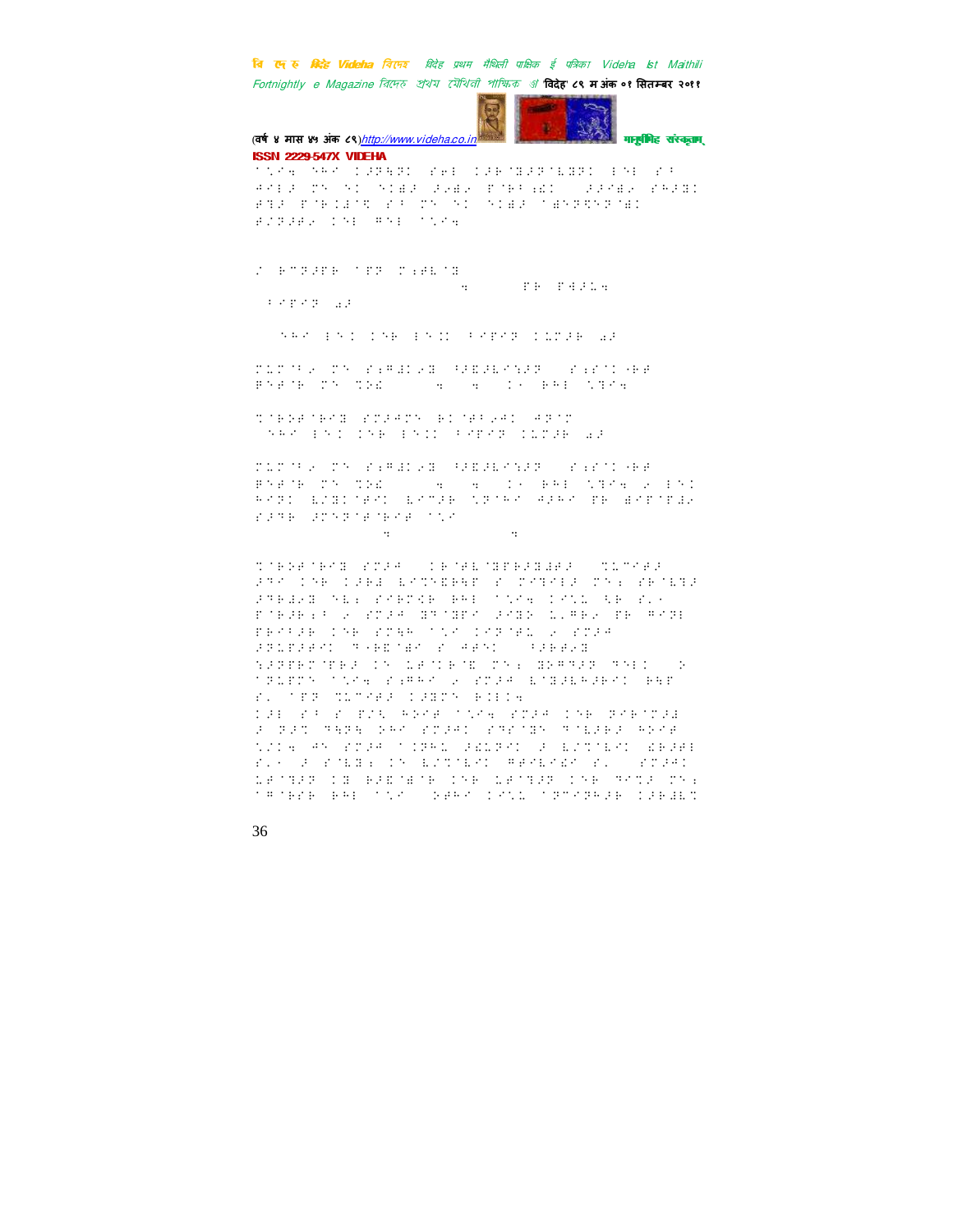चि एक रु मिनेह Videha विएक विदेह प्रथम मैथिली पाक्षिक ई पत्रिका Videha Ist Maithili Fortnightly e Magazine রিদেত প্রথম মৌথিনী পাক্ষিক *প্র* **বিदेह' ८९ म अंक ०१ सितम्बर २०११** 



**ISSN 2229-547X VIDEHA** 

TICK A CIRCUIT DOMESTIC YARD COOR COORDINATION PROVIDE A callent in the notable space and the second present ana meliang an on si siaa nasadsana: BOBBER 1941 #941 TOPE

THE TRAPE OF THE TABLE TO **CERTENSIN**  $\ddot{\mathbf{r}}$ 

**コンティウン 出来** 

SARA END DAR END FREAR DITER WA

CONTRACTOR PERSONE PREPARATION PREPARATIONS Bearing the that is a search of the BAI share

CORRESPONDENCEMENT BOOKFRAAD (ACOD SAR BAILINE BAIL FREED INTER-UP

 $\mathcal{M}_{\mathcal{I}}$ 

popular provinciale abova in spaced engage in language e and the state of the figure of the second terms of the second terms of the second terms of the second terms of the second terms of the second terms of the second terms of the second terms of the second terms of the second parties appealing research to

 $\dddot{\phantom{1}}$ 

dina se nakrali vodele i ili para se na para se ele li ili dina se el dekî bak baka berabbekê û remena raj verbora<br>dekador abi verbora kel have bera baz r television and a design condo inversione sendi PERMITE CONFIDENTIAL CONTINUES IN STAR APLEARN CHARLING ARMS CORPORA NAPPER TREATING DESIGN TO THE CONFINATIONS OF TROPON CONA PRAPAR DE PORA ESTABABARAS PART F. TER STREET FREEM BILLS publication and seventhes and a presented a dan mede bekompan mammas modala episa this allaw compact ideal capital and a commission parael Providence de la provincia de la malera el providencia de la provincia del provincia de la provincia del provincia del provincia del provincia del provincia del provincia del provincia del provincia del provincia del provi be the planning even hands in the close there is the constructions a terara as introduced throughteras as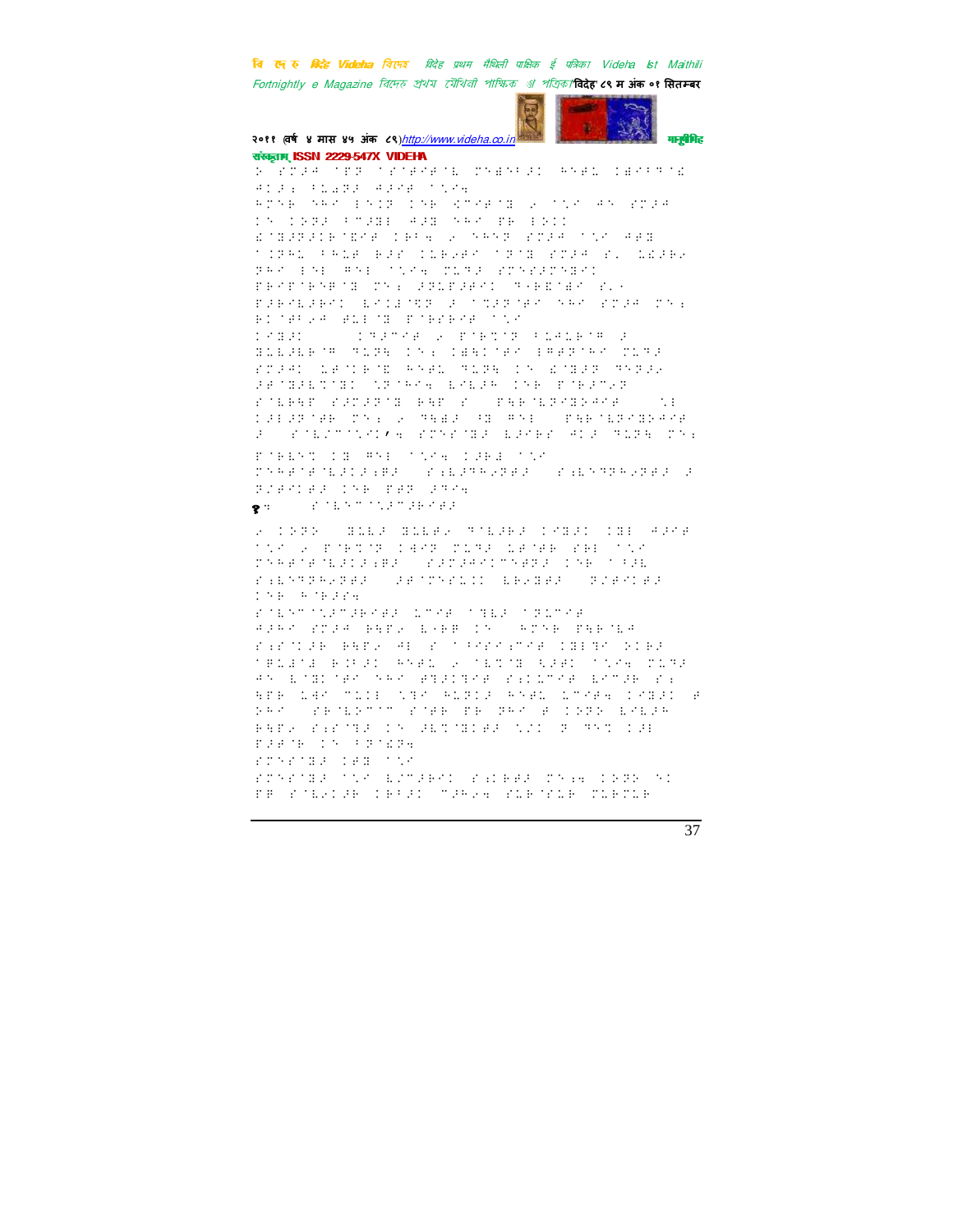चि एत् रु प्रिन्हेड Videha विएन्ड विदेह प्रथम मैथिली पाक्षिक ई पत्रिका Videha Ist Maithili Fortnightly e Magazine রিদেহ প্রথম মৌথিরী পাক্ষিক *ঙা পত্রিকা'* विदेह' ८९ म अंक ०१ सितम्बर

२०११ (वर्ष ४ मास ४५ अंक ८९) http://www.videha.co.i.



संस्कृतम् ISSN 2229-547X VIDEHA a Tebak inga inenekena proeprasi koepingerong abuse specialism and control A DINEY IN A REPORT OF A REPORT OF THE CASE OF A DISPLACE TA TERRI FUZIE ARE ARA PROFESSO a nasasa e nake i besie nu noboa na babilindiki ibea n 1981 (FRIA) eden illevak (nond enda en l'illedak TRANSPORT PRESIDENT CONTROL STREAM PRO rekriesens ms. Daardekt moernek kun reaknessed (exception of the sense of the second state ad nativel abside and areas as incl  $\left(1,2,2,2,3,4\right)\rightarrow\left(1,2,2,2,2,2\right)\rightarrow\left(1,4,2,4,2,2\right)\rightarrow\left(2,4,2,4,2,4\right)\rightarrow\left(2,4,4,2,4,2\right)\rightarrow\left(2,4,4,4,4\right)\rightarrow\left(2,4,4,4,4\right)\rightarrow\left(2,4,4,4\right)\rightarrow\left(2,4,4\right)\rightarrow\left(2,4,4\right)\rightarrow\left(2,4,4\right)\rightarrow\left(2,4\right)\rightarrow\left(2,4\right)\rightarrow\left(2,4\right)\rightarrow\left(2,4\right)\rightarrow\left(2,4\right$ 19709100 dialeas de calde (1931) paes des caledos sociales a proved in the first proved in the term of the context in the operation as to a contour on the second second second second a POSEBE POSTAGIO EST PO PER GERMANA DO CE 

FOREST CHORNE CONNECTIFIED ON CONFIDENTIAL CALIFORNIA CONTINUES AND INVESTIGATION SCREED AND THE STREET  $\bullet$   $\bullet$ **Canadian Standarda** 

S CORPO CONES BOBAS POBSAS CRESCO DEL ASPA nick is in record operations we have shell in the CORRESPONDED A BASIC VIOLENCE TO ARREST OR RESISTANCE PALMERANES CORPORATION LEARNES CONFIDER  $1.546 - 5.74334$ a resonance no especialmente a mareca intercene APAK YORK BADY EVER IN TACKE THE ME analysis and provided and the concentration and concentration mediana e propriemedino inacimal poedininho e indiro A NO EST BOSTARY CONFIDENTIAL AND CONVARING MORE CAN are terminate through estate energy annoyed through a The submitted energy and the contract and the submitted of the submitted of the submitted of the submitted of the submitted of the submitted of the submitted of the submitted of the submitted of the submitted of the submit  $\mathcal{N}(\Omega,\mathcal{M})$ elembal anam music basic permitted education of the manufacture reach in Friends PERMIT DATE TO advanced in the second end satelled substance of the site of TE SANDAR DEPART TARRE SOPIEDE TOBILE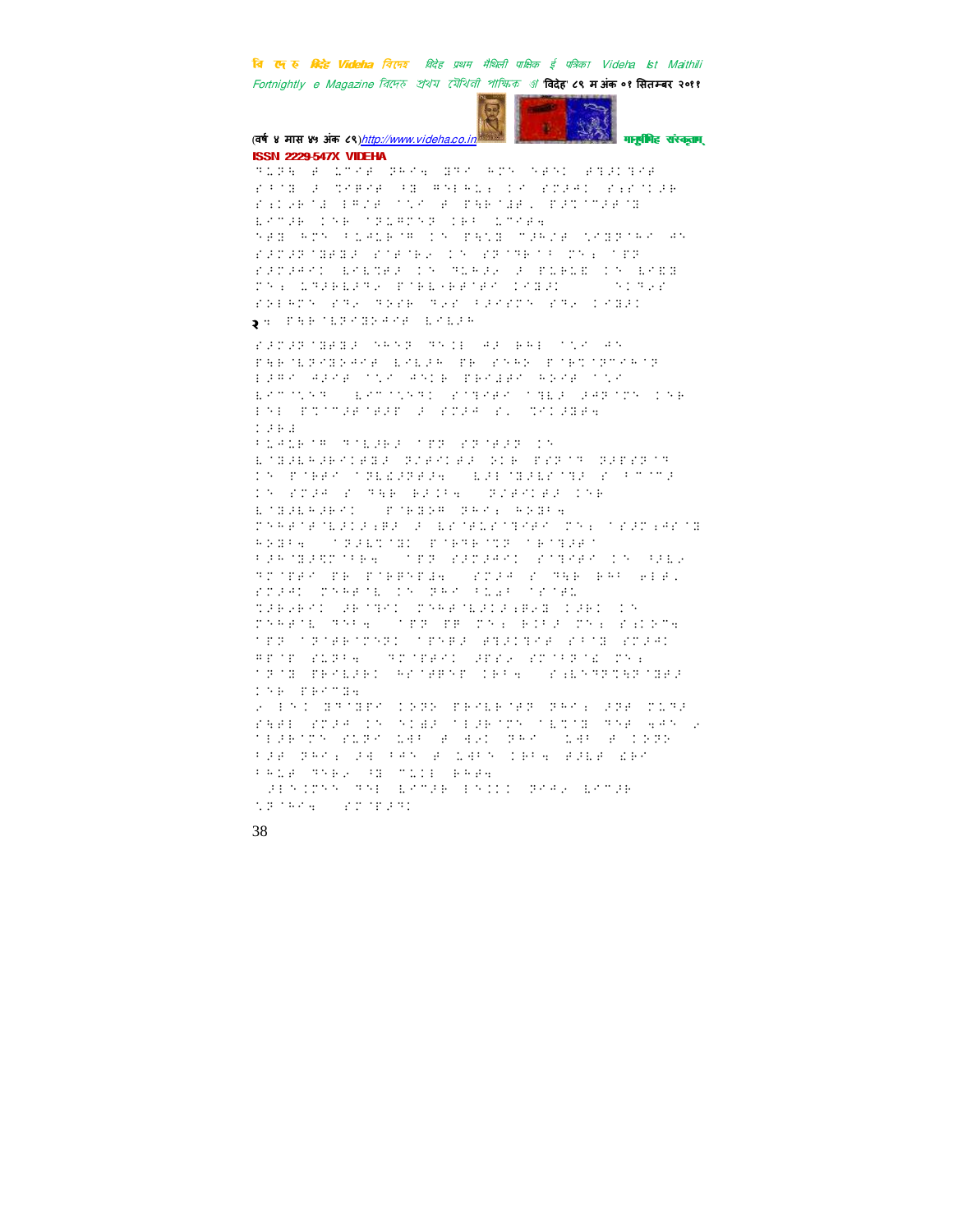बि एक रु मिन्हे Videha विरफ्श विदेह प्रथम मैथिली पाक्षिक ई पत्रिका Videha Ist Maithili Fortnightly e Magazine রিদেত শ্রথম মৌথিনী পাক্ষিক প্র' **বিदेह' ८९ म अंक ०१ सितम्बर २०११** 



(वर्ष ४ मास ४५ अंक ८९)http://www.videha.co.ii

**ISSN 2229-547X VIDEHA** PLPA a longe pera dres engel sample additiona é poverna la Avelinion le careenae Liabornoe na ERMORE CAR MODERNO CRESCOMARE NAS PROVINCIAS PROCESS EAGS (MARINA CASSARA) AN a dibididade do analias, con cadinae na cibra chad. adrženi instal in miele z rielic in inst<br>rna imzelzne rmelkemen inszi ROBERTS REPORTED TO A SECOND PORT OF THE STREET

**A** H. FAR TERMINAME (EMERA)

RESERVABLE CARAB CAN DECLAR DE RECONOCIAN THE MORTON PART OR AN ART TO TAKE A THAT TO TAKE TO 主要用的 网络的第三人称单三种的复数 的复数医静脉 医克罗斯氏反应的 ERM MARKET ERM MARKET STRAKE IN BEAUTORPINE IN B ENE ESTRAPAREN ANGELIAN INSIABAN 1,24,45

FORDER PROPERTY AND CONTRACTOR E TORAE RABIKIT A ORT PORT A RIT DO BIT BOAT TA TARBOATA  $\mathbb{E}[\mathcal{H}]\cap\mathbb{E}[\mathcal{H}]\mathbb{E}[\mathcal{H}]\cap\mathbb{E}[\mathcal{H}]\mathbb{E}[\mathcal{H}]\mathbb{E}[\mathcal{H}]\cap\mathbb{E}[\mathcal{H}]\cap\mathbb{E}[\mathcal{H}]\mathbb{E}[\mathcal{H}]\cap\mathbb{E}[\mathcal{H}]\cap\mathbb{E}[\mathcal{H}]\cap\mathbb{E}[\mathcal{H}]\cap\mathbb{E}[\mathcal{H}]\cap\mathbb{E}[\mathcal{H}]\cap\mathbb{E}[\mathcal{H}]\cap\mathbb{E}[\mathcal{H}]\cap\mathbb{$  $\mathbb{E}\left[\mathcal{H}^{\mathcal{A}}\left(\mathcal{L}^{\mathcal{A}}\mathcal{L}^{\mathcal{A}}\right)\right] \leq \mathcal{E}^{\mathcal{A}}\left(\mathcal{L}^{\mathcal{A}}\mathcal{L}^{\mathcal{A}}\right) + \mathcal{E}^{\mathcal{A}}\left(\mathcal{L}^{\mathcal{A}}\mathcal{L}^{\mathcal{A}}\right) \leq \mathcal{E}^{\mathcal{A}}\left(\mathcal{L}^{\mathcal{A}}\mathcal{L}^{\mathcal{A}}\right) + \mathcal{E}^{\mathcal{A}}\left(\mathcal{L}^{\mathcal{A$ ESSERIARENT CONSERBAR DANNE ADERA provincia de la partidade a contra el antigo de la contra del composto de la contra el contra del composto de A SOFA CON PUEDIO DO CONTEMENTO CON PORTAR O FOR DEART TERRITORIES (VOLVARIS) VICENTARIS (1751-1744) da elverar i la el marcollon de la capaca el el al el esporto di di deens meer in het de land eine voorstellen TER TRANSPORT TENER BERGER PRETEDENT PECE VOIPER CORPORATIONERS VOICERING TO TO CONFIDENT CAPTABLE IN FACTOR HER TO BOTTLE TAB SPECTER STEP 1 STREET CORP. FERE NE THE PROVINCE CORP. nda deservação e estado a comença per a cadeira e aper FALE THEY SECTION EARS SERVICES TRANSLER TO ESSINOPERATORS SECRET PROPERTY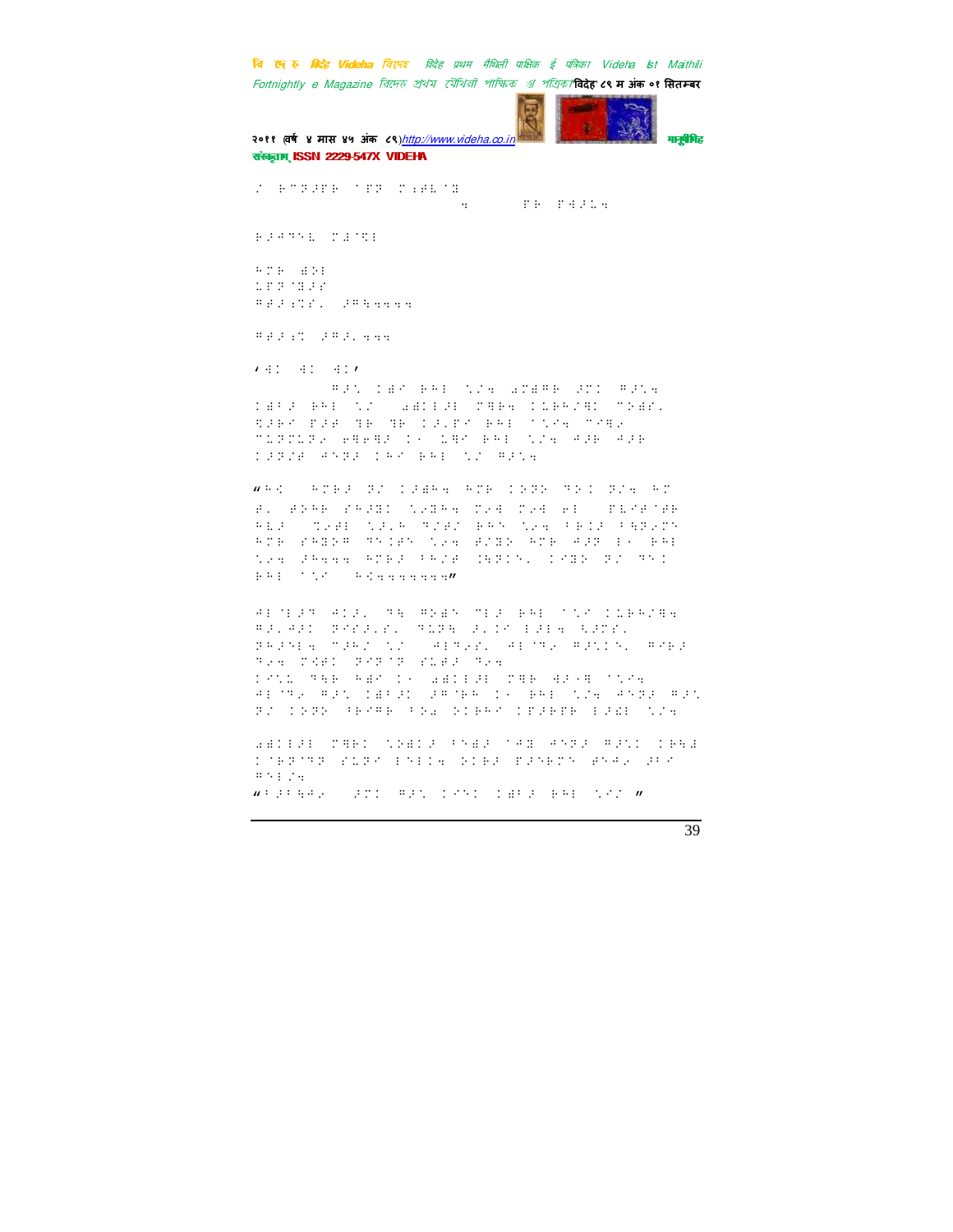बि एक स्टेट Videha विएक विदेह प्रथम मैथिली पाक्षिक ई पत्रिका Videha Ist Maithili Fortnightly e Magazine রিদেহ প্রথম মৌথিনী পাক্ষিক প্রা পত্রিকা**'বিदेह' ८९ म अंक ०१ सितम्बर** 

२०११ (वर्ष ४ मास ४५ अंक ८९) http://www.videha.co संस्कृतम् ISSN 2229-547X VIDEHA

**CONTRACTOR** मनुबैमिह

CORTESER TERMINENTS **STEPHERN**  $\ddot{\phantom{1}}$  :

**BURNE TEMPE** 

开工的工业公司 presenta **PROVINCIAL ORDERATOR** 

 $\sqrt{41} = 41 = 410$ 

TRANSPORT PRESSURE STARF ATTICRATE THE POST RESIDENCE IN THE POST OF THE POST OF THE POST OF THE POST OF THE POST OF THE POST OF THE POST OF THE POST OF THE POST OF THE POST OF THE POST OF THE POST OF THE POST OF THE POST OF THE POST OF THE POST OF THE POST STARK PARTIES TRICATES REPORTED THE middings agage is the most as the state state 198814 4583 1987 494 512 5214

WAR CATES BI LEBA ATE LODD TO BIR AT al aber resain toget coa coa al caracare town dealer executed in text (1991) of the second in 电电子 计内容  $\mathcal{L}^{\mathcal{L}}(\mathcal{L}^{\mathcal{L}}(\mathcal{L}^{\mathcal{L}}(\mathcal{L}^{\mathcal{L}}(\mathcal{L}^{\mathcal{L}}(\mathcal{L}^{\mathcal{L}}(\mathcal{L}^{\mathcal{L}}(\mathcal{L}^{\mathcal{L}}(\mathcal{L}^{\mathcal{L}}))))))$ 

are traded about the conservation and conservation and response # 21 421 | # 422121 | #1245 | 21 14 | E2E & | K2D21 | departs in the state of the second state of the second second second TERRITORI PRETEINDRUTTER reno das escores asianos pas aplas nova ABSTRUCTURE CHARGE CARDER CONTERES CONTRACTORES SC 1939 (FRYBR FDG DIRBY ISSEER FORE CON-

Garage read thanged shad cas and agor agor rang conservation back and social conservation and conservation of the conservation of the conservation of the conservation of the conservation of the conservation of the conservation of the conservation of the conservation of  $\sigma \sim \frac{1}{2} \left( \frac{1}{2} \right) \frac{1}{2}$  .

 $\mathbf{w}$  and  $\mathbf{w}$  are a simple subsequent of the set of the set of the set of the set of the set of the set of the set of the set of the set of the set of the set of the set of the set of the set of the set of the set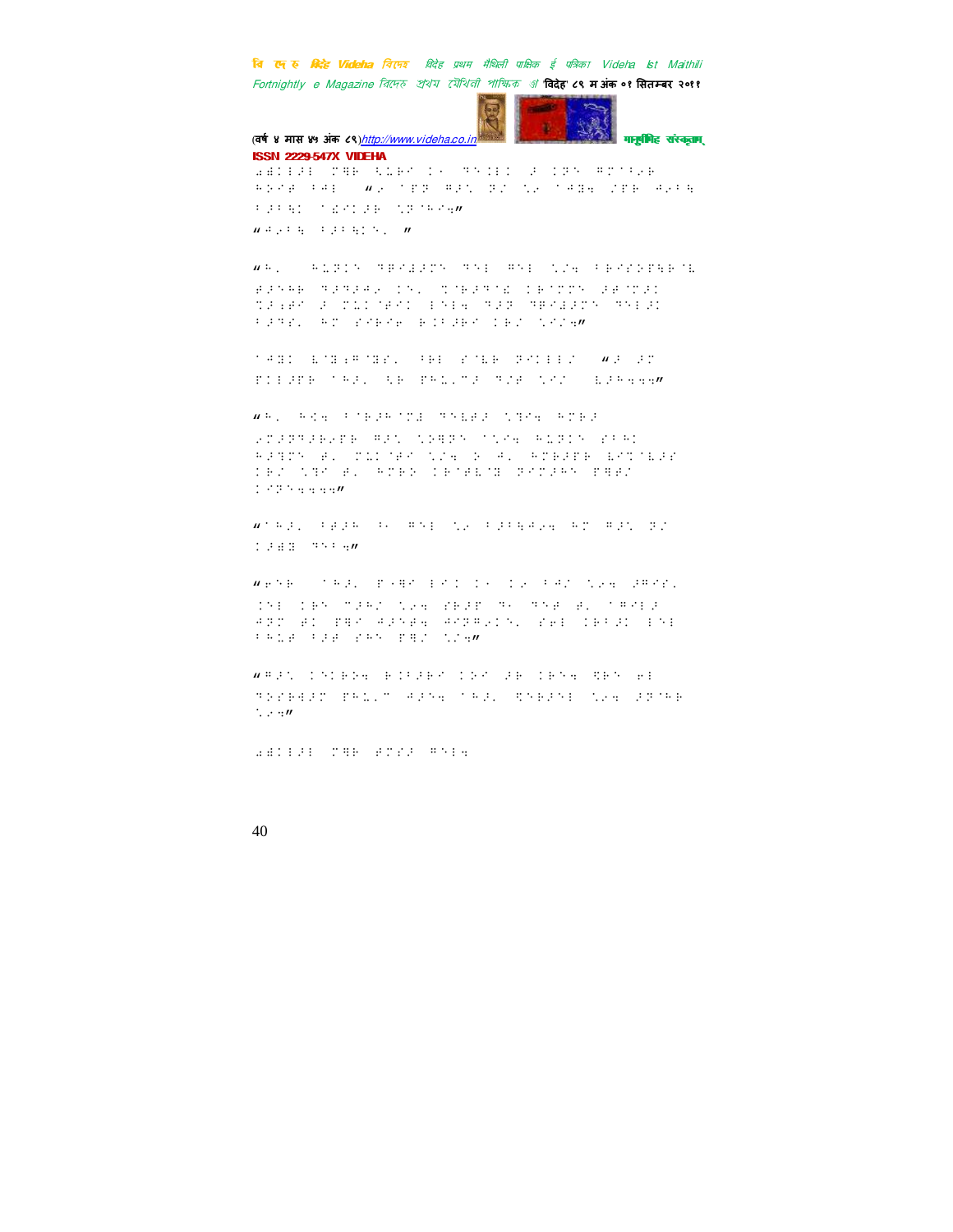बि एक स्टेड Videha विएक विदेह प्रथम मैथिली पाक्षिक ई पत्रिका Videha Ist Maithili Fortnightly e Magazine রিদেত প্রথম মৌথিনী পাক্ষিক *প্র* **বিदेह' ८९ म अंक ०१ सितम्बर २०११** 

**Service** 



WAITERFORM ALEXAND PRINT ROOPS PUTTER ASPAR FAIL (We completel be sub-companied agent  $\left(1,2,3,4,1\right) = \left(1,2,3,1,2,4\right) = \left(1,2,3,4,3,4\right)$  $\mathbf{w}^{(1,2)} \mathbf{y}^{(1,2)} \mathbf{y}^{(1,2)} \mathbf{y}^{(1,2)} \mathbf{y}^{(1,2)} \mathbf{y}^{(1,2)} \mathbf{y}^{(1,2)} \mathbf{y}^{(1,2)} \mathbf{y}^{(1,2)}$ 

well endors modern mas well the constants of FOREST PERSONAL POPPER DESCRIPTION

TRED ENERGY TEACHER TEACHER TO WALLED TIERTE TARI AF TALIME MIR NYE (ERANNA

well edge the second condes there ended STREPRESES PROTOBERS TORES PLEDS YOUR APPEAL BUT TEST RESIDENCE THE TACHER PERMITERS TEZ STROED POPER TENENCE PROPER TEED  $1.733\pm0.005$   $\mu$ 

 $\mathbf{w}^{(n)}\mathbf{h}^{(n)}\mathbf{f}^{(n)}\mathbf{f}^{(n)}\mathbf{f}^{(n)}\mathbf{f}^{(n)}\mathbf{f}^{(n)}\mathbf{f}^{(n)}\mathbf{f}^{(n)}\mathbf{f}^{(n)}\mathbf{f}^{(n)}\mathbf{f}^{(n)}\mathbf{f}^{(n)}\mathbf{f}^{(n)}\mathbf{f}^{(n)}\mathbf{f}^{(n)}\mathbf{f}^{(n)}\mathbf{f}^{(n)}\mathbf{f}^{(n)}\mathbf{f}^{(n)}\mathbf{f}^{(n)}\mathbf{f}^{(n)}$ 

家庭の新しいの事は、「自分事件」までは、このことが「自身」になること事件的。 THE TEN TRACTICAL PERSONS THREE PLOTECER Add at the same and added to the teachers 中央公司 中国語 全中国 中用的 人名西亚

WRITE CONTROL RISERVIEW CONTROL CROSS CREATER deparatur range areas captures proposal nova contra a  $\mathbb{Q} \times \mathbb{Q}$  is

GALLER THE PIRE PAIR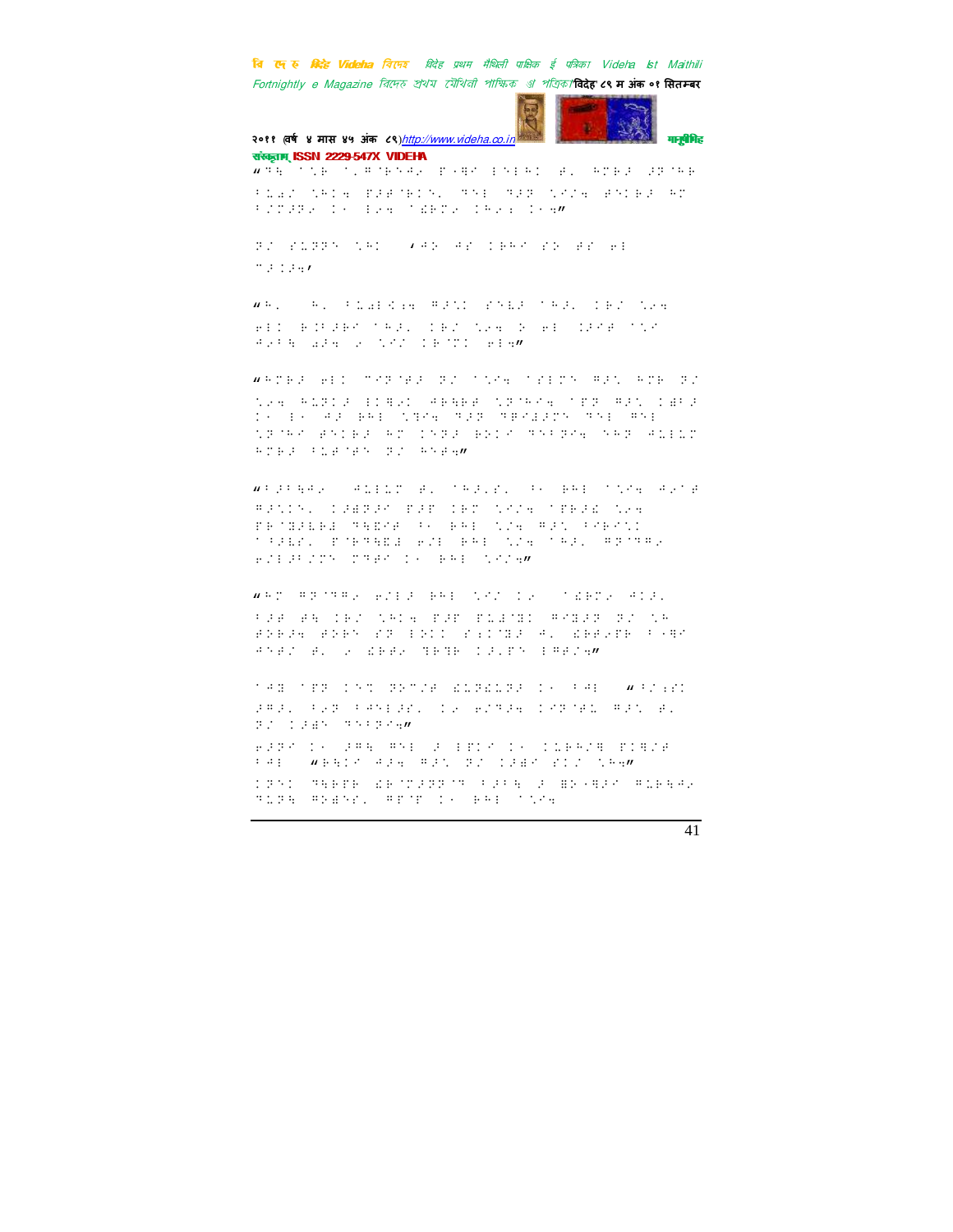चि एक रु मिनेह Videha विएक विदेह प्रथम मैथिली पाक्षिक ई पत्रिका Videha Ist Maithili Fortnightly e Magazine রিদেত প্রথম মেথিনী পাক্ষিক প্রা পত্রিকা**'বিदेह' ८९ म अंक ०१ सितम्बर** 



संस्कृतम् ISSN 2229-547X VIDEHA  $\mathbf{w}^{(n)}\mathbf{h}^{(n)}\mathbf{v}^{(n)}\mathbf{h}^{(n)}\mathbf{h}^{(n)}\mathbf{v}^{(n)}\mathbf{v}^{(n)}\mathbf{v}^{(n)}\mathbf{v}^{(n)}\mathbf{v}^{(n)}\mathbf{v}^{(n)}\mathbf{v}^{(n)}\mathbf{v}^{(n)}\mathbf{v}^{(n)}\mathbf{v}^{(n)}\mathbf{v}^{(n)}\mathbf{v}^{(n)}\mathbf{v}^{(n)}\mathbf{v}^{(n)}\mathbf{v}^{(n)}\mathbf{v}^{(n)}\mathbf{v}^{(n)}$ 

FILED CRIST BOBB NEINS CRNE CRAB CONDUCTED FOR CRD. FILTING IS THE TERM CONSTRUCTION

BU PERBANGAN CARD AN IPP SERVICE PROPER  $27.32347$ 

第492 日 492 日本公司 494 年度公司 (金字123 日本法) (1992) 公司会 BED BORDER TRACTIBLY NAMED BE CORRECTED Australia Barnus (NRV) (1970), Sedam

website and modified directions in an book was separated tive estata arabic esesa transve nad earlicada The East Automatic Change music mensions which must tera de la siguien de la tera desidad des pays de poder la prim  $\mathcal{H}(\mathcal{V},\mathcal{V},\mathcal{F})=\mathcal{V}(\mathcal{V},\mathcal{V},\mathcal{V},\mathcal{V})=\mathcal{V}(\mathcal{V},\mathcal{V},\mathcal{V},\mathcal{V},\mathcal{V},\mathcal{V},\mathcal{V})$ 

 $\mathbf{w} \in \mathbb{R}^{d} \times \mathbb{R}^{d} \times \mathbb{R}^{d} \times \mathbb{R}^{d} \times \mathbb{R}^{d} \times \mathbb{R}^{d} \times \mathbb{R}^{d} \times \mathbb{R}^{d} \times \mathbb{R}^{d} \times \mathbb{R}^{d} \times \mathbb{R}^{d} \times \mathbb{R}^{d} \times \mathbb{R}^{d} \times \mathbb{R}^{d} \times \mathbb{R}^{d} \times \mathbb{R}^{d} \times \mathbb{R}^{d} \times \mathbb{R}^{d} \times \mathbb{R}^{d} \times \mathbb$ RANING CABAAN PAP CED NYOR TPEAR NAR  $\begin{split} \mathbf{P}(\Phi)^{\mathsf{T}}\mathbf{B}(\mathcal{S},\mathbf{E},\mathbf{E},\mathbf{E}) &= \mathbf{P}(\Phi(\mathbf{E},\mathcal{S},\mathbf{E})) = \mathbf{P}(\Phi(\mathbf{E}) - \mathbf{V}_0(\mathcal{S},\mathbf{E}) - \mathbf{P}(\mathcal{S},\mathbf{E})) = \mathbf{P}(\Phi(\mathcal{S},\mathbf{E})) \\ \mathbf{P}(\Phi(\mathbf{E},\mathbf{E},\mathbf{E})) &= \mathbf{P}(\Phi(\mathbf{E},\mathbf{E},\mathbf{E})) = \mathbf{P}(\Phi(\mathbf{E}$ 

 $\mathbf{w}^{(L)} \mathbf{U}^{(L)} = \mathbf{U}^{(L)} \mathbf{U}^{(L)} \mathbf{U}^{(L)} + \mathbf{U}^{(L)} \mathbf{U}^{(L)} + \mathbf{U}^{(L)} \mathbf{U}^{(L)} + \mathbf{U}^{(L)} \mathbf{U}^{(L)} + \mathbf{U}^{(L)} \mathbf{U}^{(L)} + \mathbf{U}^{(L)} \mathbf{U}^{(L)} + \mathbf{U}^{(L)} \mathbf{U}^{(L)} + \mathbf{U}^{(L)} \mathbf{U}^{(L)} + \mathbf{U}^{(L)} \mathbf{U}^{(L)} +$ ANAV AL DE BEAU NEME COUPN EMPLOY

THE TERM INTORNEYS WIRELESS IN THE UNRESSEN SPECIAL PROPERTY CONTROL CONTROL PROTECT But it saw investigate. BARY IN APRILRY A BELY IN INFRAR ELECT WEELS ARE RENORMED FROM NEW 中央的人 Side Spanel Server in Basic time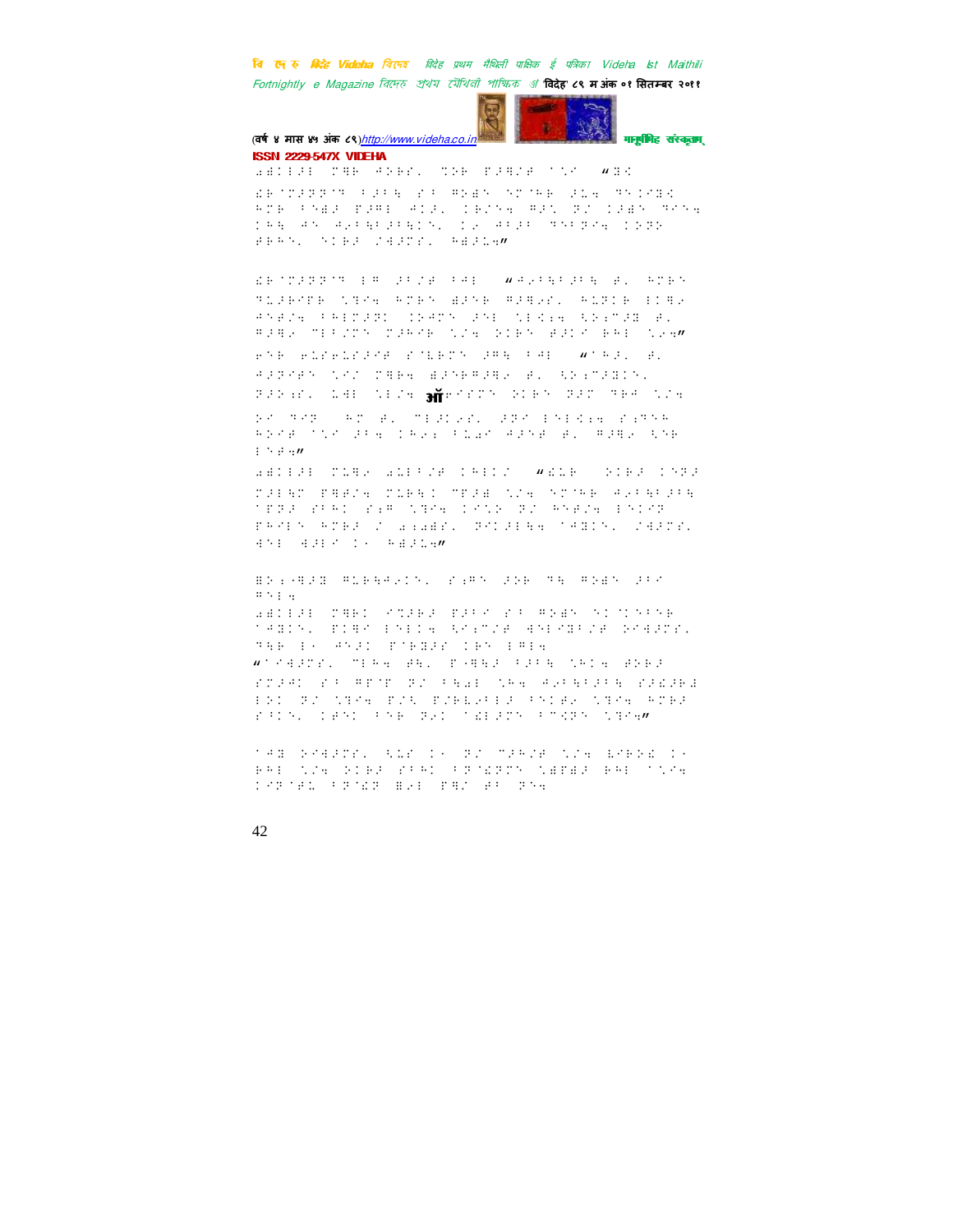चि एक रु मिनेह Videha विएक विदेह प्रथम मैथिली पाक्षिक ई पत्रिका Videha Ist Maithili Fortnightly e Magazine রিদেত প্রথম মৌথিনী পাক্ষিক *প্র* **বিदेह' ८९ म अंक ०१ सितम्बर २०११** 



(वर्ष ४ मास ४५ अंक ८९)http://www.videha.co.ir **ISSN 2229-547X VIDEHA** 

SACTOR CREP ANDRE CREPTOR CONTRACT WE STARP TRIP ARE SIZE RESEAS AT THE CALL CRAINER. "我是我们我的最近,都是我的一种的话,但是我的每一种话的。我这一的话最好,你还的每  $\left\{F\in\mathbb{R}^{n}\times\mathbb{R}^{n}\times\mathbb{R}^{n}\times\mathbb{R}^{n}\times\mathbb{R}^{n}\times\mathbb{R}^{n}\times\mathbb{R}^{n}\times\mathbb{R}^{n}\times\mathbb{R}^{n}\times\mathbb{R}^{n}\times\mathbb{R}^{n}\right\}$ 

WE CONSIDER THE DECKE FAIL OWNERS AF A CALCED AT MISPATE CONSE ATEN BONE MONDON, ALDIE BING ANADA PREDIDENTISADNI INE NEKER NORTIGE ALI #2#2 mitch comments the star additional time

ENE PERSENTAT PROBETT DAN TAIL (WORLD B) Additional transformation and the second state of the second state of the second state of the second state of the second state of the second state of the second state of the second state of the second state of the second s PRESENT DAILY NEWS STRATEGIC PRESS PRESS TRACTATION

 $\vdots$   $\vdots$   $\vdots$   $\vdots$   $\vdots$ 

WHITEPE CONFIDENTIALS CARD OF WHIP CONTROL INTERmas em la serve il more si umana all'intre l'intrinsi l'elevazione della  $\begin{split} &\mathcal{L}(\theta,\mathcal{L}(\theta,\mathcal{L}(\theta,\mathcal{L}(\theta,\mathcal{L})))\mathcal{L}^{\mathcal{L}}(\mathcal{L}(\theta,\mathcal{L}(\mathcal{L}(\theta,\mathcal{L}(\theta,\mathcal{L}(\theta,\mathcal{L}(\theta,\mathcal{L}(\theta,\mathcal{L}(\theta,\mathcal{L}(\theta,\mathcal{L}(\theta,\mathcal{L}(\theta,\mathcal{L}(\theta,\mathcal{L}(\theta,\mathcal{L}(\theta,\mathcal{L}(\theta,\mathcal{L}(\theta,\mathcal{L}(\theta,\mathcal{L}(\theta,\mathcal{L}(\theta,\mathcal{L}(\theta,\mathcal{$ 

BS PRESS PLEASURE PRODUCED PROPERTY  $\{0,1,1,1\}$  . Garage chapt which are working a series to the TREDS, PECHA ESEDA SAVANZA RESERVA DARADOS, Hable ( ) and ( ) remark ( ) by ( ) will WORRENT CONFIDENTIAL CONTRACT PERMIT CROWDER and account to the resource and the second contract and accounts BOIL PLANTER TILL TIBELE DA PALEK ANTER PITER RADAL CRAD AND BALL TRESTN ATTRENTIONAL

med presenciator in supplemental transmission BAB (1988) STBA (2006) (0000205) Namal BAB (1998) TRENEL PENDENBURG PROVER SPAR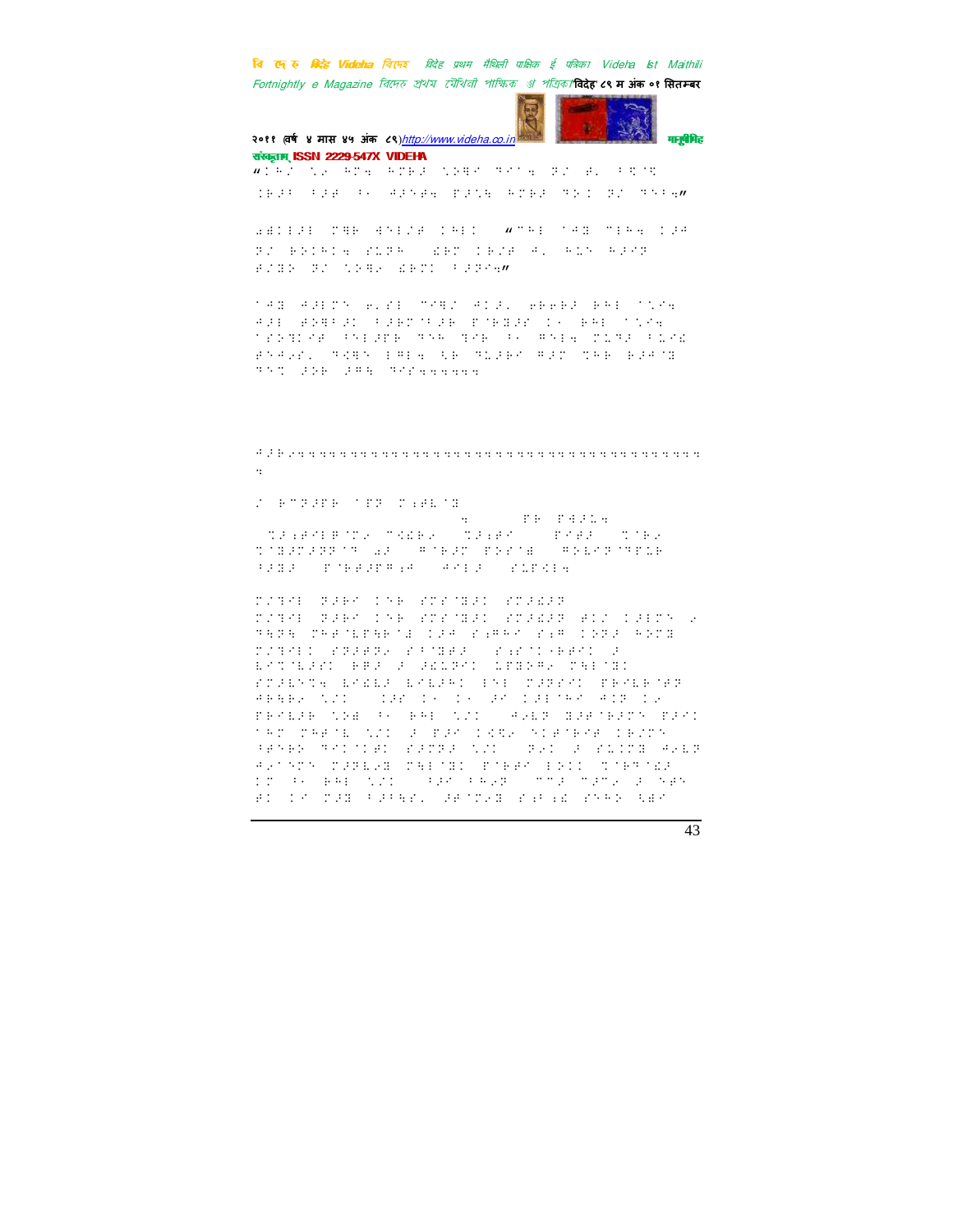चि एक रु मिनेह Videha विएक विदेह प्रथम मैथिली पाक्षिक ई पत्रिका Videha Ist Maithili Fortnightly e Magazine রিদেত শ্রথম মেথিনী পাক্ষিক প্রা পত্রিকা**'বিदेह' ८९ म अंक ०१ सितम्बर** 



SACEDE THE ANEXA CAED ( WTAE TAB TEAM COA TO PAIRING PLAN SERVICE CROSS RIVERS ROBS BO CORD EACH FORCE

THE RAIDS EVER THE SALE OF A SALE REPORT OF A STATE ie de l'independant le dibertier de l'internationale de la proposition de le proposition de la proposition de<br>La participation de la partie de la partie de la proposition de la participation de la partie de la partie de  $\frac{1}{2} \left( 2 \left( 2 \left( 2 \right) \right) \right) \left( 2 \left( 2 \left( 2 \right) \right) \right) \left( 2 \left( 2 \right) \right) \left( 2 \left( 2 \right) \right) \left( 2 \left( 2 \right) \right) \left( 2 \left( 2 \right) \right) \left( 2 \left( 2 \right) \right) \left( 2 \left( 2 \right) \right) \left( 2 \right) \left( 2 \left( 2 \right) \right) \left( 2 \right) \left( 2 \right) \left( 2 \right) \left( 2 \right) \left( 2 \right) \left( 2$ HAT SAR SPREAMERSHEET

#### $\mathcal{A}$  . A let a denote a denote a denote a denote a denote a denote a denote a denote a  $\mathcal{M}_{\mathrm{eff}}$

 $\mathcal{F} = \mathbb{R} \left[ \mathcal{F} \left( \mathcal{F} \right) \mathcal{F} \right] \mathbb{R} \left[ \mathcal{F} \right] \left[ \mathcal{F} \right] \mathbb{R} \left[ \mathcal{F} \right] \mathbb{R} \left[ \mathcal{F} \right] \mathbb{R} \left[ \mathcal{F} \right] \mathbb{R} \left[ \mathcal{F} \right] \mathbb{R} \left[ \mathcal{F} \right] \mathbb{R} \left[ \mathcal{F} \right] \mathbb{R} \left[ \mathcal{F} \right] \mathbb{R} \left[ \mathcal{F} \right] \mathbb$ **STEPHERMS Pressure** i da seka e touri naseuri i da seki i i i arkea i i diteu.<br>Sitaabaan thi uar i i e teabiliana te i i e beura tha se dinastissen millas i l'enescriptorina. FREE CONFIRMENT PRESS PARTIES.

CONFIDENTIAL CONFIDENTIAL CONTRACT PUBRE DOBRET EN BERTRIKE FROGRADE BEZEICHENEN PAPA TRENERANTE CAP PAPAC PAP CORR PODE portion of a development of a grant of a constant of experience. ERCOMPANY (FRA) A CABLERY CORRERA CONFINE KORENDA EKKER EKERA IRAB ORREKO BARKEARA  $\theta\in\Theta(\theta,\rho)\cap\mathbb{C}[\mathbb{Z}[\mathbb{Z}[\mathbb{Z}[\mathbb{Z}[\mathbb{Z}[\mathbb{Z}[\mathbb{Z}[\mathbb{Z}[\mathbb{Z}[\mathbb{Z}[\mathbb{Z}[\mathbb{Z}[\mathbb{Z}[\mathbb{Z}[\mathbb{Z}[\mathbb{Z}[\mathbb{Z}[\mathbb{Z}[\mathbb{Z}[\mathbb{Z}[\mathbb{Z}[\mathbb{Z}[\mathbb{Z}[\mathbb{Z}[\mathbb{Z}[\mathbb{Z}[\mathbb{Z}[\mathbb{Z}[\mathbb{Z}[\mathbb{Z}[\mathbb{Z}[\mathbb{Z}[\mathbb{Z}[\mathbb{$ mekanika (1941) PR (1994) (1911) (PRALIP (1994) PAIDS (1997) THE CHARTER COLLAPSE CONSUMING A REPORT OF CON-PANES PRINTED PATROL NOT TRACTOR PIDED PARR  $\frac{1}{2}\left(2\pi\left(2\pi\left(2\pi\right)+\frac{1}{2}\right)\left(2\pi\left(2\pi\right)+\frac{1}{2}\right)\left(2\pi\left(2\pi\right)+\frac{1}{2}\right)\left(2\pi\left(2\pi\right)+\frac{1}{2}\right)\left(2\pi\left(2\pi\right)+\frac{1}{2}\right)\left(2\pi\left(2\pi\right)+\frac{1}{2}\right)\left(2\pi\left(2\pi\right)+\frac{1}{2}\right)\left(2\pi\left(2\pi\right)+\frac{1}{2}\right)\left(2\pi\left(2\pi\right)+\frac{1}{2}\right)\$ ad die maar kakendiga maar nie en nokkel kak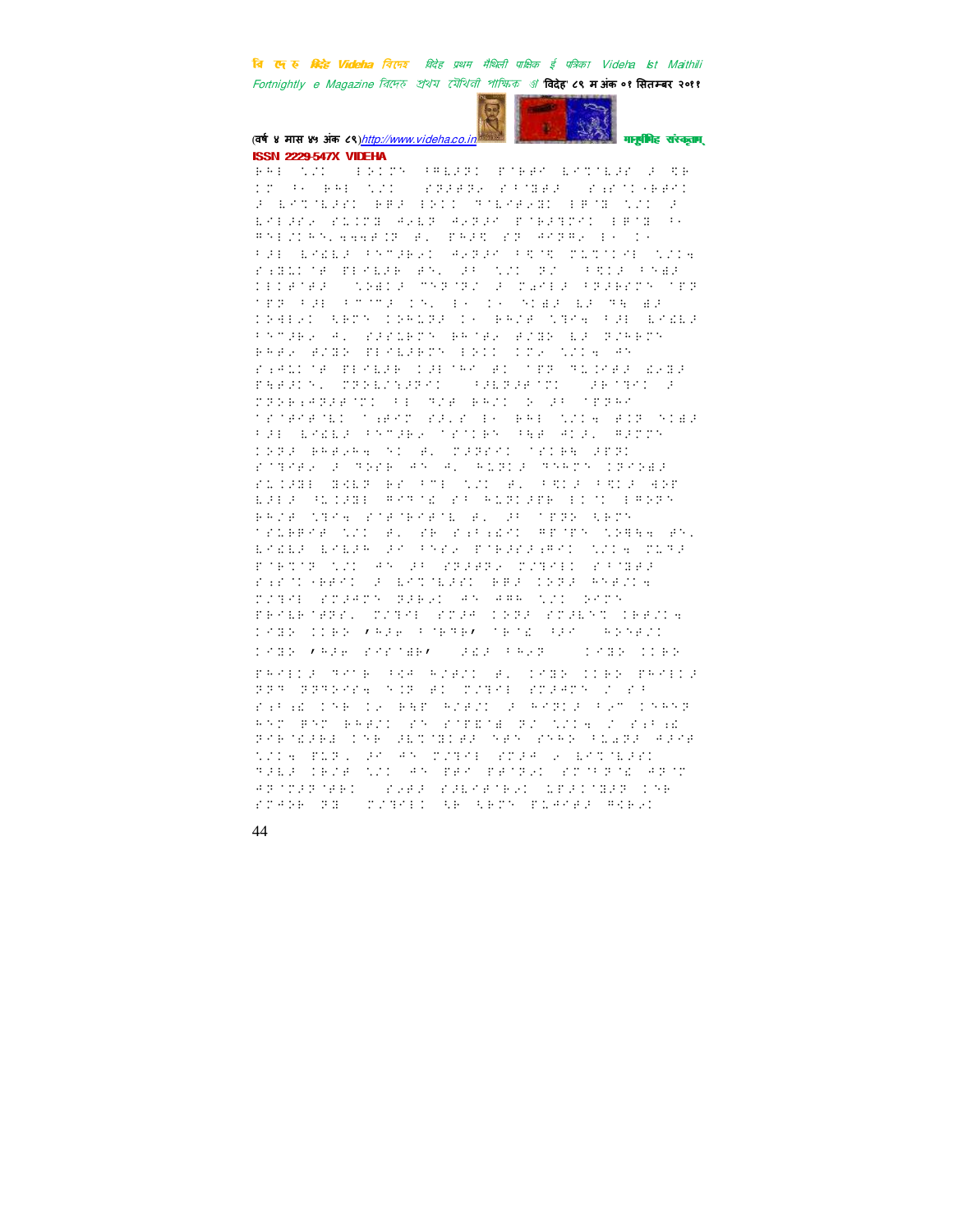बि एक रु मिन्हे Videha विरफ्श विदेह प्रथम मैथिली पाक्षिक ई पत्रिका Videha Ist Maithili Fortnightly e Magazine রিদেত শ্রথম মৌথিনী পাক্ষিক প্র' **বিदेह' ८९ म अंक ०१ सितम्बर २०११** 

(वर्ष ४ मास ४५ अंक ८९)http://www.videha.co.ii **ISSN 2229-547X VIDEHA** 



BAB (NOT) (BOIDS (FREAD) BOBBS ESTIMATIVE AT TE the second state and advance and the second second a sentream esa solo mierale si sensibilità ERIANA VIITO AREA ARABA INTERNITA (EPTO)  $\sim$  100  $\sim$ RNESS RN, RARBERT BL. (PROP. 20. PROP.) ER (1) FOR CEREED FATORIC POSSOR FERENCES (1997) NOTE Prediction of Partners and Constitution of the Constant Theater medical compared (Foureror Ted 1313737 ned (Al Camina college de Messiae 14)<br>1944-1950 Abro 1941-205 (Al Baza Name 10) 10-110  $\ell$  with a second constant and several sections a second constant with a second second constant of the second second second second second second second second second second second second second second second second secon a skot na jaskopa i tus neki at i napilno tkau japon.<br>a elektriki i popoline zoki i likuwa entri iliya noki ju DRAGGERSHIDE (FELONGE) BAZEL AL 25 CODAR The transaction of the angle of a special space of the space of the space of the space of the space of the space of the space of the space of the space of the space of the space of the space of the space of the space of t PERMIT SALE PROTECTIONS PROFINED PROFINER LOS DE SULTON E PRANTO PER PUNTO EN 1999 DE MONTE BACB CORPS STRIPPED BL DR CORPS CRED. nategya ning al ag ang nation general teges and EVELF EVERAL RACKWAY PORRER PATTICIPATION ESPECIE NON PARTIES PREPERTY CONFINED (子)中的音乐 ining terletakan di sebagai pada 1999. ayan di sebagai di sebagai di sebagai di sebagai di sebagai di sebagai<br>Sebagai di sebagai di sebagai di sebagai di sebagai di sebagai di sebagai di sebagai di sebagai di sebagai di PAKER 1989, COVERED POSA (1989) POSENO (1992) & presentates vedent remeving random essent 1960年5月24日第1992年4月20日 法法律人法决定案件  $-1.733 - 1133$ person arrelate energy en crop copp person **PPP PPPPPEL PDF BL COMPARTED PDF CONFIN** FIRE BELIEVE TO BEEN ACENT OF A CROSS AND INFORMAT  $\label{eq:Ricci} \begin{split} \mathcal{H}(S,T) = \mathcal{H}(S,T) = \mathcal{H}(S,T) = \mathcal{H}(S,T) = \mathcal{H}(S,T) = \mathcal{H}(S,T) = \mathcal{H}(S,T) = \mathcal{H}(S,T) = \mathcal{H}(S,T) = \mathcal{H}(S,T) = \mathcal{H}(S,T) = \mathcal{H}(S,T) = \mathcal{H}(S,T) = \mathcal{H}(S,T) = \mathcal{H}(S,T) = \mathcal{H}(S,T) = \mathcal{H}(S,T) = \mathcal{H}(S,T) = \mathcal{H}(S,T) = \mathcal{H}(S,T) = \mathcal{H}($ ning a sa pada nu sa karang manakan na karang sa pang malayang sa sa pang manakan na sa pang manakan na manakan na manakan na manakan na manakan na manakan na manakan na manakan na manakan na manakan na manakan na manakan Administrated Constant Institutions of the constant of the Property of the Property of the Second Constant Institution of the Administration of the Administration of the Administration of the Administration of the Administ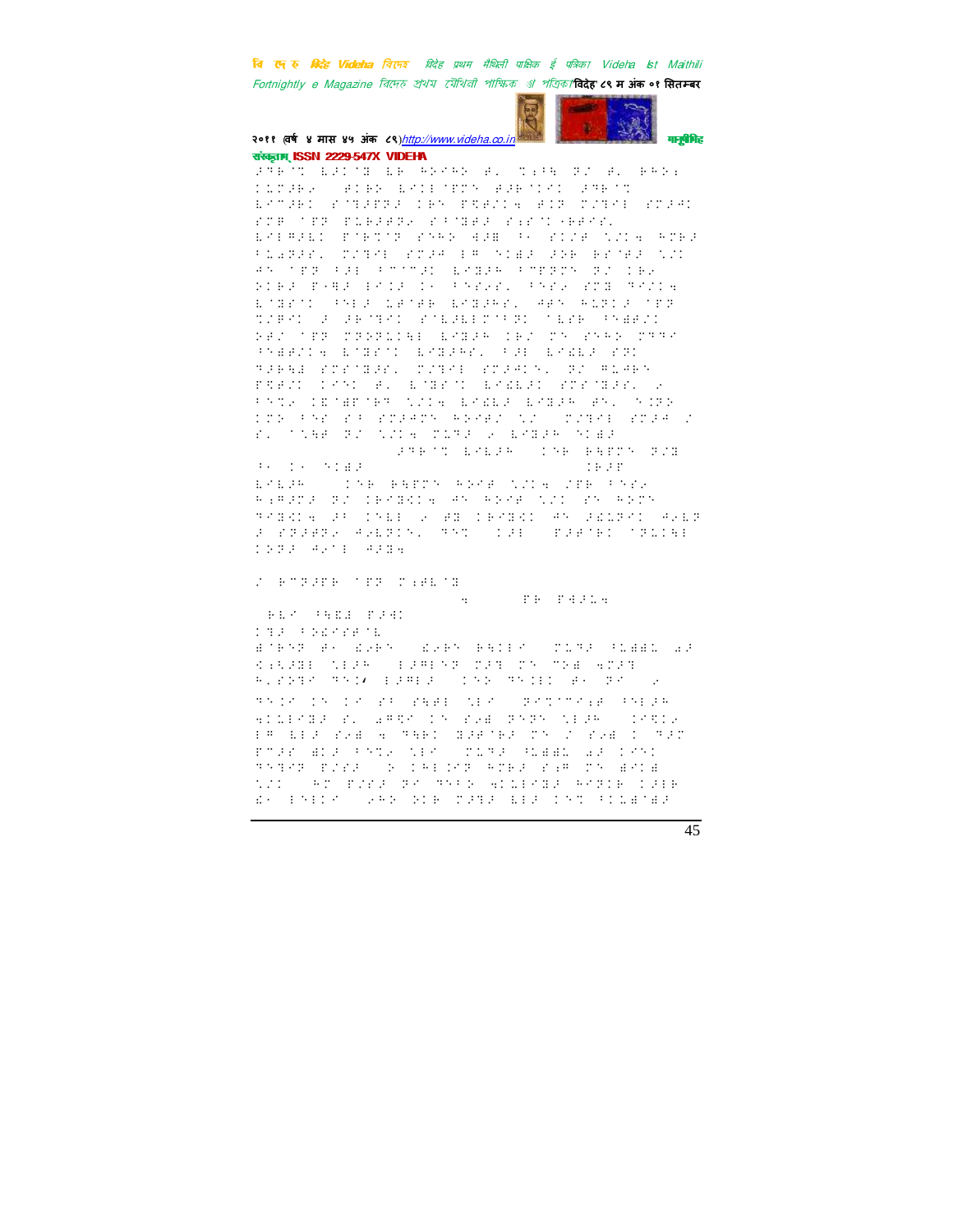चि एक रु मिनेह Videha विएक विदेह प्रथम मैथिली पाक्षिक ई पत्रिका Videha Ist Maithili Fortnightly e Magazine রিদেহ প্রথম মৌথিরী পাক্ষিক *ঙা প*ত্রিকা**'বিदेह' ८९ म अंक ०१ सितम्बर** 



२०११ (वर्ष ४ मास ४५ अंक ८९) http://www.videha.co.ir संस्कृतम् ISSN 2229-547X VIDEHA

SPPECT ESCORE EPOPAGEMENT TERRITORY PROPERTY portage and advanced the research of the article istant produced the condition of the product POR TER ELEGERATIVE CREATE PROTECTIVE EVERALD PORTOR PORTUGAL AND POSSESSION AT ACRA FOURDAY, CONSPRESSORIA E PONTER CRAB BANKAR NOT an tra kalikutan mengalukan kuran adalah lain. Endean Constitution and Capacity Company of the Constitution of the Constitution of the Constitution of the Co direkto do de makto ambienda provincia velocionale di SAZ (189 DØSØDIA) EKSØR (182 DK 2588) DØSK<br>SKARDIA ETSKID EKSØRK (391 EKSER 291) mae edication may compare in order to complete models react three all situations are service to any of FACA COMPARTER CONTA SERVICE PORT PALL AND dia kutoka katika alama ya kwa wakazi wa kuma wa katika kutoka kutoka mwaka wa 1992.<br>Marejeo wa kutoka mwaka wa kutoka wa 1992 hadi wa 1992.

STEPS ENERGY TOELERTY FILE 34 St 200 St 49 de as EVERY COLLAR PRESS PAYA CONFIDER PAYA A PRODUCTO DEVENIS ANCHORAGO COLORNIADOS 1983-4211 4284

Z BORRE TER DIRETE

#### **STEPHERM**

 $\begin{array}{cccccccccccccc} \texttt{F.E.} & \texttt{F.} & \texttt{F.} & \texttt{F.} & \texttt{F.} & \texttt{F.} & \texttt{F.} & \texttt{F.} & \texttt{F.} & \texttt{F.} & \texttt{F.} & \texttt{F.} & \texttt{F.} & \texttt{F.} & \texttt{F.} & \texttt{F.} & \texttt{F.} & \texttt{F.} & \texttt{F.} & \texttt{F.} & \texttt{F.} & \texttt{F.} & \texttt{F.} & \texttt{F.} & \texttt{F.} & \texttt{F.} & \$ THE PERSON ST THE REPORTED HIS CONTROL PARENT WAS 通过电外接 (单) 人名法里克人 RANGER CEDAR PEGABING TOGETTY TOBETATOE ●1999年の「共生18」主張用EUF 「1999」生存181 「単位」また、 MAIN IN IN YEAR WAS ARRESTED FOR A STRAINER CHARGE. 每次也是不自动。第20日由井和村、2000年前的公里,其中共同一次生动物。 人名德斯克 ER EES YVE A MARI BSPARS TV Z YVE I MST rman and some tres contractoral and addition MARKET BOARD OF CHECKE ACRES AND CONTRACT this are referenced to an equivalent addening 第十一条 医主要的 TEACHER TREP EER INTERNATION

 $\sim 10^{-1}$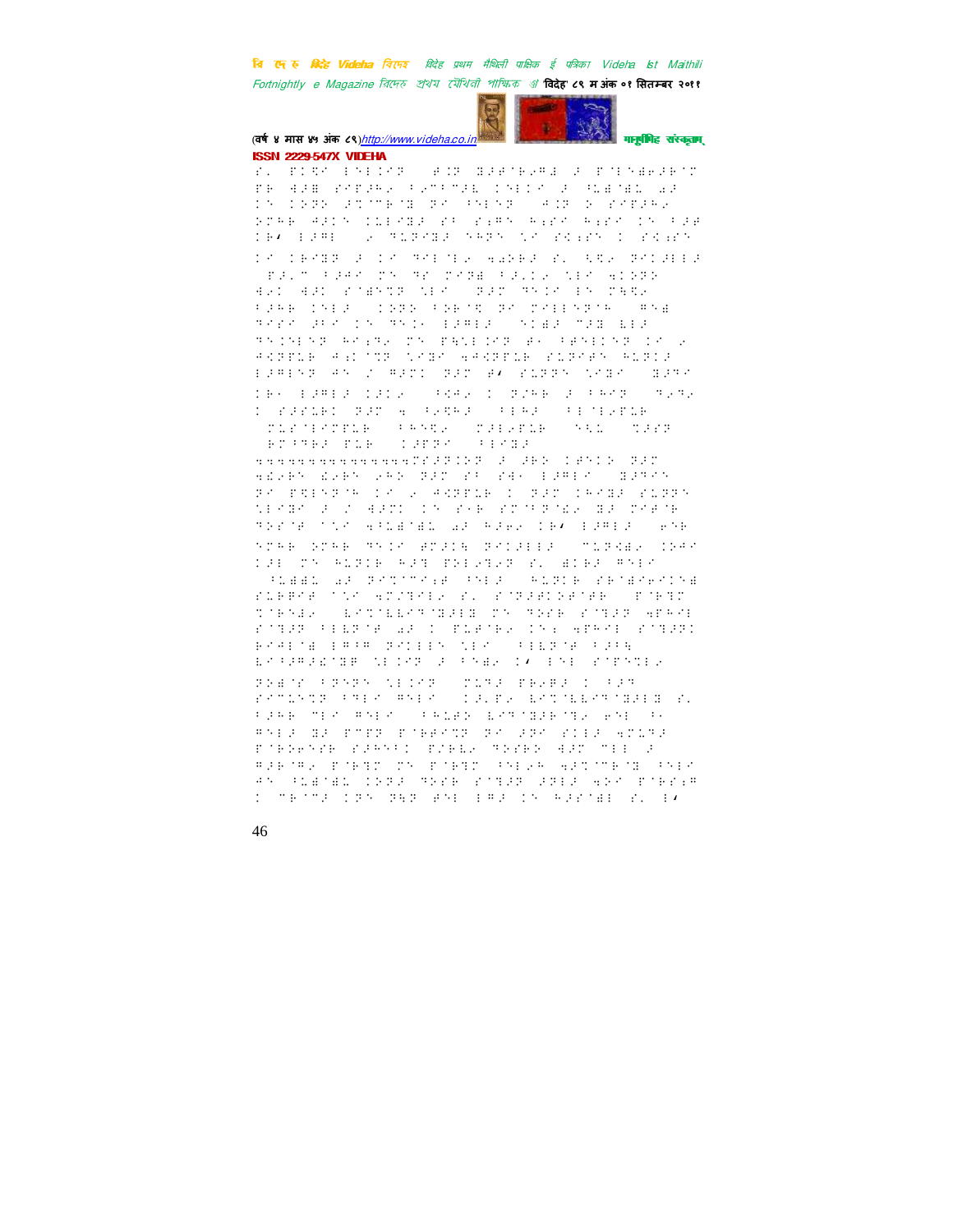बि एक रु मिन्हे Videha विरफ्श विदेह प्रथम मैथिली पाक्षिक ई पत्रिका Videha Ist Maithili Fortnightly e Magazine রিদেত প্রথম মৌথিনী পাক্ষিক প্র' **বিदेह' ८९ म अंक ०१ सितम्बर २०११** 

(वर्ष ४ मास ४५ अंक ८९)http://www.videha.co.i. **ISSN 2229-547X VIDEHA** 



and a state of the time of a technological programmer and the me label prompeu inumerise coacin de labeles du on open accepted en shane (a populatele) STAR (APIN) ISBN 2007-21-23-AN (ASPN) ASPN 10-10-23 TEV EDPENT A PERFORMANCE SAN PRESENT DEPARTS TRO TERRIS SOCIAL PRESENCIALISMO EN CARDO PRISEES and the subset of the state of the state of the company of the state of the state of the state of the state of auch auch anabhen werd duch de chiles chapu FORE INEST INSPECTED FOR THE THE NOTE TO BND degen die Standenbergungseiten abgegenden ausge discreted and the constant of the series of the con-ARDENBURGETTE SPECIALEMENT PLEASURER ESPEND AN COPSOL DED BY FILEN CONSON DEPA  $\left\langle \left( \left( \mathbf{1} \cdot \mathbf{1} \cdot \mathbf{1} \right) \right) \left( \left( \left( \mathbf{1} \cdot \mathbf{1} \right) \cdot \mathbf{1} \right) \right) \right\rangle = \left\langle \left( \mathbf{1} \cdot \mathbf{1} \right) \cdot \mathbf{1} \right) \left( \left( \mathbf{1} \cdot \mathbf{1} \right) \right\rangle = \left\langle \left( \mathbf{1} \cdot \mathbf{1} \right) \right\rangle$ 1988 1999 200212 计类型电路 **FESTIVES** TERMINTEERS **BURGER FLB** 

n n n n n n n n n n n n n n n 1 2 3 3 4 5 6 7 - 3 - 3 8 6 - 1 8 6 1 6 - 3 3 7 在最后在外,最后在外,这种身上很快的一些东方的情况下,在这种影响了。 医眼神经节 die spraakdise spelik in eigdaal op die die eerste van die d de kidak dan antara dan dan sebuah penganjuan pengerakan move the structure equatiance and sense of the structure and o se no po NORE DORE PROVINCES SPOSSES (PROVINCES) (1947 TORES IN SPECIAL PORT ENERGY AND SECRET PARK Standard and proportional standard to parameter and the POR BAR IN SALINDARY PROVINCING MARKETING ARREST THENES CERTIFIERS TEST TO SEE A TEST HERE A ROSERS FELTOR LES CONTENTES CONTORES POSSESS produced a manufacturer of the contractor of the contractor of the contractor of the contractor of the contractor of the contractor of the contractor of the contractor of the contractor of the contractor of the contractor EVIDENCIA DE LOS CYROSOS NEVOLAS EN EL COMPANED  $\mathcal{B}(\mathcal{D},\mathcal{B}^{+},\mathcal{C}^{\infty})\rightarrow\mathcal{B}(\mathcal{D},\mathcal{D},\mathcal{D}^{+},\mathcal{C},\mathcal{B}^{+},\mathcal{C},\mathcal{D}^{\infty}).$ and many rates of the experiment and an account and containing and any signals import and only can always the magazine may be specially PALA DA POPE POBACO PO APO POLA GOLFA ESPARANE NAPARA PAPELA PANEA HAD SEE LA ROBERT AND THE RICHARD CONTINUES IN A SERVE AND THE CONTINUES. AN INSENSITION ANNOUNCEMENT AND ANNOUNCEMENT I TECTA I DAN ANA GAN SERA IN PARTEE RUSEN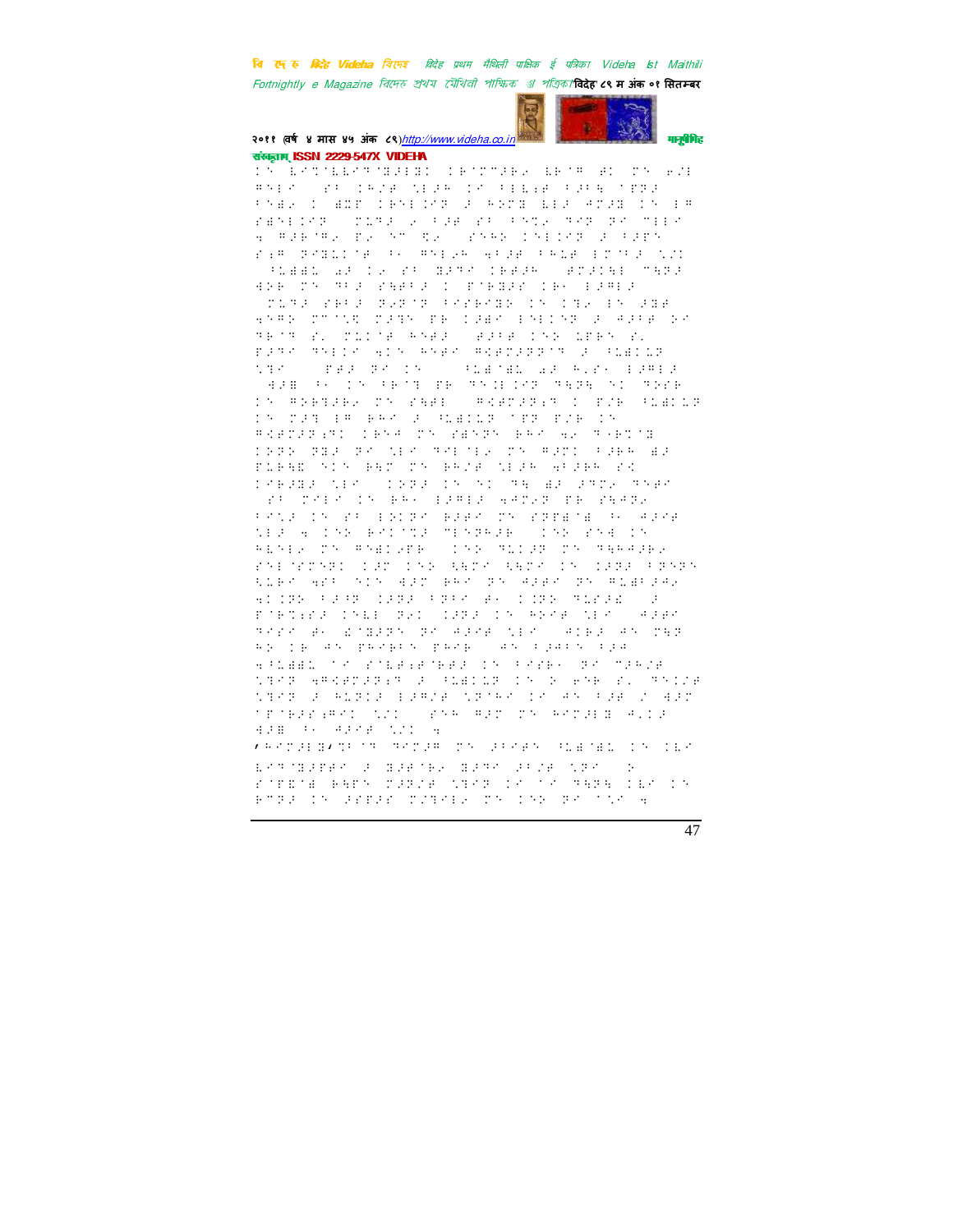चि एत् रु प्रिन्हेड Videha विएन्ड विदेह प्रथम मैथिली पाक्षिक ई पत्रिका Videha Ist Maithili Fortnightly e Magazine রিদেহ প্রথম মৌথিনী পাক্ষিক *ঙা পত্রিকা'* विदेह' ८९ म अंक ०१ सितम्बर

२०११ (वर्ष ४ मास ४५ अंक ८९) http://www.videha.co.i संस्कृतम् ISSN 2229-547X VIDEHA



THE EXPLANATION OF LIFT CONTRACTOR CONTRACTOR The companies in the same that there 共存生物。 FREE I BOT IPRESSE PROTECEER PORT IR PANEONS CONSULTING PARTIES IN NO. 1979. BY THEIR A Russianus pus un quo seureus pappar un rupu rie depending in consideration and education and the CONTRACTORS AND THE PROPERTY ON STRUCTURE REPORT eses contra cadas de cadas eserva a exercicio Harry al milita analy CARPENTAL INFERIOR rdak akide berada akide belanggala di kolonis 1980年 These products of the reported with a state APEC POINT PENT PEOPLOYS NORTH PARA CONTRACT in and an inn in the second company of the second pode dale del ser mentes do espos eles eles FIRED NIN BAT TN BATA NEUROPED AND BATTER TREADA NERVOLD SOLD NO NO CHE SEA CANDA CHNER and measure and all algorithm and several and any single contact to policy appention targetaina to the appea tale a crop and the manegage of opinion role  $\mathbb{H}(\mathbb{E}[\mathcal{N}_t] \mathbb{E}[\mathcal{N}_t] \otimes \mathbb{P}[\mathcal{N}_t] \otimes \mathbb{P}[\mathcal{N}_t] \mathbb{E}[\mathcal{N}_t] \mathbb{P}[\mathcal{N}_t]$  $\left(1,5,5\right) = 2\left[ 1,1,2,3\right] = 1,5\left[ 1,2,4\right] = 2\left[ 4,4\right] = 2\left[ 4,4\right]$ real moneth class crew same same crew casa a seem they was not again that an alask and any and accomplished complication as conditions about the premiera indicata del ciada in especifica e cader derections in rapprocess agent to complete and rap  $\mathcal{H}(\mathcal{G}) = \mathcal{I}(\mathcal{G}) = \mathcal{H}(\mathcal{G}) = \mathcal{I}(\mathcal{H}, \mathcal{G}) \mathcal{G}(\mathcal{G}) = \mathcal{I}(\mathcal{H}, \mathcal{G}) \mathcal{G}$ i sa wilaya nyang mga pan a spaan. The carriera release the experiment making CHAP SPARDARES A MARINE CONTROL POLITICA taka lihatata aliara tahun 1200 merupakan alam Special and the case of his section TESPARAPRO STORY  $\sim$   $\alpha$ ada so advanced verbarden men erhalt bestaan in de aanstal en EVA MESTRY CALLEGE TRACEBAN CARDED NAME  $\sim 10$ Formal Personages (1989) (8 St 28 September 19

BTRAINS APPARTMENTS INSTRUCTION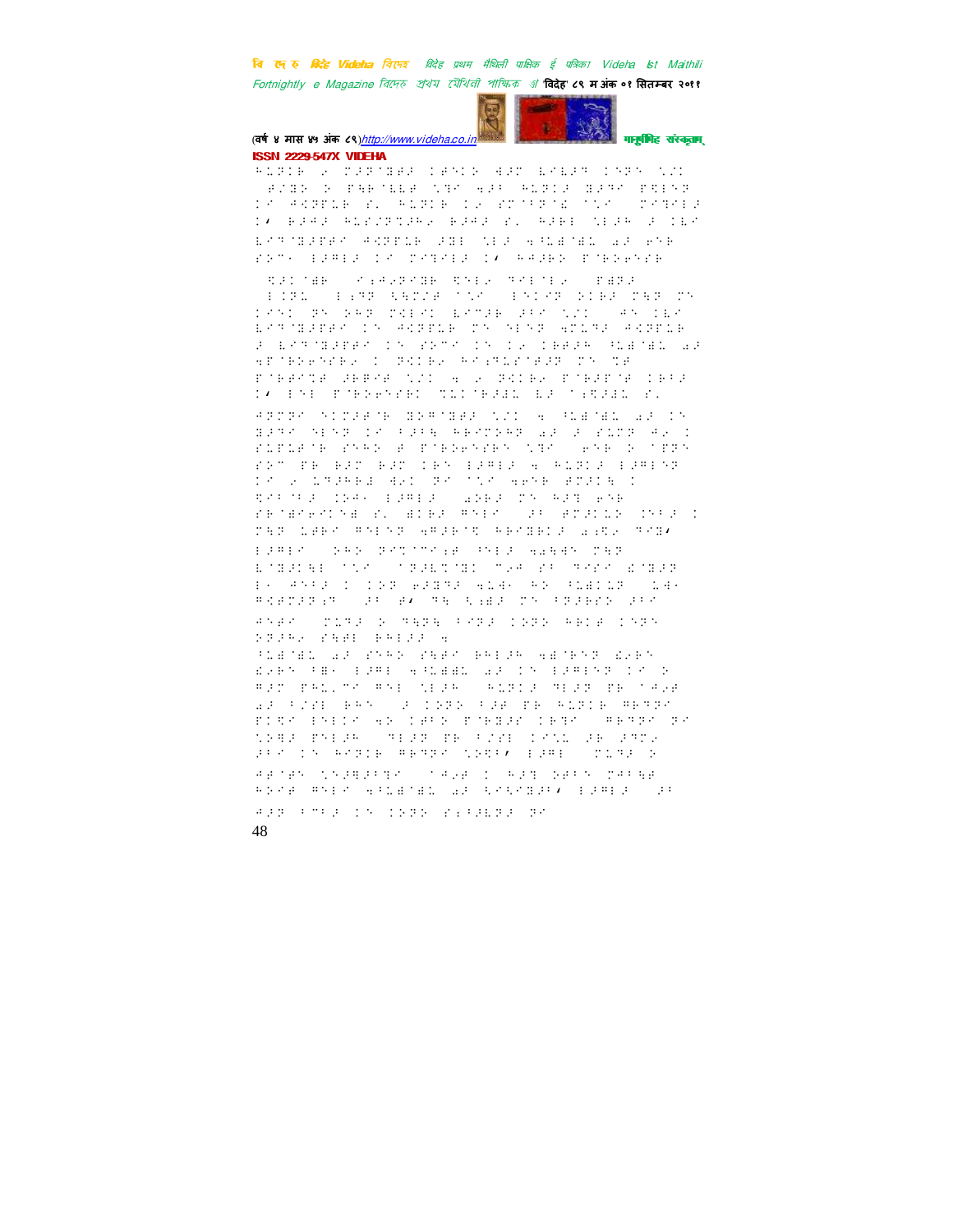चि एक रु मिनेह Videha विएक विदेह प्रथम मैथिली पाक्षिक ई पत्रिका Videha Ist Maithili Fortnightly e Magazine রিদেত শ্রথম মৌথিনী পাক্ষিক প্র' **বিदेह' ८९ म अंक ०१ सितम्बर २०११** 



मानुबंधिह संस्कृतम्

#### **ISSN 2229-547X VIDEHA**

ACRIBUS CARDIBAL IBNIS BAC ESER ISSUE INFORMATIO SACRE DO PARTELA CONSTACIO ALCORTA ROMANIENE re esprimento minuta recorda con constituido de s IN BRAZING POSTERO BRAZIST, PREFINIER DE TEK ER PORTER POR RESERVABLE CONTROLLER CHARGE SERVES RETAIL ESPESA CALIDADES ES LOS APARES IDIOESENDE

A 21 YEAR OLD A BROAD A BACK AND A CHARLES AND 一 打算其实 BIDD CHEFT RETOR TO CHAINE SIER THE THE TRATITION ORDER TO BRIDGE CORPORATION OF A STEP EVANDARES IN ACRESE DN NENR ADSAVANCES a la kimita a pelkilici ville simkilici villo si pela all'illa litera di la al-A PICED A SYBOLIC CORPORATION ARRESTS AND THE ESPERANE DEPARTING THIS PACER TECHNICAL CERP TV BREAK PREPARED CONTRABLE EXPLANABLE PL

A PORTA CASO DE PERCIBERA EL SUS CONTRADOS DE LOS ANTES diameters was a constant and the experience and the constant and the Windows Young Straight and the second to the Contract Contract of the Straight Contract Contract Contract Contract Contract Contract Contract Contract Contract Contract Contract Contract Contract Contract Contract Contract KOM PEREND BUT IBN 19812 REPORT FOR PURS TROOP INSPERSE REPORT ON CONFIDENT RIGHTS SAFTA A CORPO ESPESO CONFERENCIA PER PROF PECHANDRE POLITICAL PRESS CONTRACTOR TAC LEFT FRENCH ARCHIVE PERSENT LERVISON EUREA (1989) BACTERIE (1989) ALBAN CRED Ended AB (in the complete tidal) move care in Alank candidate EVIDENCE COOPERED AND A SAME CONTROL CAR RARDARY CAR RACINE ARRESTS FRANCO ARM anger (these properties) and constructions of the second service of the second service of the service of the service of the service of the service of the service of the service of the service of the service of the service  $\begin{aligned} \mathcal{D}_1\left(\mathcal{D}_1\right)\mathcal{D}_2\left(\mathcal{D}_2\right) &= \mathcal{D}_1\left(\mathcal{D}_2\right)\mathcal{D}_2\left(\mathcal{D}_2\right) &= \mathcal{D}_2\left(\mathcal{D}_2\right)\mathcal{D}_2\left(\mathcal{D}_2\right) \\ \mathcal{D}_3\left(\mathcal{D}_2\right)\mathcal{D}_3\left(\mathcal{D}_3\right) &= \mathcal{D}_3\left(\mathcal{D}_3\right)\mathcal{D}_3\left(\mathcal{D}_3\right) \\ \mathcal{D}_4\left(\mathcal{D}_4\right) &= \mathcal{D$ 

stanations of the program and served representations. EVENTURES EVER SA PLEEL SEASON EVERY CONSIDER #37 PALINA #NE NESA (ALSIE) #ESIS PER TAGA ad form announced there for the north member riter informations integral cases seasons SPERIENERA (PERRITE PRINTING RECRES) SPACES ANDER PROPERTY LONGER CONDUCTS

A BIT BALL NIN SESERE CONTRARING CONTRACTORS ARE ARRESTED FOR A REPORT A SAND CRAIN CHANGE THAT CAN CAN A SANDAR VIOLENCE DO CONT Add (Fred 15 - 1595) Presented Br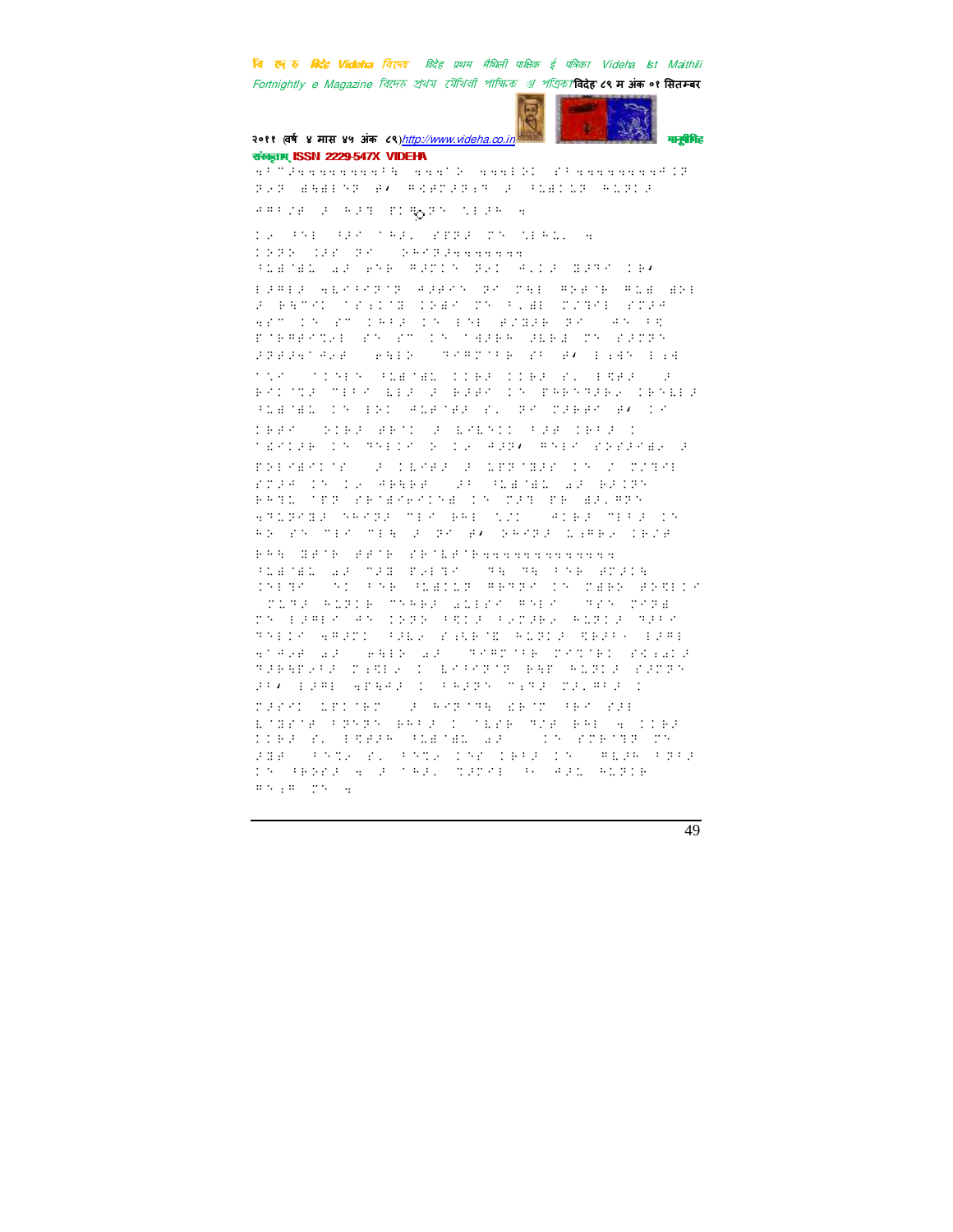बि एक रु मिन्हे Videha विरफ्श विदेह प्रथम मैथिली पाक्षिक ई पत्रिका Videha Ist Maithili Fortnightly e Magazine রিদেহ প্রথম মৌথিরী পাক্ষিক *ঙা পত্রিকা'* विदेह' ८९ म अंक ०१ सितम्बर



संस्कृतम् ISSN 2229-547X VIDEHA at "January and his and because the official and and CP PRP SAMINE SAMPLE CAPAPITE POSSIBLE PLACE

HARRIS CROPS AND BOARD CONTROL

२०११ (वर्ष ४ मास ४५ अंक ८९) http://www.videha.co.ii

to came are made and the state of the state of a  $\mathbb{E} \left[ \mathbb{E} \left[ \mathbb{E} \left[ \mathbb{E} \left[ \mathbb{E} \left[ \mathbb{E} \left[ \mathbb{E} \left[ \mathbb{E} \left[ \mathbb{E} \left[ \mathbb{E} \left[ \mathbb{E} \left[ \mathbb{E} \left[ \mathbb{E} \left[ \mathbb{E} \left[ \mathbb{E} \left[ \mathbb{E} \left[ \mathbb{E} \left[ \mathbb{E} \left[ \mathbb{E} \left[ \mathbb{E} \left[ \mathbb{E} \left[ \mathbb{E} \left[ \mathbb{E} \left[ \mathbb{E} \left[ \mathbb{$ Frankritike and energy specialise sense is EVALUE ALCOCATO AVANTE DO TAL ANGLO ALEGENE a seamko maradore dosek mortu ez es murake ramake arm to am territor and avare being en re-ESPERANDE SENSIEM DIN STEDEN DEPENDENT EDEN  $\left\langle \left( \mathcal{R} \right) \mathcal{L} \left( \mathcal{R} \right) \mathcal{L} \left( \mathcal{R} \right) \right\rangle = \left\langle \mathcal{L} \right \rangle - \left\langle \mathcal{L} \right \rangle - \left\langle \mathcal{L} \right \rangle + \left\langle \mathcal{L} \right \rangle - \left\langle \mathcal{L} \right \rangle + \left\langle \mathcal{L} \right \rangle$ 223241923 23412 n tien in het het word als die teenstel te stelling van die valle van die verskeie van die verskeie van die va BRITISH MERRI EES SOBART IN FRENNAND IENEES FOR THOSE AND ENDINGER THAN HOUSE AND DANGER CONTINUES. TERRY STEP RESOURCES TO PRESS TERIAR IN THEIR DONE ARRAIGNMENT COORDING mos kako ne julio oslege je usprosevu o kulturaks POSA IN TV APPEAL OR CREATED BY PRICH BAND TER PRETERNING IN THE BALARN A ROBERT AREADY TERRITORY CONTROL AS BROTHER AND A A Silvers of the Company of the Company of the San Engineering Company of the Company of the Company of the Company of the Company of the Company of the Company of the Company of the Company of the Company of the Company o

PART SECRETE SPECIAL CRIMINAL AND ANOTHER sparab us mad events ma ma shak anaba 计存储性结构 1. 在2010年在新几次的自2012年,共享在其中,2020年在新几年在中的2020年 COLPUS ALDIAN TAAAD LELEYY AAR Y CORYA COVDE THE EVERY HE CONTROL FOR A STUDY CHAPTER OF MABIN SEPTI PRES KARA ME PORTA REPRAISERE an Augustus (1943) Supplies the Property of the Constanting MULEMENTUR CONSTITUTION AND CONTINUES ARRESTS AND THE RESIDENT  $\mathcal{F}^{(2)}(x)=\mathcal{F}^{(2)}(x)=\mathcal{F}^{(2)}(x)=\mathcal{F}^{(2)}(x)=\mathcal{F}^{(2)}(x)=\mathcal{F}^{(2)}(x)=\mathcal{F}^{(2)}(x)=\mathcal{F}^{(2)}(x)=\mathcal{F}^{(2)}(x)$ DEPARTMENT TECH 「今日の中では、全国のサービングでは主に a nashrida ma'lumot<br>Ashrida oli boʻlda qayta tashlidagan ma'lumot TIER VAN BREAK POBTED WAS STONED TO THE TREAT ់គណ្ឌល សម្រប់ទ្  $\mathbf{u}(\mathbf{v},\mathbf{q},\mathbf{u})=\mathbf{u}(\mathbf{v},\mathbf{v},\mathbf{q})$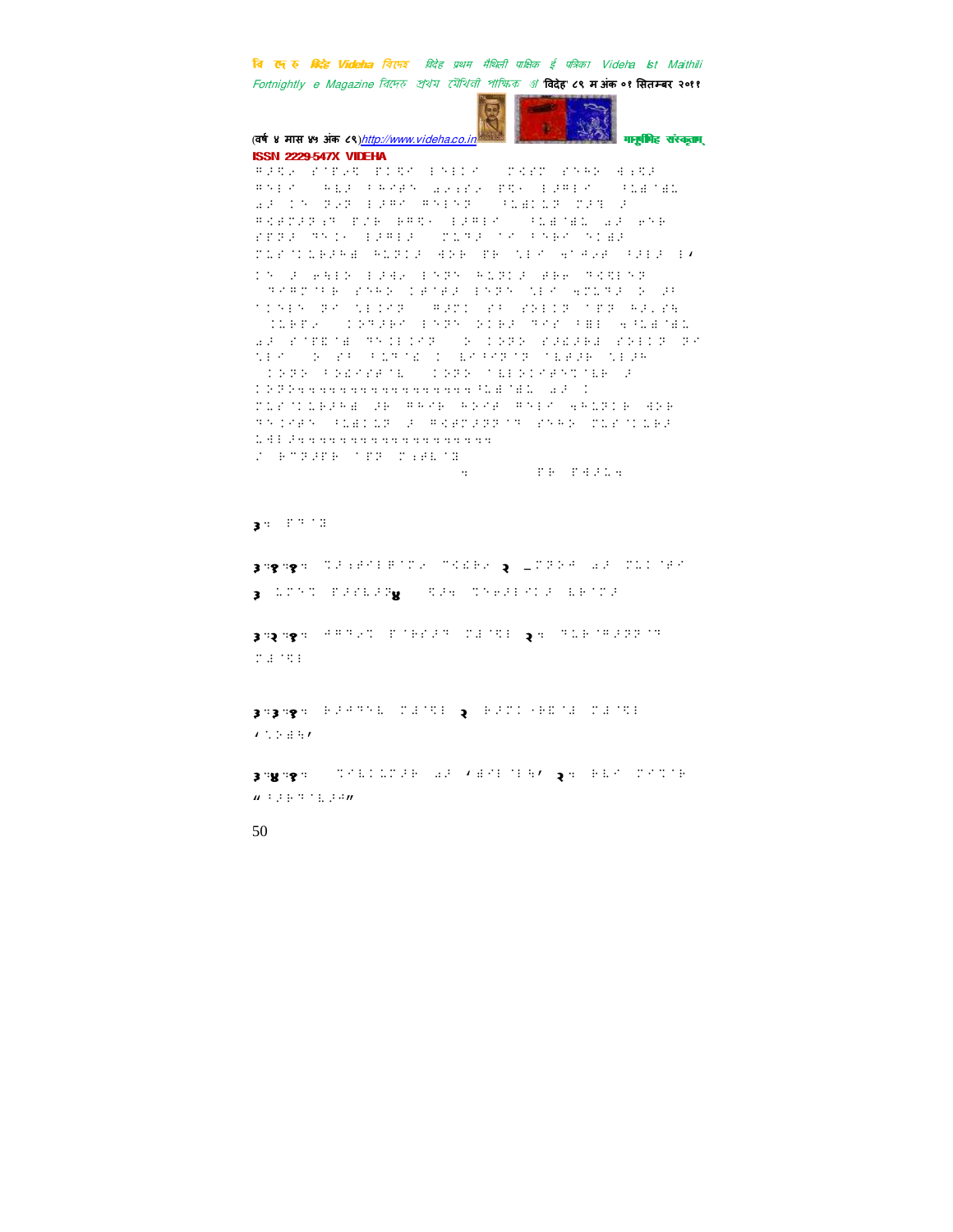चि एक रु मिनेह Videha विएक विदेह प्रथम मैथिली पाक्षिक ई पत्रिका Videha Ist Maithili Fortnightly e Magazine রিদেত প্রথম মৌথিনী পাক্ষিক *প্র* **বিदेह' ८९ म अंक ०१ सितम्बर २०११** 



**ISSN 2229-547X VIDEHA** PRES PORTE ROBOT ENEDY CONSTRUCTION ARE THERE PARKS SAVAN PRESERVES TO PLAYER  $\Omega$  -to  $\Omega$  -  $\Omega$  . ad the ded states ensing a state decay of REARDER PORTHART PROFILED TO A CARD A 20 A 54 rras avos paeras conas conseguidos concert backer about a sample and concertaint and concertainty THE REPORT OF REAL ORDER WAS CITED AND A RELEASED FOR

Severing a shape paragonal and social series of the TO NEW YORK CONSTRUCTION OF STANDARD CONTROLLER CONFIDENTIATORY ENTRY DOES THAT FEEL ARDENED ad anterna tendedad in proportional adaptat and propo NEW CONTRACTOR DRIVE CONTRACTOR COMPANY NEWS **STORY PORTECE CONSTRUCTION** TIM TIIBAAH (AB) PARB (ADRA (PAER) GAIDIB (GDB) MA 179A - FEBRUAR DE PROPRESENT DONNA DEL 2011 EP 1999 - 2000 - 2000 - 2000 - 2000 - 2000 - 2000 - 2000 - 2000 - 2000 - 2000 - 2000 - 2000 - 2000 - 2000 - 2000 - 2000 - 2000 - 2000 - 2000 - 2000 - 2000 - 2000 - 2000 - 2000 - 2000 - 2000 - 2000 - 2000 - 2000 - 2000 - 2000 -CORTESE TES TRANSPORT **STRIPS AND ST** 

 $39.77773$ 

signer terribute the model s interest and the re- $_3$  (dram stranding) (see magnetic scale from

anang ni Person is tecar i banda la ni ros televezaro  $\mathcal{D}(\mathcal{X},\mathcal{F},\mathcal{Y},\mathcal{Y})$ 

anangni editika marti a editikesia marti

 $\sqrt{1.16} \pm 0.7$ 

ginging main the activated and constant the boogless than the three  $\mathbf{w}^{(n)} \in \mathbb{R}^{n} \oplus \mathbb{R}^{n \times n} \subseteq \mathbb{R}^{n \times n}$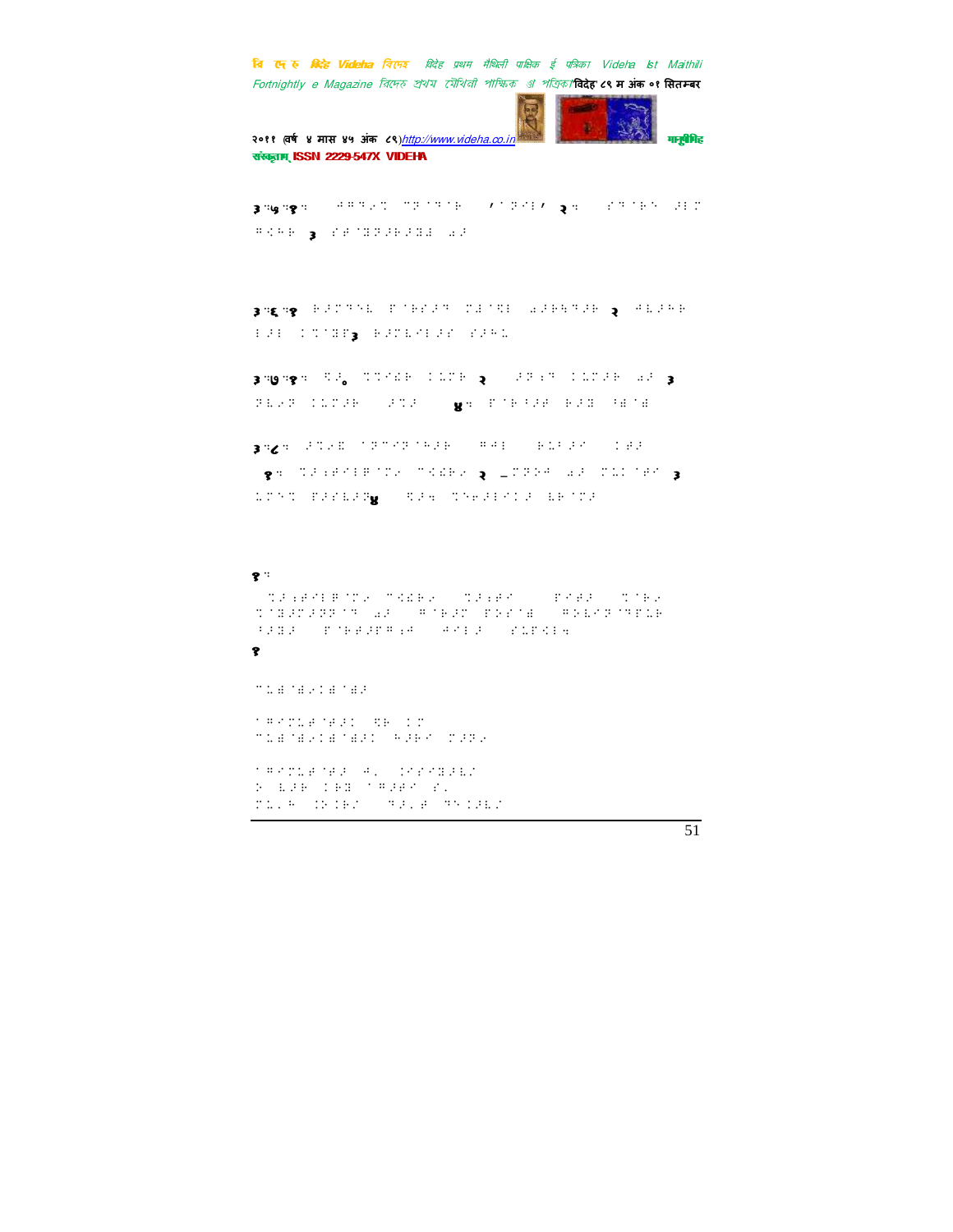बि एक रु मिनेट Videha विएक विदेह प्रथम मैथिली पाक्षिक ई पत्रिका Videha Ist Maithili Fortnightly e Magazine রিদেত শ্রথম মৌথিনী পাক্ষিক প্রাপত্রিকা**'বিदेह' ८९ म अंक ०१ सितम्बर** 

२०११ (वर्ष ४ मास ४५ अंक ८९) http://www.videha.co संस्कृतम् ISSN 2229-547X VIDEHA

ang ng mai ing the Contemporary Contemporary and the property of the Contemporary and the contemporary and the contemporary and the contemporary and the contemporary and the contemporary and the contemporary and the contem **PREFIGURE DESCRIPTION** 

anging securities in terror control worserve a second BUE CONSERVED PROPERTY

 $\mathfrak{Z} \cap \mathfrak{g} \cap \mathfrak{g} \cap \mathfrak{g} \cap \mathfrak{g} \subset \mathfrak{g} \cap \mathfrak{g} \cap \mathfrak{g} \cap \mathfrak{g} \subset \mathfrak{g} \cap \mathfrak{g} \subset \mathfrak{g} \subset \mathfrak{g} \cap \mathfrak{g} \subset \mathfrak{g} \subset \mathfrak{g} \subset \mathfrak{g} \subset \mathfrak{g} \subset \mathfrak{g} \subset \mathfrak{g} \subset \mathfrak{g} \subset \mathfrak{g} \subset \mathfrak{g} \subset \mathfrak{g} \subset \mathfrak$ devolutions and general sergicans

size ababilianda teas conditional appearance ge daardende modelig Loden aandbonen g LONG PARKAGE TRANSPARKENCE ERICA

 $\mathbf{S}$ 

Ŝ.

SPEED CONTEMPORATION AND POSSIBLE AND RESEARCH

**TERMINIANA** THROUGHTERS (RECORD) misa rasparanan senek mining

me koma nadi se zishin kare adala de aldak başa (1994) (2007)<br>İstinadlar

51

मनुबैमिह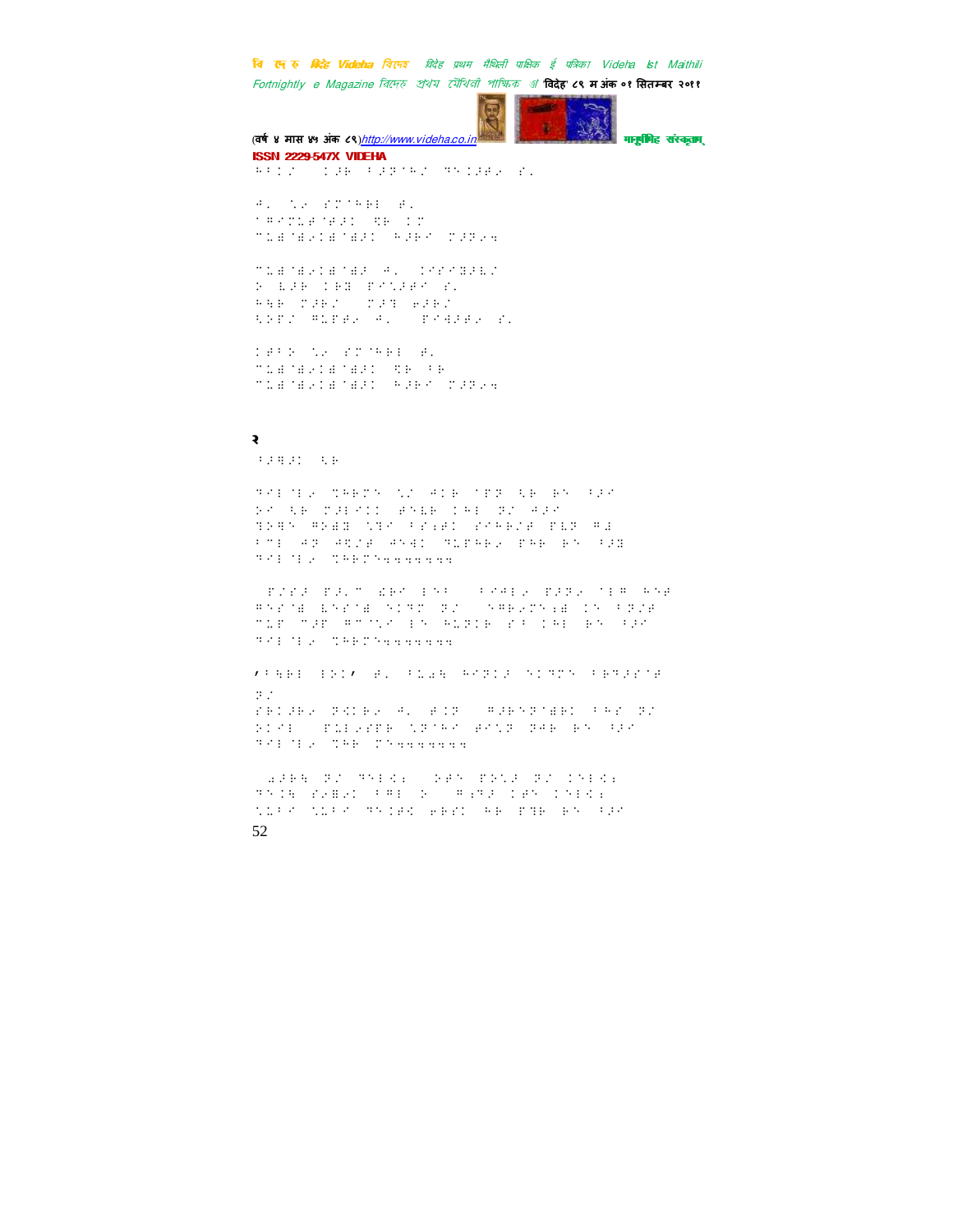बि एक रु मिनेट Videha विएक विदेह प्रथम मैथिली पाक्षिक ई पत्रिका Videha Ist Maithili Fortnightly e Magazine রিদেত প্রথম মৌথিনী পাক্ষিক *প্র* **বিदेह' ८९ म अंक ०१ सितम्बर २०११** 

**CONTRACT** ø (वर्ष ४ मास ४५ अंक ८९)http://www.videha.co.in मानूष्टीमेह संस्कृतम् **ISSN 2229-547X VIDEHA** ARE DISCUSSED A REPORT OF STREET BY  $\sigma_{\rm{eff}}=5.5$  , and the Eq. (  $\sigma_{\rm{eff}}$ nekosanako esito midana stana za prime ze kimiji za se

mical rack bachad (1991), converge por S EVE TES PROPERTY. 

para su apreser al moanastanago de se mical rack backage of August 10000000

#### $\mathbf{z}$

→ 共共21 → 共長

ded vire ad individual and entered and the the server except state of the server and the THE TELEVISION OF THE REPORT

**SALTED CORPORATION** 

VARBEL ENDV (B. CALLES ANDIVONDADA) ABAVEND  $\mathcal{D}(\mathcal{F})$ YACSAY SKIEV AL BID ( #SAYSABI ( #F) SY STREET BELEVIEW NORTHWING CONSTRUCTION SALTER STAR CONSIGNMENT

MAIN YABAD FREE NOOR YA SEN SAFEYE ALBERT ALEXANDER DESCRIPTIONS IN THE SERVICE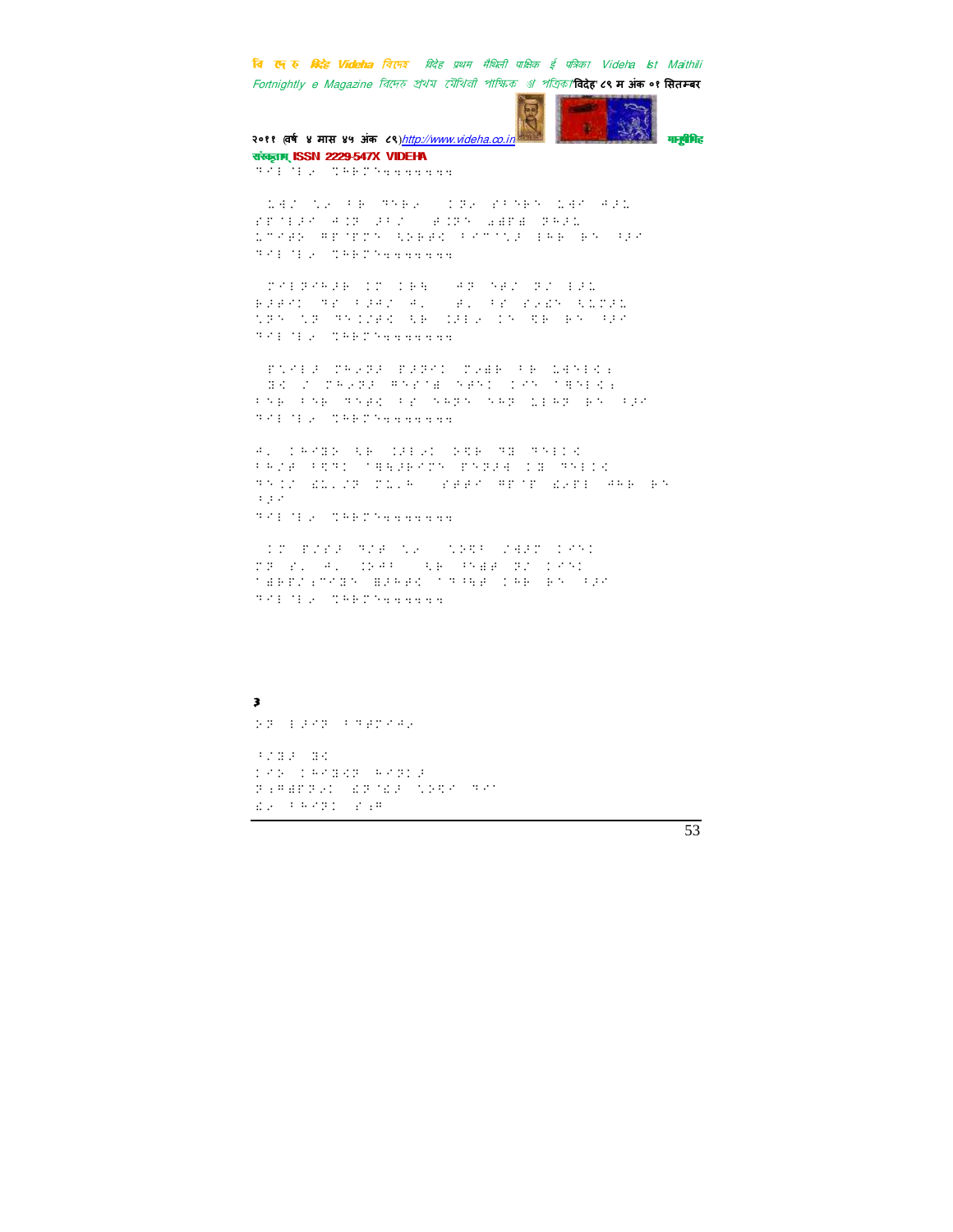बि एक रु मिनेट Videha विएक विदेह प्रथम मैथिली पाक्षिक ई पत्रिका Videha Ist Maithili Fortnightly e Magazine রিদেত শ্রথম মৌথিনী পাক্ষিক প্রাণবিকা**বিदेह ८९ म अंक ०१ सितम्बर** 



२०११ (वर्ष ४ मास ४५ अंक ८९) http://www.videha.co संस्कृतम् ISSN 2229-547X VIDEHA **SALES CREPANNING** 

CONTRACTOR PROPERTY OF PROPERTY ON A STATE PECIFIC Add (PRO) (PDS) Gara (PAPE) LOVER PERMITS REPROTECTIVE EARLERS TRA **THE PERSON REPORT FOR THE REPORT** 

The peaker of the same and sach policies. adan melindir il. de la peleban birdi **SALTER CORPORATION** 

n saya na saya manazarta na sangan na saya na sangan na sangan **SALTER CORPORATION** 

SAID ELIMP TELES SPEKTREMENT SATE PRESEN  $\mathcal{X} \neq \emptyset$ THE TELEVISION OF THE REPORT

TECHNICAL PRESSURE SERVICEED CRES **SALTER CORPORATION** 

 $\mathbf{3}$ SP EDVE FREDRICK

 $\approx 2.3\pm 0.3\pm 0.4$ TRESTARBED ARBEIT  $\mathcal{P}(\mathcal{A},\theta,\theta,\mathcal{P},\mathcal{P},\mathcal{A}) = \mathcal{A}(\mathcal{P}(\mathcal{A},\mathcal{P}(\mathcal{A}),\mathcal{P},\mathcal{P},\mathcal{A})) = \mathcal{P}(\mathcal{A})$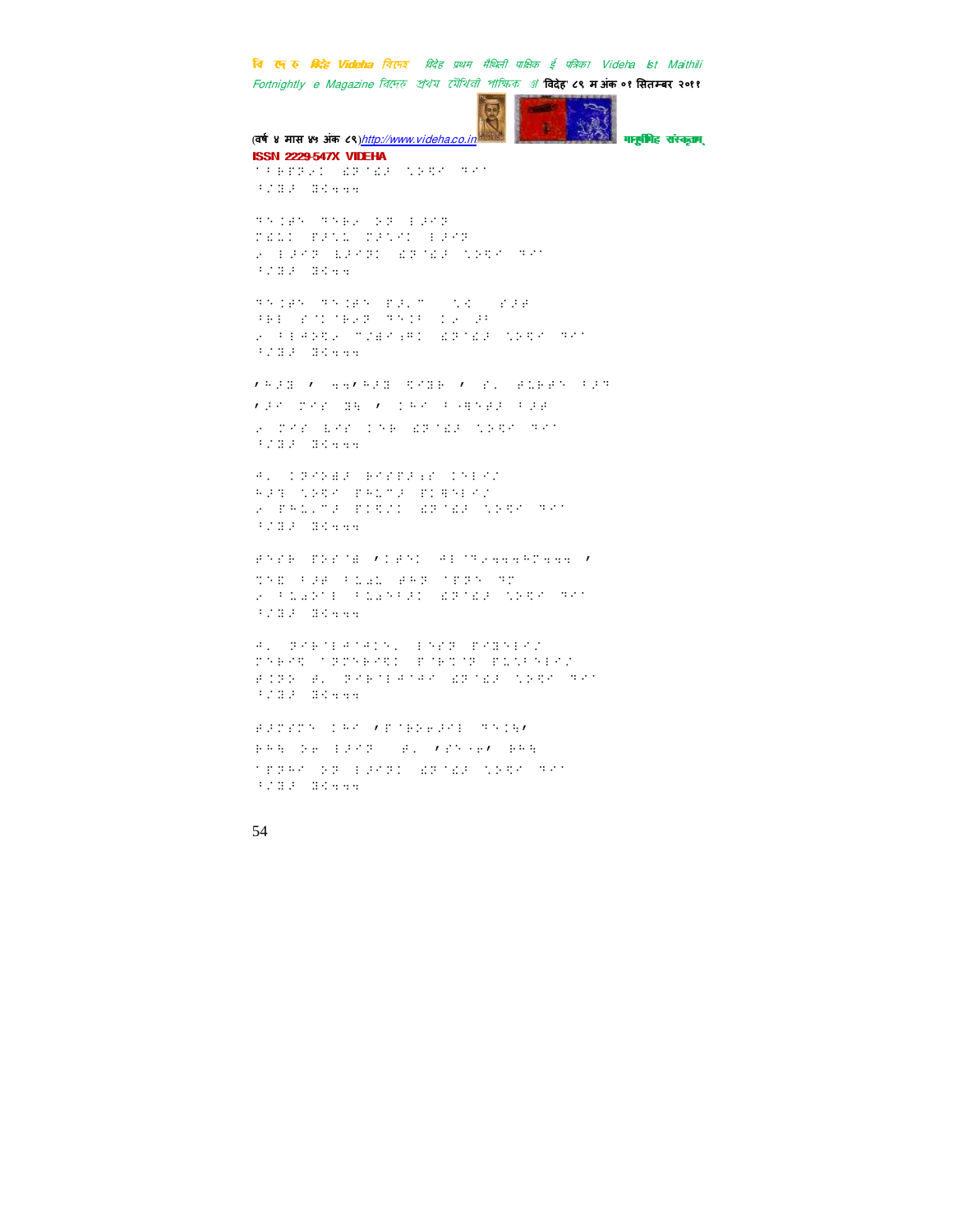बि एक स्टिट Videha विएक विदेह प्रथम मैथिली पाक्षिक ई पत्रिका Videha Ist Maithili Fortnightly e Magazine রিদেহ শ্রথম মৌথিনী পাক্ষিক প্র' **বিदेह' ८९ म अंक ०१ सितम्बर २०११** 



(वर्ष ४ मास ४५ अंक ८९)http://www.videha.co.in **ISSN 2229-547X VIDEHA** TREPAIND AN AN INSER THAT  $3.73.3 - 3.05644$ 

distance say that a pro-TELL TALL TALK: FARE STEPHEN ERROR SERVER STRAND 3232 3455

me basilime basilim di internet alla alla para la contra della contra della contra della contra della contra d<br>Internet all'altre della contra della contra della contra della contra della contra della contra della contra Schedule State (1998) and Canada Constanting  $3.73.8 - 3.0499$ 

VALUE VI HHVADE SPORT VI YOU HORRY FOR

VER TRE BE VIOLENCE HARRISERS

Southern Early the Capital Control ten **FILE SECTION** 

ALCOHOL: POPPAR CONFOR A 23 | NASA | EADMLA | EDSA A 2<br>|2|| EADLMLA | EDSI | | EDSI ELA | NASA | AAN  $3.73.2 - 3.0499$ 

RAPE TRIAN CONTRACTOR CONFIDENTIALLY man adalah sahiji dan menak ant Service des de la califat de la proposició del coneccione de **STRACTORSHIP** 

all dependence of a serie represent CORRENT CONFIDENCE CONTROL CONTRACTO addiscal dependence and considerations  $3.733 - 3.0564$ 

BUDEDN CHR VENESBURG (RNIA) and the advanced variety and management and contract the second to  $(3.73.8 - 3.04.44)$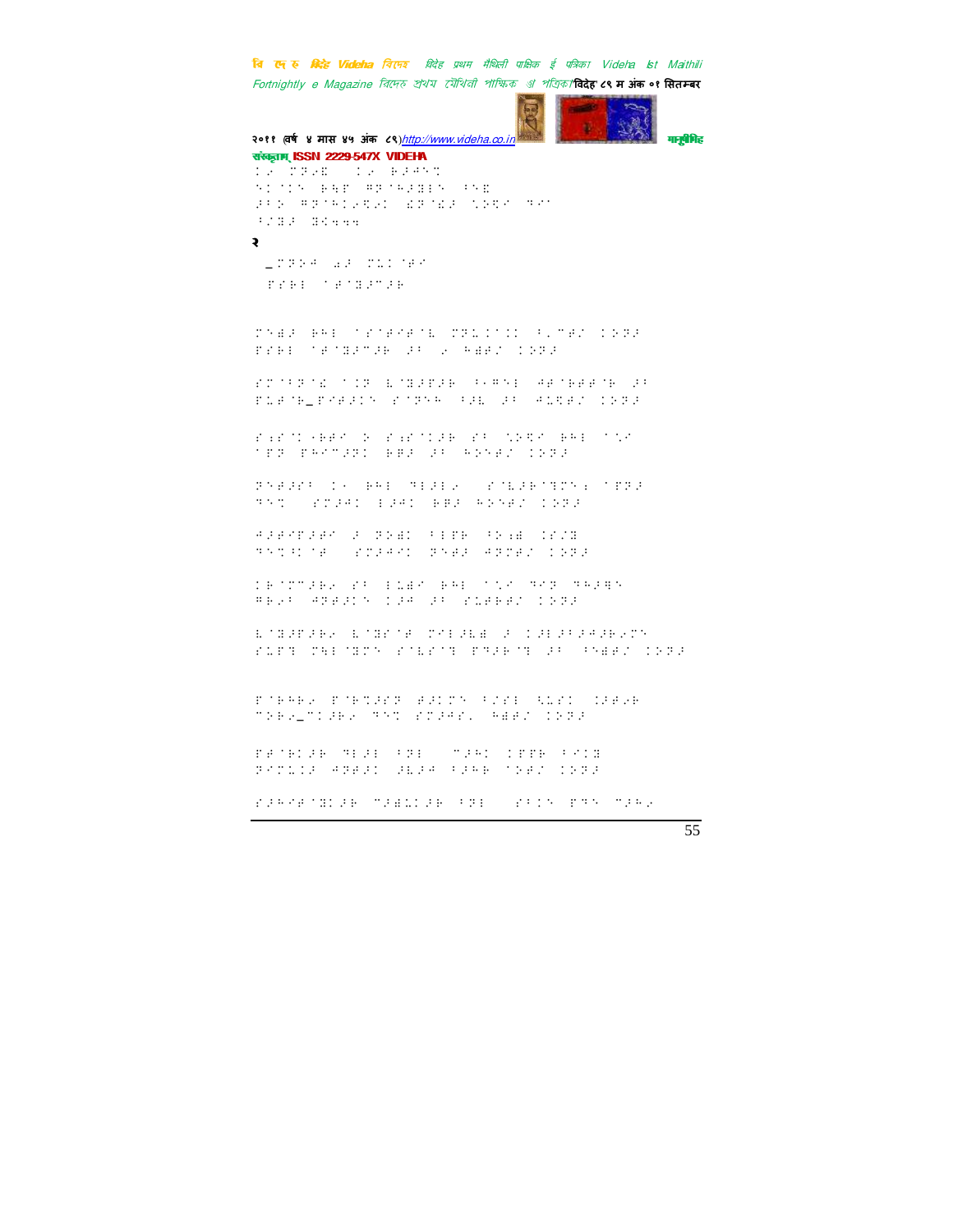बि एक स्टेट Videha विएक विदेह प्रथम मैथिली पाक्षिक ई पत्रिका Videha Ist Maithili Fortnightly e Magazine রিদেত প্রথম মৌথিনী পাক্ষিক প্র পত্রিকা**'বিदेह' ८९ म अंक ०१ सितम्बर** 

मानुबेमिह २०११ (वर्ष ४ मास ४५ अंक ८९) http://www.videha.co

TROTER CONTRACTO  $\sim$  10  $^{11}$  10  $\sim$  10  $\rm{hpc}$  , 0.1  $^{11}$  0.1  $^{11}$  0.1  $\rm{hpc}$  , 0.1  $\rm{hpc}$ and complete participant rate in provided  $3.733 - 33.444$  $\mathbf{z}$ 

Completional conditions SEPERT SECRETER

संस्कृतम् ISSN 2229-547X VIDEHA

create and increase rail capitric is the constant measure that the cost of the about the a

www.communication.com/seconds.com/second-communications.com male regiments of rose of the concentration of

analysis (electronic analysis) and an increasing electronic TER EPATREL BER RECORDER 1988.

SARANA (1988-1983) SERIA PROBABING ORDA TAT / PORT FOR PROPERTY ASSAULT STR

A 24 YEARS OF DINEY OF EER OPNIES CENT discussional constanting these conditions are a

TECOMORES YA SEDERI BAEL CON MAND MADEN PERMIT PRESIDENT DRAMATIC PORTER CONTROL

a nashsas i a nashsa i bisa sala i si ista sa sa sa she Viene des mans vensends andere des essex dodd

PORTER PORTEGER RESIDENTS AND LAD CONTRACT MARGETINES MATERIAL ARRESTS

ranacia de la partida contracto crra de 2018 SATURA ASPAR LAUGA PAPP LINER LINSE

ROBRARY CONSERVATION ARE CONSERVED AND RESPONSE TO A REPORT OF A STRUCTURE OF THE RESPONSE OF A SECTION OF THE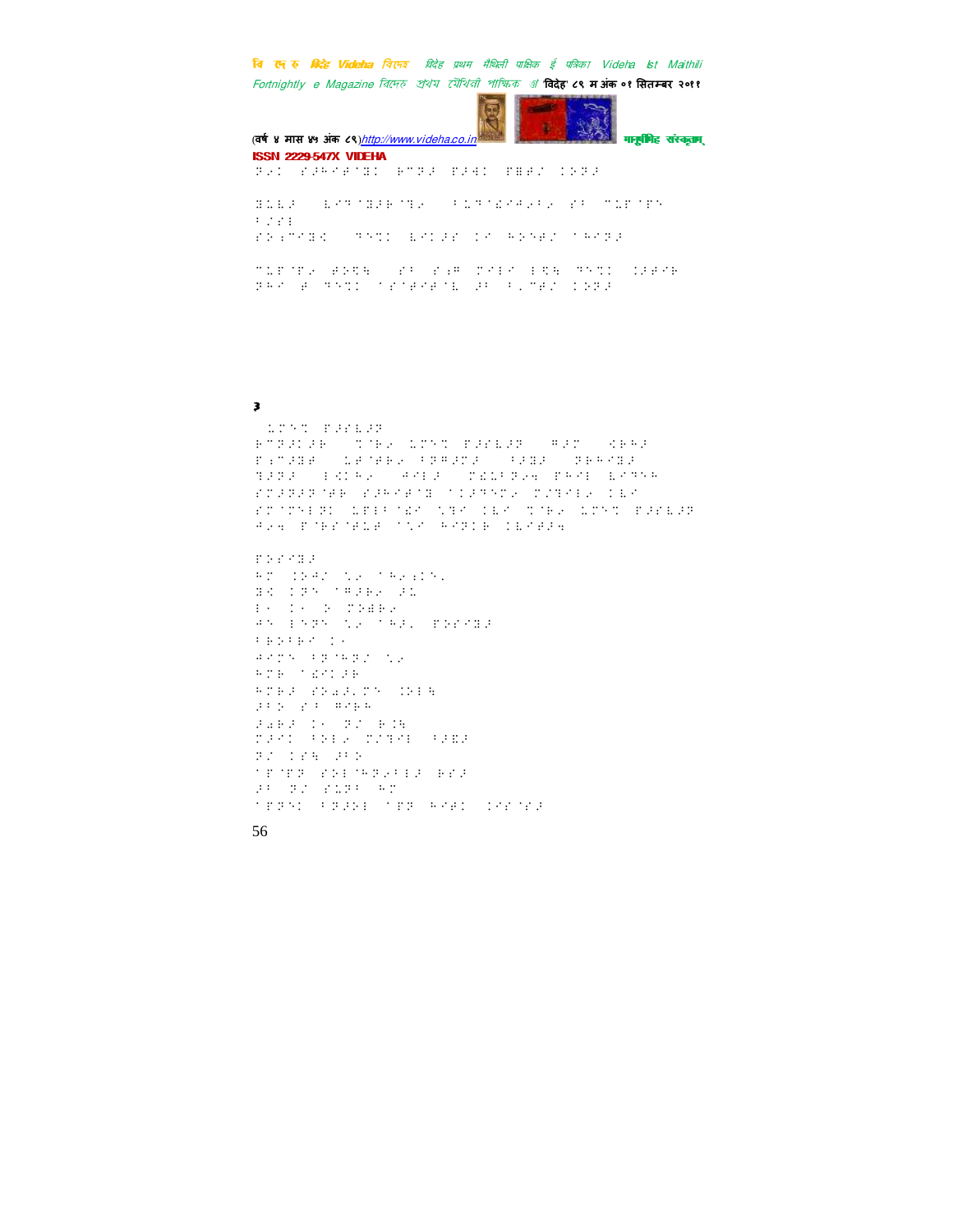बि एक रु मिनेट Videha विएक विदेह प्रथम मैथिली पाक्षिक ई पत्रिका Videha Ist Maithili Fortnightly e Magazine রিদেত প্রথম মৌথিনী পাক্ষিক *প্র* **বিदेह' ८९ म अंक ०१ सितम्बर २०११** 

6 ø (वर्ष ४ मास ४५ अंक ८९)http://www.videha.co.in मानूष्टीमेह संस्कृतम् **ISSN 2229-547X VIDEHA** SAL PAPPARTED ETSA PART PERSONAS diagonal and the state of a contract of or any other than 关于的 and a mediate competition and a construction of the property of the property of the property of the property of 

### $\overline{\mathbf{3}}$

 $\langle 1, 2, 5, 2 \rangle$  . For  $1.14$  $\frac{1}{2} \left( \frac{1}{2} \left( \frac{1}{2} \right) \left( \frac{1}{2} \right) \left( \frac{1}{2} \right) \left( \frac{1}{2} \right) \left( \frac{1}{2} \right) \left( \frac{1}{2} \right) \left( \frac{1}{2} \right) \left( \frac{1}{2} \right) \left( \frac{1}{2} \right) \left( \frac{1}{2} \right) \left( \frac{1}{2} \right) \left( \frac{1}{2} \right) \left( \frac{1}{2} \right) \left( \frac{1}{2} \right) \left( \frac{1}{2} \right) \left( \frac{1}{$ diagram (England Constant) (The Language Parket Cleveland POSSESSE PRESENTATION CONTACT ACCORD CONTACT POSSER DE ERRETAR SON DER STRAUDSTATUREN A 24 ST 198 CALLA CONVOLATION CONVARING

# EDENBUR

 $\begin{aligned} &\mathcal{H}^{\text{in}}_{\text{int}}= \mathbb{E}[\mathcal{H}^{\text{in}}_{\text{int}}] \left( \mathcal{N}_{\text{int}} \right)^{-1} \mathcal{H}^{\text{in}}_{\text{int}} \mathcal{H}^{\text{in}}_{\text{int}} \\ &\mathcal{H}^{\text{in}}_{\text{int}} = \mathbb{E}[\mathcal{H}^{\text{in}}] \left( \mathcal{H}^{\text{in}}_{\text{int}} \mathcal{H}^{\text{in}}_{\text{int}} \right)^{-1} \mathcal{H}^{\text{in}}_{\text{int}} \mathcal{H}^{\text{in$ .<br>Bender bildearen ingeles (h. 1989). 中国医中国地区 198 APPN FROM BUILDING  $\frac{1}{2} \frac{1}{2} \frac{1}{2} \frac{1}{2} \frac{1}{2} \frac{1}{2} \frac{1}{2} \frac{1}{2} \frac{1}{2} \frac{1}{2} \frac{1}{2} \frac{1}{2} \frac{1}{2} \frac{1}{2} \frac{1}{2} \frac{1}{2} \frac{1}{2} \frac{1}{2} \frac{1}{2} \frac{1}{2} \frac{1}{2} \frac{1}{2} \frac{1}{2} \frac{1}{2} \frac{1}{2} \frac{1}{2} \frac{1}{2} \frac{1}{2} \frac{1}{2} \frac{1}{2} \frac{1}{2} \frac{$ ROBA SPAALON (DER) 法判断 经保证 电对抗电压 32 134 355 **TEMPERADE MARKER DECK**  $\mathcal{G}(k) = \mathcal{G}(k) = \mathcal{E}(k, \mathcal{G}(k)) = \mathcal{G}(k)$ TERNI PRANE TER PRAEL INSURA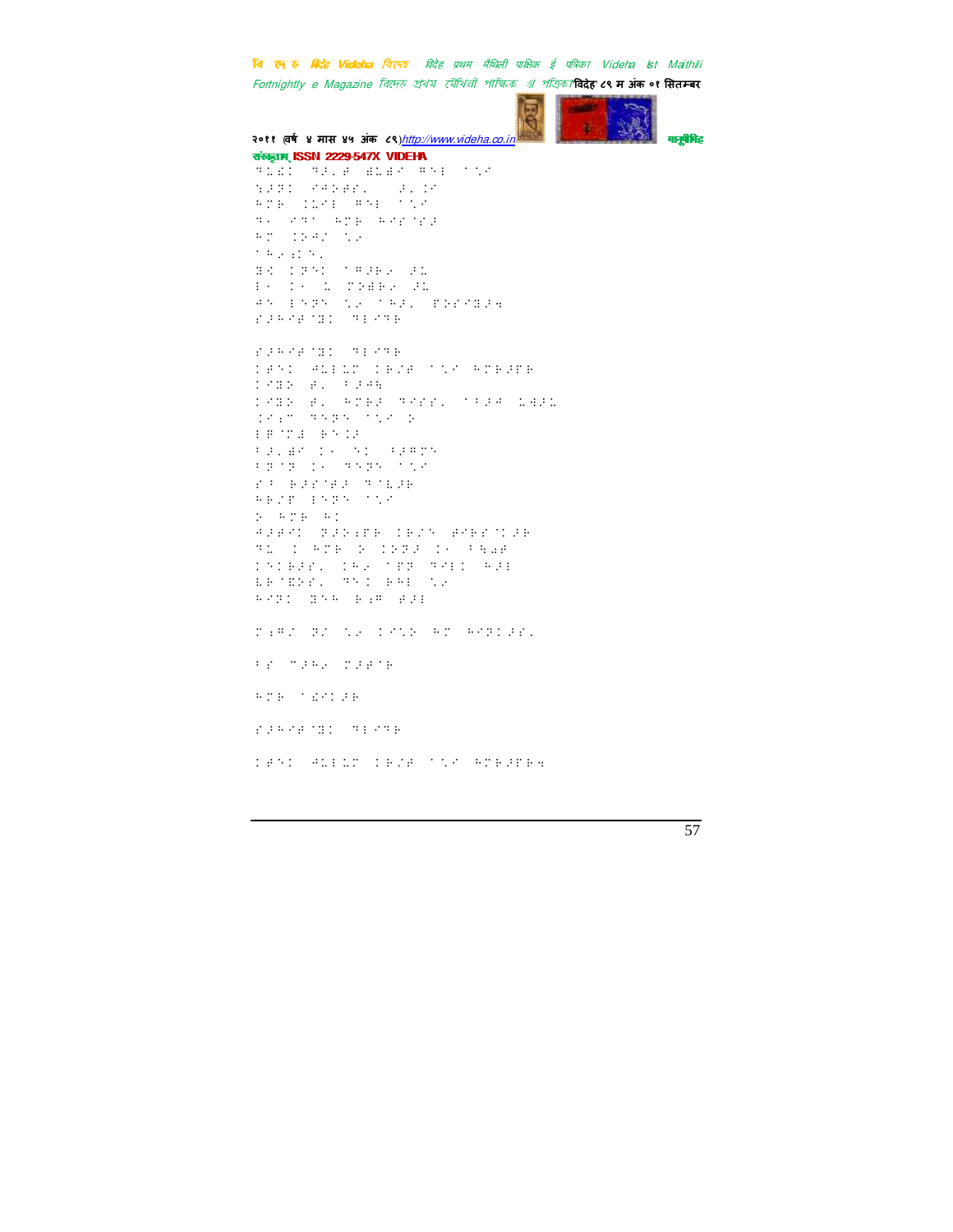बि एक स्टेड Videha विएक विदेह प्रथम मैथिली पाक्षिक ई पत्रिका Videha Ist Maithili Fortnightly e Magazine রিদেত শ্রথম মৌথিনী পাক্ষিক প্রাপত্রিকা**'বিदेह' ८९ म अंक ०१ सितम्बर** 



२०११ (वर्ष ४ मास ४५ अंक ८९)http://www.videha.co. संस्कृतम् ISSN 2229-547X VIDEHA sini salahanan menyebut  $\begin{array}{l} \mathcal{U}(\mathcal{P},\mathcal{P}) = \{ \mathcal{U}(\mathcal{P},\mathcal{P},\mathcal{P}) \} \\ \mathcal{U}(\mathcal{P},\mathcal{P}) = \{ \mathcal{U}(\mathcal{P},\mathcal{P}) \mid \mathcal{U}(\mathcal{P},\mathcal{P}) \} \\ \mathcal{U}(\mathcal{P},\mathcal{P}) = \{ \mathcal{U}(\mathcal{P},\mathcal{P}) \mid \mathcal{U}(\mathcal{P},\mathcal{P}) \} \end{array}$  $\sigma_{\rm eff} = \sigma(\sigma(t))$  , and  $\mu = \mu(\sigma_1 t)$  and  $\label{eq:4.1} 0.27 \times 1.5, 0.27 \times 1.2$  $\gamma$  and an  $\gamma$  . da (1951), newspield<br>Britannic (1988), www.<br>Asiangsing.com/secures/<br>Variand (1983)

guardante de cap TENT PLEAS TEST TOO ROBER pedale all'espagiyaa al erek myrri jirke bakb<br>dyam myrvijinin EBSTA BNDP  $\begin{array}{ll} \mathbb{P} \left( \mathbb{P} \left( \mathbb{P} \left( \mathbb{P} \right) \right) \right) = \mathbb{P} \left( \mathbb{P} \right) = \mathbb{P} \left( \mathbb{P} \left( \mathbb{P} \right) \right) \\ \mathbb{P} \left( \mathbb{P} \left( \mathbb{P} \right) \right) = \mathbb{P} \left( \mathbb{P} \right) = \mathbb{P} \left( \mathbb{P} \left( \mathbb{P} \right) \right) = \mathbb{P} \left( \mathbb{P} \left( \mathbb{P} \right) \right) \\ \mathbb{P} \left$ PACE REPORT OF TEXPE  $\mathbb{E}\left[\mathbb{E}\left[\mathcal{E}(\mathbb{P})\right]\right] \leq \mathbb{E}\left[\mathcal{E}(\mathbb{P})\mathcal{E}\right] \leq \mathbb{E}\left[\mathcal{E}\right]\mathcal{E}$ A 2 8 KG | DIA 5 8 B | DE 2 5 | BKB 2 10 2 B **PEC I FTF DOIDER IN FRAR** iniedel (1920–1930) med 1929<br>Bergher, mni empiriz  $\mathbf{h}(\mathcal{P},\mathbf{P},\mathbf{f}) = \mathbf{g}(\mathbf{v},\mathbf{h}) - \mathbf{g}(\mathbf{v},\mathbf{h}) - \mathbf{g}(\mathbf{v},\mathbf{f})$ 

THE STATE OF STATE REPORTED a good award a same Adam Santas Passer at Careers fant americans that the areares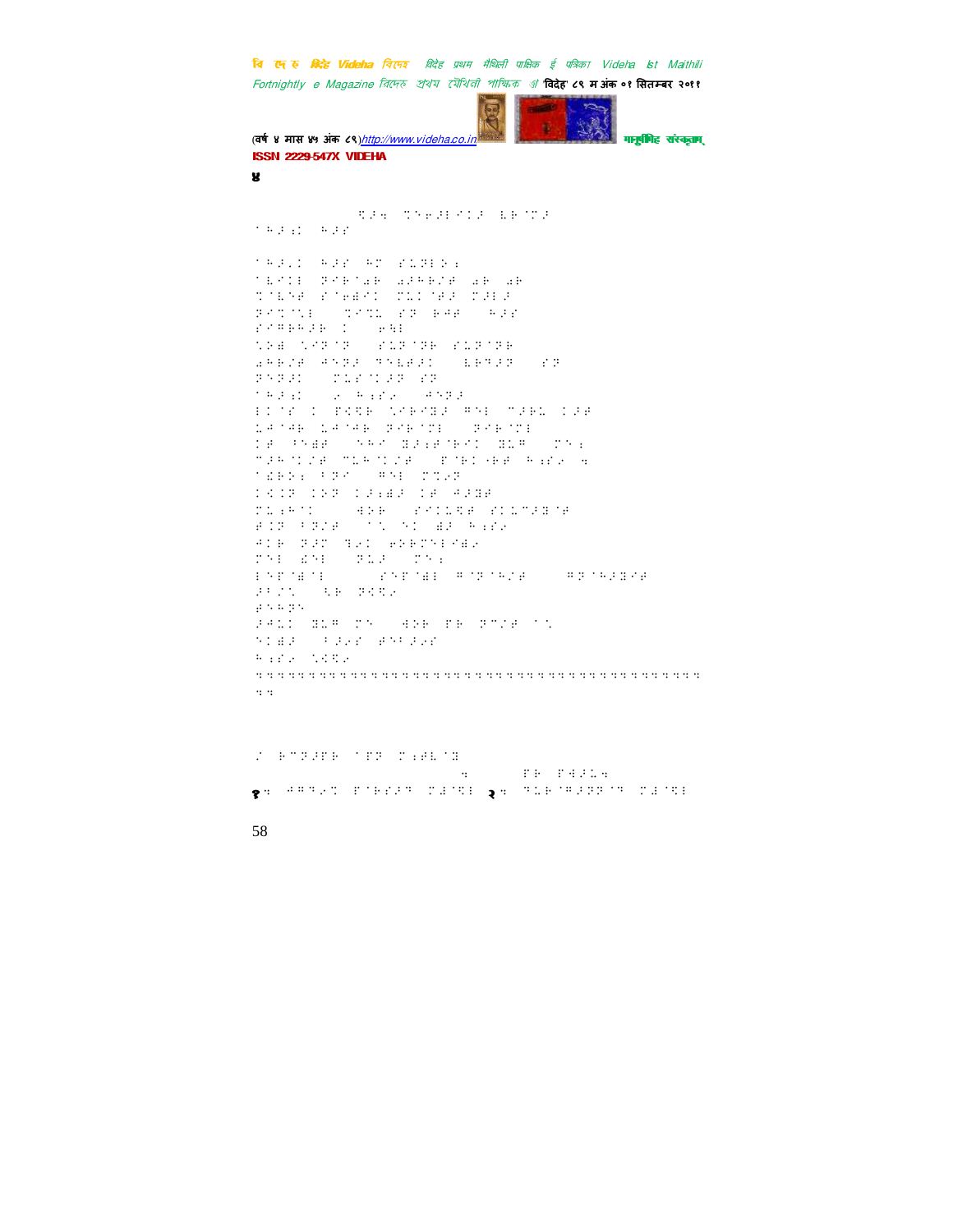बि एक रु मिनेट Videha विएक विदेह प्रथम मैथिली पाक्षिक ई पत्रिका Videha Ist Maithili Fortnightly e Magazine রিদেত প্রথম মৌথিনী পাক্ষিক *ঙা* **বিदेह ८९ म अंक ०१ सितम्बर २०११** 



**ISSN 2229-547X VIDEHA** 

¥

 $\label{eq:Ricci} \begin{split} \mathcal{R}_1\cdot\mathcal{R}_2\cdot\mathcal{R}_3\cdot\mathcal{R}_4\cdot\mathcal{R}_1\cdot\mathcal{R}_2\cdot\mathcal{R}_1\cdot\mathcal{R}_2\cdot\mathcal{R}_3\cdot\mathcal{R}_1\cdot\mathcal{R}_2\cdot\mathcal{R}_1\cdot\mathcal{R}_2\cdot\mathcal{R}_1\cdot\mathcal{R}_2\cdot\mathcal{R}_1\cdot\mathcal{R}_2\cdot\mathcal{R}_1\cdot\mathcal{R}_2\cdot\mathcal{R}_1\cdot\mathcal{R}_2\cdot\mathcal{R}_1\cdot\mathcal{R}_2\$  $\gamma$  and  $\gamma_{\rm eff}$  , and  $\gamma_{\rm eff}$ TRAVEL RAP REPORTED E in a car a chuid anns an chuid ann.<br>Bheagair an chuid an chuid agus an chuid an chuid an chuid an chuid an chuid an chuid an chuid an chuid an chu<br>An chuid an chuid an chuid an chuid an chuid an chuid an chuid an chuid an

 $\mathcal{L}^{\mathcal{L}}(\mathbb{E}(\mathbb{E}(\mathcal{P},\mathcal{P},\mathbb{P})))\cong\mathcal{L}(\mathcal{P})$ **医开关过敏 中外装法 生存生活法**  $\mathcal{B}(\mathcal{B},\mathcal{B},\mathcal{B}) = \mathcal{B}(\mathcal{B},\mathcal{B}) \cap \mathcal{B}(\mathcal{B}) \cap \mathcal{B}(\mathcal{B})$ TRANSPORTATION AND A adira di membinyakan kesampan dina<br>1979-Cikeren menyakan menyakan THE PARK CONNOIL BUSINESS CONTROL TO B male rold as indue to data is in telocie as in early class TERRITORY SENE TORP  $\theta$  (  $\theta$  ) (  $\theta$  ,  $\theta$  ) (  $\theta$  ) (  $\theta$  ) (  $\theta$  ))  $\theta$  ) (  $\theta$  )) (  $\theta$ Construction to the same composition  $\mathcal{P}^{\pm}(\mathcal{P}^{\pm} \mathcal{P}^{\pm}) = \mathcal{P}^{\pm} \mathcal{P}^{\pm}(\mathcal{P}^{\pm} \mathcal{P}^{\pm})$  $\mu$  will pay. SALD BLACKS CAPE FECTIVE TO NOBOL POSSESSMENT  $\mathcal{H}_{\text{eff}}(\mathcal{E},\mathcal{E}) = \mathcal{E}(\mathcal{E},\mathcal{E},\mathcal{E})$  $\mathcal{M}(\mathcal{M})$ 

```
CONFIDENTIAL CONTINUES.
                                \sim FR \sim FR FR \sim\sim 100es especialmentes cantales para relativa naixa
```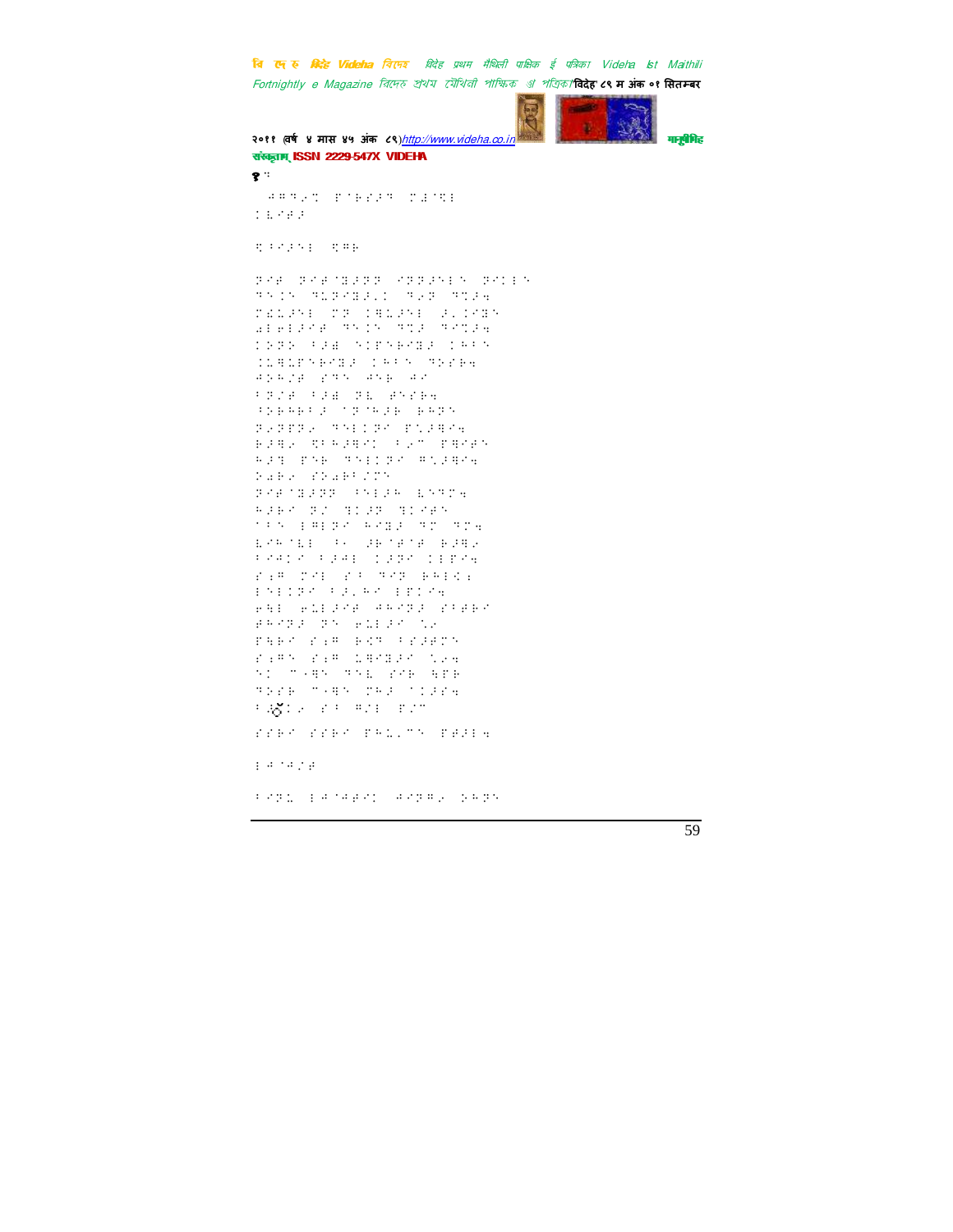बि एक रु मिनेट Videha विएक विदेह प्रथम मैथिली पाक्षिक ई पत्रिका Videha Ist Maithili Fortnightly e Magazine রিদেহ প্রথম মৌথিনী পাক্ষিক প্রাপত্রিক/**বিदेह ८९ म अंक ०१ सितम्बर County** 

२०११ (वर्ष ४ मास ४५ अंक ८९) http://www.videha.co संस्कृतम् ISSN 2229-547X VIDEHA

ø, मनुबेमिह

 $\mathbf{S}$  ::

13,599%

地名美国美国巴西亚

 $\mathcal{P}(\mathcal{S},\mathcal{B})=\mathcal{P}(\mathcal{S},\mathcal{B})\cap\mathcal{P}(\mathcal{B},\mathcal{B},\mathcal{B})=\mathcal{P}(\mathcal{B},\mathcal{B},\mathcal{B},\mathcal{B})\cap\mathcal{P}(\mathcal{S},\mathcal{B},\mathcal{B})$ HAIN HERMERIC HAR HERR mandos mais rendos lodos dos.<br>Generaciones do mais mondos TORS FREE SIMPLEFIES INC. CONDITARY BANK CORPORATION  $\mathcal{A}(\mathcal{G},\mathcal{G},\mathcal{G},\mathcal{G})=\mathcal{G}(\mathcal{G},\mathcal{G})=\mathcal{A}(\mathcal{G},\mathcal{G})=\mathcal{A}(\mathcal{G})$  $\mathbb{P}(\mathbb{P}(\mathbb{P}(\mathbb{P}(\mathbb{P}(\mathbb{P}(\mathbb{P}(\mathbb{P}(\mathbb{P}(\mathbb{P}(\mathbb{P}(\mathbb{P}(\mathbb{P}(\mathbb{P}(\mathbb{P}(\mathbb{P}(\mathbb{P}(\mathbb{P}(\mathbb{P}(\mathbb{P}(\mathbb{P}(\mathbb{P}(\mathbb{P}(\mathbb{P}(\mathbb{P}(\mathbb{P}(\mathbb{P}(\mathbb{P}(\mathbb{P}(\mathbb{P}(\mathbb{P}(\mathbb{P}(\mathbb{P}(\mathbb{P}(\mathbb{P}(\mathbb{P}(\mathbb{$  $\mathbb{E}[\mathbf{y},\mathbf{p},\mathbf{n},\mathbf{p},\mathbf{r}](\mathbf{y}) \geq \mathbb{E}[\mathbf{y},\mathbf{r},\mathbf{p},\mathbf{p}] = \mathbf{p},\mathbf{n},\mathbf{p},\mathbf{v}$  $\mathbb{P}(\mathbb{P}(\mathbb{P}(\mathbb{P}(\mathbb{P}(\mathbb{P}(\mathbb{P}(\mathbb{P}(\mathbb{P}(\mathbb{P}(\mathbb{P}(\mathbb{P}(\mathbb{P}(\mathbb{P}(\mathbb{P}(\mathbb{P}(\mathbb{P}(\mathbb{P}(\mathbb{P}(\mathbb{P}(\mathbb{P}(\mathbb{P}(\mathbb{P}(\mathbb{P}(\mathbb{P}(\mathbb{P}(\mathbb{P}(\mathbb{P}(\mathbb{P}(\mathbb{P}(\mathbb{P}(\mathbb{P}(\mathbb{P}(\mathbb{P}(\mathbb{P}(\mathbb{P}(\mathbb{$ FIRE STREET CONTRACTS  $\mathcal{U}(\mathcal{G},\mathcal{G})=\mathcal{U}(\mathcal{G},\mathcal{G})=\mathcal{U}(\mathcal{G},\mathcal{G})\mathcal{U}(\mathcal{G},\mathcal{G})=\mathcal{U}(\mathcal{G},\mathcal{G},\mathcal{G},\mathcal{G})$ Name of Name 2015  $\mathcal{B}(\mathcal{A},\mathcal{B})\cap\mathcal{B}(\mathcal{B},\mathcal{B},\mathcal{B})=\mathcal{B}(\mathcal{A},\mathcal{B},\mathcal{B})=\mathcal{B}(\mathcal{A},\mathcal{B},\mathcal{B},\mathcal{B},\mathcal{B}).$  $\mathcal{H}(\mathcal{S},\mathbb{R},\mathcal{S}) = \mathcal{B}(\mathcal{S}) = \mathcal{B}(\mathcal{S}(\mathcal{S},\mathbb{R})) = \mathcal{B}(\mathcal{S}(\mathcal{S},\mathbb{R}))$  $\begin{split} \mathcal{E}(\mathcal{S},\mathcal{S}) & \leq \mathcal{E}(\mathcal{S},\mathcal{S}) \mathcal{S} \mathcal{S} \mathcal{S} \mathcal{S} \mathcal{S} \mathcal{S} \mathcal{S} \mathcal{S} \mathcal{S} \mathcal{S} \mathcal{S} \mathcal{S} \mathcal{S} \mathcal{S} \mathcal{S} \mathcal{S} \mathcal{S} \mathcal{S} \mathcal{S} \mathcal{S} \mathcal{S} \mathcal{S} \mathcal{S} \mathcal{S} \mathcal{S} \mathcal{S} \mathcal{S} \mathcal{S} \mathcal{S} \$ FRADA FORES DORPS DEPAR  $\label{eq:2.1} \mathcal{E}^{\mathbb{Q}}(q,0)=\mathcal{E}^{\mathbb{Q}}(q,0)=\mathcal{E}^{\mathbb{Q}}(q,0)=\mathcal{E}^{\mathbb{Q}}(q,0)=\mathcal{E}^{\mathbb{Q}}(q,0)=0.$ 主办主义共产人主义公开的人主要公司在  $\mu(\mathcal{H}(E)) = \mu(\mathcal{L}(E), \mathcal{F}(E)) = \mu(\mathcal{H}(E), \mathcal{F}) = \mu(\mathcal{F}(E), \mathcal{F}(E))$  $\mathcal{B}(\mathcal{B},\mathcal{C}(\mathcal{B},\mathcal{B}))$  ,  $\mathcal{B}(\mathcal{B})$  , and  $\mathcal{B}(\mathcal{C})$  ,  $\mathcal{C}(\mathcal{B})$ park and create constants PARK PRACTICES IN NI TARY TIME YOU ATE **FREE CONTROLLER** CORPO **FROM STORY EVENT** YYEK YYEK TELLTY TRAFF

grama jego

 $\mathbb{E}[\mathcal{L}(\mathcal{G},\mathcal{L})]$  . If  $\mathcal{G}(\mathcal{F},\mathcal{G},\mathcal{G},\mathcal{L})$  is a separation of the polynomial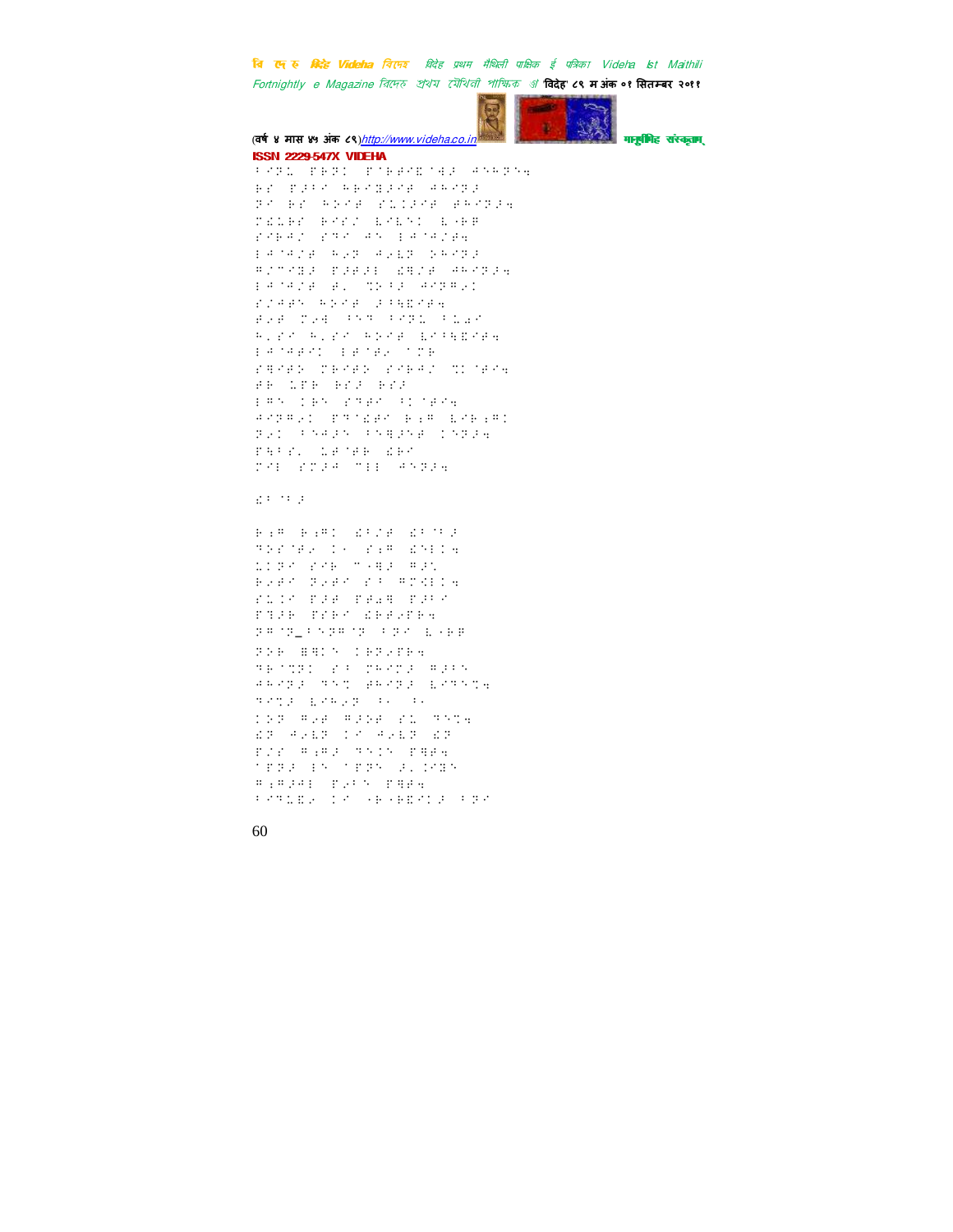बि एक रु मिनेट Videha विएक विदेह प्रथम मैथिली पाक्षिक ई पत्रिका Videha Ist Maithili Fortnightly e Magazine রিদেত প্রথম মৌথিনী পাক্ষিক র্ণ **বিदेह ८९ म अंक ०१ सितम्बर २०११** 

ø

मानूष्टीमेह संस्कृतम्

**ISSN 2229-547X VIDEHA** FRANCISKE STOREPHONES (FRANCH are provided a program and pode la ciedad contra a alega parang a says ay propagan product a polarisation and availines insularence cause a park carpaix carpaign a kinagerala partaged copyright the PARABLE PARA CRANADO DI 1874  $\theta(\Phi)$  , with  $\theta$  ,  $\theta(\theta',\theta')$  ,  $\theta(\theta',\theta')$ part of programmed there. raski batek den<br>1913. kristor iz Andra

(वर्ष ४ मास ४५ अंक ८९)http://www.videha.co.ir

金额 计算法

电压电子电压电位 经未达到 经未付付款 REPORT OF STREET AND DR proper available value aux BOBY BOBY STEPHENES PECK PARTNERS PARK FIRE TERM SPECTRAL party and party of pictures are FOR SERVA CEPATER. HENDRICKS CORPORATION  $\mathcal{A}(\mathcal{B},\mathcal{A},\mathcal{B},\mathcal{B})=\mathcal{B}(\mathcal{B},\mathcal{B})=\mathcal{B}(\mathcal{B},\mathcal{B},\mathcal{B})=\mathcal{B}(\mathcal{A},\mathcal{B},\mathcal{B},\mathcal{B},\mathcal{B})$  $\mathcal{H}(\mathcal{L}(\mathcal{V}_1,\mathcal{V}_2)) = \mathcal{H}(\mathcal{L}(\mathcal{H}_1,\mathcal{V}_2)) = \mathcal{H}(\mathcal{L}(\mathcal{V}_1,\mathcal{V}_2)).$ TOR PORTRAIN TO PATH EP PART IN PART EP 进行进口进行 的复数外的 的复数座位 FRANCES CONTRACTORS ON THE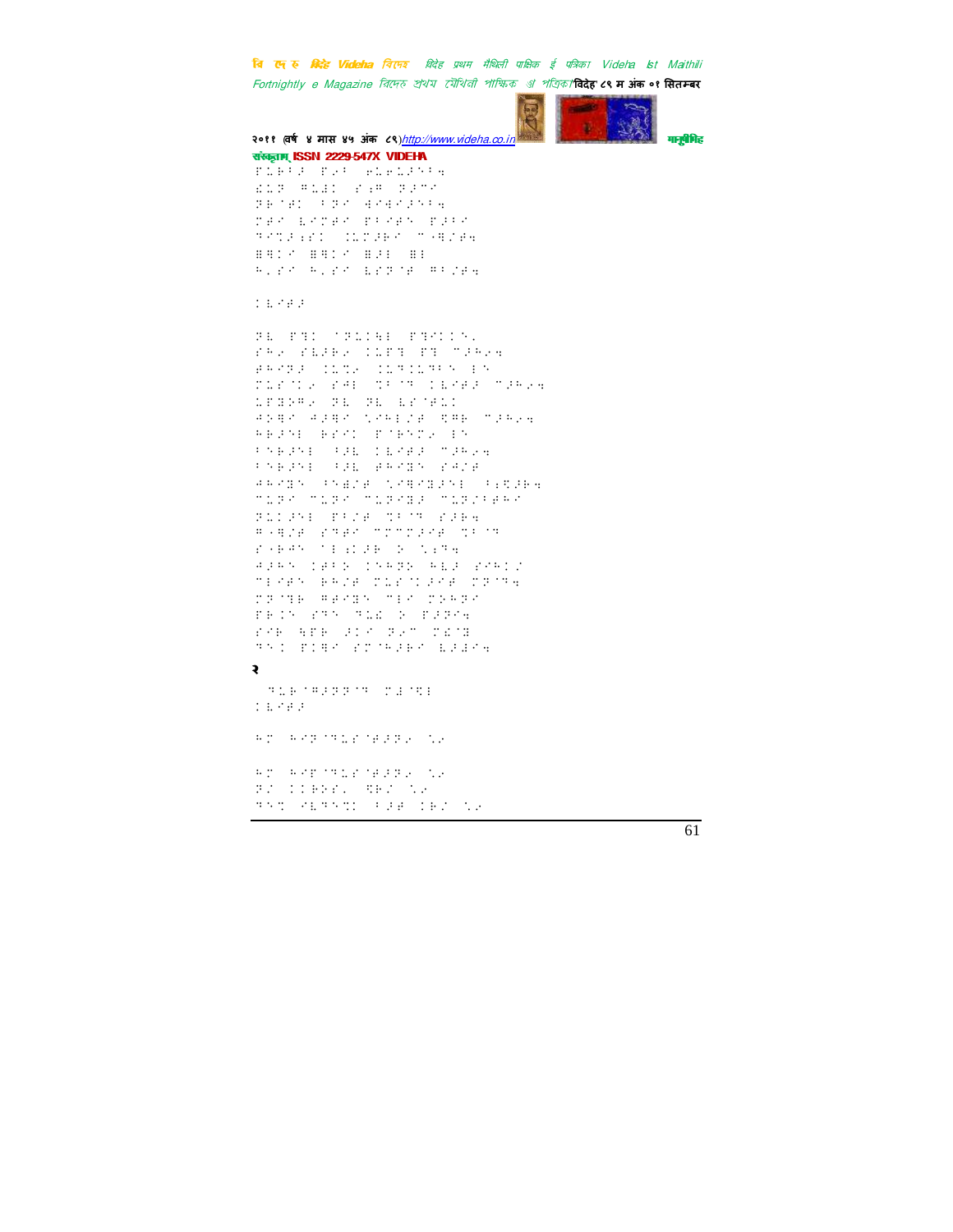बि एक रु मिनेट Videha विएक विदेह प्रथम मैथिली पाक्षिक ई पत्रिका Videha Ist Maithili Fortnightly e Magazine রিদেত শ্রথম মৌথিনী পাক্ষিক প্রাপত্রিকা**'বিदेह' ८९ म अंक ०१ सितम्बर** 

> **CONTRACTOR** ¢ मनुबैमिह

२०११ (वर्ष ४ मास ४५ अंक ८९) http://www.videha.co संस्कृतम् ISSN 2229-547X VIDEHA FIRST FILE FIRST

ELS PLED PAP SONS de nacionale la calcanha. pak akpak arreas agree aspected complete aspect BALK BALK BREE BE  $\mathcal{U}_{\mathcal{A}}\left(\mathcal{L}(\mathcal{A})\right)=\mathcal{U}_{\mathcal{A}}\left(\mathcal{L}(\mathcal{A})\right)=\mathcal{U}_{\mathcal{A}}\left(\mathcal{D}(\mathcal{A})\mathcal{A}\right)=\mathcal{U}_{\mathcal{A}}\left(\mathcal{L}(\mathcal{A})\mathcal{A}\right)$ 

工业产品店

PECEMIC CRITER (FACIN) PARTICULAR TECHNOLOGY aekad (pro prepresenta)<br>prepresenta e pro preda  $\mathbb{E}(\mathbb{P}(\mathbb{H}(\mathbb{R}^m),\mathbb{R}^m),\mathbb{P}(\mathbb{E}))=\mathbb{P}(\mathbb{E})\cap\mathbb{E}(\mathbb{R}^m)\cap\mathbb{P}(\mathbb{E})$  $\begin{split} &\mathbf{1}^{\mathcal{A}}\mathbf{1}^{\mathcal{A}}\mathbf{1}^{\mathcal{A}}\mathbf{1}^{\mathcal{A}}\mathbf{1}^{\mathcal{A}}=\mathbf{1}^{\mathcal{A}}\mathbf{1}^{\mathcal{A}}\mathbf{1}^{\mathcal{A}}\mathbf{1}^{\mathcal{A}}\mathbf{1}^{\mathcal{A}}\mathbf{1}^{\mathcal{A}}\mathbf{1}^{\mathcal{A}}\mathbf{1}^{\mathcal{A}}\mathbf{1}^{\mathcal{A}}\mathbf{1}^{\mathcal{A}}\mathbf{1}^{\mathcal{A}}\mathbf{1}$ ARREST PRESENTATIONS CONSUM made inade inadedde inadorere BILLENE PROFILER TRUNKER e valva i vidak i nonoska i da ira PARANCHE BOARD NONES Adams (1986) 1558 85 (FED) 2750 17 malkars i elevacionale straka i partela paras especies mais poedis FRINGERN ROBERT FRAGA real are some publicate de la plana provincia la cana

₹

 $\left\{ \begin{array}{ll} \mathcal{H}^{\prime}(\mathbb{R}) \oplus \mathcal{H}^{\prime}(\mathbb{R}) \oplus \mathcal{H}^{\prime}(\mathbb{R}) \oplus \mathcal{H}^{\prime}(\mathbb{R}) \oplus \mathcal{H}^{\prime}(\mathbb{R}) \oplus \mathcal{H}^{\prime}(\mathbb{R}) \oplus \mathcal{H}^{\prime}(\mathbb{R}) \oplus \mathcal{H}^{\prime}(\mathbb{R}) \oplus \mathcal{H}^{\prime}(\mathbb{R}) \oplus \mathcal{H}^{\prime}(\mathbb{R}) \oplus \mathcal{H}^{\prime}(\mathbb{R}) \oplus$ 工业产品进口

A province that a release only

A DO A PERMIS DE MARIA CONS BUNGALOWS TO MAKE THE PAT PERNIS FRESH CELLS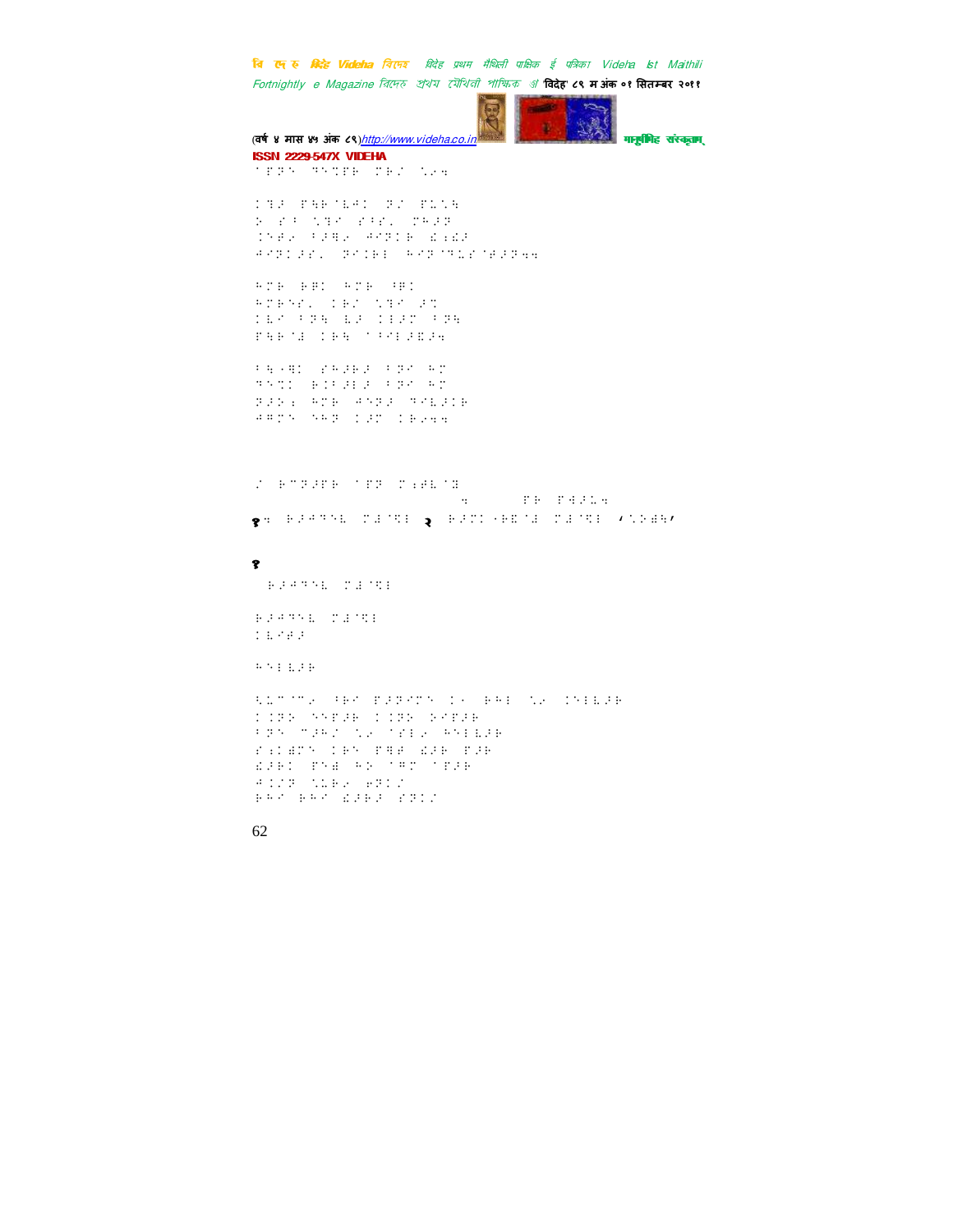चि एत् रू मिन्हे Videha निएन्थ विदेह प्रथम मैथिली पाक्षिक ई पत्रिका Videha Ist Maithili Fortnightly e Magazine विरमह शेथेग द्योंथिवी शीष्मिक औ **विदेह' ८९ म अंक ०१ सितम्बर २०११** 

**CONTRACT** (वर्ष ४ मास ४५ अंक ८९)http://www.videha.co.in/ महाराष्ट्रीय महाराष्ट्रीय मानुषिह संस्कृताम् ISSN 2229-547X VIDEHA 3⢽!⢹⣉3⢷!⢷5!⣁⢴⣒!  $1$  3 3  $\pm$  3  $1$  3  $\pm$  3  $\pm$  3  $\pm$  3  $\pm$  3  $\pm$  3  $\pm$  3  $\pm$  3  $\pm$  3  $\pm$ Single Company of the Company  $\mathbf{T} \sim \mathbf{B} \sim \mathbf{A}$  . <br> <br>  $\mathbf{F} \sim \mathbf{A} \times \mathbf{B}$  , where  $\mathbf{F} \sim \mathbf{B} \times \mathbf{B}$ ⢺⢽⢼F!⢽⣈⢷6!⢳⢽⢹⣅⢾⢼⢽⣒⣒! ⢳⢷!⢷⢿!⢳⢷!⢸⢿! ⢳⢷F!⢷5!⣁⣙!⢼⣉!  $\mathbb{E}$  E  $\mathbb{E}$   $\mathbb{E}$   $\mathbb{E}$  E  $\mathbb{E}$   $\mathbb{E}$   $\mathbb{E}$  E  $\mathbb{E}$  E  $\mathbb{E}$  E  $\mathbb{E}$  E  $\mathbb{E}$  E  $\mathbb{E}$  E  $\mathbb{E}$  E  $\mathbb{E}$  E  $\mathbb{E}$  E  $\mathbb{E}$  E  $\mathbb{E}$  E  $\mathbb{E}$  E  $\mathbb{E}$  E  $\mathbb{E}$  E  $\mathbb{E}$  3⣓⢷⣜!⢷⣓!⢸6⢼⣏⢼⣒! ⣓C⣛!⢳⢼⢷⢼!⢽!⢳! ⢹⣉!⢷⣈⢼6⢼!⢽!⢳! ⢽⢼⢵⣐!⢳⢷!⢺⢽⢼!⢹⣇⢼⢷!  $\label{eq:3} \begin{array}{l} \text{if } \mathbf{u} \in \mathcal{V} \times \mathcal{V} \times \mathcal{V} \times \mathcal{V} \times \mathcal{V} \times \mathcal{V} \times \mathcal{V} \times \mathcal{V} \times \mathcal{V} \times \mathcal{V} \times \mathcal{V} \times \mathcal{V} \times \mathcal{V} \times \mathcal{V} \times \mathcal{V} \times \mathcal{V} \times \mathcal{V} \times \mathcal{V} \times \mathcal{V} \times \mathcal{V} \times \mathcal{V} \times \mathcal{V} \times \mathcal{V} \times \mathcal{V} \times \math$ 5!⢷^⢽⢼3⢷!3⢽!⣐⢾⣇⣝! hhbkfoesbAwjefib⣒dpn!3⢷!3⣚⢼⣅⣒!! १⣒!⢷⢼⢺⢹⣇!⣜⣋6!२!⢷⢼C⢷⣏⣜!⣜⣋6!'⣁⢵⣞⣓' १ !⢷⢼⢺⢹⣇!⣜⣋6! ⢷⢼⢺⢹⣇!⣜⣋6! ⣇⢾⢼!  $6.5\pm0.3\pm0.1$  $\mathcal{L}$   $\mathcal{L}$   $\mathcal{L}$   $\mathcal{L}$   $\mathcal{L}$   $\mathcal{L}$   $\mathcal{L}$   $\mathcal{L}$   $\mathcal{L}$   $\mathcal{L}$   $\mathcal{L}$   $\mathcal{L}$   $\mathcal{L}$   $\mathcal{L}$   $\mathcal{L}$   $\mathcal{L}$   $\mathcal{L}$   $\mathcal{L}$   $\mathcal{L}$   $\mathcal{L}$   $\mathcal{L}$   $\mathcal{L}$   $\mathcal{L}$   $\mathcal{L}$   $\mathcal{L$ ⣈⢽⢵!3⢼⢷!⣈⢽⢵!⢵3⢼⢷! ⢽!^⢼⢳5!⣁⢴!6⢴!⢳6⣇⢼⢷! ⣐⣞!⢷!3⣛⢾!⣎⢼⢷.3⢼⢷! ⣎⢼⢷!3⣞!⢳⢵!⢻.3⢼⢷! ⢺⣈5⢽!⣁⣅⢷⢴!⢶⢽5!! ⢷⢳.⢷⢳!⣎⢼⢷⢼!⢽5!!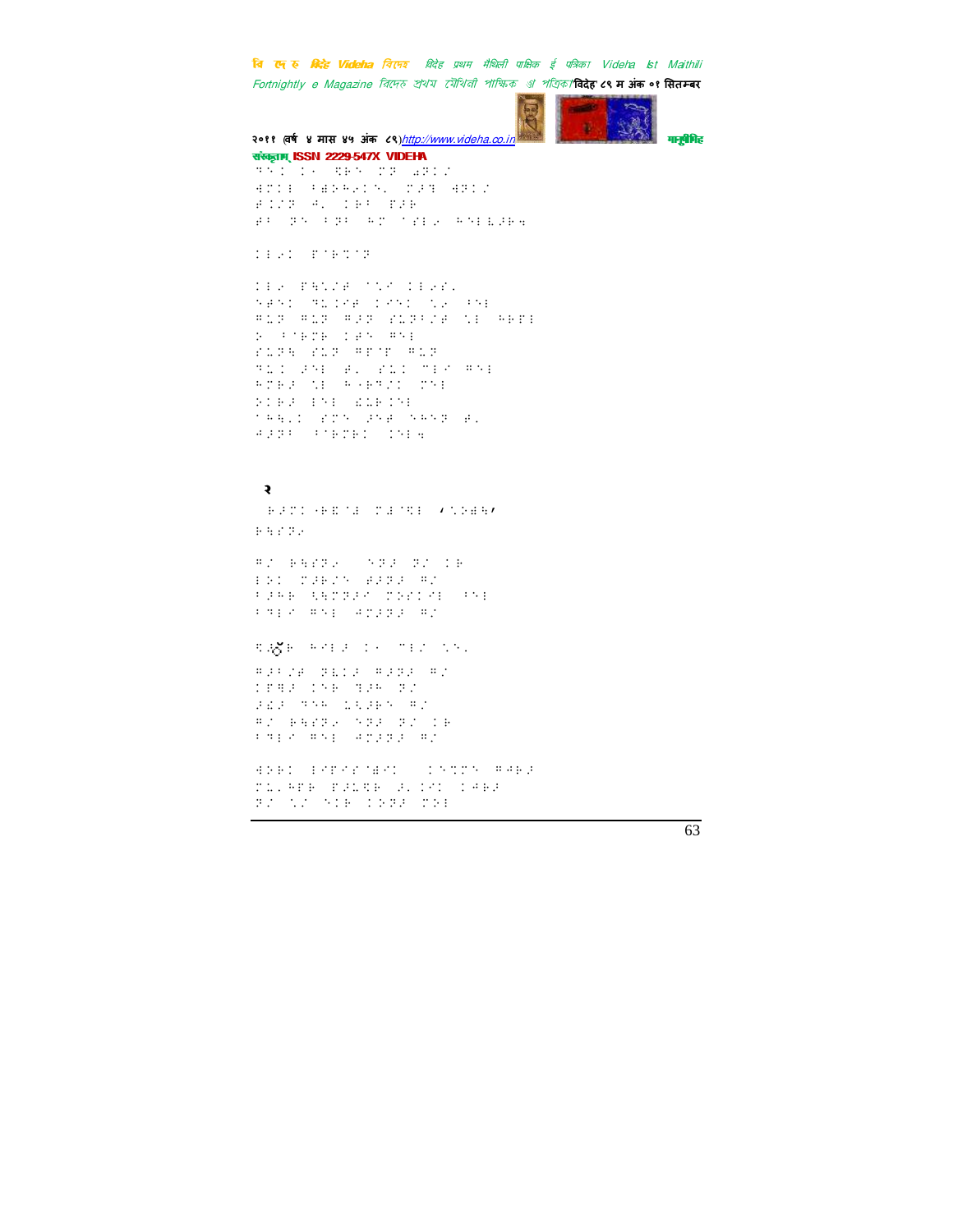चि एत् रू मिन्हे Videha निएन्थ विदेह प्रथम मैथिली पाक्षिक ई पत्रिका Videha Ist Maithili Fortnightly e Magazine রিদেহ প্রথম মৌথিনী পাক্ষিক প্র পত্রিকা**'বিदेह' ८९ म अंक ०१ सितम्बर** 



संस्कृतम् ISSN 2229-547X VIDEHA MAN PERSONA SERIE GETTE REPARTS TO TRANSPORT ⢾⣈5⢽!⢺F!⢷!3⢼⢷! ⢾!⢽!⢽!⢳!6⢴!⢳6⣇⢼⢷⣒!

6⢴!3⢷⣉⢽!!!!!!

6⢴!3⣓⣁5⢾!⣁!6⢴F!!  $\mathcal{A}$  B  $\mathcal{A}$  of  $\mathcal{A}$  and  $\mathcal{A}$  be a set of  $\mathcal{A}$  of  $\mathcal{A}$  and  $\mathcal{A}$ ⢻⣅⢽.⢻⣅⢽!⢻⢼⢽!⣅⢽5⢾!⣁6!⢳⢷36!  $\label{eq:3} \mathcal{P} = \{ \mathcal{P} \in \mathcal{P} \mid \mathcal{P} \in \mathcal{P} \} \cup \{ \mathcal{P} \in \mathcal{P} \}$ ⣅⢽⣓.⣅⢽!⢻33!⢻⣅⢽! ⢹⣅⣈!⢼6!⢾F!⣅⣈!^6!⢻6! ⢳⢷⢼!⣁6!⢳C⢷⢹5!6! ⢵⢷⢼!66!⣎⣅⢷⣈6!  $\mathcal{N}$ FRIO CONTROL PRESERVATION ⢺⢼⢽!⢸⢷⢷!⣈6⣒!

#### २

!⢷⢼C⢷⣏⣜!⣜⣋6!'⣁⢵⣞⣓' ⢷⣓⢽⢴!

⢻5!⢷⣓⢽⢴-!⢽⢼!⢽5!⢷! 6⢵!⢼⢷5!⢾⢼⢽⢼!⢻5! ⢼⢳⢷!⣃⣓⢽⢼!⢵6!⢸6! ⢹6!⢻6!⢺⢼⢽⢼!⢻5!

⣋⢼◌ॅ⢷!⢳6⢼!r!^65!⣁F!

⢻⢼5⢾!⢽⣇⢼!⢻⢼⢽⢼!⢻5! 3⣛⢼!⢷!⣙⢼⢳!⢽5! ⢼⣎⢼!⢹⢳!⣅⣃⢼⢷!⢻5! ⢻5!⢷⣓⢽⢴!⢽⢼!⢽5!⢷!! ⢹6!⢻6!⢺⢼⢽⢼!⢻5!

⣚⢵⢷!63⣞-!⣉!⢻⢺⢷⢼! ⣅F⢳3⢷!3⢼⣅⣋⢷!⢼F⣈!⢺⢷⢼! ⢽5!⣁5!⢷!⢵⢽⢼!⢵6!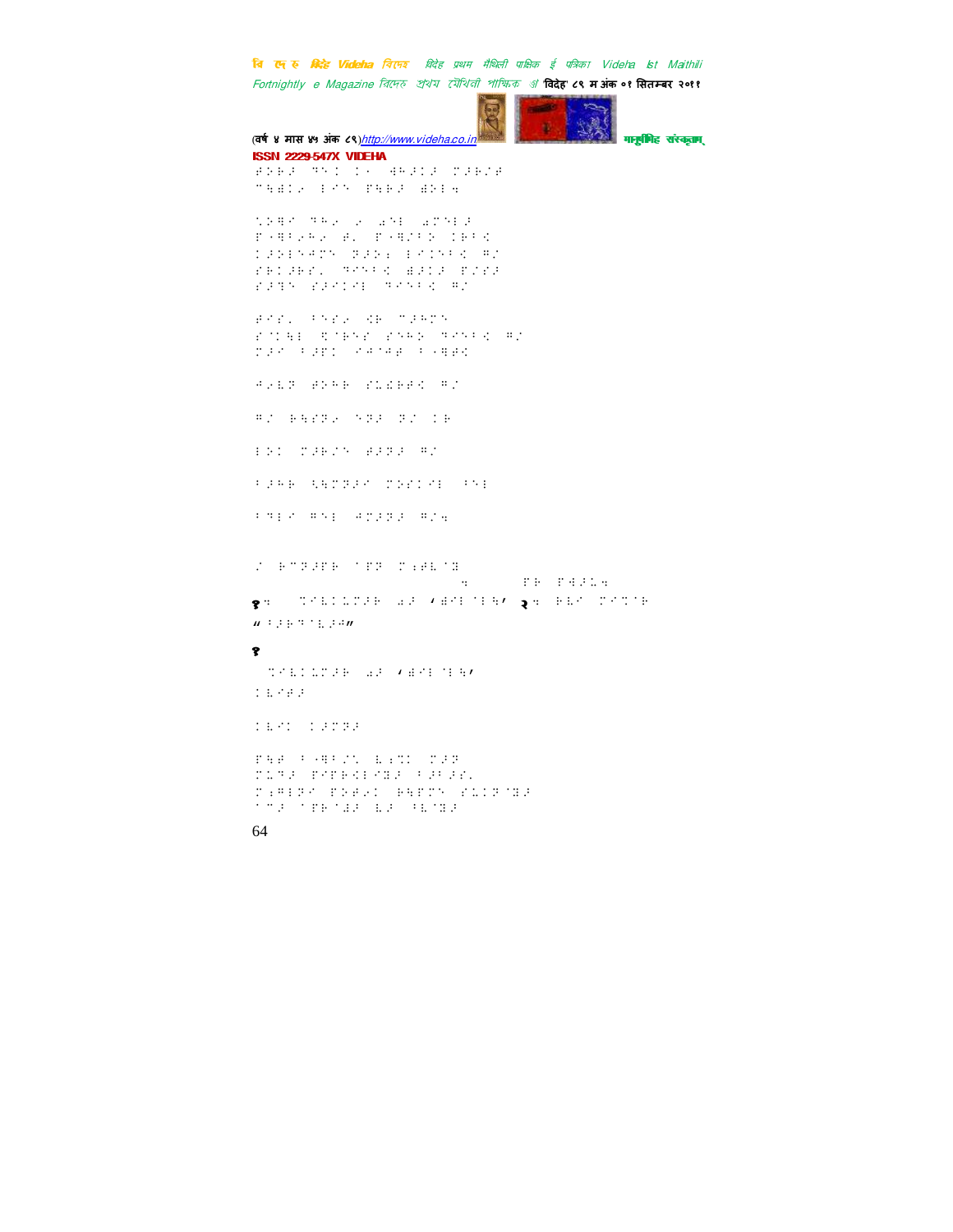```
चि एत् रू मिन्हे Videha निएन्थ विदेह प्रथम मैथिली पाक्षिक ई पत्रिका Videha Ist Maithili
Fortnightly e Magazine  विरमह  शेथेग द्योंथिवी  शीष्मिक  औ विदेह' ८९ म अंक ०१ सितम्बर २०११
(वष
 ४ मास ४५ अंक ८९)http://www.videha.co.in/ मानुषीिमह संकृताम्
ISSN 2229-547X VIDEHA 
64
⢾⢵⢷⢼!⢹⣈!r!⣚⢳⢼⢼!⢼⢷5⢾!
^⣓⣞⢴!6!3⣓⢷⢼!⣞⢵6⣒!
⣁⢵⣛!⢹⢳⢴!⢴!⣔6.⣔6⢼!
3C⣛⢴⢳⢴!⢾F!3C⣛5⢵!⢷⣊!
⢼⢵6⢺!⢽⢼⢵⣐!6⣈⣊!⢻5!
⢷⢼⢷F!⢹⣊!⣞⢼⢼!35⢼!
⢼⣙!⢼6!⢹⣊!⢻5!
⢾F!⢴!⣊⢷!^⢼⢳!
⣓6!⣋⢷!⢳⢵!⢹⣊!⢻5!
⢼.⢼3!⢺⢺⢾!C⣛⢾⣊!!
⢺⢴⣇⢽!⢾⢵⢳⢷!⣅⣎⢷⢾⣊!⢻5!!
⢻5!⢷⣓⢽⢴!⢽⢼!⢽5!⢷!!
6⢵!⢼⢷5!⢾⢼⢽⢼!⢻5!!
⢼⢳⢷!⣃⣓⢽⢼!⢵6!⢸6!!
⢹6!⢻6!⢺⢼⢽⢼!⢻5⣒!!
5!⢷^⢽⢼3⢷!3⢽!⣐⢾⣇⣝!
                       hhbkfoesbAwjefib⣒dpn!3⢷!3⣚⢼⣅⣒!!
१⣒!!⣉⣇⣅⢼⢷!⣔⢼!'⣞66⣓' २⣒!⢷⣇!⣉⢷!
\mathbf{w} \stackrel{\text{def}}{=} \mathbb{P} \oplus \mathbb{P} \oplus \mathbb{P} \oplus \mathbb{P} \oplus \mathbb{P} \oplus \mathbb{P}१
 !⣉⣇⣅⢼⢷!⣔⢼!'⣞66⣓'
⣇⢾⢼!
⣇!⢼⢽⢼!
3⣓⢾!C⣛5⣁!⣇⣐⣉!⢼⢽!
⣅⢹⢼!33⢷⣊6⣝⢼!⢼⢼F!
⣐⢻6⢽!3⢵⢾⢴!⢷⣓3!⣅⢽⣝⢼!
^⢼!3⢷⣜⢼!⣇⢼!⢸⣇⣝⢼!
```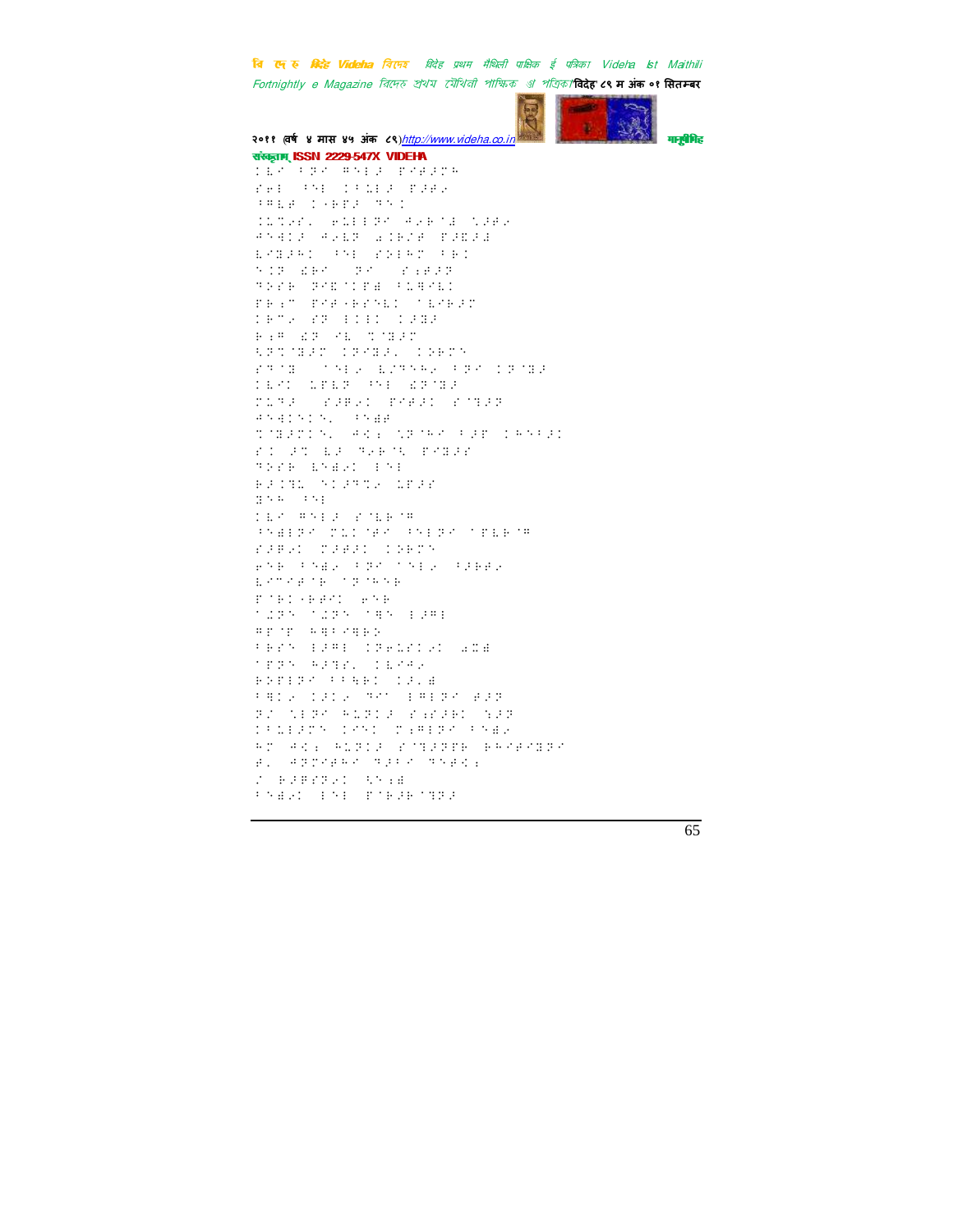बि एक रु मिनेट Videha विएक विदेह प्रथम मैथिली पाक्षिक ई पत्रिका Videha Ist Maithili Fortnightly e Magazine রিদেত শ্রথম মৌথিনী পাক্ষিক প্রাণবিকা**বিदेह ८९ म अंक ०१ सितम्बर** 

> **CONTRACTOR** ¢

मनुबेमिह

संस्कृतम् ISSN 2229-547X VIDEHA die spelkaar perspekt **SAFETEED PART**  $\mathcal{L}$  and  $\mathcal{L}$  $\mathcal{F}(\theta,\mathbb{E}(\theta)) = \mathcal{F}(\theta,\mathbb{E}(\theta),\mathbb{E}(\theta)) = \mathcal{F}(\theta)$ TEMPER SPEEDS PROPERTY APPEA  $\theta \geq \theta$  for  $\theta \geq \theta$  ,<br>which can follow that  $\theta \in \mathbb{R}$  is finite if EVERAL PARTNERS PER NIB SERVICER CONSERB MORE PRESIDE STREET FRAM PARABRALIS CLARAT **CEMP RACEDED CORRA** BAR ED PE TIMET CROMBER CREATE CORPOR en fall i tra vila znikev i nel prifat TERM LEEP PNE EPIDE DIRECT PARADORPHED PORCH a vadindinu (1938)<br>Idioadoru (1933), italieni (1931), denega POSTAGE AND THE TRIPPERS **TERR ENERGY ENE BRITISH STRATES SERRE**  $\mathbb{S}^{(N,\mathbf{B})}\subseteq\mathbb{S}^{N,\mathbf{B}}$ TERM #NER SEMENT# spares to be specified transfer FRENCH CREAT CORPS ENE PNES PORT NEW PORTS Express the components PORTABANI AND **NORMAL CORNER CONTROL**  $\mathbb{E}\left[\mathbb{P}\left[\mathbb{P}\left[\mathbb{P}\right]\right]\right] = \mathbb{E}\left[\mathbb{E}\left[\mathbb{P}\left[\mathbb{P}\right]\right]\right] \geq \mathbb{E}\left[\mathbb{E}\left[\mathbb{P}\right]\right]$  $\mathcal{F}(\mathbb{B}(\mathcal{L},\mathcal{H}))$  . If  $\mathcal{F}(\mathbb{B}(\mathcal{L}))$  . If  $\mathcal{F}(\mathbb{B}(\mathcal{L},\mathcal{L},\mathcal{L}))$  is final presidente, crasses aderes (financiologia)<br>Facultural del cramento due BUT SERVINGED FOR BOARD (NAB familiar test riaging a say Archards Abstract Protection American al cappeane alabe aspect  $\mathcal{I} = \{ \mathcal{I}, \mathcal{I}, \mathcal{I}, \mathcal{I}, \mathcal{I}, \mathcal{I}, \mathcal{I}, \mathcal{I}, \mathcal{I}, \mathcal{I}, \mathcal{I}, \mathcal{I} \}$ Prasi ana mpambas

२०११ (वर्ष ४ मास ४५ अंक ८९) http://www.videha.co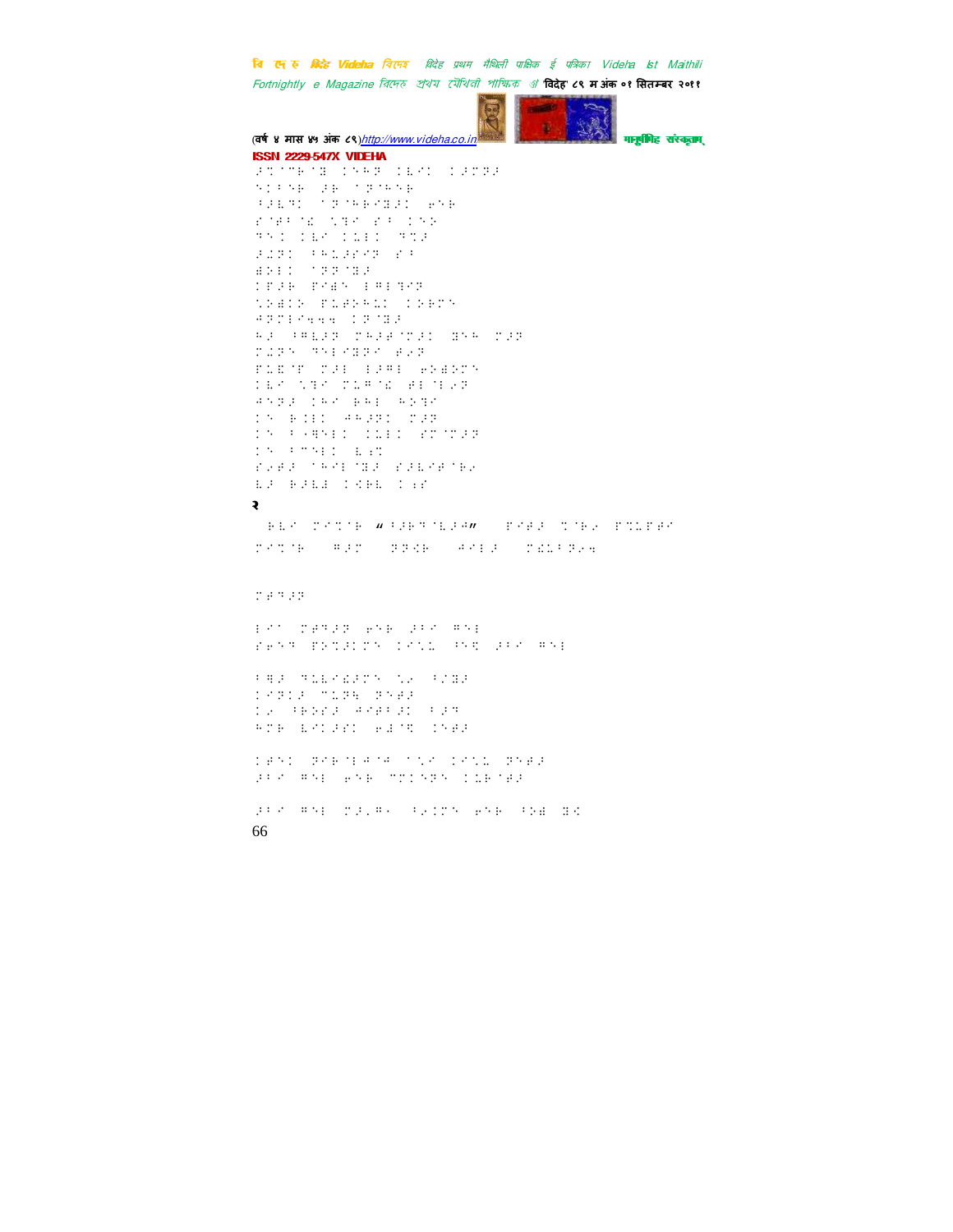बि एक रु मिनेट Videha विएक विदेह प्रथम मैथिली पाक्षिक ई पत्रिका Videha Ist Maithili Fortnightly e Magazine রিদেত প্রথম মৌথিনী পাক্ষিক *প্র* **বিदेह ८९ म अंक ०१ सितम्बर २०११** 

**Service** 

â ø (वर्ष ४ मास ४५ अंक ८९)http://www.videha.co.in मानुबंधिह संस्कृतम् **ISSN 2229-547X VIDEHA** administration education added ing kapilitan ng mga pilipina.<br>Kabupatèn Banggarang Langka president and environ-SAIL INCLUDED STR adar (Febaras al association and .<br>1896 Pran (Perman trans ruerant trans Administration and the company of the company of the company of the company of the company of the company of the company of the company of the company of the company of the company of the company of the company of the comp nues inseredes ave FIRST TRESPERSED PRESTS paik which paints are more  $\mathcal{A}(\mathcal{N},\mathcal{B},\mathcal{F})=\mathcal{I}(\mathcal{B},\mathcal{F})\oplus\mathcal{B}(\mathcal{F})=\mathcal{B}(\mathcal{B},\mathcal{B},\mathcal{F})$ 17 FILE #5391 T39 in a sand codes arrive .<br>19 januari 1941.<br>1942 herritaa lingaarahe EV PALE TREE TEP  $\mathbf{R}$  $\left\langle \left\langle \Phi(E)\Phi \right\rangle \right\rangle \otimes \left\langle \left\langle \Phi \right\rangle \otimes \left\langle \Phi \right\rangle \otimes \left\langle \Phi \right\rangle \otimes \left\langle \Phi \right\rangle \otimes \left\langle \Phi \right\rangle \otimes \left\langle \Phi \right\rangle \otimes \left\langle \Phi \right\rangle \otimes \left\langle \Phi \right\rangle \otimes \left\langle \Phi \right\rangle \otimes \left\langle \Phi \right\rangle \otimes \left\langle \Phi \right\rangle \otimes \left\langle \Phi \right\rangle \otimes \left\langle \Phi \right\rangle \otimes \left\langle \Phi \right\rangle \otimes \left\langle \Phi \right\rangle$ renne (#dr. ddee) aerd (ramsde  $(27.4, 27.2, 27.2)$  $\left\{ \begin{array}{ll} \mathbb{P} \left( \mathcal{S}^{(n)} \right) = \mathbb{P} \left( \mathcal{S}^{(n)} \right) \mathbb{P} \left( \mathcal{S}^{(n)} \right) = \mathbb{P} \left( \mathcal{S}^{(n)} \right) = \mathbb{P} \left( \mathcal{S}^{(n)} \right) = \mathbb{P} \left( \mathcal{S}^{(n)} \right) \end{array} \right.$ and the second state of the state of the state of the state of the state of the state of the state of the state of the state of the state of the state of the state of the state of the state of the state of the state of the FREE PERMITS NATIONAL TRETE MIRE BABE TO PERMIT ANALOG CORP. A DAY A POSSIBLE A STRUCTURES dand dealers and the control disade and entirely and movement and the SPACE REPORT OF STATES AND COMPARED RESERVED 66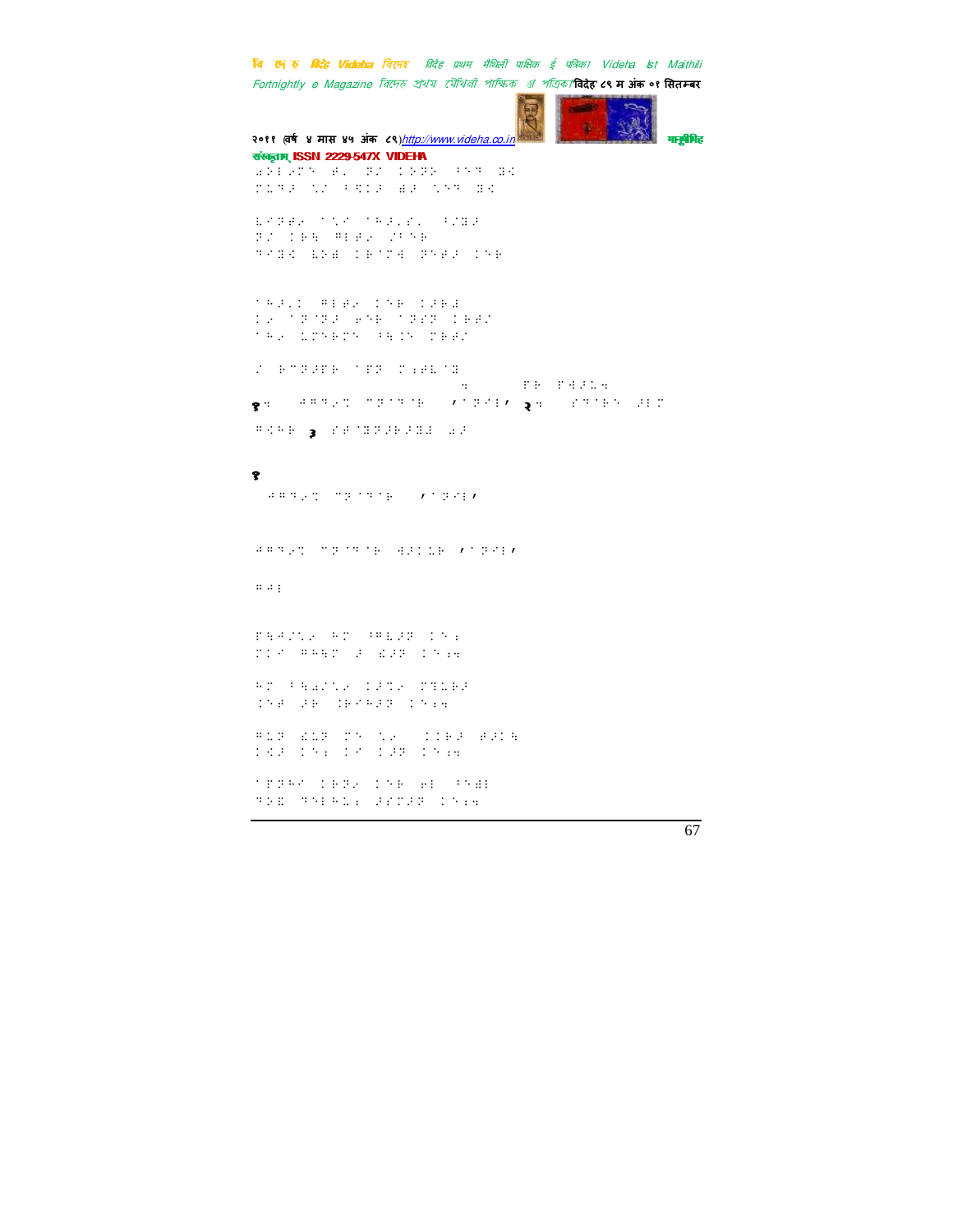चि एत् रू मिन्हे Videha निएन्थ विदेह प्रथम मैथिली पाक्षिक ई पत्रिका Videha Ist Maithili Fortnightly e Magazine রিদেহ প্রথম মৌথিনী পাক্ষিক প্র পত্রিকা**'বিदेह' ८९ म अंक ०१ सितम्बर** 

**Color** २०११ (वष ४ मास ४५ अंक ८९)http://www.videha.co.in/ मानुषीिमह संस्कृतम् ISSN 2229-547X VIDEHA ⣔⢵6⢴!⢾F!⢽5!⢵⢽⢵!⢸⢹!⣝⣊! ⣅⢹⢼!⣁5!⣋⢼!⣞⢼!⣁⢹!⣝⣊! ⣇⢽⢾⢴!⣁!⢳⢼FF!⢸5⣝⢼! ⢽5!⢷⣓!⢻6⢾⢴!5⢷! ⢹⣝⣊!⣇⢵⣞!⢷⣚!⢽⢾⢼!⢷! ⢳⢼F!⢻6⢾⢴!⢷!⢼⢷⣜! ⢴!⢽⢽⢼!⢶⢷!⢽⢽!⢷⢾5! ⢳⢴!⣅⢷!⢸⣓⣈!⢷⢾5!  $5.7^\circ$   $\pm$   $7.3^\circ$   $\pm$   $3.3^\circ$   $\pm$   $3.3^\circ$   $\pm$   $3.3^\circ$   $\pm$   $3.3^\circ$   $\pm$   $3.3^\circ$   $\pm$ hhbkfoesbAwjefib⣒dpn!3⢷!3⣚⢼⣅⣒!! १⣒!!⢺⢻⢹⢴⣉!^⢽⢹⢷!!'⢽6' २⣒!!⢹⢷!⢼6! ⢻⣊⢳⢷!३!⢾⣝⢽⢼⢷⢼⣝⣜!⣔⢼! १ !⢺⢻⢹⢴⣉!^⢽⢹⢷!!'⢽6' ⢺⢻⢹⢴⣉!^⢽⢹⢷!⣚⢼⣅⢷!'⢽6' ⢻⢺6! 3⣓⢺5⣁⢴!⢳!⢸⢻⣇⢼⢽!⣐! -⢻⢳⣓!⢼!⣎⢼⢽!⣐⣒! ⢳!⣓⣔5⣁⢴!⢼⣉⢴.⣙⣅⢷⢼! ⣈⢾!⢼⢷!⣈⢷⢳⢼⢽!⣐⣒! ⢻⣅⢽.⣎⣅⢽!!⣁⢴-!⢷⢼!⢾⢼⣓! ⣊⢼!⣐!!⢼⢽!⣐⣒! 3⢽⢳!⢷⢽⢴!⢷!⢶6!⢸⣞6! ⢹⢵⣏!⢹6⢳⣅⣐!⢼⢼⢽!⣐⣒!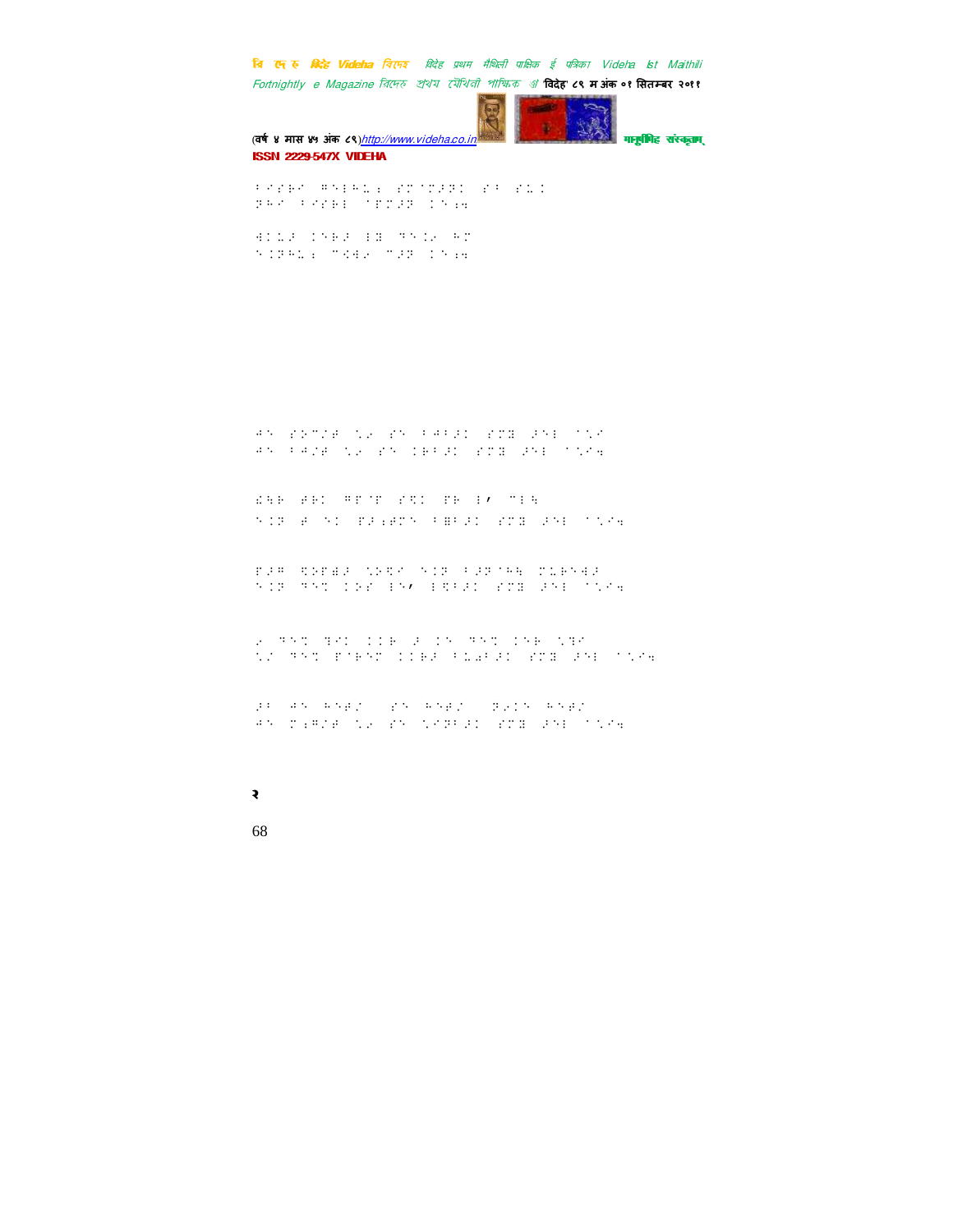चि एत् रू मिन्हे Videha निएन्थ विदेह प्रथम मैथिली पाक्षिक ई पत्रिका Videha Ist Maithili Fortnightly e Magazine विरमह शेथेग द्योंथिवी शीष्मिक औ **विदेह' ८९ म अंक ०१ सितम्बर २०११** 



⢷!⢻6⢳⣅⣐!⢼⢽!⢸!⣅⣈! ⢽⢳!⢷6!3⢼⢽!⣐⣒!

⣚⣅⢼.⢷⢼!6⣝!⢹⣈⢴!⢳! ⣈⢽⢳⣅⣐!^⣊⣚⢴.^⢼⢽!⣐⣒!

# ⢺!⢵^5⢾!⣁⢴!!⢺⢼!⣝!⢼6!⣁!

SAN PROPERTY OF THE SAN PROPERTY AND

⣎⣓⢷!⢾⢷!⢻33!⣋!3⢷!6'!^6⣓! SINE A SALE AND THE RESIDENCE OF A SALE AND THE RESIDENCE OF A SALE AND THE RESIDENCE OF A SALE AND THE RESIDENCE OF A SALE AND THE RESIDENCE OF A SALE AND THE RESIDENCE OF A SALE AND THE RESIDENCE OF A SALE AND THE RESIDE

3⢼⢻!⣋⢵3⣞⢼!⣁⢵⣋!⣈⢽!⢼⢽⢳⣓!⣅⢷⣚⢼! ⣈⢽!⢹⣉.⢵!6'!6⣋⢼!⣝!⢼6!⣁⣒!

⢴!⢹⣉!⣙!⢷!⢼!!⢹⣉!⢷!⣁⣙! tre and present the second state and second second

⢼!⢺!⢳⢾5-!!⢳⢾5-!⢽⢴!⢳⢾5! ⢺!⣐⢻5⢾!⣁⢴!!⣁⢽⢼!⣝!⢼6!⣁⣒!

# २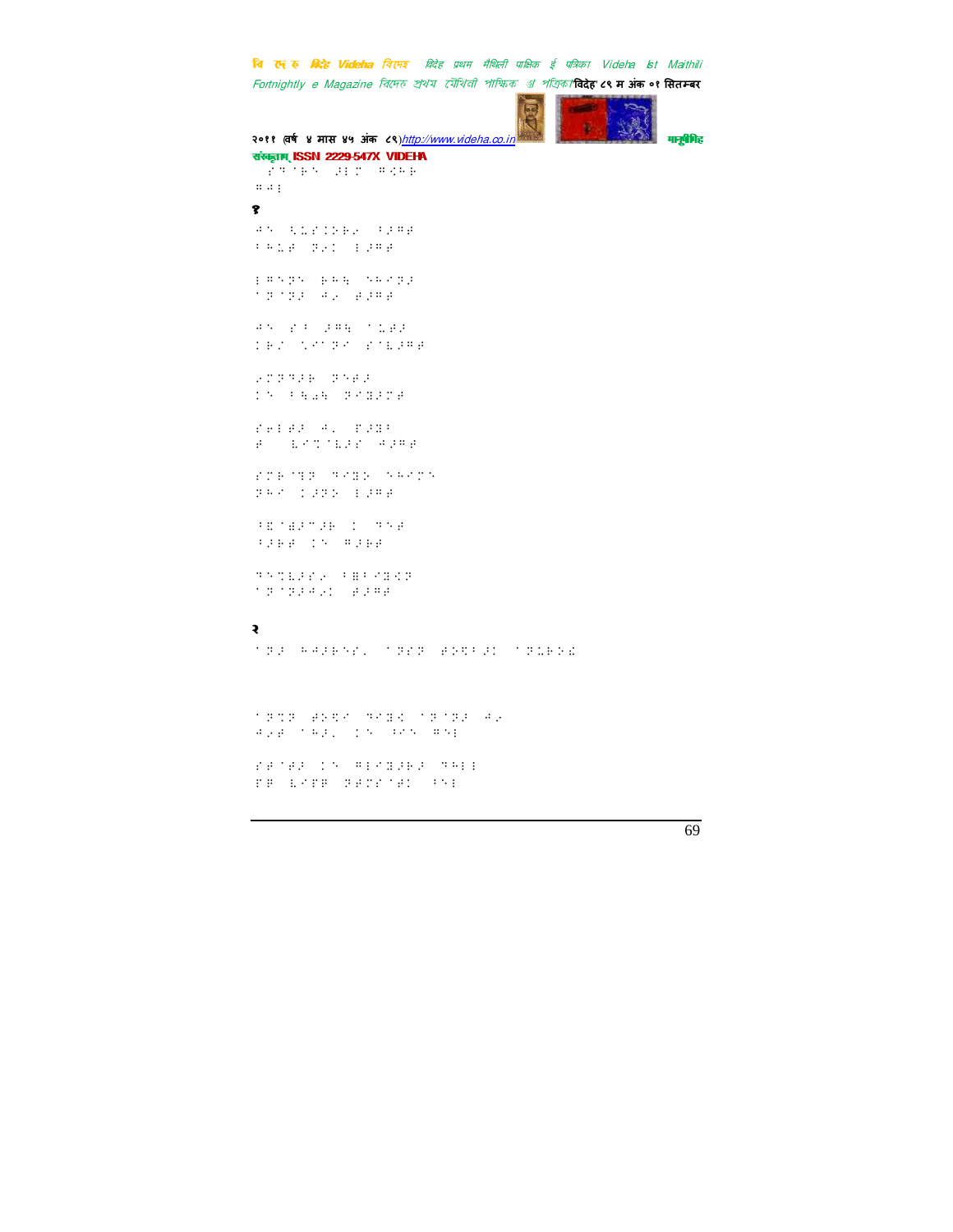चि एत् रू मिन्हे Videha निएन्थ विदेह प्रथम मैथिली पाक्षिक ई पत्रिका Videha Ist Maithili Fortnightly e Magazine রিদেহ প্রথম মৌথিনী পাক্ষিক প্র পত্রিকা**'বিदेह' ८९ म अंक ०१ सितम्बर** २०११ (वष ४ मास ४५ अंक ८९)http://www.videha.co.in/ मानुषीिमह संस्कृतम् ISSN 2229-547X VIDEHA !⢹⢷!⢼6!⢻⣊⢳⢷!  $\mathbb{H}$  of  $\mathbb{R}$ १ ⢺!⣃⣅⣈⢵⢷⢴!⢸⢼⢻⢾! ⢳⣅⢾!⢽⢴!6⢼⢻⢾!  $\mathbb{E}[\mathbf{H}^{\mathcal{A}}(\mathbf{I}^{\mathcal{B}}), \cdots, \mathbf{H}^{\mathcal{B}}(\mathbf{I}^{\mathcal{B}})]$ ⢽⢽⢼!⢺⢴!⢾⢼⢻⢾!

⢺!⢸!⢼⢻⣓!⣅⢾⢼! ⢷5!⣁⢽!⣇⢼⢻⢾!

⢴⢽⢹⢼⢷!⢽⢾⢼! !⣓⣔⣓!⢽⣝⢼⢾!

⢶6⢾⢼!⢺F!3⢼⣝!  $\mu$  //  $\mu$  //  $\mu$  //  $\mu$  //  $\mu$  //  $\mu$  //  $\mu$  //  $\mu$ 

⢷⣙⢽!⢹⣝⢵!⢳! ⢽⢳!⢼⢽⢵!6⢼⢻⢾!

⢸⣏⣞⢼^⢼⢷!(⢹⢾! ⢸⢼⢷⢾!!⢻⢼⢷⢾!

⢹⣉⣇⢼⢴!⣟⣝⣊⢽! ⢽⢽⢼⢺⢴!⢾⢼⢻⢾!

# २

⢽⢼!⢳⢺⢼⢷F!⢽⢽!⢾⢵⣋⢼!⢽⣅⢷⢵⣎!

⢽⣉⢽!⢾⢵⣋!⢹⣝⣊!⢽⢽⢼!⢺⢴! ⢺⢴⢾!⢳⢼F!!⢸!⢻6!

⢾⢾⢼!!⢻6⣝⢼⢷⢼!⢹⢳66! 3⢿!⣇3⢿!⢽⢾⢾!⢸6!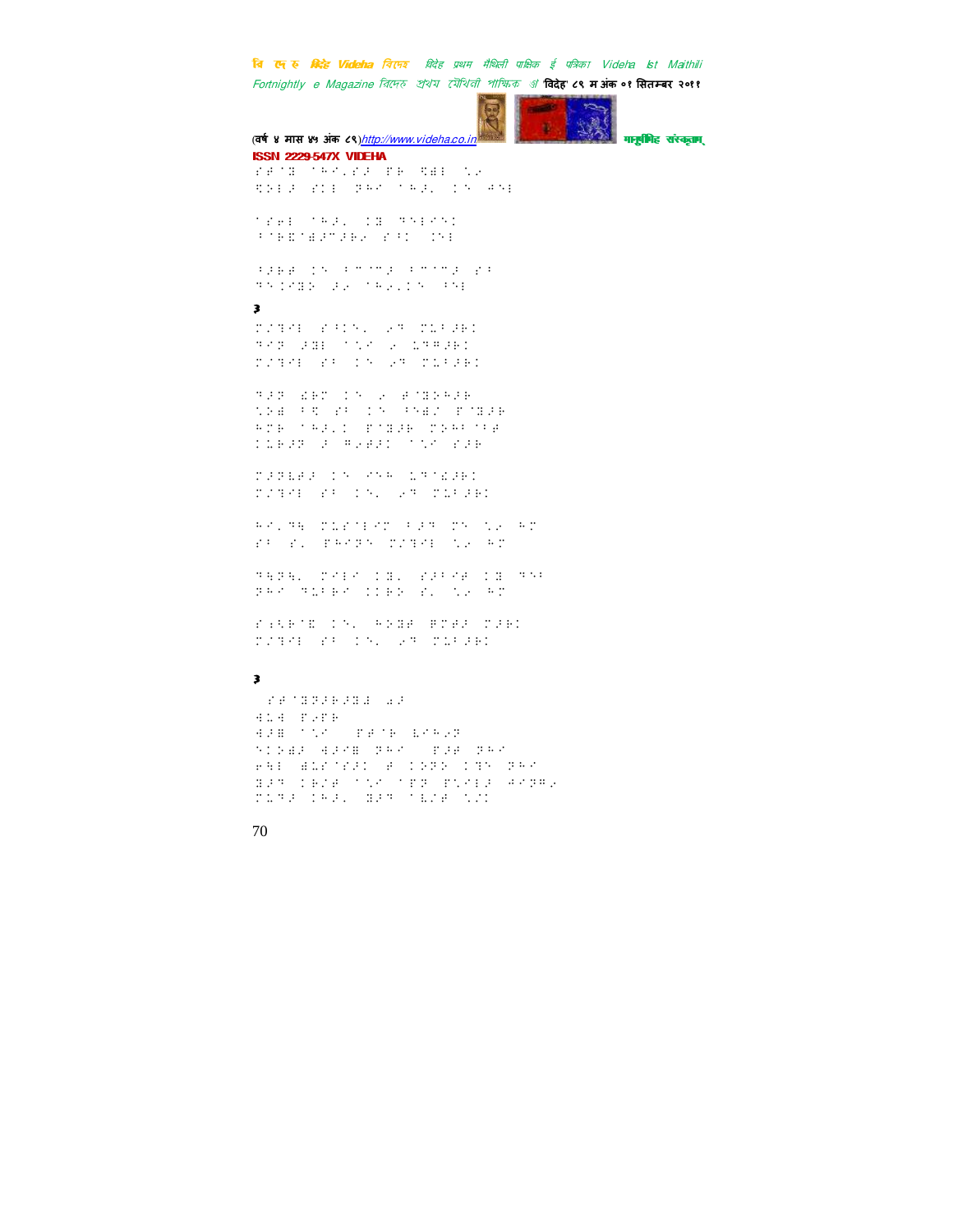बि एक स्टेड Videha विएक विदेह प्रथम मैथिली पाक्षिक ई पत्रिका Videha Ist Maithili Fortnightly e Magazine রিদেত শ্রথম মৌথিনী পাক্ষিক প্র' **বিदेह' ८९ म अंक ०१ सितम्बर २०११** 



 $\mathcal{L}^{\alpha}(\mathcal{L},\mathbb{R},\mathbb{R},\mathbb{R},\mathbb{R})\subseteq\mathbb{R}^{n}\times\mathbb{R}^{n}\times\mathbb{R}^{n}\times\mathbb{R}^{n}\times\mathbb{R}^{n}\times\mathbb{R}^{n}\times\mathbb{R}^{n}\times\mathbb{R}^{n}\times\mathbb{R}^{n}$ riare as the secretary

### $\mathbf{3}$

 $\mathcal{A}(\mathbb{Z},\mathcal{A})\subseteq\mathbb{F}$  will be 第248 のなので、主要の新しおの形式店  $\mathcal{N}(\mathbb{C}(\mathbb{R}^d,\mathbb{R}^d))\cong \mathcal{N}(\mathbb{R}^d,\mathbb{R}^d)\cong \mathcal{N}(\mathbb{R}^d,\mathbb{R}^d)\cong \mathcal{N}(\mathbb{R}^d,\mathbb{R}^d)\cong \mathcal{N}(\mathbb{R}^d).$ ARE BOYSEL B CORP. CRN PRO BAS INFORMATION TERMINATORY TERRITARY SERVICENT VIOL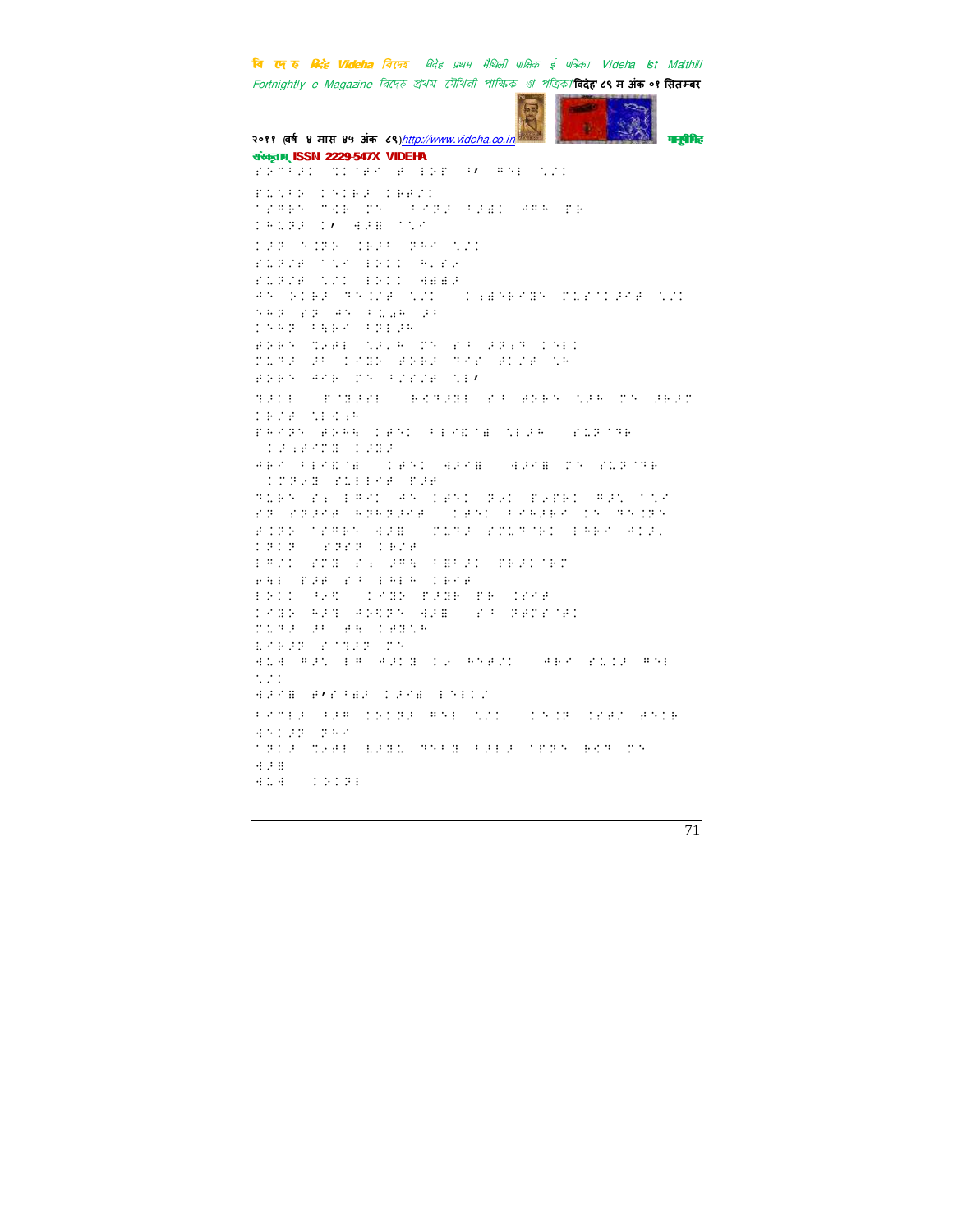बि एक स्टेट Videha विएक विदेह प्रथम मैथिली पाक्षिक ई पत्रिका Videha Ist Maithili Fortnightly e Magazine রিদেত শ্রথম মেথিনী পাক্ষিক প্রা পত্রিকা**'বিदेह' ८९ म अंक ०१ सितम्बर** 

२०११ (वर्ष ४ मास ४५ अंक ८९) http://www.videha.co.ir मानुबेगिह संस्कृतम् ISSN 2229-547X VIDEHA REMARKS NOTER RESERVED AND AND SCOT FILTER CONTEST CERTI 不是进事外,然是重点的外人,先是甚是一天是自己,并其中,的事 TRIPP IV REPORT 1988 - 518 518 518 518 518 518 518 PERMITTEN BELL ALPA interna (1911), adelli (1944).<br>1906: della finishe (1911), collegea ancora novella film NAME REPORT OF STREET rsan Tape and a adan suka suku komik ada yaya dhad<br>muma ya sukan aday mka sabba suk BOBS AND THE PICKER SEA NACE PROBABLY ESTABLISH AND SARATON ABAD december 34 TARBA SPEAK CHAT PERTIN CHUA CHITETTA **CONTRACTOR** CONTRACT ABA FERENE COBAD APREL APREL 25 YOUR ME CONSERVATION CONTROL PERMITE BRYON AND PROTOCOL EVERY PROJECT FOR FOREST ADAPTED TO BACK PAAREN CONTRACTS RIDE CAPES REFER TO STATE AND THE REPORTED TRIP (PREP) IBMB EPAC SAMBOR'S APROPEDAD SEADORM PAIL PORT POINTS TO DAY FOIL SACTOS CRABE PETITIVE response a provincia de la calendar de la calendar de la calendar de la calendar de la calendar de la calendar TERRITRY RATIONS EVERE POSSESSION ANA PAS EP PANNENNA PSANNO PAPA PNICE PSE  $\sim 100$ ASKAR PARTNER CORPETENTIC FRMER (FRAME) STRACHENE (NOTE) IS STRIKTER (BASER 年の1990 年4月 ndia muai suddimento talendo per acemento 在这里: 414 - 1919)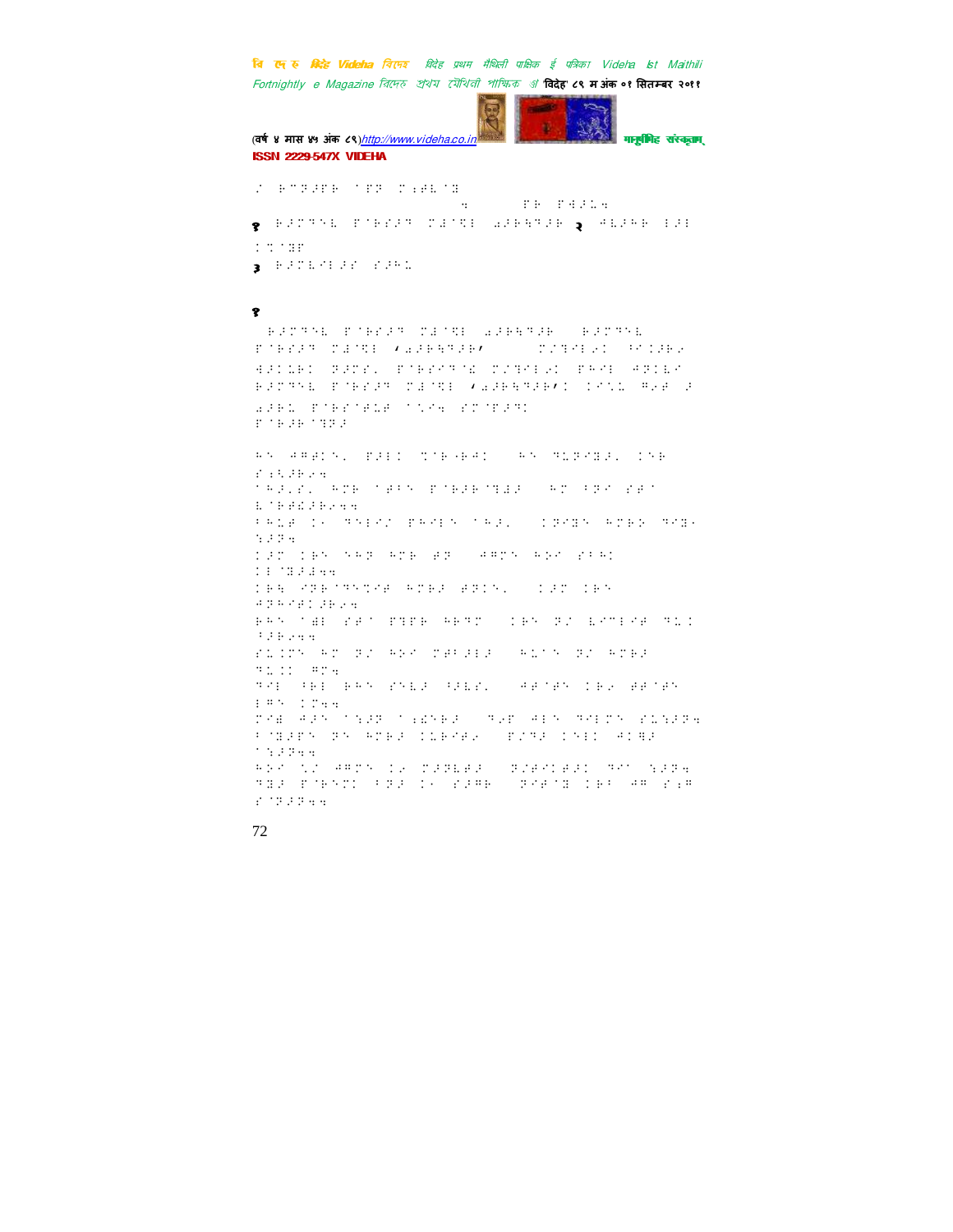चि एक रु मिनेह Videha विएक विदेह प्रथम मैथिली पाक्षिक ई पत्रिका Videha Ist Maithili Fortnightly e Magazine রিদেত প্রথম মৌথিনী পাক্ষিক *প্র* **বিदेह' ८९ म अंक ०१ सितम्बर २०११** (वर्ष ४ मास ४५ अंक ८९) http://www.videha.co. मानुबंधिह संस्कृतम् **ISSN 2229-547X VIDEHA** CORTESE TEACHERS **STEPHERM**  $\sim$  $\bullet$  (events a series of the contract of the series  $\bullet$ dia nas g Bacareae and  $\mathbf{P}$ SERVICE POPPER VIOLENCE SERFICE SERVICE ESPECIAL DESCRIPTION EXPERIMENT TO CONSTRUCT THAT CARDS addited (dama) interviews momental inevaluability BROTHER CORPORATION AND A WARRANTS OF A COURT ARRESTS. GUESS PORTECTES CONTRACTOR  $47.7494474934$ AN AREA NO PART CONFIGURATION NO PERSONAL TOGE  $37.33333334$ TRANSVILLEDE CORPOS BOBAB MEAR CORPORATION **E** TRACARANA FRIENDS PRESS PROFESSIONERS CONTROLLED  $\mathcal{H}^1(\mathbb{R}^d,\mathbb{R}^d)$ particular responsible and committee and the TECHNICAL TER PRESENTER PRESIDENT CONTROL 中世界大学生 法联合会 assinar reformate semi-das actes era mellaci  $\mathcal{F}(\mathcal{F},\mathcal{G}(\mathcal{F},\mathcal{G}(\mathcal{F})))$ and the sensing process of her sensing computers and estimated and the area THE PART RAN PARK PRESS PARTENTED RATES  $\mathbb{E}^{(\mathbf{H},\mathbf{V})}$  . If  $\mathbb{P}\in\mathbb{R}$ cheal le alternativa de la grega de l'alternativa del proporcional del proporcional del proporcional del proporcional del proporcional del proporcional del proporcional del proporcional del proporcional del proporcional de FORESTS POPER CLEARS (POPER CRISING) 1099991 A 22 YO MARTA CONTRABA A POSACARD TACTORRES THE POST OF THE CONTRACT CONTRACT CONTRACT AND ALLE  $37.73733999$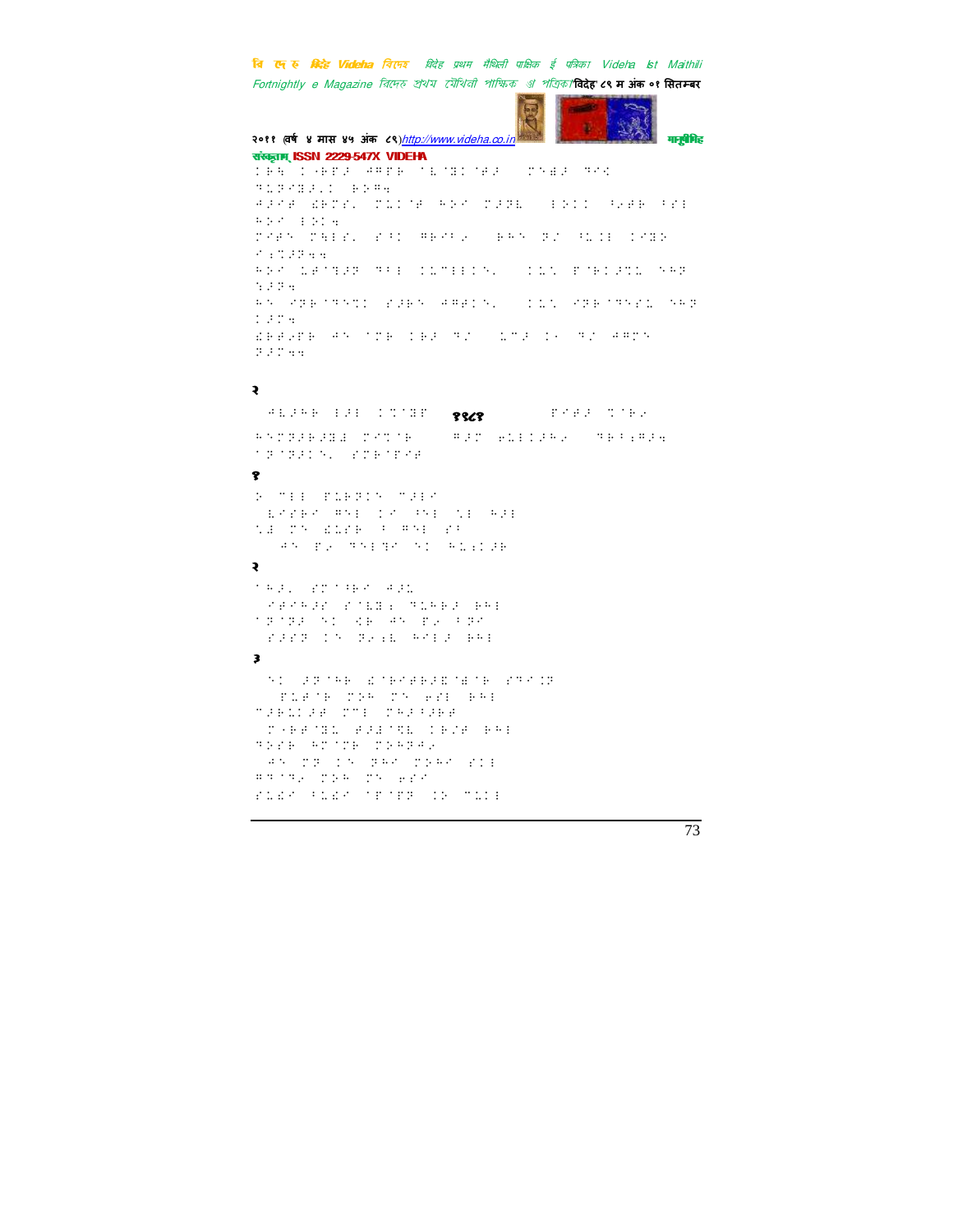बि एक रु मिनेट Videha विएक विदेह प्रथम मैथिली पाक्षिक ई पत्रिका Videha Ist Maithili Fortnightly e Magazine রিদেহ প্রথম মৌথিনী পাক্ষিক প্রাপত্রিক/**বিदेह ८९ म अंक ०१ सितम्बर** 

 $\Theta$ 

 $\sim$ 

मनुबैमिह २०११ (वर्ष ४ मास ४५ अंक ८९) http://www.videha.co.ir संस्कृतम् ISSN 2229-547X VIDEHA TEE THERE PREFINED THE CONTROL TO **PERMITLE BERG** Advertisement modifier eductionage in Editor Russell Refer  $\mathbb{E}\left[\left\{ \mathcal{L}^{(1)}\right\} \right] \leq \left\{ \left\{ \mathcal{L}^{(1)}\right\} \right\}$ THEN THEY, YALL TEHN A SERVICE AND HIS CHIEF. 2010/09/10 A SPOIL BOTTLER CITED IS COME EDITOR CONTINUES THAT A REPORT OF A REPORT 在这里分 AN INDEPENDENT WARN PRESS, I CONSINGERATE ARD  $1.14\,m_\odot$  . ERROR PACTE IRS TO STORE IN THE RESIDENT dia piane. ₹ **CERRA CONFIN** 

# १९८१  $\mathbb{H}^1(\mathbb{R}^3,\mathbb{C}^3,\mathbb{C}^3,\mathbb{C}^3,\mathbb{R}^3,\mathbb{C}^3,\mathbb{C}^3,\mathbb{C}^3,\mathbb{C}^3,\mathbb{C}^3,\mathbb{C}^3,\mathbb{C}^3,\mathbb{C}^3,\mathbb{C}^3,\mathbb{C}^3,\mathbb{C}^3,\mathbb{C}^3,\mathbb{C}^3,\mathbb{C}^3,\mathbb{C}^3,\mathbb{C}^3,\mathbb{C}^3,\mathbb{C}^3,\mathbb{C}^3,\mathbb{C}^3,\mathbb{C}^3,\mathbb{$  $\mathcal{O}(\mathcal{B}(2,2)) = \mathcal{O}(1,4,4,2,3,4,5) \qquad \mathcal{O}(4,4,4,4,2,4)$ na rastovi i premene. Ŝ. SUMBER PLANTS CONFIN AN ES MARGA NO ALIGER

#### ₹

TAGE SERVICES AND TRIPLE NO SERVEN BY FRY 

## $\mathbf{r}$

A 100 A 2014 BOS CALLER A BASE TALL TALL A TAC 12 Spieler best by General mae priae i presi pela saele. TO FAILURE ARRESTS AND BAY  $\mathcal{H}(\mathcal{G},\mathcal{G},\mathcal{G})=\mathcal{H}(\mathcal{G}^{\otimes n},\mathcal{G},\mathcal{G})=\mathcal{G}^{\otimes n},\mathcal{G}^{\otimes n},\mathcal{G}^{\otimes n},\mathcal{G}^{\otimes n}$ San resource each reached  $\mathbb{H}(\mathcal{H}(\mathcal{F},\mathcal{H}_{\mathcal{F}}))=\mathcal{V}(\mathcal{G},\mathcal{H})=\mathcal{V}(\mathcal{H})=\mathcal{V}(\mathcal{E},\mathcal{F})$ Pose (Fore from the Company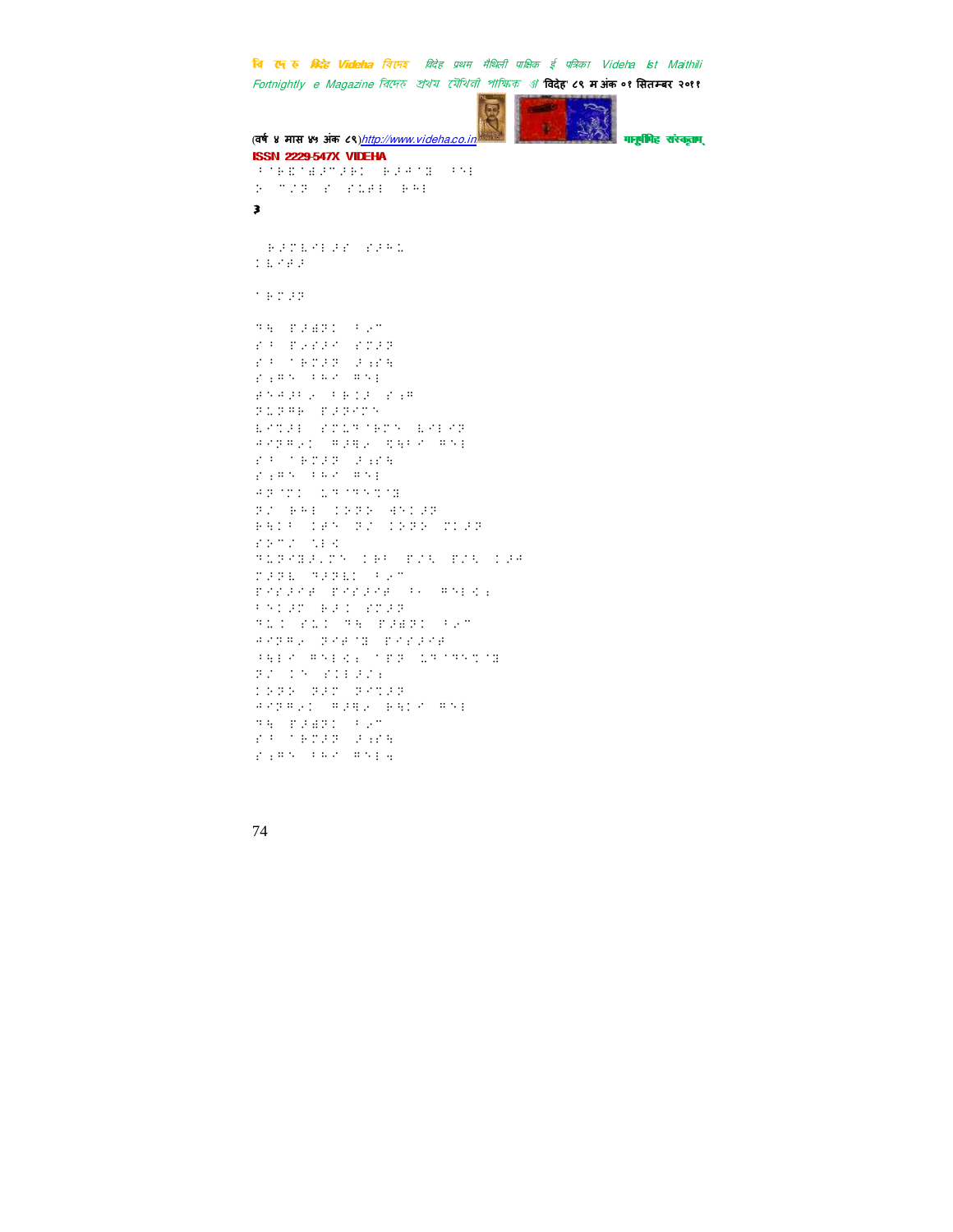बि एक स्टेड Videha विएक विदेह प्रथम मैथिली पाक्षिक ई पत्रिका Videha Ist Maithili Fortnightly e Magazine রিদেত প্রথম মৌথিনী পাক্ষিক প্র **বিदेह ८९ म अंक ०१ सितम्बर २०११** 

**Service** ø (वर्ष ४ मास ४५ अंक ८९)http://www.videha.co.in मानूष्टीमेह संस्कृतम् **ISSN 2229-547X VIDEHA** Theoremore, event in  $\mathcal{G}=\mathcal{F}(\mathcal{I},\mathcal{G})$  ,  $\mathcal{E}=\mathcal{E}(\mathcal{I},\mathcal{G},\mathcal{G})$  , and  $\mathcal{G}=\mathcal{G}$  $\mathbf{3}$ 工业资产的  $\sigma$  and  $\sigma$ HALLBURG CONST  $\mathcal{E}^{(1)}$  ,  $\mathcal{E}^{(1)}$  ,  $\mathcal{E}^{(2)}$  ,  $\mathcal{E}^{(1)}$  ,  $\mathcal{E}^{(2)}$  ,  $\mathcal{E}^{(3)}$  $\mu(\gamma,\mu(\mu))_{\mathcal{P}} = \mp(\mu(\gamma,\mu))_{\mathcal{P}} \pm \mu$  $\begin{array}{cccccccccc} \mathbb{P} & \mathbb{E} & \mathbb{P} & \mathbb{P} & \mathbb{P} & \mathbb{P} & \mathbb{P} & \mathbb{P} & \mathbb{P} & \mathbb{P} & \mathbb{P} & \mathbb{P} & \mathbb{P} & \mathbb{P} & \mathbb{P} & \mathbb{P} & \mathbb{P} & \mathbb{P} & \mathbb{P} & \mathbb{P} & \mathbb{P} & \mathbb{P} & \mathbb{P} & \mathbb{P} & \mathbb{P} & \mathbb{P} & \mathbb{P} & \mathbb{P} & \mathbb{P} & \mathbb{P} & \$  $\mathbb{E} \big[ \mathcal{L}(\mathbb{T},\mathcal{F},\mathbb{F}) \big] = \mathcal{L}(\mathbb{T},\mathbb{E}[\mathbb{T}]\cap \mathbb{E}[\mathbb{T},\mathbb{F}) \cap \mathbb{E}[\mathbb{F},\mathbb{F},\mathbb{F},\mathbb{F}]\big)$  $\mathcal{A}(\mathcal{A}(\mathcal{G},\mathcal{G}),\mathcal{E}(\mathcal{G}))=\mathcal{A}(\mathcal{G},\mathcal{G})\otimes\mathcal{E}(\mathcal{G},\mathcal{G})\otimes\mathcal{E}(\mathcal{G})=\mathcal{E}(\mathcal{G})$  $\begin{array}{l} \mathcal{E}^{-1}(\mathbb{R}^3) = \mathcal{E}^{-1} \mathcal{E}^{-1} \mathcal{E}^{-1} = \mathcal{E}^{-1} \mathcal{E}^{-1} \mathcal{E}^{-1} \\ \mathcal{E}^{-1} \mathcal{E}^{-1} = \mathcal{E}^{-1} \mathcal{E}^{-1} \mathcal{E}^{-1} = \mathcal{E}^{-1} \mathcal{E}^{-1} \mathcal{E}^{-1} \end{array}$  $\mathcal{A}(\mathbb{P}^1,\mathbb{C}^n;\mathbb{C})\subseteq\mathbb{C}^n\mathbb{C}^n\cap\mathbb{C}^n\cong\mathbb{C}^n\mathbb{C}^n\mathbb{C}.$  $\mathcal{B}(\mathcal{L}) = \mathcal{B}(\mathcal{B}(\mathcal{L})) = \mathcal{I}(\mathcal{B}(\mathcal{B}(\mathcal{D}))) = \mathcal{B}(\mathcal{B}(\mathcal{L}(\mathcal{B}(\mathcal{B})))$  $\mathbb{P}(\mathcal{H}(1, k) \cap \mathcal{I}(\mathcal{H}(2, \mathbb{C}^n, \mathbb{C}^n, \mathbb{C}^n, \mathbb{C}^n, \mathbb{C}^n, \mathbb{C}^n, \mathbb{C}^n, \mathbb{C}^n, \mathbb{C}^n))$ administration  $\mathcal{F}(\Gamma,\mathcal{G})\in\mathcal{F}(\Gamma,\mathcal{F})\cap\mathcal{F}(\mathcal{G})\subset\mathcal{F}(\mathcal{F})\cap\mathcal{F}(\mathcal{F})\subset\mathcal{F}(\mathcal{F})\cap\mathcal{F}(\mathcal{F})$ TUBE SUBDIVISION propose propose to ensure FAILED BRIDGEDRY  $\mathcal{F}(\mathbb{Z}_p(\mathbb{Z}_p)) \leq \mathcal{E}(\mathbb{Z}_p(\mathbb{Z}_p)) \leq \mathcal{F}(\mathbb{Z}_p) \leq \mathcal{F}(\mathbb{Z}_p(\mathbb{Z}_p)) \leq \mathcal{F}(\mathbb{Z}_p(\mathbb{Z}_p))$ APPROXIMATION CONTROL  $\mathcal{A}(\mathcal{H},\mathcal{F}) \leq \mathcal{H}(\mathcal{H},\mathcal{F}) \leq \mathcal{A}(\mathcal{H}) \leq \mathcal{H}(\mathcal{F}) \leq \mathcal{H}(\mathcal{F}) \leq \mathcal{H}(\mathcal{F}) \leq \mathcal{H}$ BOILER SYSTEMS  $\mathcal{A}(\mathcal{P},\mathcal{B}(\mathcal{P},\mathcal{E}))=\mathcal{B}(\mathcal{P},\mathcal{B}(\mathcal{P},\mathcal{E}))=\mathcal{B}(\mathcal{B}(\mathcal{P},\mathcal{E}))=\mathcal{B}(\mathcal{A})$  $\begin{array}{ll} \pi(q) & \pi(q) \pi(p) = \pi(q) \pi \\ \pi(q) & \pi(p) \pi(p) = \pi(q) \pi(q) \pi \\ \end{array}$ 

government and pay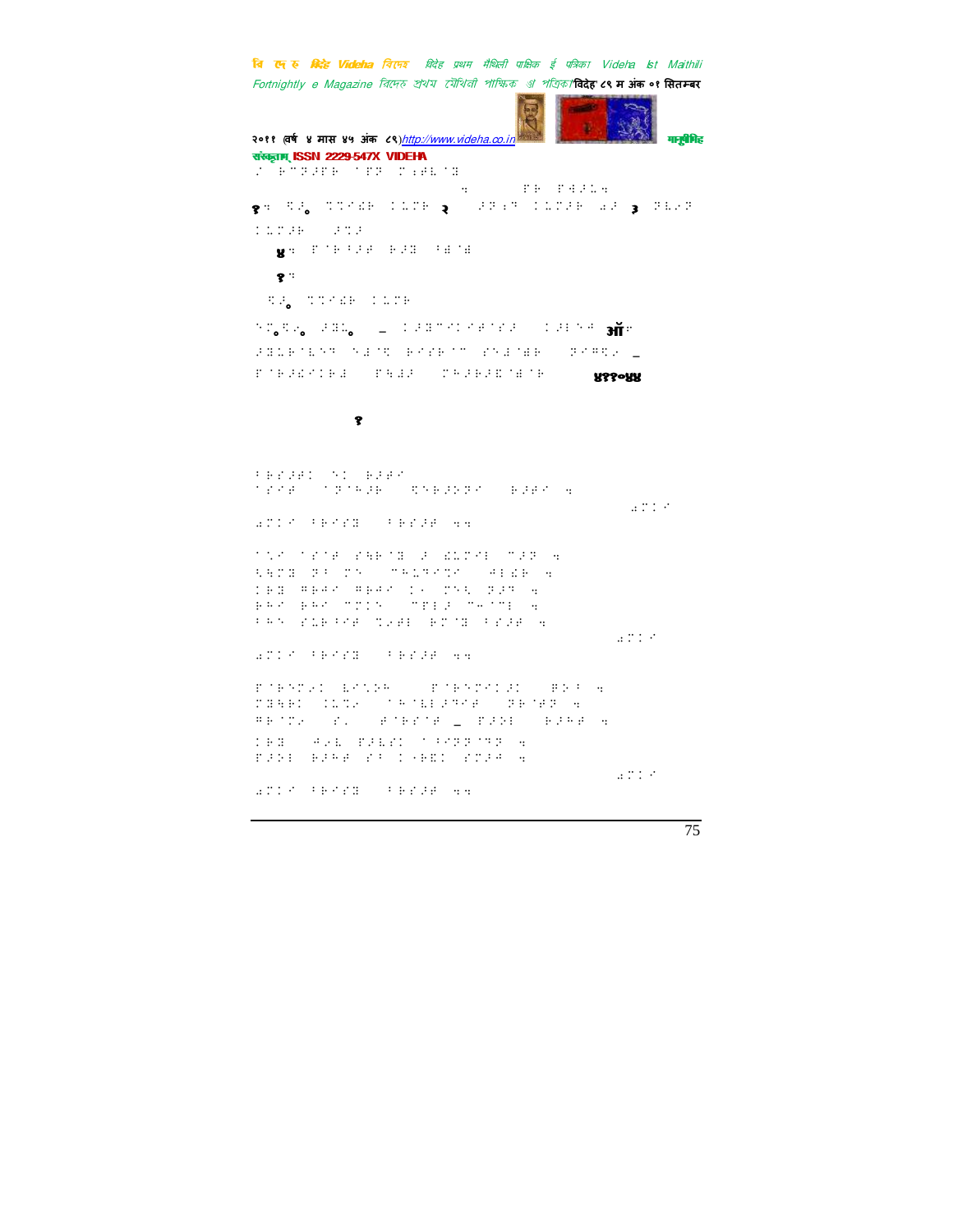बि एक स्टेड Videha विएक विदेह प्रथम मैथिली पाक्षिक ई पत्रिका Videha Ist Maithili Fortnightly e Magazine রিদেহ প্রথম মৌথিনী পাক্ষিক প্রাপত্রিক/**বিदेह ८९ म अंक ०१ सितम्बर** मनुबैमिह २०११ (वर्ष ४ मास ४५ अंक ८९) http://www.videha.co संस्कृतम् ISSN 2229-547X VIDEHA iz Templare (napolitika) na  $\sim 9\%$ **STEPHANN** ge sig treas core go ages coras aa gugsaag convertisers. gen mite toe recommend  $\mathbf{S}$  : **SEA STREETING** ersche dass in die beanvolkende in die een affe addentism sand experimentate conditions POR PERSONAL CONNECTION OF PARAMETERS. **R&&oRR**  $\mathbf{P}$  $\mathbb{E}\left[\left\{ \mathbf{F}(\mathcal{E},\mathcal{E},\mathcal{E})\right\} \right] \leq \mathbb{E}\left[\left\{ \mathbf{F}(\mathcal{E},\mathcal{E})\right\} \right]$ nava (nemeta canadada (aladan)  $\mathcal{L}(\mathcal{I},\mathcal{I})$  of and complexing of the state and novemente esempios appresionados KATE PROTS CONSTRUCTS AFER A FAN STEPHENDUNG POTENTIALS  $\mathcal{L}(\mathcal{I},\mathcal{I})$  of and complexing of the state was Energy Langer (Frencholm Berg, 19 DEART CONSTITUTION AND ARRAIGNMENT CONTROL AT #BOTH STATE TRIPPINE \_ PANEL PARE & TES CARE PRESS CONTRACTOR rang adapted to an increase  $\mathbb{R}^n \subset \mathbb{R}^n$ GOOD FEATURE FEATURES

 $\overline{75}$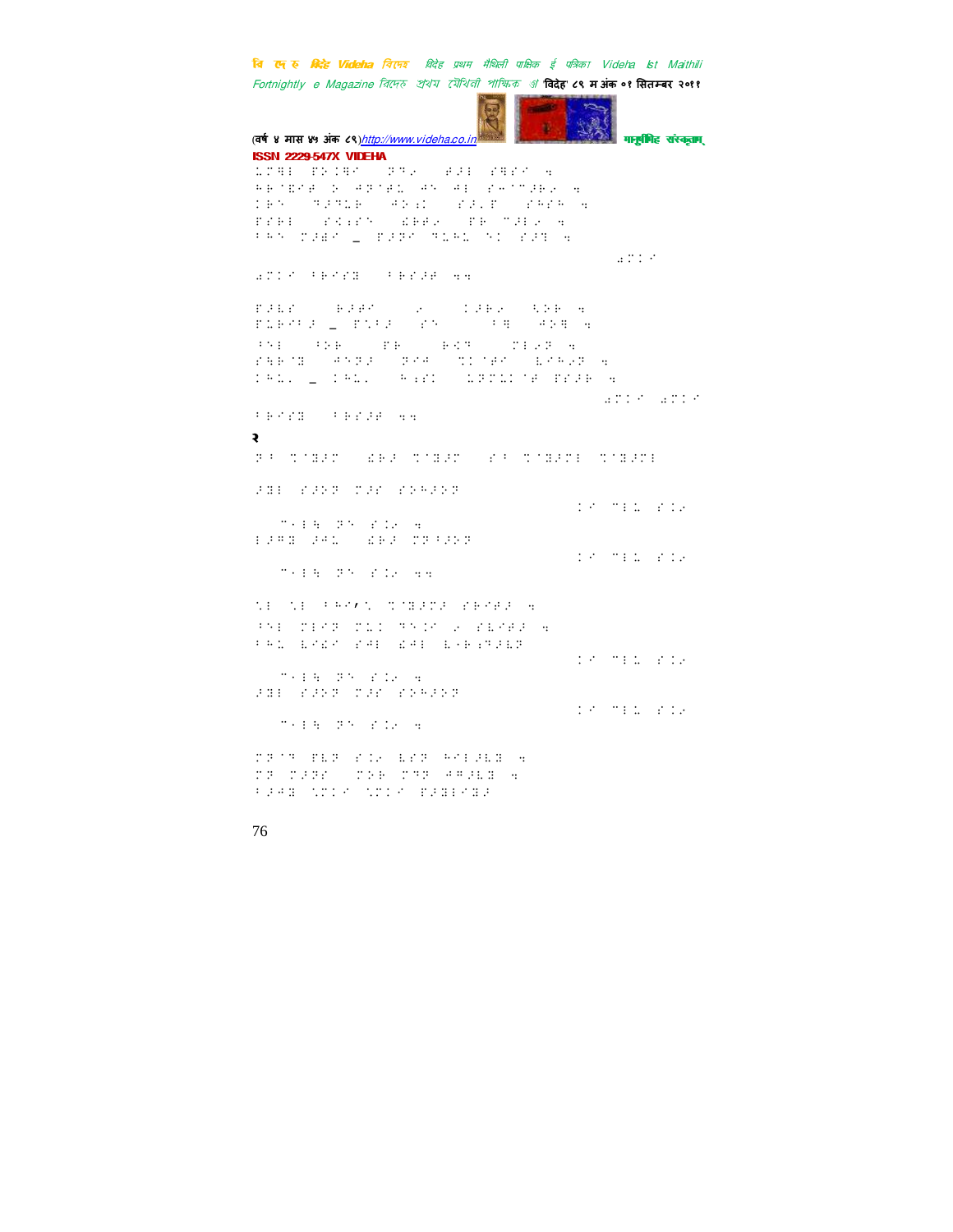चि एक स्टिड Videha विरफ्श विदेह प्रथम मैथिली पाक्षिक ई पत्रिका Videha Ist Maithili Fortnightly e Magazine রিদেত প্রথম মৌথিনী পাক্ষিক *প্র* **বিदेह ८९ म अंक ०१ सितम्बर २०११** (वर्ष ४ मास ४५ अंक ८९) http://www.videha.co.in मानूबंगिह संस्कृतम् **ISSN 2229-547X VIDEHA**  $\mathbb{L}(\mathcal{T},\mathcal{H},\mathbb{E})=\mathbb{E}(\mathcal{H},\mathbb{E}(\mathcal{H},\mathcal{F}))=\mathbb{E}(\mathcal{H},\mathcal{F})=\mathbb{E}(\mathcal{H},\mathbb{E})=\mathbb{E}(\mathcal{H},\mathbb{E}(\mathcal{F}))=\mathbb{E}(\mathcal{T})$ A BIT BIKING ON CARDINAL CANCER BOTTOM CONTINUES. THE ina kan ya nyingi na masa ni yawa matu.<br>1965 - Mamber Medi i ya alimi ya Kate ya FAN DIEN \_ PIPP PLAN NO PIPP A  $\sim 2.7\%$   $<$ SETTING FERENCE CORPORATION **Santa Santa SERVICE CONFIDENCIAL**  $\mathbf{R}$ de condecimiente condecimiento de condecimientos SPEED SCREW TORS SCREENED statements and a The Education of Decem- $\mathbb{E}\left[\mathcal{I}^{(1)}\mathbb{E}\left[\mathcal{I}^{(1)}\right]\mathbb{E}\left[\mathcal{I}^{(2)}\right]\right] = \mathbb{E}\left[\mathbb{E}\left[\mathcal{I}^{(1)}\right]\mathbb{E}\left[\mathcal{I}^{(2)}\right]\mathbb{E}\left[\mathcal{I}^{(1)}\right]\mathbb{E}\left[\mathcal{I}^{(2)}\right]\right]$ statements and a  $\mathcal{L}(\mathcal{D}) \leq \mathbb{E}(\mathcal{H}) \leq \mathcal{D}(\mathcal{H}) \leq \mathcal{L}(\mathcal{L}) \leq \mathcal{L}(\mathcal{H})$ MESSEN FRANCISCO PER DE SERBEROS and take this and in ranked a 中央会 おどるどう お中に る中的におき取り方法をお stational program  $\mathcal{O}(2^3+1/4)\leq 2^3\mathcal{O}(-2^3/12)\leq 4$ DEED YOUR COOPERATION **Service Engineering** The Education Education TRIP TERM TO ETRIP AND PERSON TP TAPE TOE THE TREASURE

76

FOR A BUILDING CONTROL PORT A BUSINESS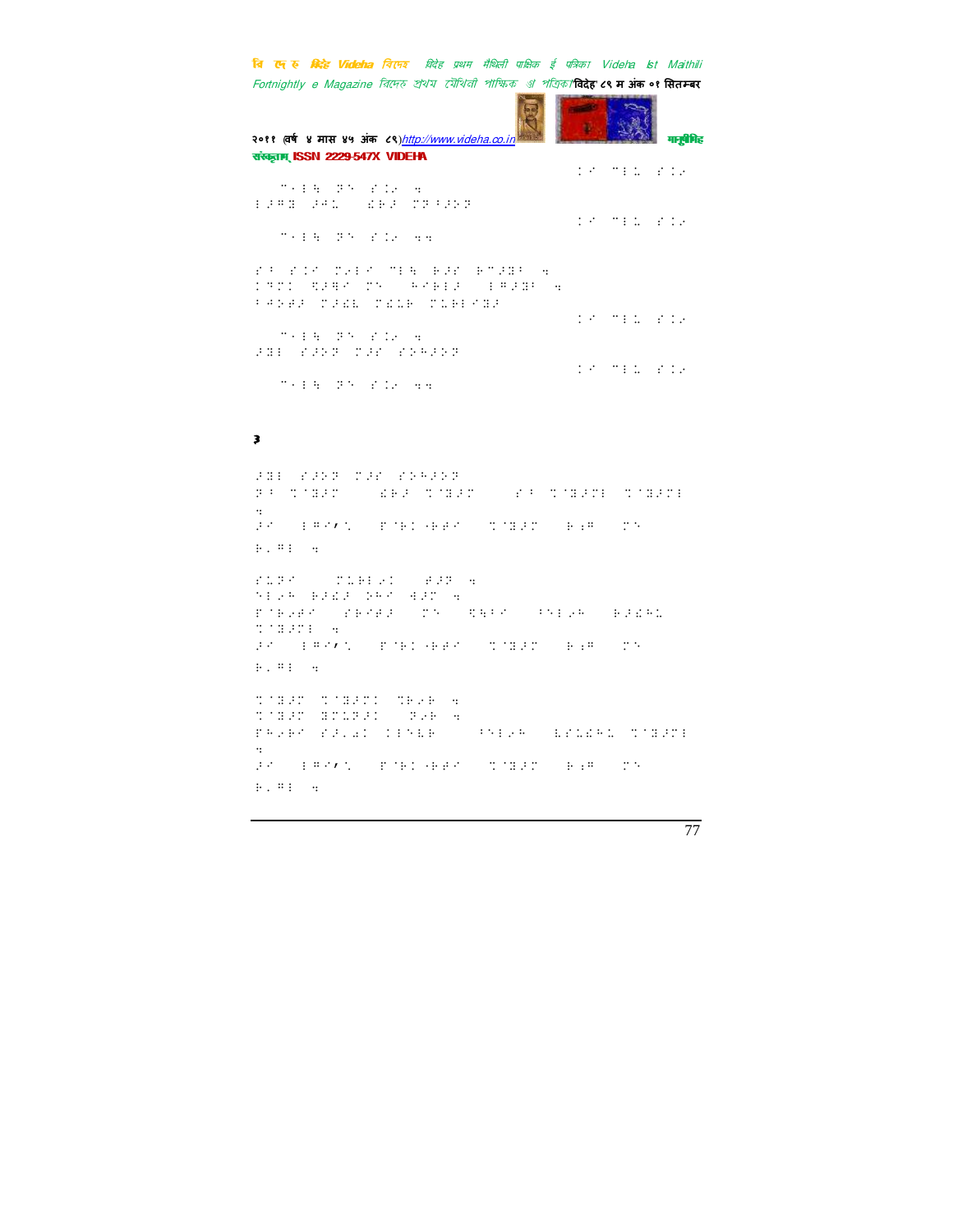| चि एक है प्रिनेड Videha विएक्ट विदेह प्रथम मैथिली पाक्षिक ई पत्रिका Videha lst Maithili         |              |         |
|-------------------------------------------------------------------------------------------------|--------------|---------|
| Fortnightly e Magazine রিদেত প্রথম মৌথিনী পাক্ষিক প্র পত্রিকা <b>বিदेह' ८९ म अंक ०१ सितम्बर</b> |              |         |
| २०११ वर्ष ४ मास ४५ अंक ८९)http://www.videha.co.in                                               |              | मनबैमिड |
| संस्कृतम् ISSN 2229-547X VIDEHA                                                                 |              |         |
|                                                                                                 | エネックも ローマ エン |         |
| 四十五百 三共在 三式过滤 三分                                                                                |              |         |
|                                                                                                 | エネックおおし おはい  |         |
| 共和国 在一世在一家过去。 海海                                                                                |              |         |
| e a coerción de alguna a la segunda media con                                                   |              |         |
| 1971、法院生产、1971、中国生产的一个生产法理论,在                                                                   |              |         |
| FASAR (DREE) DELE (DLEE) CE                                                                     |              |         |
|                                                                                                 | ra medican   |         |
| 苏大王 在一 其外 人名尼亚 人名                                                                               |              |         |
| a da sera da de sera de 1950 e de 1969.                                                         |              |         |
|                                                                                                 | エストウエム しょういん |         |
| 苏大王海 人名英贝格 经公司海损                                                                                |              |         |

## $\mathbf{3}$

 $\mathcal{F}(\mathbb{B}(1)) = \mathcal{E}(\mathcal{F}(\mathcal{F}(\mathcal{F}))) \mathcal{F}(\mathcal{F}(\mathcal{F}))) \mathcal{E}(\mathcal{F}(\mathcal{F}(\mathcal{F}(\mathcal{F})))$ a formada do conseguir da consegue de la calenda de la calenda  $\mathcal{H}^{\pm}$ die staans van die meerskeie van die gemeense van die volgense van die verskeie van die verskeie van die van die van die van die van die van die van die van die van die van die van die van die van die van die van die van d  $\mathbb{H}^1_0(\mathbb{H}^1_0) \otimes \mathbb{H}^1_0$ RIPO CONFERD PRESS ing universitated and later in the company of the company of the company of the company of the company of the company of the company of the company of the company of the company of the company of the company of the company dinasta (A) de la Revisión de Germania de la Revisión  $\mathbb{H}_\infty(\mathbb{H}_\infty^{\times})$  .  $\mathbb{H}_\infty$ reservadual lievae (1983) and and the model  $\mathcal{H}^+$ den albeit in der Geben unteren des Fran- $\mathbb{H}[\mathbb{Z}^{\times 3}(\mathbb{R}^3)]$  ,  $\mathbb{H}[\mathbb{Z}^3]$ 

 $\overline{77}$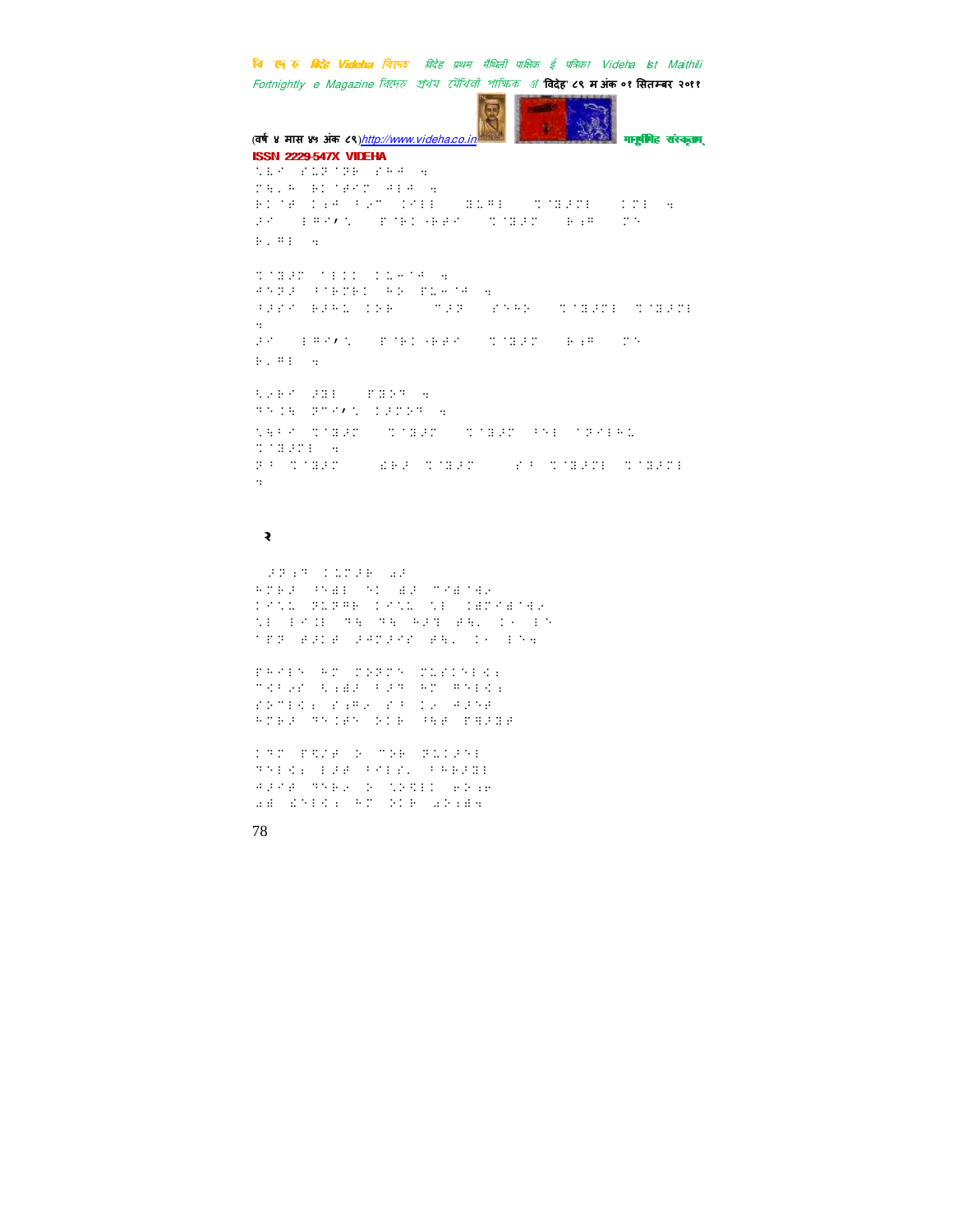बि एक रु मिनेट Videha विएक विदेह प्रथम मैथिली पाक्षिक ई पत्रिका Videha Ist Maithili Fortnightly e Magazine রিদেত শ্রথম মৌথিনী পাক্ষিক প্র' **বিदेह' ८९ म अंक ०१ सितम्बर २०११** 

ø (वर्ष ४ मास ४५ अंक ८९)http://www.videha.co.ii मानुबंधिह संस्कृतम् **ISSN 2229-547X VIDEHA**  $\label{eq:GME} \mathcal{N}(E,\mathcal{P}) = \mathcal{P}(E,\mathcal{P}) \mathcal{P}(E,\mathcal{P}) = \mathcal{P}(E,\mathcal{P}) = \mathcal{Q}.$ rale anderser are a echa castern chee dege conductionnella are a mexico a recognancial condacto a gmost con-中心开手 一分 FREE BRACK (PRESS) MARKET ENAMN CONSTRUCTION  $\mathcal{H}^{\pm}$ and then you in this sharp command on ham on the 4. 共1 (元) KABA BEET PERMIT do la canvisto la parte de CARRY COMBAT CONSIDER CONSIDER PRESS PARABAL **STREET BOOK** die Schauer in deutschauer in die Schauere Schauere  $\dddot{\phantom{1}}$ 

# $\ddot{\mathbf{z}}$

 $\begin{array}{l} \left( 2.2 \pm 2 \right) \times 1.27244 \times 12.2 \\ \left( 6.7 \pm 2 \right) \times 18.44 \times 18.1 \times 12.2 \times 18.2 \times 18.42 \times 18.42 \end{array}$ TRICE PERFECTIVE IN THERESA transportations and approach of the TER BRIEF RATION BALL IN ENA

responding the result in the set of maker teacher an energy advertiser and an analysis of the contract of Area myley preciede reade

from presentations possess  $\label{eq:R1} \mathcal{R}(\mathcal{N}) = \mathcal{R}(\mathcal{N}) = \mathcal{R}(\mathcal{N}) = \mathcal{R}(\mathcal{N}) = \mathcal{R}(\mathcal{N}) = \mathcal{R}(\mathcal{N}) = \mathcal{R}(\mathcal{N}) = \mathcal{R}(\mathcal{N}) = \mathcal{R}(\mathcal{N}) = \mathcal{R}(\mathcal{N}) = \mathcal{R}(\mathcal{N}) = \mathcal{R}(\mathcal{N}) = \mathcal{R}(\mathcal{N}) = \mathcal{R}(\mathcal{N}) = \mathcal{R}(\mathcal{N}) = \mathcal{R}(\mathcal{N}) = \mathcal{$ Advertisers to them to end and careful with the atenda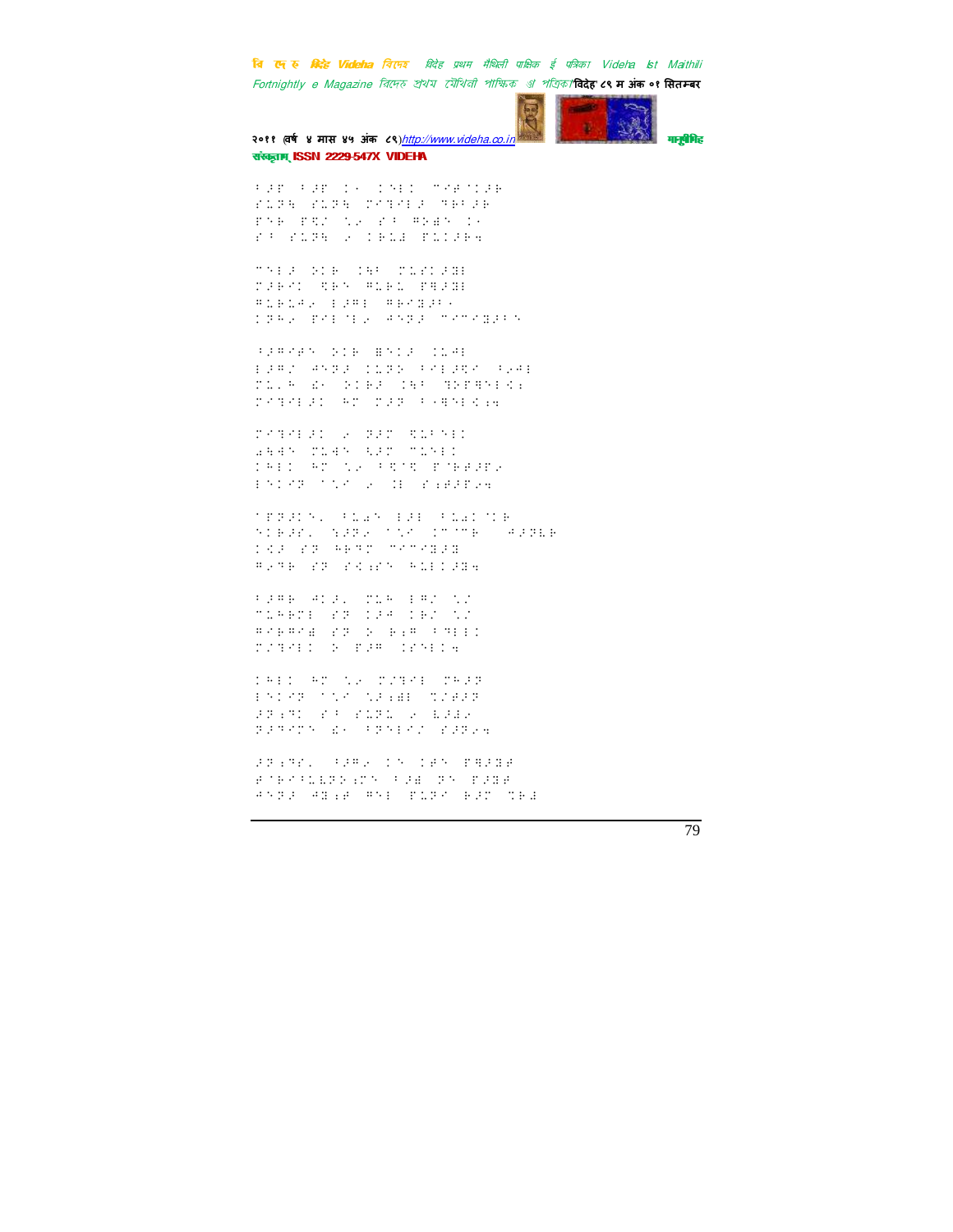बि एक रु मिनेट Videha विएक विदेह प्रथम मैथिली पाक्षिक ई पत्रिका Videha Ist Maithili Fortnightly e Magazine রিদেত শ্রথম মৌথিনী পাক্ষিক প্রাণবিকা**বিदेह ८९ म अंक ०१ सितम्बर** 



२०११ (वर्ष ४ मास ४५ अंक ८९)http://www.videha.co. संस्कृतम् ISSN 2229-547X VIDEHA

FOR FOR 19901941 STRENGER FLORE FLORE THORNE OF THE OR 

 $\begin{array}{cccccc} 0.54 & 0.1 & 0.1 & 0.1 & 0.1 & 0.1 & 0.01 & 0.01 \\ 0.04 & 0.01 & 0.04 & 0.00 & 0.00 & 0.00 & 0.00 & 0.00 \\ 0.04 & 0.01 & 0.04 & 0.00 & 0.00 & 0.00 & 0.00 & 0.00 \\ 0.06 & 0.06 & 0.06 & 0.00 & 0.00 & 0.00 & 0.00 & 0.00 \\ 0.06 & 0.06 & 0.06 & 0.00 &$ **ALELAS ESPECIALIST** para and day several membership

SUPPLY NORTHWEST COMP. EVER AND FILBS FREDRY FIRE TELEVIS STEP (193) TERRITOR DRIVERS AD ONE CORPORATION

TREPERDOM PATORIALS NET Saak roak ter moked  $\mathbb{E}[\mathcal{H}(\mathbb{E}(\mathbb{E}[\mathbb{E}[\mathcal{H}])\cap\mathcal{H}(\mathbb{E}[\mathbb{E}[\mathbb{E}[\mathcal{H}])\cap\mathbb{E}[\mathbb{E}[\mathbb{E}[\mathbb{E}[\mathbb{E}[\mathbb{E}[\mathbb{E}[\mathbb{E}[\mathbb{E}[\mathbb{E}[\mathbb{E}[\mathbb{E}[\mathbb{E}[\mathbb{E}[\mathbb{E}[\mathbb{E}[\mathbb{E}[\mathbb{E}[\mathbb{E}[\mathbb{E}[\mathbb{E}[\mathbb{E}[\mathbb{E}[\mathbb{E}[\mathbb{$ ENDAR TORONOMY CONSERVERS

IN BRADINA (1982-1984), PALADINA (1984)<br>IN DELANG (1988-2001-2001), PINER (1988-1988)  $\label{eq:3.1} \begin{array}{ll} \mathbb{E}[\mathcal{A}(\mathcal{A})] & \mathbb{E}[\mathcal{B}^{\top}]\geq 0 \oplus \mathcal{B}(\mathcal{B}^{\top}) \end{array} \quad \text{where} \quad \mathcal{B}(\mathcal{B},\mathcal{B},\mathcal{B})$ ROSE PROPERTY RICORDS

 $\mathbb{E}\left[\mathcal{J}(\theta,\theta^*)-\theta\right]\left[\mathcal{J}(\mathcal{J})-\mathcal{J}(\mathcal{L},\theta^*)-\mathcal{I}(\theta,\mathcal{J})-\mathcal{J}(\mathcal{J})\right]$ MERRIT YR 198 197 NY evalued as some except DISPOSITION (DISPOSITION)

 $\mathbb{E}[\mathcal{H}(\mathbb{E}(\mathbb{E}[\mathbb{E}[\mathcal{H}])\cap\mathcal{H}(\mathbb{E}[\mathbb{E}[\mathbb{E}[\mathcal{H}])\cap\mathcal{H}(\mathbb{E}[\mathbb{E}[\mathbb{E}[\mathbb{E}[\mathcal{H}])\mathbb{E}[\mathbb{E}[\mathbb{E}[\mathbb{E}[\mathbb{E}[\mathbb{E}[\mathbb{E}[\mathbb{E}[\mathbb{E}[\mathbb{E}[\mathbb{E}[\mathbb{E}[\mathbb{E}[\mathbb{E}[\mathbb{E}[\mathbb{E}[\mathbb{E}[\mathbb{E}[\mathbb$ ENDRE TORTOGREET SCRAB 

SPARE PRESIDENTIAN PREBA a neknada sama sa da sama mada AND PURSA PNE PIDA BOD TES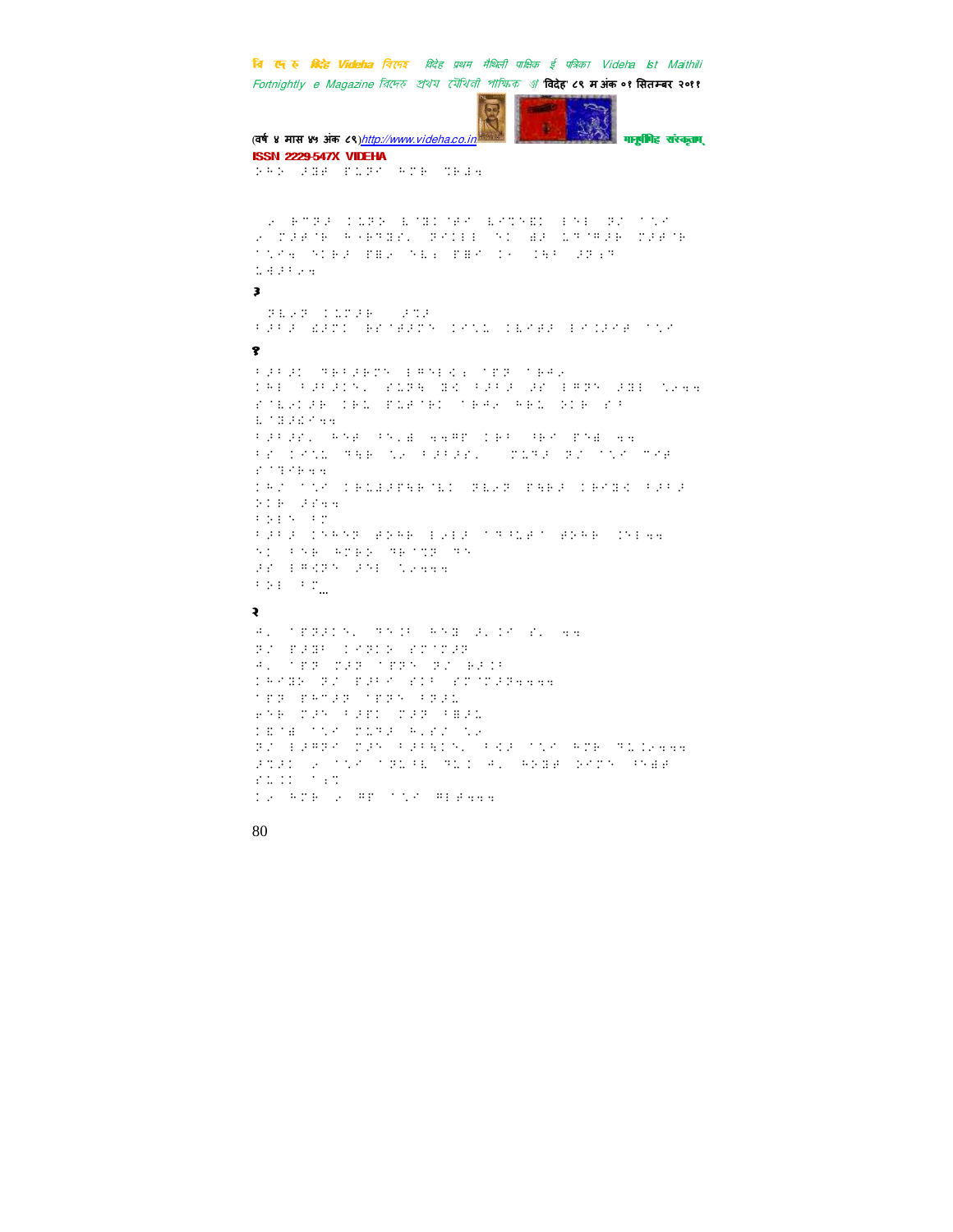चि एक रु मिनेह Videha विएक विदेह प्रथम मैथिली पाक्षिक ई पत्रिका Videha Ist Maithili Fortnightly e Magazine রিদেত প্রথম মৌথিনী পাক্ষিক *প্র* **বিदेह' ८९ म अंक ०१ सितम्बर २०११** 



(वर्ष ४ मास ४५ अंक ८९) http://www.videha.co.in **ISSN 2229-547X VIDEHA** SAN SAME PLAY AND TEST

SA SEMBRA SIDORE SE MODIFICAR SERVICIO E PERSONALES DE s raaje klemaa. Geree on da brimae raaje.<br>Ting opea mes oes men in liet aast 2.499.990  $\mathbf{3}$ 

 $\left\{ \begin{array}{ll} \mathcal{B}(E)\geq \mathcal{B} & \text{if } E(T)\neq \mathbb{R} \end{array} \right. \quad \left\{ \begin{array}{ll} \mathcal{B}(T)\neq \mathbb{R} \end{array} \right.$ a da di sederi maka redeva dengan teknologia dan kemudian menganjukan menganjukan pertama dan sebagai dan seba

 $\mathbb{P}(\mathcal{G}(\mathbb{P}(\mathcal{G})) \cap \mathbb{P}(\mathbb{P}(\mathbb{P}(\mathcal{G}(\mathbb{P}(\mathcal{G}))) \oplus \mathbb{P}(\mathbb{P}(\mathcal{G}(\mathbb{P}(\mathcal{G}))) \cap \mathbb{P}(\mathbb{P}(\mathcal{G})))$ THE PRESENT PORCH BOOKS AND APPROVED TO SALE SCREAM ARTICLES CONSTRUCTIONAL PRODUCTS IN STR  $\mathbb{E}^{1,0}(\mathbb{R}^d,\mathbb{R}^d)$  for  $\mathbb{E}^{1,0}(\mathbb{R}^d)$ FOR PERSONAL PROBLEMENT DEPATHMENT PARTNERS From the Committee of the transformation of the committee of the committee of the committee of the committee of  $\mathcal{E}^{(1,1)}$  if  $\mathcal{E}$  is a as TRO TO CONSEGRAPHED SPEAR TEARS INFORMATION  $\mathbb{H}(\mathbb{C},\mathbb{H})\subseteq\mathbb{P}(\mathbb{C},\mathbb{H})$ a participant. FOR A CONFINENTIAL EVERY CITED AT AN RELINE AN NI PAR PORT SENDER  $\mathcal{F}(\mathcal{E}) = \mathbb{E} \left[ \mathcal{F}(\mathcal{E}(\mathcal{E})) - \mathcal{F}(\mathcal{E}) \right] = \mathcal{F}_{\mathcal{E}}(\mathcal{E}) \mathcal{F}_{\mathcal{E}}(\mathcal{E})$ 手をおいす 芸人

## $\mathbf{z}$

```
All respects, as provide an increase as
BU PABEL INBID POTTER
\theta , and the state of the state of the state.
CRAIN POSTAGE CONTROLLER
n edille Andal Inedis (1996)<br>Graeci das Caldero Indae (1996)
iana ny mpanaharanja.<br>Ny faritr'ora dia Gaussia.
\mathcal{P}(\mathcal{P},\mathcal{P})=\mathcal{P}(\mathcal{P},\mathcal{P})=\mathcal{P}(\mathcal{P},\mathcal{P},\mathcal{P})=\mathcal{P}(\mathcal{P},\mathcal{P})=\mathcal{P}(\mathcal{P},\mathcal{P})=\mathcal{P}(\mathcal{P},\mathcal{P})=\mathcal{P}(\mathcal{P},\mathcal{P})=\mathcal{P}(\mathcal{P},\mathcal{P})=\mathcal{P}(\mathcal{P},\mathcal{P})=\mathcal{P}(\mathcal{P},\mathcal{P})=\mathcal{P}(\mathcal{P},\mathcal{P})=\mathcal{P}(\mathcal{P},\mathcal{TV ATE VIRE TIME REPAN
```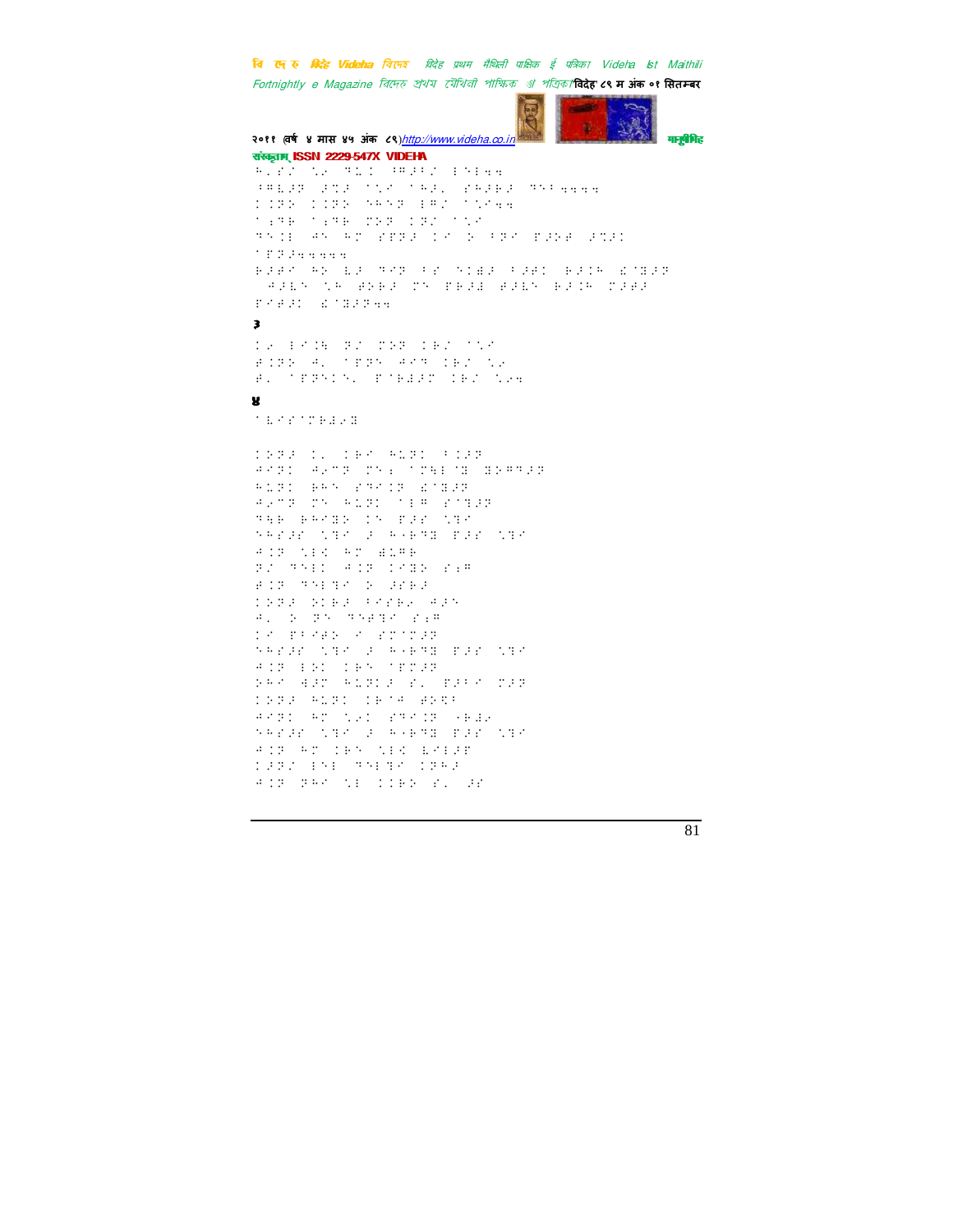Fortnightly e Magazine রিদেত শ্রথম মৌথিনী পাক্ষিক প্রাণবিকা**বিदेह ८९ म अंक ०१ सितम्बर**  $\sim$ मनुबैमिह २०११ (वर्ष ४ मास ४५ अंक ८९)http://www.videha.co. संस्कृतम् ISSN 2229-547X VIDEHA aleh saman berakhir FREED STEP TO THE TREE ENERGY TO RESEAR TIPS INFORMATIONS CONSUL tame tame computer tor MAIL AN ACTED AND A STREET BASE STAT 1 P.P. Falanan BOBY AN EQUATOR PROVISED PORT BOIL STEPS SADEN CHO BOBO TO TEDD BOED BODY TOBO PRESS ENGINEER  $\mathbf{3}$ THE BRIGGE RICE WAR IS BIGGET AND adas al cras anno 1920.<br>Al crasis de reada dez sus w **TERRITHERE** 1999 11:1997 9091 9199 ARREST ANDRE DNA CODARDOB CBN PRAR  $\mathcal{H}(\Sigma,\mathcal{B},\mathcal{I})=\mathcal{H}(\mathcal{B},\mathcal{B})=\mathcal{E}(\mathcal{B},\mathcal{B})\mathcal{L}(\mathcal{B})=\mathcal{E}(\mathcal{B},\mathcal{B},\mathcal{B})$ ASTRODY PORCINE PORTER  $\mathcal{R}(\mathcal{H},\mathcal{B})=\mathcal{H}(\mathcal{H},\mathcal{B},\mathcal{B})=\mathcal{I}(\mathcal{H})=\mathcal{I}(\mathcal{F},\mathcal{B})=\mathcal{I}(\mathcal{B},\mathcal{B})$ 在开始进行。在其中,进入开设新店铺、新造的一面生产  $\mathcal{A}^{\prime}(\mathbb{C}(\mathbb{P}))\cap\mathcal{C}(\mathbb{P}(\mathbb{C}))\cap\mathcal{B}(\mathbb{C})\cap\mathcal{B}(\mathbb{C},\mathbb{P}(\mathbb{P}))$ 

 $\left( \mathbb{P}(\mathcal{L}) \times \mathbb{P}(\mathcal{L} \otimes \mathbb{P}(\mathcal{L})) \right) = \left( \mathbb{P}(\mathcal{L} \otimes \mathcal{L}) \times \mathbb{P}(\mathcal{L} \otimes \mathcal{L}) \right) \times \left( \mathbb{P}(\mathcal{L} \otimes \mathcal{L}) \right)$  $\mu$  (  $\mu$  ) with  $\mu$  <br>constants and  $\mu$  $\mathcal{A}_{\mathcal{A}} = \{ \mathcal{A} \in \mathcal{B}(\mathcal{A}) \mid \mathcal{A}(\mathcal{A},\mathcal{B},\mathcal{C}) \in \mathcal{E}(\mathcal{A},\mathcal{B}) \}$ programado e apropad

 $\theta$  (19) (4) S(  $\sim$  1) FeV (  $\gamma$  F(2) FF

 $\theta \leq \theta(1) = \theta(1) = 1$  ,  $\theta(1) = \theta(2) \leq 1$  ,  $\theta \in \mathcal{A}$  ,  $\theta$ NAVAS NERO A PREPERDANCINER

A 19 SAT (1988) NEW EVERY 1982-191-39137-1849 9128 898 121 11 12 13 14

NAVAS NERVOS ARABSE ESPONDER

 $\mathcal{G}^{(4)}\mathcal{G}^{(2)}=\mathcal{G}^{(1)}\mathcal{G}^{(1)}=\mathcal{G}^{(1)}\mathcal{G}^{(2)}\mathcal{G}^{(1)}\mathcal{G}^{(2)}\mathcal{G}^{(1)}=\mathcal{G}^{(1)}\mathcal{G}^{(2)}\mathcal{G}^{(1)}\mathcal{G}^{(2)}\mathcal{G}^{(2)}$ 

बि एक रु मिनेट Videha विएक विदेह प्रथम मैथिली पाक्षिक ई पत्रिका Videha Ist Maithili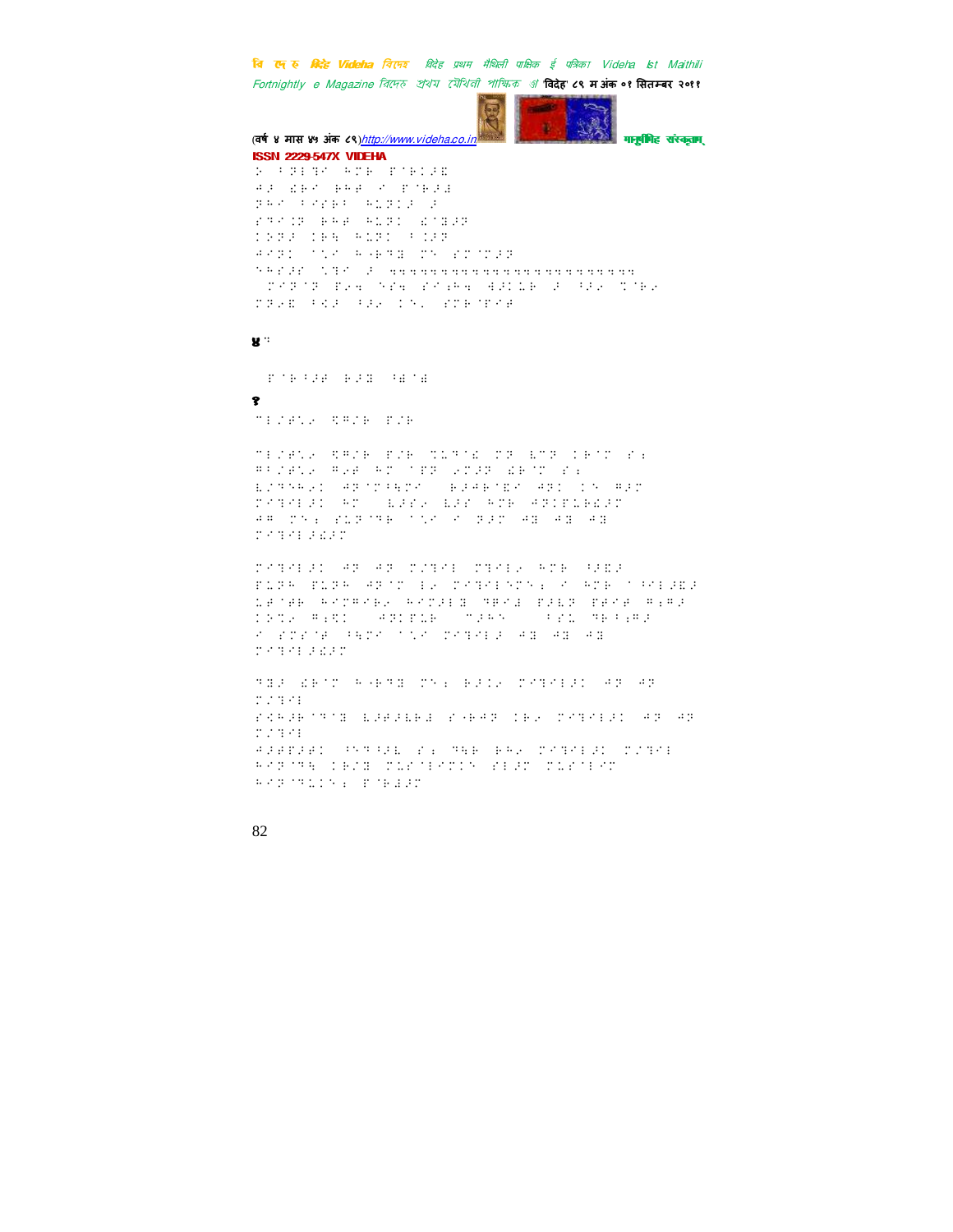चि एक रु मिनेह Videha विएक विदेह प्रथम मैथिली पाक्षिक ई पत्रिका Videha Ist Maithili Fortnightly e Magazine রিদেত প্রথম মৌথিনী পাক্ষিক *প্র* **বিदेह' ८९ म अंक ०१ सितम्बर २०११** 

(वर्ष ४ मास ४५ अंक ८९)http://www.videha.co.i मानूष्टीमेह संस्कृतम् **ISSN 2229-547X VIDEHA**  $\begin{aligned} \mathcal{D}^{\mathcal{A}}\leftarrow\mathcal{F}\left(\mathcal{D}\oplus\mathcal{A}\right)\mathcal{F}\left(\mathcal{F}\right)\oplus\mathcal{D}\oplus\mathcal{F}\left(\mathcal{F}\right)\mathcal{F}\oplus\mathcal{I}\left(\mathcal{F}\oplus\mathcal{I}\right) \end{aligned}$ Administration of the administration  $\mathcal{B}(\mathcal{B},\mathcal{B}) = \mathcal{B}(\mathcal{B},\mathcal{B},\mathcal{B}) = \mathcal{B}(\mathcal{B},\mathcal{B},\mathcal{B}) = \mathcal{B}^{\top}$ restrictions and an exception of the set APPLICATION APPLICATIONS ndum add adults. The member

 $\mathbf{g}$   $\approx$ 

**CENTER PARTIES ARMS** 

 $\mathbf{S}$ TECHNIC SPORT BOR

macratic series and a more of programs of a range PROPOSITION POSSIBLE CONTRACTOR EVANAGE APPEARER (BRAFTER APPEARER) CATALLAS PO LEGAN EGAN POR POSSESSOS A RESIDENCE THE STORY OF DISCUSSION AND AN TRIPPE PERT

CARABLES AR AR CONSAB CREABLE ACE (ARBI-FLOR TELER POINT BY TANKING VIA PATE TORPING La rae (Akomka) Akoba di Mekal palo paka (Alao formal every likely risk increasing a resource and k and technical to the investor adjustment pedan awah

Mad went event this edit through an ap-22381 KARABIT TERESARA BERTAGAN DENGAN KAMA BADA ANG PA  $\mathbb{P}(\mathbb{P}(\mathbb{T}^d)^{\mathbb{Z}})$ A 24 B 24 CHI PARTICAL CAN CRAW CHANGE AND CONTACT A KIRI 1980 I DAVID ODIVATA KODINA SA PROTOGRAFI KO ARRETTED NATIONAL PROPERTY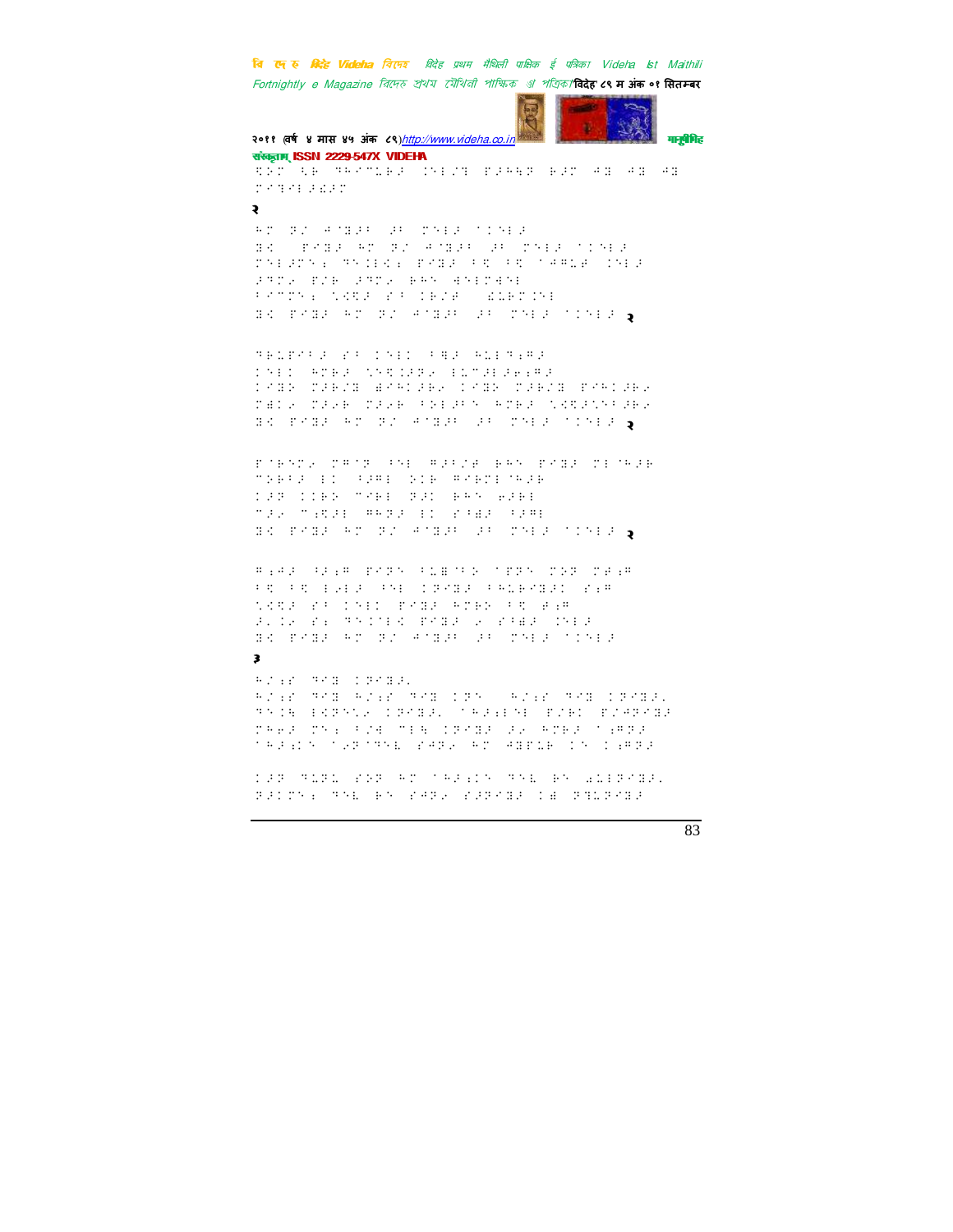चि एक रु मिनेह Videha विएक विदेह प्रथम मैथिली पाक्षिक ई पत्रिका Videha Ist Maithili Fortnightly e Magazine রিদেত শ্রথম মৌথিনী পাক্ষিক প্রাণবিকা**বিदेह ८९ म अंक ०१ सितम्बर** 

**Service** × २०११ (वर्ष ४ मास ४५ अंक ८९)http://www.videha.co.in मनुवैमिह

संस्कृतम् ISSN 2229-547X VIDEHA afrike mentes drava rser est ka ka ka TRIPPE PERT ₹ A DIL BOSCA TELEVISIONE DI SEDE L'OSSER na (1956)<br>1980 - Brazilien Britaine (1955), president personal<br>1983 - President Brazilien, personalist (1963)

 $\mathcal{F}^{(n)}\mathcal{T}^{(n)}\mathcal{F}^{(n)}\mathcal{T}^{(n)}\mathcal{T}^{(n)}\mathcal{F}^{(n)}\mathcal{T}^{(n)}\mathcal{T}^{(n)}\mathcal{T}^{(n)}\mathcal{T}^{(n)}\mathcal{T}^{(n)}\mathcal{T}^{(n)}\mathcal{T}^{(n)}\mathcal{T}^{(n)}\mathcal{T}^{(n)}\mathcal{T}^{(n)}\mathcal{T}^{(n)}\mathcal{T}^{(n)}\mathcal{T}^{(n)}\mathcal{T}^{(n)}\mathcal{T}^{(n)}\mathcal{T}^{(n)}\mathcal{T}^{(n)}\mathcal{T}^{(n)}\$ FRONT CONTROL CHART CONFIDER ski respublika i svi krada i dali ankala indivaldi 3

RESERVATION CONTROL PERSONAL REPORT THE CONTEXT NAMES AND THE REPORT TRES TRANSPORTANCES TRES TRANSPORTANCIANS THIS CIANG INAGE PARTIES FIRA CARACTERS ski respublika ja valdas ja vara viimas 3

ESPARA CRESPO PAL POPULAR BRAS PAGO COLOROS TO BACK SECTION ARE CONTROL OF A BOSTON ARE TRESTERS THE PRISE FROM BRE mas matailmenes in analysiser die spedal en die Anders erste nebels noeder

READ CONFIDENTIAL CONTROL CONTROL CAN ARE FROM ROBERT PARTICULAR CONSENSION PAR SKRA PROTOSIL PROBLEMAN OR PRIM aliza al modora decado a arradores die spelden die Anderste spelenseer

 $\mathbf{3}$ 

A 2 BEN ARCHITECTURE Arab demonstrationem contrationem conduct MAIN BORANA ISROPAL TAPPEENE STORE STORES read realize the transformation ered tambel TRANSPORTATION CONTRACTORS AND CONTRACTORS

TRESPORT REPORT FROM FROM THE RESOURCE PROPERTY BUILDNA PRAECENT VARUT VORPABULTA DE BELBABU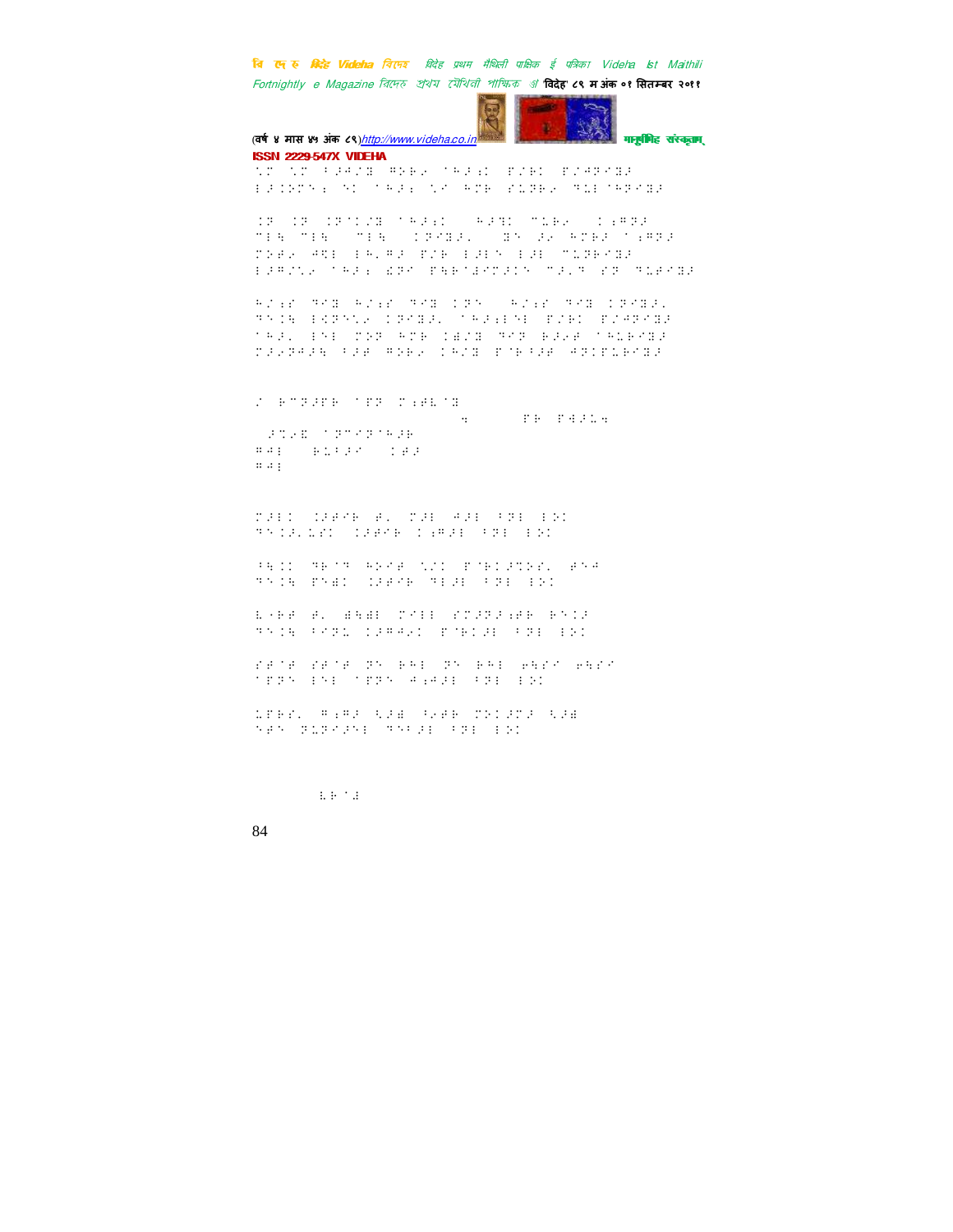बि एक स्टिट Videha विएक विदेह प्रथम मैथिली पाक्षिक ई पत्रिका Videha Ist Maithili Fortnightly e Magazine রিদেহ শ্রথম মৌথিনী পাক্ষিক প্র' **বিदेह' ८९ म अंक ०१ सितम्बर २०११** 



**ISSN 2229-547X VIDEHA** AT AT PRESS REPORTED THE TREE TO REPORT EUROPEA (ACCEPTANT CACADA CRIBES CRIBES)

de de dendra navado avadoridavo da#exmale (male) (male) (convided in discussion per incarera need and date excellence of the money and EVANTO CARA LEGAS PARTESTATA CON PORTA ALEGANDA

A 2002 - PAG (A 2002) PAG (1998) - A 2002 - PAG (1998) 20 MADE BROADLINGS, TESTING PORT PORCHO ted. Informations and tens there educe temperat ravagare (ga esex rera enegage garriera)

W. BOSSER CES CHARTER

 $\mathcal{L} = \mathbb{E}[\Phi] \times \mathbb{E}[\Phi] \mathcal{L}(\mathcal{L} \mathcal{L} \mathcal{L})$  $\sim 20\%$ Canadian memerintas 共通的に、主なもあることがある。 and pr

inda polipakan na ningga naga naga na sisi.<br>Mendukumpun pulakan ninggalan dan sasi n

Start Start Askal will mimisters and SAIN ENEL CORPE SEDE FOR END

EVER PL BABI TYIL PTPPPHER FYIP HAIN PRESIDENT PRESS PROFILE

rane rane do ses estados estimacionario TERN ENE TERN PERSONAL PRESENT

STEP: PREPARENT PAPER TO CATALOG Nan dideedni mnedi (da. 1910)

主要之主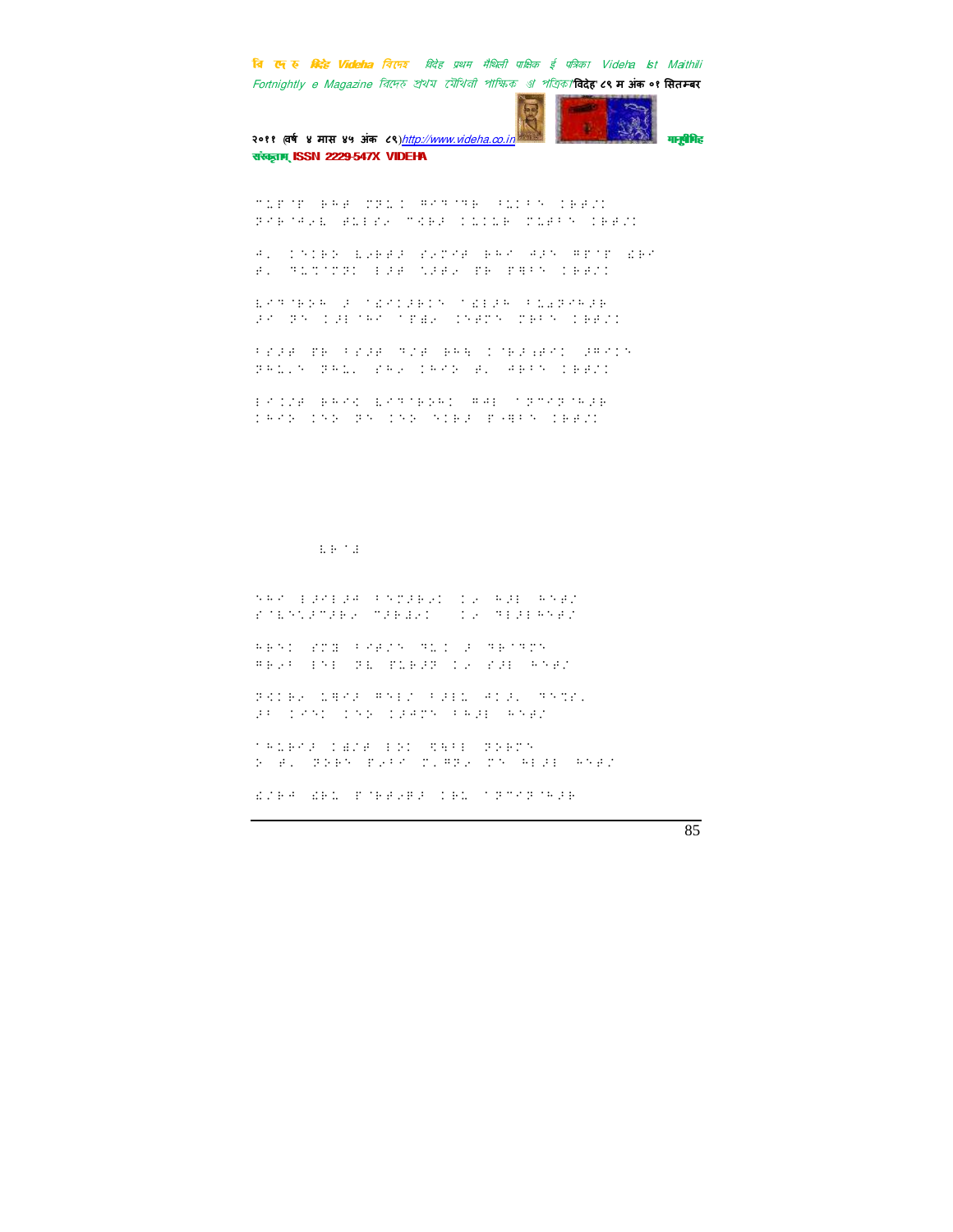बि एक स्टेड Videha विएक विदेह प्रथम मैथिली पाक्षिक ई पत्रिका Videha Ist Maithili Fortnightly e Magazine রিদেত প্রথম মেথিনী পাক্ষিক প্রা পত্রিকা**'বিदेह' ८९ म अंक ०१ सितम्बर** 



२०११ (वर्ष ४ मास ४५ अंक ८९) http://www.videha.co संस्कृतम् ISSN 2229-547X VIDEHA

TERMS ERRORED PROVISE SERVICERO SPECIAL BLEVA MARK COLLEY DORES CREAT

ALCOHOL: NORTH SEARCH SEARCH AND ARREST AND SEARCH al minimal sas taal released een

ERSTEDE DE CERTIFICATION DE LA PIEDERAPIE ar de claserer cray ceare reservadado

Frank and Frank Star Beek in the Heath Chevin SALIN SALI YAN TAKA BI SABAN TERMI

 $\pm$  2012/2013 (see 2013) and the pressure of the property states of the property of the property of the property of the property of the property of the property of the property of the property of the property of the prop TRANSPORT DRIVING CONFIDENTIAL TERMS

 $\sim$  1.40  $^{\circ}$  1.40

NAME AND DRIVING ASSAULT OF A REPORT OF PORTAGES TREES CONTROL

RENT STORY PRESS PED OF PERPEN #BUF INE DE PLBUD IV YUE PNBZ

SATES LEAR PART FRED POST PATCH de consolidas coemas exde esab

TAINAR TEMP EST RAFE POPMA STRIP BOARD BOARD BIRD BOARD AND A

SCRATER CONFERENCE DELIVERATIVE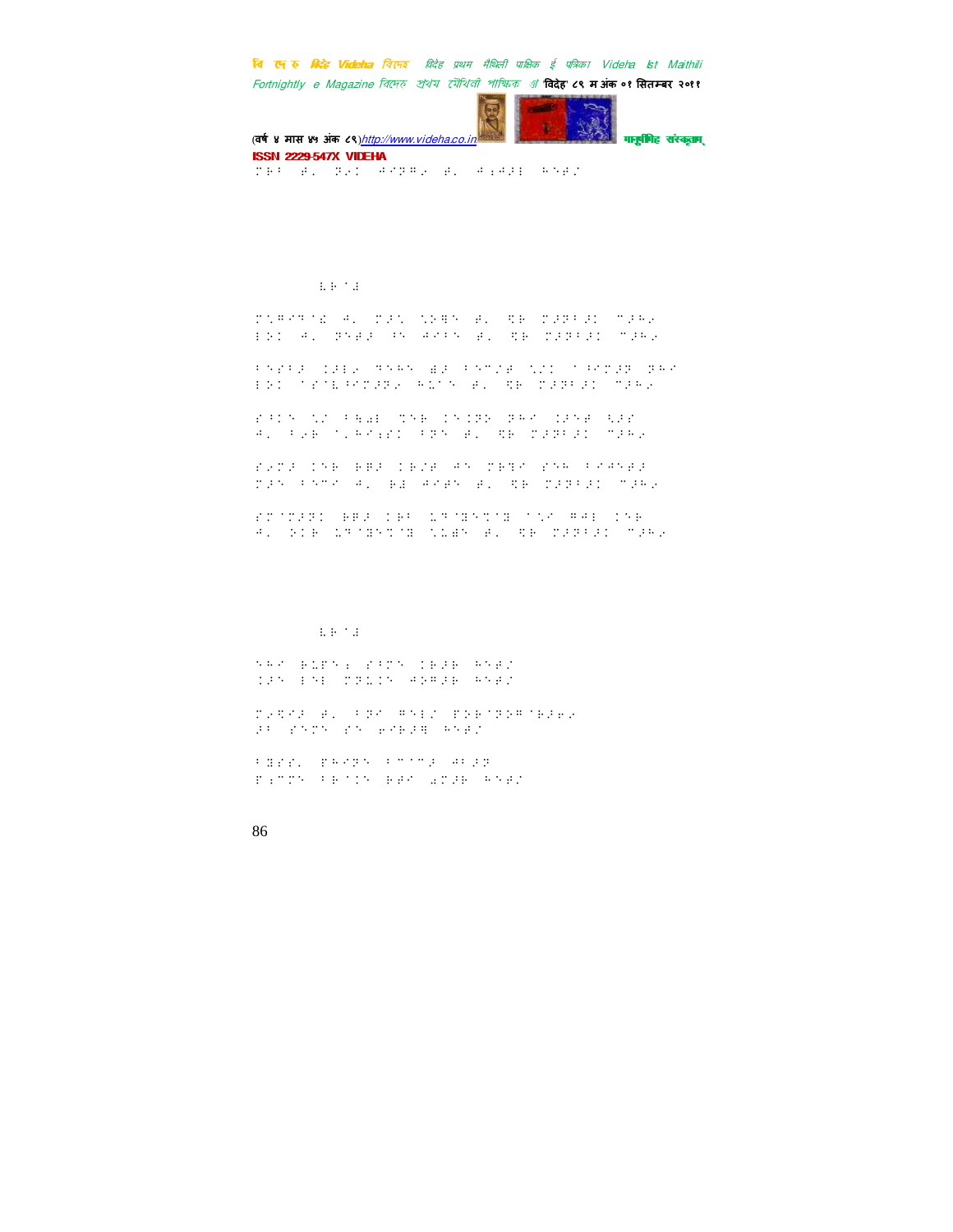बि एक स्टेड Videha विएक विदेह प्रथम मैथिली पाक्षिक ई पत्रिका Videha Ist Maithili Fortnightly e Magazine রিদেত শ্রথম মৌথিনী পাক্ষিক প্রা **বিदेह ८९ म अंक ०१ सितम्बर २०११** 

(वर्ष ४ मास ४५ अंक ८९)http://www.videha.co.in मानूबंगिह संस्कृतम् **ISSN 2229-547X VIDEHA** 

# $\sim 10^{11}$  kHz  $^2$  H  $_{\odot}$

presentative, participals all sellipade at index-ESI PAL SABA PA PARA PAL SER COSPOSI COSAZ

a sea a condado compartamente de compartamente de mais de mais de constante de mais de mais de mais de mais de a participante en pagos i elementos de la progeta por moleo.

YOUR INFORMATION AN INFORMATION AND public through a special and a substance of the state of the second state of the second state of the second state of

ar fragt eest fer in francische formeelijke

 $\sim$  1.4  $^{\circ}$  1.4  $^{\circ}$ 

NAME AND NAME OF STREET AND DESCRIPTIONS TRN ENE TRETN ANALOG AND

TURNA AL PARA PALL TERRITARIAL de anos an exeder ener

sarah sekak secara dalam ranny (Ferry Bar Grae Ayar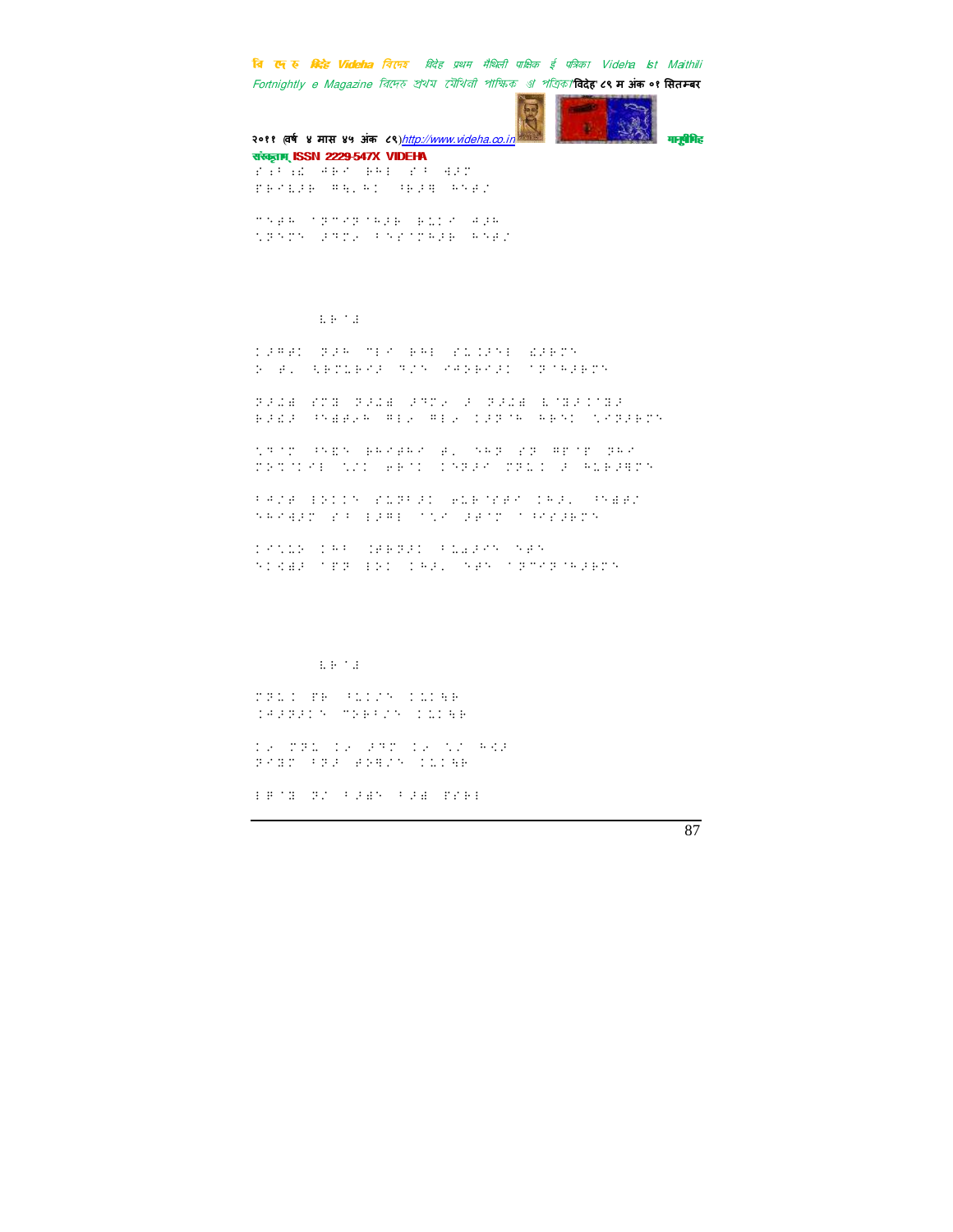बि एक रु मिनेट Videha विएक विदेह प्रथम मैथिली पाक्षिक ई पत्रिका Videha Ist Maithili Fortnightly e Magazine রিদেত শ্রথম মৌথিনী পাক্ষিক প্রাপত্রিকা**'বিदेह' ८९ म अंक ०१ सितम्बर** 



२०११ (वर्ष ४ मास ४५ अंक ८९) http://www.videha.co संस्कृतम् ISSN 2229-547X VIDEHA ang galleer een art gar recept walks appearance

mogal indired radar approvidual CRAIN CRAIN PARTIERE PART

## $\sim$  1.4  $\pm$  1.4  $\pm$

DRAWN DRAWNING BALL POINTS CORPOR Single Commission (Provincia Sacrido Indicada po-

decar end decar ends el decar a medinae BOARD PRABOAL REDUCEED COOPER ABOUT COOPERD

 $\label{eq:Ricci} \begin{split} \mathcal{L}(\mathcal{B},\mathcal{L}(\mathcal{D})) = \mathcal{L}(\mathcal{B},\mathcal{B}) \times \mathcal{L}(\mathcal{B},\mathcal{B}) \times \mathcal{L}(\mathcal{B},\mathcal{D}) \times \mathcal{L}(\mathcal{B},\mathcal{B}) \times \mathcal{L}(\mathcal{B},\mathcal{B},\mathcal{B}) \times \mathcal{L}(\mathcal{B},\mathcal{B},\mathcal{B}) \times \mathcal{L}(\mathcal{B},\mathcal{B},\mathcal{B},\mathcal{B},\mathcal{B}) \times \mathcal{L}(\mathcal{B$ 

FROM BOSS PORTUGALE PRESS CROSS PARENT NARABEL 2001 BOARD CONCLUSION OF PRESENC

TRIES TAP TRAPPER PLANES SAN NIKABU TERUBAT IPAL PARN TROPARTAREN

## $\sim$  E F  $^+$  H  $^+$

TRED TRESPECTATIONS depends make has include

EBSE DA PLAN PLAN PARE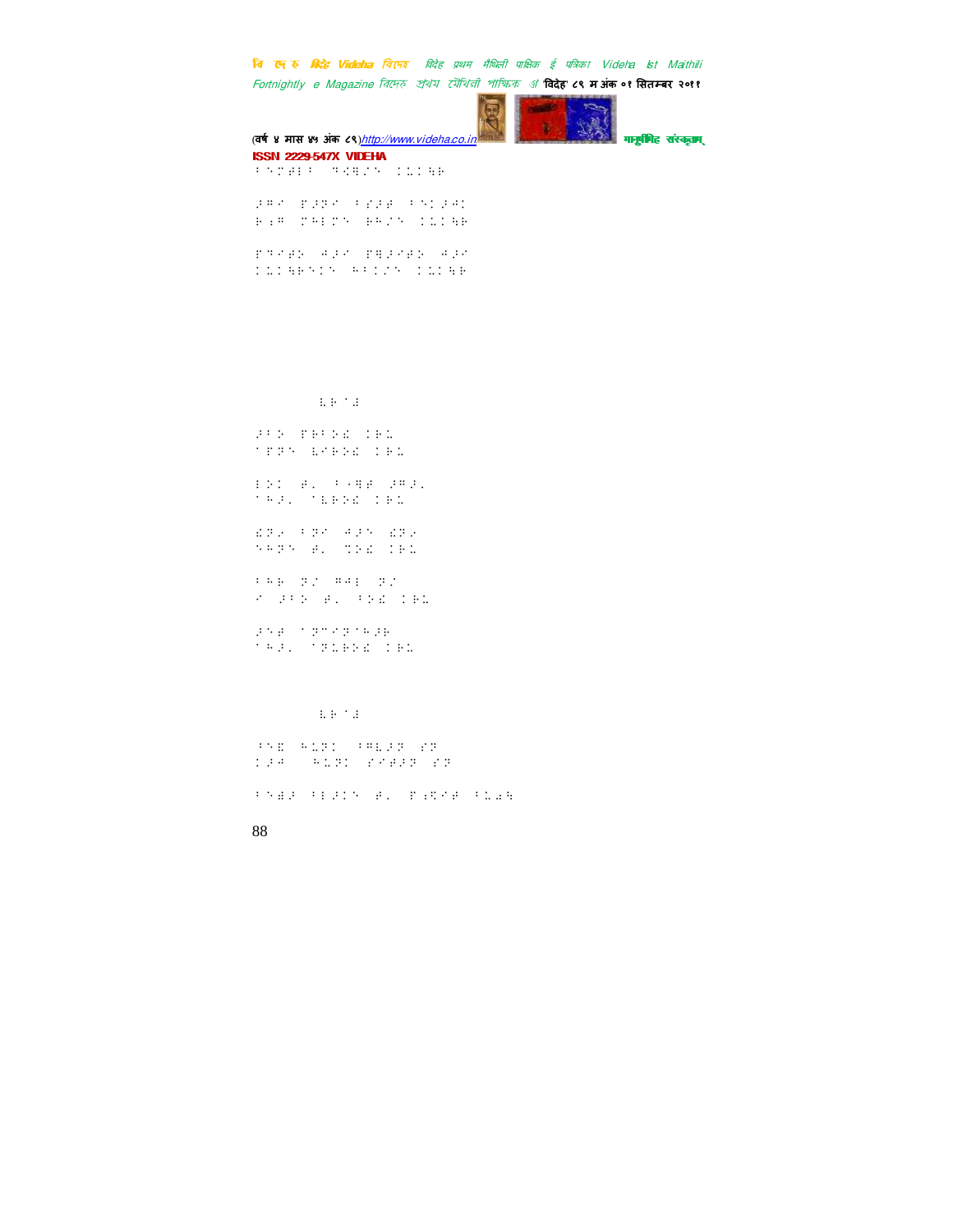चि एत् रू मिन्हे Videha निएन्थ विदेह प्रथम मैथिली पाक्षिक ई पत्रिका Videha Ist Maithili Fortnightly e Magazine विरमह शेथेग द्योंथिवी शीष्मिक औ **विदेह' ८९ म अंक ०१ सितम्बर २०११** 

(वष ४ मास ४५ अंक ८९)http://www.videha.co.in/ मानुषीिमह संकृताम्

ISSN 2229-547X VIDEHA ⢾6!⢹⣊⣛5!⣅⣓⢷! ⢼⢻.3⢼⢽.⢼⢾!⢼⢺!

⢷⣐⢻.⢳6!⢷⢳5!⣅⣓⢷!

3⢹⢾⢵!⢺⢼!3⣛⢼⢾⢵!⢺⢼! ⣅⣓⢷!⢳5!⣅⣓⢷!

 $+$  +  $+$  +  $+$ 

⢼⢵!3⢷⢵⣎!⢷⣅! 3⢽!⣇⢷⢵⣎!⢷⣅!

6⢵!⢾F!C⣛⢾!⢼⢻⢼F!  $^{\prime}$  F.F.,  $^{\prime}$  F.F. F.H.,  $^{\prime}$ 

⣎⢽⢴!⢽!⢺⢼!⣎⢽⢴! ⢳⢽!⢾F!⣉⢵⣎!⢷⣅!

⢳⢷!⢽5!⢻⢺6!⢽5! !⢼⢵!⢾F!⢵⣎!⢷⣅!

⢼⢾!⢽^⢽⢳⢼⢷! ⢳⢼F!⢽⣅⢷⢵⣎!⢷⣅!

++++!⣇⢷⣜.........9++++++++!

⢸⣏!⢳⣅⢽!⢸⢻⣇⢼⢽!⢽!  $\mathcal{L}$ . A  $\mathcal{L}$   $\mathcal{L}$   $\mathcal{L}$   $\mathcal{L}$   $\mathcal{L}$   $\mathcal{L}$   $\mathcal{L}$   $\mathcal{L}$   $\mathcal{L}$   $\mathcal{L}$   $\mathcal{L}$   $\mathcal{L}$   $\mathcal{L}$   $\mathcal{L}$   $\mathcal{L}$   $\mathcal{L}$   $\mathcal{L}$   $\mathcal{L}$   $\mathcal{L}$   $\mathcal{L}$   $\mathcal{L}$   $\mathcal{L}$   $\mathcal{L}$   $\math$ 

⣞⢼!6⢼!⢾F!3⣐⣋⢾!⣅⣔⣓!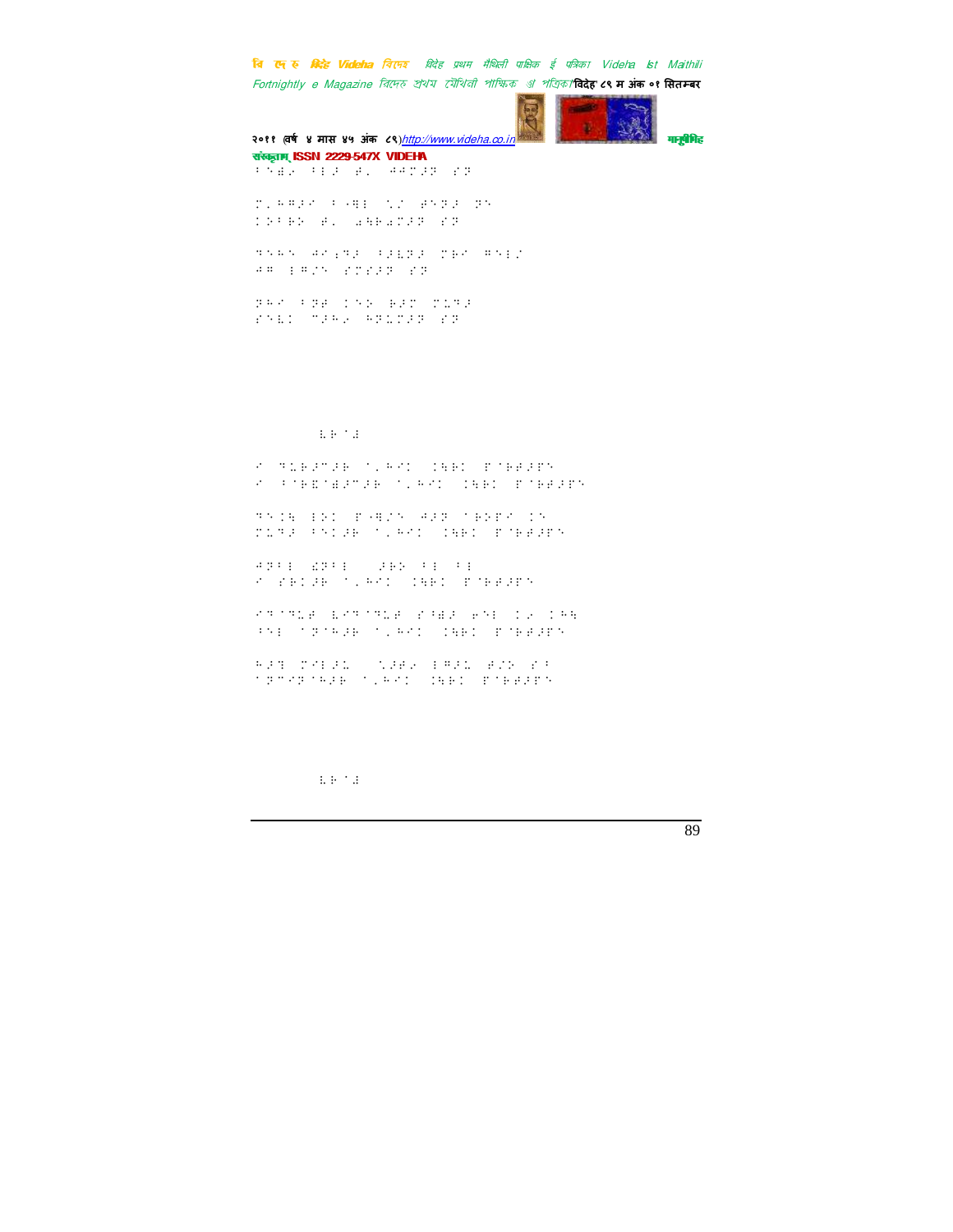चि एत् रू मिन्हे Videha निएन्थ विदेह प्रथम मैथिली पाक्षिक ई पत्रिका Videha Ist Maithili Fortnightly e Magazine রিদেহ প্রথম মৌথিনী পাক্ষিক প্র পত্রিকা**'বিदेह' ८९ म अंक ०१ सितम्बर** 



संस्कृतम् ISSN 2229-547X VIDEHA ⣞⢴!6⢼!⢾F!⢺⢺⢼⢽!⢽!

F⢳⢻⢼!C⣛6!⣁5!⢾⢽⢼!⢽! ⢵⢷⢵!⢾F!⣔⣓⢷⣔⢼⢽!⢽!

⢹⢳!⢺⣐⢹⢼-⢸⢼⣇⢽⢼!⢷!⢻65! ⢺⢻!6⢻5!⢼⢽!⢽!

⢽⢳!⢽⢾!⢵!⢷⢼!⣅⢹⢼! ⣇!^⢼⢳⢴!⢳⢽⣅⢼⢽!⢽!

## $\sim$  4. 4.  $\sim$  4.

! F . PAS EXPLORED THE SERVE STREET !⢸⢷⣏⣞⢼^⢼⢷!F⢳!⣈⣓⢷!3⢷⢾⢼3!

SON THE SERVE STATES OF THE STATES OF THE STATES OF THE STATES OF THE STATES OF THE STATES OF THE STATES OF THE ⣅⢹⢼!⢼⢷!F⢳!⣈⣓⢷!3⢷⢾⢼3!

⢺⢽6-⣎⢽6-!⢼⢷⢵!6.6! !⢷⢼⢷!F⢳!⣈⣓⢷!3⢷⢾⢼3!

⢹⢹⣅⢾.⣇⢹⢹⣅⢾!⢸⣞⢼!⢶6!⢴!⢳⣓! ⢸6!⢽⢳⢼⢷!F⢳!⣈⣓⢷!3⢷⢾⢼3!

⢳⢼⣙!6⢼⣅-!⣁⢼⢾⢴!6⢻⢼⣅!⢾5⢵!⢸!  $^{\prime}$  S = The Second Second Second Second Second Second Second Second Second Second Second Second Second Second Second Second Second Second Second Second Second Second Second Second Second Second Second Second Second Seco

 $\pm$  +  $\pm$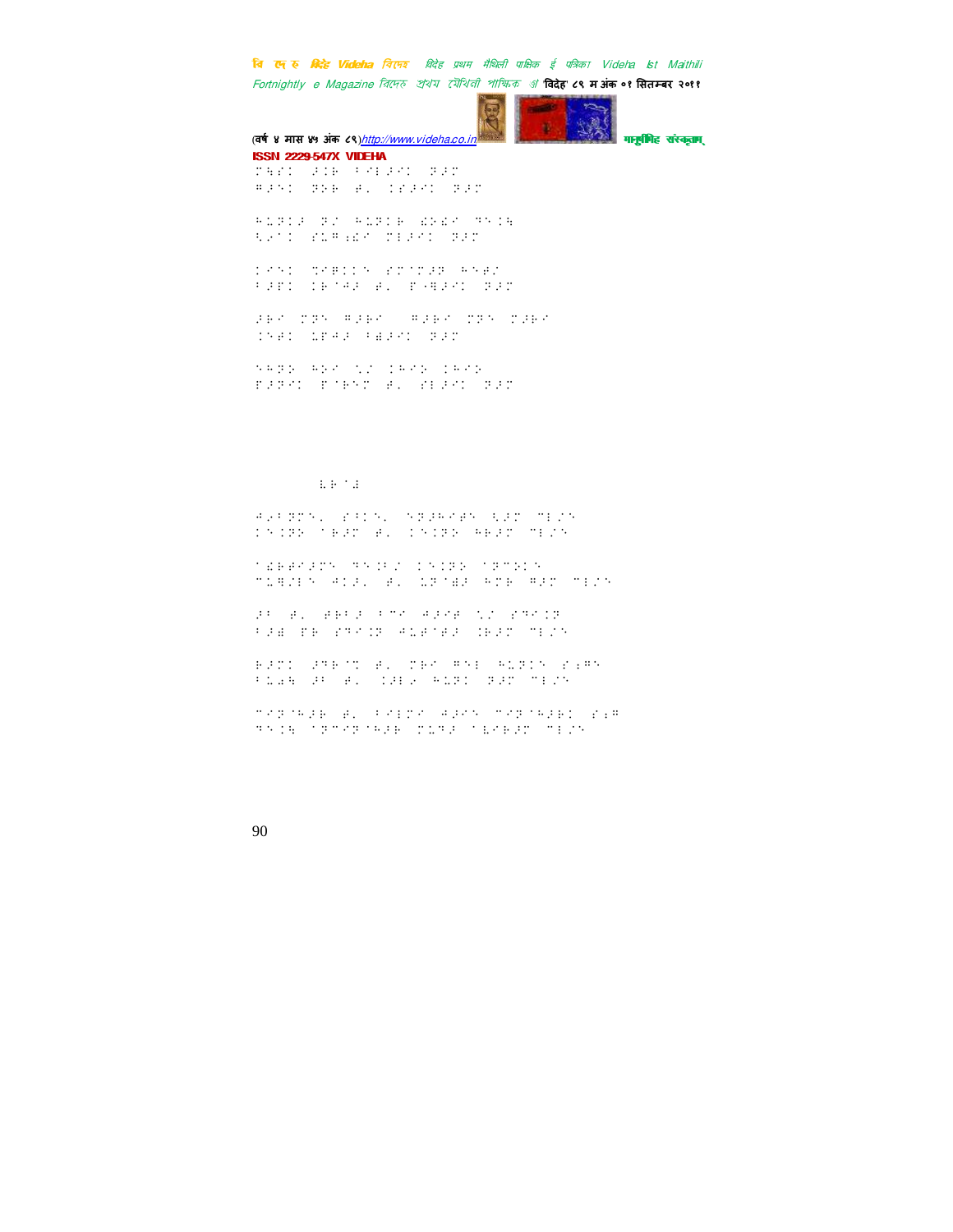चि एत् रू मिन्हे Videha निएन्थ विदेह प्रथम मैथिली पाक्षिक ई पत्रिका Videha Ist Maithili Fortnightly e Magazine विरमह शेथेग द्योंथिवी शीष्मिक औ **विदेह' ८९ म अंक ०१ सितम्बर २०११** 

| (वर्ष ४ मास ४५ अंक ८९)http://www.videha.co.in<br>मानूबंगिह संस्कृतम् |
|----------------------------------------------------------------------|
| <b>ISSN 2229-547X VIDEHA</b>                                         |
| in Bandi i de de la Regeara de Bandi                                 |
| (共になる) のほとも いましい ふど ふみてい (ほぼ)の                                       |
| [유효경호경] [경영] [유효경호송] [표정표구] [경영호송                                    |
| (もっとく) としちっとく ここも スイントウスク                                            |
|                                                                      |
| (シャング・カイチングン) そのこのさあり おびさの                                           |
| 医眼前的 化亚硝基苯甲基 医前后用法感觉 医皮膜                                             |
|                                                                      |
| 그 동안 이 분명에 이용 손용이 아이를 손용한 이 분명에 이룬 손용이                               |
|                                                                      |
| 法保护法 人名斯特法 人名普法沃斯 人名法尔                                               |
|                                                                      |
| 在中央的一种的时间的 计可变并对的 化亚甲酸钠                                              |
| <b>SEP ARTICLES AND SERVICE ARTICLE ARTICLE ARTICLE</b>              |

## ++++!⣇⢷⣜.........23++++++!

⢺⢴⢽F!⢸F!⢽⢼⢳⢾!⣃⢼!^65!  $\mathbf{1}$   $\mathbf{5}$   $\mathbf{1}$   $\mathbf{2}$   $\mathbf{5}$   $\mathbf{5}$   $\mathbf{5}$   $\mathbf{5}$   $\mathbf{5}$   $\mathbf{5}$   $\mathbf{5}$   $\mathbf{5}$   $\mathbf{5}$   $\mathbf{5}$   $\mathbf{5}$   $\mathbf{5}$   $\mathbf{5}$   $\mathbf{5}$   $\mathbf{5}$   $\mathbf{5}$   $\mathbf{5}$   $\mathbf{5}$   $\mathbf{5}$   $\mathbf{5}$   $\mathbf{5$ 

⣎⢷⢾⢼!⢹⣈5!⣈⢽⢵!⢽^⢵! ^⣅⣛56!⢺⢼F!⢾F!⣅⢽⣞⢼!⢳⢷!⢻⢼!^65!

⢼!⢾F!⢾⢷⢼!^!⢺⢼⢾!⣁5!⢹⣈⢽! ⢼⣞!3⢷!⢹⣈⢽!⢺⣅⢾⢾⢼.⣈⢷⢼!^65!

⢷⢼!⢼⢹⢷⣉!⢾F!⢷!⢻6!⢳⣅⢽!⣐⢻! ⣅⣔⣓!⢼!⢾F!⣈⢼6⢴!⢳⣅⢽!⢽⢼!^65!

^⢽⢳⢼⢷!⢾F!6!⢺⢼!^⢽⢳⢼⢷!⣐⢻! ⢹⣈⣓!⢽^⢽⢳⢼⢷!⣅⢹⢼!⣇⢷⢼!^65!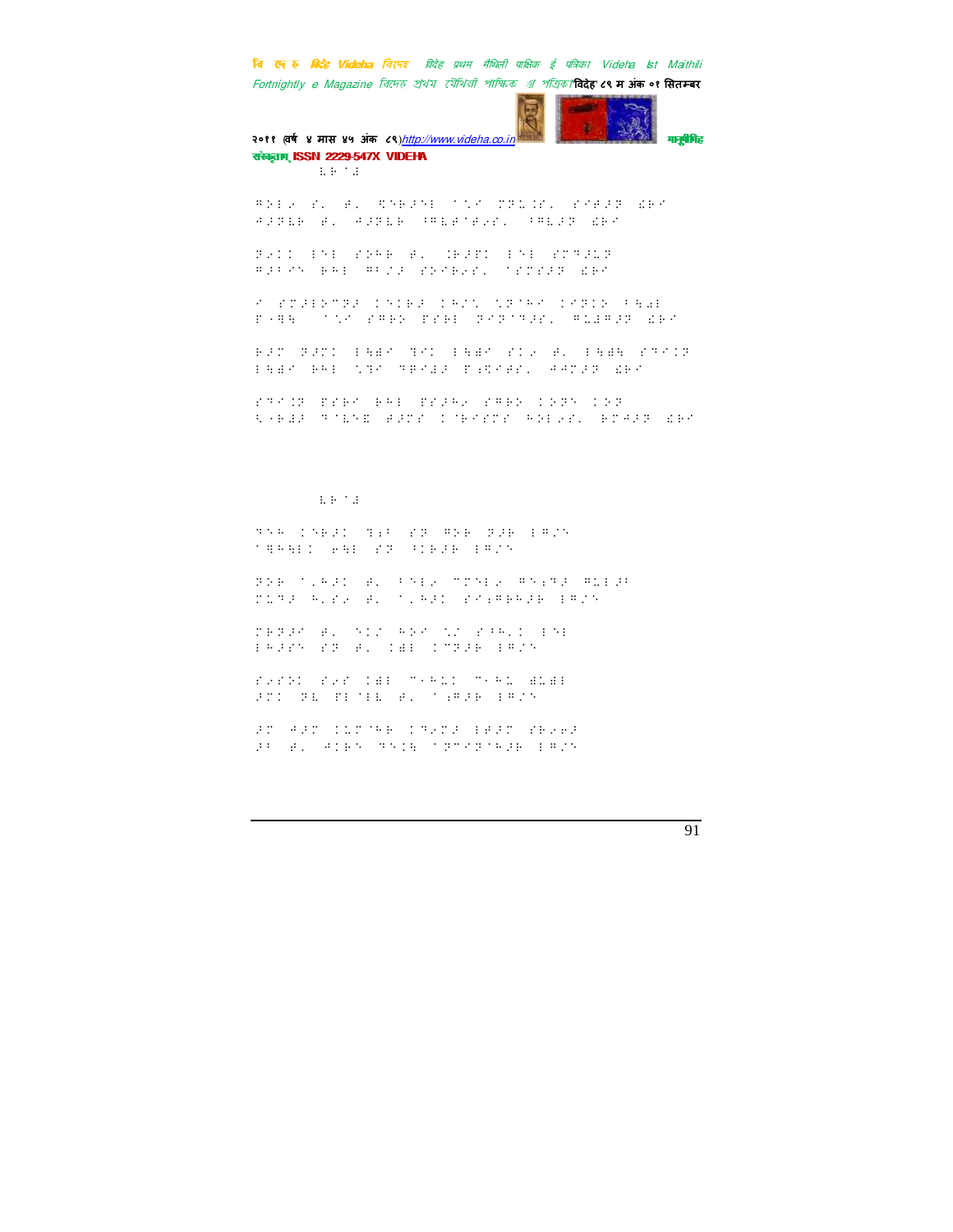बि एक स्टेड Videha विएक विदेह प्रथम मैथिली पाक्षिक ई पत्रिका Videha Ist Maithili Fortnightly e Magazine রিদেহ প্রথম মৌথিরী পাক্ষিক *ঙা পত্রিকা'* विदेह' **c९ म अंक ०१ सितम्बर** 



२०११ (वर्ष ४ मास ४५ अंक ८९) http://www.videha.co संस्कृतम् ISSN 2229-547X VIDEHA (主要之主)

PERSONAL PROPERTY TO CONTRACTOR CAPARD ARM ADDED AL ADDED THERMANN, THEOR WAY

SAID INE YOUR STUDENT ENE YOURSE #division: #120 Younger, Transaction

PORTER STRACT NORREST RICH STRACT CRIPS OF REAL real into real real scale and the companies

additional say ment saak and all saak amend FABRICANE CONSTRUCTION PROPERTY APPEAR CENT

YAKID TYEK BAL TYPES YABA LAAN LAA A PERRY MITROR CERTIFY INTERFERED ARRESTS EXPRESS REPO

 $\sim$  1.4  $^{\prime\prime}$  .1  $^{\prime\prime}$ 

SAR INFORMATION CONTROL SERVICE STATE THRAIN WAI SON TO BEEN INCS.

SPECTIFIC RELEASED TO NEW PREPARENT nima elevado al colear encameram ambo

TERRA BUSINESS AND STREET ENE ERREN ER BLODBE IMRRE ERRN

reret responses model model about STIP DES PROTECTIVOS PRESENTANT

dr. Adr. for the crazia sedimensed de la principal da relativamente de la pos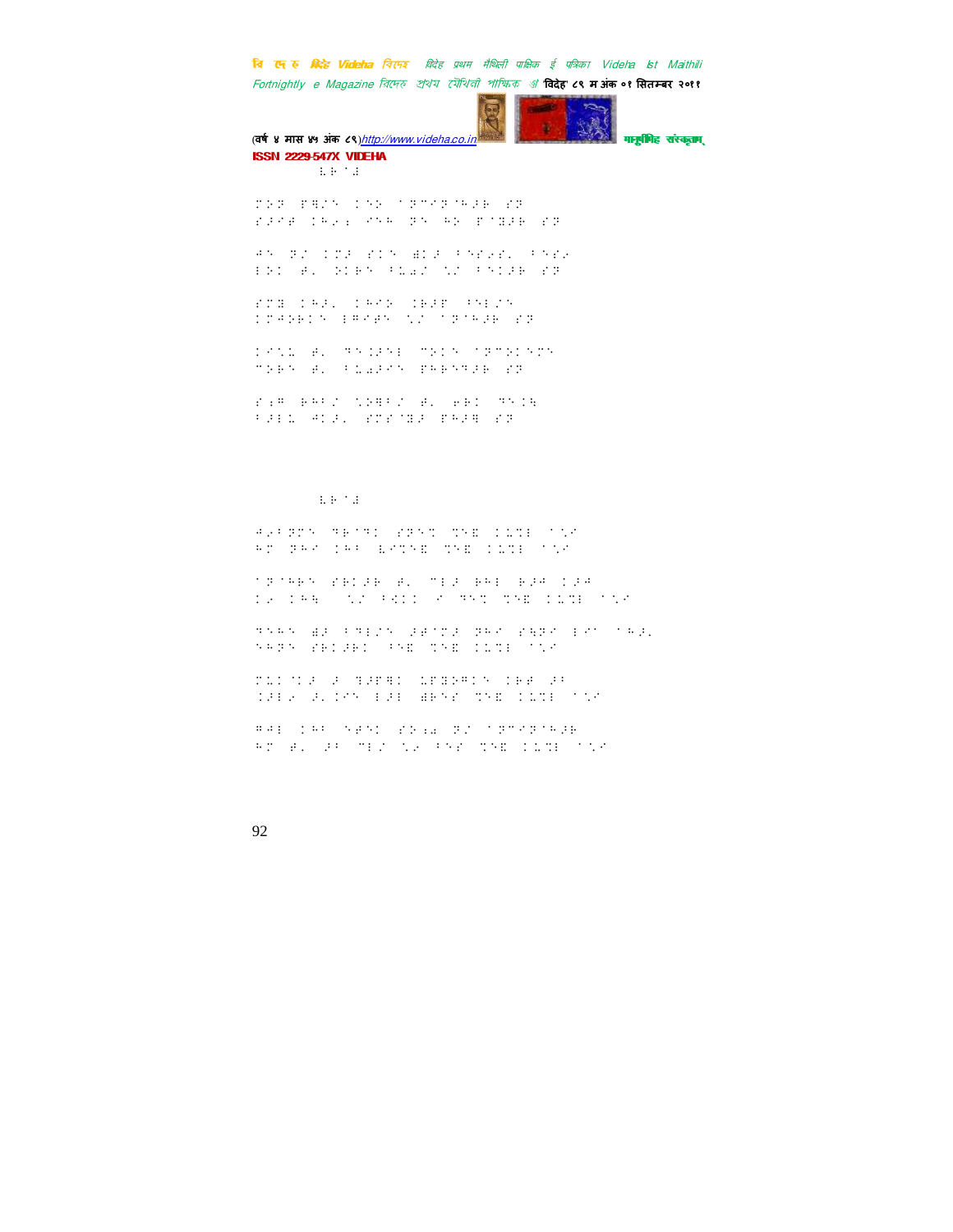चि एक स्टिड Videha विरफ्श विदेह प्रथम मैथिली पाक्षिक ई पत्रिका Videha Ist Maithili Fortnightly e Magazine রিদেত শ্রথম মৌথিনী পাক্ষিক প্র' **বিदेह' ८९ म अंक ०१ सितम्बर २०११** 



मानूबंगिह संस्कृतम्

**ISSN 2229-547X VIDEHA**  $\sim$  1. Here  $\sim$  1.

(वर्ष ४ मास ४५ अंक ८९)http://www.videha.co.।

TOR PEAK LOST TRAPPERS YR rane case invalues as encade re-

AN BOILER RIN BIR PARKEL PARK Bet al eres star transferra ar

ROBERT CONTRACTORER PRESS compared by a means only of promparing

perconal as das para inspections and models and computers are proposed and

PARTNERS CONFERD AND PROP FOR SHOPS IN STRIP PARK STRIP

# $\sim$  1.4  $^{\circ}$  1.4

AND PEACHERSE CONSTITUTION CONTROL AT TRACTIAL ESTAD TAD INTERNAT

TO TAKE STREET ALL TEST ARE CASH OCAR restas con anno sono del mando

diskus ar adapts reached des anades ast teles NAMES (PARTNERS ) FREE MORE (DIME) CONS

TECHNICAL TURNED CREAMENT DER CUP dans aldes nam mese die bode tie

maging as invaryd individual during decays. A bill as linear the state was a base of the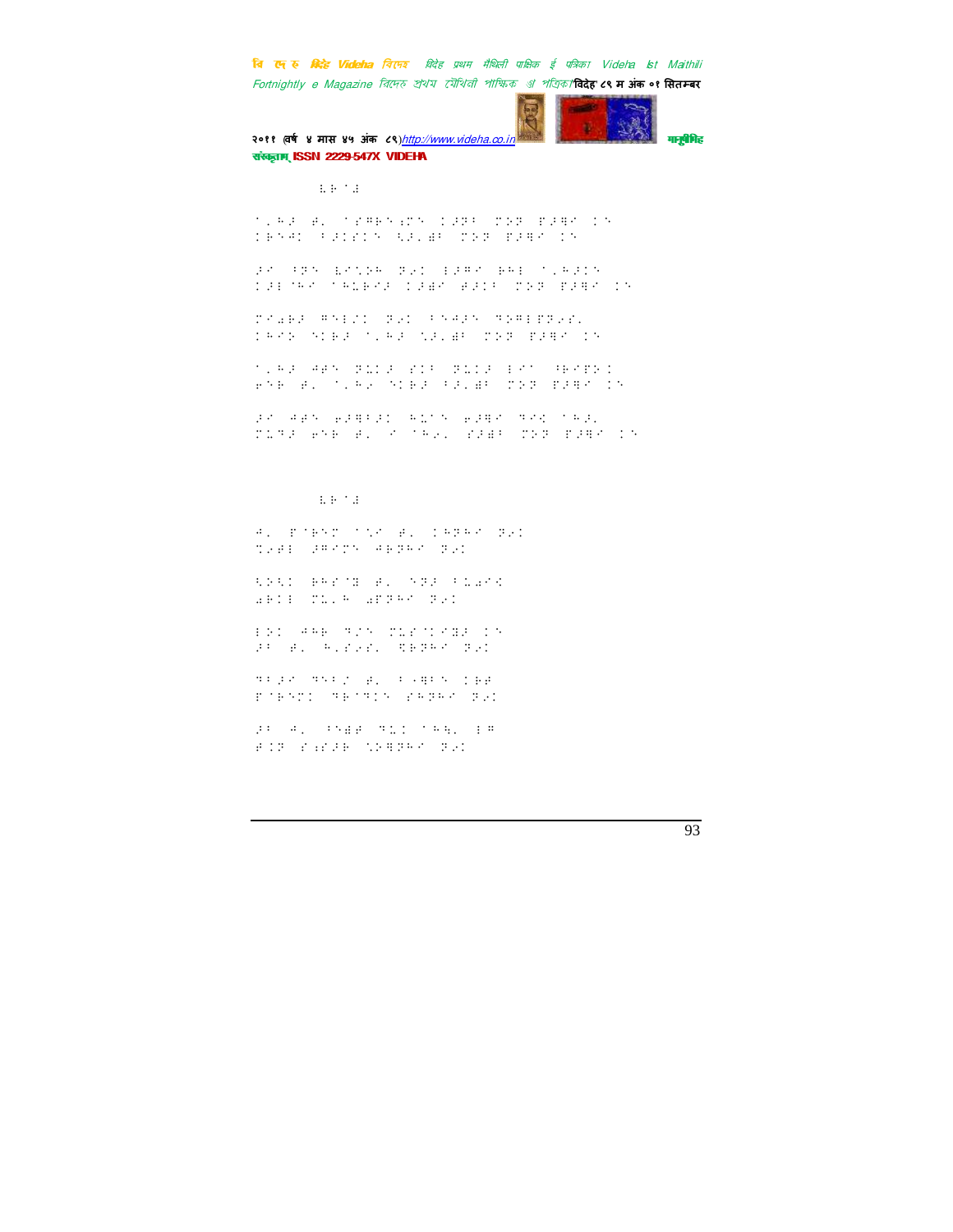बि एक स्टेड Videha विएक विदेह प्रथम मैथिली पाक्षिक ई पत्रिका Videha Ist Maithili Fortnightly e Magazine রিদেত শ্রথম মৌথিনী পাক্ষিক প্রাপত্রিকা**'বিदेह' ८९ म अंक ०१ सितम्बर** 

२०११ (वर्ष ४ मास ४५ अंक ८९) http://www.videha.co संस्कृतम् ISSN 2229-547X VIDEHA

 $\mathbb{E} \oplus \mathbb{P} \mathbb{E}$ 

TO A 2014 CONTRACTOR ON DOCTOR CONTRACTOR TENNIS PRINTNO RALED TORONTARY IN

die Frankrike die Frankrike Frankrik TOE TAX INADAROS TOERN BOIS TOOR TEXAS IN

TREES RAINS SAN PARAS RARIERAN. TRANSPORTATIONS COLLECTIVE PARK IN

TO A 20 APPS (PLESS PEER ) PLESS (ERT) (RAPPS) BAR BILLING AN ANGEL PULBE TANG BUGA TA

 $\sim$  1.4  $^{\circ}$  1.4  $^{\circ}$ 

All presentations all capacitave  $\mathcal{C}_1 \times \mathcal{S}_1 \mathcal{C}_2 = \mathcal{C}_1 \oplus \mathcal{C}_2 \oplus \mathcal{C}_3 = \mathcal{C}_2 \oplus \mathcal{C}_3 \oplus \mathcal{C}_4 = \mathcal{C}_1 \oplus \mathcal{C}_2$ 

ASAD (BAYIN BU) NORTH CLARK GRIE TELEVISTRE POI

a particularly control and a state of the  $\mathcal{J}(\mathcal{X}) = \mathcal{J}(\mathcal{X}) = \mathcal{H}(\mathcal{X}) \mathcal{J}(\mathcal{X}) = \mathcal{X}(\mathcal{X}) \mathcal{I}(\mathcal{X}) = \mathcal{I}(\mathcal{X})$ 

 $\mathcal{A}(\mathbb{P}^1,\mathbb{P}^1,\mathbb{P}^1,\mathbb{P}^1,\mathbb{P}^1,\mathbb{P}^1,\mathbb{P}^1,\mathbb{P}^1,\mathbb{P}^1,\mathbb{P}^1,\mathbb{P}^1,\mathbb{P}^1,\mathbb{P}^1,\mathbb{P}^1,\mathbb{P}^1,\mathbb{P}^1,\mathbb{P}^1,\mathbb{P}^1,\mathbb{P}^1,\mathbb{P}^1,\mathbb{P}^1,\mathbb{P}^1,\mathbb{P}^1,\mathbb{P}^1,\mathbb{P}^1,\mathbb{P}^1,\mathbb{P}$ rient service products

declare evaluation say and A 19 STATUE STARBER SPACE



मानुबेमिह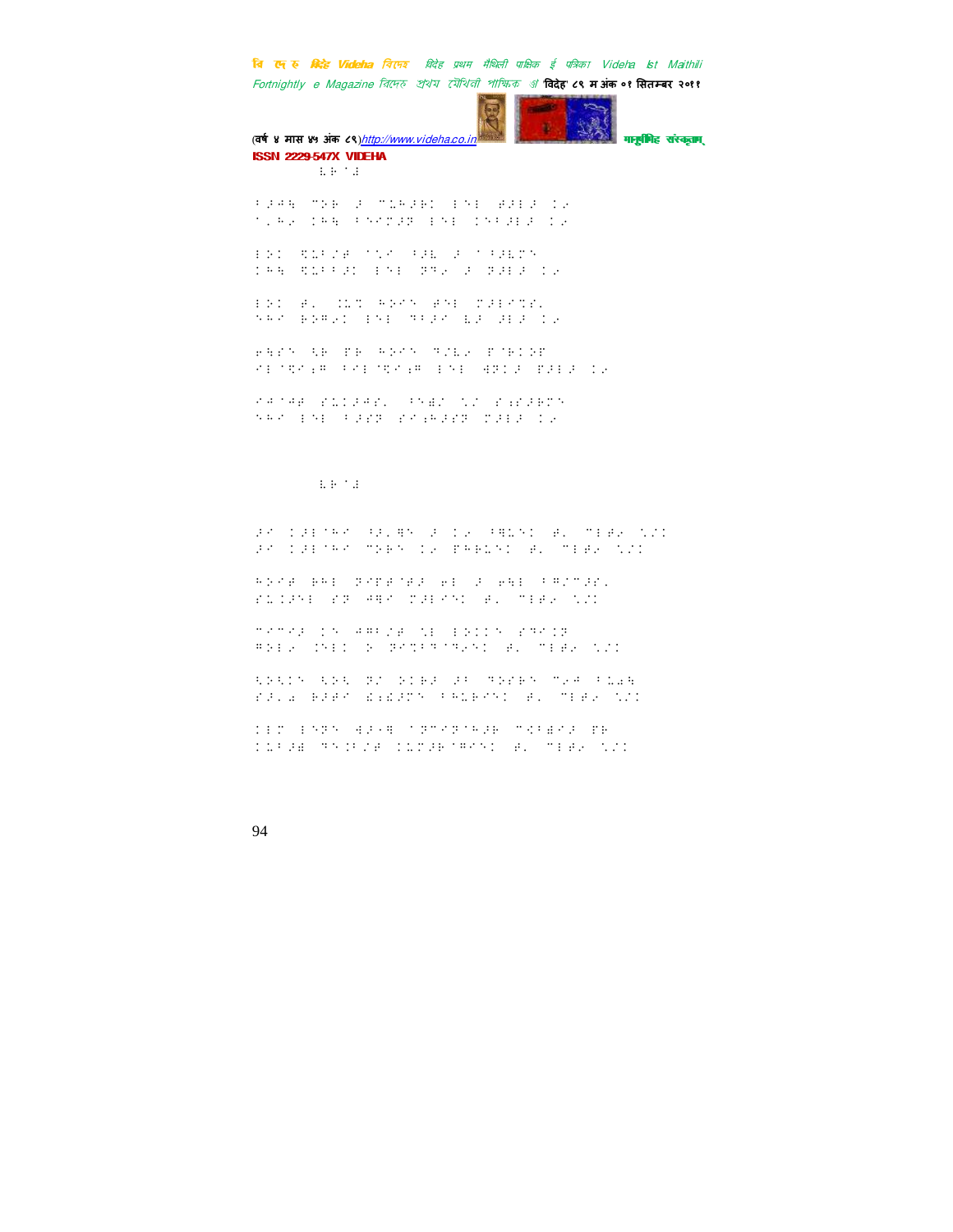चि एत् रू मिन्हे Videha निएन्थ विदेह प्रथम मैथिली पाक्षिक ई पत्रिका Videha Ist Maithili Fortnightly e Magazine विरमह शेथेग द्योंथिवी शीष्मिक औ **विदेह' ८९ म अंक ०१ सितम्बर २०११** 



ISSN 2229-547X VIDEHA ++++!⣇⢷⣜.........23+++++++!

⢼⢺⣓!^⢵⢷!⢼!^⣅⢳⢼⢷!66!⢾⢼6⢼!⢴! F⢳⢴!⢳⣓!⢼⢽!66!⢼6⢼!⢴!

6⢵!⣋⣅5⢾!⣁!⢸⢼⣇!⢼!⢸⢼⣇! ⢳⣓!⣋⣅⢼!66!⢽⢹⢴!⢼!⢽⢼6⢼!⢴!

6⢵!⢾F!⣈⣅⣉!⢳⢵!⢾6!⢼6⣉F! ⢳!⢷⢵⢻⢴!66!⢹⢼!⣇⢼!⢼6⢼!⢴!

⢶⣓!⣃⢷!3⢷!⢳⢵!⢹5⣇⢴!3⢷⢵3! 6⣋⣐⢻.6⣋⣐⢻!66!⣚⢽⢼.3⢼6⢼!⢴!

⢺⢺⢾!⣅⢼⢺F!⢸⣞5!⣁5!⣐⢼⢷! ⢳!66!⢼⢽.⣐⢳⢼⢽.⢼6⢼!⢴!

#### ++++!⣇⢷⣜.........25+++++++!

⢼.⢼6⢳!⢸⢼F⣛!⢼!⢴!⢸⣛⣅!⢾F!^6⢾⢴!⣁5! SA COSTAR TRENTIN TERRITORY TERRITORY

⢳⢵⢾!⢷⢳6!⢽3⢾⢾⢼!⢶6!⢼!⢶⣓6!⢻5^⢼F! ⣅⣈⢼6!⢽!⢺⣛!⢼6!⢾F!^6⢾⢴!⣁5!

^^⢼!!⢺⢻5⢾!⣁6!6⢵!⢹⣈⢽! ⢻⢵6⢴!⣈6!⢵!⢽⣉⢹⢹⢴!⢾F!^6⢾⢴!⣁5!

⣃⢵⣃!⣃⢵⣃!⢽5!⢵⢷⢼!⢼!⢹⢵⢷!^⢴⢺!⣅⣔⣓! ⢼F⣔.⢷⢼⢾!⣎⣐⣎⢼!⢳⣅⢷!⢾F!^6⢾⢴!⣁5!

6!6⢽!⣚⢼C⣛!⢽^⢽⢳⢼⢷!^⣊⣞⢼!3⢷! ⣅⢼⣞!⢹⣈5⢾!⣅⢼⢷⢻!⢾F!^6⢾⢴!⣁5!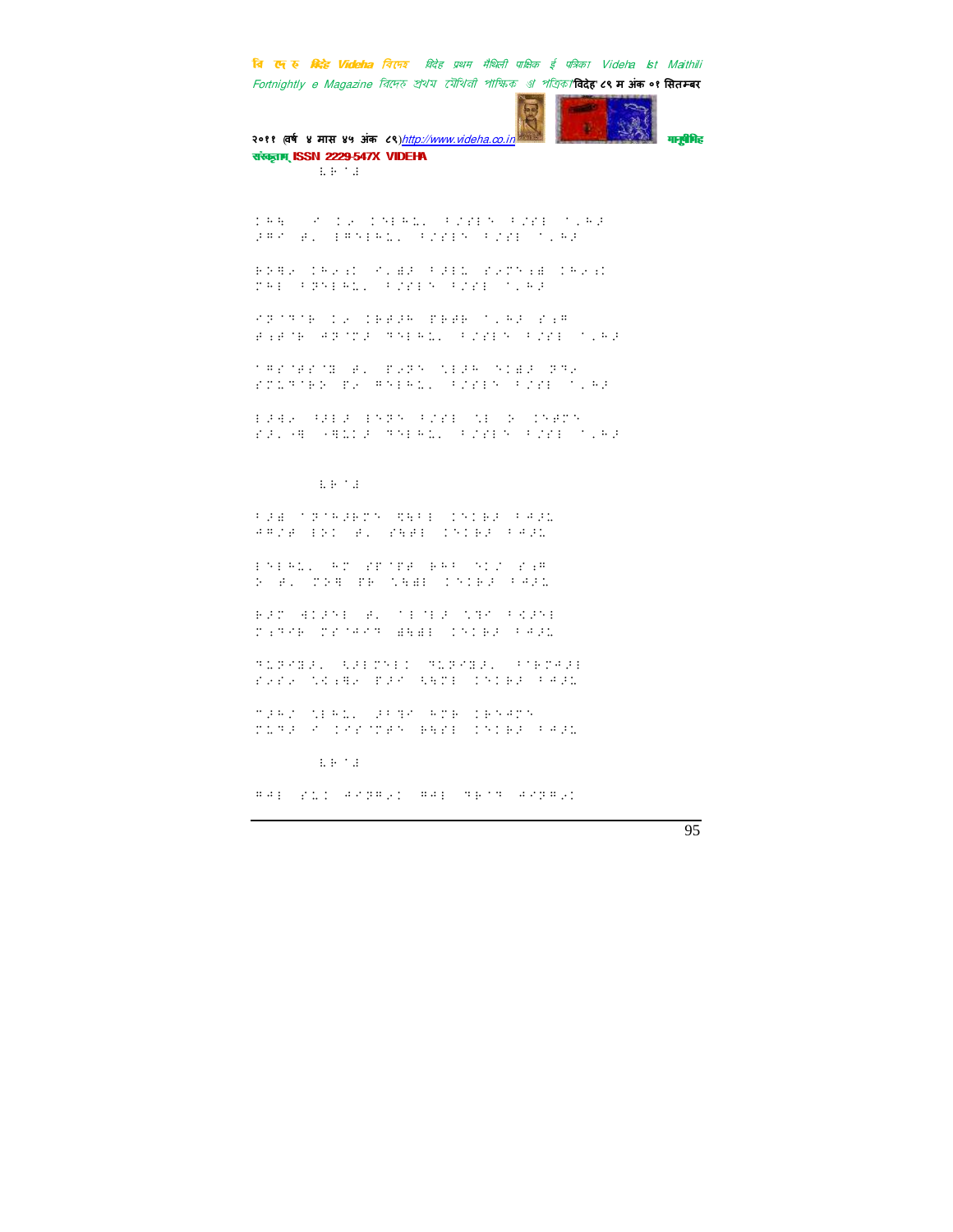चि एत् रू मिन्हे Videha निएन्थ विदेह प्रथम मैथिली पाक्षिक ई पत्रिका Videha Ist Maithili Fortnightly e Magazine রিদেহ প্রথম মৌথিনী পাক্ষিক প্র পত্রিকা**'বিदेह' ८९ म अंक ०१ सितम्बर** 



२०११ (वर्ष ४ मास ४५ अंक ८९)http://www.videha.co.in + 2008 2008 2009 2008 2009 2010 संस्कृतम् ISSN 2229-547X VIDEHA

++++!⣇⢷⣜.........29+++++++!

⢳⣓-!!⢴!6⢳⣅F!56.56!F⢳⢼! ⢼⢻!⢾F!6⢻6⢳⣅F!56.56!F⢳⢼!

⢷⢵⣛⢴!⢳⢴⣐!F⣞⢼.⢼6⣅!⢴⣐⣞!⢳⢴⣐! THE FUNERIC FIRENCE TEN FURN

⢽⢹⢷!⢴!⢷⢾⢼⢳!3⢷⢾⢷!F⢳⢼!⣐⢻! ⢾⣐⢾⢷!⢺⢽⢼!⢹6⢳⣅F!56.56!F⢳⢼!

⢻⢾⣝!⢾F!3⢴⢽!⣁6⢼⢳!⣞⢼!⢽⢹⢴! ⣅⢹⢷⢵!3⢴!⢻6⢳⣅F!56.56!F⢳⢼!

6⢼⣚⢴.⢸⢼6⢼!6⢽!56!⣁6!⢵!⣈⢾! ⢼FC⣛!C⣛⣅⢼!⢹6⢳⣅F!56.56!F⢳⢼!

++++!⣇⢷⣜.........26+++++++!

⢼⣞!⢽⢳⢼⢷!⣋⣓6!⢷⢼!⢺⢼⣅! ⢺⢻5⢾!6⢵!⢾F!⣓⢾6!⢷⢼!⢺⢼⣅!

66⢳⣅F!⢳!33⢾!⢷⢳!5!⣐⢻! S PASS TO SEE A SEE A STRAIN

⢷⢼!⣚⢼6!⢾F!66⢼!⣁⣙!⣊⢼6! ⣐⢹⢷.⢺⢹!⣞⣓⣞6!⢷⢼!⢺⢼⣅!

⢹⣅⢽⣝⢼F!⣃⢼66!⢹⣅⢽⣝⢼F!⢸⢷⢺⢼6! ⢴⢴.⣁⣊⣐⣛⢴.3⢼!⣃⣓6!⢷⢼!⢺⢼⣅!

^⢼⢳5!⣁6⢳⣅F!⢼⣙!⢳⢷!⢷⢺! ⣅⢹⢼!!⢾!⢷⣓6!⢷⢼!⢺⢼⣅!

 $\sim$  1.4  $\pm$  7.4  $\,$ 

⢻⢺6!⣅⣈!⢺⢽⢻⢴!⢻⢺6!⢹⢷⢹!⢺⢽⢻⢴!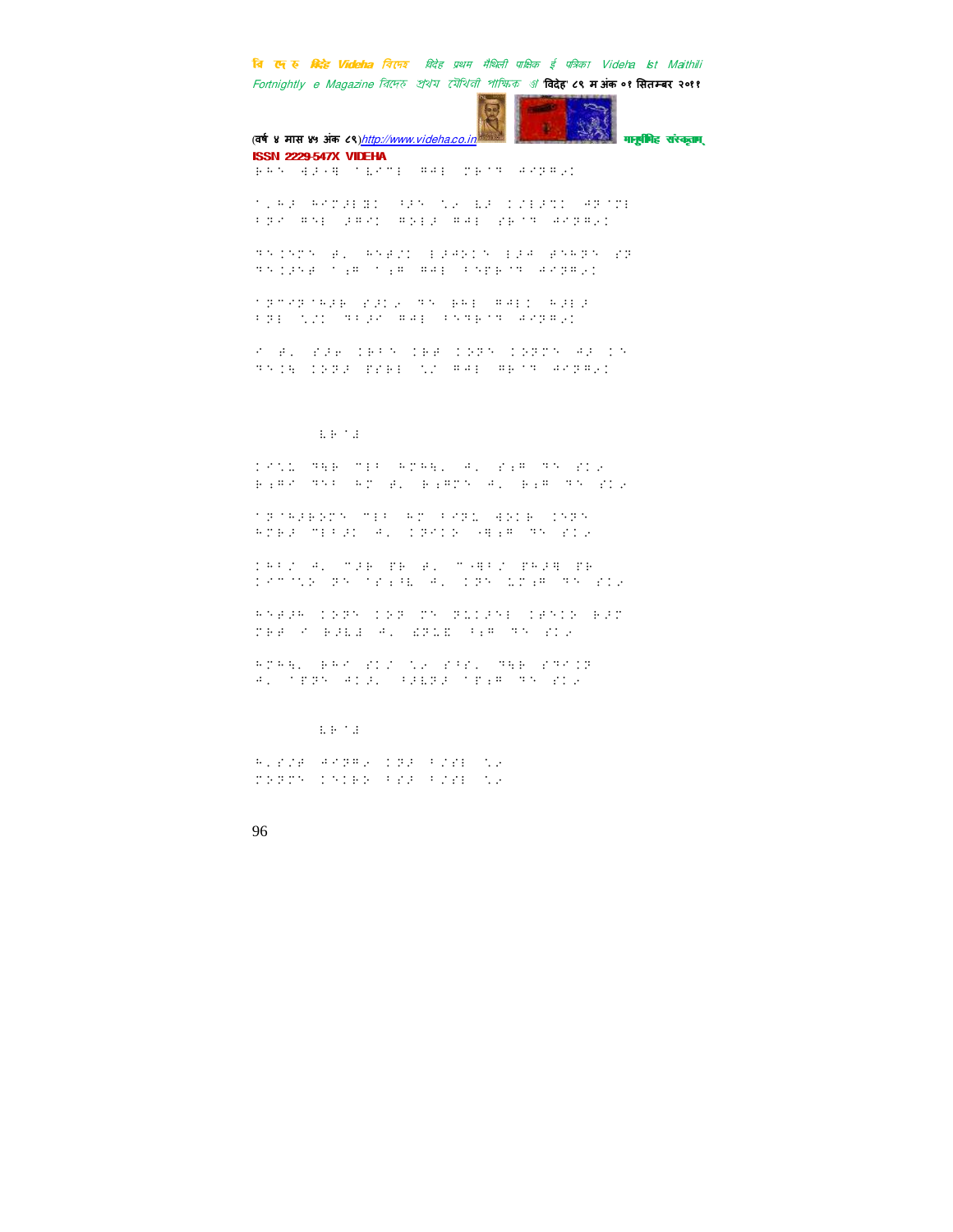बि एक स्टेड Videha विएक विदेह प्रथम मैथिली पाक्षिक ई पत्रिका Videha Ist Maithili Fortnightly e Magazine রিদেত শ্রথম মৌথিনী পাক্ষিক প্র' **বিदेह' ८९ म अंक ०१ सितम्बर २०११** 



मानूबंगिह संस्कृतम्

**ISSN 2229-547X VIDEHA** pas agua carra mai capta araber

apelas: participal applications

mentere al aesarro paere paa aesare ae as proposed the second complete space of a space.

TERRETAGN STATE RANGERS CHAIR CARES a da cunha da seconda careere conducto

Professionale states the probability and the states of the states of the states of the states of the do la cipal real circular decompagner

## $\sim$  1.40  $^\circ$  .40

forth week will execute all ries which parent was served began a comparent was gra-

TERRIBATS TERRIBT FRED HADE TORPS A base of the exponent of persons over a monotonic

particular model the art models inabal the permitte des charactes et codes domages as anti-

ANAGA (1985) 198 (PN) PLIANE (1951) ARE measure equipment additional measures.

Arabi Bak Sir to Sample Mar Smart AU TERN ALD, PRESS TEEP AN ELD

 $\mathbb{E}[\mathbb{H}^{(1)}]$  if

A LEVEL ARBAN (1997) FINE CON DESCRIPTIONS OF PROPERTY.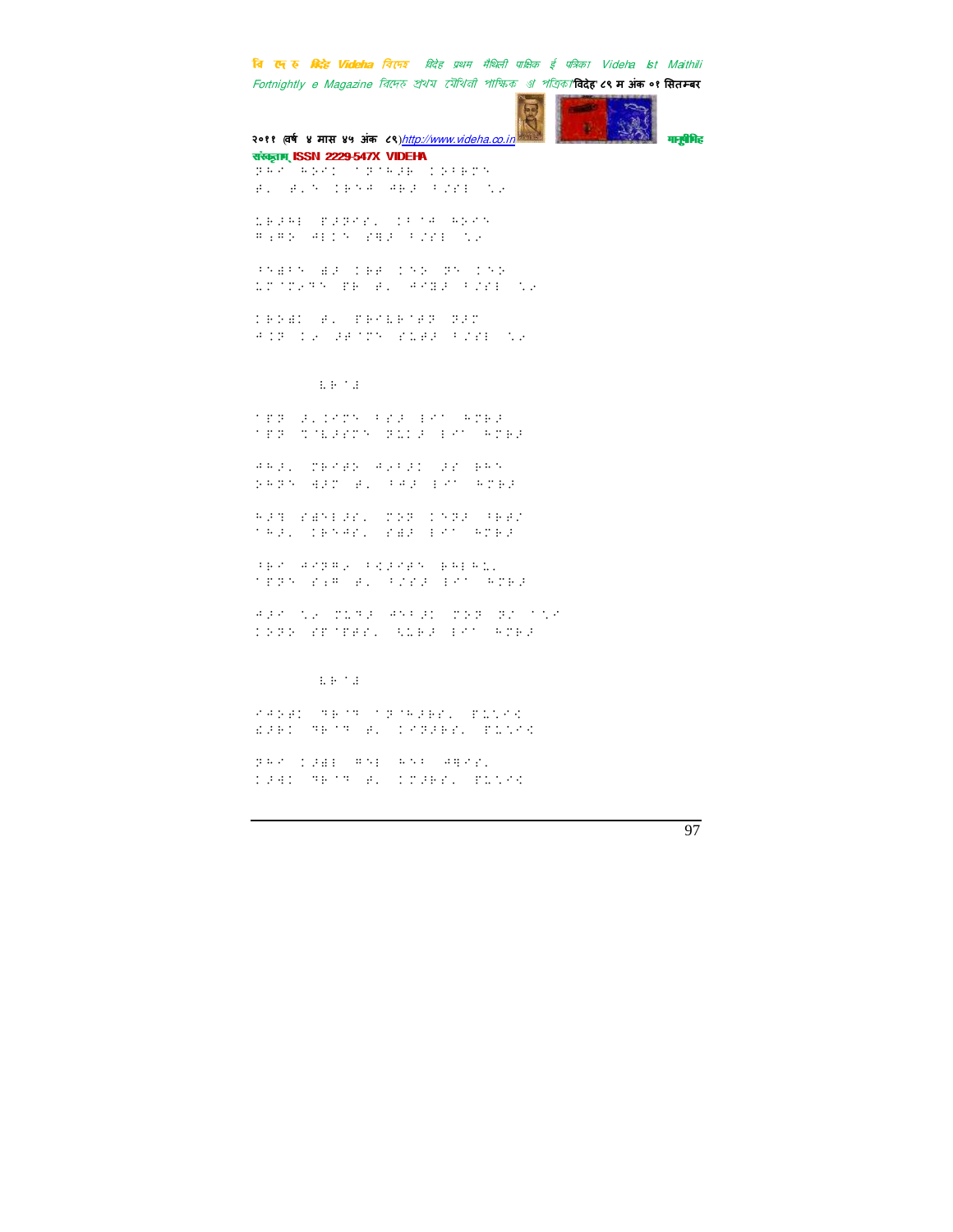चि एत् रू मिन्हे Videha निएन्थ विदेह प्रथम मैथिली पाक्षिक ई पत्रिका Videha Ist Maithili Fortnightly e Magazine রিদেহ প্রথম মৌথিনী পাক্ষিক প্র পত্রিকা**'বিदेह' ८९ म अंक ०१ सितम्बर** 



संस्कृतम् ISSN 2229-547X VIDEHA O¤∯r`eshi ngheye isebezs ⢾F!⢾F!⢷⢺!⢺⢷⢼!56!⣁⢴!

⣅⢷⢼⢳6!3⢼⢽F!⢺!⢳⢵! ⢻⣐⢻⢵.⢺6!⣛⢼!56!⣁⢴!

⢸⣞!⣞⢼!⢷⢾!⢵!⢽!⢵! ⣅⢴⢹!3⢷!⢾F!⢺⣝⢼!56!⣁⢴!

⢷⢵⣞!⢾F!3⢷⣇⢷⢾⢽!⢽⢼! ⢺⣈⢽!⢴!⢼⢾!⣅⢾⢼!56!⣁⢴!

 $+$  +  $+$  +  $+$ 

3⢽!⢼F⣈!⢼!6!⢳⢷⢼! 3⢽!⣉⣇⢼!⢽⣅⢼!6!⢳⢷⢼!

⢺⢳⢼F!⢷⢾⢵!⢺⢴⢼!⢼!⢷⢳! ⢵⢳⢽!⣚⢼!⢾F!⢺⢼!6!⢳⢷⢼!

⢳⢼⣙!⣞6⢼F!⢵⢽!⢽⢼!⢸⢷⢾5!  $\mathcal{F}$  F.F.,  $\mathcal{F}$  F.F.,  $\mathcal{F}$  F.F.,  $\mathcal{F}$  F.F.,  $\mathcal{F}$  F.F.,  $\mathcal{F}$  F.F.,  $\mathcal{F}$  F.F.,  $\mathcal{F}$ 

⢸⢷!⢺⢽⢻⢴!⣊⢼⢾!⢷⢳6⢳⣅F! 3⢽!⣐⢻!⢾F!5⢼!6!⢳⢷⢼!

⢺⢼!⣁⢴!⣅⢹⢼!⢺⢼!⢵⢽!⢽5!⣁! ⢵⢽⢵!33⢾F!⣃⣅⢷⢼!6!⢳⢷⢼!

++++!⣇⢷⣜.........24+++++++!

⢺⢵⢾!⢹⢷⢹!⢽⢳⢼⢷F!3⣅⣁⣊! ⣎⢼⢷!⢹⢷⢹!⢾F!⢽⢼⢷F!3⣅⣁⣊!

SHARI SHARI SHARI SHERINI ⢼⣚!⢹⢷⢹!⢾F!⢼⢷F!3⣅⣁⣊!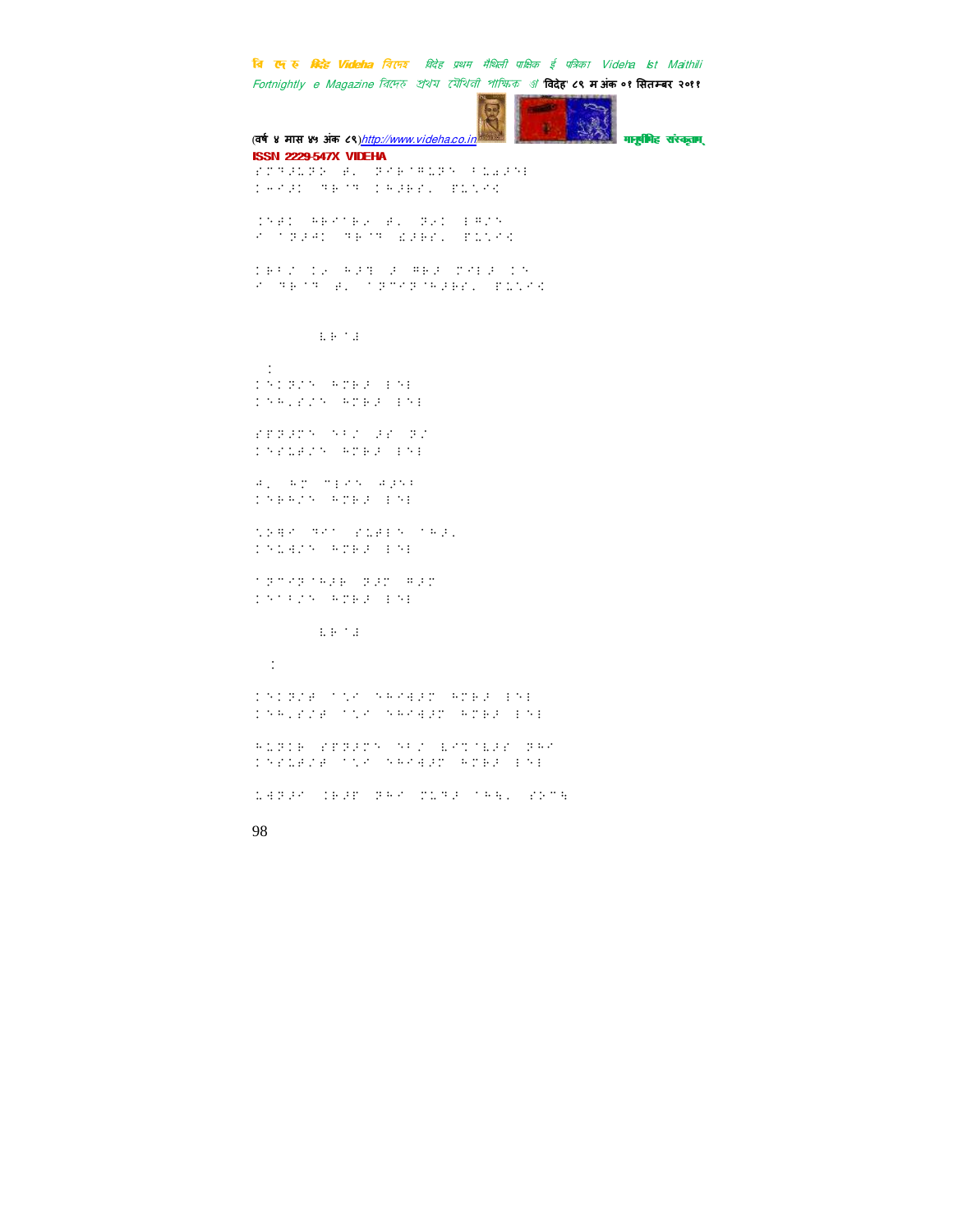चि एत् रू मिन्हे Videha निएन्थ विदेह प्रथम मैथिली पाक्षिक ई पत्रिका Videha Ist Maithili Fortnightly e Magazine विरमह शेथेग द्योंथिवी शीष्मिक औ **विदेह' ८९ म अंक ०१ सितम्बर २०११ Service** (वर्ष ४ मास ४५ अंक ८९)http://www.videha.co.in | मही मानुष्य संकृताम् ISSN 2229-547X VIDEHA ⢹⢼⣅⢽⢵!⢾F!⢽⢷⢻⣅⢽!⣅⣔⢼6! ⢲⢼!⢹⢷⢹!⢳⢼⢷F!3⣅⣁⣊! ⣈⢾!⢳⢷⢷⢴!⢾F!⢽⢴!6⢻5! !⢽⢼⢺!⢹⢷⢹!⣎⢼⢷F!3⣅⣁⣊!  $\frac{1}{2}$  (Fig. )  $\frac{1}{2}$  (Fig. )  $\frac{1}{2}$  (Fig. )  $\frac{1}{2}$  (Fig. )  $\frac{1}{2}$  (Fig. )  $\frac{1}{2}$ !⢹⢷⢹!⢾F!⢽^⢽⢳⢼⢷F!3⣅⣁⣊!  $+$  +  $+$  +  $+$  $\sim$  10  $\sim$ ⢽5!⢳⢷⢼!66! ⢳F5!⢳⢷⢼!66! 3⢽⢼!5!⢼!⢽5!! ⣅⢾5!⢳⢷⢼!66!  $\label{eq:4} \begin{array}{ll} \left\langle a_{1}, \ldots, a_{n} \right\rangle & \left\langle a_{n} \right\rangle & \left\langle a_{n} \right\rangle & \left\langle a_{n} \right\rangle & \left\langle a_{n} \right\rangle \\ \end{array}$ ⢷⢳5!⢳⢷⢼!66! ⣁⢵⣛!⢹!⣅⢾6!⢳⢼F! ⣅⣚5!⢳⢷⢼!66! ⢽^⢽⢳⢼⢷!⢽⢼.⢻⢼! 5!⢳⢷⢼!66!  $\sim$  4.4  $\pm$  7.4  $\pm$  $\mathbb{R}^*$ ⢽5⢾!⣁!⢳⣚⢼!⢳⢷⢼!66! ⢳F5⢾!⣁!⢳⣚⢼!⢳⢷⢼!66! ⢳⣅⢽⢷!3⢽⢼!5!⣇⣉⣇⢼!⢽⢳! ⣅⢾5⢾!⣁!⢳⣚⢼!⢳⢷⢼!66! ⣅⣚⢽⢼!⣈⢷⢼3!⢽⢳!⣅⢹⢼!⢳⣓F!⢵^⣓!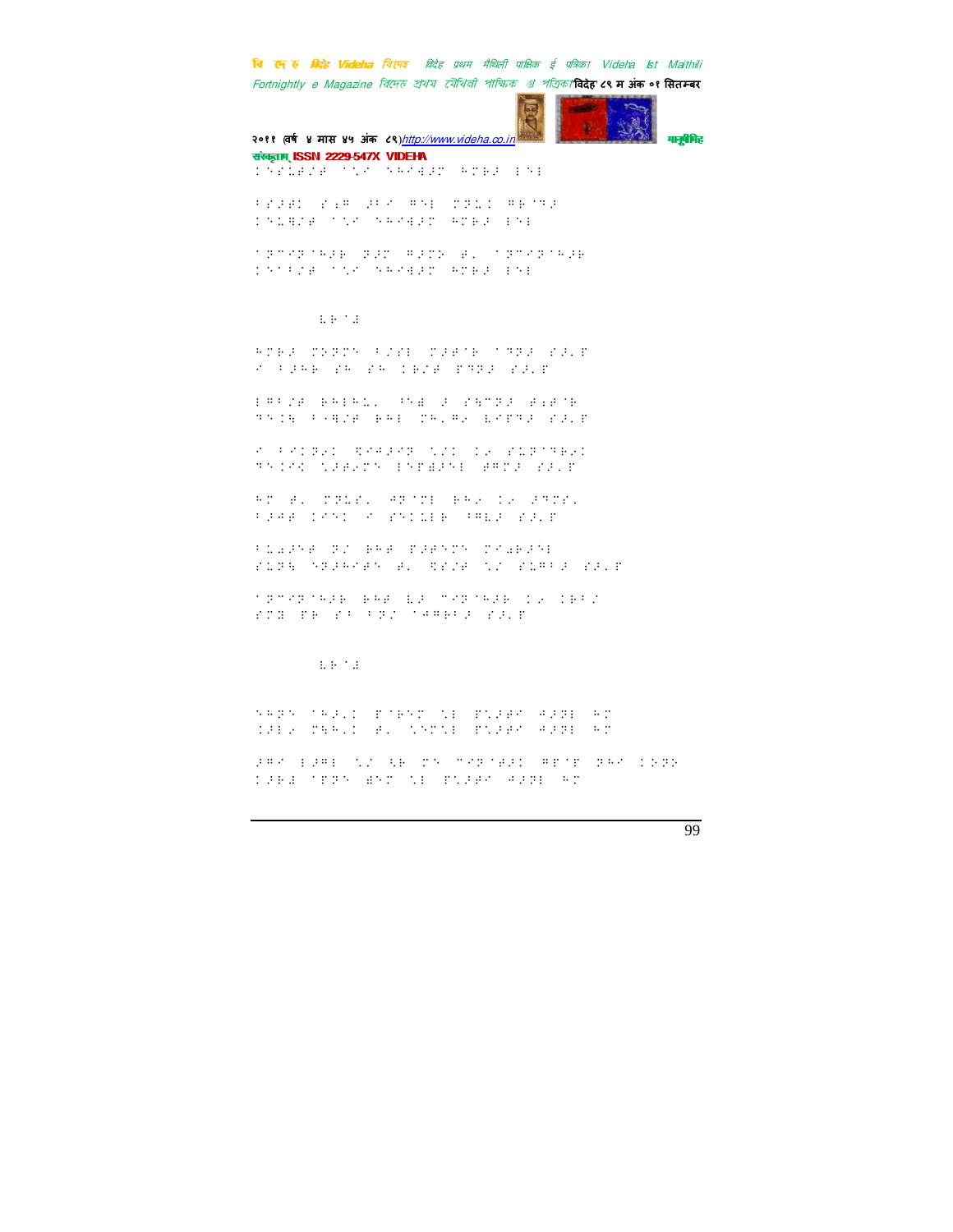चि एत् रू मिन्हे Videha निएन्थ विदेह प्रथम मैथिली पाक्षिक ई पत्रिका Videha Ist Maithili Fortnightly e Magazine রিদেহ প্রথম মৌথিনী পাক্ষিক প্র পত্রিকা**'বিदेह' ८९ म अंक ०१ सितम्बर** 



संस्कृतम् ISSN 2229-547X VIDEHA

⣅⢾5⢾!⣁!⢳⣚⢼!⢳⢷⢼!66!

⢼⢾!⣐⢻!⢼!⢻6!⢽⣅⣈.⢻⢷⢹⢼! ⣅⣛5⢾!⣁!⢳⣚⢼!⢳⢷⢼!66!

⢽^⢽⢳⢼⢷!⢽⢼!⢻⢼⢵!⢾F!⢽^⢽⢳⢼⢷! 5⢾!⣁!⢳⣚⢼!⢳⢷⢼!66!

 $+$  +  $+$  +  $+$ 

⢳⢷⢼!⢵⢽!56!⢼⢾⢷!⢹⢽⢼!⢼F3! !⢼⢳⢷!⢳.⢳!⢷5⢾!3⢹⢽⢼!⢼F3!

6⢻5⢾!⢷⢳6⢳⣅F!⢸⣞!⢼!⣓^⢽⢼!⢾⣐⢾⢷! SSIM CONSTRUCT OF THE CONTROL OF THE CONTROL OF THE CONTROL OF THE CONTROL OF THE CONTROL OF THE CONTROL OF THE

!⢽⢴!⣋⢺⢼⢽!⣁5!⢴!⣅⢽⢹⢷⢴! ⢹⣈⣊!⣁⢼⢾⢴!63⣞⢼6!⢾⢻⢼!⢼F3!

AT AN INTERNATIONAL ⢼⢺⢾!!!⣅6⢷.⢸⢻⣇⢼!⢼F3!

⣅⣔⢼⢾!⢽5!⢷⢳⢾!3⢼⢾!⣔⢷⢼6! ⣅⢽⣓!⢽⢼⢳⢾!⢾F!⣋5⢾!⣁5!⣅⢻⢼!⢼F3!

⢽^⢽⢳⢼⢷!⢷⢳⢾!⣇⢼!^⢽⢳⢼⢷!⢴!⢷5! ⣝!3⢷!⢸!⢽5!⢺⢻⢷⢼!⢼F3!

 $+$  +  $+$  +  $+$ 

⢳⢽!⢳⢼F!3⢷!⣁6!3⣁⢼⢾!⢺⢼⢽6!⢳! ⣈⢼6⢴!⣓⢳F!⢾F!⣁⣁6!3⣁⢼⢾!⢺⢼⢽6!⢳!

⢼⢻!6⢼⢻6!⣁5!⣃⢷!!^⢽⢾⢼!⢻33!⢽⢳!⢵⢽⢵! ⢼⢷⣜!3⢽!⣞!⣁6!3⣁⢼⢾!⢺⢼⢽6!⢳!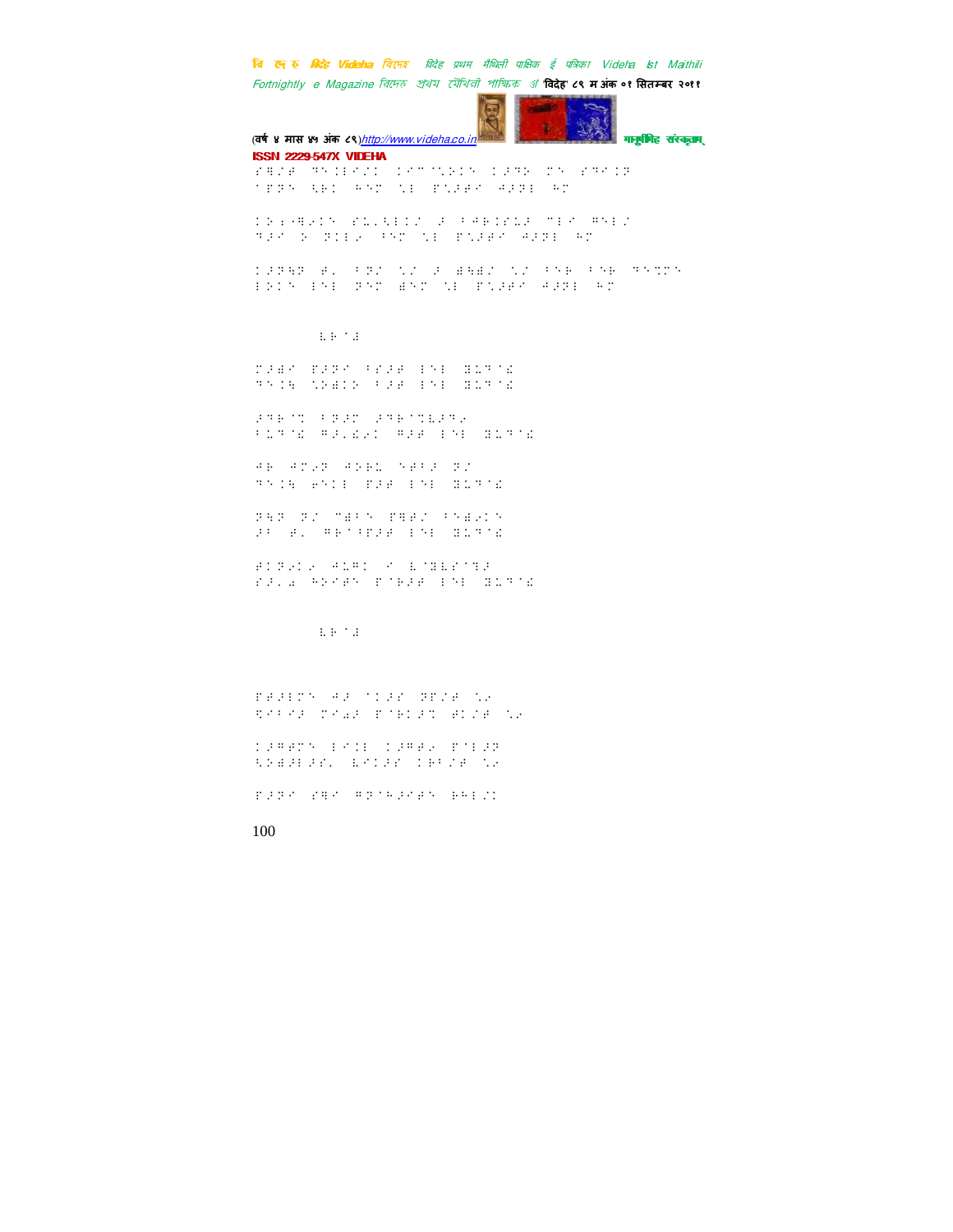चि एत् रू मिन्हे Videha निएन्थ विदेह प्रथम मैथिली पाक्षिक ई पत्रिका Videha Ist Maithili Fortnightly e Magazine विरमह शेथेग द्योंथिवी शीष्मिक औ **विदेह' ८९ म अंक ०१ सितम्बर २०११** 



⢵⣐C⣛⢴!⣅F⣃65!⢼!⢺⢷⣈⣅⢼!^6!⢻65! ⢹⢼!⢵!⢽6⢴!⢸!⣁6!3⣁⢼⢾!⢺⢼⢽6!⢳!

⢼⢽⣓⢽!⢾F!⢽5!⣁5!⢼!⣞⣓⣞5!⣁5!⢷.⢷!⢹⣉! 6⢵!66!⢽.⣞!⣁6!3⣁⢼⢾!⢺⢼⢽6!⢳!

 $+$  +  $+$  +  $+$ 

ISSN 2229-547X VIDEHA

⢼⣞.3⢼⢽.⢼⢾!66!⣝⣅⢹⣎! ⢹⣈⣓!⣁⢵⣞⢵!⢼⢾!66!⣝⣅⢹⣎!

⢼⢹⢷⣉!⢽⢼!⢼⢹⢷⣉⣇⢼⢹⢴! ⣅⢹⣎.⢻⢼F⣎⢴!⢻⢼⢾!66!⣝⣅⢹⣎!

⢺⢷.⢺⢴⢽.⢺⢵⢷⣅!⢾⢼!⢽5! ⢹⣈⣓!⢶6!3⢼⢾!66!⣝⣅⢹⣎!

⢽⣓⢽!⢽5!^⣞!3⣛⢾5!⣞⢴! ⢼!⢾F!⢻⢷⢸3⢼⢾!66!⣝⣅⢹⣎!

⢾⢽⢴⢴!⢺⣅⢻!!⣇⣝⣇⣙⢼! ⢼F⣔!⢳⢵⢾!3⢷⢼⢾!66!⣝⣅⢹⣎!

 $+$  +  $+$  +  $+$ 

3⢾⢼6!⢺⢼!⢼!⢽35⢾!⣁⢴! ⣋⢼!⣔⢼!3⢷⢼⣉!⢾5⢾!⣁⢴!

⢼⢻⢾!6⣈6!⢼⢻⢾⢴!36⢼⢽! ⣃⢵⣞⢼6⢼F!⣇⢼!⢷5⢾!⣁⢴!

3⢼⢽!⣛!⢻⢽⢳⢼⢾!⢷⢳65!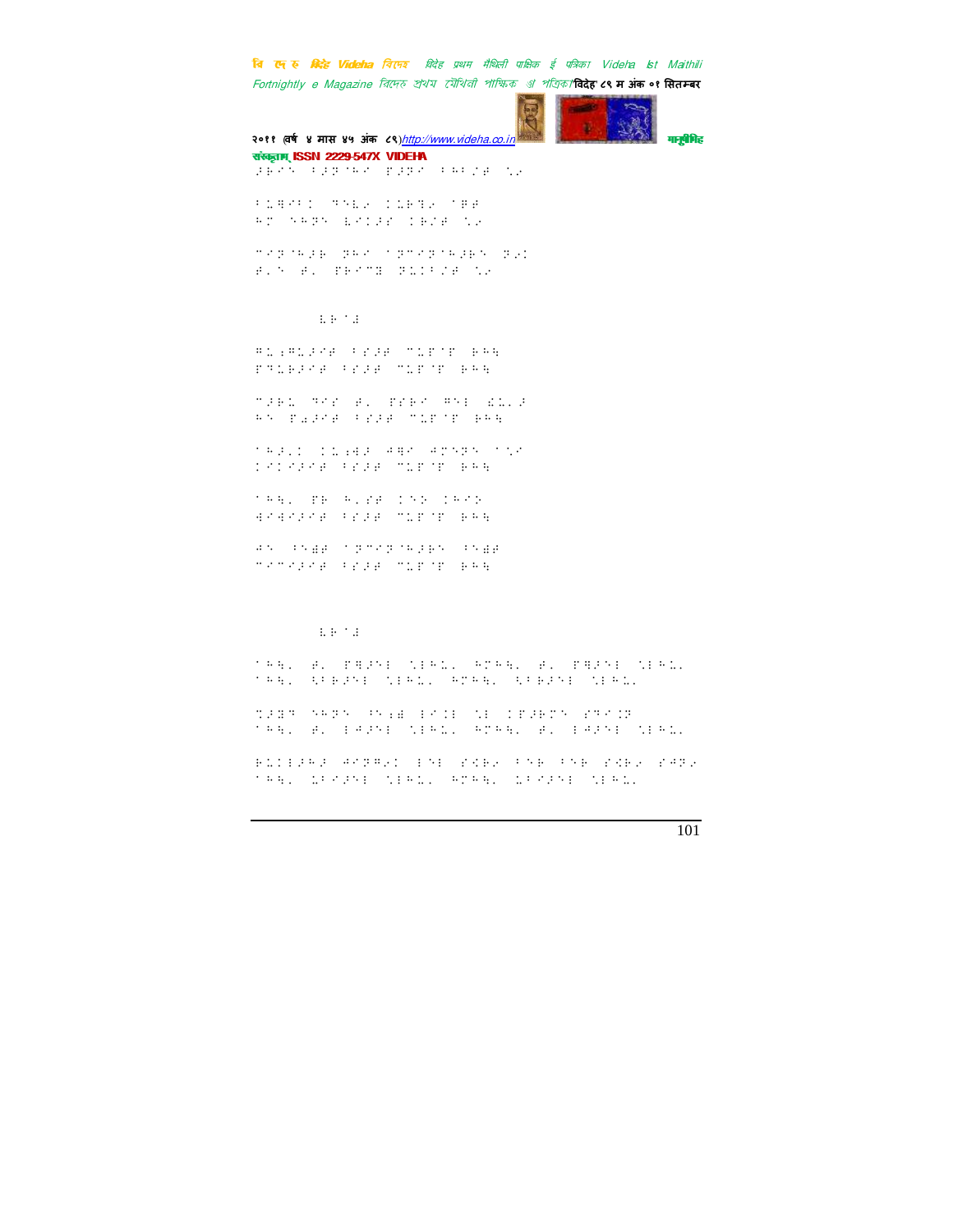चि एत् रू मिन्हे Videha निएन्थ विदेह प्रथम मैथिली पाक्षिक ई पत्रिका Videha Ist Maithili Fortnightly e Magazine রিদেহ প্রথম মৌথিনী পাক্ষিক প্র পত্রিকা**'বিदेह' ८९ म अंक ०१ सितम्बर** 



संस्कृतम् ISSN 2229-547X VIDEHA ⢼⢷!⢼⢽⢳!3⢼⢽!⢳5⢾!⣁⢴!

⣅⣛!⢹⣇⢴!⣅⢷⣙⢴!⢿⢾!  $\frac{1}{2}$  in the set of the set of the set of the set of the set of the set of the set of the set of the set of the set

^⢽⢳⢼⢷!⢽⢳!⢽^⢽⢳⢼⢷!⢽⢴! ⢾F!⢾F!3⢷^⣝!⢽⣅5⢾!⣁⢴!

 $+$  +  $+$  +  $+$ 

⢻⣅⣐⢻⣅⢼⢾!⢼⢾!^⣅33!⢷⢳⣓! 3⢹⣅⢷⢼⢾!⢼⢾!^⣅33!⢷⢳⣓!

^⢼⢷⣅!⢹!⢾F!3⢷!⢻6!⣎⣅F⢼!  $35\%$  . The state of the state of the state of the state of the state of the state of the state of

⢳⢼F!⣅⣐⣚⢼!⢺⣛!⢺⢽!⣁! ⢼⢾!⢼⢾!^⣅33!⢷⢳⣓!

⢳⣓F!3⢷!⢳F⢾!⢵.⢳⢵! ⣚⣚⢼⢾!⢼⢾!^⣅33!⢷⢳⣓!

 $\mathcal{A}$ ^^⢼⢾!⢼⢾!^⣅33!⢷⢳⣓!!

 $+$  +  $+$  +  $+$ 

⢳⣓F!⢾F!3⣛⢼6!⣁6⢳⣅F!⢳⢳⣓F!⢾F!3⣛⢼6!⣁6⢳⣅F! ⢳⣓F!⣃⢷⢼6!⣁6⢳⣅F!⢳⢳⣓F!⣃⢷⢼6!⣁6⢳⣅F!

⣉⢼⣝⢹!⢳⢽!⢸⣐⣞!6⣈6!⣁6!3⢼⢷!⢹⣈⢽! ⢳⣓F!⢾F!6⢺⢼6!⣁6⢳⣅F!⢳⢳⣓F!⢾F!6⢺⢼6!⣁6⢳⣅F!

⢷⣅6⢼⢳⢼!⢺⢽⢻⢴!66!⣊⢷⢴!⢷.⢷!⣊⢷⢴!⢺⢽⢴! ⢳⣓F!⣅⢼6!⣁6⢳⣅F!⢳⢳⣓F!⣅⢼6!⣁6⢳⣅F!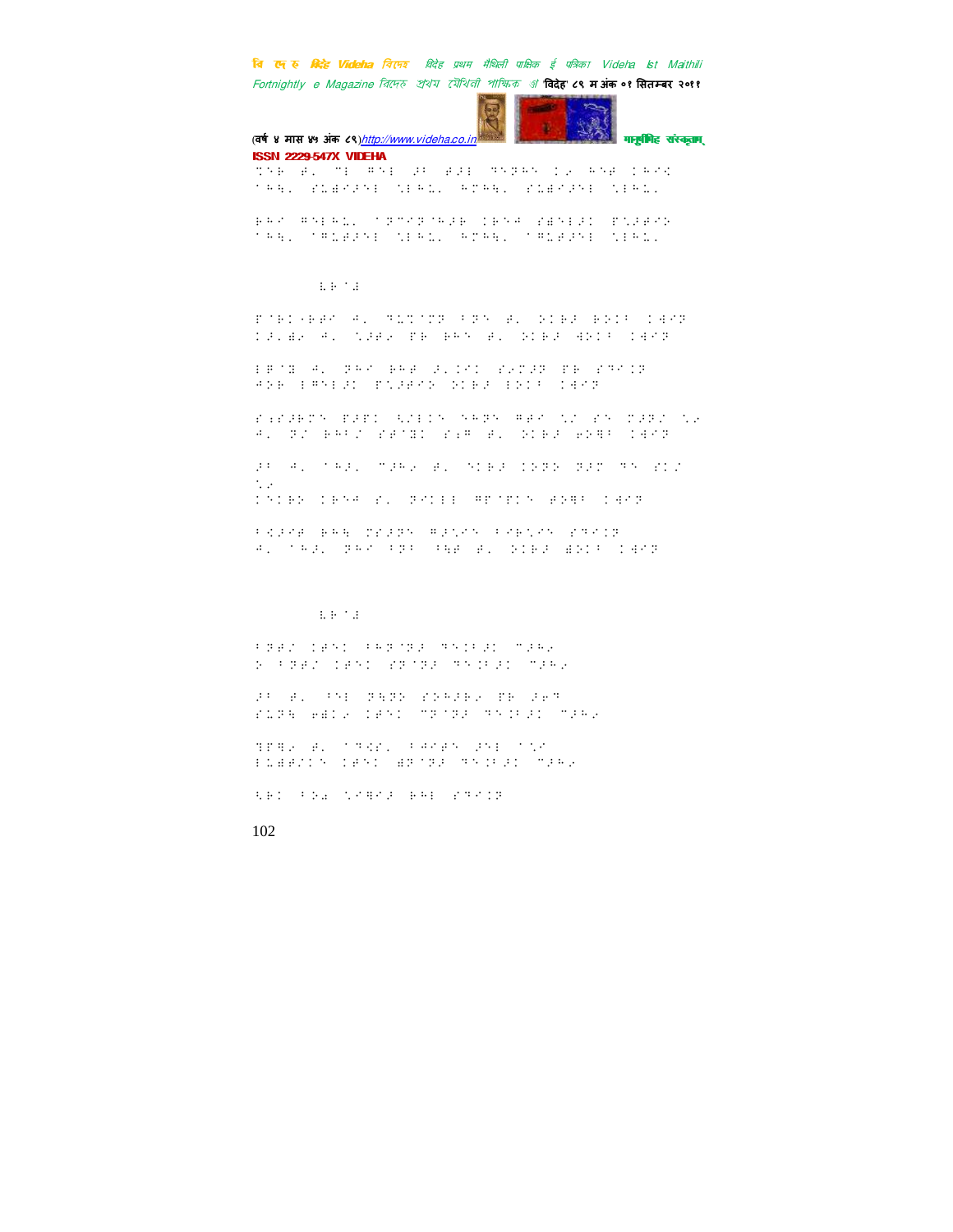बि एक स्टेड Videha विएक विदेह प्रथम मैथिली पाक्षिक ई पत्रिका Videha Ist Maithili Fortnightly e Magazine রিদেত প্রথম মৌথিনী পাক্ষিক *প্র* **বিदेह ८९ म अंक ०१ सितम्बर २०११** 



THE BUILDING PHENOMENON CONTRACTOR AND LOCATED teal relative teach end and relative teacher

part and all independence three searchers and are TRAD TRIANSPORTAGE ROAD TRANSPORTATIONS

 $\sim$  1.4  $^{\rm o}$  1.4  $^{\rm o}$ 

sined (each all discrete discuss all discept editorials) formal all toget me seen all predicable range

BETS AL SAM ARE SURFACESTED PROPER ANE IPSIDI PLARAN NIED INIP IPRO

PAPERTY TRIL ANISY NATY TERM AN INVESTIGATION ALCOHOL: BARDO GARDEN GARDEN DO BOL GARDEN DESCRI

de la primedio moeur al chied ciede dedicato ai ai  $\sim 100$ TRIAN INSPECTION PRINT PERMIT AND CONTROL

FRIDA PARA CONFIDENTIAL AND CAST INTERIOR All tag, day againsas al presidente rando

 $\sim$  1.40  $^{\circ}$  1.40

FRANCISCO FERRISCO PARA CONSUL Simpled cent admosphered than the

de al espídado pada apelas de dem Video Baro (rancomense) mnoscomeno

dealer all chaves in available constia balacción cando las negociones proporcionales.

ABILIAN NYBRA BAEL KRYIS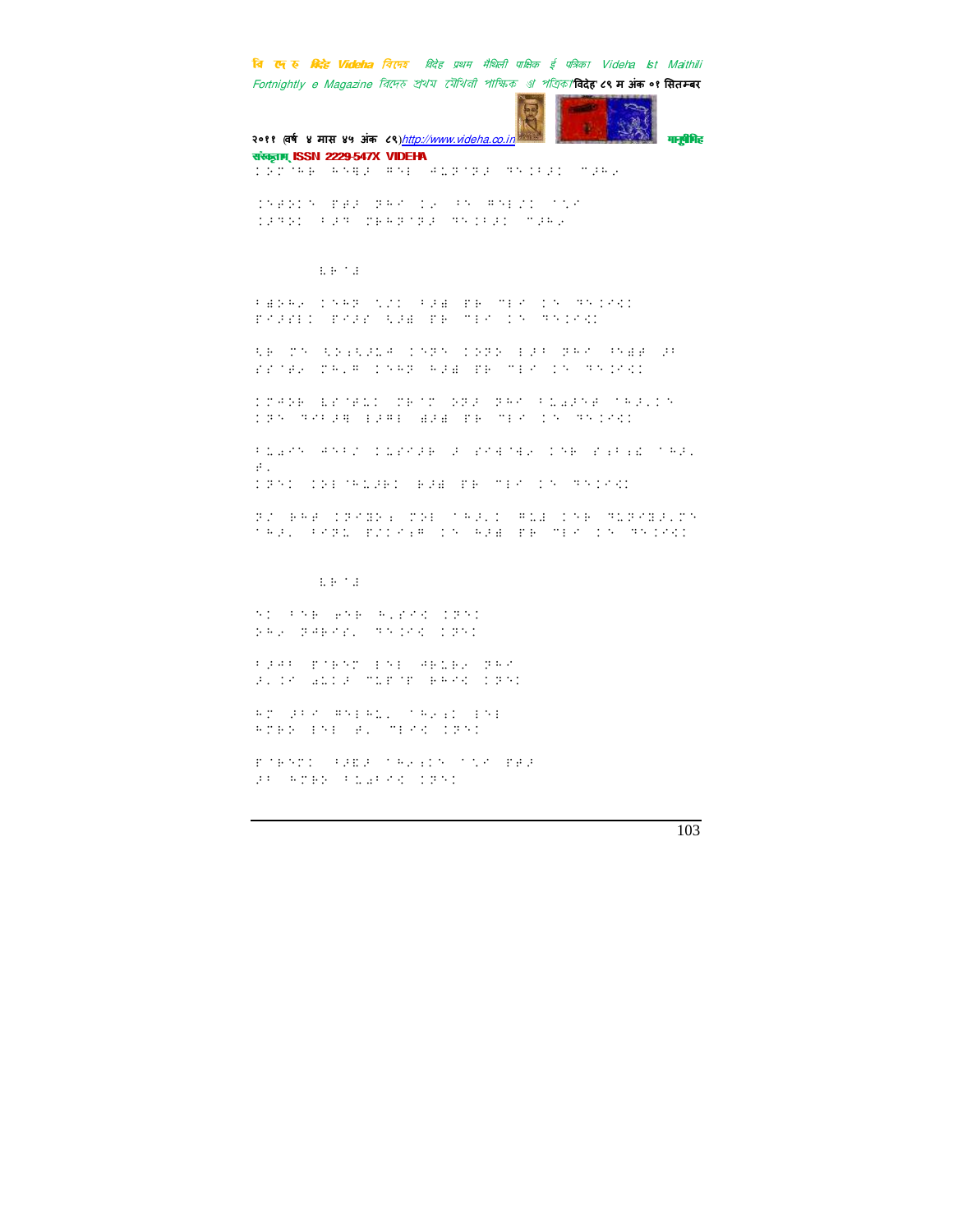बि एक रु मिनेट Videha विएक विदेह प्रथम मैथिली पाक्षिक ई पत्रिका Videha Ist Maithili Fortnightly e Magazine রিদেত শ্রথম মৌথিনী পাক্ষিক প্রাপত্রিকা**'বিदेह' ८९ म अंक ०१ सितम्बर** 



संस्कृतम् ISSN 2229-547X VIDEHA 

 $\label{eq:Ricci} \mathbb{E}[\nabla \cdot \hat{\theta}(\mathcal{H})] \mathcal{H} = \mathbb{E}[\nabla \cdot \hat{\theta}(\mathcal{H})] \mathcal{H}(\mathcal{H}) = \mathbb{E}[\nabla \cdot \hat{\theta}(\mathcal{H})] \mathcal{H}(\mathcal{H}) = \mathbb{E}[\nabla \cdot \hat{\theta}(\mathcal{H})] \mathcal{H}(\mathcal{H})$ tanti sanche engagemento di contenta

主要方法

FERRY CORRECTED FREE TRACTO CONTROL rederi rede sua rechee in horiesi

ARCON ANGARAN CARA CERE BUS DAY SABADAS rrange company them a sample of the company that

conservation response to the experiment of substantial states. TRA SAMPLE EDGE SEDE TESTER TAS ANCHOR

FILERY PRYOR LEARNER DRIVERS CONFIDENTIAL CARD  $\mathcal{O}(10)$ 1951 1961 TROVAGE AVAILABLE TAX (15) TROVAGE

 $\mathcal{B}(\mathcal{I}) = \mathbb{B}(\mathcal{B}(\mathcal{B})) = \mathbb{B}(\mathcal{B}(\mathcal{B}(\mathcal{B}(\mathcal{B}))) = \mathbb{B}(\mathcal{B}(\mathcal{B}(\mathcal{B}))) = \mathbb{B}(\mathcal{B}(\mathcal{B}(\mathcal{B}))) = \mathbb{B}(\mathcal{B}(\mathcal{B}(\mathcal{B}(\mathcal{B}))) = \mathbb{B}(\mathcal{B}(\mathcal{B}(\mathcal{B}))) = \mathbb{B}(\mathcal{B}(\mathcal{B}(\mathcal{B}))) = \mathbb{B}(\mathcal{B}(\mathcal{B}(\math$ 

法书 1法

 $\mathcal{N}(\mathbb{C})$  , if  $\mathcal{N}(\mathbb{R})$  , and  $\mathbb{R}$  , if  $\mathcal{N}(\mathcal{N})$  , if  $\mathcal{N}(\mathbb{C})$ SAS SARARI ANIMAL ISAI

FORECATEST ENE PELBO SANT al de landa minimulatea desp

AT SPACENTALL CAPAINTAL ATEN INFORM TERRITORY

reason (From Sales School red) de energia algebra desi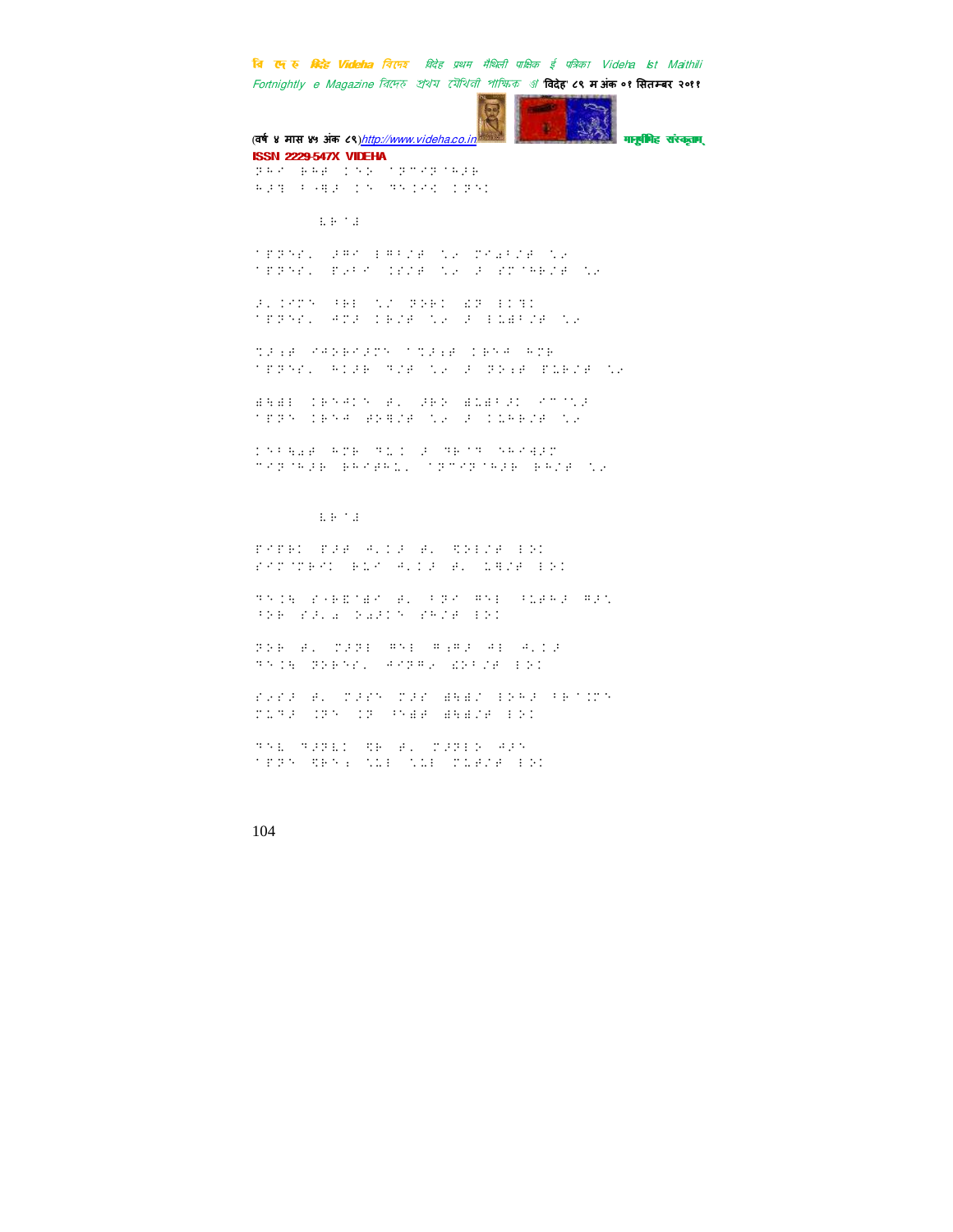चि एक स्टिड Videha विरफ्श विदेह प्रथम मैथिली पाक्षिक ई पत्रिका Videha Ist Maithili Fortnightly e Magazine রিদেত প্রথম মৌথিনী পাক্ষিক *প্র* **বিदेह ८९ म अंक ०१ सितम्बर २०११** 



मानूष्टीमेह संस्कृतम्

**ISSN 2229-547X VIDEHA**  $\mathcal{G}(\mathcal{G},\mathcal{F})=\oplus_{\mathcal{G}}\oplus\oplus_{\mathcal{G}}\oplus\mathcal{G}(\mathcal{G},\mathcal{G})\oplus\mathcal{G}(\mathcal{G})\oplus\mathcal{G}(\mathcal{G})\oplus\mathcal{G}(\mathcal{G},\mathcal{G})$ Add (Fig. 15 discreted 1951

(वर्ष ४ मास ४५ अंक ८९)http://www.videha.co.ir

 $-0.4934$ 

management and partnership and partnership TERNAL EVAN CATA NUMBER PROPERTY

SUIPTY PERSON SPECIAS BIND rednes and receive disperse to

tale consecuto citale inese ere. TERNEL ALBE ROB NUMBER AND ELECTRON

a elas con el este del conece a participidade. 大学学校、工芸学校、学校生で新たなのでは、工芸学生で新たなの

THE BAR CROBS SELL CASSER OF SHARRING med redail askeast. Themed redail as zaility

(五王 九正)

rkrat rua altu al spaca apti.<br>Promert abrilatus al bara apt

mode avanced as a moment abandonado FOR YOU SEPTED YOUR BOOK

 $\mathbb{P}(\mathbb{R}(\mathbb{R}^d)) = \mathbb{P}(\mathbb{R}(\mathbb{R}(\mathbb{R}^d)) = \mathbb{P}(\mathbb{R}(\mathbb{R}^d)) = \mathbb{P}(\mathbb{R}(\mathbb{R}^d)) = \mathbb{P}(\mathbb{R}(\mathbb{R}^d)) = \mathbb{P}(\mathbb{R}(\mathbb{R}^d))$ HAIN SPEAK (ANDRE 2019) EST

Your all mays may assume that the time TIME CRASS PARK BREAK BAY

men madni de el cadie ele.<br>Tram dese tip tip ciente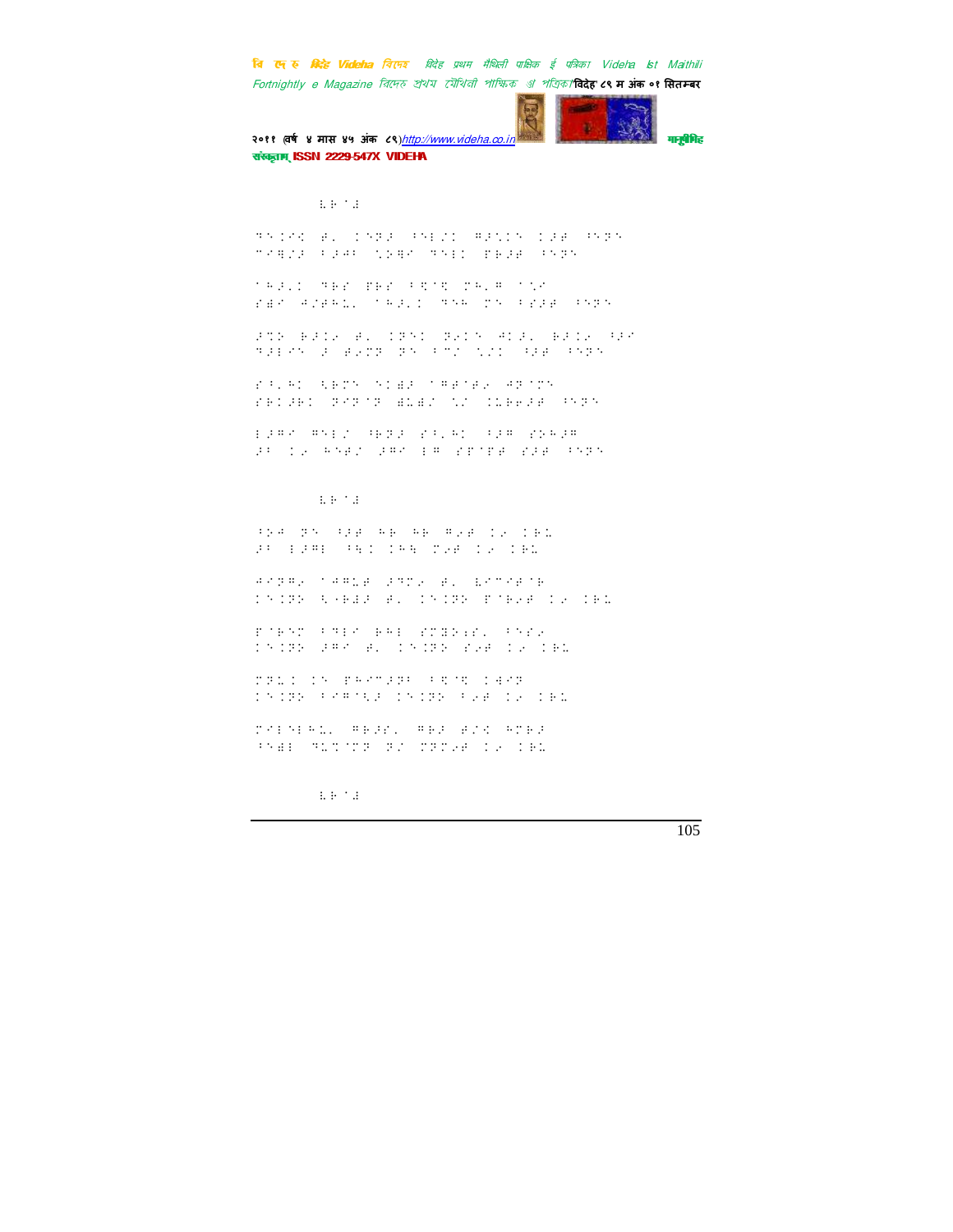बि एक स्टेड Videha विएक विदेह प्रथम मैथिली पाक्षिक ई पत्रिका Videha Ist Maithili Fortnightly e Magazine রিদেত প্রথম মেথিনী পাক্ষিক প্রা পত্রিকা**'বিदेह' ८९ म अंक ०१ सितम्बर** 



२०११ (वर्ष ४ मास ४५ अंक ८९) http://www.videha.co संस्कृतम् ISSN 2229-547X VIDEHA

 $\mathbb{E} \oplus \mathbb{P} \mathbb{E}$ 

TRIPS AS CONTROL PROTECTIVES AND PROV means a sail that mean abuse avoc

capit sake man agreements the rak arabbi sabi saka masa araba ara

 $\begin{array}{cccccccccccccc} 2 & 3 & 2 & 3 & 4 & 5 & 6 & 6 & 6 & 6 & 7 & 8 & 7 & 8 & 7 & 8 & 8 & 9 & 9 & 9 & 1 & 9 & 9 & 1 & 9 & 9 & 1 & 9 & 9 & 1 & 9 & 1 & 9 & 1 & 9 & 1 & 9 & 1 & 9 & 1 & 9 & 1 & 9 & 1 & 9 & 1 & 9 & 1 & 9 & 1 & 9 & 1 & 9 & 1 & 9 & 1 & 9 & 1 & 9 & 1 & 9 & 1 & 9 & 1 & 9 & 1 & 9 & 1 & 9 & 1 &$ 

rack: Carry Star Carack aport PACIFIC PRP TRIBUEL ON INSPERSIONS

de la sensada del permite del para la sensa

 $\sim$  1.4  $^{\circ}$  1.4

 $\mathcal{A}(\mathcal{G},\mathcal{A})=\mathcal{G}(\mathcal{H})=\mathcal{A}(\mathcal{G},\mathcal{G})=\mathcal{A}(\mathcal{G})=\mathcal{G}(\mathcal{G})=\mathcal{G}(\mathcal{G})=\mathcal{G}(\mathcal{G})=\mathcal{G}(\mathcal{G})\mathcal{G}$ 33 FRAME CARD DARK TVR DOCTRI

 $\mathcal{A} \times \mathcal{B}(\mathcal{B},\mathcal{G}) \cong \mathcal{A}(\mathcal{B},\mathcal{B},\mathcal{G}) \cong \mathcal{B}(\mathcal{B},\mathcal{G}) \cong \mathcal{B}(\mathcal{A},\mathcal{G}) \times \mathcal{B}(\mathcal{G}) \cong \mathcal{B}$ TRIPS REAR AND INTERFERANCE TABLE

PORT PRESS RESIDENCE PARA TRIPS SPACES INTERVIEWED IN TES

TRIC IN TRATIFICATION INFO TAIRS FRANCE INTRODUCED IN TEL

TRENEWIC PERIOD PER PACK PTER FREE SCOTTS SAN TRIAR IN TEL

 $\sim$  1.4  $^{\circ}$  1.4  $^{\circ}$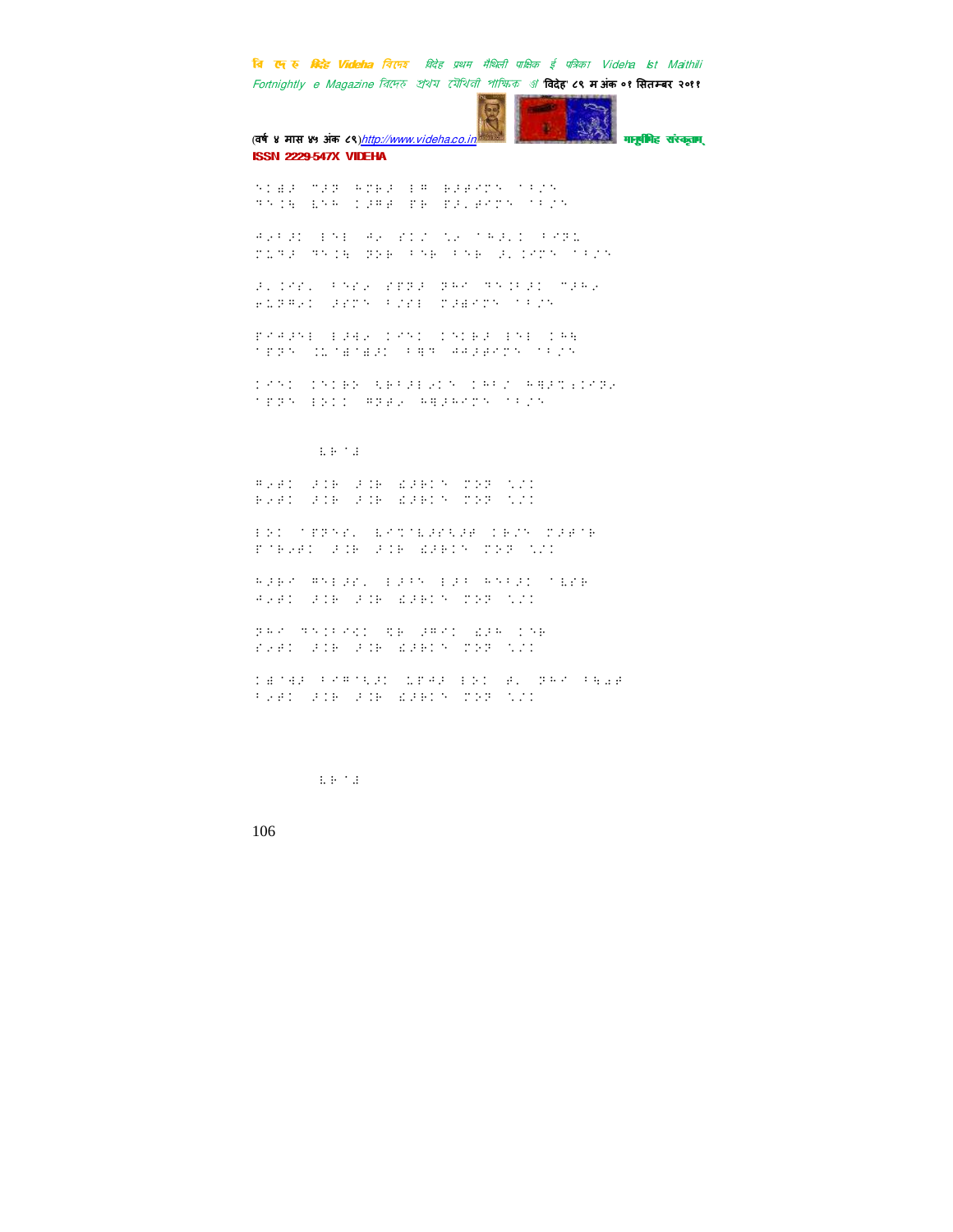चि एक स्टिड Videha विरफ्श विदेह प्रथम मैथिली पाक्षिक ई पत्रिका Videha Ist Maithili Fortnightly e Magazine রিদেত শ্রথম মৌথিনী পাক্ষিক প্রা **বিदेह ८९ म अंक ०१ सितम्बर २०११** 



(वर्ष ४ मास ४५ अंक ८९)http://www.videha.c **ISSN 2229-547X VIDEHA** 

NIBA MAR POBA EP BABADN MEZN

SAMPLESS COPP TRESPACES CONS

PERMIT REPORT OF THE PERMIT REPORT ring and a spectral top of the strip of the

distant and array descriptions of the ASSAULT SECRETIFS (SALE) CORPORATION

ready adaptively incredited the ness interactivas as acceptos inco-

TRNT TNIEN REPORT NOTHER PERMITTEN TERN ENCLOSERY SERVICE TERN

○ 五田 下注:

a participan political constant and construction of the Constant of the Constant of the Constant of the Constant of PORTABLE PROPERTY ARRESTS TO PURCHASE

 $\mathcal{H}(\mathcal{I},\mathbb{R}^{N})=\mathcal{H}(\mathcal{I},\mathcal{I},\mathcal{I})=\mathcal{I}(\mathcal{I},\mathcal{I})=\mathcal{I}(\mathcal{I},\mathcal{I})=\mathcal{I}(\mathcal{I},\mathcal{I})=\mathcal{I}(\mathcal{I},\mathcal{I})=\mathcal{I}(\mathcal{I},\mathcal{I})$ Avec Stellage asers had the

pak mentang masjawan alam nep PART STRUCTURE ROBERT TERRITORI

canal freshow comes about the service FORD SIDE STORES ESPITATIONS TO THE

 $\sim$  1.4  $\sim$  1.4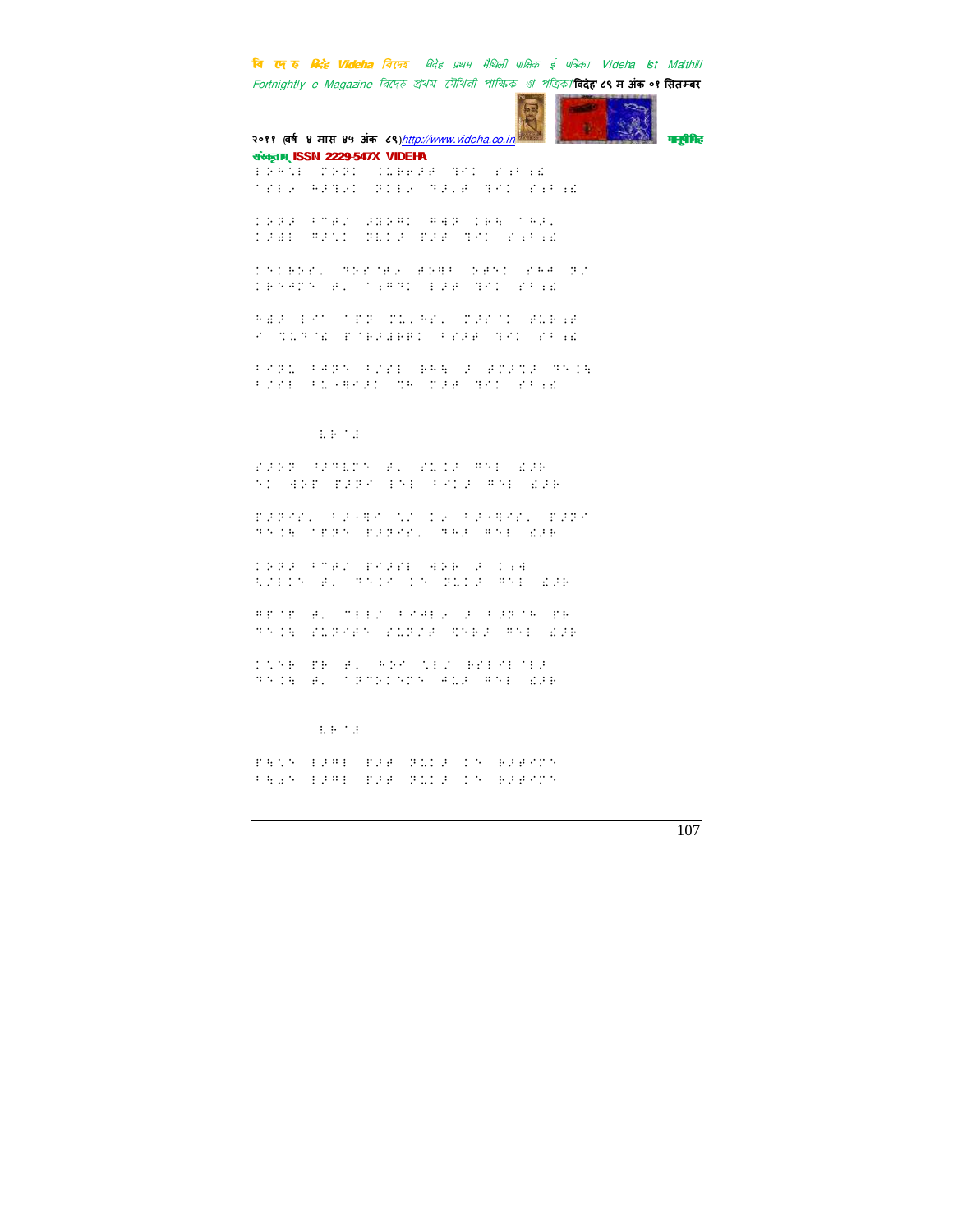चि एक स्टिट Videha विएक विदेह प्रथम मैथिली पाक्षिक ई पत्रिका Videha Ist Maithili Fortnightly e Magazine রিদেত শ্রথম মৌথিনী পাক্ষিক প্রাণবিকা**'বিदेह' ८९ म अंक ०१ सितम्बर** 

ra de la partida de la partida de la partida de la partida de la partida de la partida de la partida de la partida de la partida de la partida de la partida de la partida de la partida de la partida de la partida de la par

**Latitude** 

| २०११ वर्ष ४ मास ४५ अंक ८९)http://www.videha.co.in<br>मानुबेमिह                                                                                                                                                                                                                                                                                                                                                                                                                       |
|--------------------------------------------------------------------------------------------------------------------------------------------------------------------------------------------------------------------------------------------------------------------------------------------------------------------------------------------------------------------------------------------------------------------------------------------------------------------------------------|
| संस्कृतम् ISSN 2229-547X VIDEHA                                                                                                                                                                                                                                                                                                                                                                                                                                                      |
| and the state of the product of the product of the state of the state of the state of the state of the state o<br>不是的话,并是在这个人的的的话,只是让我们在这么一定分别分散                                                                                                                                                                                                                                                                                                                                     |
| 法法庭法 医中央的 法自治共同 电连接 经重要人的开关<br>distant in Article (Sandro Article Cardinal Article Article Article Article Article Article Article                                                                                                                                                                                                                                                                                                                                                   |
| CONCERNIAL PROPERTY AREA CONFORMATION<br>法法庭法庭院 医单位 人名英格兰人姓氏法德的变体 经未经金额                                                                                                                                                                                                                                                                                                                                                                                                              |
| <b>ABA BY COPPOINT AND PROTOCHLAGE</b><br>"不是"的女性对象,"我们要这么要要的。" 医子宫窦 计生产的 人名利伯拉                                                                                                                                                                                                                                                                                                                                                                                                      |
| <u> 이 주 할 것 이 이 주 할 수 있는 것 같은 이 중 위원 이 공원 중 할 수 있다. 이 또는 일 및 </u><br>医肾管的 医中央性神经的 医皮肤 的复数人性的的人的复数形式                                                                                                                                                                                                                                                                                                                                                                                  |
| 主要方法                                                                                                                                                                                                                                                                                                                                                                                                                                                                                 |
| $\left\{ \begin{array}{ll} \mathcal{L}^2 \left( \mathcal{L}^2 \right) \mathcal{L}^2 \left( \mathcal{L}^2 \right) \mathcal{L}^2 \left( \mathcal{L}^2 \right) \mathcal{L}^2 \left( \mathcal{L}^2 \right) \mathcal{L}^2 \left( \mathcal{L}^2 \right) \mathcal{L}^2 \left( \mathcal{L}^2 \right) \mathcal{L}^2 \left( \mathcal{L}^2 \right) \mathcal{L}^2 \left( \mathcal{L}^2 \right) \mathcal{L}^2 \left( \mathcal{L}^2 \right) \mathcal{L}^2 \left($<br>在了,"每次的,的去的吧,主办的,主办的这个世界的,会这里 |

 $\begin{array}{l} \mathbb{P}( \mathcal{A}(\mathcal{B}, \mathcal{C}, \mathcal{C})) = \mathbb{P}( \mathcal{A}(\mathcal{A}, \mathcal{C})) = \mathbb{P}( \mathcal{C}) = \mathbb{P}( \mathcal{A}(\mathcal{A}, \mathcal{C}, \mathcal{C})) = \mathbb{P}( \mathcal{A}(\mathcal{B}, \mathcal{C})) \\ \mathbb{P}( \mathcal{C}(\mathcal{B})) = \mathbb{P}( \mathcal{B}(\mathcal{B}, \mathcal{C})) = \mathbb{P}( \mathcal{A}(\mathcal{C}, \mathcal{C})) = \mathbb{P}( \mathcal{A}(\mathcal{C}, \$ 

code inec read apella car. A 2008 FAST PARK ON THE PARTNER WAR

 $\frac{1}{2} \left( \frac{1}{2} \left( \frac{1}{2} \right) \frac{1}{2} \right) \left( \frac{1}{2} \left( \frac{1}{2} \right) \frac{1}{2} \right) \left( \frac{1}{2} \left( \frac{1}{2} \right) \frac{1}{2} \right) \left( \frac{1}{2} \left( \frac{1}{2} \right) \frac{1}{2} \right) \left( \frac{1}{2} \left( \frac{1}{2} \right) \frac{1}{2} \right) \left( \frac{1}{2} \left( \frac{1}{2} \right) \frac{1}{2} \right) \left( \frac{1}{2} \left( \frac$ 

TO SAFET BELL AND STOLEN ARE SERVED design also themedienes and comes subset

 $\sim$  1.4  $\pm$  1.4  $\pm$ 

rath specifies and considerate FAUN EPPE FRA PLOF IN BRACTN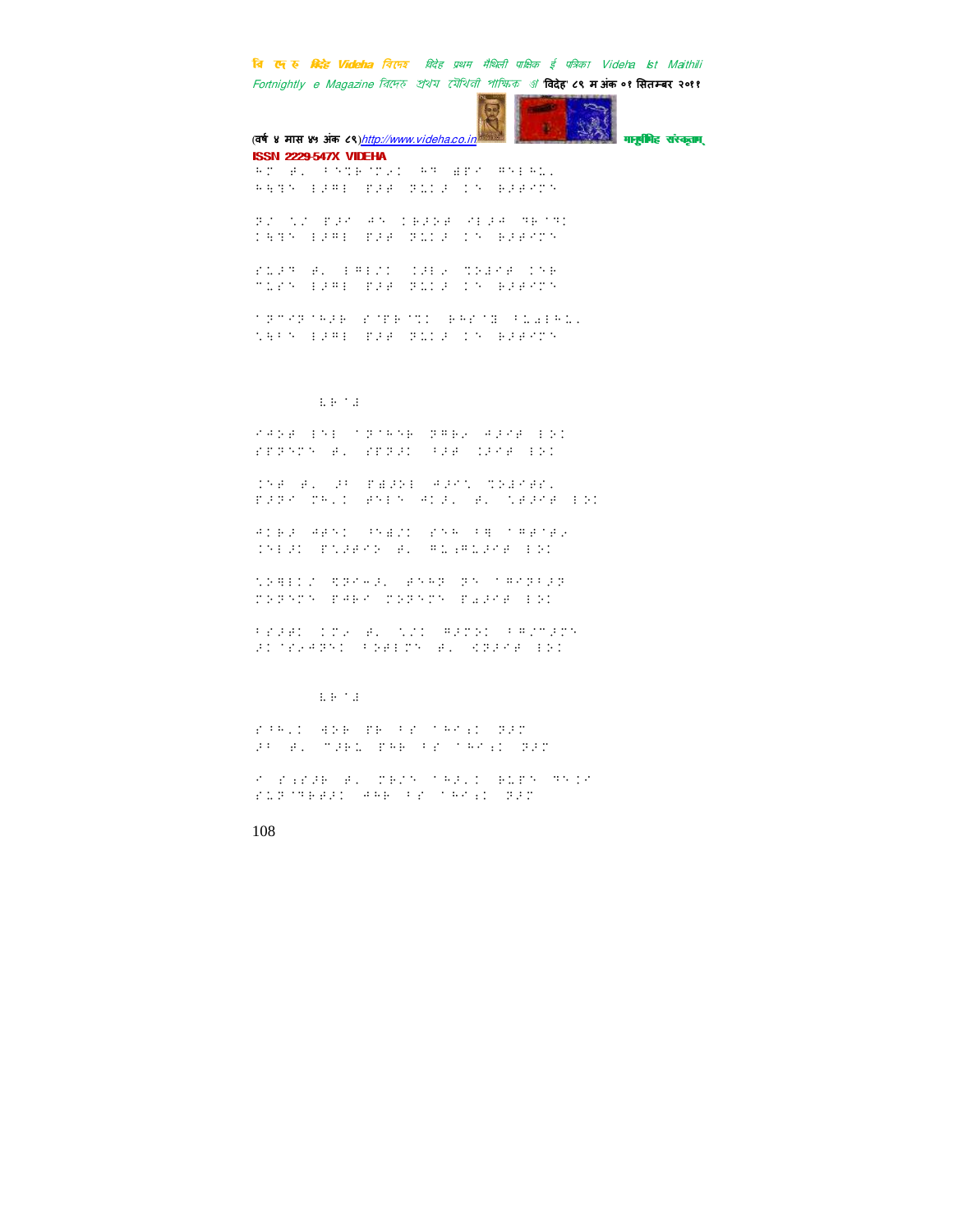बि एक स्टेड Videha विएक विदेह प्रथम मैथिली पाक्षिक ई पत्रिका Videha Ist Maithili Fortnightly e Magazine রিদেত প্রথম মৌথিনী পাক্ষিক প্র **বিदेह ८९ म अंक ०१ सितम्बर २०११** 

| (वर्ष ४ मास ४५ अंक ८९)http://www.videha.co.in<br>मानुबंधिह संस्कृतम् |
|----------------------------------------------------------------------|
| <b>ISSN 2229-547X VIDEHA</b>                                         |
| "我是一身,一天不是我了的头衣,我是一身的呢?" 共存的形态                                       |
| "中海性在一生法共生,生活甚么 其么如此,如今,中法县之的在                                       |
| 경고 이 장고 이 팔 보리 이 공개에 그 동료 장금이 어릴 것 같이 여행 기여진                         |
| "如果在外,主要用主人的变更,我会如果,如今,由这里的的外                                        |
|                                                                      |
| REAR PROPERTY CALLS TO EACH CAP                                      |
| "你会去了,我这些我们的这里,我会会这个女孩,我这里对女孩                                        |
|                                                                      |
| "不是你的是你来这里,是你的是你的?""我来的你是,我会会的我会。                                    |
| "为有东方,主法并主,主法县,其公之法,亦为,有法县之共为                                        |
|                                                                      |
|                                                                      |
|                                                                      |
| 主を立ま                                                                 |

 $\mathcal{L}^{\alpha}(\Phi,\mathcal{L}^{\alpha}(\Phi),\Phi,\mathcal{L}^{\alpha}(\Phi))\cong \mathcal{L}^{\alpha}(\Phi,\mathcal{L}^{\alpha}(\Phi),\Phi,\Phi,\Phi,\mathcal{L}^{\alpha}(\Phi),\Phi,\Phi,\mathcal{L}^{\alpha}(\Phi),\Phi,\Phi,\mathcal{L}^{\alpha}(\Phi))$ REPORT RUNAMED TRENTSPARTED.

aragonaksi mengingkan menganggi THE RICE SPACE OF CONSIDERATIONS

SPRING REGARD ANALOGN CAPERAL converte and converte algebra and

server from el tri marci s'armars. at transport specific at company con-

 $\sim 10^{11}$  and  $\sim 10^{11}$  and  $\sim 10^{11}$ 

really are me arounded berg. de las modificadas en caraciones.

 $\mathcal{S}$  , and an expected in the state of the state of the state of the state of the state of the state of the state of the state of the state of the state of the state of the state of the state of the state of the state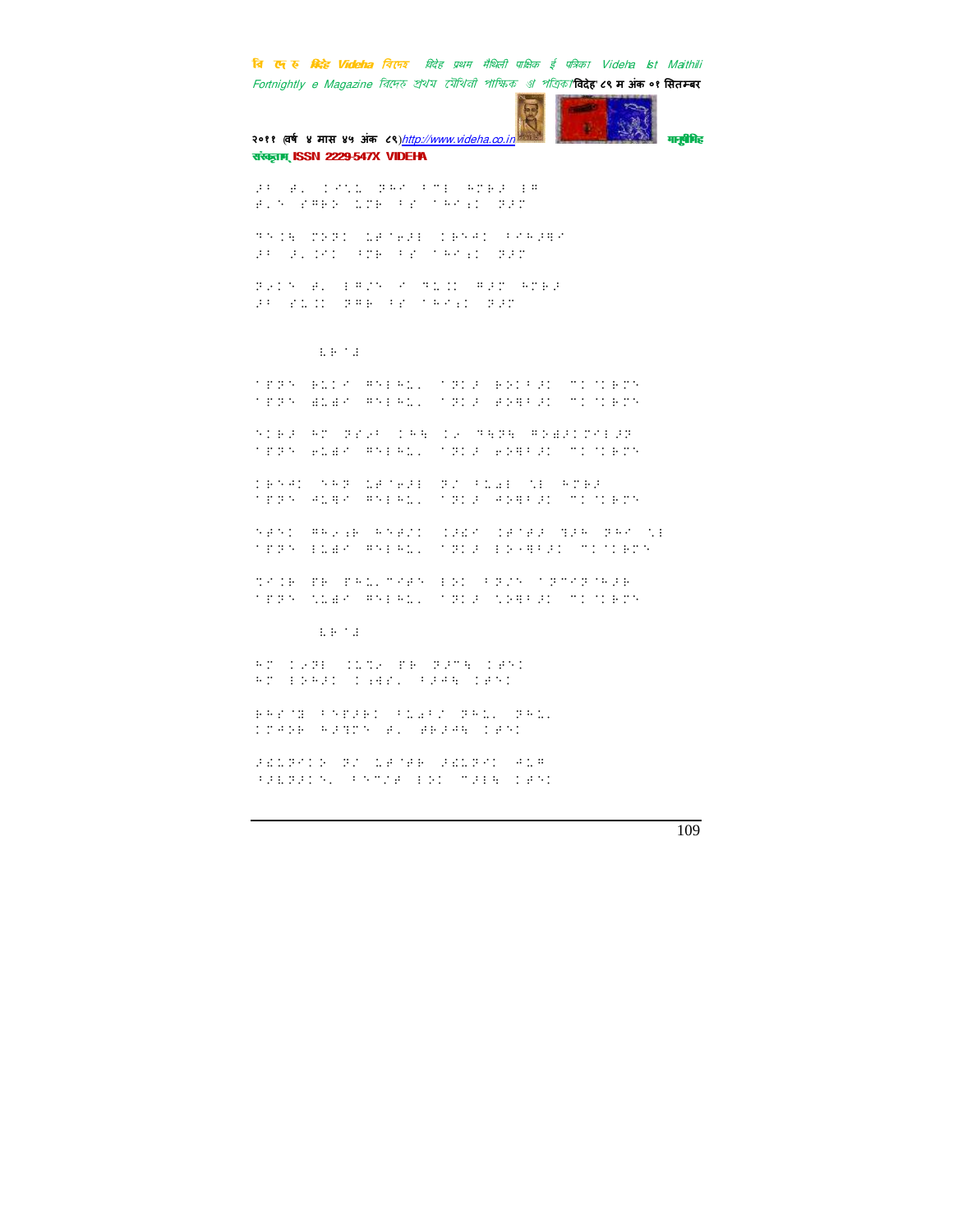बि एक रु मिनेट Videha विएक विदेह प्रथम मैथिली पाक्षिक ई पत्रिका Videha Ist Maithili Fortnightly e Magazine রিদেত শ্রথম মৌথিনী পাক্ষিক প্রাপত্রিকা**'বিदेह' ८९ म अंक ०१ सितम्बर** 



२०११ (वर्ष ४ मास ४५ अंक ८९) http://www.videha.co संस्कृतम् ISSN 2229-547X VIDEHA

SPECIAL CANDIDARY PUBLICATES ER BUSINESS DON FRONT PRESS

THE CHAIN SERVER CONTROL OF A REPORT de distrito employa concerto dam

ducts all recycle about each abra de animages excessivado

 $\mathbb{E}[\mathbb{H}^{(1)}]$  if

TERN BOIR PREPORTERS BACKER TO CERN ness abaktesieb, nebi abakte miniers

 $\mathcal{N}(\mathbb{C}[\Phi(\mathcal{S})] \cap \Phi(\mathcal{S}) \cap \mathcal{P}(\mathcal{S}(\mathcal{S})) = \mathbb{C}[\Phi(\Phi) \cap \mathbb{C}[\mathcal{S}]) \cap \Phi(\Phi(\Phi(\Phi)) = \Phi(\mathcal{S}(\Phi(\mathcal{S}(\mathcal{S}(\mathcal{S}(\mathcal{S}(\mathcal{S}(\mathcal{S}(\mathcal{S}(\mathcal{S}(\mathcal{S}(\mathcal{S}(\mathcal{S}(\mathcal{S}(\mathcal{S}(\mathcal{S}(\mathcal{S}(\mathcal{S}(\mathcal{S}(\mathcal{S}(\mathcal{S}(\mathcal{S}$ TERN PLEATENERS TRIP PROFILED

danat nepidangkan puntua nu kora.<br>Tapan kuan anakul tola korang totap tan

Nanci meluak energi diaran danam masu perinta ness abaktesist. Tere askerer miniers

die de l'apella pedu meale, la politique l'indimediate de neds they assume that a team of the most

 $\sim$  1.4  $^{\circ}$  1.4  $^{\circ}$ 

AT ISBN INTS TE BUTE ISBN AT ESAPI TERRI FRANCISCO

BAYIN PATPED PLANT PALL PALL TORPH ASSOCIATE RESPONSE TRAT

departs an earlier department about RABBATAL PATCH BOOTBER CHAT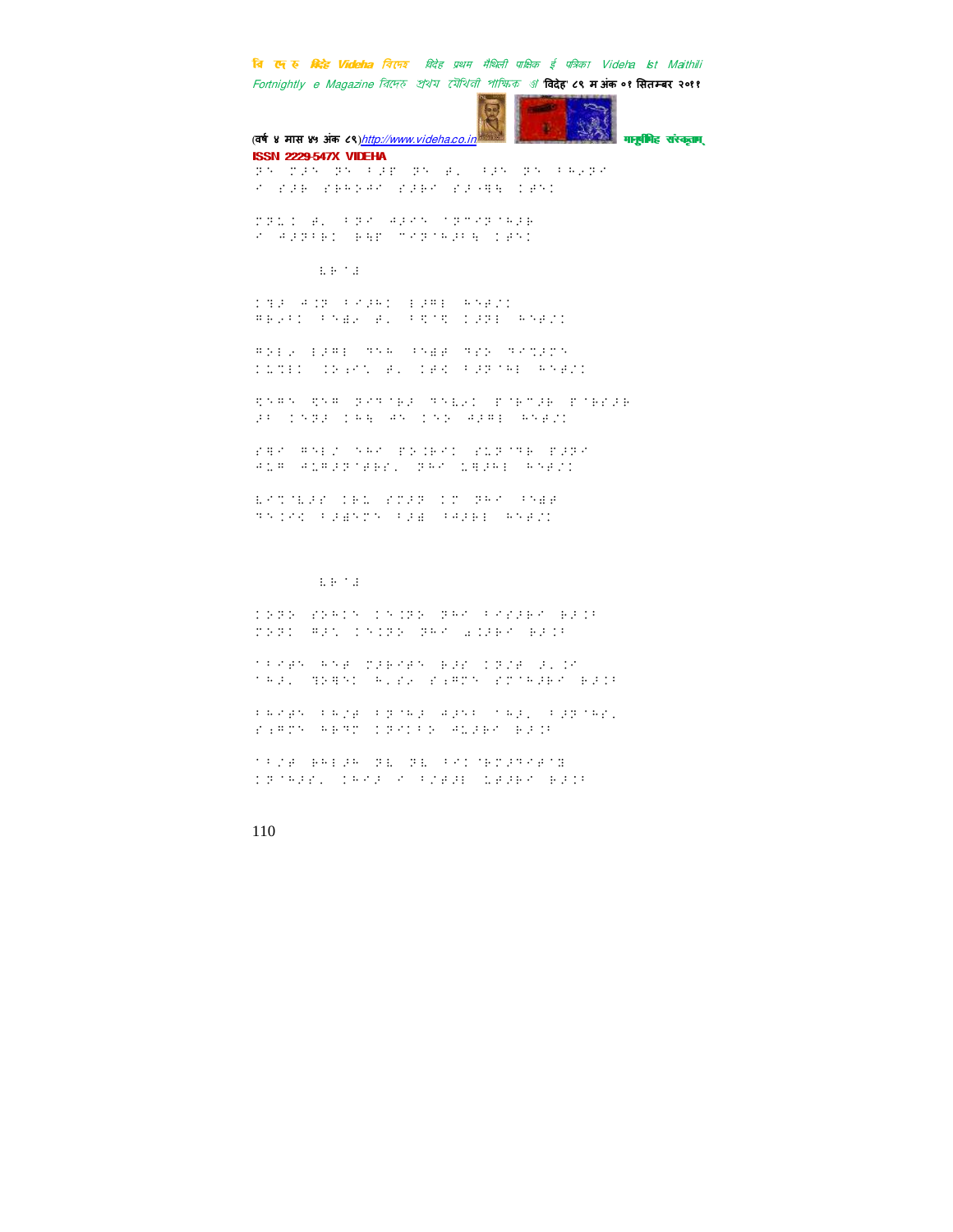बि एक स्टेड Videha विएक विदेह प्रथम मैथिली पाक्षिक ई पत्रिका Videha Ist Maithili Fortnightly e Magazine রিদেহ শ্রথম মৌথিনী পাক্ষিক প্র' **বিदेह' ८९ म अंक ०१ सितम्बर २०११** 



 $\mathcal{B}(\mathcal{N}) = \mathcal{B}(\mathcal{N}) = \mathcal{B}(\mathcal{N}) = \mathcal{B}(\mathcal{B}) = \mathcal{B}(\mathcal{N}) = \mathcal{B}(\mathcal{N}) = \mathcal{B}(\mathcal{N}) = \mathcal{B}(\mathcal{N}) = \mathcal{B}(\mathcal{N}) \mathcal{B}(\mathcal{N})$ Program interesting a service share and also

man real compact agency impressions. P. Address search constants search

压电流法

THE PICK PRESS EPPERATURE #BURI FRANCEL FETE 1991 FRANCI

Hospitalshes and international and the comed interest and case elements exact

completed the complete state of the state of the state  $\left( 1.3 \pm 0.1 \right) \times \left( 2.3 \pm 0.1 \right) \times \left( 4.3 \pm 0.1 \right) \times \left( 2.3 \pm 0.1 \right) \times \left( 4.3 \pm 0.1 \right) \times \left( 4.3 \pm 0.1 \right)$ 

FRAMENE ZONEA (PRIBAT) FLANTE (PRAM ALBUM LESS PRESS, SPACE LESSE CANADI

EVIDENT INC. FORD IT DAY (FABR deleg adapte adapta aesarr

 $\sim$  1. Fe  $^2$  1.

CARACTERS'S CASSAGE CREATED ARREST TORIC RAN INTRO- BRASS INFOSSION

male and a search paper and a search paper and the TRACTORESS RUSS SERVES STORAGES RASE

a prepria prejeta prepria pravilenog je a gorske. PARTS RESTURNS EN PERMITERS

THE 24 YEAR 24 YEAR 24 YEAR OLD FEDERAL ARE parage, para in apage pagan ager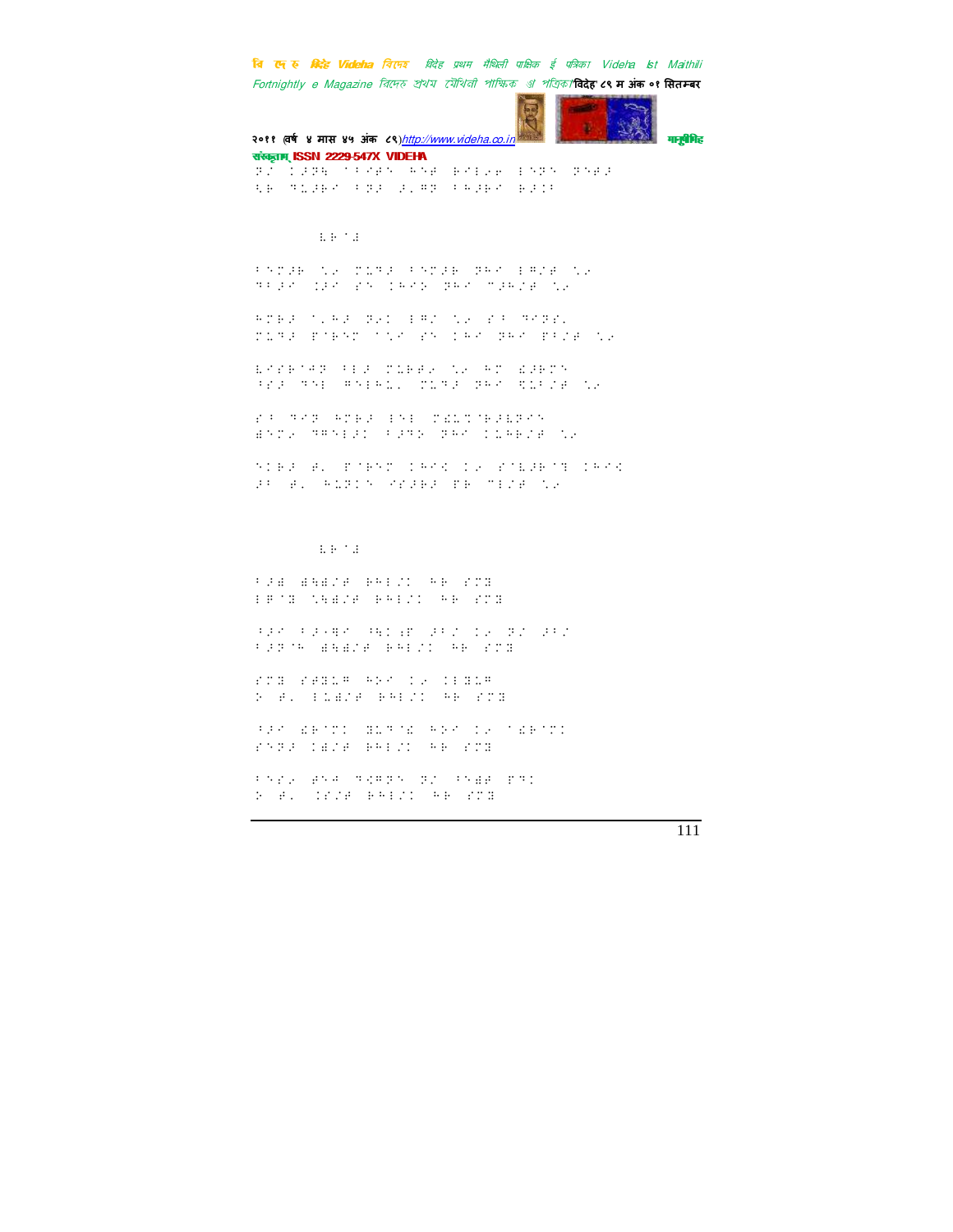चि एक स्टिड Videha विरफ्श विदेह प्रथम मैथिली पाक्षिक ई पत्रिका Videha Ist Maithili Fortnightly e Magazine রিদেত প্রথম মেথিনী পাক্ষিক প্রা পত্রিকা**'বিदेह' ८९ म अंक ०१ सितम्बर** 



संस्कृतम् ISSN 2229-547X VIDEHA di lagu terkeung kelua lagu dial CROSSING PRODUCTS PROPERTY

## 压制力的

a novel su contra la novel de cleara altre.<br>Imagen da cleara de calendario opera

A DEVELOPED BASE (ERV) NATIONAL PROPERTY pines are your commenced and are are had to

EVERY APPROXIMATION AND SOMETIME ard and ended, riad ask till he to

NORD RESERVE CRASHES IN A SERIES CRASH de la ciención dededica el massa nos

 $\sim$  1.40  $^{\circ}$  1.40

FOR SPECIAL PRESS PROVIDE FROM CHAZA RAFZI AR YOU

spectrum in the property of the state  $\mathcal{F}(\mathcal{F},\mathcal{F},\mathcal{F})$  . However, if  $\mathcal{F}(\mathcal{F},\mathcal{F})$  , where  $\mathcal{F}(\mathcal{F},\mathcal{F})$ 

FTS FFBLW WER IN THIS S al stare estri se ard

advisered aband aby durings to PARA CEDA BREDO RELATE

FARE SAM SAMPA DE PASSA PAD STATE CASA ARREST RATION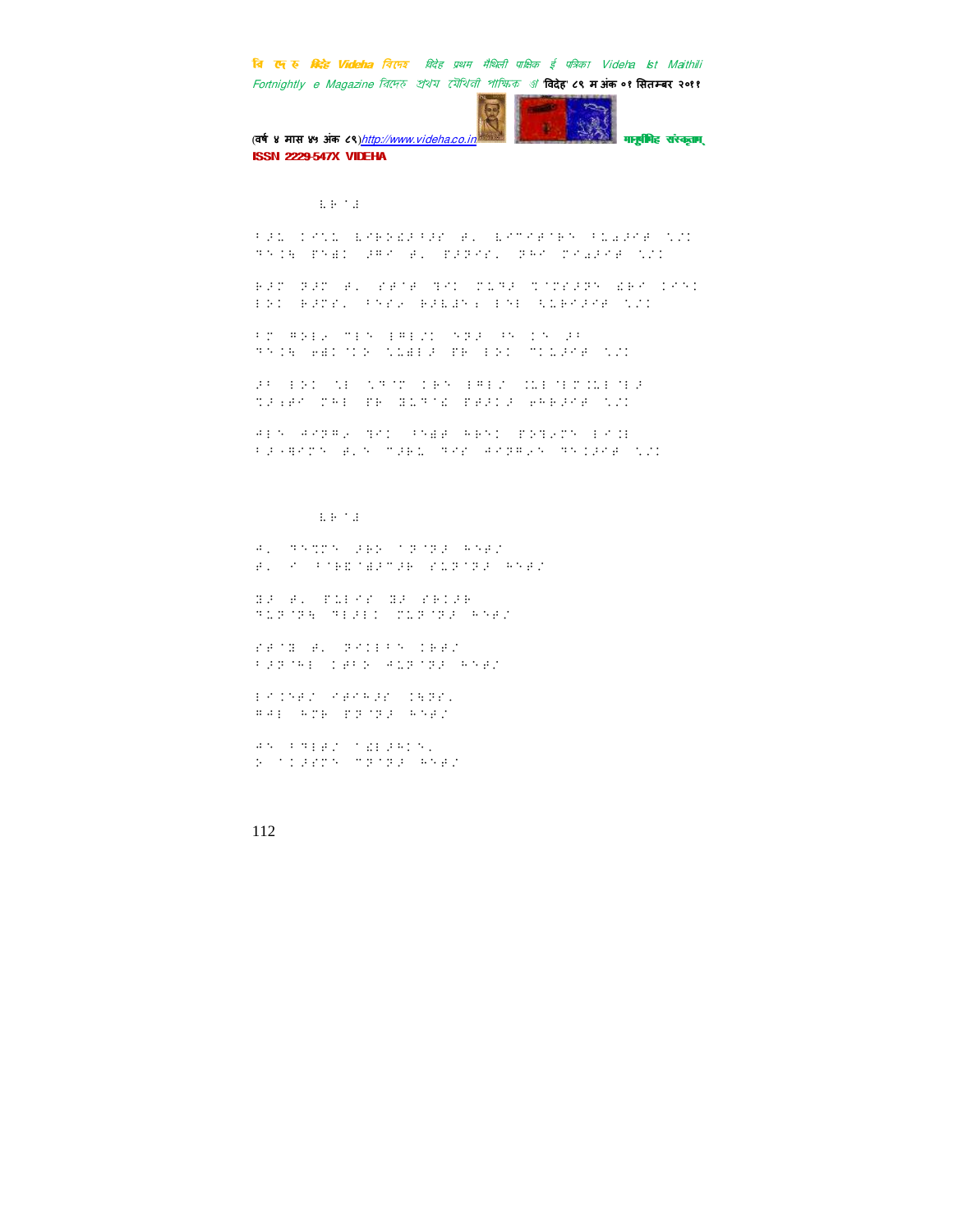चि एत् रू मिन्हे Videha निएन्थ विदेह प्रथम मैथिली पाक्षिक ई पत्रिका Videha Ist Maithili Fortnightly e Magazine विरमह शेथेग द्योंथिवी शीष्मिक औ **विदेह' ८९ म अंक ०१ सितम्बर २०११** 



ISSN 2229-547X VIDEHA

## $\pm$  +  $\pm$

⢼⣅!⣁⣅!⣇⢷⢵⣎⢼⢸⢼!⢾F!⣇^⢾⢷!⣅⣔⢼⢾!⣁5! SAIS TRANSPORT AN INSTALL SAN TRANSPORTING

⢷⢼!⢽⢼!⢾F!⢾⢾!⣙!⣅⢹⢼!⣉⢼⢽!⣎⢷!! 6⢵!⢷⢼F!⢴!⢷⢼⣇⣜⣐!66!⣃⣅⢷⢼⢾!⣁5!

.⢻⢵6⢴!^6!6⢻65!⢽⢼!⢸!!⢼! ⢹⣈⣓!⢶⣞⢵!⣁⣅⣞6⢼!3⢷!6⢵!^⣅⢼⢾!⣁5!

SUP SECTION OF THE STATE OF THE SECTION OF THE STATE OF THE STATE OF THE STATE OF THE STATE OF THE STATE OF THE STATE OF THE STATE OF THE STATE OF THE STATE OF THE STATE OF THE STATE OF THE STATE OF THE STATE OF THE STATE ⣉⢼⣐⢾.⢳6!3⢷!⣝⣅⢹⣎!3⢾⢼⢼!⢶⢳⢷⢼⢾!⣁5!

⢺6!⢺⢽⢻⢴!⣙!⢸⣞⢾!⢳⢷!3⢵⣙⢴!6⣈6! ⢼C⣛!⢾F!^⢼⢷⣅!⢹!⢺⢽⢻⢴!⢹⣈⢼⢾!⣁5!

++++!⣇⢷⣜.........2:+++++++!

⢺F!⢹⣉!⢼⢷⢵!⢽⢽⢼!⢳⢾5! ⢾F!!⢸⢷⣏⣞⢼^⢼⢷!⣅⢽⢽⢼!⢳⢾5!

⣝⢼!⢾F!3⣅6!⣝⢼!⢷⢼⢷! ⢹⣅⢽⢽⣓!⢹6⢼6!⣅⢽⢽⢼!⢳⢾5!

⢾⣝!⢾F!⢽6!⢷⢾5! ⢼⢽⢳6!⢾⢵!⢺⣅⢽⢽⢼!⢳⢾5!

6⣈⢾5!⢾⢳⢼!⣈⣓⢽F! ⢻⢺6!⢳⢷!3⢽⢽⢼!⢳⢾5!

⢺!⢹6⢾5!⣎6⢼⢳F! ⢵!⢼!^⢽⢽⢼!⢳⢾5!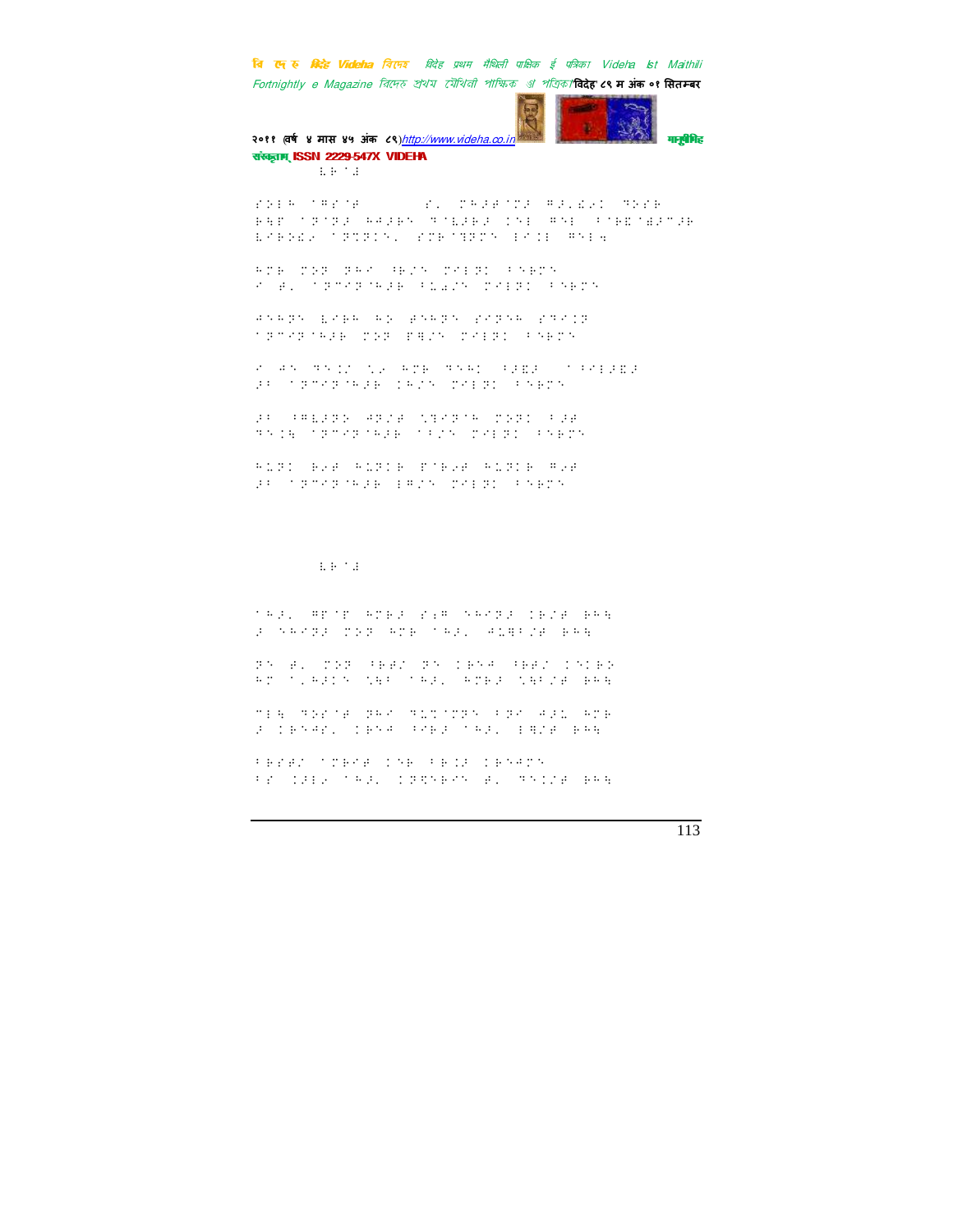बि एक रु मिनेट Videha विएक विदेह प्रथम मैथिली पाक्षिक ई पत्रिका Videha Ist Maithili Fortnightly e Magazine রিদেত শ্রথম মৌথিনী পাক্ষিক প্রাপত্রিকা**'বিदेह' ८९ म अंक ०१ सितम्बर** 



२०११ (वर्ष ४ मास ४५ अंक ८९)http://www.videha.co. संस्कृतम् ISSN 2229-547X VIDEHA

 $\langle \pm \pm \rangle$  1.2.

EVENIX COOPING STRONGER CERTIFIES AND

ATE TOP PART BON TRED (FORT) ROBERT STREET REPORTED THE RESIDENT

and a give of some of a program process section of the section named tedes and a service service teams.

will also in the country of the contract of the second second second second second second second second second de la propincia del calco consider en secol

 $\mathcal{H}(L,\mathcal{P}(L)) = \mathcal{H}(L,\mathcal{P}) = \mathcal{H}(L,\mathcal{P}(L),\mathcal{P}) = \mathcal{H}(L,\mathcal{P}(L)) = \mathcal{H}(L,\mathcal{P}(L),\mathcal{P}(-),\mathcal{P}(L,\mathcal{P}(L))$ de la dimension del segundo de segundo en la provi

 $\sim$  1.4  $^{\circ}$  1.4  $^{\circ}$ 

TRACK RESEARCH PARALLEL SPARAL CROAT RPA a seraa mod eme sea, angela eser

SA BI TAS PART SA TENA PERITING Architecto (1943) that companies the range and

TEACHERY ACCEPT SECTION CONTRACTOR a canar, canalisera nell'elemente

FEREN COESE INFORMATION FROM BEAUTIFUL CONSERVATORS PROCEDERS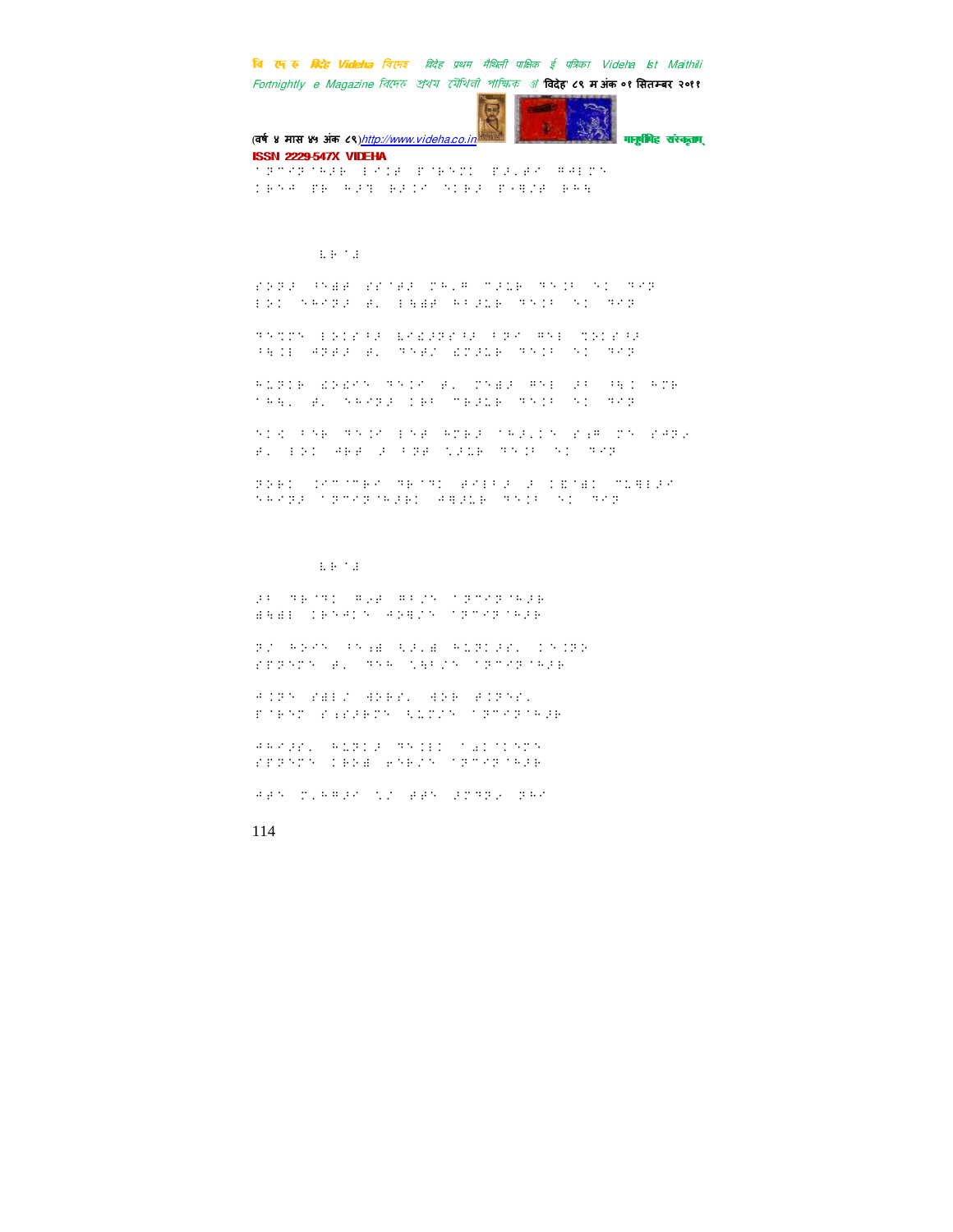बि एक रु मिनेट Videha विएक विदेह प्रथम मैथिली पाक्षिक ई पत्रिका Videha Ist Maithili Fortnightly e Magazine রিদেত শ্রথম মৌথিনী পাক্ষিক প্র' **বিदेह' ८९ म अंक ०१ सितम्बर २०११** 

**September** 



TO POSTAGE CERTAIN PORTLY PALAR CARED N parket and even avere incave a series and

#### $\sim$  1.40  $^{\circ}$  1.40

roda (Para rriga del mela male dolla del dop springered al season diese more on mode

SANDA ENTRADA ERRORA DE ADRESA ENTRADO said abas al svar grupe svis vi sko

Abstrace and the state of the state was stated and are TABLE BUT NAPPLE IBS TREPLE TAILS NITTERS

Now the media spectage and conducts and media addi-BUILDING REPORT FOR CORRECTED AT CRAP.

 $\pm$  3  $^{\circ}$  .

ja septembangan manya seperti pada BABI (1989) SCRNBINS COMMONDER

BU FROM TREE CALE FORDADO DI DIR reduce al sum there incomed

A 1970 YAFIY ANEYL (ANE) A 1972. ESPACIFICATORES ADDIN COMPARADOR

WARRANT ADRIES WATER CONTROL YEARN TENE PNECH CARABING

age missings to gas incredible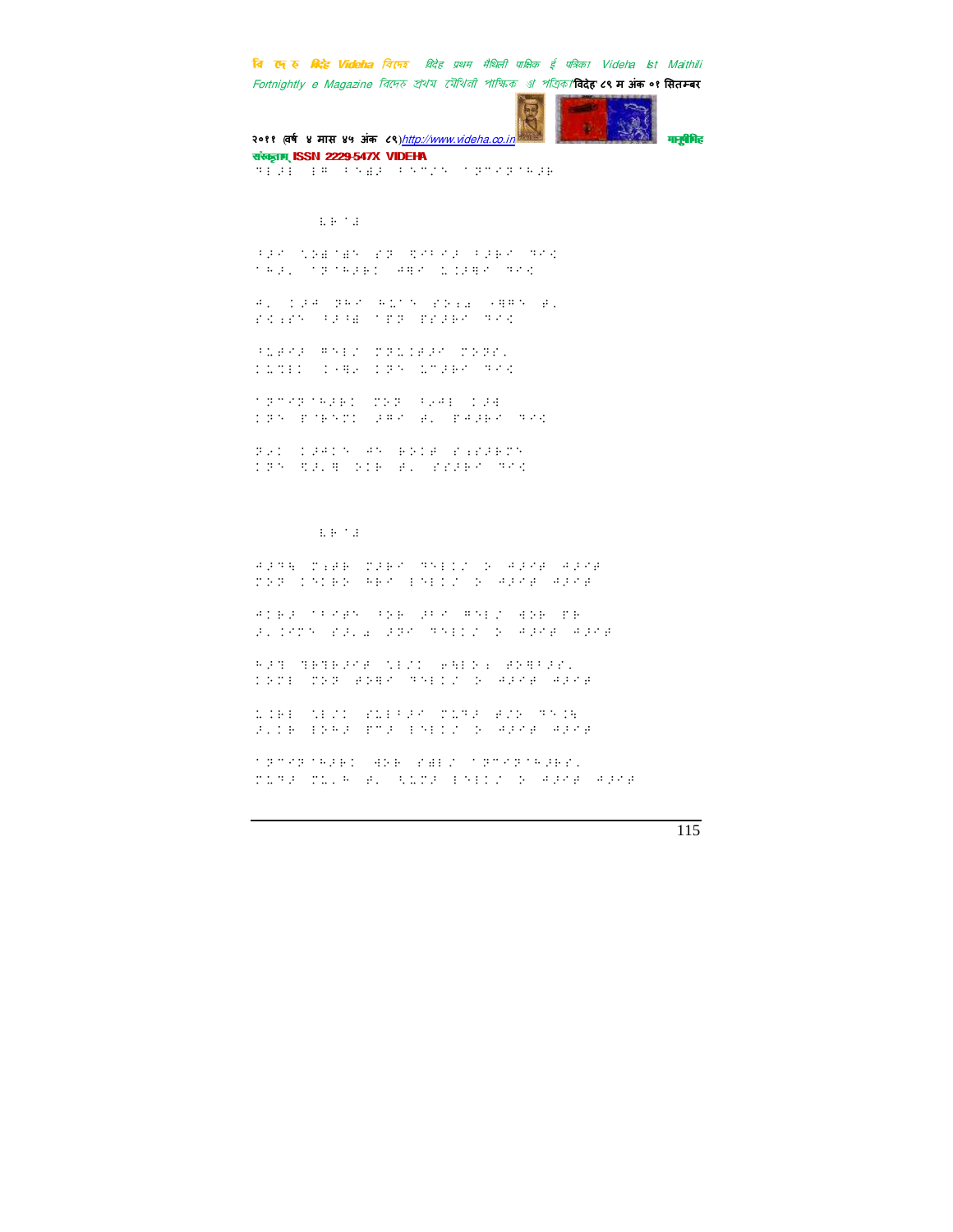बि एक रु मिनेट Videha विएक विदेह प्रथम मैथिली पाक्षिक ई पत्रिका Videha Ist Maithili Fortnightly e Magazine রিদেত শ্রথম মৌথিনী পাক্ষিক প্রাপত্রিকা**'বিदेह' ८९ म अंक ०१ सितम्बर** 



#### २०११ (वर्ष ४ मास ४५ अंक ८९) http://www.videha.co.ir संस्कृतम् ISSN 2229-547X VIDEHA sidi in kad komun menghada

#### 压制力的

start in painters in production and part in the nadi ng mga bagay sa pagkilang

 $\mathcal{A}_{\mathcal{A}} = \{ \gamma_{\mathcal{A}} \mathcal{A} \mid \gamma_{\mathcal{A}} \mathcal{B} \mathcal{A} \in \mathcal{B}(\mathcal{A}) \mid \alpha_{\mathcal{A}} \mathcal{B} \mathcal{B} \mathcal{A} \mathcal{B} \in \mathcal{A} \mid \beta_{\mathcal{A}} \mathcal{B} \mathcal{B} \mathcal{B} \in \mathcal{B} \}$ reary sale ora reary more

abera esponsoriado presenta TEST CONTROL PRODUCES STAR

 $\mathcal{F}(\mathcal{B},\mathcal{P},\mathcal{E},\mathcal{B},\mathcal{P},\mathcal{B},\mathcal{E})=\mathcal{F}(\mathcal{B},\mathcal{P})=\mathcal{F}(\mathcal{B},\mathcal{B})=\mathcal{F}(\mathcal{B},\mathcal{B}).$ 1950 BOBSTI (PRO B) BROBEC 300

## $\sim$  and  $\sim$  3.

Administrate code company of advanced car TER CONTENTABLY SENED TO APPEAR ARRA.

 $\mathcal{A}(\mathbb{C})\oplus\mathcal{A}^{\mathbb{C}}\oplus\mathcal{C}^{\mathbb{C}}\oplus\mathcal{C}^{\mathbb{C}}\oplus\mathcal{C}^{\mathbb{C}}\oplus\mathcal{C}^{\mathbb{C}}\oplus\mathcal{C}^{\mathbb{C}}\oplus\mathcal{C}^{\mathbb{C}}\oplus\mathcal{C}^{\mathbb{C}}\oplus\mathcal{C}^{\mathbb{C}}\oplus\mathcal{C}^{\mathbb{C}}\oplus\mathcal{C}^{\mathbb{C}}\oplus\mathcal{C}^{\mathbb{C}}$ as provincias a laborario de labora anara

A 2010 DESERVA CONSTITUTE EN 2010 PROPERTY TECH CONFIDENTIAL AND TO A CAPAR CAPAR

dided talif videosom manosom model<br>Outle dideo amos analizi di eose eose

manya reason assimass in physicease. rima rila a la caira anarriva adea adea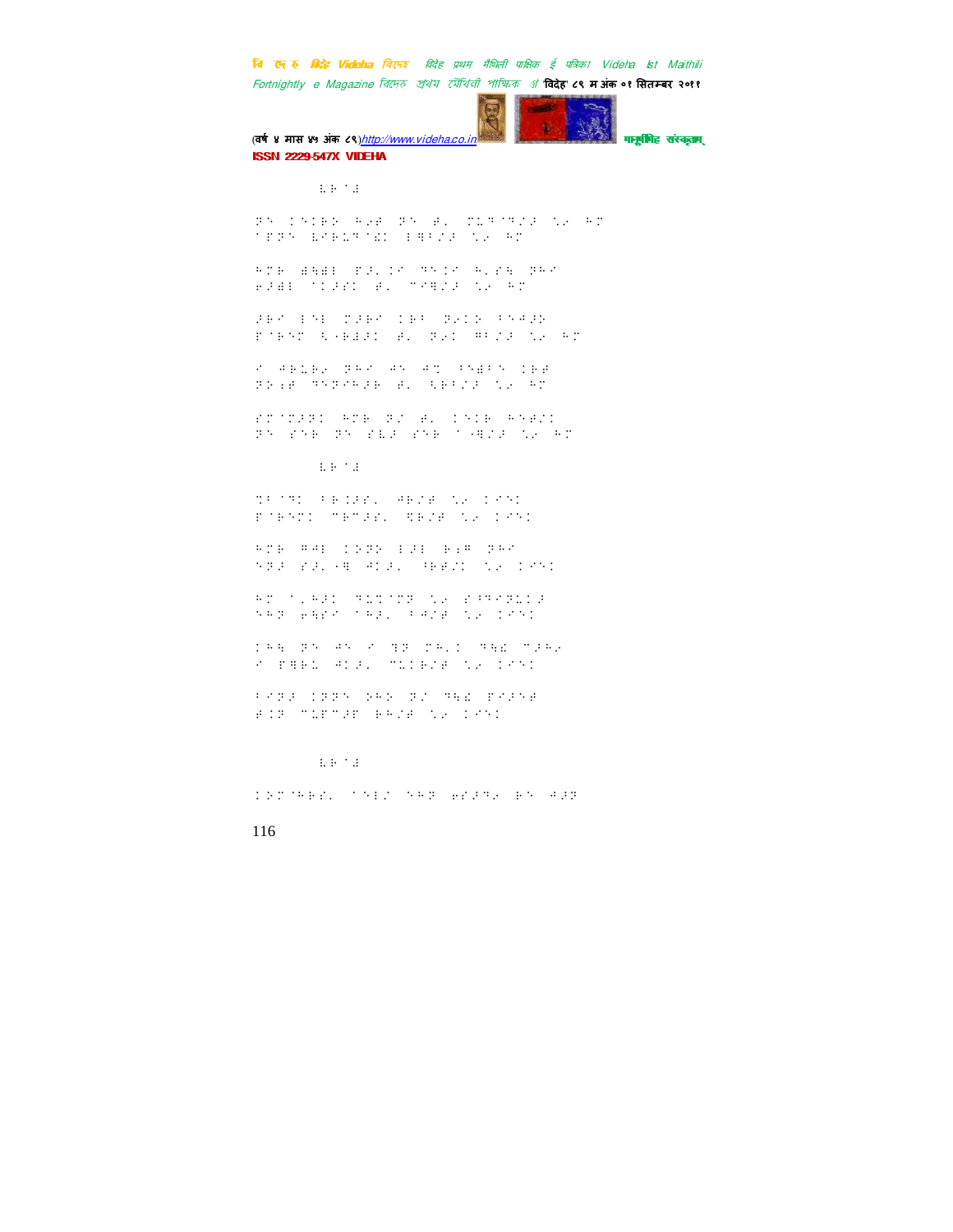चि एक स्टिड Videha विरफ्श विदेह प्रथम मैथिली पाक्षिक ई पत्रिका Videha Ist Maithili Fortnightly e Magazine রিদেত প্রথম মৌথিনী পাক্ষিক *প্র* **বিदेह ८९ म अंक ०१ सितम्बर २०११** 



(वर्ष ४ मास ४५ अंक ८९)http://www.videha.co. **ISSN 2229-547X VIDEHA** 

压电力法

ATE BABE TRICK MAIN ALTE BAY PARE TO AND PROTECTIVE PR

der som make her dubb somade ESPANO CHEADLO AL COVID-PERA CONTRO

will discuss the process of any consensation of supdonat medicate as substituting an

 $\sim$  1.4  $^\circ$  1.4  $^\circ$ 

de nacionalidad, caada costichad. PORTED TROPAL SEARCH TRAIN

 $\mathcal{H}(\Gamma,\mathbb{R})=\mathcal{H}(\mathcal{H}(\Gamma),\mathcal{L}(\Gamma,\mathbb{R}))=\mathcal{H}(\Gamma,\mathcal{L}(\Gamma),\mathcal{H}(\Gamma))=\mathcal{H}(\mathcal{H}).$ New York Recent Adventure (1991)

Archives (Storage CS) research  $\mathcal{H}(\Phi,\mathcal{G})=\mu(\Phi,\mathcal{E})\mathcal{H}(\mathcal{G},\mathcal{E})=\mu(\mathcal{G},\mathcal{G})\mathcal{H}(\mathcal{E},\mathcal{E})=\mathcal{E}(\mathcal{H},\mathcal{E}).$ 

cas distance against tax to part with Romanez (Ardel morece to inver-

a kalimaan sebiat den menghak ade ministra escalida das p

 $\sim$  and  $\sim$  and

for teach that head are an an and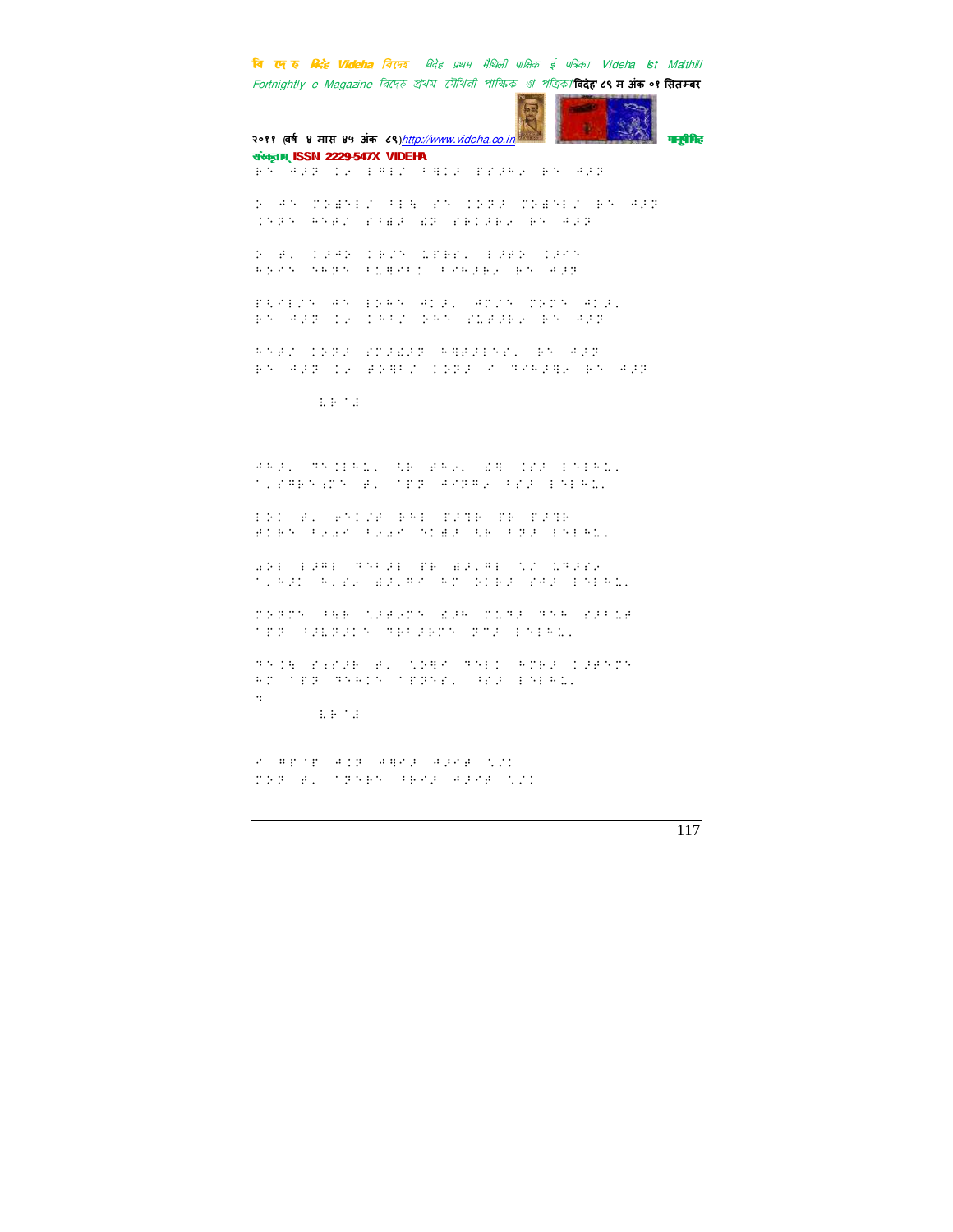चि एक स्टिड Videha विरफ्श विदेह प्रथम मैथिली पाक्षिक ई पत्रिका Videha Ist Maithili Fortnightly e Magazine রিদেত প্রথম মেথিনী পাক্ষিক প্রা পত্রিকা**'বিदेह' ८९ म अंक ०१ सितम्बर** 



profession planetic contact and condition of the profession of the condition of TRENTHREN PRES BETWEEN BROADE

STRITTSRASTIANS CRANE ARASTISCS a por su calquer la grava y lua ora papor a su calque

respectively and and construction of the second second second second second second second second second second BA APP IN INFORMATIONS PERSONAL

ANAV INSA POSSES ARABINEL AN ABS and applications are the top of the measures are appli-

 $\sim$  1.4  $^\circ$  1.4  $^\circ$ 

 $\left\{ \left( \left( \left( \mathcal{A}^{\mathcal{A}}_{\mathcal{A}} \right) \right) \right) \left( \left( \mathcal{A}^{\mathcal{A}}_{\mathcal{A}} \right) \right) \left( \left( \mathcal{A}^{\mathcal{A}}_{\mathcal{A}} \right) \right) \left( \left( \mathcal{A}^{\mathcal{A}}_{\mathcal{A}} \right) \right) \left( \left( \mathcal{A}^{\mathcal{A}}_{\mathcal{A}} \right) \right) \left( \left( \mathcal{A}^{\mathcal{A}}_{\mathcal{A}} \right) \right) \left( \left( \mathcal{A}^{\mathcal{A$ 10. 全共振り HTS ( H. 2011年10月 中学期中点 ) 中学課 ( H. 244 年12)

ESI PL PAINE PRESERVE TRIESTRIE adam suar suar model de seguidad.

SSE FORE PROPERTIES BOOKER NO SPOKA TO RIAD CROSS CONSURATIONS AND STRUCTURES OF RIGHT

TO PURE STATE CONFIDENCIAL DISTURBANCE CONTINUES. TER PRESENTATION STATES

de la crimata del cosa codesi camado idaeeme Architect System (Section 2018) and annual  $\mathcal{L}_{\mathcal{I}}$  .

 $\sim$  E/F  $^+$  H  $_\odot$ 

with proposing the application proposition nos al reses seve apre non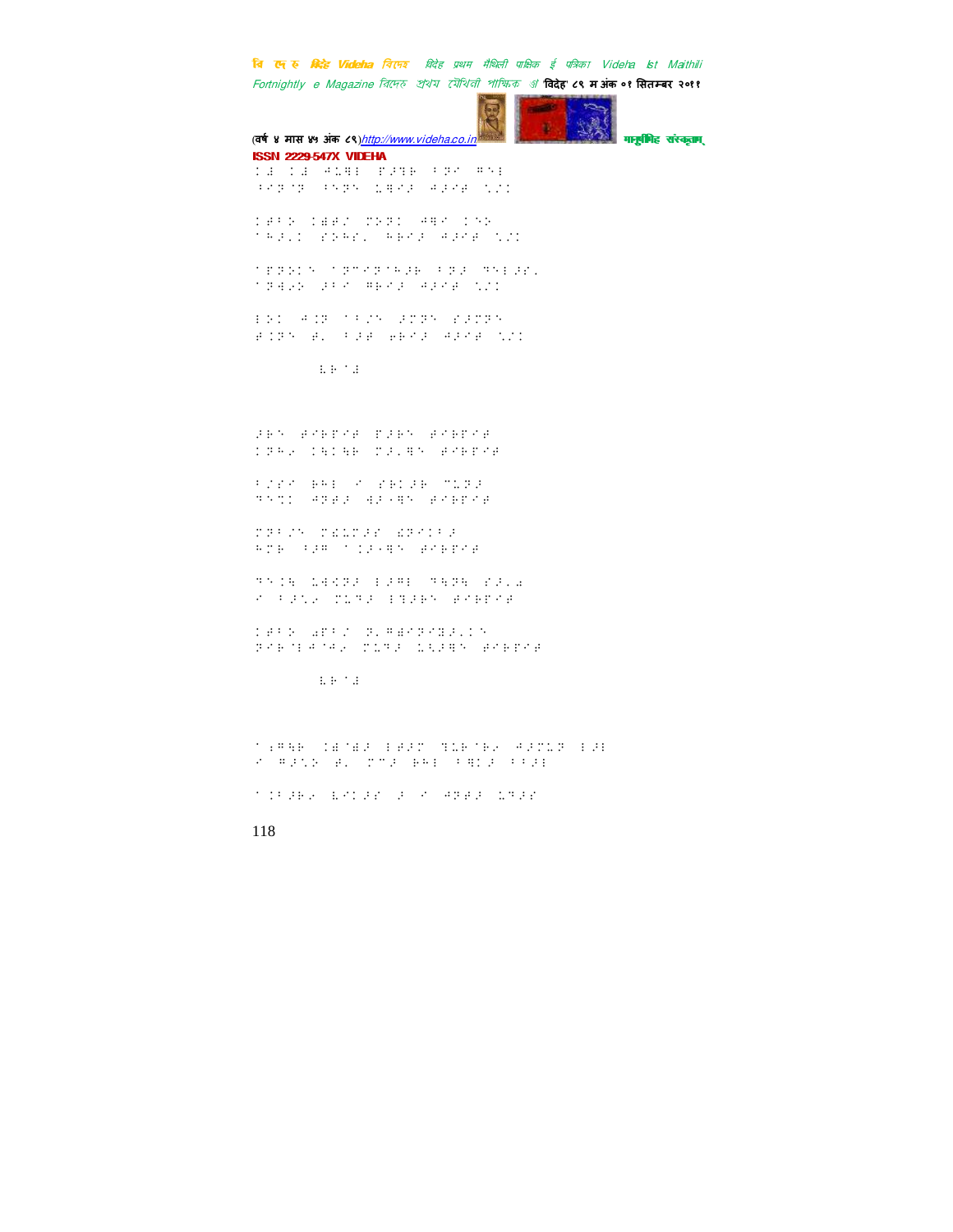बि एक स्टिड Videha विरुक विदेह प्रथम मैथिली पाक्षिक ई पत्रिका Videha Ist Maithili Fortnightly e Magazine बिएक खेश्य त्योंशिती शांक्षिक श्री विदेह' ८९ म अंक ०१ सितम्बर २०११

| मानुष्मिह संस्कृतम्<br>(वर्ष ४ मास ४५ अंक ८९)http://www.videha.co.in                                                                                                                                                                                           |
|----------------------------------------------------------------------------------------------------------------------------------------------------------------------------------------------------------------------------------------------------------------|
| <b>ISSN 2229-547X VIDEHA</b>                                                                                                                                                                                                                                   |
|                                                                                                                                                                                                                                                                |
| "夫不是了是,夫在是在,会进不足,甚至不是,怎么会                                                                                                                                                                                                                                      |
| 1988年10月18日第19日12日12日第19日12日<br>nadio daelgo abed algebra ovo                                                                                                                                                                                                  |
| 지원 분준이가 이번 기분이 지원되는 것이 본 분들이 부가 된 분류도<br>医甘油分裂 医牙牙的 进程的第三进程的第三人称单                                                                                                                                                                                              |
| 生存工作 医过敏性 医毛动脉 人名英格兰人姓氏英格兰人称<br>and the same in the same and the same of the same of the same of the same of the same of the same of the same of the same of the same of the same of the same of the same of the same of the same of the same of the same of t |
| al Banda                                                                                                                                                                                                                                                       |
| <b>这里在一里的毛的时候,我这里在一里的毛的时候</b><br><b>DIRECTOR DE LONG EN LES PRESSE</b>                                                                                                                                                                                         |
| 未过的时间 电开封 人名德里斯顿 法联合成立法法<br>부정 방송 이 유민준 중이 금융 수표장이 공유 원판 관련                                                                                                                                                                                                    |
| nde ny sindandes sagere d<br>开花虫 人名法弗兰尔 空生医生产 医牙中生产病                                                                                                                                                                                                           |
| "其外的有人"的是被讲述,主要讲到了"其中有人"的话的话。<br>14、 中央内区、 共加学院、 主任法事务、 由来事的考虑                                                                                                                                                                                                 |
| 1989年12月18日 1月17日 1月18日 1月18日 1月1日<br>其中事件的第三章是一个公共生产公共生育的一些产生的产生                                                                                                                                                                                              |
| 法联合法                                                                                                                                                                                                                                                           |

 $\gamma$  , a measure that the  $\lambda$  -density of the state  $\gamma$  -depending on  $\lambda$  . The computational contract of the state of the  $\lambda$ 

 $\mathcal{L}(\mathcal{L}(\mathcal{L}(\mathcal{L}(\mathcal{L}(\mathcal{L}(\mathcal{L}(\mathcal{L}(\mathcal{L}(\mathcal{L}(\mathcal{L}(\mathcal{L}(\mathcal{L}(\mathcal{L}(\mathcal{L}(\mathcal{L}(\mathcal{L}(\mathcal{L}(\mathcal{L}(\mathcal{L}(\mathcal{L}(\mathcal{L}(\mathcal{L}(\mathcal{L}(\mathcal{L}(\mathcal{L}(\mathcal{L}(\mathcal{L}(\mathcal{L}(\mathcal{L}(\mathcal{L}(\mathcal{L}(\mathcal{L}(\mathcal{L}(\mathcal{L}(\mathcal{L}(\mathcal{$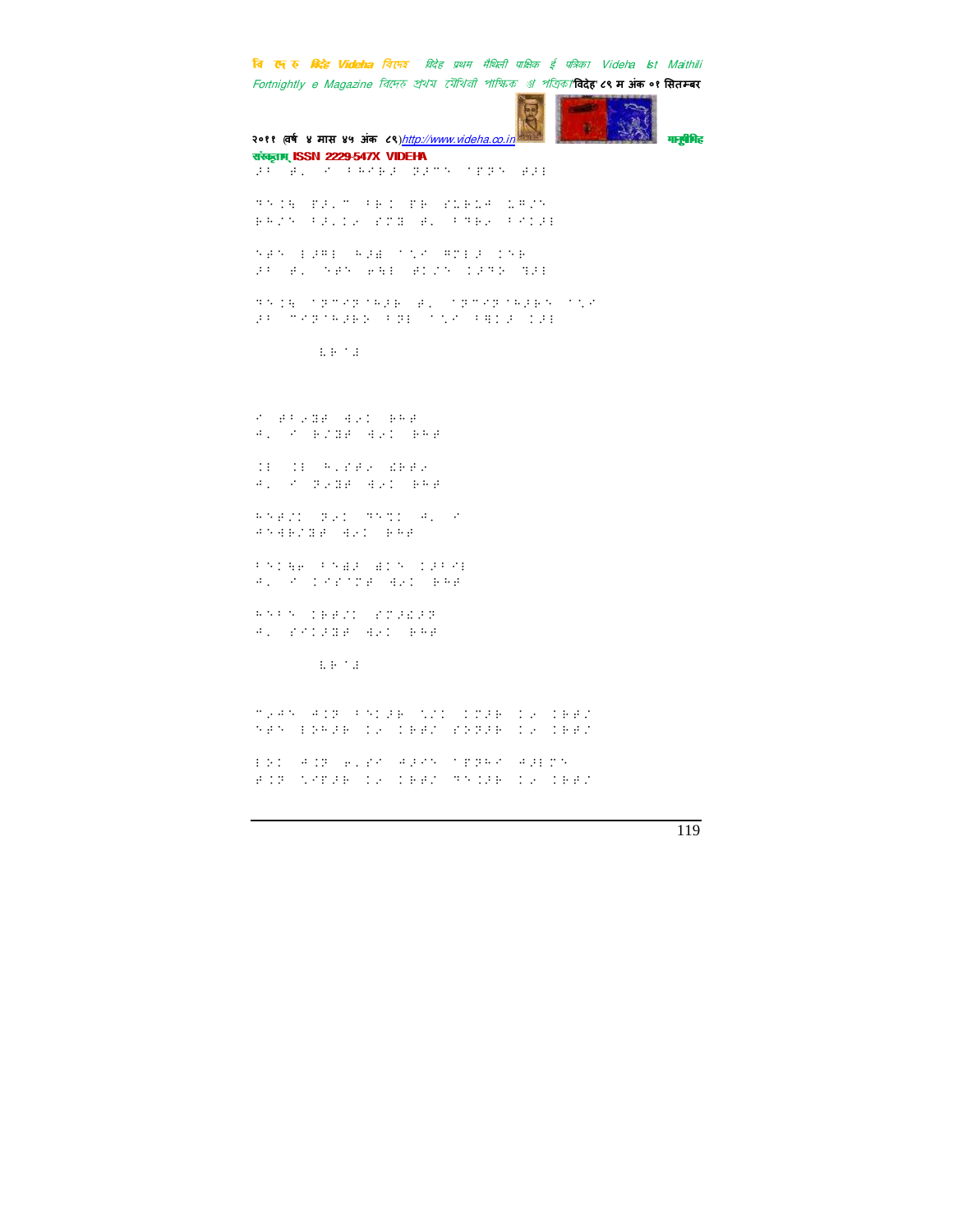चि एत् रू मिन्हे Videha निएन्थ विदेह प्रथम मैथिली पाक्षिक ई पत्रिका Videha Ist Maithili Fortnightly e Magazine রিদেহ প্রথম মৌথিনী পাক্ষিক প্র পত্রিকা**'বিदेह' ८९ म अंक ०१ सितम्बर** 

| २०११ (वर्ष ४ मास ४५ अंक ८९) http://www.videha.co.in | मानवीरिह |
|-----------------------------------------------------|----------|
| संस्कृतम् ISSN 2229-547X VIDEHA                     |          |
| (1980) 第12 (1980) 中央大学生 (1992年10月) 大学学校 (1993年      |          |
| 进入过程 "要求,你们去我过一家我们学会我这些人会进了下                        |          |
| 中央之外 中央公会長 全部生产单位 中央电话 中学会决定                        |          |
| 在是在一定是共享的开设器的内容的 计中断主题 经存取人                         |          |
| 23 241 242 243 244 241 221 232 243 244              |          |
| 进行过程 人名英格兰英法布法英国英语人名英格兰英法布法英语人名 化乙烯                 |          |
| 法未认 的复数人物法联系 人名英格兰人姓氏尼克里斯的变体                        |          |
| 法新产法                                                |          |
|                                                     |          |
| <b>アンコキン BEC ヨン ICC 中央語</b>                         |          |
| 开工 人名卡普尔姓氏 用语法 人名布莱                                 |          |
| TECTE POPPE SPEED                                   |          |
| 开工 人名卡里克温德 人名克兰卡里布里                                 |          |
| 中央事業計画 共調査 一度保護会 一時計 一緒                             |          |
| 进货进事务登录 人进送的人 新开展                                   |          |
| 中华工程的 中华温度 自由工作 工艺中学生                               |          |
| 进行 人名卡尔 的复数英语 人名英克兰 电电子                             |          |
| 开放打发 经重要收益 医前进敏速度                                   |          |
| 开工 人名马克法普法 人名法克 人名布莱                                |          |
| 主要方法                                                |          |
| TERRY RISE FRIED SINCE INSERTING IPEN               |          |

⢾!6⢵⢳⢼⢷!⢴!⢷⢾5!⢵⢽⢼⢷!⢴!⢷⢾5!

6⢵!⢺⣈⢽!⢶F!⢺⢼!3⢽⢳!⢺⢼6! ⢾⣈⢽!⣁3⢼⢷!⢴!⢷⢾5!⢹⣈⢼⢷!⢴!⢷⢾5!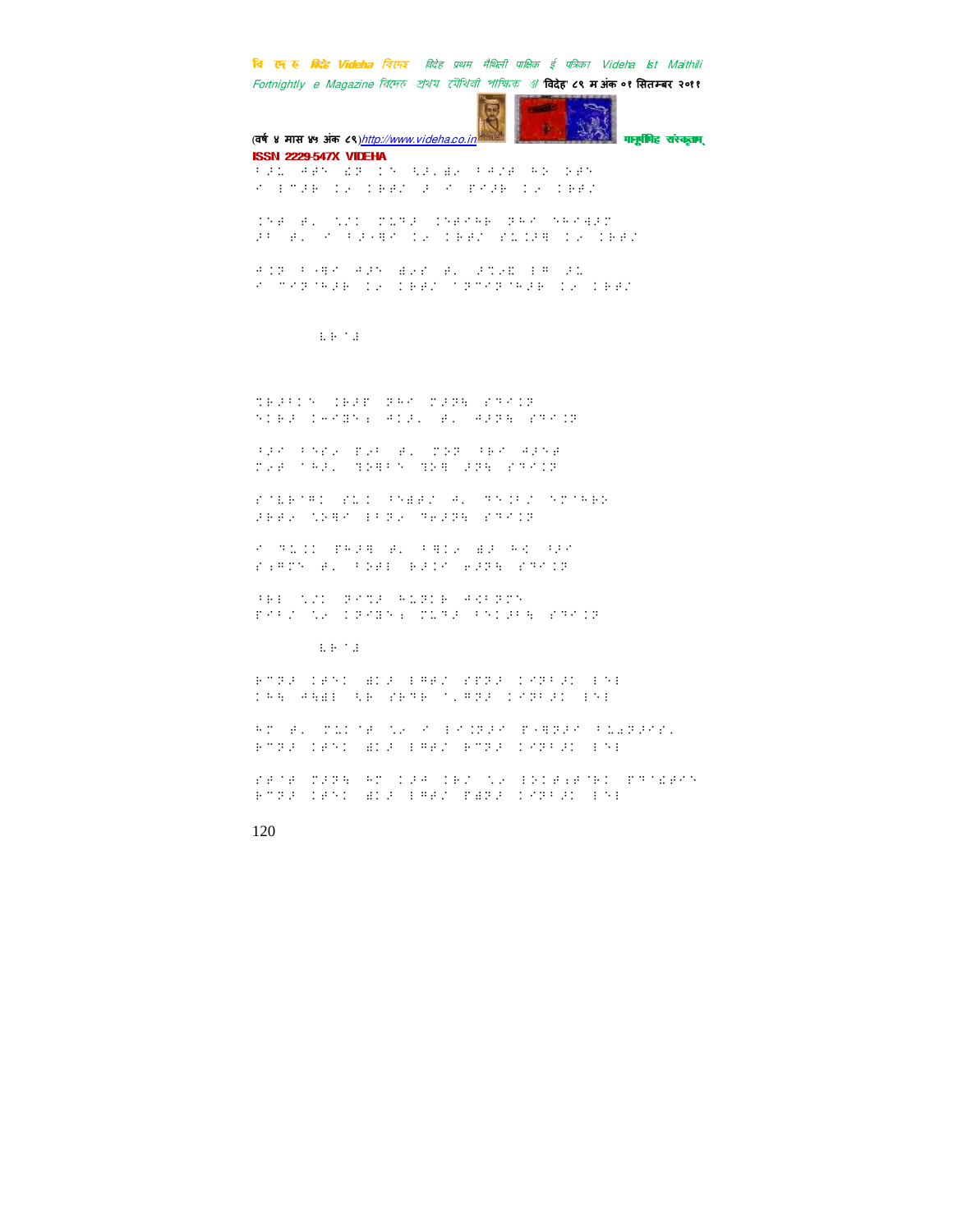बि एक स्टिड Videha विएक विदेह प्रथम मैथिली पाक्षिक ई पत्रिका Videha Ist Maithili Fortnightly e Magazine बिएक खेश्य त्योंशिती शांक्षिक श्री विदेह' ८९ म अंक ०१ सितम्बर २०११

| (वर्ष ४ मास ४५ अंक ८९)http://www.videha.co.in<br>मानुबंधिह संस्कृतम्                                                                                     |
|----------------------------------------------------------------------------------------------------------------------------------------------------------|
| <b>ISSN 2229-547X VIDEHA</b>                                                                                                                             |
| 中学会 医中子宫 经费用的 医心脏法的 电光谱电子电子 医多叶 医单外                                                                                                                      |
| and the product the second and the second second second second second second second second second second second                                          |
| and the second state of the series of the series of the series of the series of the series of the series of th<br>23 BALLARD FRANKLICK CORPORATION CORPO |
| 进行中心中心进行。进退在一面设置,进行一进行设置,主用一进位<br>ROMAN MARKET CALL CHART OF BUSINESS AND CHART                                                                          |
| 法中 (法)                                                                                                                                                   |
| 在我这里的东西,还我这里,"这并不一定这里我,我是不过是<br>医白毛皮 化亚硝酸医亚硝酸 医白细胞 医单位 医牙基甲状腺 医牙根性骨                                                                                      |
| 法法律 法不能证明的法律 医上皮下的变形 法执行 法法不法<br>2014年11月4日,日本在科技、日本在日本学校、学界学会学                                                                                          |
| ROBERT RICHARD IN A REPORT RICHARD IN DECISION<br>2992 - 12992 - 1392 - 79229 - 27312                                                                    |
| 的复数英国人的复数英国人民人的法国民人的法人 医皮下性皮炎<br>RABON BULLEDBELL BROWLERBELL RIPPORT                                                                                    |
| <b>FEE CONTRACTS FORDER FOR STA</b><br>ESPECIAL LONGER ENTERED PROPERTY CRACK                                                                            |
| - 長田 三正                                                                                                                                                  |
| <b>GEORGE CHAIRS AND A SERVICE PROPERTY AND A AB</b><br>1985年,被在县主人为中国的新世界,这么开展去,1987年的总公司在东南                                                            |
| "我是一些,一定会的了些,怎么一些,主要的是这么?""我只要是这些,我会正是这些的。<br>BORD CRAINED PORTHER PORT CRAFTED BAB                                                                      |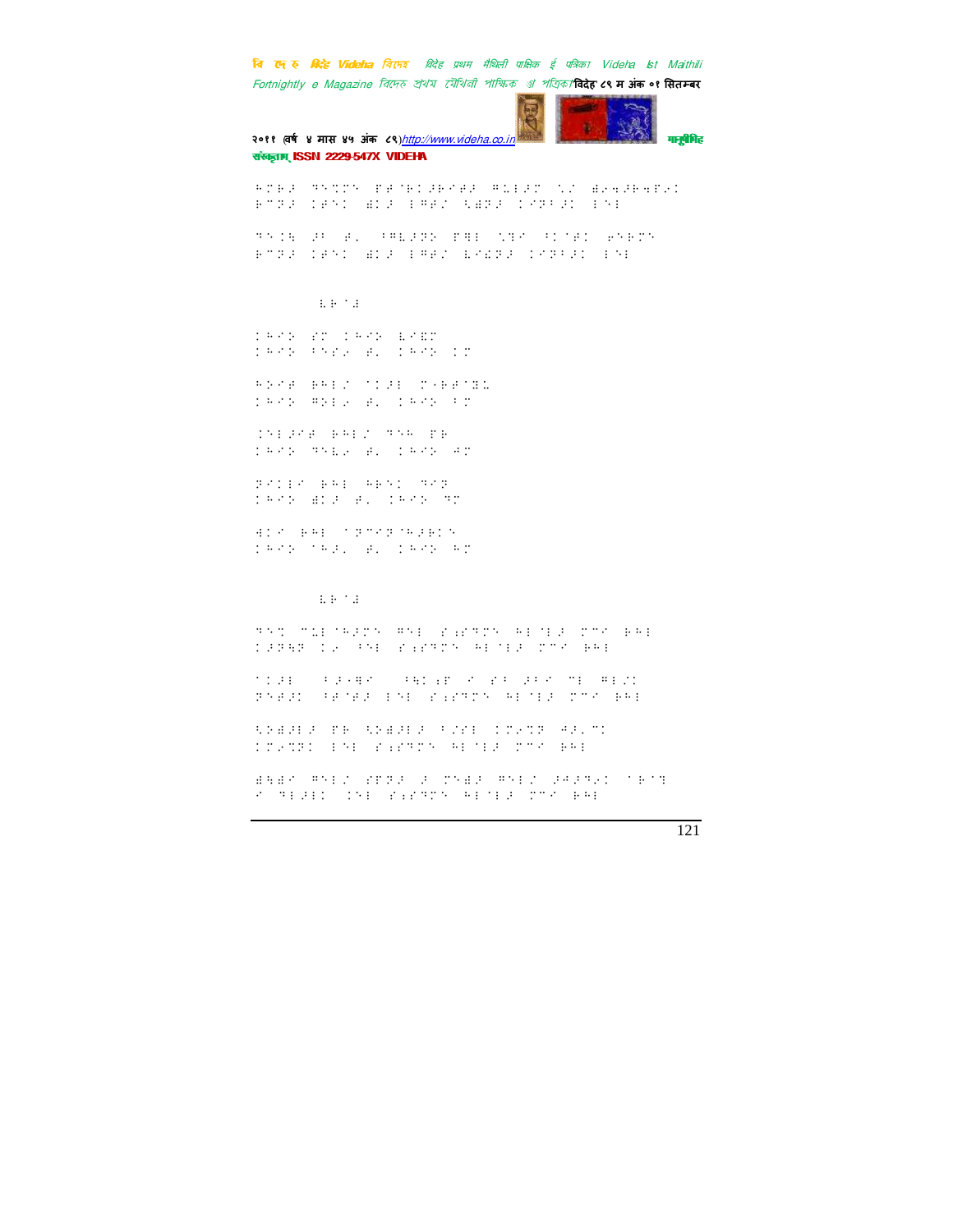चि एत् रू मिन्हे Videha निएन्थ विदेह प्रथम मैथिली पाक्षिक ई पत्रिका Videha Ist Maithili Fortnightly e Magazine রিদেহ প্রথম মৌথিনী পাক্ষিক প্র পত্রিকা**'বিदेह' ८९ म अंक ०१ सितम्बर** 



संस्कृतम् ISSN 2229-547X VIDEHA

⢳⢷⢼!⢹⣉!3⢾⢷⢼⢷⢾⢼!⢻⣅6⢼!⣁5!⣞⢴⣒⢼⢷⣒3⢴! ⢷^⢽⢼!⢾!⣞⢼!6⢻⢾5!⣃⣞⢽⢼!⢽⢼!66!

⢹⣈⣓!⢼!⢾F!⢸⢻⣇⢼⢽⢵!3⣛6!⣁⣙!⢸⢾!⢶⢷! ⢷^⢽⢼!⢾!⣞⢼!6⢻⢾5!⣇⣎⢽⢼!⢽⢼!66!

 $+$  +  $+$  +  $+$ 

 $\mathbb{E}[\mathbf{H}(\mathbf{f},\mathbf{b})] = \mathbb{E}[\mathbf{f}(\mathbf{f},\mathbf{b})] = \mathbb{E}[\mathbf{f}(\mathbf{f},\mathbf{b})] = \mathbb{E}[\mathbf{f}(\mathbf{f},\mathbf{b})] = \mathbb{E}[\mathbf{f}(\mathbf{f},\mathbf{b})] = \mathbb{E}[\mathbf{f}(\mathbf{f},\mathbf{b})] = \mathbb{E}[\mathbf{f}(\mathbf{f},\mathbf{b})] = \mathbb{E}[\mathbf{f}(\mathbf{f},\mathbf{b})] = \mathbb{E}[\mathbf{f}$ ⢳⢵!⢴!⢾F!⢳⢵!!

⢳⢵⢾!⢷⢳65!⢼6!C⢷⢾⣝⣅!! ⢳⢵!⢻⢵6⢴!⢾F!⢳⢵!!!

⣈6⢼⢾!⢷⢳65!⢹⢳!3⢷!! ⢳⢵!⢹⣇⢴!⢾F!⢳⢵!⢺!!

⢽6!⢷⢳6!⢳⢷!⢹⢽! ⢳⢵!⣞⢼!⢾F!⢳⢵!⢹!

⣚!⢷⢳6!⢽^⢽⢳⢼⢷!! ⢳⢵!⢳⢼F!⢾F!⢳⢵!⢳!!

 $+$  +  $+$  +  $+$ 

⢹⣉!^⣅6⢳⢼!⢻6!⣐⢹!⢳66⢼!^!⢷⢳6!! ⢼⢽⣓⢽!⢴!⢸6!⣐⢹!⢳66⢼!^!⢷⢳6!!

⢼6-!⢼C⣛-!⢸⣓⣐3!!⢸!⢼!^6!⢻65!! ⢽⢾⢼!⢸⢾⢾⢼!66!⣐⢹!⢳66⢼!^!⢷⢳6!!

⣃⢵⣞⢼6⢼!3⢷!⣃⢵⣞⢼6⢼!56!⢴⣉⢽!⢺⢼F^!! ⢴⣉⢽!66!⣐⢹!⢳66⢼!^!⢷⢳6!!

⣞⣓⣞!⢻65!3⢽⢼!⢼!⣞⢼!⢻65!⢼⢺⢼⢹⢴!⢷⣙!! !< SO THE RESEARCH IN THE RELEASE OF THE RELEASE OF THE RELEASE OF THE RELEASE OF THE RELEASE OF THE RELEASE OF THE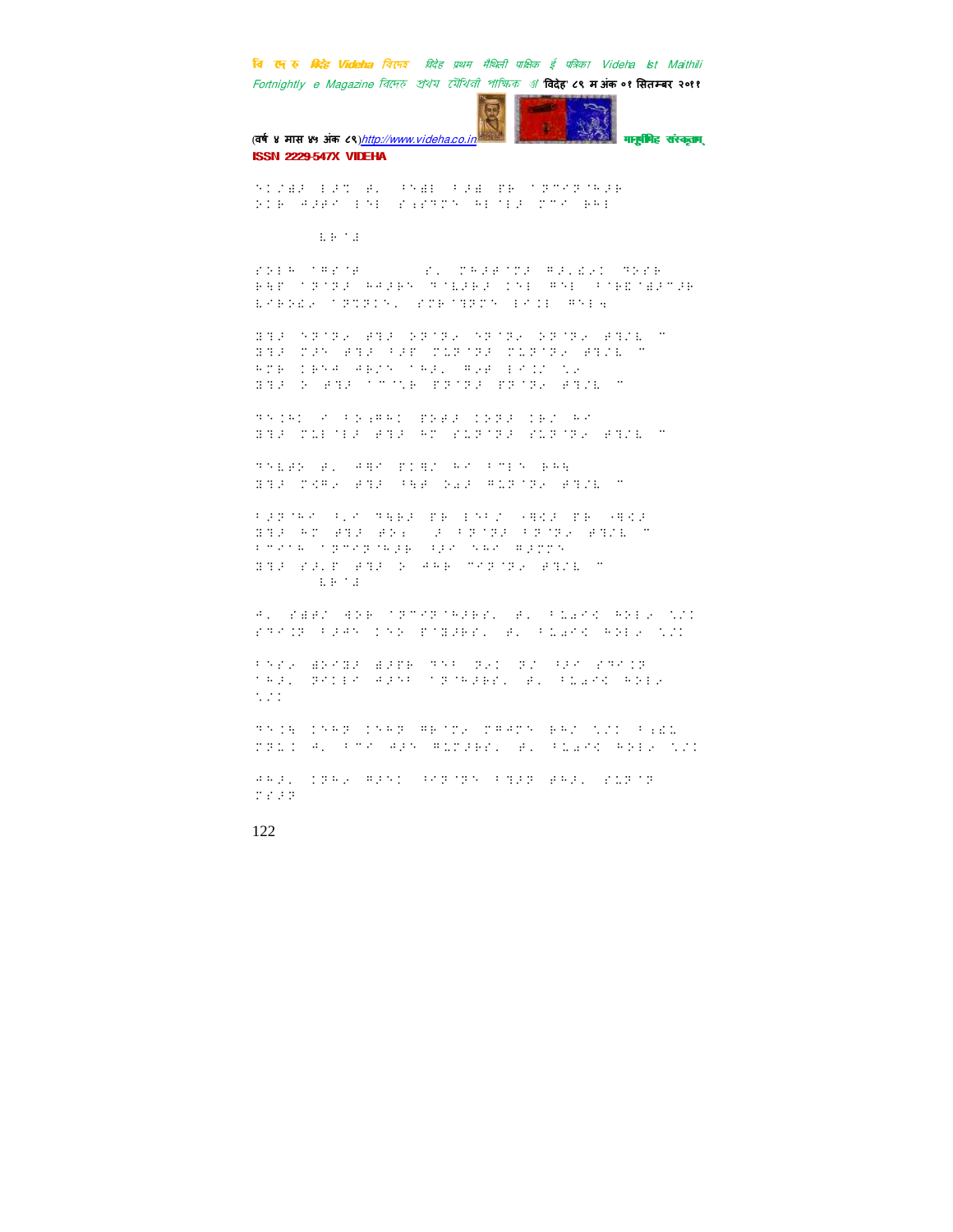चि एक रु मिनेह Videha विएक विदेह प्रथम मैथिली पाक्षिक ई पत्रिका Videha Ist Maithili Fortnightly e Magazine রিদেত প্রথম মৌথিনী পাক্ষিক *প্র* **বিदेह' ८९ म अंक ०१ सितम्बर २०११** 



**ISSN 2229-547X VIDEHA** 

(वर्ष ४ मास ४५ अंक ८९)http://www.videha.co.

Novad spring, shape spaces incredibles NORTHWEST ENEXYMENTS THE TEACHERS ERE

○ 五田 久田

EVENCY CONSINUING PORTOGRAPH (BRIEF

draw wards and sards wards sards and an das cum eas wer codings codings each i A MARCO AND COALCOMED CONTROL AND CONTROL AND CONTROL AND CONTROL AND CONTROL AND CONTROL AND ALL ACTIVITY OF A REPORT OF A SECOND AND A REPORT OF A SECOND AND A REPORT OF A SECOND AND A REPORT OF A SECOND AND A REPORT OF das preasuremente admissionales educario

distance and agencies are a many away. dial complete state and part from the search of

医眼皮内病院 医脑室下淋巴管炎 的复数生物学的 医淋巴病 的复数人名英格兰 i da kometa 1951 (1957) eta 1951 (1958)<br>Andre mandareke aktorea aktore drag and an area of laws invented areas in 压电力法

ALC PERATURARY TRIPARTERRIAL PLUS CELERAL PARACTICO and the suses of the campaign coal conducts of the control

Frank abeda alamen who dust due that a west TRACTORS EXTRA PROPERTY ARE TRACTORS TRACTORS  $\sim 100$ 

data tanan tang mengunuhkan sebuah mengan rance all and associated all allegade associated

ARDIO CRASS RONCO PROTON (PRODUCED) SCORTO  $\mathcal{C} \neq \mathcal{P} \neq \mathcal{P}$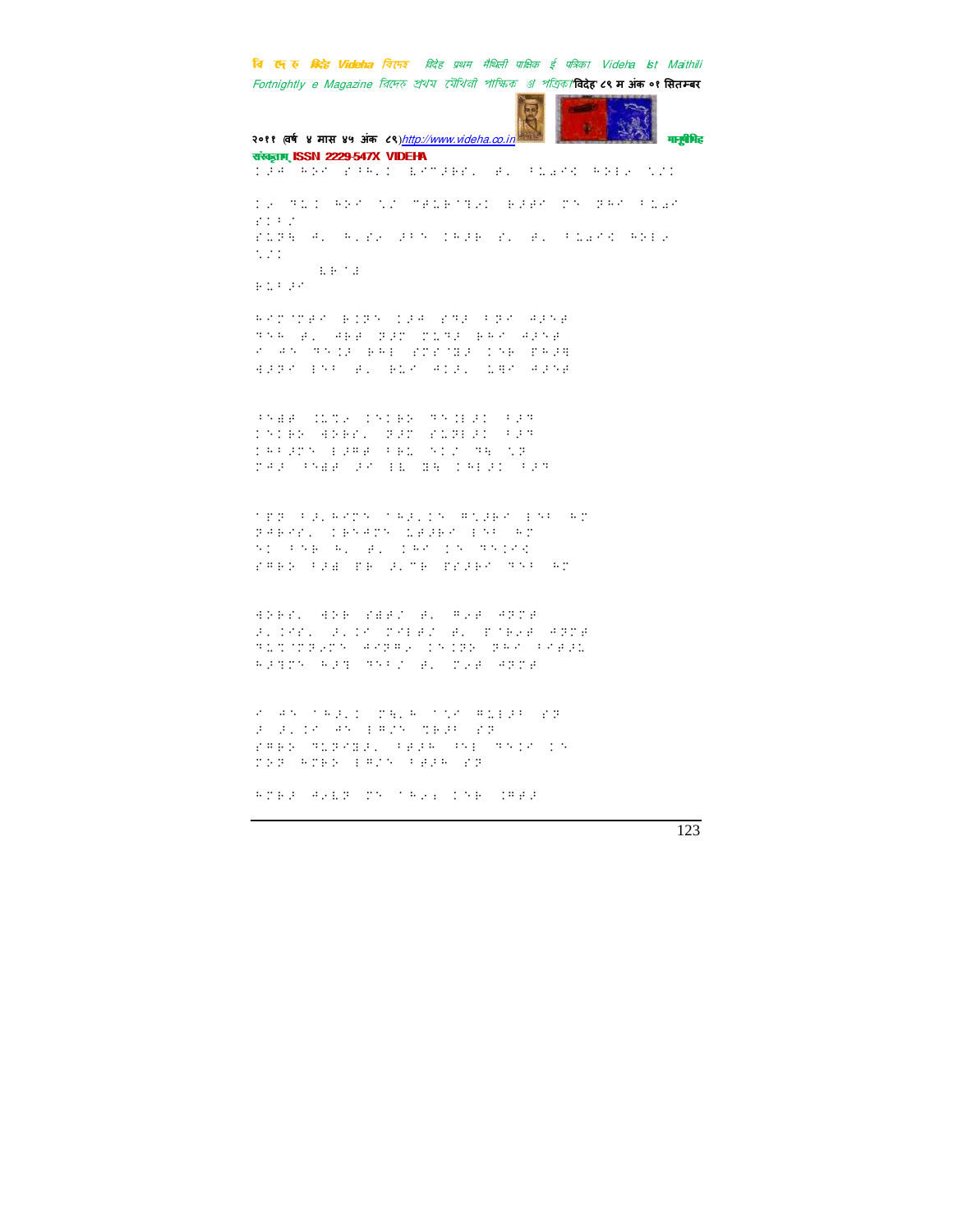बि एक रु मिनेट Videha विएक विदेह प्रथम मैथिली पाक्षिक ई पत्रिका Videha Ist Maithili Fortnightly e Magazine রিদেত শ্রথম মৌথিনী পাক্ষিক প্রাণবিকা**বিदेह ८९ म अंक ०१ सितम्बर** 

**Service** 

0 ø मानुबेमिह २०११ (वर्ष ४ मास ४५ अंक ८९) http://www.videha.co.ir संस्कृतम् ISSN 2229-547X VIDEHA dušaj poklaracio provinci al abusko polis cod TO PAID PER CONTRACTOR PER TO PARALLEL **STATE** 的复数电子中心 中心的医学家的复数 化电子电子的过去式和过去分词 医血管管 医静脉炎  $\sim 100$ 主要方法 4.24.99 A concepto a considerar and international and all applications and all proposed Rowsell and the sees of the theory of the seese addiscribe as absolutes basicades TERS REPORTS TRACTS RECENT END AT  $\mathbb{P}(\mathcal{A}(\mathbb{R}^d, \mathcal{E}^{\mathcal{A}})) = \mathbb{P}(\mathbb{R}^d, \mathbb{R}^d, \mathbb{R}^d) = \mathbb{P}(\mathbb{R}^d, \mathbb{R}^d, \mathbb{R}^d) = \mathbb{P}(\mathbb{R}^d) = \mathbb{P}(\mathbb{R}^d)$  $\mathcal{N}^{\alpha}_{\mathbf{1}}$  , if  $\mathcal{N}^{\alpha}_{\mathbf{1}}$  , and if  $\mathcal{S}^{\alpha}_{\mathbf{1}}$  , if  $\mathcal{N}^{\alpha}_{\mathbf{1}}$  , if  $\mathcal{N}^{\alpha}_{\mathbf{1}}$  , and if  $\mathcal{N}^{\alpha}_{\mathbf{1}}$ real comments when redakt and ar ASERINASE PERINTAL PORTABLE alizer, alize perant al mesa sappa PERMIT REPORT OF A REPORT OF A DRIVING WHAT IS A BIRD. Address Add (discuss 2014) (class Address ROAN CARL CONTACTOR ANDERS RD a alde as registrados de real supremains and service in nos enerosero sere de Arab Aver hvorave ina crash 123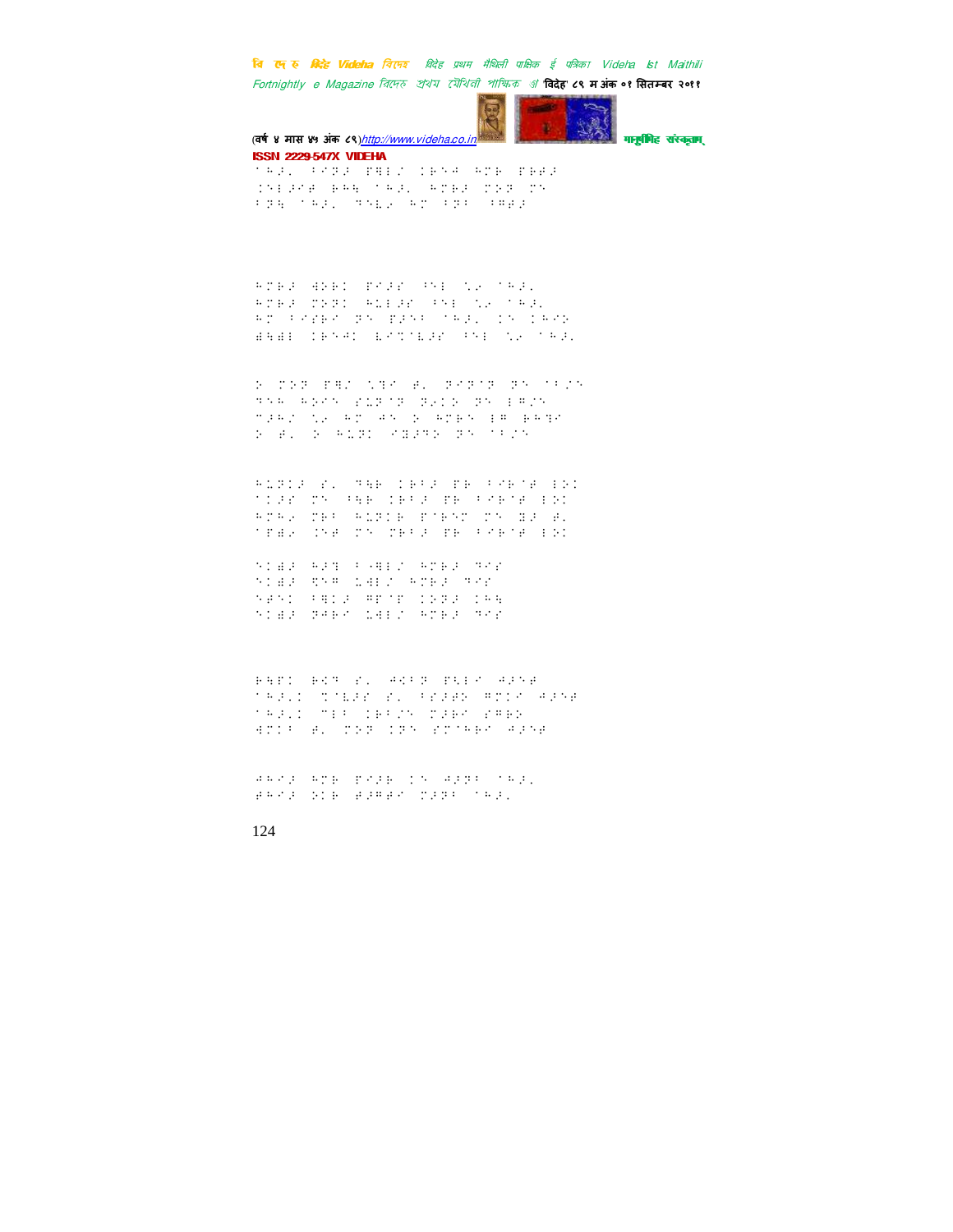बि एक रु मिनेट Videha विएक विदेह प्रथम मैथिली पाक्षिक ई पत्रिका Videha Ist Maithili Fortnightly e Magazine রিদেত প্রথম মৌথিনী পাক্ষিক প্র **বিदेह ८९ म अंक ०१ सितम्बर २०११** 



मानूबंगिह संस्कृतम्

**ISSN 2229-547X VIDEHA**  $\mathbb{E}\left[\mathcal{G}(h_{\mathcal{C}})\right] \leq \mathbb{E}\left[\mathcal{G}(h_{\mathcal{C}})\right] \leq \mathbb{E}\left[\mathcal{G}(h_{\mathcal{C}})\right] \leq \mathbb{E}\left[\mathcal{G}(\mathcal{C})\right] \leq \mathbb{E}\left[\mathcal{G}(h_{\mathcal{C}})\right] \leq \mathbb{E}\left[\mathcal{G}(h_{\mathcal{C}})\right]$ 

(वर्ष ४ मास ४५ अंक ८९)http://www.videha.co.in

ATES ANEL PASS PNE NA TAS. BABE (1989) ESTERN PAE NA TRA

STORE PROTOR (B) PARTS PATTED disk konstruction of the second states of the second states. 

开始进行进行的过去式和过去分词 电电话 人名英格兰人姓氏卡尔的变体 tive the Healter's recovered by Aray resolution results and travite consideration and an

STEP APROXIMED ATEP MAY  $\mathcal{N}^{\alpha}_{\alpha}$  and  $\mathcal{N}^{\alpha}_{\alpha}$  with the distribution of the distribution of  $\mathcal{N}^{\alpha}_{\alpha}$ NANCO PECA PENEL CORA CAR NIBA SPARK LABOR ATEA (PRI)

 $\mathbb{P}(\mathcal{H}(\Gamma),\mathcal{I}) = \mathbb{P}(\mathcal{L}(\mathcal{H})), \mathcal{L}(\mathcal{I}) = \mathbb{P}(\mathcal{L}(\mathcal{H})), \mathcal{L}(\mathcal{H}(\mathcal{H})), \mathcal{L}(\mathcal{I}(\mathcal{H}(\mathcal{H})))$ media consulta a consultado entre educa TABLE TERRITARY TORRY YARD aris al ros iss armak assa

 $\mathcal{A}(\mathcal{B},\mathcal{B},\mathcal{B})=\mathcal{B}(\mathcal{B},\mathcal{B})=\mathcal{B}(\mathcal{B},\mathcal{B},\mathcal{B})=\mathcal{B}(\mathcal{B},\mathcal{B},\mathcal{B},\mathcal{B})=\mathcal{B}(\mathcal{B},\mathcal{B}).$ and a complete and a complete the ap-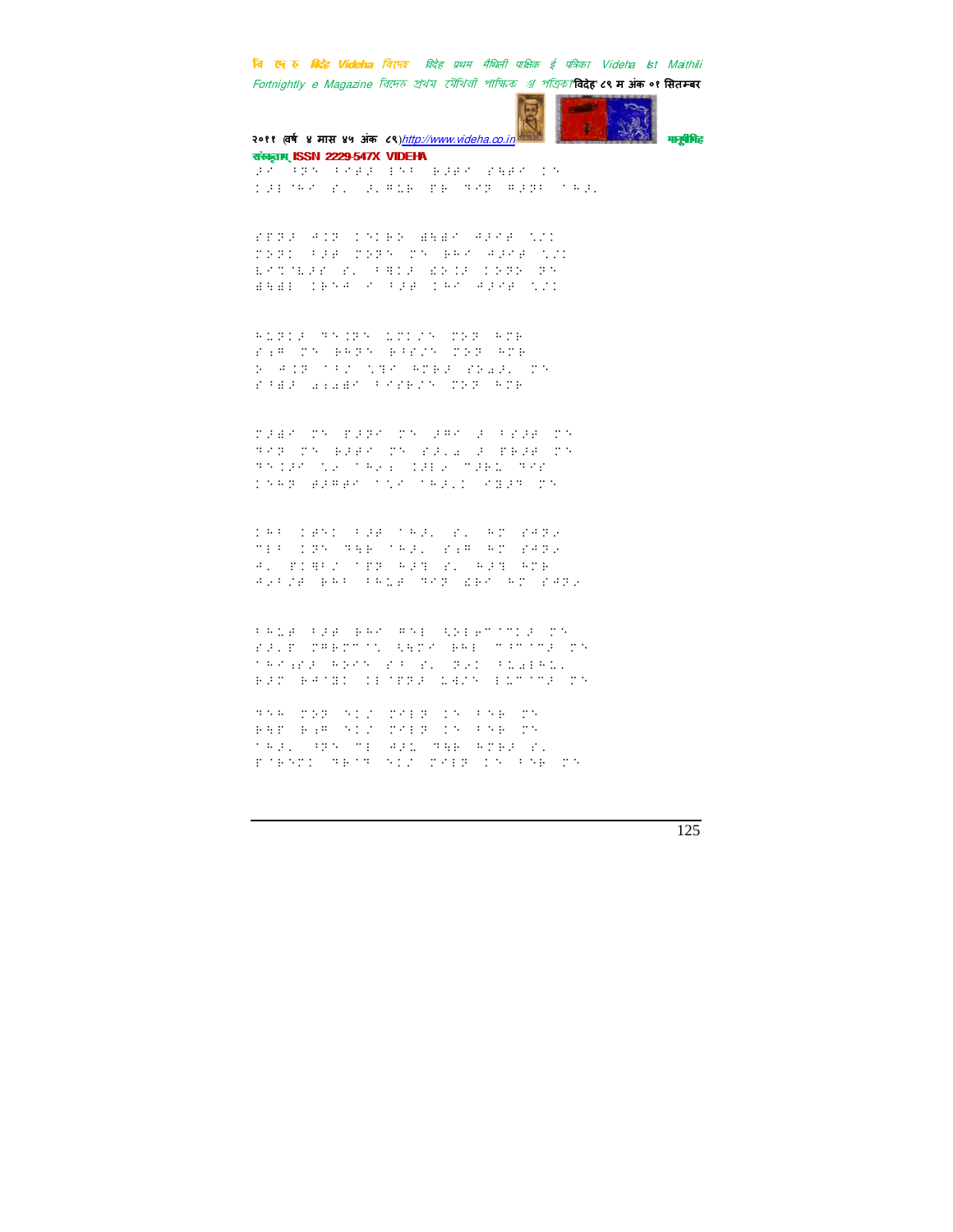बि एक रु मिनेट Videha विएक विदेह प्रथम मैथिली पाक्षिक ई पत्रिका Videha Ist Maithili Fortnightly e Magazine রিদেত প্রথম মৌথিনী পাক্ষিক প্র পত্রিকা**'বিदेह' ८९ म अंक ०१ सितम्बर** 



२०११ वर्ष ४ मास ४५ अंक ८९)http://www.videha.co.ir संस्कृतम् ISSN 2229-547X VIDEHA

an isan shekarar shekar yapha d published and cultural many medical models.

PERRY AIR INTERVANAM ARKA NOT robi (Francosco romano escalario) 

ALBIA (RNIBN LITIAN TAB) ATE ras rolescent expressions a era de car cae erea radial ro.<br>Peda ligilar espros radioeres

naskins radkins age a radarns  $\label{eq:Ricci} \begin{array}{l} \mathcal{Ric}(\mathcal{B})=\mathcal{Ric}(\mathcal{B})=\mathcal{Ric}(\mathcal{Bic}(\mathcal{B}))=\mathcal{Ric}(\mathcal{Bic}(\mathcal{B}))=\mathcal{Ric}(\mathcal{Bic}(\mathcal{B}))=\mathcal{Ric}(\mathcal{Bic}(\mathcal{B}))\\ \mathcal{Ric}(\mathcal{Bic}(\mathcal{Bic}(\mathcal{B}))=\mathcal{Ric}(\mathcal{Bic}(\mathcal{Bic}(\mathcal{B}))=\mathcal{Ric}(\mathcal{Bic}(\mathcal{Bic}(\mathcal{B}))=\mathcal{Ric}(\mathcal{Bic}(\math$ TARE REPRODUCED ARE CONSTRUCT

THE TERM FOR THOS IN THIS PARA main constitute theory and enterprise Al start tracking alongs are auchung aber condus med und er an ander

FALA FRANCESCO ESPERANTO E TOS rain reaching tark away manina ry terrare estimate and success and a Bac Bang: Is near term started ch

i marko mandialari (h. 1932).<br>1942 - Amerika II.amerikana, mandialari (h. 1904).<br>1953 - Martin Salva, mandialar (h. 1934).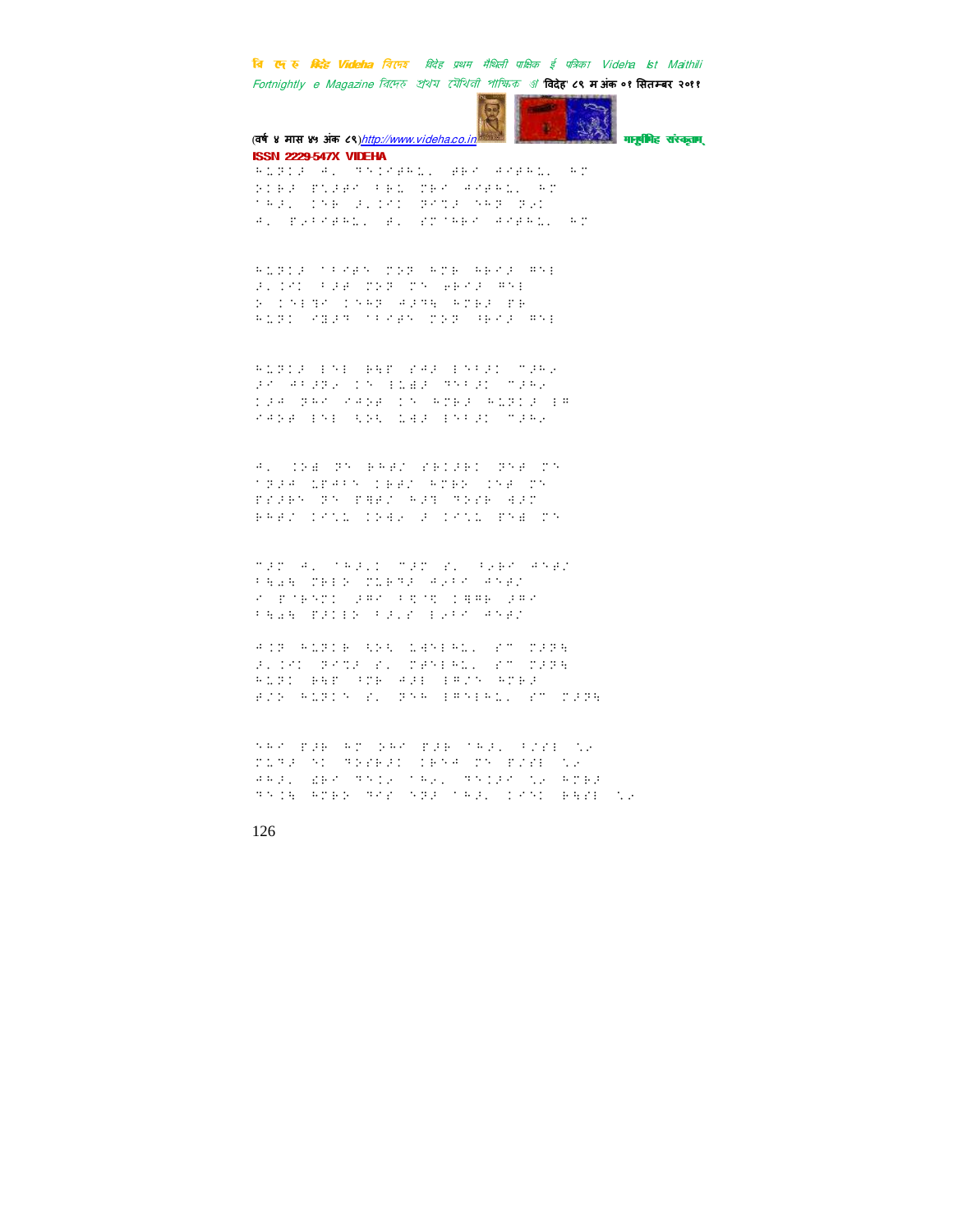चि एक स्टिट Videha विएक विदेह प्रथम मैथिली पाक्षिक ई पत्रिका Videha Ist Maithili Fortnightly e Magazine बिएक खेश्य त्योंशिती शांक्षिक श्री विदेह' ८९ म अंक ०१ सितम्बर २०११

| (वर्ष ४ मास ४५ अंक ८९)http://www.videha.co.in<br>मानुबंधिह संस्कृतम् |  |
|----------------------------------------------------------------------|--|
| <b>ISSN 2229-547X VIDEHA</b>                                         |  |
| ADDIS AL MAINEADL BEAT ANABLE AT                                     |  |
| SIER TORPO FELOTECO POPULO PT                                        |  |
| たちきょう かちもう きょうどう こまらなき こびちず こまらか                                     |  |
| 进行 人名英法罗法弗拉亚 人名亚尔 法的过去式和过去分词英语 医心包的                                  |  |
|                                                                      |  |
| 中国共会法 人名克罗普尔 人名英基 人名英格兰 医新药法 人名英麦                                    |  |
| a dan sa astronomo da ser a fara                                     |  |
| 医心脏 医新生物 化生成中生物 使使性病 人名英格兰人的变形                                       |  |
| 유입경증 이 공장 공격이 지지 못할 수 없을 것이 여행 공중이 유행되                               |  |
|                                                                      |  |
| #1717   PAL PRESPORT   PART   PART                                   |  |
| 法院 医牙法院的 经交易主要证据 医中枢电脑 化乙基苯酚                                         |  |
| 1945 1947 1945 1958 1961 1963 1963 1964                              |  |
| 的复数医生物学 人名英格兰意 电离子电源电流 医内脏中枢                                         |  |
|                                                                      |  |
| al (1988) de aparte da la parte de la provincia                      |  |
| ndae brefs (1992) edge (1993) de                                     |  |
| 的复数毛花 化热花 化的电离式 人名法菲 人名英格兰人姓氏艾                                       |  |
| おちあい こくだい こうきょう おういくだい すびまうこび                                        |  |
|                                                                      |  |
|                                                                      |  |
| 的复数人种的 人名英法比尔 的复数人名加尔法法英格兰法英语的<br>机电压电 人名托亚 医心脏血管 医牙状细胞 机气体存储器       |  |
| 的复数计算符的过去式和过去分词 机动机 化生物电子 法共同                                        |  |
| FRANCISCO FRANCISCO E ARRIVEREZ                                      |  |
|                                                                      |  |
| #19 +1919 + 1910 1458 + 10 + 10 + 10 + 10 + 10                       |  |
| a dan a banda an dara sa dan an daba                                 |  |
| 我会讲了,"我在的,你的我们把讲的,我把这个人我的我讲。                                         |  |
| ara - Firin Village a Pereiri (                                      |  |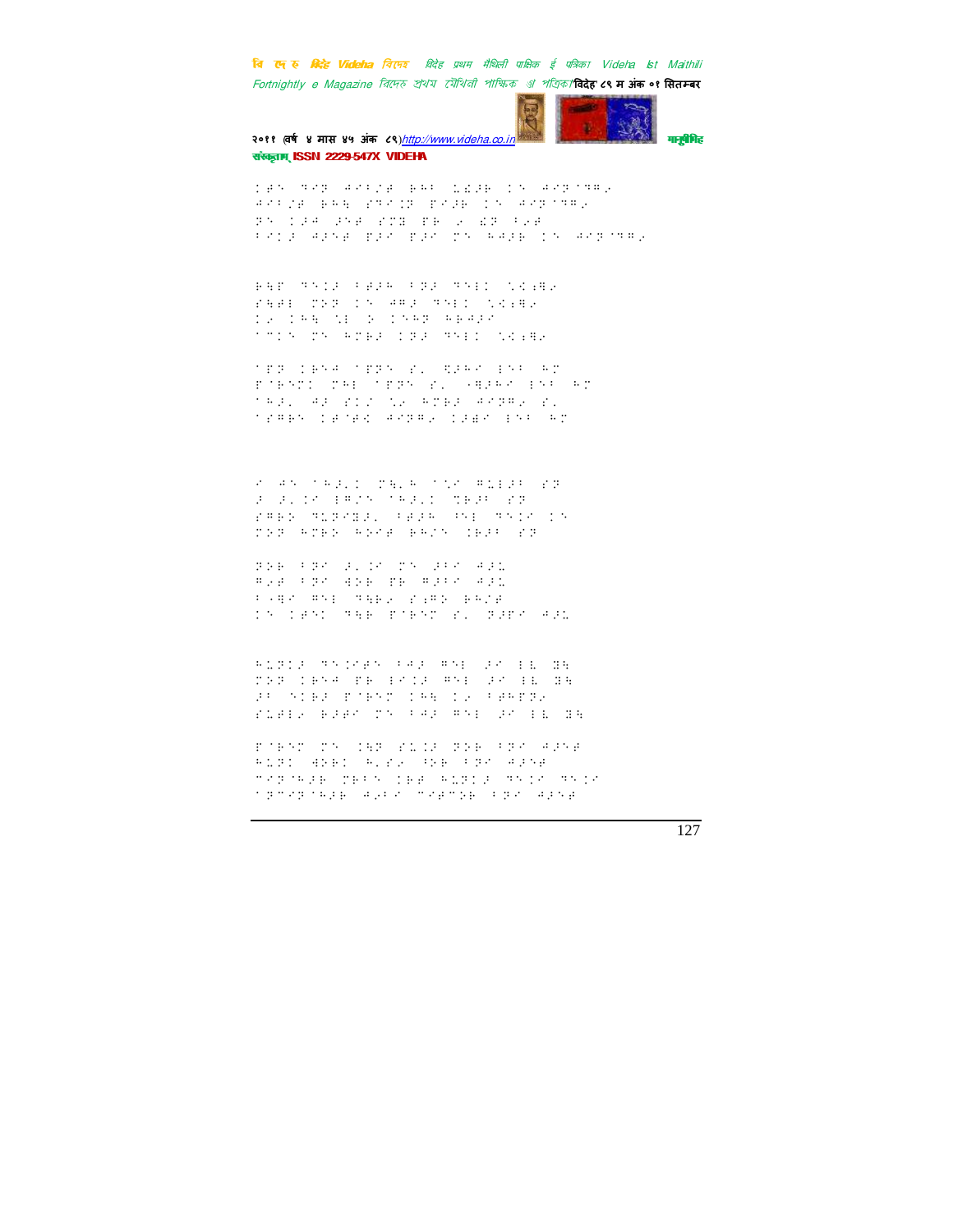बि एक स्टेट Videha विएक विदेह प्रथम मैथिली पाक्षिक ई पत्रिका Videha Ist Maithili Fortnightly e Magazine রিদেত শ্রথম মৌথিনী পাক্ষিক প্রাণবিকা**বিदेह ८९ म अंक ०१ सितम्बर** 



२०११ (वर्ष ४ मास ४५ अंक ८९)http://www.videha.co. संस्कृतम् ISSN 2229-547X VIDEHA

part and series parameter page of the end they  $\mathcal{A}(\mathcal{A}) = \mathcal{A}(\mathcal{A}) = \mathcal{A}(\mathcal{A}) = \mathcal{A}(\mathcal{A}) = \mathcal{A}(\mathcal{A}) = \mathcal{A}(\mathcal{A}) = \mathcal{A}(\mathcal{A}) = \mathcal{A}(\mathcal{A}) = \mathcal{A}(\mathcal{A}) = \mathcal{A}(\mathcal{A}) = \mathcal{A}(\mathcal{A}) = \mathcal{A}(\mathcal{A}) = \mathcal{A}(\mathcal{A}) = \mathcal{A}(\mathcal{A}) = \mathcal{A}(\mathcal{A}) = \mathcal{A}(\mathcal{A}) = \mathcal{A}(\mathcal{A})$ 

BAR SAMO PADE POL SENIO NAME raki sorus (\* 1449)<br>12. 144 (16. p. 1548) Abert this released in the seat there

TERS LENG TERN ST. REAR ENCORP reason case trasmal compare assumpt TRUCK AS SEEN NO. APARTMENTED ST. names canado espresiónes por las

# $\begin{split} \mathcal{P}_{\text{G}} & = \mathcal{P}_{\text{G}} \mathcal{P}_{\text{G}} + \mathcal{P}_{\text{G}} \mathcal{P}_{\text{G}} \mathcal{P}_{\text{G}} + \mathcal{P}_{\text{G}} \mathcal{P}_{\text{G}} \mathcal{P}_{\text{G}} + \mathcal{P}_{\text{G}} \mathcal{P}_{\text{G}} \mathcal{P}_{\text{G}} \mathcal{P}_{\text{G}} \mathcal{P}_{\text{G}} \\ \mathcal{P}_{\text{G}} & = \mathcal{P}_{\text{G}} \mathcal{P}_{\text{G}} + \mathcal{P}_{\text{G}} \mathcal{P}_{\text$ real subscript (again and show in TOR PUBLIC POST BROWN IBOX 20

does the strip of the state and  $\mathbb{H}(\mathbb{P},\mathbb{P})\rightarrow\mathbb{P}(\mathbb{P}^1\otimes\mathbb{P},\mathbb{P},\mathbb{P})\rightarrow\mathbb{P}(\mathbb{P}^1\otimes\mathbb{P},\mathbb{P}^2\otimes\mathbb{P},\mathbb{P},\mathbb{P},\mathbb{P},\mathbb{P})$  $\mathbb{E}[\mathbb{E}\{ \mathbf{q}(\mathbf{x}) \mid \mathbf{u}(\mathbf{x})\}]=\mathbb{E}[\mathbb{E}\{ \mathbf{p}(\mathbf{x}) \mid \mathbf{q}(\mathbf{x})\mathbf{p}(\mathbf{x}) \mid \mathbf{p}(\mathbf{n}(\mathbf{x})\mathbf{p})\}]$ TA TEAT PARTNERS EVERY STATE PAR

Absolute Market Care (AM) and Care Care TER INSTITE BAILENE RATING BE de sied roest iee is eerde PERBY BORY TV PROPERTY PROPERTY

ESPACE CALLER VIOLENCE PARTNERSH Absolute as a consideration of the constant medicate constructed about the construction ng meginagap sa ya sel megimpas sa guni aging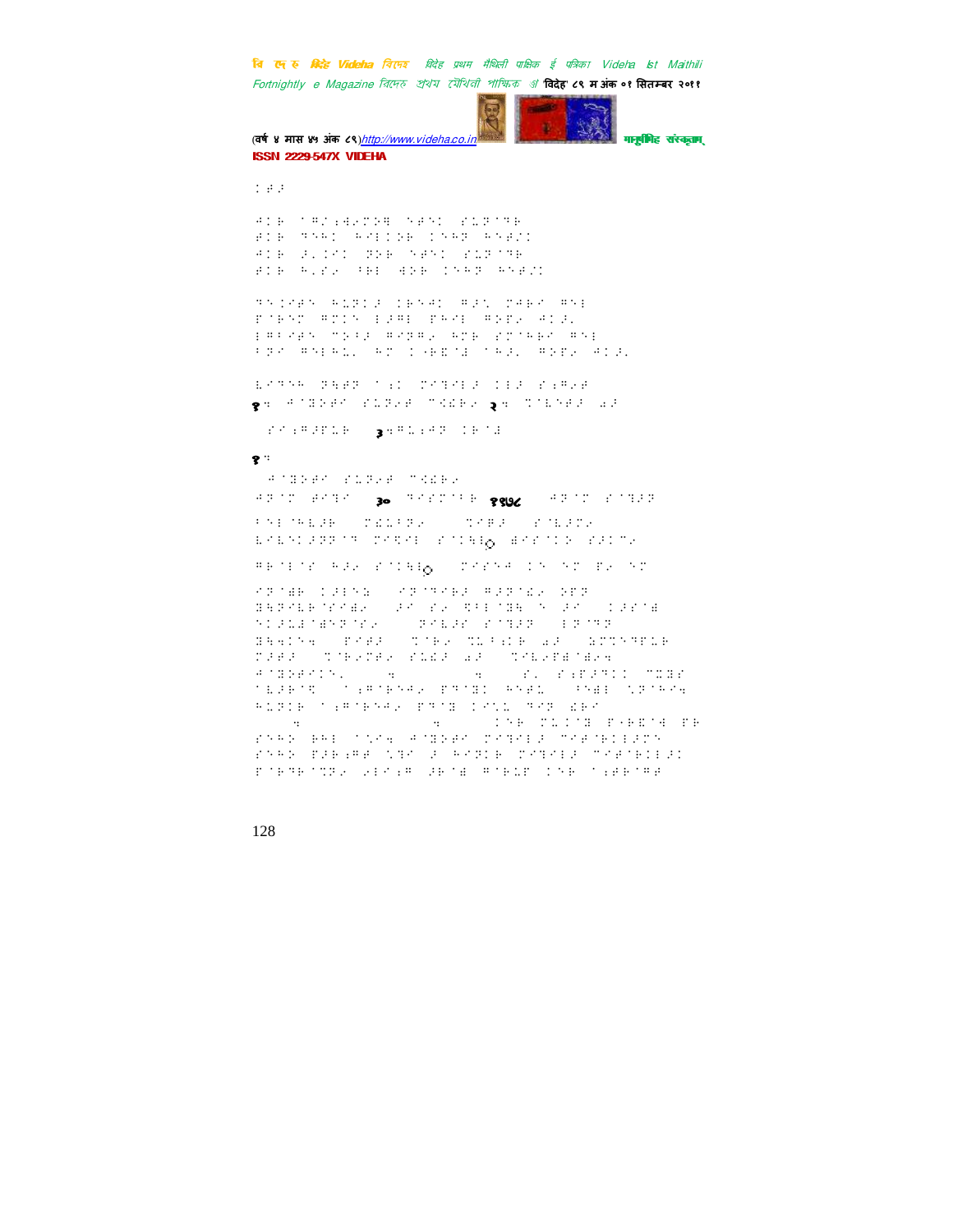बि एक स्टेट Videha विएक विदेह प्रथम मैथिली पाक्षिक ई पत्रिका Videha Ist Maithili Fortnightly e Magazine রিদেত শ্রথম মৌথিনী পাক্ষিক ওা **বিदेह ८९ म अंक ०१ सितम्बर २०११** 



(वर्ष ४ मास ४५ अंक ८९) http://www.videha.co. **ISSN 2229-547X VIDEHA** 

मानुबंधिह संस्कृतम्

 $\mathcal{L} \neq \mathcal{I}$ 

ATE CARDIALDIA SANT VIDATAE BIB START PRICE IN START PARTI Adam aldeb ase sestionaries BIB PLYS THE BIB CORP PROPI

decreas and the race and any range area roade entity free radio especially. parago mysel averal sera grosav ane FRAMENING PROTECTIVE CONSTRUCTION

ERRAN BABBI TELL DRAFFE LIEB (PERSE) es endoem roder meder es produced ad

SEARCH SARDING CHARLES

 $\bullet$  :

THIS BOARD IN DIRECT SAFEK PRINT PORC 30 RECEIVED \$800 PRINT PORCH

**CONFIRM PROPERTY** FAILINE PROTECTIVE akan zeema beska landag, akan bilazon.

RECEIVE RAY STORES I DISPAR ON THE PAID

 $\begin{array}{lcl} \mathcal{L}(\mathcal{B}) \cap \mathcal{L}(\mathcal{B}) & = & \mathcal{L}(\mathcal{B}) \cap \mathcal{L}(\mathcal{B}) \cap \mathcal{L}(\mathcal{B}) \cap \mathcal{L}(\mathcal{B}) \cap \mathcal{L}(\mathcal{B}) \cap \mathcal{L}(\mathcal{B}) \\ & = & \mathcal{L}(\mathcal{B}) \cap \mathcal{L}(\mathcal{B}) \cap \mathcal{L}(\mathcal{B}) \cap \mathcal{L}(\mathcal{B}) \cap \mathcal{L}(\mathcal{B}) \cap \mathcal{L}(\mathcal{B}) \cap \mathcal{L}(\mathcal{B}) \$  $\mathbb{C}(\mathcal{S},\mathcal{S},\mathcal{S})=\mathbb{C}(\mathbb{C}(\mathcal{S},\mathcal{S},\mathbb{C}(\mathcal{S},\mathcal{S})))\mathbb{C}(\mathbb{C}(\mathcal{S},\mathcal{S}))\mathbb{C}(\mathcal{S},\mathcal{S})=\mathbb{C}(\mathbb{C}(\mathcal{S},\mathcal{S},\mathbb{C}(\mathcal{S})))\mathbb{C}(\mathcal{S},\mathcal{S})$  $\mathbb{R}^2$  . The second particle with  $\mathbb{R}^2$ 中国自治县 经生产工厂  $\sim 100$  $\sim 100$ radere) (ramsekal parado ekano) 人名英里亚 人名英法格罗福 A DOIS CONFIDENCE CONTO INCLUSIVO CORP.

CONFIDENTIAL PARTNEL PR  $\sim 200$  $\sim 100$ an electric electronic provided and the manufacture of the control of the control of the control of the control of the control of the control of the control of the control of the control of the control of the control of th i 2006 - Edelera I Carl III, Rhadie (dinama di mhanelela)<br>Imperentas I Senier (deba i Rhadim I Sellin Senire)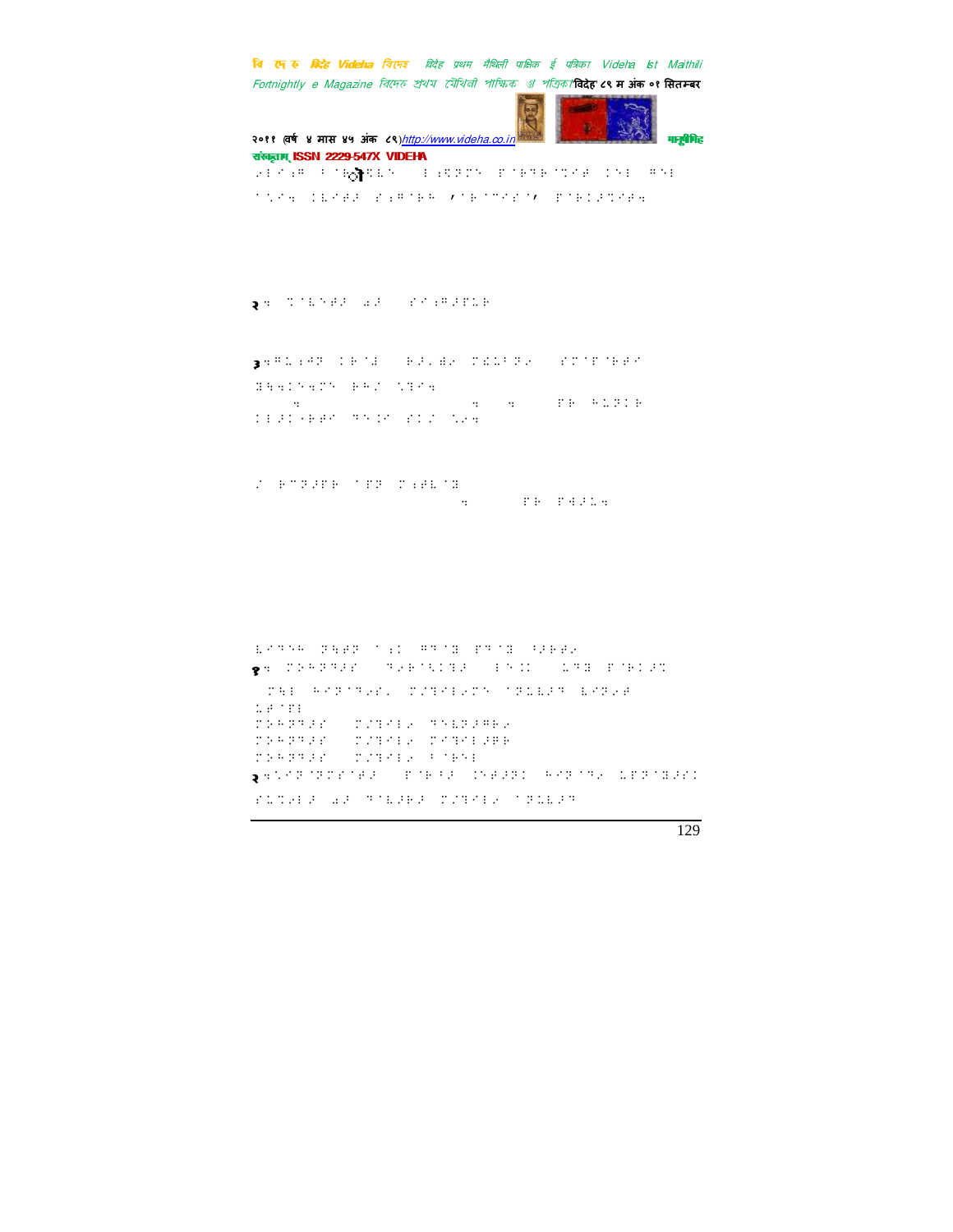चि एत् रू मिन्हे Videha निएन्थ विदेह प्रथम मैथिली पाक्षिक ई पत्रिका Videha Ist Maithili Fortnightly e Magazine রিদেহ প্রথম মৌথিনী পাক্ষিক প্র পত্রিকা**'বিदेह' ८९ म अंक ०१ सितम्बर** 



New Secretary Secretary Secretary Property Construction of the Secretary Original Construction of the Secretary Original Construction of the Secretary Original Construction of the Secretary Original Construction of the Or ⣁⣒!⣇⢾⢼!⣐⢻⢷⢳!'⢷^'!3⢷⢼⣉⢾⣒!

२⣒!⣉⣇⢾⢼!⣔⢼!)⣐⢻⢼3⣅⢷\*!!

३⣒⢻⣅⣐⢺⢽!⢷⣜!!⢷⢼F⣞⢴!⣎⣅⢽⢴-!3⢷⢾! ⣝⣓⣒⣒!⢷⢳5!⣁⣙⣒! xx and their control of the second participate the second participate of the second participate of 6⢼C⢷⢾!⢹⣈!5!⣁⢴⣒!

 $5.7^\circ$   $\pm$   $7.3^\circ$   $\pm$   $3.3^\circ$   $\pm$   $3.3^\circ$   $\pm$   $3.3^\circ$   $\pm$   $3.3^\circ$   $\pm$   $3.3^\circ$   $\pm$ hhbkfoesbAwjefib⣒dpn!3⢷!3⣚⢼⣅⣒!!

⣇⢹⢳!⢽⣓⢾⢽!⣐!⢻⢹⣝.3⢹⣝!⢸⢼⢷⢾⢴! १⣒!⢵⢳⢽⢹⢼!)⢹⢴⢷⣃⣙⢼\*;6⣈;!⣅⢹⣝!3⢷⢼⣉! )⣓6!⢳⢽⢹⢴F!5⣙6⢴!⢽⣅⣇⢼⢹!⣇⢽⢴⢾! ⣅⢾36\*! ⢵⢳⢽⢹⢼!)5⣙6⢴.⢹⣇⢽⢼⢻⢷⢴\*! ⢵⢳⢽⢹⢼!)5⣙6⢴.⣙6⢼⢿⢷\*! ⢵⢳⢽⢹⢼!)5⣙6⢴.⢷6\*! २⣒⣁⢽⢽⢾⢼.!3⢷⢸⢼!⣈⢾⢼⢽!⢳⢽⢹⢴!⣅3⢽⣝⢼! ⣅⣉⢴6⢼!⣔⢼!⢹⣇⢼⢷⢼!5⣙6⢴!⢽⣅⣇⢼⢹!!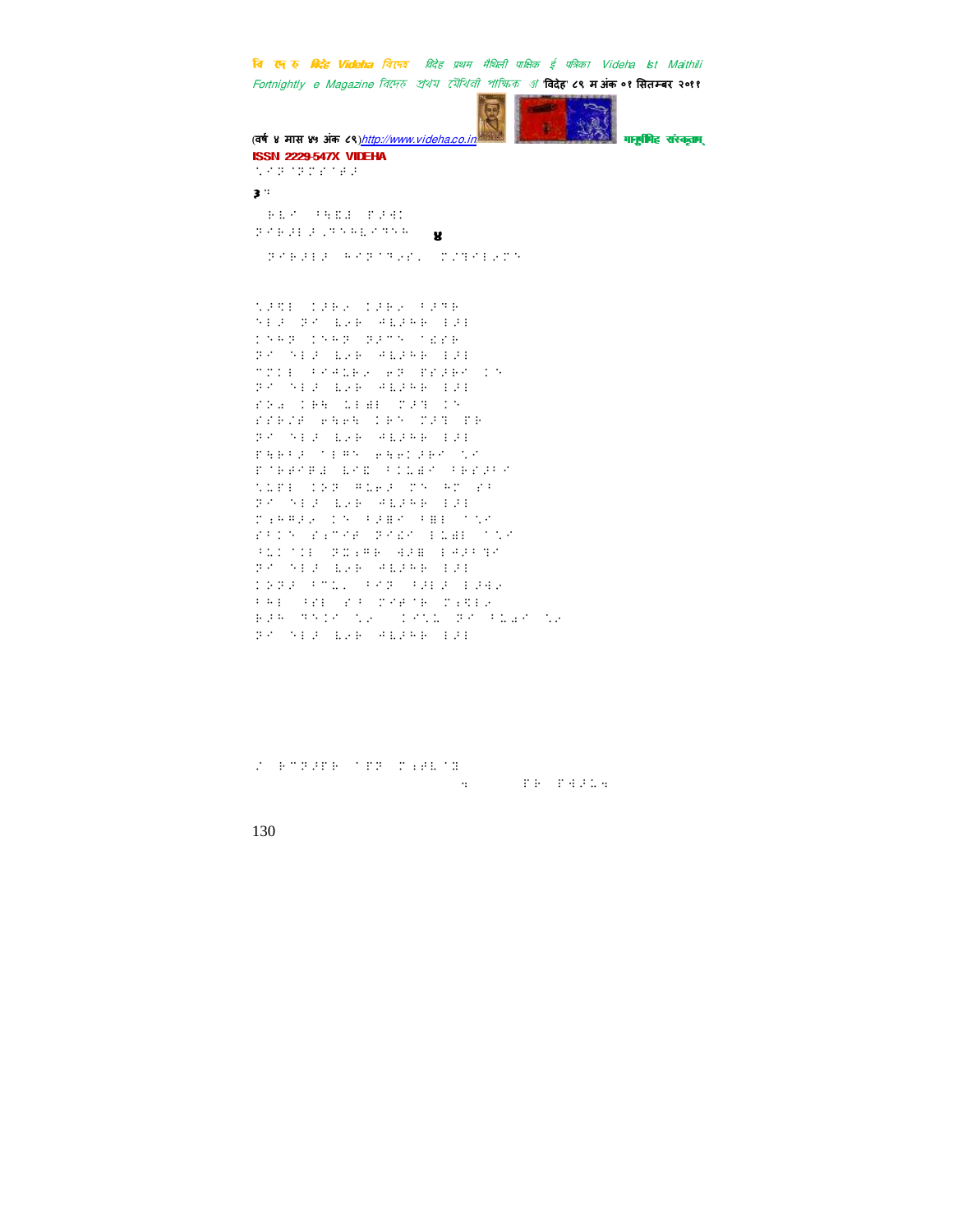चि एत् रू मिन्हे Videha निएन्थ विदेह प्रथम मैथिली पाक्षिक ई पत्रिका Videha Ist Maithili Fortnightly e Magazine विरमह शेथेग द्योंथिवी शीष्मिक औ **विदेह' ८९ म अंक ०१ सितम्बर २०११** 

(वष ४ मास ४५ अंक ८९)http://www.videha.co.in/ मानुषीिमह संकृताम् ISSN 2229-547X VIDEHA ⣁⢽⢽⢾⢼!  $3$  : !⢷⣇!⢸⣓⣏⣜!3⢼⣚! ⢽⢷⢼6⢼⣀⢹⢳⣇⢹⢳!.४ )⢽⢷⢼6⢼!⢳⢽⢹⢴F!5⣙6⢴\*!

⣁⢼⣋6!⢼⢷⢴!⢼⢷⢴!⢼⢹⢷! 6⢼!⢽!⣇⢴⢷!⢺⣇⢼⢳⢷!6⢼6! ⢳⢽!⢳⢽!⢽⢼^!⣎⢷! ⢽!6⢼!⣇⢴⢷!⢺⣇⢼⢳⢷!6⢼6!  $\label{eq:3.1} \begin{array}{ll} \texttt{``7.14} & \texttt{``7.14} & \texttt{``8.24} & \texttt{``8.34} & \texttt{``8.34} \\ \texttt{``7.14} & \texttt{``8.34} & \texttt{``8.34} & \texttt{``8.34} \\ \texttt{``9.14} & \texttt{``9.14} & \texttt{``9.14} & \texttt{``9.14} & \texttt{``9.14} \\ \texttt{``9.14} & \texttt{``9.14} & \texttt{``9.14} & \texttt{``9.14} & \texttt{``9$ ⢽!6⢼!⣇⢴⢷!⢺⣇⢼⢳⢷!6⢼6! ⢵⣔!⢷⣓!⣅6⣞6!⢼⣙!! ⢷5⢾!⢶⣓⢶⣓!⢷!⢼⣙!3⢷!!  $\mathbb{P}[\mathcal{S}^{\mathcal{S}}] = \mathbb{P}[\mathcal{S}^{\mathcal{S}}] = \mathbb{E}[\mathcal{S}^{\mathcal{S}}] = \mathbb{E}[\mathcal{S}^{\mathcal{S}}] = \mathbb{E}[\mathcal{S}^{\mathcal{S}}] = \mathbb{E}[\mathcal{S}^{\mathcal{S}}]$ 3⣓⢷⢼!6⢻!⢶⣓⢶⢼⢷!⣁! 3⢷⢾⢿⣜!⣇⣏!⣅⣞!⢷⢼! ⣁⣅36!⢵⢽!⢻⣅⢶⢼!!⢳!!  $\mathcal{P}(\mathcal{C}) = \mathcal{P}(\mathcal{C})$  . In particular, we have  $\mathcal{P}(\mathcal{C})$ ⣐⢳⢻⢼⢴!!⢼⣟!⣟6!⣁! !⣐^⢾!⢽⣎!6⣅⣞6!⣁! ⢸⣅⣈6!⢽⣍⣐⢻⢷!⣚⢼⣟!6⢺⢼⣙!! ⢽!6⢼!⣇⢴⢷!⢺⣇⢼⢳⢷!6⢼6! ⢵⢽⢼!^⣅F!⢽!⢸⢼6⢼!6⢼⣚⢴! ⢳6!⢸6!⢸!⢾⢷!⣐⣋6⢴! ⢷⢼⢳!⢹⣈!⣁⢴!-⣁⣅!⢽!⣅⣔!⣁⢴!  $\mathcal{P}(\mathcal{C}) = \mathcal{P}(\mathcal{C})$  . In particular, we have  $\mathcal{P}(\mathcal{C})$ 

 $5.7^\circ$   $\pm$   $7.3^\circ$   $\pm$   $3.3^\circ$   $\pm$   $3.3^\circ$   $\pm$   $3.3^\circ$   $\pm$   $3.3^\circ$   $\pm$   $3.3^\circ$   $\pm$ hhbkfoesbAwjefib⣒dpn!3⢷!3⣚⢼⣅⣒!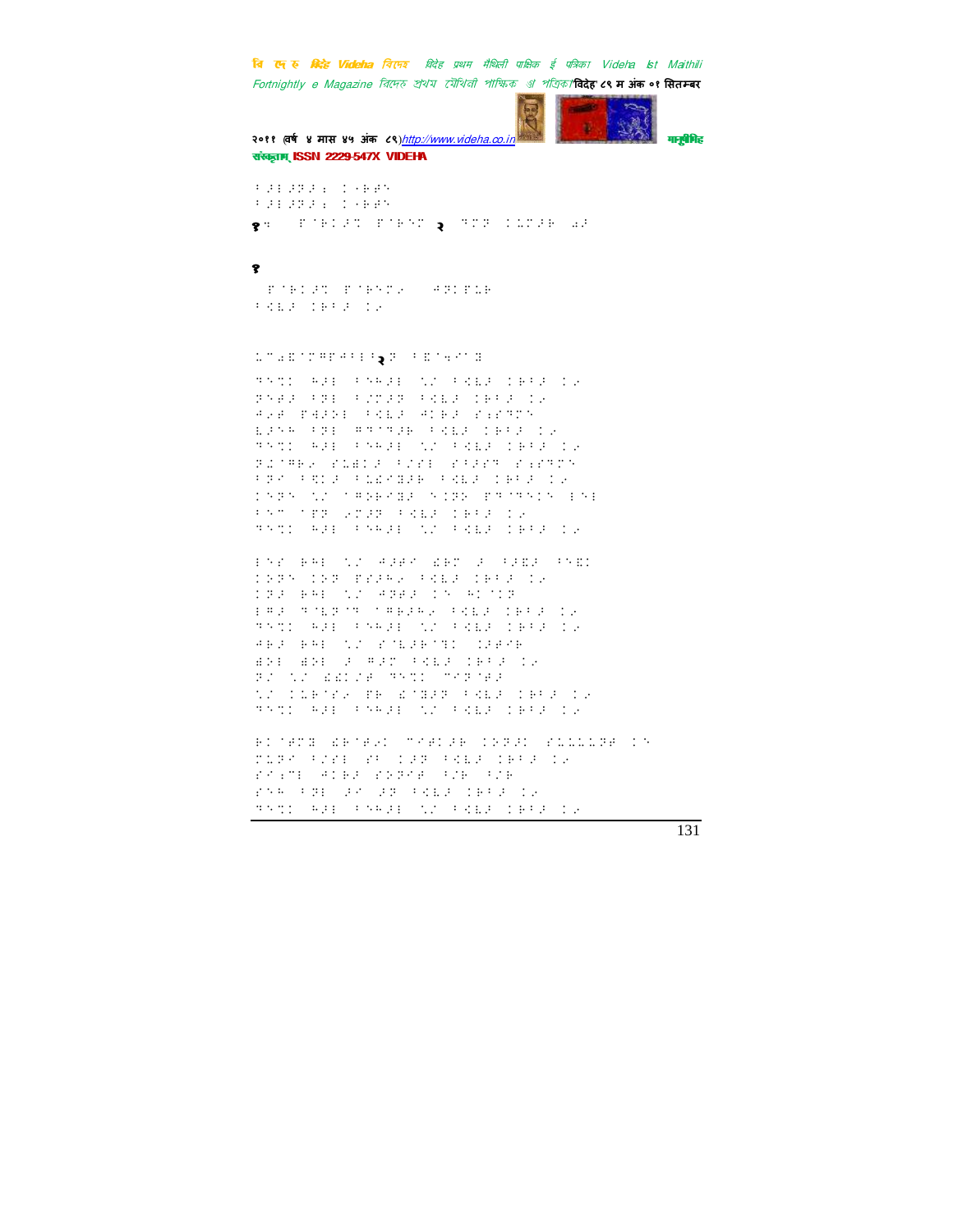बि एक स्टेट Videha विएक विदेह प्रथम मैथिली पाक्षिक ई पत्रिका Videha Ist Maithili Fortnightly e Magazine রিদেহ প্রথম মৌথিনী পাক্ষিক প্রা পত্রিকা**'বিदेह' ८९ म अंक ०१ सितम्बर** 

२०११ (वर्ष ४ मास ४५ अंक ८९)http://www.videha.co. संस्कृतम् ISSN 2229-547X VIDEHA

**CONTRACT**  $\mathcal{G}$ मानुबेमिह

es (Freduct Frencie) mod documental

S.

SPORT PORTESTS CONTRACT 中国主張の工事も決定する。

charters: 5 p. crossing

(株分間1) 一般決定 一部 外科決定 一部式 一部 校正決定 11 新規決定 11 分 SARA PERSONAS PRESIDENTAL ESSA FREUROPER FREE CEPT CA 共存性は、中央主にも存在決主になることは主決して重要決してい SCHERAUSSELBURGEN SPRED SERVICE 未要的 医淋巴结 医血管性结核 医尿血清 工事机构 工业 TREACTOR PERSONS IN THE PROPERTY FACTORE STAR FREE IREA IS HATI REPORTED TO PRESCRIPTION

ENR PRESSURER WAR SERVICE PARA PART TODAY TOO FEARLY FEED TEEP TO 199 BALLAN REPAIRS ADMIR ERROR NERVAL CREARS CRIER CERRA CO MACD AND PARKE CONFIDENCE DRIVES REAGENE CONTROLLED CONTROL BOILENE DE PROTECER CEPRICO die ster aan zie vormen med hele. NO CORTES PROGRAM FOR CORTES. MANITORIA (PARIE NI PRIME IRPORT)

a conadido a a na Sconneacha a conseguiu a copopa e cons TERM PORT ON CORP. POER CEPTA CA ESPECIAL ALEXANDER AND PORTABLE 学习中心中学生 人名德尔法莫尔 中间电话 化生物法化生成 TATI AFECTARE CONTROLLING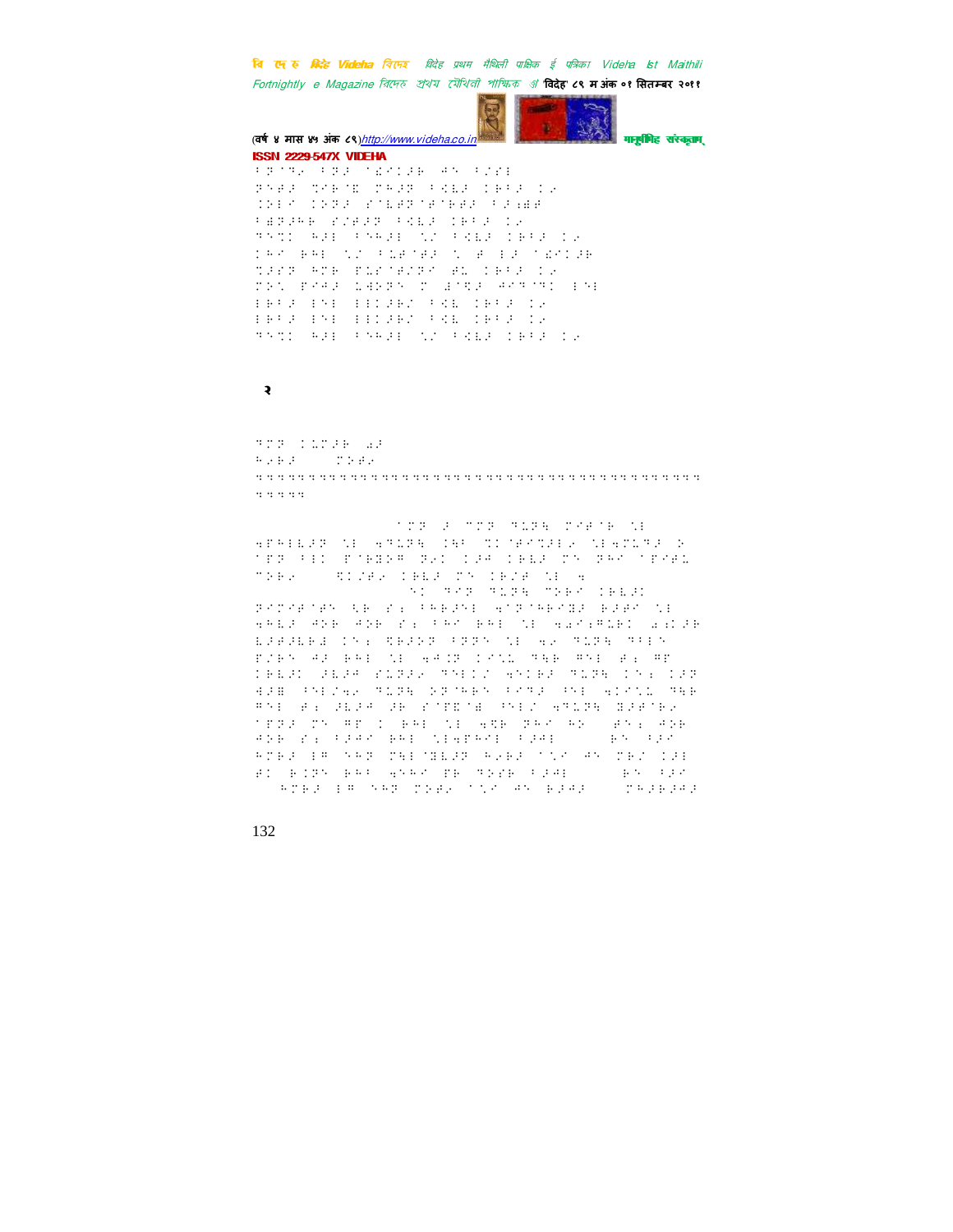चि एक रु मिनेह Videha विएक विदेह प्रथम मैथिली पाक्षिक ई पत्रिका Videha Ist Maithili Fortnightly e Magazine রিদেত শ্রথম মৌথিনী পাক্ষিক ওা **বিदेह ८९ म अंक ०१ सितम्बर २०११** 

(वर्ष ४ मास ४५ अंक ८९)http://www.videha.co.i. मानूबंगिह संस्कृतम् **ISSN 2229-547X VIDEHA** FROM PRESS CASE PASSAGE specification characteristics of THE KIND OF A STEAD OF ORDER OF A BEA FEBURE PORTE FOLD CEFT CO. PAND PAIL FARAL NO FREADERS IN paint also that supported in the construction TREP ATE PLEASERS BL IBFR IN roc real cases r and activities a aktiviti ya mata wakati ta kukiti ya mata wa mata wa mata wa mata wa mata wa mata wa mata wa mata wa mata wa<br>Mata wa mata wa mata wa mata wa mata wa mata wa mata wa mata wa mata wa mata wa mata wa mata wa mata wa mata w MANITORIA PRARIA LINE PREPIDENTIS

### ₹

**STRIDGER WAR** 开设的第三人  $-75.83$ and and and the

TIP A TER PLAN THREE ME A PARENT ART A PORATORY TO TAKING A TORATORY OF nad film analysis due televisive developed 共生的 经一 discribed that will be a significant and discrimination of a substitution of the state of the state of the  $\mathcal{A}(\mathcal{B}(E),\mathcal{F})=\mathcal{A}(\mathcal{B}(E))=\mathcal{A}(\mathcal{B}(E))=\mathcal{B}(\mathcal{B}(E))=\mathcal{B}(\mathcal{B}(E))=\mathcal{B}(\mathcal{B}(\mathcal{B}(E))=\mathcal{B}(\mathcal{B}(E))=\mathcal{B}(\mathcal{B}(E))=\mathcal{B}(\mathcal{B}(E))=\mathcal{B}(\mathcal{B}(E))=\mathcal{B}(\mathcal{B}(E))=\mathcal{B}(\mathcal{B}(E))=\mathcal{B}(\mathcal{B}(E))=\mathcal{B}(\mathcal{B}(E))=\mathcal{B}(\mathcal{B}($ EVALUES IN PURPORT FROM THE AVENUE OF FREM FORM AS RAILINE ARISED CANDIDARY AND RECAR iala (ala kalendar melih kecak mumering liam<br>alam melih mumering menyakan melih kini mel tradical entre el participa de analisa de la para

AND YOUR PARTIES INTO THE SALE (長久) (中国語) A DA 2014 A 1990 DONA CON 22 A 24 20 DONA 1990 DA 2012 2  $\sim 4.5\times 0.13$ at a try and announcement range of A DESCRIPTION PORT OF SALES AND RESPONSE  $\mathcal{L}^{\mathcal{L}}(\mathcal{L}^{\mathcal{L}}(\mathcal{L}^{\mathcal{L}}(\mathcal{L}^{\mathcal{L}}(\mathcal{L}^{\mathcal{L}}(\mathcal{L}^{\mathcal{L}}(\mathcal{L}^{\mathcal{L}})))$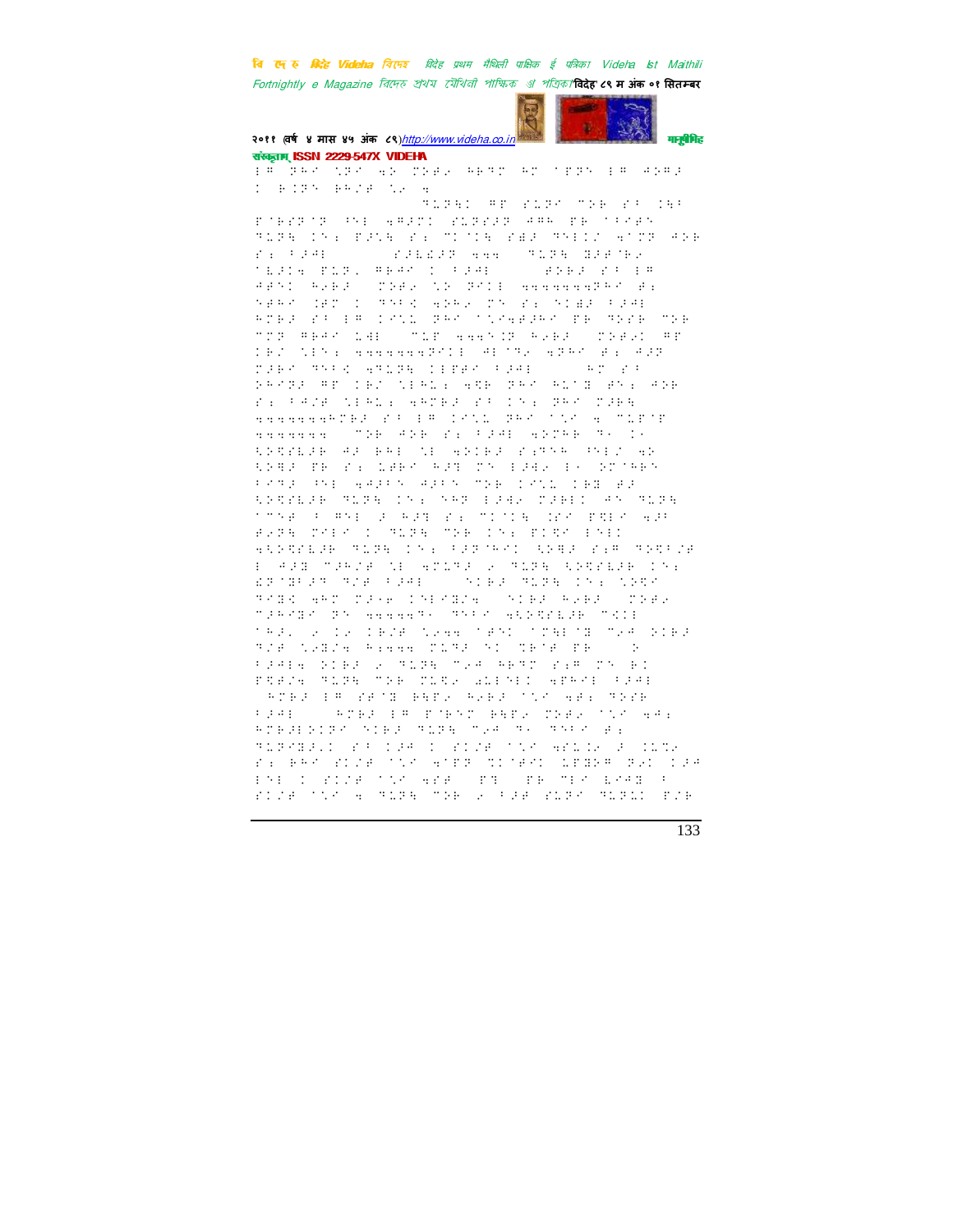बि एक रु मिन्हे Videha विरफ्श विदेह प्रथम मैथिली पाक्षिक ई पत्रिका Videha Ist Maithili Fortnightly e Magazine রিদেচ প্রথম মৌথিনী পাক্ষিক *ঙা পত্রিকা'* विदेह' ८९ म अंक ०१ सितम्बर

२०११ (वर्ष ४ मास ४५ अंक ८९) http://www.videha.co.i संस्कृतम् ISSN 2229-547X VIDEHA



if a control of the state of the state of the state of the state of the state of the state of the state of the 1 FIRST PROFILE  $\cdot$ :

STREET SERVICES TERMS TO representativa capacio riprindo apportante en capa PORA CAS ERRA SE TOTAL SER PAECO ATTROPADA 的复数医学中的  $\left\langle \begin{array}{ccc} a^2 \end{array} \right\rangle \left\langle \begin{array}{ccc} b & b & c \\ c & d & d \end{array} \right\rangle \left\langle \begin{array}{ccc} a & b & c \\ c & d & d \end{array} \right\rangle \left\langle \begin{array}{ccc} b & b & c \\ d & d & d \end{array} \right\rangle \left\langle \begin{array}{ccc} b & b & c \\ d & d & d \end{array} \right\rangle$ tagia ripl'eser i Fggg ○ 新型新規 (金属) 主要 将兵を打つ 共会長法 () n an de la composició de la composició de la composició<br>Alban de la composició de la composició de la composició<br>Alban de la filla composició de la composició de la composició de mod earl car ( min asside also ( praid en Sina Saasaasadoo kiisa Sabad ay San  $\frac{1}{2}$  is  $\frac{1}{2}$  $\mathbb{R}^n \times \mathbb{R}^n \times \mathbb{R}^{n \times 2}$  $\mathbb{P}(\mathcal{S},\mathbb{R}^{n})=\mathbb{P}(\mathcal{S},\mathbb{R}^{n})\leq \mathbb{P}(\mathbb{R}^{n})\mathbb{P}(\mathbb{R}^{n})=\mathbb{P}(\mathbb{R}^{n})\mathbb{P}(\mathbb{R}^{n})\leq \mathbb{P}(\mathbb{R}^{n})\mathbb{P}(\mathbb{R}^{n})$ SARDO PELICENTINEALE ARE DARK ALTERNATIVASE ra (Ferre diese ausgebreit rei 1594) der briefe aassaskerik (riigi 1951) en den soos astronom  $\label{eq:Ricci} \begin{split} \mathcal{C}^{(0)}(S,\Phi) = \mathcal{C}^{(1)}(S,\Phi) = \mathcal{C}^{(1)}(S^{(1)}(S,\Phi) \Phi) = \mathcal{C}^{(1)}(S,\Phi) \Phi = \mathcal{C}^{(1)}(S^{(1)}(S),\Phi) \Phi = \mathcal{C}^{(1)}(S^{(1)}(S),\Phi) \Phi = \mathcal{C}^{(1)}(S^{(1)}(S),\Phi) \Phi = \mathcal{C}^{(1)}(S^{(1)}(S),\Phi) \Phi = \mathcal{C}^{(1)}(S^{(1)}(S),\Phi) \Phi = \mathcal{C}$ and and and a KORYEZH AZ BAE (18. aDIBZ YINA) PAEZ aD these memory was someoned adapted to prove sund the gast will see the the team as CONSERVATION CONTRACTORS TRANSPORT n med i komen i de skam i andronisk i dansk antalkskape.<br>Dagen i bredski dometičke i bredske antalkske alektroniske A CONSTRUER TROUBER OF A STRUCK AND TROUBLE TREATMOND COR E PARE TRAVA NE ROLAR DO ALPA ADECERA (DA EDITOR 2001 (PORT FOREST)  $\begin{array}{l} \#(\mathcal{B}) \cap \mathcal{B} \neq \mathcal{B} \Rightarrow \neg \mathcal{B} \neq \mathcal{B} \Rightarrow \neg \mathcal{B} \neq \mathcal{B} \Rightarrow \neg \mathcal{B} \Rightarrow \mathcal{B} \Rightarrow \neg \mathcal{B} \Rightarrow \mathcal{B} \Rightarrow \neg \mathcal{B} \Rightarrow \mathcal{B} \Rightarrow \neg \mathcal{B} \Rightarrow \mathcal{B} \Rightarrow \neg \mathcal{B} \Rightarrow \mathcal{B} \Rightarrow \neg \mathcal{B} \Rightarrow \mathcal{B} \Rightarrow \neg \mathcal{B} \Rightarrow \mathcal{B} \Rightarrow \neg \mathcal{B} \Rightarrow \mathcal{B} \Rightarrow \neg \math$ making in the community constant above produce condita TRACTOR DO DEVELOPER TENDO TRESTO TOR DORA ara tumba kiasa miak yi meteoret FOREST STEP OF MODEL TO FIRED COORDINATES FRACA PLPA TOE TLRS albert affect for A DEVILLE CONTROLLER DV CAVEVO CONTROLLER CONVER ma pedagog i anglica generali antica i move i analistici gli stamo ra eskilatore non anno dinekti prope duti tue  $\sim$  ray (  $\sigma_{\rm H}$  and  $\sim$  and  $\sigma_{\rm H}$ ENE CONTINENTARY ARREST PRO rive to a suse the same resource of the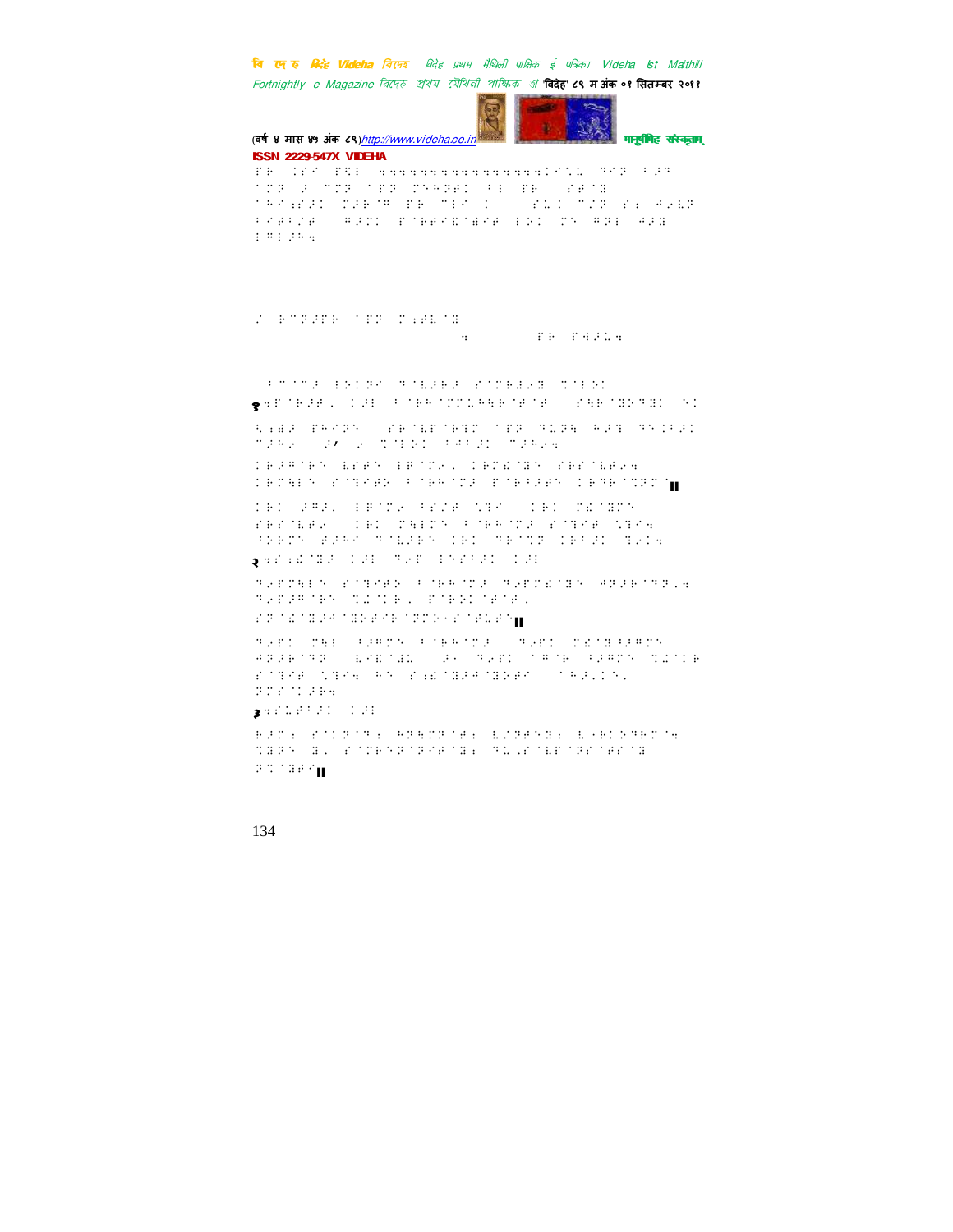बि एक स्टेट Videha विएक विदेह प्रथम मैथिली पाक्षिक ई पत्रिका Videha Ist Maithili Fortnightly e Magazine রিদেত শ্রথম মৌথিনী পাক্ষিক ওা **বিदेह ८९ म अंक ०१ सितम्बर २०११** 



**ISSN 2229-547X VIDEHA** 

CORTESER TEACHERS  $\mathcal{H}^{\mathcal{A}}$ **SACTO PERMITTED** 

TRIP THAT END ART IN TEACHER TO TEACH TIME NO. espirada u idida i sinas nobelesa na na ili vrsa novisori i vo

 $\mathcal{K}_\mathcal{A} \oplus \mathcal{B} \oplus \mathcal{A} \oplus \mathcal{B} \oplus \mathcal{B} \oplus \mathcal{B} \oplus \mathcal{B} \oplus \mathcal{B} \oplus \mathcal{B} \oplus \mathcal{B} \oplus \mathcal{B} \oplus \mathcal{B} \oplus \mathcal{B} \oplus \mathcal{B} \oplus \mathcal{B} \oplus \mathcal{B} \oplus \mathcal{B} \oplus \mathcal{B} \oplus \mathcal{B} \oplus \mathcal{B} \oplus \mathcal{B} \oplus \mathcal{B} \oplus \mathcal{B} \oplus \mathcal{B} \$ male all classic commission elegants male alle

CRAFTEN EVENT ER TOXIC CROWTEN VIRVIERAN carers in renew is needed and spent care nobom

TECHNICA ESTA PROFINENTAL DEL TROPEDA PERMISSION DEL CONTONO POR POSSIBILIZIONE CONSE FRANCH ROBERT STEPHEN (1931) SPACE CORPORATION CA geradion componentations

PARTIES CONTROL PORTUGAL PARTIENT APPENDENCE Supported (Sidnie Lineradorene) with the notice in the extendition of the blending

and the carbon of the contract and entry and contract of the 37371399

39719731 128

a ditta il anno din sull'Adapto nella l'altroparada il la vacio sectione **CORPORATION CONSTRUCTION CONTROL CONTROL CONTROL** 2010/27 00: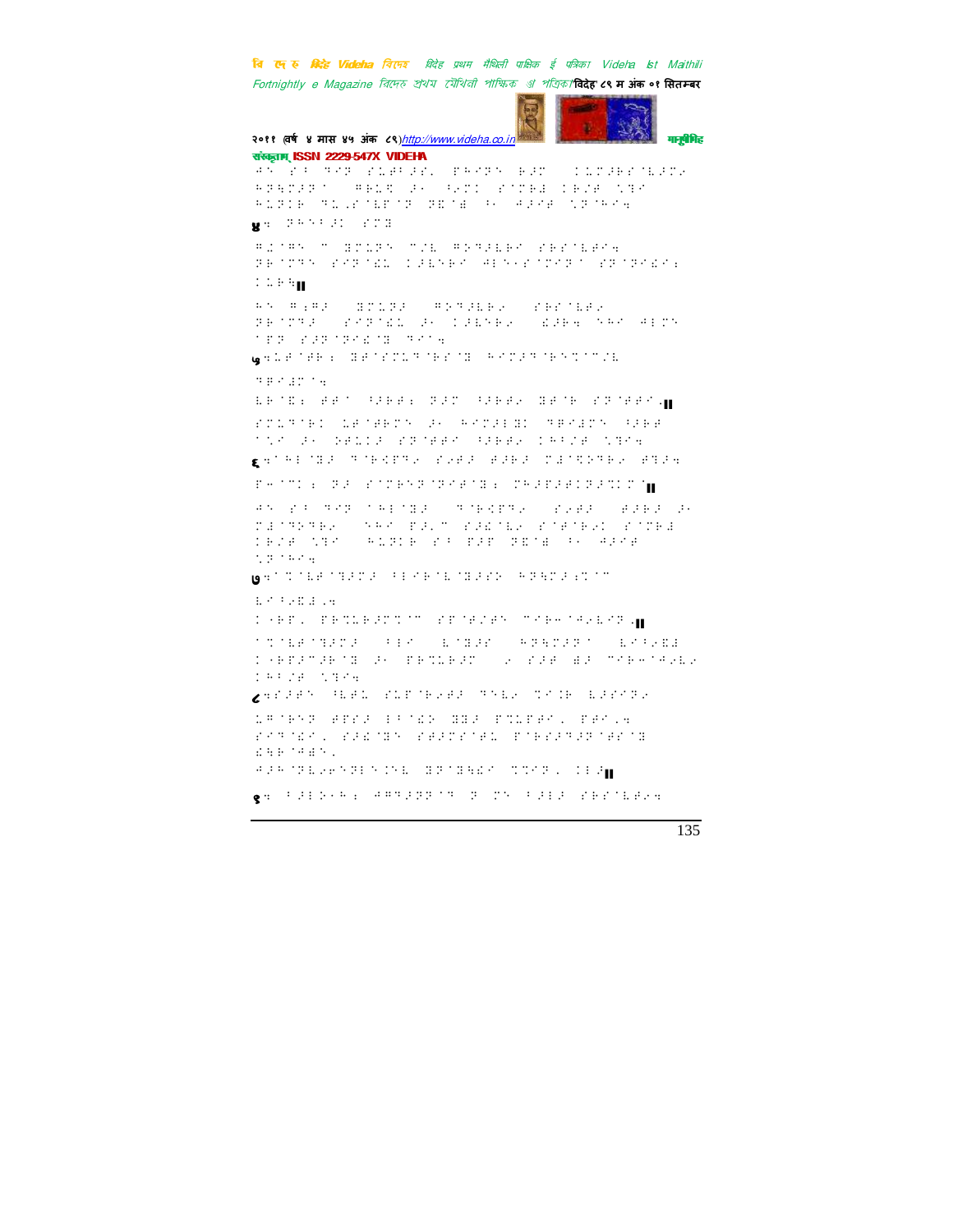Fortnightly e Magazine রিদেত শ্রথম মৌথিনী পাক্ষিক প্রাণবিকা**বিदेह ८९ म अंक ०१ सितम्बर CONTRACT** २०११ (वर्ष ४ मास ४५ अंक ८९) http://www.videha.co.ir मानुबैमिह संस्कृतम् ISSN 2229-547X VIDEHA ian) (parliama conseguente managemento suportante por ROBOSO - PELO SA SANTO PODER TEMPUNGA espresions la carco prova lo lo della liberale ge denne at anna RICHA TOBOLEA TIME RARABRO SPECIERNE de transportante posser el nombre de transporta 工业的原因  $\mathbb{R}[\mathcal{N}]\times \mathbb{R}[\mathcal{A}]\mathbb{R}[\mathcal{N}]\times \mathbb{R}[\mathcal{X}]\mathbb{R}[\mathcal{Y}]\times \mathbb{R}[\mathcal{N}]\mathbb{R}[\mathcal{X}]\mathbb{R}[\mathcal{N}]\times \mathbb{R}[\mathcal{X}]\mathbb{R}[\mathcal{X}]\times \mathbb{R}[\mathcal{X}]\times \mathbb{R}[\mathcal{X}]\times \mathbb{R}[\mathcal{X}]\times \mathbb{R}[\mathcal{X}]\times \mathbb{R}[\mathcal{X}]\times \mathbb{R}[\mathcal{X}]\times \mathbb{R}$ PECTRA CARABIAN ANCIANNEL CARES NERVORITY TER SPREAMENT PATH websites a coardinate complex parties promote **PERSONA** ERICLE RAIL SARAH DADI SARAH DAIR HOLDARAN ( ROLENSI LANGEDY DE SACRIBI PRAIDY PRES nick as sector researchees teachers. Care gianna nad impedemo i poedi lededi i pandomeo i emdal e e processo e a conseguir de celhos de especientos o no  $\mathcal{A}(\mathcal{N})=\{f: \mathcal{X}=\mathcal{X}(\mathcal{X})\in\mathcal{X}(\mathcal{X})\mid f\in\mathcal{X}(\mathcal{X})\}$  $\label{eq:3.1} \mathcal{L}=\mathcal{L}(\mathcal{L}(\mathcal{L}(\mathcal{L})))=\mathcal{L}(\mathcal{L}(\mathcal{L}(\mathcal{L})))=\mathcal{L}(\mathcal{L}(\mathcal{L}(\mathcal{L})))$ - 共に長め前先会 The experience and a resource telephone of the a 空通の件を生存を行 iaza den supra esperantaria solabea 为某人并不是 en dinastrazios i senaridades l'edebarante 图片 中心的 正常分 CHEED PETCHATTIT PETROPS TOPPOTALED CONTRACTADO A PERSONALIZADO E ERROREO.  $\mathcal{L}^{\mathcal{L}}(\mathbb{R}^d) \cong \mathcal{L}^{\mathcal{L}}(\mathbb{R}^d) \cong \mathcal{L}^{\mathcal{L}}(\mathbb{R}^d)$ I REPUBLICA CURSO PERIODEURO CON SIGUE DEL IMPERIODUNC 19828-1984 gerage with end and measure were completed and many LA TENDO APRIL ES TENORES PRINTER LO PARCE and the constant of the company of the property of the constant of the 金融的 1994年5月 A 2 R 12 E 2 R N 24 N 1N E 1 B 2 1 B R 2 N 1 D 1 C 2 L 1 E 2 B es consumer approximation consumer members

बि एक स्टेट Videha विएक विदेह प्रथम मैथिली पाक्षिक ई पत्रिका Videha Ist Maithili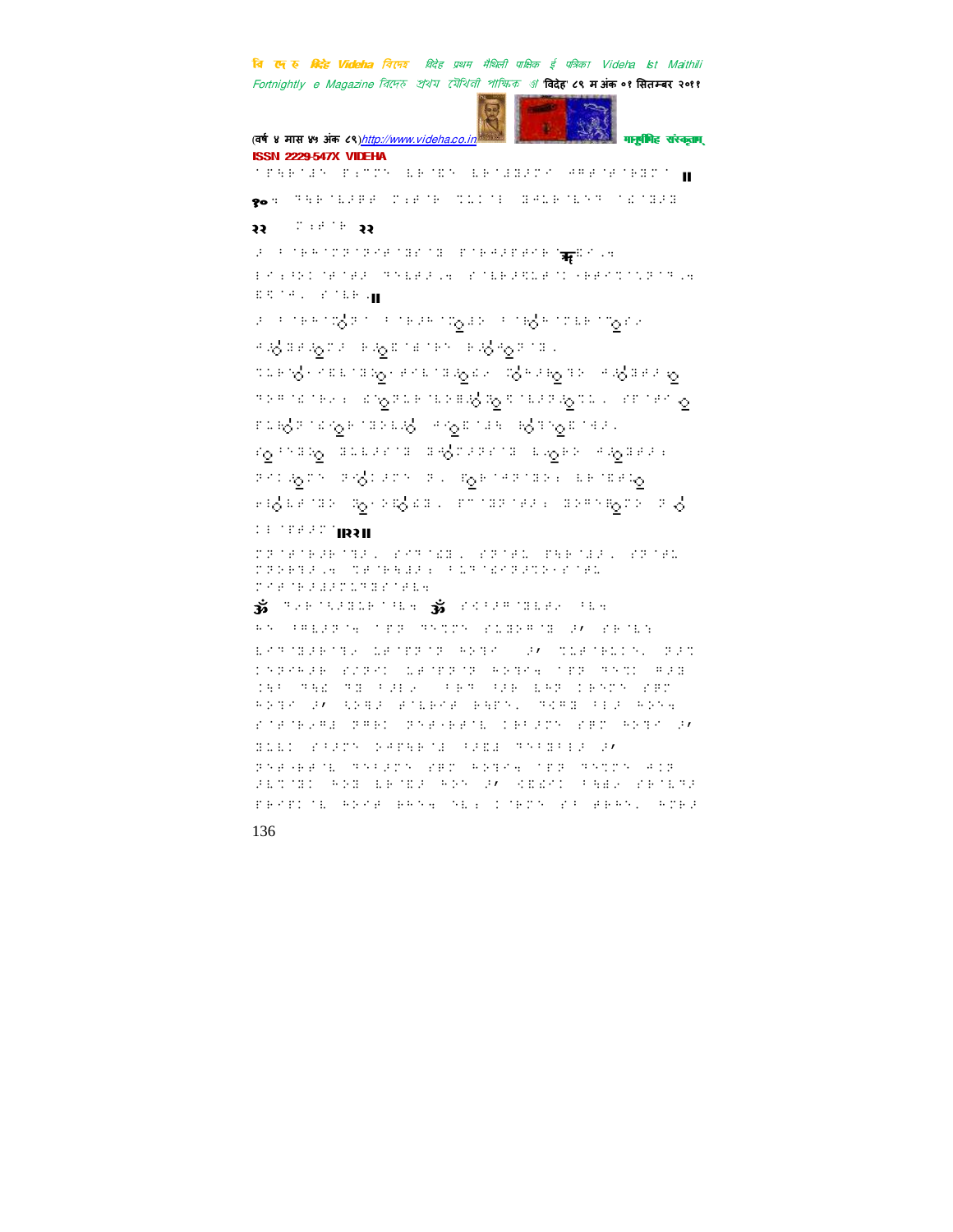बि एक रु मिन्हे Videha विरफ्श विदेह प्रथम मैथिली पाक्षिक ई पत्रिका Videha Ist Maithili Fortnightly e Magazine রিদেত শ্রথম মৌথিনী পাক্ষিক প্র' **বিदेह' ८९ म अंक ०१ सितम्बर २०११** 



ring neuseal (deep) (ding -egenal (per don ) red (single ) du Situation and the companies of the companies of the companies of the companies of the companies of the companies of the companies of the companies of the companies of the companies of the companies of the companies of the Source and considers are produced and considers and SECTION AND LEATER ANNOUNCEMENT AGENCIEVES restrict speed essentially many and easy. Seres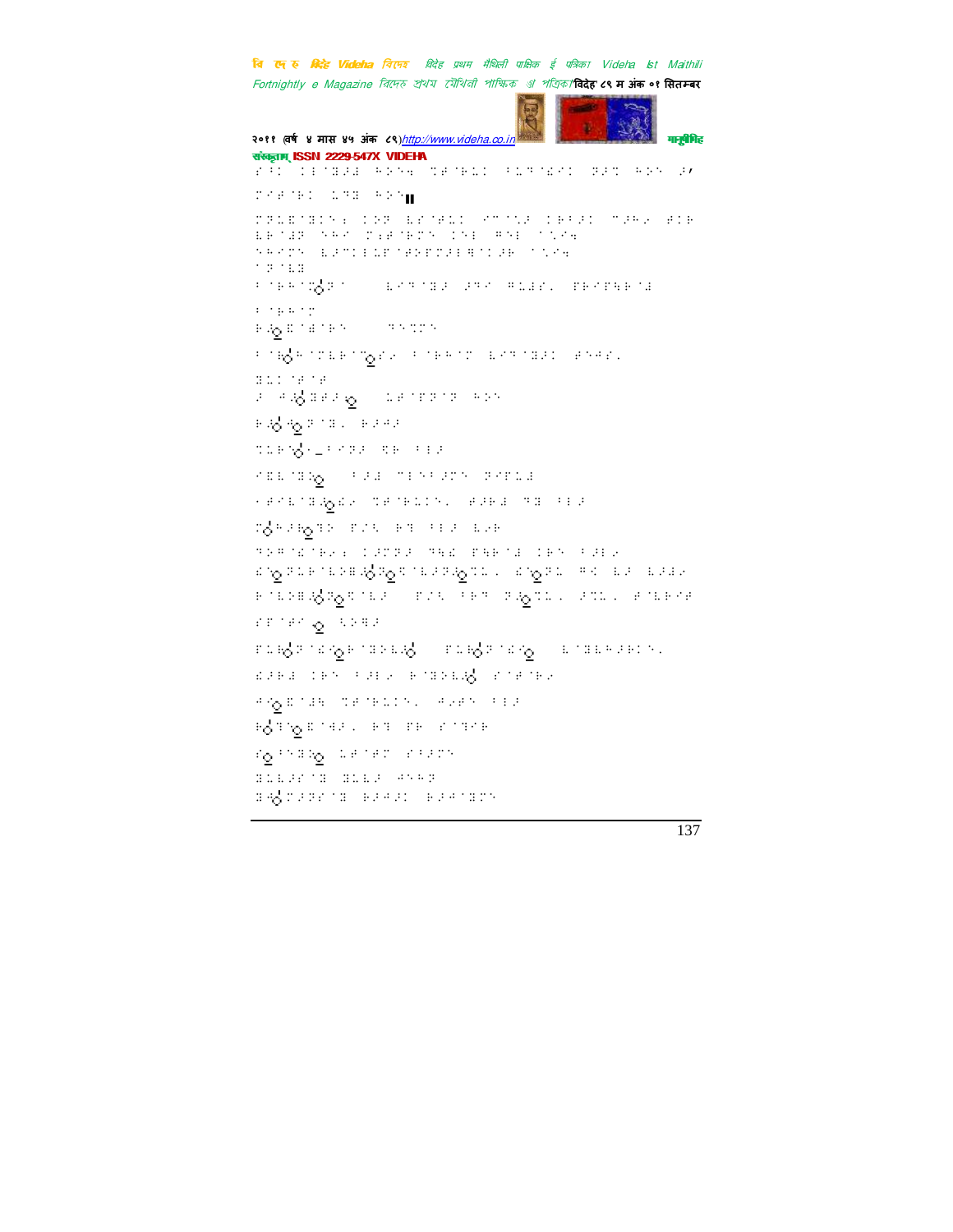```
बि एक रु मिन्हे Videha विएक विदेह प्रथम मैथिली पाक्षिक ई पत्रिका Videha Ist Maithili
Fortnightly e Magazine রিদেত শ্রথম মৌথিনী পাক্ষিক প্রাণবিকাবিदेह ८९ म अंक ०१ सितम्बर
                                                    Service
                                                      ×
२०११ (वर्ष ४ मास ४५ अंक ८९) http://www.videha.co.in
                                                                    मानुबेगिह
संस्कृतम् ISSN 2229-547X VIDEHA
a foi camala (Aboy (qamboo) kommano (digi Abo) liy
DREIBE SAME REPAIR
NAMES CARRIER DE PARECIPAL A POSSAGE
7.3733scalaring and construction of the second reserva-
中国中央大学
EVOLUTED SCIENCES
a uage come cogas la celebol mesupado la valor
abore na
சிக்கு மக்கு பாகாராக கண
비행 원 기미는 배가지
dealer Company and a state
kaanaa jiraan markamen akaala
Personage interests inever manerit
Seasons are an include
more that even is supply in the complete of the control of the second second second second second second second second second second second second second second second second second second second second second second secon
кие альтыны 19 з9 атын зайдалттын 20 атын атын атал
e capación de la capacide de la socialidad de capaci
CENTRY OF SPEED
stega rev9e rasseg i i stega rev9 i i siraskaktiv.
especial provisions of the property of the rela-
ARG BITCH INTERNATIONAL ASSAULT BUS
egal@sises clear sectionse
rolls and contract contracts
\mathbb{B}(\mathbb{D},\mathbb{E}(\mathcal{F},\mathcal{E}^{\otimes n})\mathbb{E}(\mathbb{E}^{\otimes n})\mathbb{E}(\mathbb{E}(\mathcal{F}^{\otimes n})\mathbb{E}^{\otimes n})\mathbb{E}(\mathbb{P})alegicade cal edificio edificado
```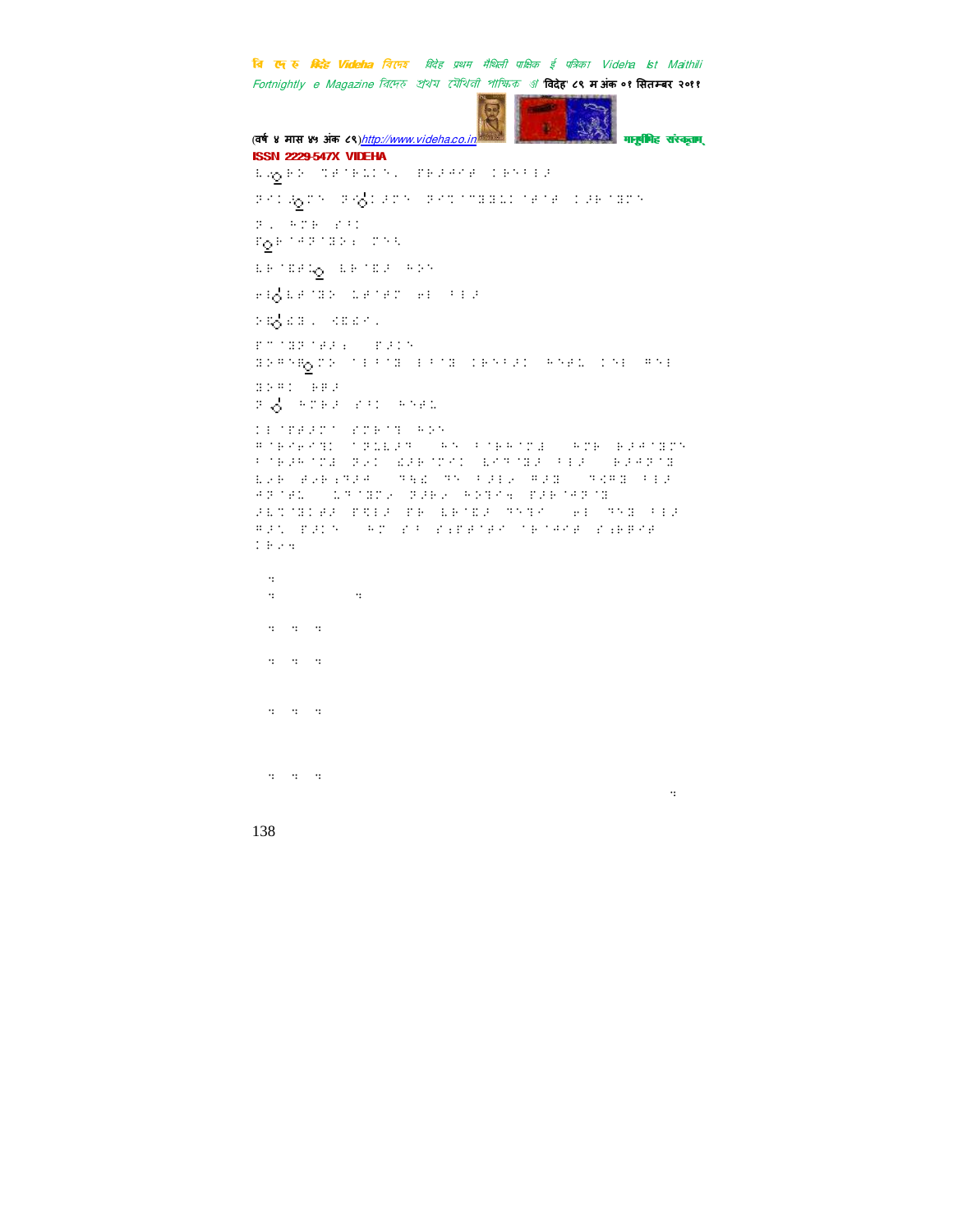चि एत् रू मिन्हे Videha निएन्थ विदेह प्रथम मैथिली पाक्षिक ई पत्रिका Videha Ist Maithili Fortnightly e Magazine विरमह शेथेग द्योंथिवी शीष्मिक औ **विदेह' ८९ म अंक ०१ सितम्बर २०११** 

(वष ४ मास ४५ अंक ८९)http://www.videha.co.in/ मानुषीिमह संकृताम् ISSN 2229-547X VIDEHA ⣇⢴◌॒⢷⢵.⣉⢾⢷⣅F!3⢷⢼⢺⢾!⢷6⢼! ⢽⢼◌॒.⢽◌॑⢼.⢽⣉^⣝⣝⣅⢾⢾!⢼⢷⣝! ⢽⣀.⢳⢷!⢸! 3◌॒⢷⢺⢽⣝⢵⣐.⣃! ⣇⢷⣏⢾⣅◌॒.⣇⢷⣏⢼!⢳⢵! ⢶6◌॑⣇⢾⣝⢵.⣅⢾⢾!⢶6!6⢼! ⢵⣏◌॑⣎⣝⣀.⣊⣏⣎⣀! 3^⣝⢽⢾⢼⣐.!3⢼! ⣝⢵⢻⢿◌॒⢵.6⢸⣝!6⢸⣝!⢷⢼!⢳⢾⣅!6!⢻6! ⣝⢵⢻!⢷⢿⢼! ⢽⣀◌॑.⢳⢷⢼!⢸!⢳⢾⣅! 63⢾⢼.⢷⣙!⢳⢵! ⢻⢷⢶⣙!⢽⣅⣇⢼⢹.!⢳!⢷⢳⣜-!⢳⢷!⢷⢼⢺⣝! ⢷⢼⢳⣜!⢽⢴!⣎⢼⢷!⣇⢹⣝⢼!6⢼-!⢷⢼⢺⢽⣝. ⣇⢴⢷-⢾⢴⢷⣐⢹⢼⢺-!⢹⣓⣎!⢹!⢼6⢴!⢻⢼⣝-!⢹⣊⢻⣝!6⢼! ⢺⢽⢾⣅-!⣅⢹⣝⢴!⢽⢼⢷⢴!⢳⢵⣙⣒!3⢼⢷⢺⢽⣝! ⢼⣇⣉⣝⢾⢼!3⣋6⢼!3⢷!⣇⢷⣏⢼!⢹⣙-!⢶6!⢹⣝!6⢼! ⢻⢼⣁!3⢼-!⢳!⢸!⣐3⢾⢾!⢷⢺⢾0⣐⢷⢿⢾! ⢷⢴⣒! 9⣒WJEFIB!GPS!OPO!SFTJEFOUT!  $\bar{q}$  and  $\bar{q}$  and  $\bar{q}$ 9⣒2⣒2⣒Uif!Dpnfu!!!.HBKFOESB!UIBLVS!  $\alpha_2=\alpha_2=\alpha_3$ 9⣒2⣒4⣒Po`uif`ejdf. 9⣒2⣒5⣒OBBHQIBOT!)JO!FOHMJTI\*.! TIFGBMJLB!WFSNB!USBOTMBU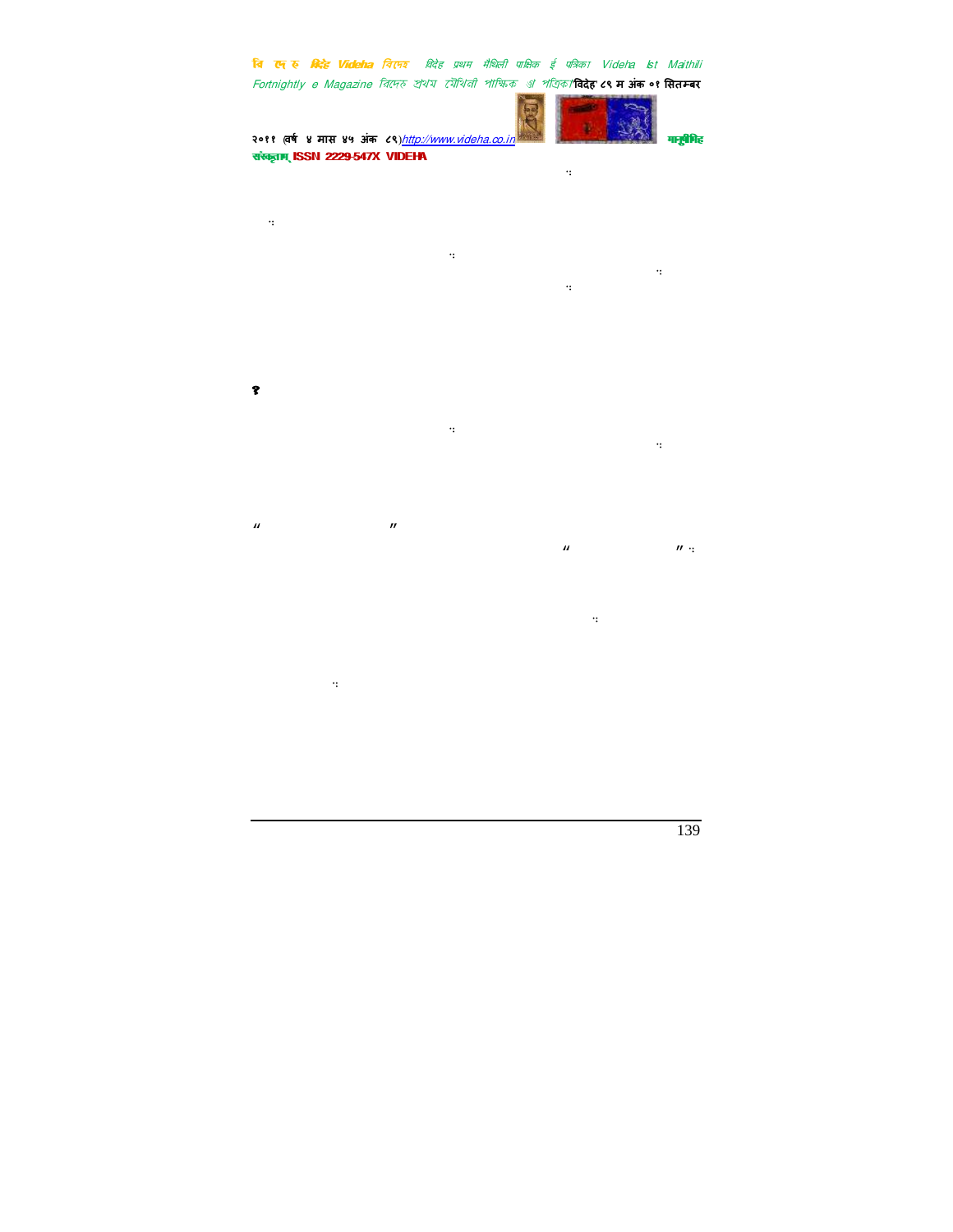चि एत् रू मिन्हे Videha निएन्थ विदेह प्रथम मैथिली पाक्षिक ई पत्रिका Videha Ist Maithili Fortnightly e Magazine রিদেহ প্রথম মৌথিনী পাক্ষিক প্র পত্রিকা**'বিदेह' ८९ म अंक ०१ सितम्बर** 

२०११ (वर्ष ४ मास ४५ अंक ८९)http://www.videha.co.in + 11 200 कर रही है कि अपनी मानुवीपित संस्कृतम् ISSN 2229-547X VIDEHA

Sbkjw!Lvnbs! Lvnbs! Wfsnb boe

 $2.92\pm0.1$ Kffwbo#!cz!!Thursday.cz!!Thursday.cz usbotmbufe. Joup in the problem of the problem of the problem of the problem of the problem of the problem of Kzpuj!Kib!Dibveibsz. Psykologie bsz. Psykologie bsz. Psykologie bsz. Psykologie bsz. Psykologie bsz. Psykologi

१ Kffwbo#!cz!!Thursday.cz!!Thursday.cz usbotmbufe. Joup in the problem of the problem of the problem of the problem of the problem of the problem of

 $\mathbf{w} = \mathbf{w}$  $\mathcal{P}$  tups such that  $\mathcal{P}$  is the state  $\mathcal{P}$  is the state  $\mathcal{P}$ 

Hvkbsbuj- ephsjelling i tijden op de staat de puifstusten op de staat de puifstusten op de staat de puifstuste

 $\sigma_{\rm eff}$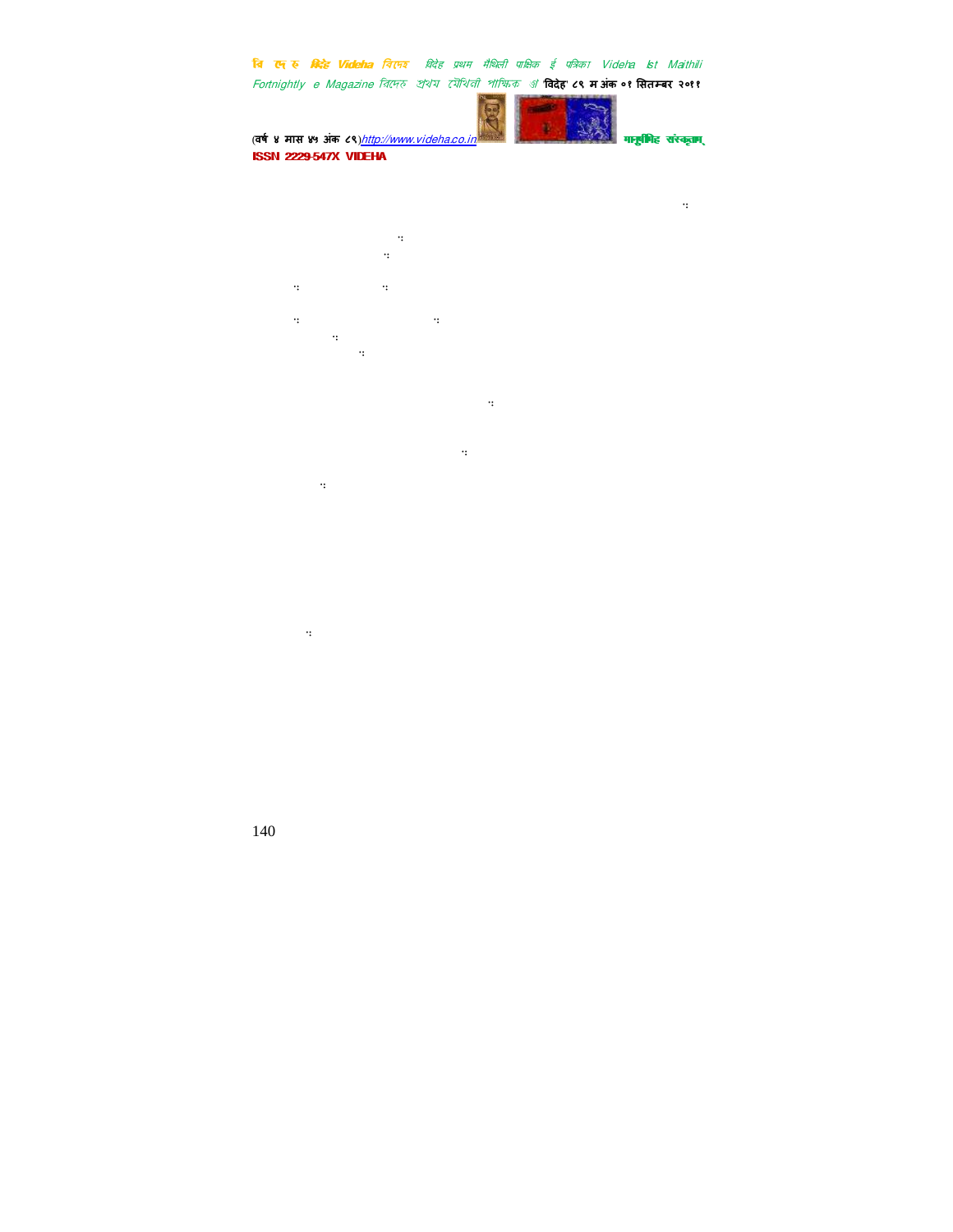चि एत् रू मिन्हे Videha निएन्थ विदेह प्रथम मैथिली पाक्षिक ई पत्रिका Videha Ist Maithili Fortnightly e Magazine विरमह शेथेग द्योंथिवी शीष्मिक औ **विदेह' ८९ म अंक ०१ सितम्बर २०११** 

ISSN 2229-547X VIDEHA



Sftjefodf... Med en de steden in de steden in de steden in de steden in de steden in de steden in de steden in

Npuifs. Thus the second term in the second term in the second term in the second term in the second term in the Tijwyd (Kzpuj) sfaktor (Kzpuj) sfaktor (Kzpuj) sfaktor (Kzpuj) sfaktor (Kzpuj) sfaktor (Kzpuj) sfaktor (Kzpuj)  $\mathbf{q}$  is a function if  $\mathbf{q}$  and  $\mathbf{q}$  $x\in\mathcal{A}$  and  $y\in\mathcal{A}$  and  $y\in\mathcal{A}$  and  $y\in\mathcal{A}$  and  $y\in\mathcal{A}$ 

people in the state of the state of the state of the state of the state of the state of the state of the state  $\lambda_{\rm H}$ 

 $K$ i $\sim$ j $\sim$ juijmb $\sim$  $\mathbb{C}^{\mathbb{C}}$  . We set

QPFNT⣒!

uibus dan buite dan buite dan buite dan buite dan buite dan buite dan buite dan buite dan buite dan buite dan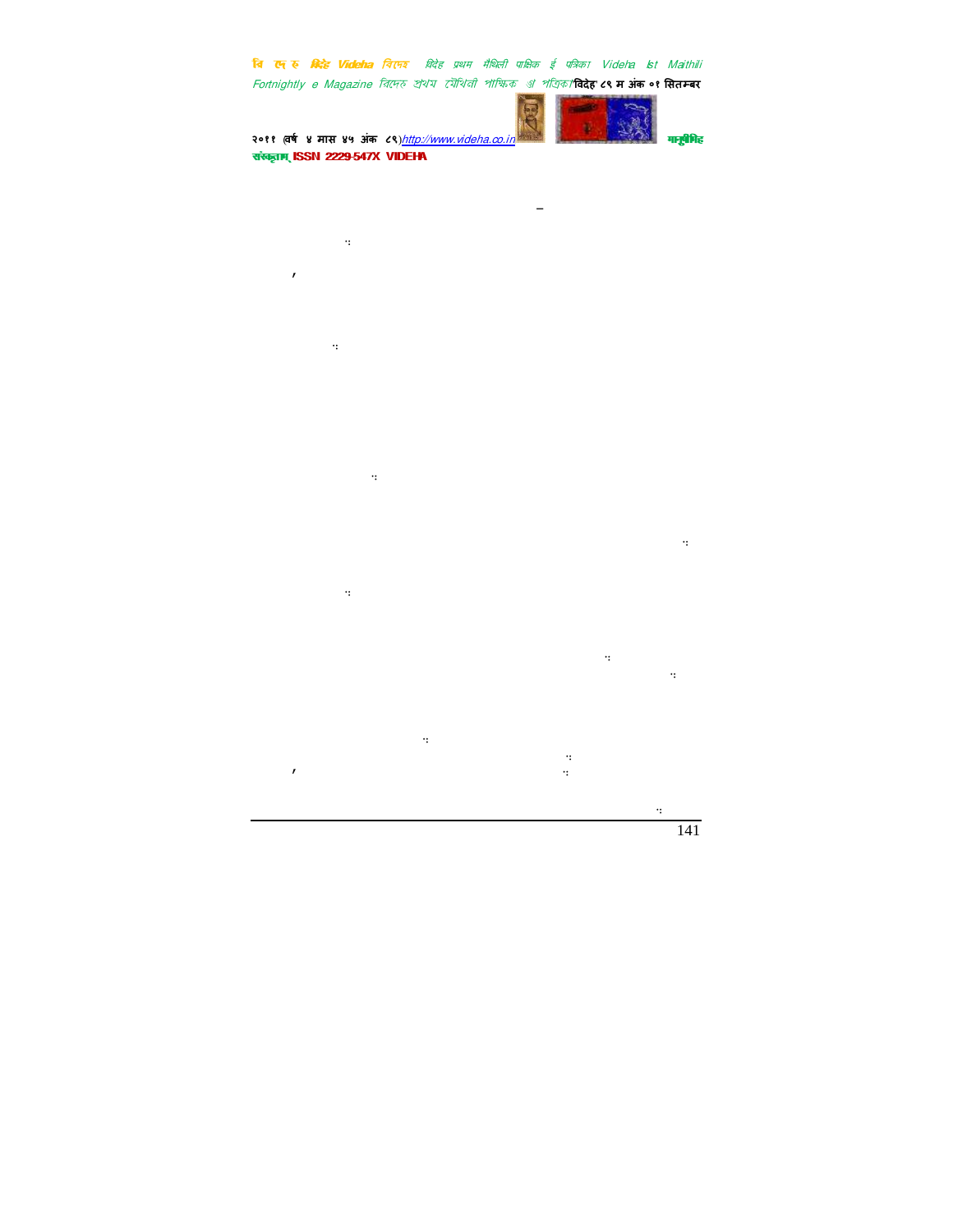चि एत् रू मिन्हे Videha निएन्थ विदेह प्रथम मैथिली पाक्षिक ई पत्रिका Videha Ist Maithili Fortnightly e Magazine রিদেহ প্রথম মৌথিনী পাক্ষিক প্র পত্রিকা**'বিदेह' ८९ म अंक ०१ सितम्बर** 

२०११ (वर्ष ४ मास ४५ अंक ८९)http://www.videha.co.in | मानुसारी मानुसारी मानुसारी मानुसार

संस्कृतम् ISSN 2229-547X VIDEHA

qsftfou!joup!uif!qbtu!–!boe!

epidupste volgen in der den stellen in der der den stellen in der den stellen in der den stellen in der den st epo'u tv $\theta$  bufs with building  $\theta$  buffs! by two first with  $\theta$  $\sigma$  and  $\sigma$  $p_{\rm d}$  digital  $p_{\rm d}$ tveefour particular to the state of the state of the state of the state of the state of the state of the state of the state of the state of the state of the state of the state of the state of the state of the state of the gps://william.org/william.org/william.org/william.org/william.org/william.org/william.org/william.org/williams

gjmmt.uifbaster in de staatsuit tusft tusft tusft tusft tusft tusft tusft tusft tusft tusft tusft tusft tusft jt!uif!qfdvmjbsjuz!pg!uijt!xpsme⣒! ejf jo gvuvsförstade i den staden i den staden i den staden i den staden i den staden i den staden i den staden sfilm in the first state of the first state of the first state of the first state of the first state of the first epo'u mpt $\mathcal{F}$  and  $\mathcal{F}$  and  $\mathcal{F}$  are the set of  $\mathcal{F}$  and  $\mathcal{F}$  and  $\mathcal{F}$ 

141 offe. offere the control of the control of the control of the control of the control of the control of the control of the control of the control of the control of the control of the control of the control of the control of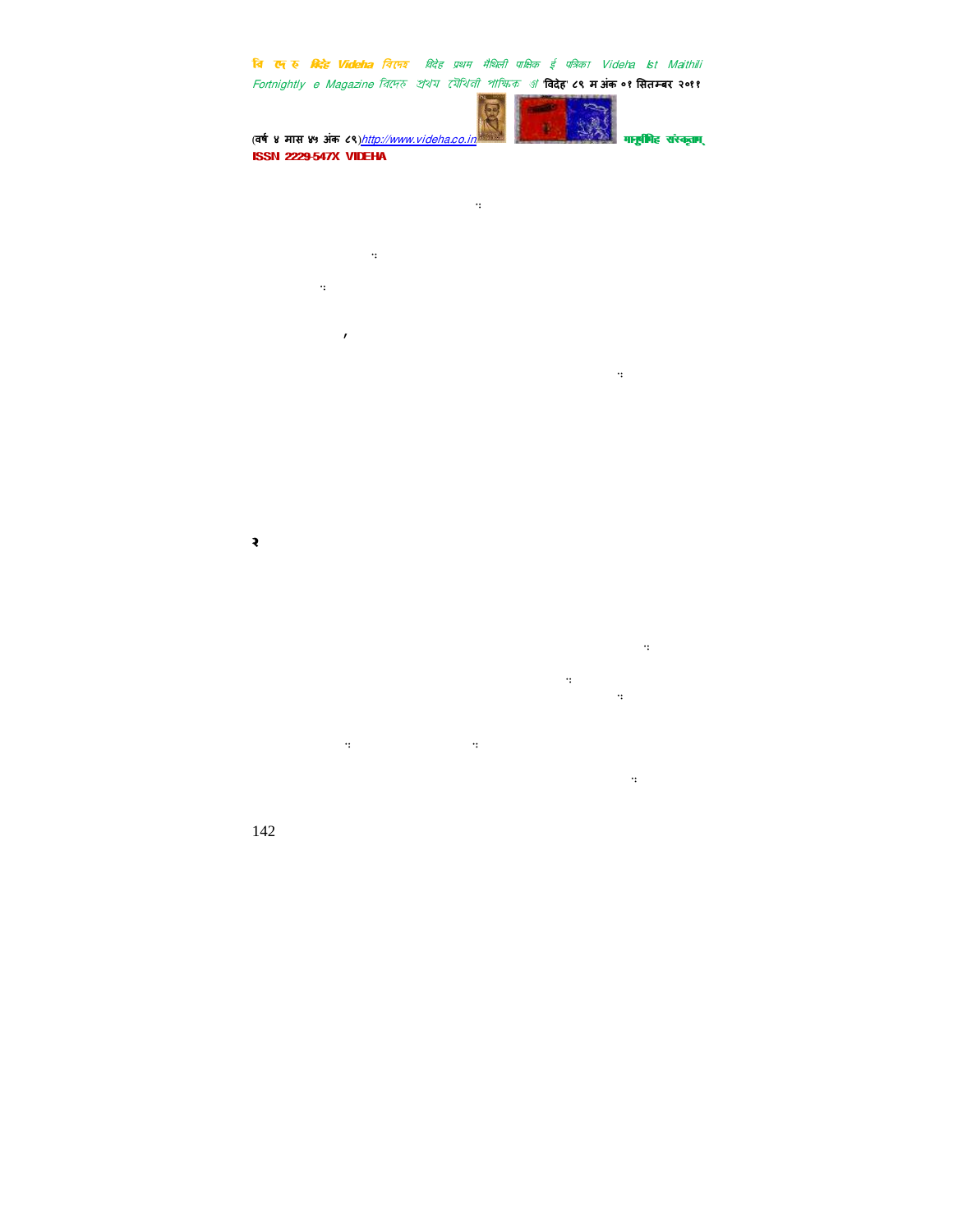बि एक स्टिट Videha विरम्ब विदेह प्रथम मैथिली पाक्षिक ई पत्रिका Videha Ist Maithili Fortnightly e Magazine तिएक खेश्य त्योंशिती शांक्षिक श्री विदेह' ८९ म अंक ०१ सितम्बर २०११

(वर्ष ४ मास ४५ अंक ८९) http://www.videha.co.ir **ISSN 2229-547X VIDEHA** 



**मानुबंधिह संस्कृतम्** 

 $\dot{\gamma}$  $\mathcal{L}^{\text{max}}_{\text{max}}$  and  $\mathcal{L}^{\text{max}}_{\text{max}}$  $\alpha$  and  $\alpha$  and  $\alpha$ 

 $\mathcal{L}^{\mathcal{L}}$  $\sim 0.01$ 

 $\mathbf{R}$ 

 $\mathcal{L}_{\text{max}}$  and  $\mathcal{L}_{\text{max}}$  $\frac{1}{2}$  and  $\frac{1}{2}$  $\langle \cdot, \cdot \rangle$ 

 $\mathcal{A}^{\text{max}}_{\text{max}}$  and  $\mathcal{A}^{\text{max}}_{\text{max}}$  and  $\mathcal{A}^{\text{max}}_{\text{max}}$  $\sim 10^6$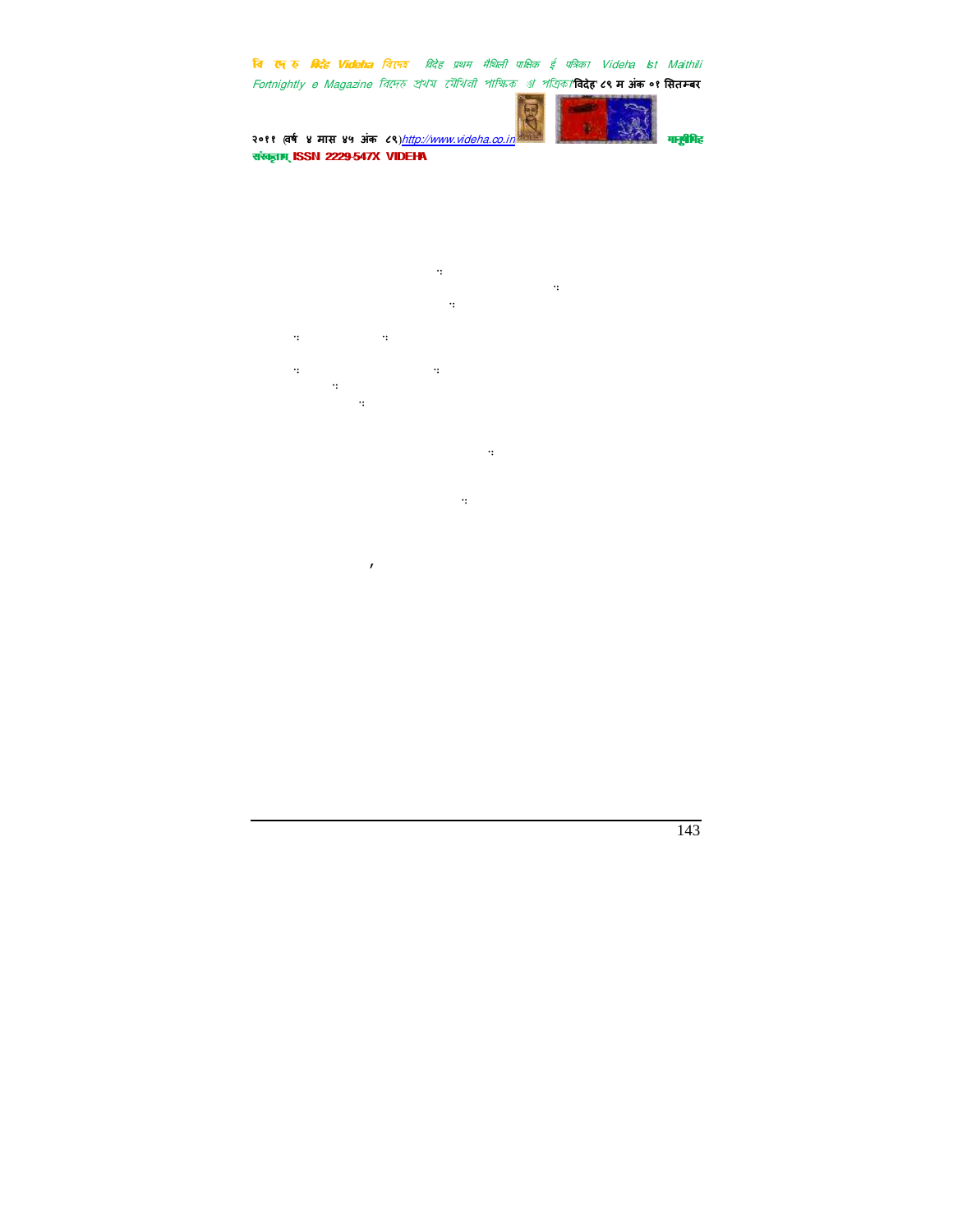चि एत् रू मिन्हे Videha निएन्थ विदेह प्रथम मैथिली पाक्षिक ई पत्रिका Videha Ist Maithili Fortnightly e Magazine রিদেহ প্রথম মৌথিনী পাক্ষিক প্র পত্রিকা**'বিदेह' ८९ म अंक ०१ सितम्बर** 

२०११ (वर्ष ४ मास ४५ अंक ८९)http://www.videha.co.in + 11 200 12 200 12 12 12 13 14 15 17 17 18 17 18

संस्कृतम् ISSN 2229-547X VIDEHA

 $\mathcal{G}^{\text{G}}(\mathcal{G})$  is the set of the set of the set of the set of the set of the set of the set of the set of the set of the set of the set of the set of the set of the set of the set of the set of the set of the set of Kbntife, Npuifs... Thus the second control of the second control of the second control of the second control of Kib. Tij wij wordt de staat de staat de staat de staat de staat de staat de staat de staat de staat de staat d  $\mathbf{q}$  if  $\mathbf{q}$  if  $\mathbf{q}$  if  $\mathbf{q}$  if  $\mathbf{q}$ xxx and the state of the state of the state of the state of the state of the state of people in the state of the state of the state of the state of the state of the state of the state of the state voefs in die 19de jaar van die 19de eeu n.C. Titule van die 19de eeu n.C. In die 19de eeu n.C. In die 19de eeu

 $K_{\rm{H}}$  )  $\sim$   $\sim$ Cspbexbz-!Mpoepo⣒! Tizb $T$ i $T$ up!ibw $T$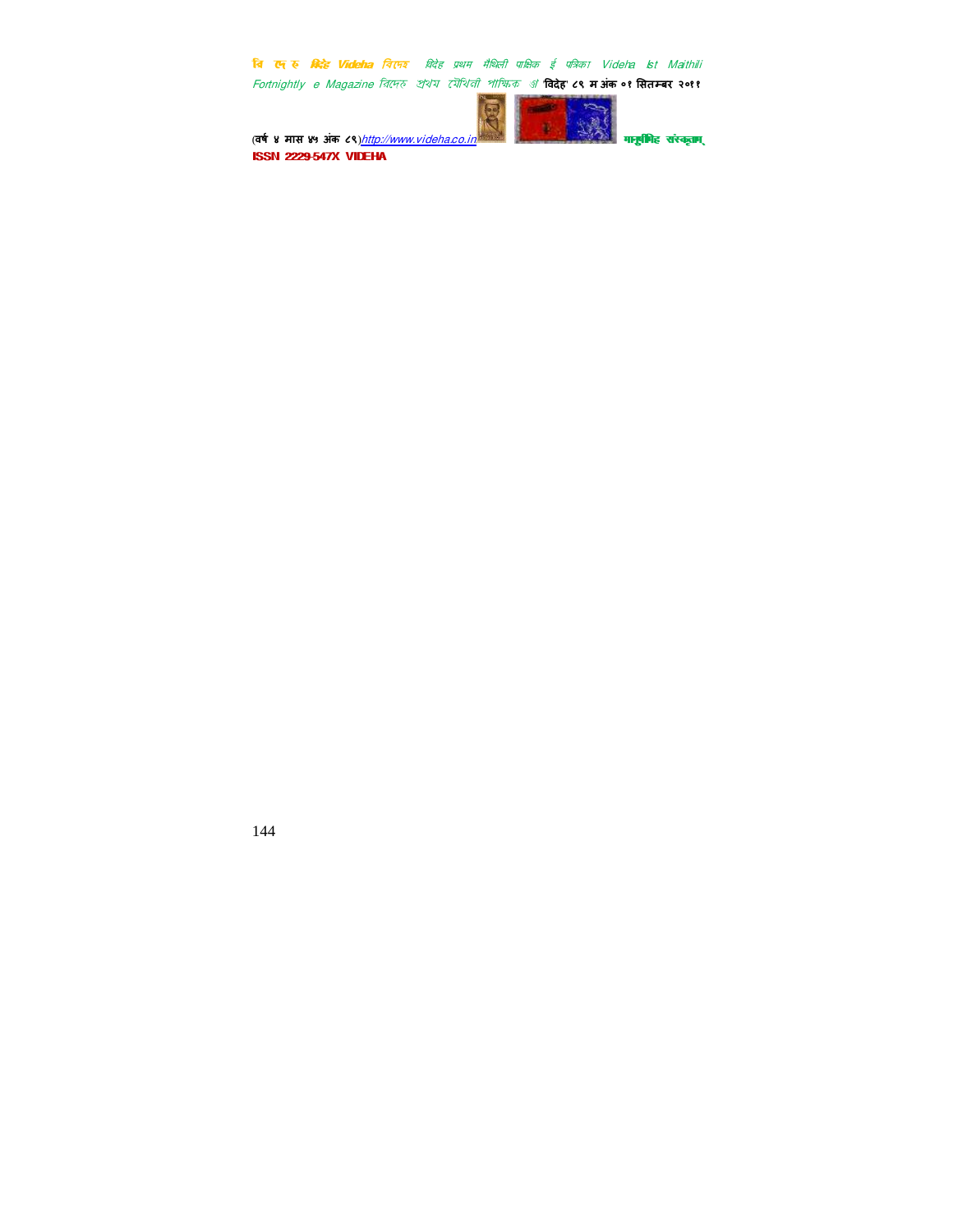चि एत् रू मिन्हे Videha निएन्थ विदेह प्रथम मैथिली पाक्षिक ई पत्रिका Videha Ist Maithili Fortnightly e Magazine विरमह शेथेग द्योंथिवी शीष्मिक औ **विदेह' ८९ म अंक ०१ सितम्बर २०११** 

(वर्ष ४ मास ४५ अंक ८९<u>)http://www.videha.co.in</u> स्थित के स्थित को अपनुप्रसिद्ध संस्कृतम्

ISSN 2229-547X VIDEHA

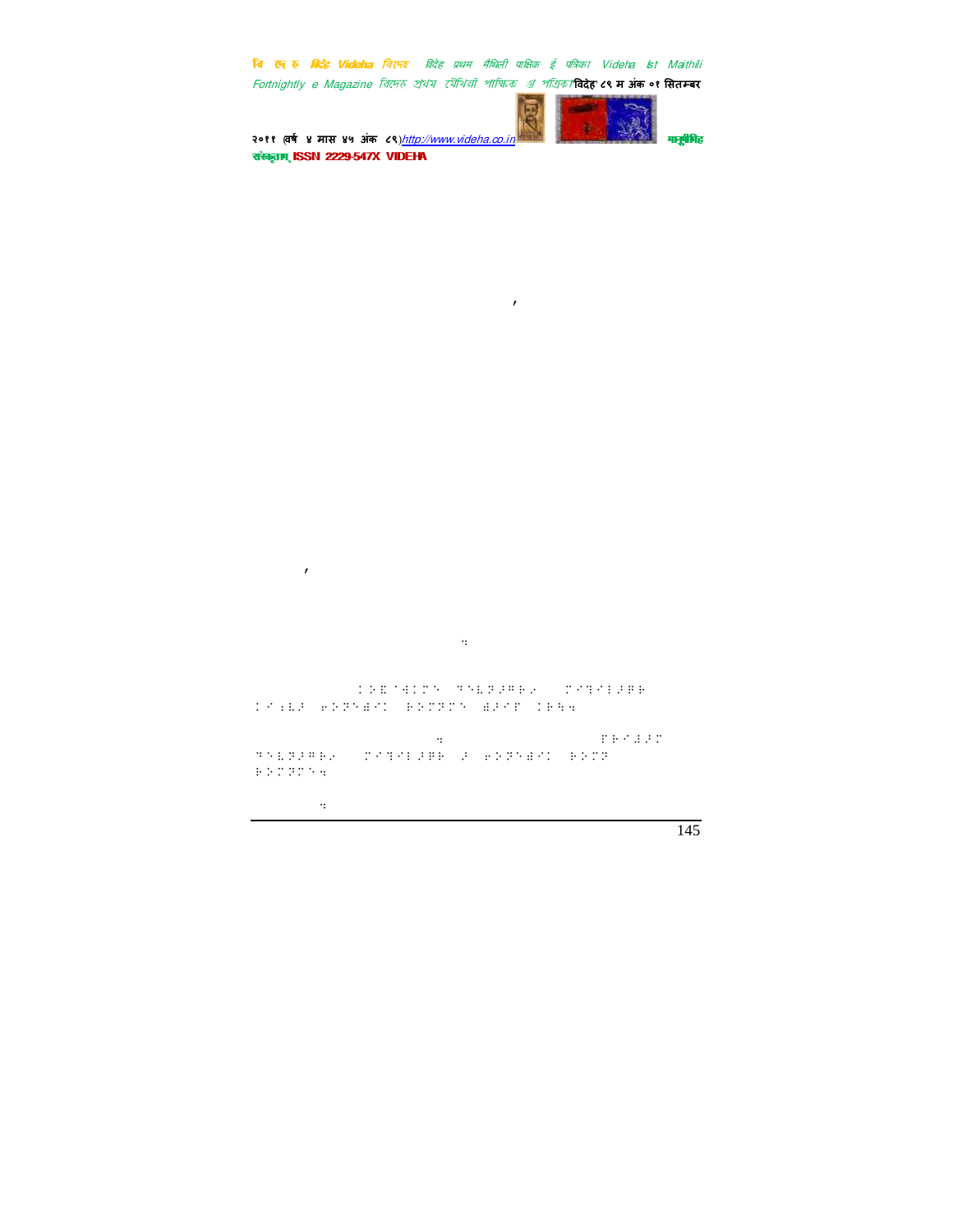चि एक स्टिट Videha विएक विदेह प्रथम मैथिली पाक्षिक ई पत्रिका Videha Ist Maithili 

 $\mathcal{L}(\mathcal{L})$ 



२०११ (वर्ष ४ मास ४५ अंक ८९) http://www.videha.co.in संस्कृतम् ISSN 2229-547X VIDEHA

 $\mathcal{L}(\mathcal{L})$ 

 $\sim 10^{11}$  km  $^{-1}$  $\sim 10^{10}$ MALBAREA - CONTRADARE DA GERMANIA BERTA  $\mathbb{R} \times \mathbb{R} \times \mathbb{R} \times \mathbb{R}$  .  $\mathcal{O}(\mathbb{R}^d)$  and  $\mathcal{O}(\mathbb{R}^d)$ 

 $\frac{145}{ }$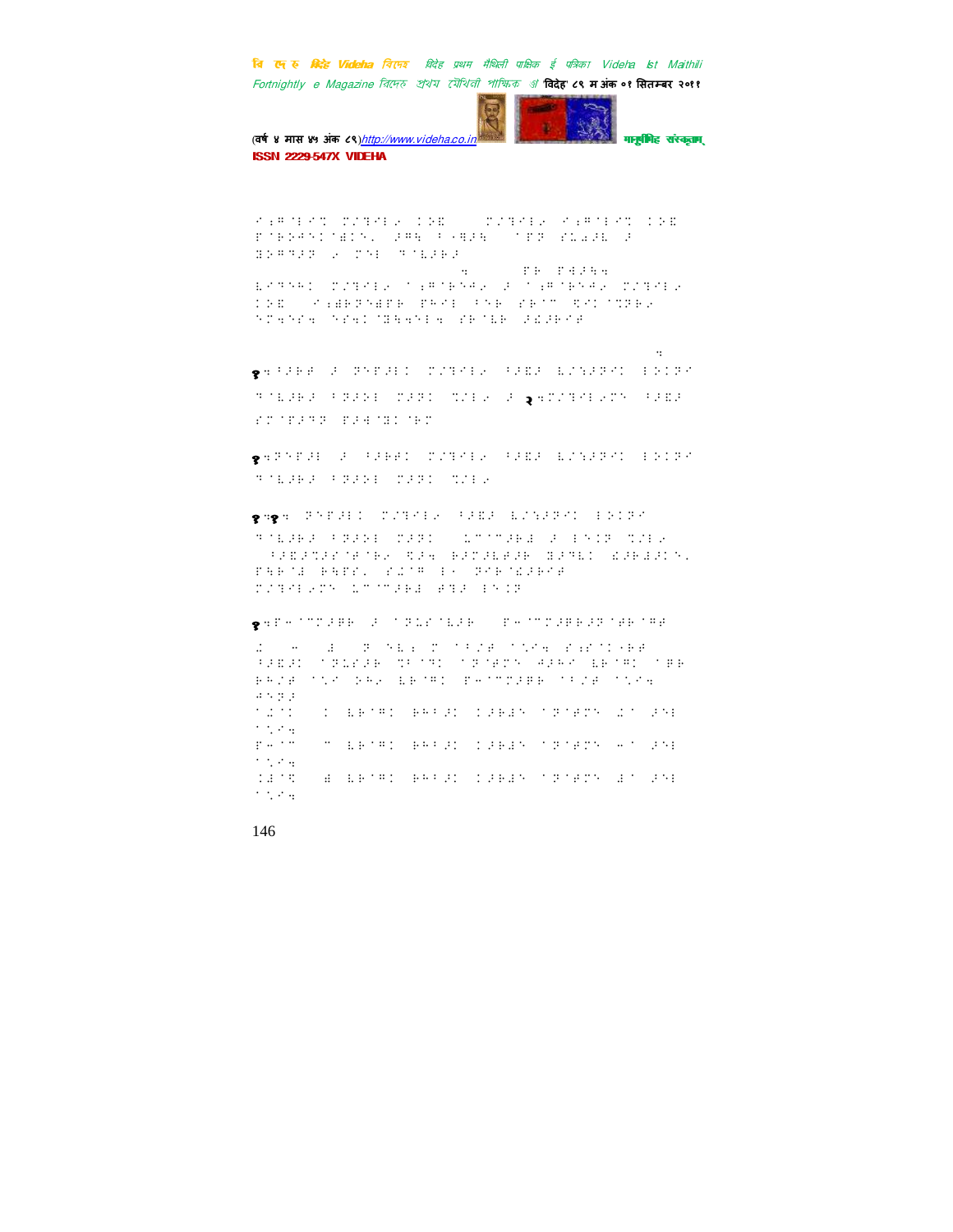चि एत् रू मिन्हे Videha निएन्थ विदेह प्रथम मैथिली पाक्षिक ई पत्रिका Videha Ist Maithili Fortnightly e Magazine विरमह शेथेग द्योंथिवी शीष्मिक औ **विदेह' ८९ म अंक ०१ सितम्बर २०११** 



ISSN 2229-547X VIDEHA

⣐⢻6⣉.5⣙6⢴.⢵⣏!0!5⣙6⢴.⣐⢻6⣉.⢵⣏!! 3⢷⢵⢺⣞F!⢼⢻⣓!C⣛⢼⣓-!3⢽!⣅⣔⢼⣇!⢼! ⣝⢵⢻⢹⢼⢽!⢴.6!⢹⣇⢼⢷⢼! hhbkfoesbAwjefiburg bestellt in de staats and the Bawjefiburg bestellt in de staats and the Bawjefiburg bestell ⣇⢹⢳!5⣙6⢴.⣐⢻⢷⢺⢴!⢼!⣐⢻⢷⢺⢴!5⣙6⢴! ⢵⣏!)⣐⣞⢷⢽⣞3⢷!3⢳6!⢷!⢷^.⣋⣉⢽⢷⢴\*!

⣒⣒!⣒⣝⣓⣒6⣒!⢷⣇⢷!⢼⣎⢼⢷⢾!.Cbtfe! boek in die Amerikaanse konstantinopolise van die Amerikaanse konstantinopolise van die Amerikaanse konstantin १⣒⢸⢼⢷⢾!⢼!⢽3⢼6!5⣙6⢴!⢸⢼⣏⢼.⣇5⣑⢼⢽!6⢵⢽!

SUS ARA SUS ARA SUSA A SUSA A SUSA A SUSA A SUSA A SUSA A SUSA A SUSA A SUSA 3⢼⢹⢽!3⢼⣚⣝⢷!

१⣒⢽3⢼6!⢼!⢸⢼⢷⢾!5⣙6⢴!⢸⢼⣏⢼.⣇5⣑⢼⢽!6⢵⢽! ⢹⣇⢼⢷⢼!⢽⢼⢵6!⢼⢽!⣉56⢴!

१⣒१⣒!⢽3⢼6!5⣙6⢴!⢸⢼⣏⢼!⣇5⣑⢼⢽!6⢵⢽! ⢹⣇⢼⢷⢼!⢽⢼⢵6!⢼⢽!!⣅^^⢼⢷⣜!⢼!6⣈⢽!⣉56⢴!

)⢸⢼⣏⢼⣉⢼⢾⢷⢴!⣋⢼⣒!⢷⢼⢼⣇⢾⢼⢷!⣝⢼⢹⣇!⣎⢼⢷⣜⢼F! 3⣓⢷⣜!⢷⣓3F!⣌⢻!6r!⢽⢷⣎⢼⢷⢾\*!! 5⣙6⢴!⣅^^⢼⢷⣜!⢾⣙⢼!6⣈⢽!

१⣒3⢲^⢼⢿⢷!⢼!⢽⣅⣇⢼⢷;!3⢲^⢼⢿⢷⢼⢽⢾⢷⢻⢾!

 $\mathcal{L}=\{1,\ldots,5\}$  . The set of the set of the set of the set of the set of the set of the set of the set of ⢸⢼⣏⢼!⢽⣅⢼⢷!⣉⢹!⢽⢾!⢺⢼⢳!⣇⢷⢻!⢿⢷! ⢷⢳5⢾!⣁!⢵⢳⢴!⣇⢷⢻!3⢲^⢼⢿⢷!5⢾!⣁⣒!  $\frac{1}{2}$  or  $\frac{1}{2}$  ,  $\frac{1}{2}$  ,  $\frac{1}{2}$  ,  $\frac{1}{2}$  ,  $\frac{1}{2}$  ,  $\frac{1}{2}$ ⣌!)!⣇⢷⢻!⢷⢳⢼!⢼⢷⣜!⢽⢾!⣌!⢼6!  $\frac{1}{2}$  with  $\frac{1}{2}$ 3⢲^!)^!⣇⢷⢻!⢷⢳⢼!⢼⢷⣜!⢽⢾!⢲!⢼6! ⣁⣒\*! ⣈⣜⣋!)⣞!⣇⢷⢻!⢷⢳⢼!⢼⢷⣜!⢽⢾!⣜!⢼6!  $\lambda$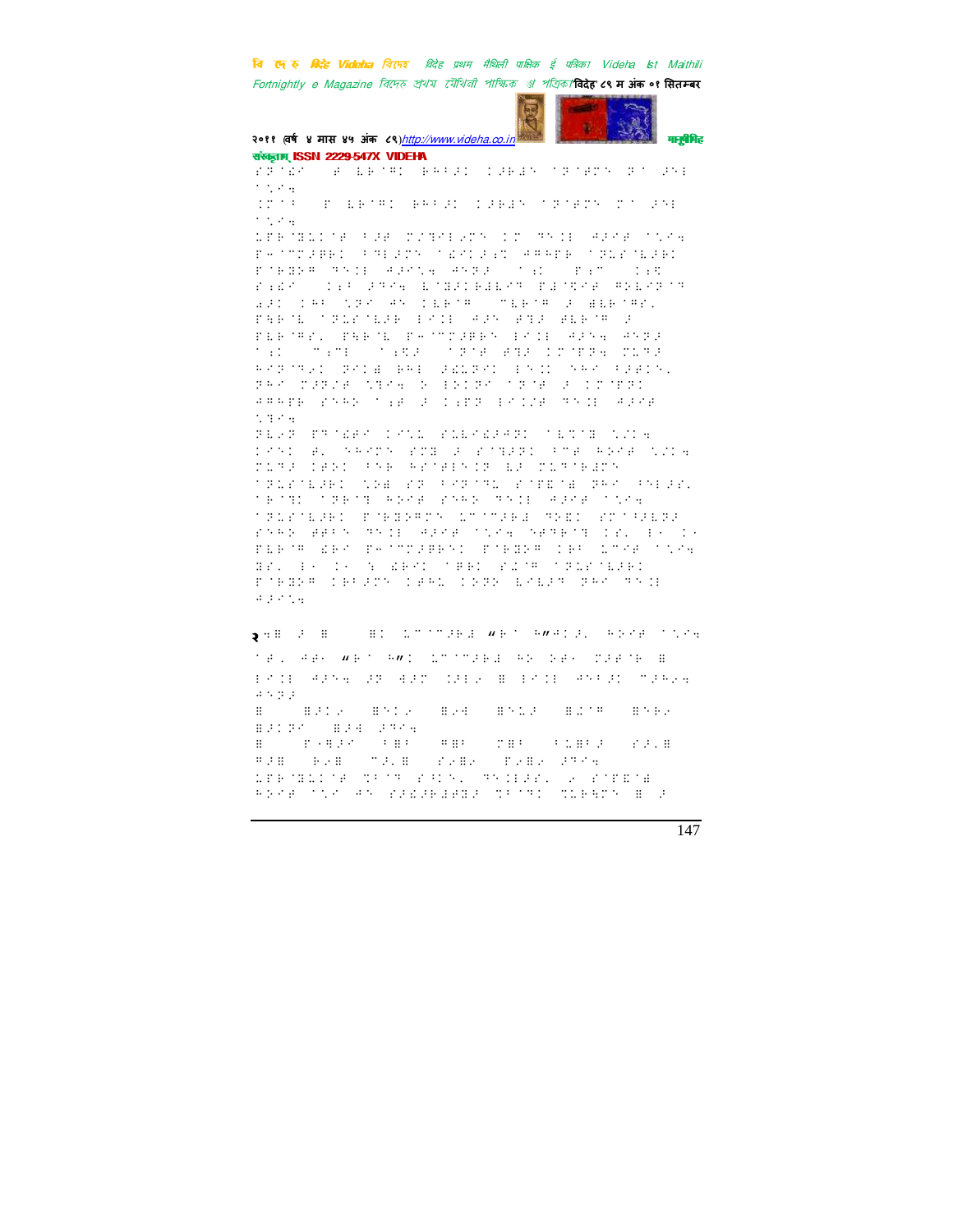चि एक् स्ट्रेट Videha विएक् विदेह प्रथम मैथिली पाक्षिक ई पत्रिका Videha Ist Maithili Fortnightly e Magazine রিদেত শ্রথম মেথিনী পাক্ষিক প্রা পত্রিকা**'বিदेह' ८९ म अंक ०१ सितम्बर** 



२०११ (वर्ष ४ मास ४५ अंक ८९) http://www.videha.co.ir संस्कृतम् ISSN 2229-547X VIDEHA

THE EESTED BRAKED CORPORATION OF A CRAFT 的复数最终  $\gamma$  in  $\sigma_{\rm eff}$ 

 $\mathbb{R}^{n \times n}$  : TO EAST CARPENT CHARACTERS CONTRACT  $\gamma$  in  $\sigma_{\rm eff}$ 

LEAGENDINA POR CONSERVOY IN THIS REPART TO A EASTERBED FREDEN SERIES (ARREE SPEECHER) remarks shortly advice and a construction of the Paper (1948) advantagement of the revenue and add the superiors taking imaging diagener. reach industrial and caps and alason of FEB 7821 (FRECE) FACTOSEEN (EXIE) 43NB (4NBS) Comentary of experimental and comprehensive  $\sim 10^6$ A contrationed all analysis and can be the problem of a addition der padae sare discordinate a commac A RAIDE CONSIDERATION OF COOL OF A CONTRACTOR AND A ARRA 1384

PERPORTER TEACHER TO ANNOUNCE A SARA POLITICAL TO THE INVESTIGATION ikai alkakon roma kardinalen kake viim TO A CONSIDERATION OF A 2010 FOR THE CONTROL OF A CONFIDENTIAL CONTROL OF A CONFIDENTIAL CONTROL OF A CONFIDENTIAL CONTROL OF A CONFIDENTIAL CONTROL OF A CONFIDENTIAL CONTROL OF A CONFIDENTIAL CONTROL OF A CONFIDENTIAL CON na ng ingang apak kaal maga lagaal nool PERMIT REPORT TO THE STREET OF TREES TO BE CONTROL TO AS del se de se ambé des encontrar de ESPERA CARATA CARD CARA EXERPTRANTANCE 中国大学院

◆ HB (2) B ( ) B1 (17) TT2B B (wB ) Pw 41 21 ( PD 48 ) 1 1 4 4 nacional went was committed enough into the me ERIE ADNA DO ADD IDED BOERIE ANFOR TORRA 异常性的 **BUSINESS AND BASES** 田 281  $\mathcal{L} = \mathcal{H} \mathcal{H} \mathcal{L} \mathcal{H} \mathcal{H} \mathcal{H} = \mathcal{H} \mathcal{H} \mathcal{H} \mathcal{H} \mathcal{H} \mathcal{H}$ 由外部区  $\mathbb{H}(\mathcal{F},\mathbb{C},\mathbb{P},\mathbb{C})\cong\mathbb{H}(\mathcal{F},\mathbb{C})\cong\mathbb{C}^{n\times n}\times\mathbb{C}$ ○中 ・ 中 コマー  $\mathbf{m}(\mathbf{g}, \mathbf{r})$ **CONTRACTOR DEPARTMENT** 一本 由来  $\mathcal{L}^1(\mathcal{F})$  . If  $H = 1$  $\mathbb{P}(\mathcal{F}(\mathbb{B})) = \mathbb{P}(\mathcal{F}(\mathbb{B})) = \mathbb{P}(\mathcal{F}, \mathbb{B}) = \mathbb{P}(\mathcal{F}(\mathbb{B})) = \mathbb{P}(\mathcal{F}(\mathbb{B})) = \mathbb{P}(\mathcal{F}(\mathbb{B}))$ pare rapporte independence of the passage of the range of ASKA TOK AN SOCIAL BABA TEST TO BATN BOX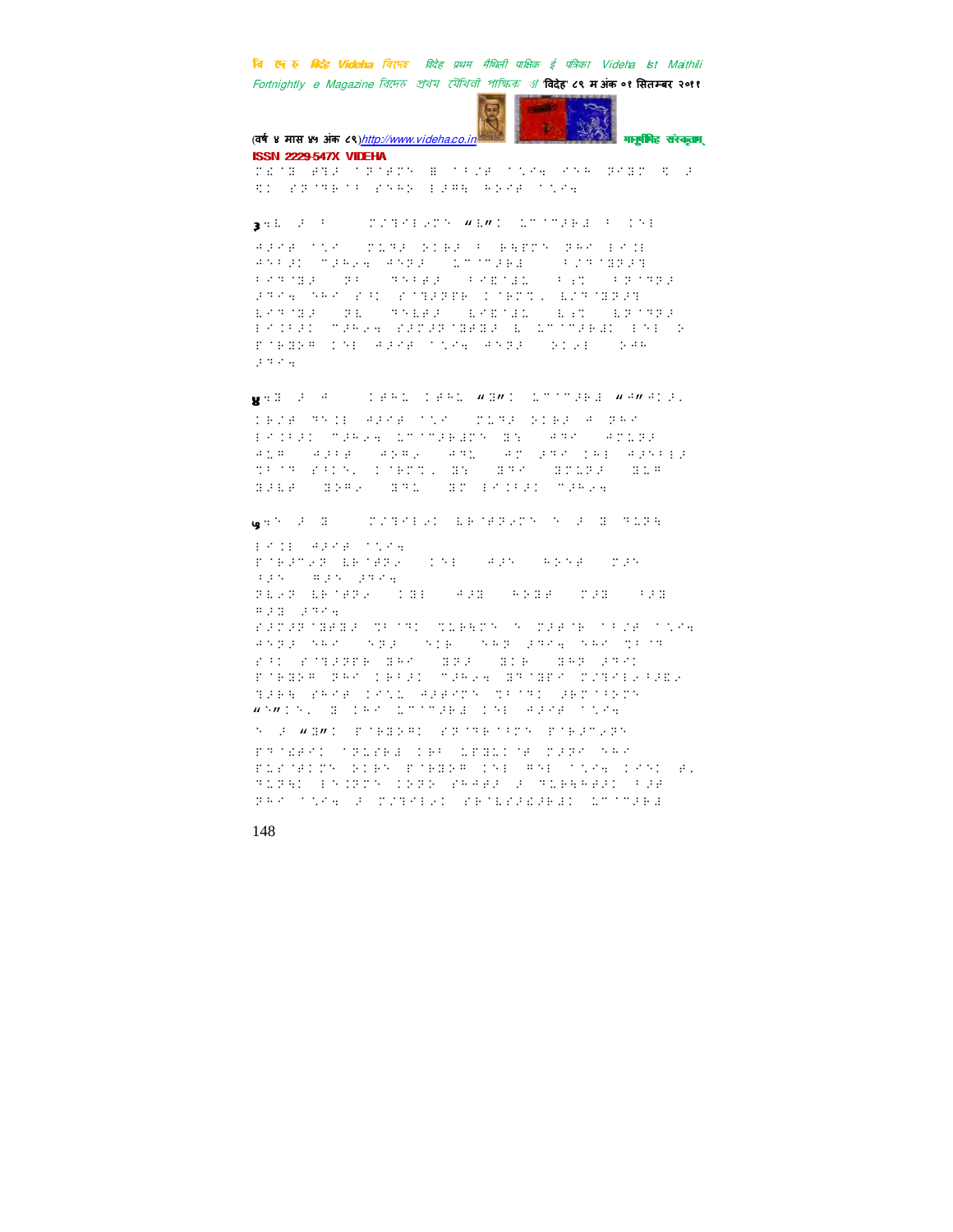चि एक रु मिनेह Videha विएक विदेह प्रथम मैथिली पाक्षिक ई पत्रिका Videha Ist Maithili Fortnightly e Magazine রিদেত প্রথম মৌথিনী পাক্ষিক *প্র* **বিदेह' ८९ म अंक ०१ सितम्बर २०११** 



(वर्ष ४ मास ४५ अंक ८९)http://www.videha.co.in **ISSN 2229-547X VIDEHA** 

maina sede indicembre a interes nomes model directo di comprehensive service pagmanensis in the

gen a su conversars what inconsense the

APPENDIX CONTROLLER PORTER DEPARTMENT a ke di sinta e kalifa ke alif Sun male alif.  $-3.2922223$  $\alpha$  and  $\beta$  are mapping a kimida (1994) - modele - a kantado - a solo a minimale a kida bilimba ya mababa ndediki ali shinne edo a Najlis managements and dependence of the consequence of the property of the consequence of  $\mathcal{G}(\mathcal{V},\mathcal{E},\mathcal{Q})$ 

ged a show a response to the second the companies of the second and the second second second second second second second second second second second second second second second second second second second second second sec face mode aske that conma brasile part ERIFFIC TRAVEL CTITRESTY SENTIFY CATCOR  $\mathcal{A}(\underline{\gamma},\mathfrak{a})=\mathcal{A}(\underline{\gamma},\mathfrak{a},\underline{\gamma})=\mathcal{A}(\underline{\gamma},\mathfrak{a},\underline{\gamma})=\mathcal{A}(\mathfrak{a},\underline{\gamma})=\mathcal{A}(\underline{\gamma})=\mathcal{A}(\mathfrak{a},\underline{\gamma})=\mathcal{A}(\underline{\gamma},\mathfrak{a},\underline{\gamma})=\mathcal{A}(\underline{\gamma},\mathfrak{a},\underline{\gamma})$ de na sestella chendi, del codas codindas codas BULG (BORD) BREV BE BRIDGED TURNE

(金田市 - 子の田) (1) **CONTRACTOR ENGINEERS AND SOCKET AND A** 

主义过的 中央资金 人名米海尔 ESPECTIVE LETERAL CONFIDENTIAL ASSAULT DRA  $\left\langle \left(1\right),\left(2\right),\left(1\right),\left(1\right),\left(2\right),\left(1\right),\left(1\right),\left(1\right),\left(1\right),\left(1\right)\right\rangle \right\rangle$ PERPORAGE TRANSPORTED A PARTICULAR DE LOS DE LOS DE LOS DE LOS DE LOS DE LOS DE LOS DE LOS DE LOS DE 共享性、法共产党。 addition the both the complex before the problem of the complex of the complex of the complex of the complex of the complex of the complex of the complex of the complex of the complex of the complex of the complex of the c  $\mathcal{A}(\mathcal{N},\mathcal{G},\mathcal{G})=\mathcal{N}(\mathcal{M},\mathcal{G})=\mathcal{N}(\mathcal{M},\mathcal{G})=\mathcal{N}(\mathcal{M},\mathcal{G})=\mathcal{G}(\mathcal{M},\mathcal{G})=\mathcal{N}(\mathcal{M},\mathcal{G})=\mathcal{G}(\mathcal{G})=\mathcal{G}(\mathcal{G})$ RAD ROBARD BAS CRAAT BIB CRAAT ARSO roades des castal masse de tors romans tars dues ande controleuerde distat uebsitzen what his day that dominated the capacitical

 $\mathcal{N}=\mathcal{P}^{\mathcal{N}}\left(\mathbf{w},\mathbb{B}|\mathbf{w},\mathbb{C}\right)=\mathbb{E}\left[\mathcal{N}\oplus\mathbb{E}\left[\mathcal{N}\oplus\mathbb{E}\left[\mathcal{N}\right]\right]\right]\leq\mathcal{E}\left[\mathcal{P}^{\mathcal{N}}\oplus\mathbb{E}\left[\mathcal{N}\oplus\mathbb{E}\left[\mathcal{N}\right]\right]\right]\leq\mathbb{E}\left[\mathcal{N}\oplus\mathbb{E}\left[\mathcal{N}\right]\right]\leq\mathbb{E}\left[\mathcal{N}\oplus\mathbb{E}\left[\mathcal{N}\right$ FRIDERI INFORMED CEPT OFFICIAR COSPANIARY FIRTHERN DIEN FORBOR INE ROB (1004) INVESTIGAT PERAIS ENTRY TERR PARAGE DE PERAISI DEDA SARA SARA SA SIMBADADI SEPADELER BULGUNUNGAN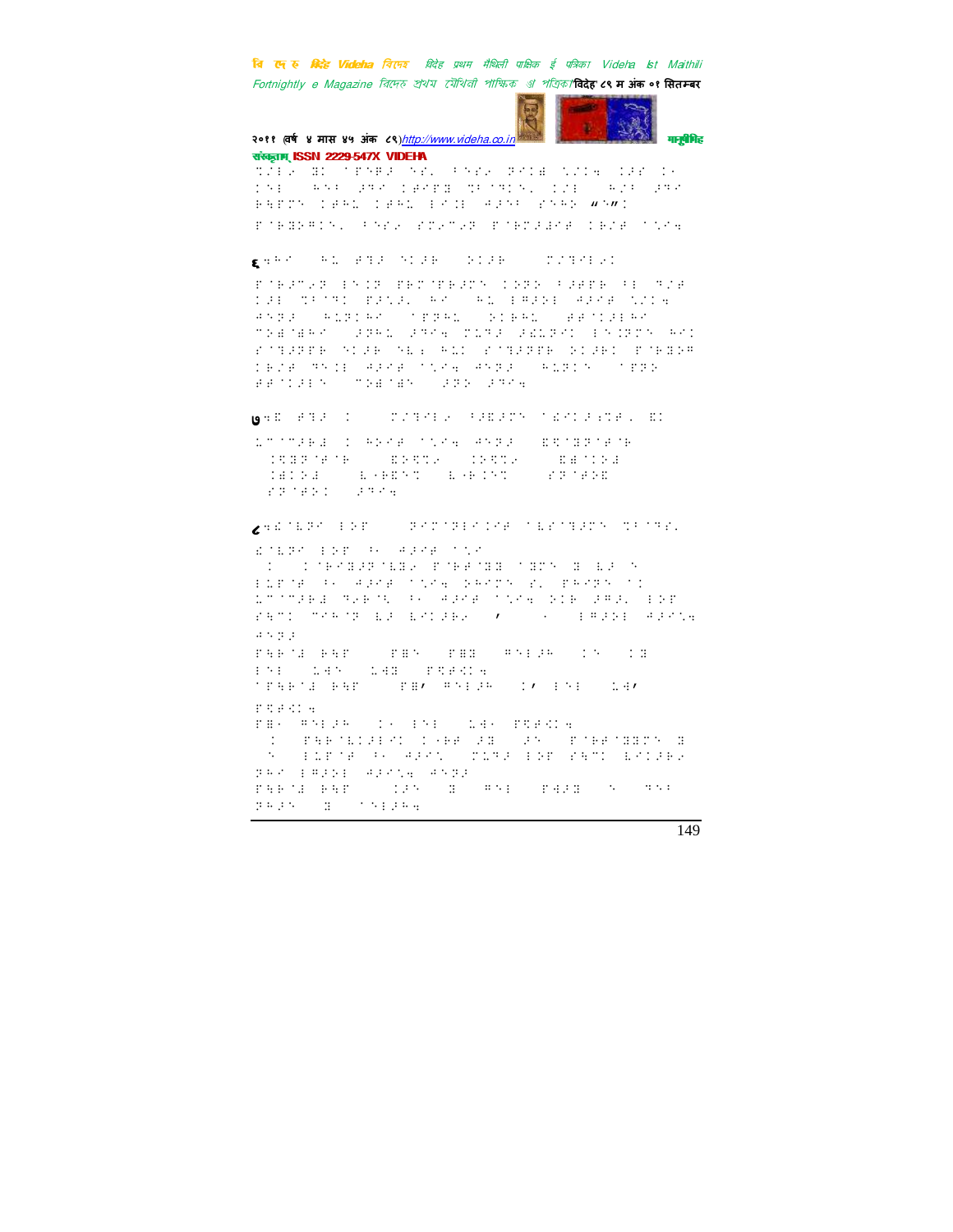चि एक रु मिनेह Videha विएक विदेह प्रथम मैथिली पाक्षिक ई पत्रिका Videha Ist Maithili Fortnightly e Magazine রিদেত শ্রথম মেথিনী পাক্ষিক প্রা পত্রিকা**'বিदेह' ८९ म अंक ०१ सितम्बर** 



२०११ (वर्ष ४ मास ४५ अंक ८९) http://www.videha.co.ir संस्कृतम् ISSN 2229-547X VIDEHA dial an imperison the acta three party

ing compact part important the control of the company BATTS INFORMED EXIED ANNO YSAN WSWI ENERGYPTY, PRYSK STATAR ENERGIESE IEDE PRYSKE

gase sales and order order **Contract St** 

ESPRIMA POR LES CONTENCIONES DE SAN PRAISE DE L'IMPLIA TORES WAS MADE AND A RESIDENCE AND A REPORT OF THE RESIDENCE OF THE REPORT OF THE REPORT OF THE REPORT OF THE REPORT OF THE REPORT OF THE REPORT OF THE REPORT OF THE REPORT OF THE REPORT OF THE REPORT OF THE REPORT OF THE AND A CONSIDERATION EDGES ON EACH CARPITAL ART meanakkin deko deka mord daoekt arresterrikt KONSERVATE ALEMAN POLICINISTE ALGEBRATE TECH PRINT ARRAINING AND A SERING COORD a a novel significant and coverage version

mediated to contract a stability candidated at

construed is the even in the members of protocolar teste CONSTRUCTION **SERVICE INTER CEBITINE** 1910-30  $-27.72241$ 

**CONSTRUCTION CONTROL CONTROL** 

anadking service made an insk-The contractor of the communications of the contractor of the contractor of the contractor of the contractor of a prima ina ilayo alimpo aliyekeen kuwa ka male ya mili.<br>Ilimimu kuwa ka walio kuwa ka mare wa mare wa kuwa mare PATE TRANSPORTER ERECTED TO A 1999 THE REPORT ARRANGE  $\mu \sim \mu/\mu$ **STRAY PRESIDENT AND STRAY THE** FARME BATT  $\mathbb{E}[\mathcal{H}(\mathbb{R})] = \mathbb{E}[\mathcal{H}[\mathcal{H}(\mathbb{R})] = \mathbb{E}[\mathcal{H}[\mathcal{H}(\mathbb{R})] = \mathbb{E}[\mathcal{H}[\mathcal{H}(\mathbb{R})] \mathbb{E}[\mathbb{R}$ **TEAPMENTS** ○中田大 中外主義年  $-177.454 - 147$ FREADA. 前田への共存的法を、この人の主存的に、これまで、前期までの年  $\langle 1 \rangle = \langle \Gamma \otimes \mathbb{R} \rangle \langle \Gamma \otimes \Gamma \otimes \Gamma \rangle \langle \Gamma \rangle \langle \Gamma \otimes \mathbb{R} \otimes \mathbb{R} \rangle \langle \Gamma \otimes \Gamma \otimes \mathbb{R} \rangle \langle \Gamma \otimes \Gamma \otimes \mathbb{R} \rangle \langle \Gamma \otimes \Gamma \otimes \Gamma \otimes \mathbb{R} \rangle$ Salam nell'estimation i mante la participanti l'alchitetto  $\mathcal{A}_{\bullet}$  .  $\sim 13.5$ ○ 由 ○ 三井方主。 ○ 中国法官 シール シールルギ EARNE (PAP)  $\mathbb{P}^{(1)}\left(\mathbb{P}^{(1)}\right) \times \cdots \times \mathbb{P}^{(n-1)}\left(\mathbb{P}^{(1)}\right) \times \mathbb{P}^{(1)}\left(\mathbb{P}^{(1)}\right) \times \mathbb{P}^{(1)}$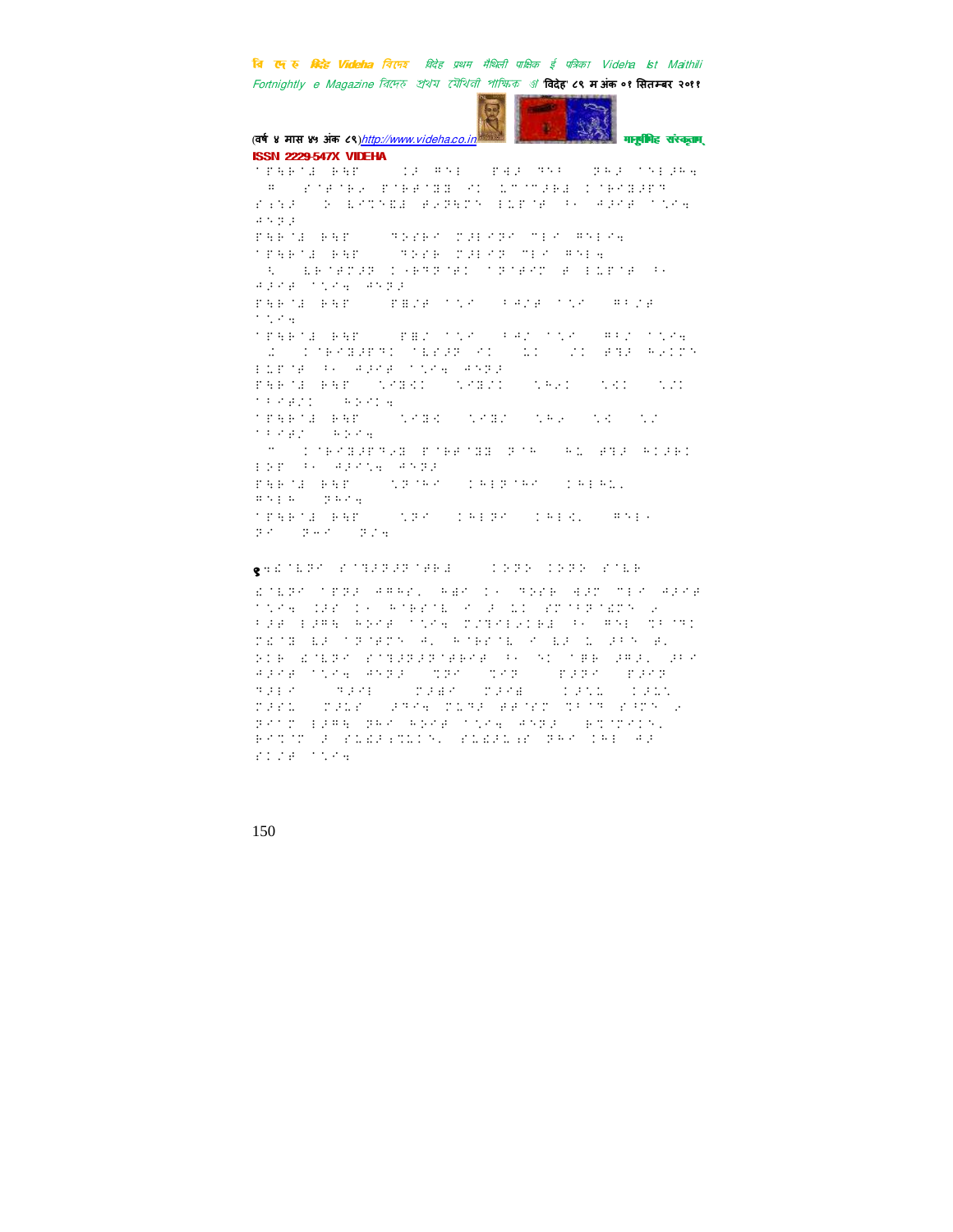चि एक रु मिनेह Videha विएक विदेह प्रथम मैथिली पाक्षिक ई पत्रिका Videha Ist Maithili Fortnightly e Magazine রিদেত শ্রথম মৌথিনী পাক্ষিক ওা **বিदेह ८९ म अंक ०१ सितम्बर २०११** 

 $\overline{\mathbb{R}}$ 

(वर्ष ४ मास ४५ अंक ८९) http://www.videha.co.in मानुबंधिह संस्कृतम् **ISSN 2229-547X VIDEHA** S EXTREM PROPERTY BEFORE PROPERTY CAR 的复数法国人  $\mu \sim \mu/\mu$ Companies of the state of the sound state  $\Gamma(\mathcal{H},\mathcal{H}) \cap \mathcal{H}^{\mathcal{H}}(\mathcal{H},\mathcal{H}^{\mathcal{H}}(\mathcal{H}^{\mathcal{H}}))$ reakis kan li some bekkelde med ande such a a nambel in varietisan che navori all'albanya cav age and speak law pack reached and community of any control and pa- $\epsilon_{\rm{max}}$ treated agreement of the star the star star of the The contractor of the second the contractor of the second a partido de los decadores y la segui-FARMS RAFT SCHEEL SCHEEL **SAMPLE SECTIONS** rawayi sapona CARBA CARBA CARA CAR CAN  $\label{eq:3.1} \begin{array}{ll} \mathbb{P} \left( \mathbb{P} \oplus \mathbb{P} \right) \mathbb{P} \left( \mathbb{P} \right) & \oplus \mathbb{P} \oplus \mathbb{P} \end{array}$ ra zagori a pela in the construction of the computer of the second state of the construction of remote areas aver FARME RAFT CONTROL 人名英里艾尔斯特 人名英里英拉亚  $\mathbb{R}^n \times \left\{ \left\langle \mathbb{R}^n \right\rangle \right\} = \left\{ \left\langle \mathbb{R}^n \right\rangle \right\} \times \left\{ \mathbb{R}^n \right\}$ TEARIE RAE (1987) IREPOS INFORMATION 38 - 39 K - 32 A

ged talen in the electroped in it because to be in tale.

이 아이가 있다. 이 사이에 있는 사이에 대해 대해 보내는 목을 가져서 큰 분이 있다. 1740년<br>1741년 - 최대 이 제 1871년 대한민국의 1880년 대한민국의 1871년 대한민국의 1880년<br>1813년 - 국제최대 대한민국의 1871년 대한민국의 1880년 대한민국의 1882년 대한민국의<br>1842년 - 이 대한민국의 대한민국의 이 대한민국의 대한민국의 대한민국의 대한민국의 18 ada terapakan taun 1989 (1989) (1989) (1988)<br>1989 - Inda Cordan, rama sebagai pada<br>1980 - Idah Jang renga penginjan pada dent is same deed eperal interacted and a manufacture BROTO DE PERSENCIAL PERSENTAR DES DEL PAR advanced as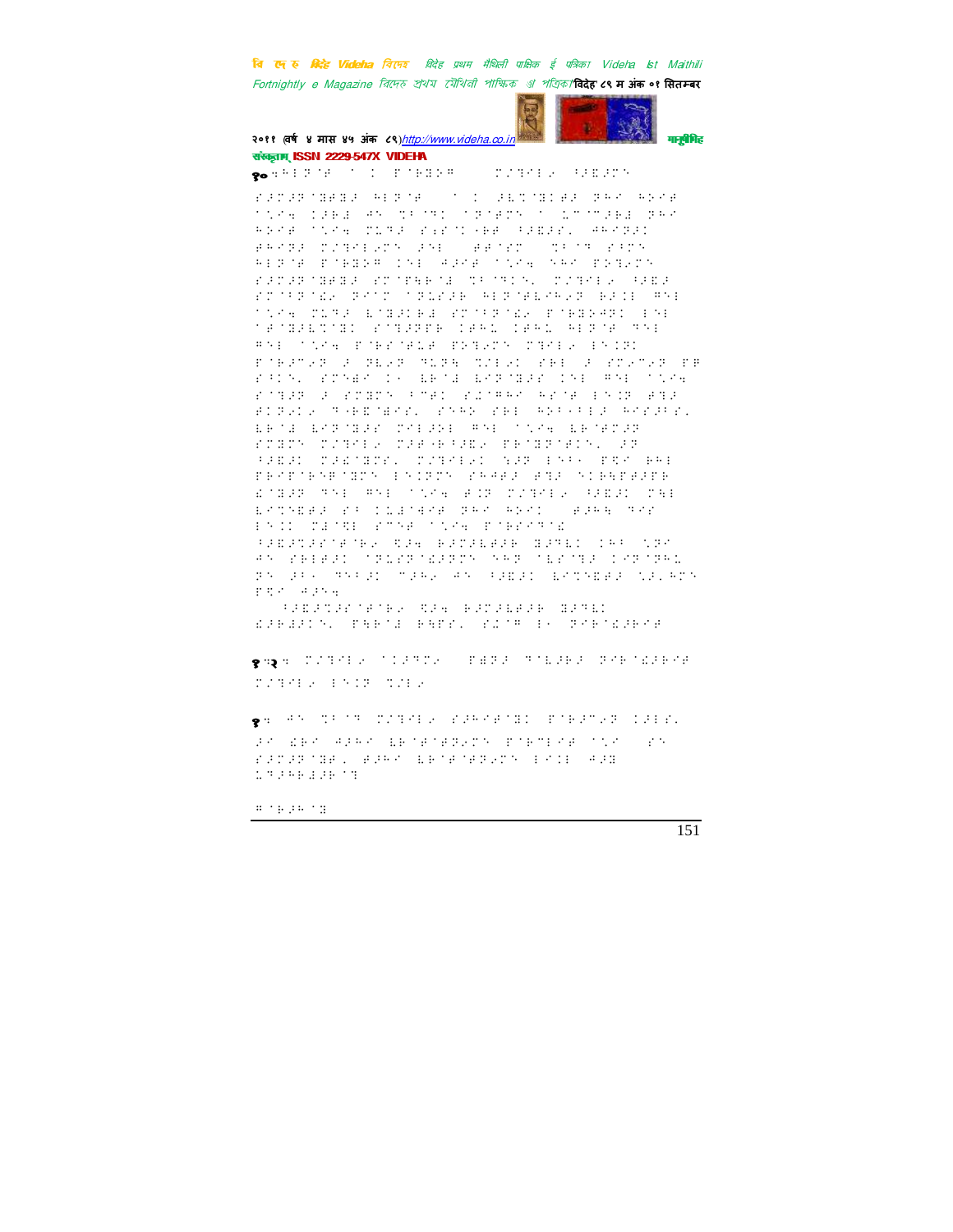चि एक रु मिनेह Videha विएक विदेह प्रथम मैथिली पाक्षिक ई पत्रिका Videha Ist Maithili Fortnightly e Magazine রিদেত শ্রথম মেথিনী পাক্ষিক প্রা পত্রিকা**'বিदेह' ८९ म अंक ०१ सितम्बर** 

२०११ (वर्ष ४ मास ४५ अंक ८९) http://www.videha.co.i. संस्कृतम् ISSN 2229-547X VIDEHA

मानुबैमिह

**Romand Private Control Property CONTRACTOR ACCORD** 

POSTOR TEACHER PORT  $\gamma$  , the second state and second properties of  $\alpha$ n the subsequent of the constant of the model see ntea domaineacht agus agoset sanega and that is REPORT DOGPERDS (RSE) (RRIGGE ) DECEMBERS Additional property and the constant of the content of the property of the property of the content of the content a proporta e a primar e establecera e su concerta política a p ROTH PICE COMPOSITIONS AND TREASON RAIDS CAN  $\mathcal{L}(\mathcal{L},\mathcal{L},\mathcal{L}) = \mathcal{L}(\mathcal{L},\mathcal{L},\mathcal{L}) = \mathcal{L}(\mathcal{L},\mathcal{L},\mathcal{L},\mathcal{L}) = \mathcal{L}(\mathcal{L},\mathcal{L},\mathcal{L},\mathcal{L}) = \mathcal{L}(\mathcal{L},\mathcal{L},\mathcal{L},\mathcal{L},\mathcal{L}) = \mathcal{L}(\mathcal{L},\mathcal{L},\mathcal{L},\mathcal{L},\mathcal{L},\mathcal{L}) = \mathcal{L}(\mathcal{L},\mathcal{L},\mathcal{L},\mathcal{$ TRIARECIES PICKERS SPACE SPACE PER PICKERS RAIN CONSTRUCTION CARD PROPERTY CONTROL AND CON-ESPANDA DE PEDA POR POR SOCIACIONES DA INCURRA EE RADAL ROMAN DA LERGA ERRORAR DAEL PMELIONAR POSSES E POSSES POR L'ESPART APORTEN DE PER addition the present in the single presented in exercise ERICE EKSIGSK DKESSE (PAE) TOKA ERICOS POSSON CONTRACTOR PROPERTY SERVICES AND THE CONTRACTOR FREAD DREDBOY, DUBREAD SAR ENFR PROPERT FRAFILM MESSEN CONSTRUCTION AND CONTROL AND PRESENT ROSER PRESENTIAL PROPERTY CONTRESS REDUCTIVE ERCABES YA CILENARE SAR ANNI (PSAE SARY ESID DECRE ENTRE CONA ESPERANOE FOR AN ARTHLE AND ROAD HOUSE ARE CHOSEN IN THE COURT. AN INFERIOR CONDITIONS IN A PURSING A CONTROL project measure weak are elected and and the state of 的复数人名英格兰人

**FORD TO A TEXT ROLL EDUCATE COUPLE** EVERY NUMBER OF BREAK STATES IN CRAFTER ARE

energian distance in the manual members of the masser of TITLE ALL FAIR STILL

es an distriction and a serience consequence of a sec-

an about agent about agent and the main and the  $\mathcal{L}=\mathcal{L}^{\mathcal{L}}$  . RADAR MERIC RAPA CERMANARADA CERMEL ADE 1725512573

 $\{0,1,1,2,3,4,5,6\}$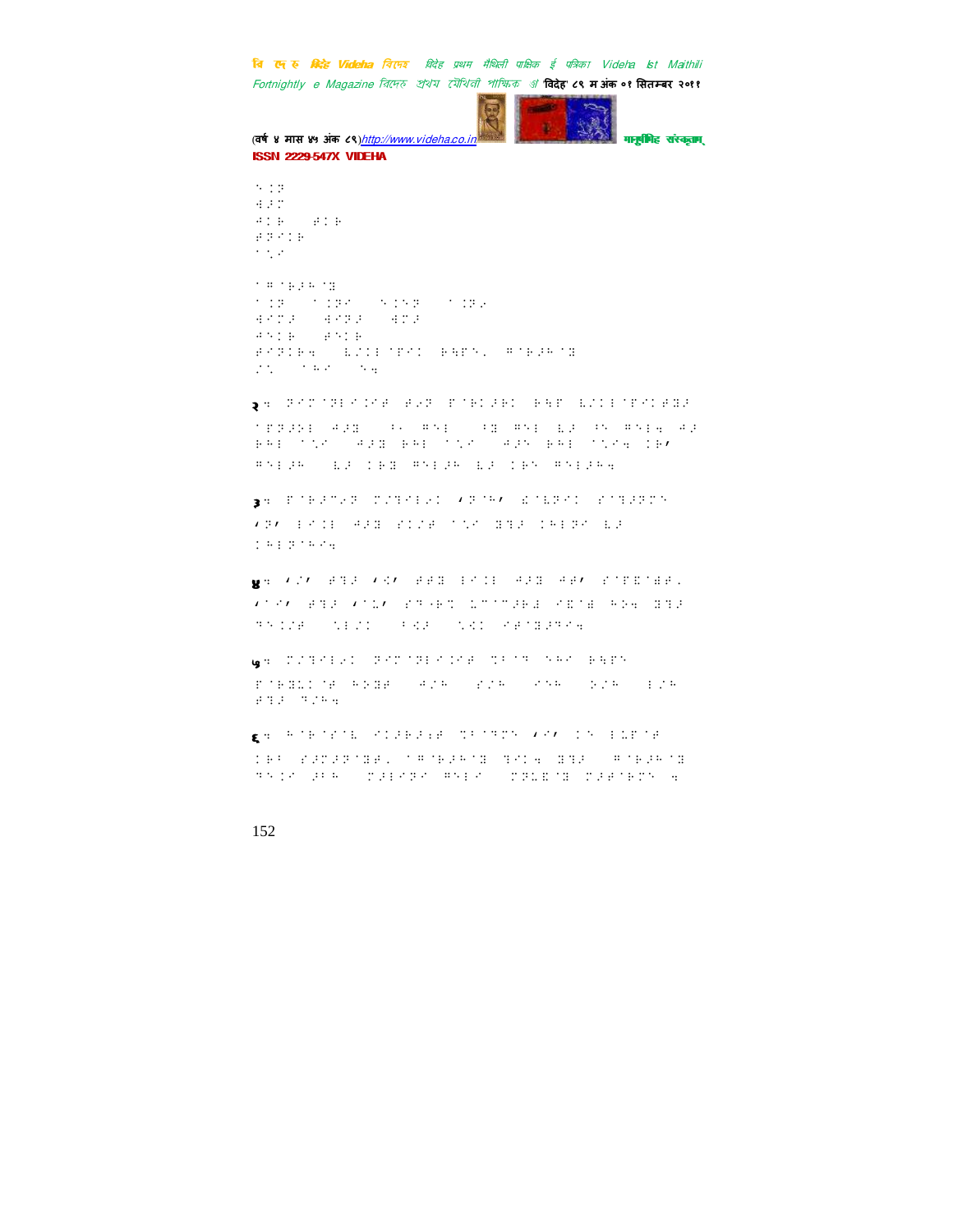बि एक रु मिनेट Videha विएक विदेह प्रथम मैथिली पाक्षिक ई पत्रिका Videha Ist Maithili Fortnightly e Magazine রিদেত প্রথম মৌথিনী পাক্ষিক র্ণ **বিदेह ८९ म अंक ०१ सितम्बर २०११** 

(वर्ष ४ मास ४५ अंक ८९)http://www.videha.co.in **ISSN 2229-547X VIDEHA** 

**CONTRACT** 

मानुबंधिह संस्कृतम्

 $\sim$  1.8  $^{\circ}$  $\in \mathbb{R}^n$  $\theta$  (  $\theta$  )  $\gamma$  ,  $\theta$  (  $\theta$ **第四次定期**  $\gamma$  ,  $\gamma$  $\gamma$  and point  $\gamma_{\rm H}$ 

nda (ndak sebagai baw.<br>Herbe Herbe Herb  $\sigma \sim 1/\mu$  ) ( )  $\mu \sim 1/\mu$ ia kontaka () (1871) biztanleriko baineta () artekak hon.<br>1882 - Internet Steat

gia i discritaris con la validat del ciento estis ser la tratta del #NEURO EU CEB (#NEURO EU CERC #NEURO

ge anderster modeler vroew andrer andrers VOV EKSE ADO VICA TIM OBSA INFORMACI 工具生产中产品。

gen vizz ema vizz eem arta ream eez enmaned View and Viby Present bookee while also had PRODUCT SEDIO PROFINO CONTRACTORES

Geographic activations that the secondary and educate compagnitive and except in the compagnet of a pre- $\mathcal{G}(\mathcal{X},\mathcal{Y})\subseteq \mathcal{Y}(\mathcal{Y},\mathcal{Y})$ 

gia (A ne nanal) kodedas con nach son son con a banne-CAR PARTER CEAL COnference (1971) ESERCIC PORTACE de algunas de la propiedad de la propieda de la propieda de la propieda de la propiedad de la propiedad de la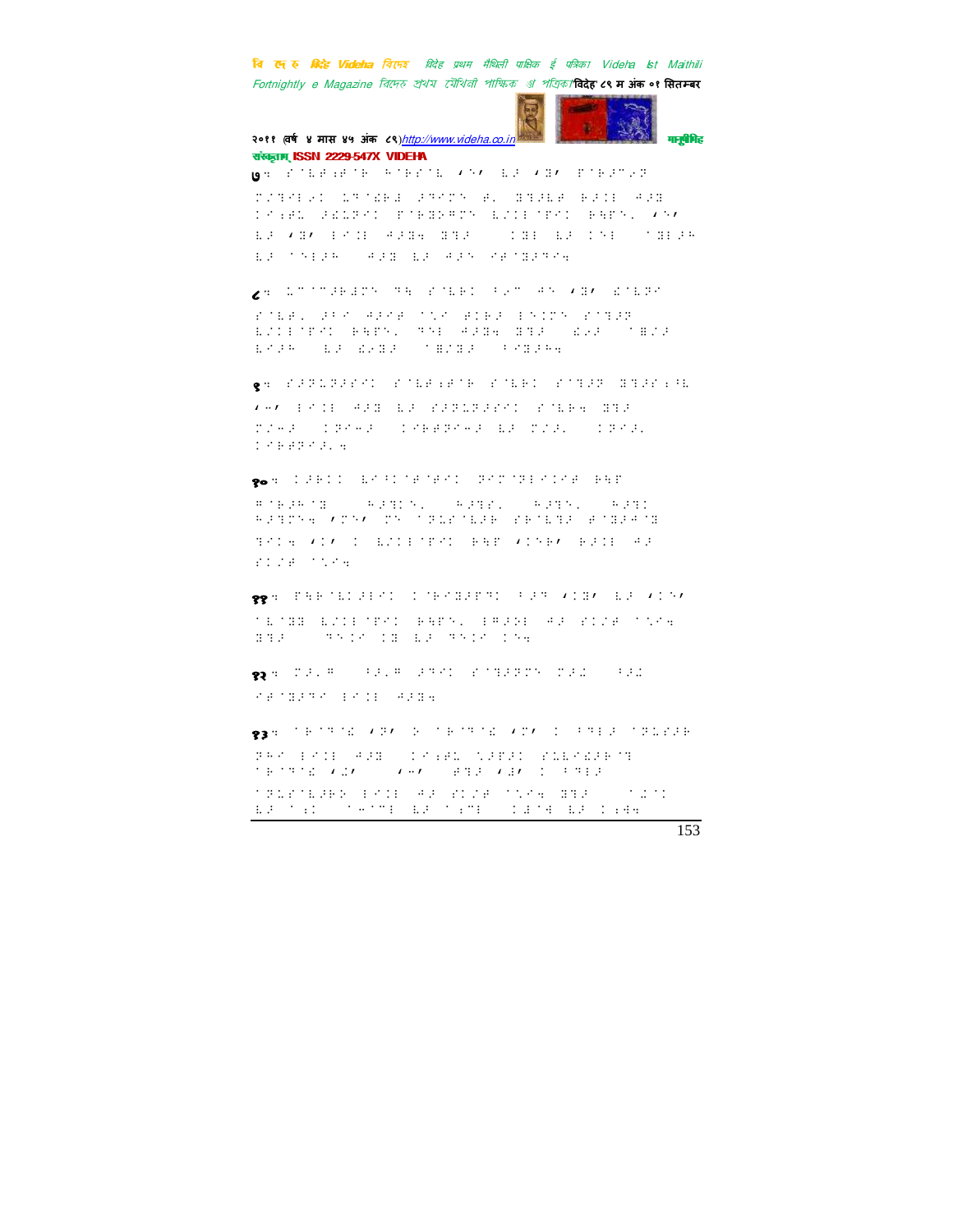बि एक स्टेड Videha विएक विदेह प्रथम मैथिली पाक्षिक ई पत्रिका Videha Ist Maithili Fortnightly e Magazine রিদেচ প্রথম মৌথিনী পাক্ষিক *ঙা পত্রিকা'* বিदेह' **cs म अंक ०१ सितम्बर** 

#### २०११ (वर्ष ४ मास ४५ अंक ८९) http://www.videha.co.ir मानुबैमिह संस्कृतम् ISSN 2229-547X VIDEHA

BAC STEPHENE PORTED VALUES VOLUME TRATES TITARA DI CONTERA CANADA CALCOMARA CRAID CARR TREED SEDERIC PORCHES ENTERTAINMENT SERIAL SAV EVINEW PROPERTY STATES IN THE REPORT OF THE PROald in Naurel Companies on a process in a rapprocess

gen bin thee advices in the cost of the score who advantage

RICER LIGHT ARRESTS AND REPORTED TO ACTIVE EVISITEN PRESS TABLES BEST BASE THAT THAT  $\mathbb{E}[\mathcal{A}(\mathcal{I},\Phi)] = \mathbb{E}[\mathcal{I} - \mathcal{I}(\mathcal{I},\Phi|\mathcal{I}]) = \mathbb{E}[\mathcal{I}(\Phi|\mathcal{I}]) = \mathbb{E}[\mathcal{A}(\Phi|\mathcal{I}|\Phi|\mathcal{I}])$ 

es avaiantes antes antes antes antigas diturales A HV SERVIE SADE SED SYDNEDDAY IS TEARS END. DIRECT DEPART CONFIDENCIAL BUSINESS (CONTROL) DREBBRALE

gone (1981) Entitlement (Promperine ear)  $\mathcal{B}(\mathcal{A},\mathcal{B},\mathcal{B},\mathcal{A},\mathcal{B}) = \mathcal{B}(\mathcal{A},\mathcal{B},\mathcal{B},\mathcal{B},\mathcal{B}) = \mathcal{B}(\mathcal{A},\mathcal{B},\mathcal{B},\mathcal{B},\mathcal{B},\mathcal{B},\mathcal{B},\mathcal{B},\mathcal{B},\mathcal{B},\mathcal{B},\mathcal{B},\mathcal{B})$ A 2 dichar (2 din 2 din 1 dice of 2 din 2 din 2 din 2 din 2 din 2 din 2 din 2 din 2 din 2 din 2 din 2 din 2 di HADALYDA DI BIDETEKO BARTIYONEA BADETAA advanced as

een saakhadusakd oo nakdussed oo ku waday aad worky TESSE EVISITENT PARAL PROVIDED AND PICA CONNE 

es a chave a save associacionadore nad assau- $\mathcal{P}(\mathcal{G}) \triangleq \mathcal{Q}(\mathcal{G}) \triangleq \mathcal{P}(\mathcal{G}) \triangleq \mathcal{Q}(\mathcal{G}) \triangleq \mathcal{Q}(\mathcal{G}) \triangleq \mathcal{Q}(\mathcal{G}) \triangleq$ 

ese termina vazi de membra vozi di smedi madrae PRO ESTE PARE COSARDO CARADO POLABAR (9) THE SPECIAL AND A  $\sqrt{m}$ **SERVICE** (1) 中央主義 TELEVISION INTERNATIONAL TONNEL BASE CONTINU ald in advisor entranced in a many did has easy diagle.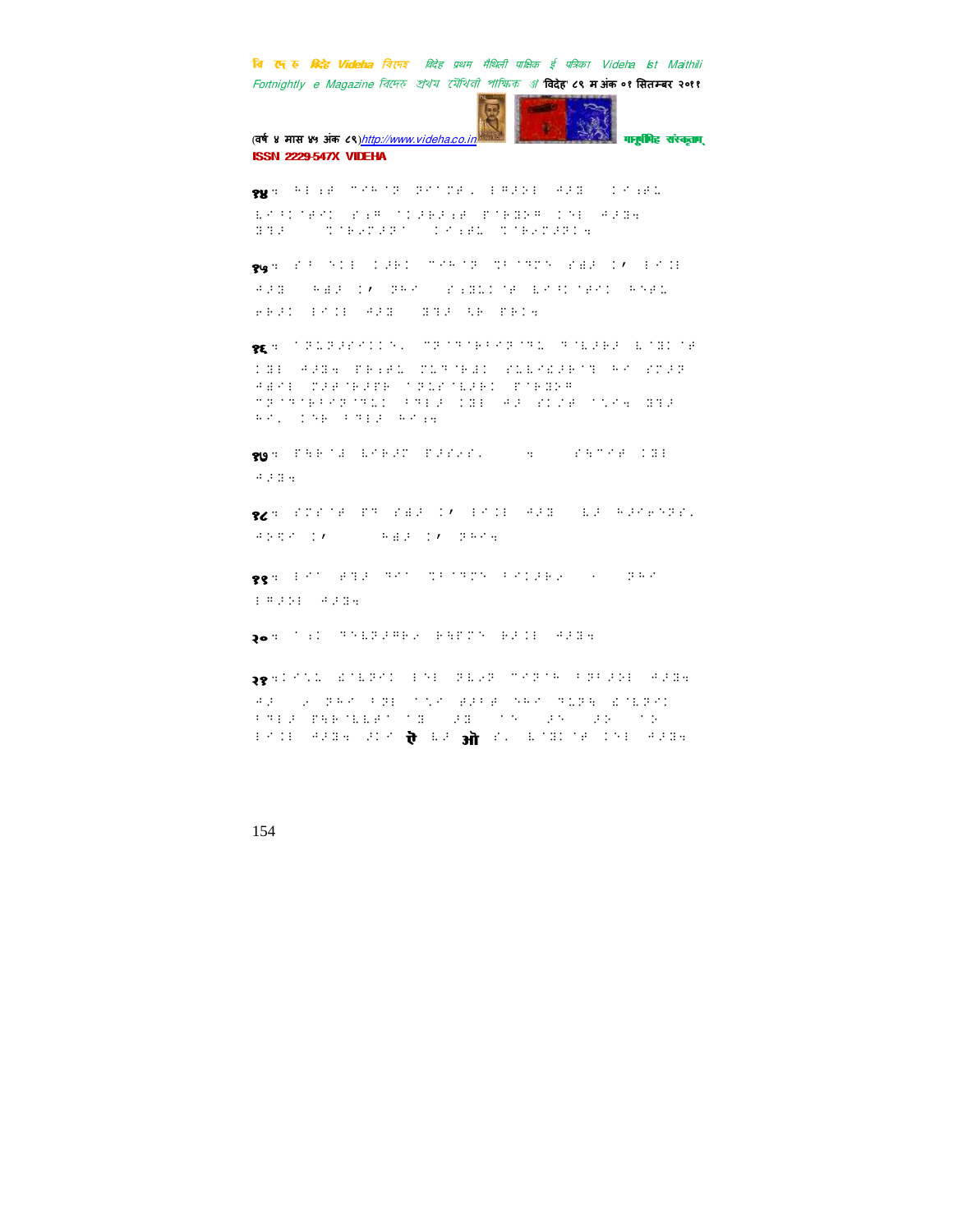बि एक रु मिनेट Videha विएक विदेह प्रथम मैथिली पाक्षिक ई पत्रिका Videha Ist Maithili Fortnightly e Magazine রিদেত প্রথম মৌথিনী পাক্ষিক *প্র* **বিदेह' ८९ म अंक ०१ सितम्बर २०११** 





exercise invente entre l'esses esses l'esta- $\begin{smallmatrix} \texttt{E}(\mathcal{A}) & \texttt{E}(\mathcal{A}) & \texttt{E}(\mathcal{A}) & \texttt{E}(\mathcal{A}) & \texttt{E}(\mathcal{A}) & \texttt{E}(\mathcal{A}) & \texttt{E}(\mathcal{A}) & \texttt{E}(\mathcal{A}) & \texttt{E}(\mathcal{A}) & \texttt{E}(\mathcal{A}) \\ \texttt{E}(\mathcal{A}) & \texttt{E}(\mathcal{A}) & \texttt{E}(\mathcal{A}) & \texttt{E}(\mathcal{A}) & \texttt{E}(\mathcal{A}) & \texttt{E}(\mathcal{A}) & \texttt{E}$ 

gya de habitat del mesos de cara destina i el A 2 B (1) A B 2 (1) 2 (1) PA K (1) Y 3 B 2 C 19 (1) B K 31 (1981) 1983 B BEACHING AND COORDINATES.

egie in diplomatical in more than the score in the depth and the THE PROBATION AND TO THE RESIDENCE OF A PROPERTY  $\mathcal{A}(\mathcal{A},\mathcal{C},\mathcal{C}) = \mathcal{C}(\mathcal{A},\mathcal{C}) \cdot \mathcal{C}(\mathcal{A},\mathcal{C}) = \mathcal{C}(\mathcal{C},\mathcal{C}) \cdot \mathcal{C}(\mathcal{C},\mathcal{C},\mathcal{C}) = \mathcal{C}(\mathcal{C},\mathcal{C},\mathcal{C}) \cdot \mathcal{C}(\mathcal{C},\mathcal{C}) = \mathcal{C}(\mathcal{C},\mathcal{C},\mathcal{C}) \cdot \mathcal{C}(\mathcal{C},\mathcal{C}) = \mathcal{C}(\mathcal{C},\mathcal{C},\mathcal$  $\mathbf{h}(\mathcal{P}_{\mathcal{A}}) = \mathbf{f}(\mathcal{A}|\mathbf{h}) \in \mathbb{R}^{n} \times \mathbb{R}^{n} \times \mathbb{R}^{n} \times \mathbb{R}^{n}$ 

gge fabilitates programs in a communication 中国 出版

86 CONCORDO PROVIDED LA CARDIO CARDO A REPORTED  $\left\langle \left( \frac{1}{2} \right) \left( \frac{1}{2} \right) \left( \frac{1}{2} \right) \left( \frac{1}{2} \right) \left( \frac{1}{2} \right) \left( \frac{1}{2} \right) \left( \frac{1}{2} \right) \left( \frac{1}{2} \right) \left( \frac{1}{2} \right) \left( \frac{1}{2} \right) \left( \frac{1}{2} \right) \left( \frac{1}{2} \right) \left( \frac{1}{2} \right) \left( \frac{1}{2} \right) \left( \frac{1}{2} \right) \left( \frac{1}{2} \right) \left( \frac{1}{$ 

een bet adelmen derhouwerseas is leden 19951 9935

post nacional presents as provided by the series.

Additional development to the second terms of the second terms of the second terms of the second terms of the FRED PARTELES SECOND CITY CORPORATION a kita ilikuwa kuwa mata wa mata ya mata wa 1980 hada wa mata wa mata wa mata wa mata wa mata wa mata wa mata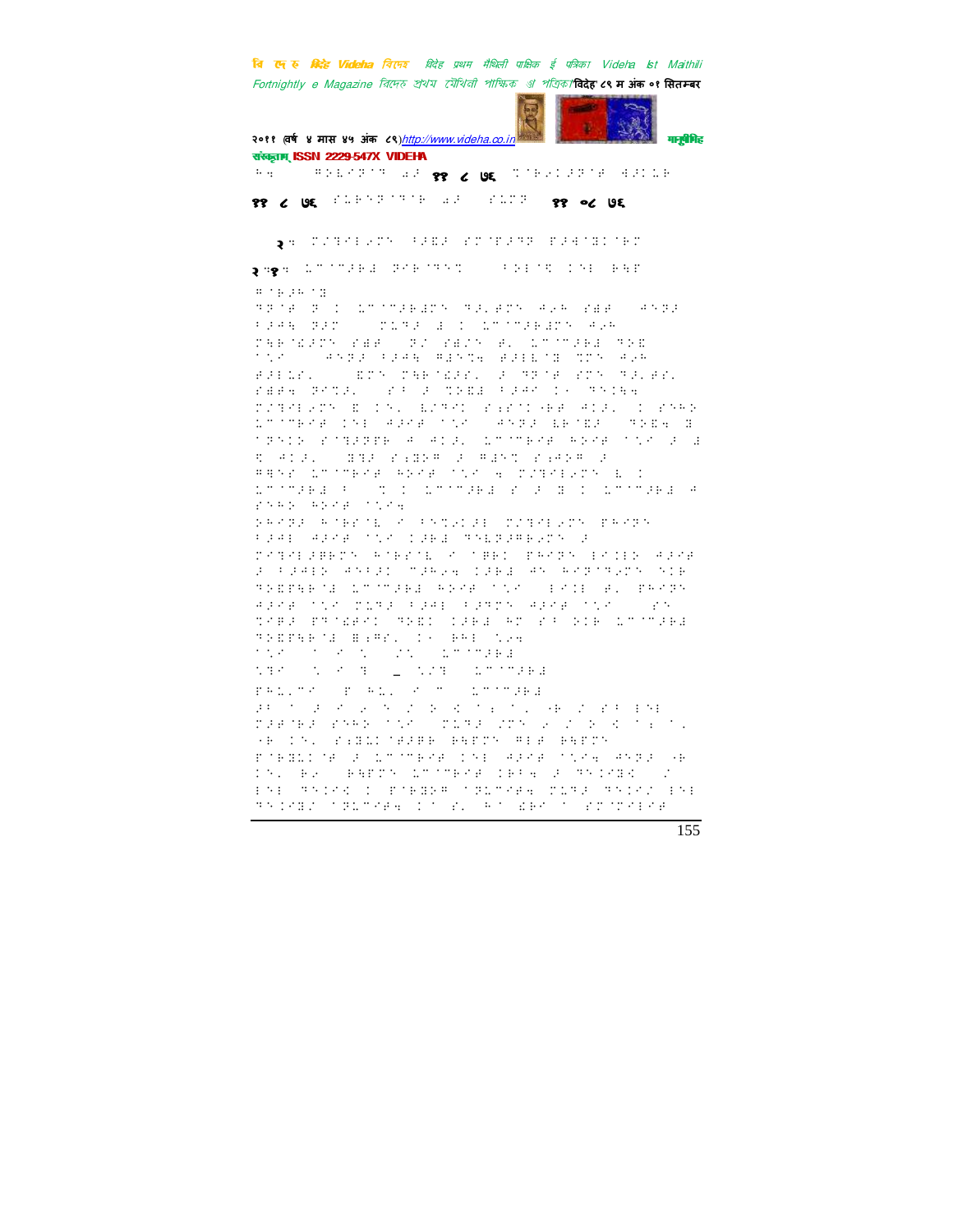बि एक रु मिन्हे Videha विरफ्श विदेह प्रथम मैथिली पाक्षिक ई पत्रिका Videha Ist Maithili Fortnightly e Magazine রিদেহ প্রথম মৌথিরী পাক্ষিক *ঙা পত্রিকা'* विदेह' ८९ म अंक ०१ सितम्बर



**38 & UE** START STATE AND STATE 198 OF UE

 $\bullet$  . The second contract of the second second contract the matrice second contract of the second second second second second second second second second second second second second second second second second second sec

green boothead dealership in Faster 1941 aan 并不良是并不由于

MORE OF CONSTRUCTS MOVEDS AND PARTICULAR OF FORE DOCTOR CONFIDENTIAL CONTINUES ON A 25 cae razioni vale il divisiano nel commissa inden tie in die Arte die seine Ausschlande von der Anten der Anten der Anten der Anten der Anten der Anten der Anten A 23 DEC 11 TO BOOK TO RETAILED TO THE TATTE THOSE PLANES. 2889 97391  $\label{eq:2.1} \mathcal{L}(\mathcal{L}(\mathcal{F})) = \mathcal{L}(\mathcal{L}(\mathcal{L}(\mathcal{E}(\mathcal{L}(\mathcal{F}(\mathcal{F}(\mathcal{F}(\mathcal{F}(\mathcal{F}(\mathcal{F}(\mathcal{F}(\mathcal{F}(\mathcal{F}(\mathcal{F}(\mathcal{F}(\mathcal{F}(\mathcal{F}(\mathcal{F}(\mathcal{F}(\mathcal{F}(\mathcal{F}(\mathcal{F}(\mathcal{F}(\mathcal{F}(\mathcal{F}(\mathcal{F}(\mathcal{F}(\mathcal{F}(\mathcal{F}(\mathcal{F}(\mathcal{F}$ potentiams absorbed appear an announce and considerable  $\mathcal{O}(\mathcal{A}(\mathcal{N},\mathcal{P},\mathcal{F})) \leq \mathcal{O}(\mathcal{E}(\mathcal{P},\mathcal{F})) \leq \mathcal{O}(\mathcal{E}(\mathcal{E}(\mathcal{F}))) \leq \mathcal{O}(\mathcal{E}(\mathcal{F})))$ 五世の世界の第一での主に「神道の第一の九年」 nderbeiten maderne und der Schimmerkeite ereinen eine und 第1991 まい。 ##NY CONTRAP #NY# TOXINA DOGRAFING END construit a constitution of the construction of the construction of the construction of the construction of the construction of the construction of the construction of the construction of the construction of the constructi group output and com-SARBA A 1981 (B. P. PARS) ABU DI BABA SINUBARAN FORECADAS TORTOSES MAEDIAEDON O CARACTERIA PORTE A CERTO CREAR CONTEMPORA a conductor una accompagne capelar un conductor no segue docheers in three exception is created through adago con moral cada coardo adago con conse CAPA PROBACCORADO CARDO AMORA CALE CONOMARA PERFECT BARY, IN BREATNA nde l'instruction de l'ambreuxeur March Miller, and London Communist  $\gamma$  probability of  $\gamma$  in the first parameter 主要会とサオー  $\begin{split} &\mathcal{F}^{(2)}(z^{(1)}+z^{(2)}+z^{(3)}+z^{(4)}+z^{(5)}+z^{(6)}+z^{(6)}+z^{(6)}+z^{(6)}+z^{(6)}+z^{(6)}+z^{(6)}+z^{(6)}+z^{(6)}+z^{(6)}+z^{(6)}+z^{(6)}+z^{(6)}+z^{(6)}+z^{(6)}+z^{(6)}+z^{(6)}+z^{(6)}+z^{(6)}+z^{(6)}+z^{(6)}+z^{(6)}+z^{(6)}+z^{(6)}+z^{(6)}+z^{(6)}+z^{(6)}+z^{(6)}+z^{(6)}$ HE IN STREET MARKED BARTY FER BARTY proposition of summittees substituted in the capacity of TAL BASE BARTA CONTRAB IBPACT PAINTED ENE SANCAR CONFIDER CORDONAL DORA SANCAR ENE AND CONTROLLER AND DISTURBANCE OF A SERVICE AND DESCRIPTION OF A SERVICE OF A SERVICE OF A SERVICE OF A SERVICE OF A SERVICE OF A SERVICE OF A SERVICE OF A SERVICE OF A SERVICE OF A SERVICE OF A SERVICE OF A SERVICE OF A S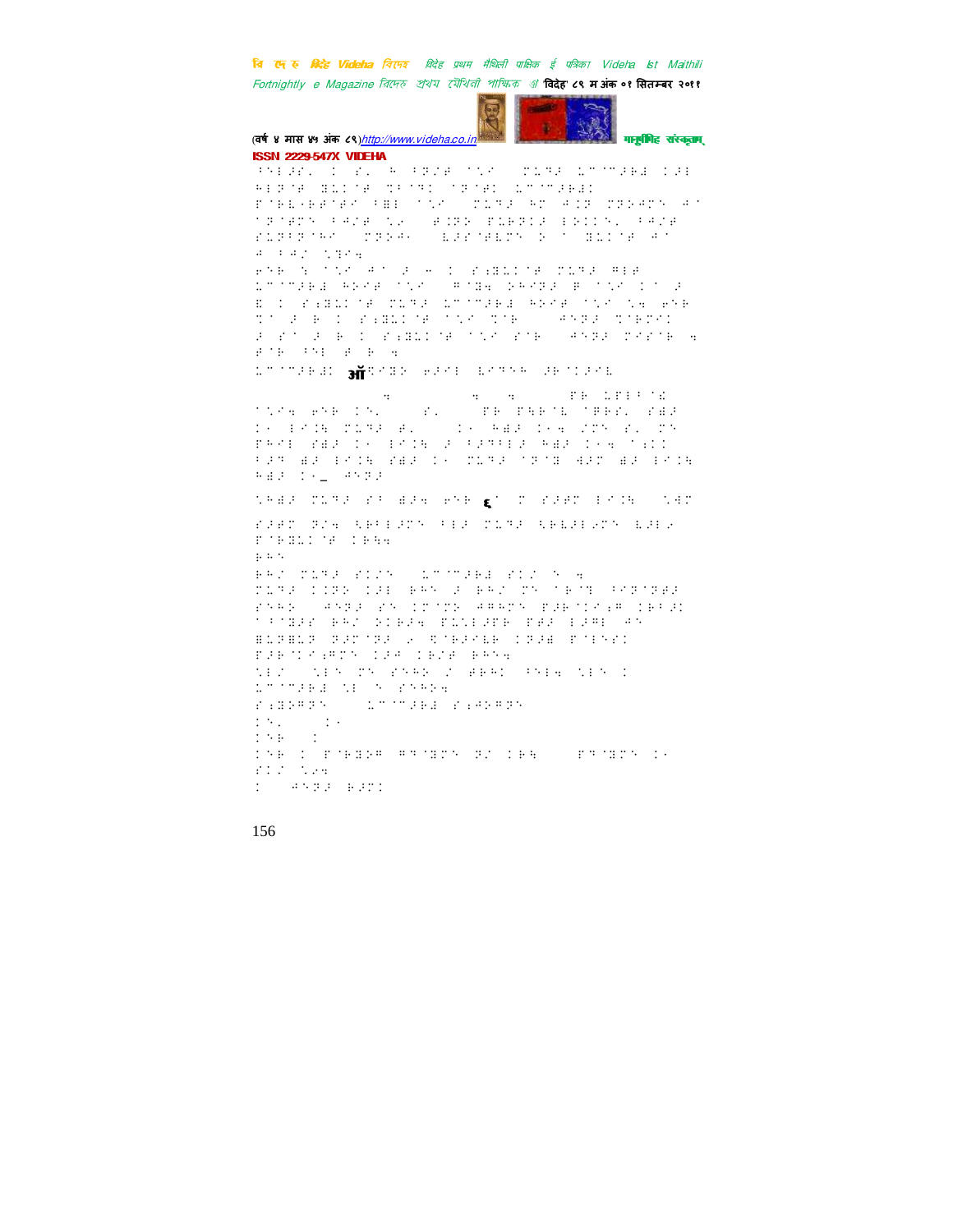चि एक रु मिनेह Videha विएक विदेह प्रथम मैथिली पाक्षिक ई पत्रिका Videha Ist Maithili Fortnightly e Magazine রিদেত শ্রথম মৌথিনী পাক্ষিক ওা **বিदेह ८९ म अंक ०१ सितम्बर २०११** 



 $\label{eq:2.1} \mu = \pm \left( \mu \right) \rho = \gamma_1 \cdot \eta \cdot \rho \cdot \eta.$ i presidente de la construcción de la construcción de la construcción de la construcción de la construcción de<br>En construcción de la construcción de la construcción de la construcción de la construcción de la construcción a i kaabiya maka bora ka kaka sana salake<br>di ale i kababiya sana da ka a carrier as a caracter in the area compactnesses or ana ina alama contraedi affectas each contra aeriaco  $\begin{split} \mathbb{E}[\hat{\mathcal{H}}] &\stackrel{\text{def}}{=} \mathbb{E}[\hat{\mathcal{H}}] &\stackrel{\text{def}}{=} \mathbb{E}[\hat{\mathcal{H}}] &\stackrel{\text{def}}{=} \mathbb{E}[\hat{\mathcal{H}}] &\stackrel{\text{def}}{=} \mathbb{E}[\hat{\mathcal{H}}] &\stackrel{\text{def}}{=} \mathbb{E}[\hat{\mathcal{H}}] &\stackrel{\text{def}}{=} \mathbb{E}[\hat{\mathcal{H}}] &\stackrel{\text{def}}{=} \mathbb{E}[\hat{\mathcal{H}}] &\stackrel{\text{def}}{=} \mathbb{E}[\$ FOR BOILER DE PERSON DONA CARDE BAD ER DE 弁証法 コンニッククス teas cusa as associas groboasem as de cidam PORT DOWNLOADS POST PER TO THE CARD POST EDGE. FORBICOF CERR  $\mathbb{Z}^2$  and  $\mathbb{Z}^2$ BACK DOMESTICS COMMUNED BOOKS & roma ciado caso emporante por central endrada really accept recommendations and the contractor terage ear prese pinese pes este sen an BOSBOS SAMISA V STEARED DAGE MINER raenikansk iak ispanskova  $\mathbb{Z} \oplus \mathbb{Z}^+$ THE R PER PERSON REPORT FOR BUILDING process of the season  $2.13399956$ Confirma Ball Strangers  $\begin{array}{ll} 1.51 & \ldots & 1 \\ 1.54 & \ldots & 1 \end{array}$  $\sim 10$  $1.5\pm0.1$  ) in the figure ( ) and that  $5\pm0.01\pm0.01$  , and  $1.0\pm0.01\pm0.01$  , and  $2.1\pm0.01\pm0.01$ 

 $\label{eq:2} \mathbb{E}(\mathbb{E}^{(1)}\otimes\mathbb{E}^{(2)}\otimes\mathbb{E}^{(2)}\otimes\mathbb{E}^{(1)}\otimes\mathbb{E}^{(2)}\otimes\mathbb{E}^{(1)})$ 

**ISSN 2229-547X VIDEHA**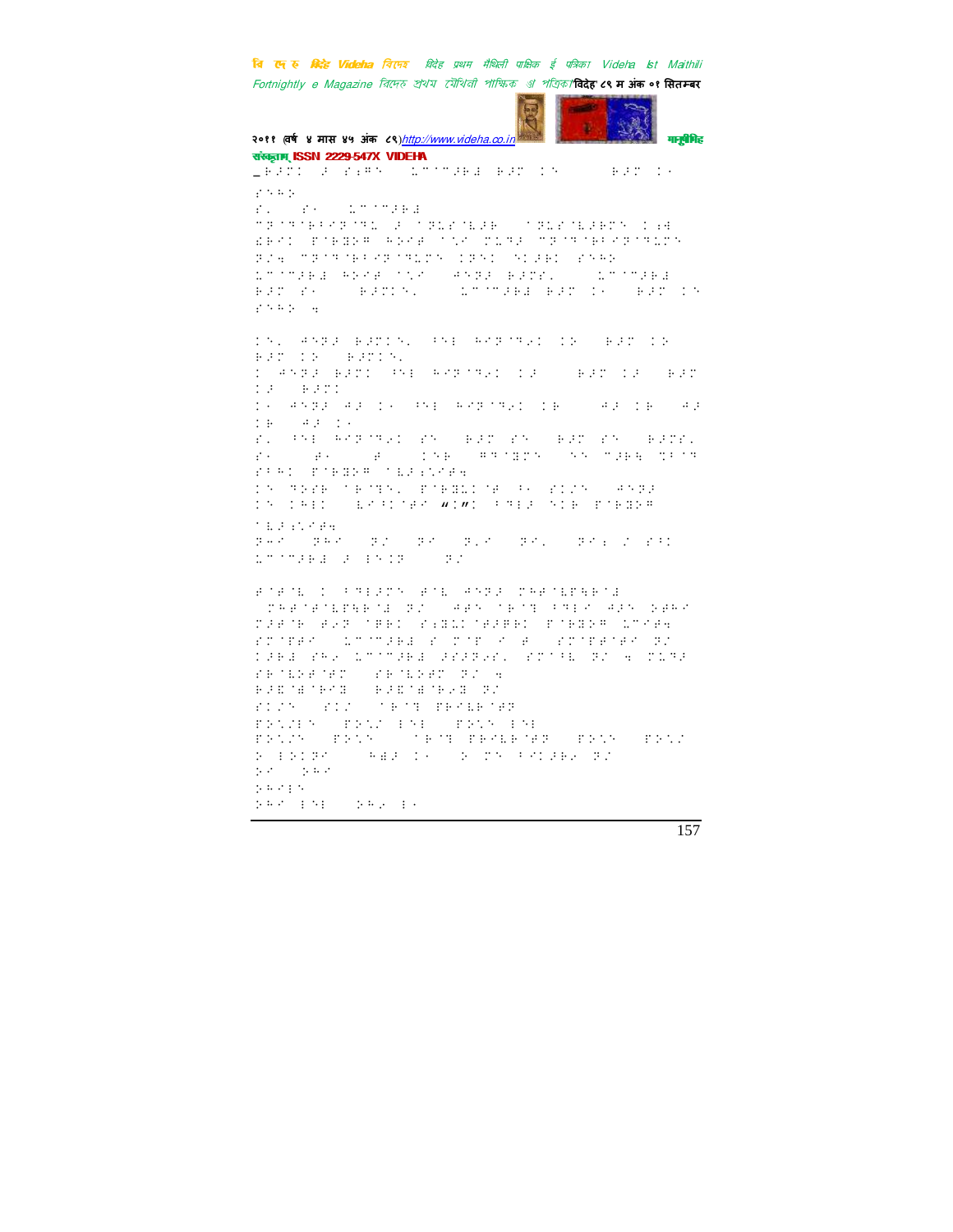Fortnightly e Magazine রিদেত শ্রথম মেথিনী পাক্ষিক প্রা পত্রিকা**'বিदेह' ८९ म अंक ०१ सितम्बर** g **CONTRACT** ø २०११ (वर्ष ४ मास ४५ अंक ८९) http://www.videha.co.ir मानुबेगिह संस्कृतम् ISSN 2229-547X VIDEHA Lever (vieles) ne production de la participa- $(49.3, 27.3, 12.4)$ 学校科学 and share the monopole and ma na reaka a machiar in acerteuse in in acerte a edividues ERSI PIREBAR PASSE TOS COLPA TORING PASSENGERS Big All importance and computer of pressure to present and exchinesed speakings (separated in contrast **Barnett** THE POINT OF THE COMPANY REPORTS OF THE POINT OF A 的复数医院 TAL PARK BUTIN, PAR PARTNER CONTROLLER **BUSINESS BUSINESS TRANSPORT** 医第二神经衰退 医神经性皮炎 医神经的 电射线式电路 医白蛋白质 医神经 计电子 神话 工事 一种美国工人 RUSSENE PROTECT RNS PROTECT SPONSOR PROTECT. 的复数形式 电电子电子电子 **一定在我们一些世界直接在一个女孩,也是我看了你的女孩** PERMIT PORTER CONFIDENCE TA STARB CORPORATION AND CONTROLLED 一 中外食品 IN IRBIT LEART TRANSWIRT PREPARED FOR BOY 人名法国内罗里亚 der Saer de Saer de Saer de Saer de Sa promaga calcandar  $\sim 12\%$ anan bili kebuah anti-kebuah kartu kal che all'antica e na concella a scritta in prima di la più cola e si CAR TEC RADIO TERIO SYSTEM CRAPED CONTRIBUTION CRY advanced communications of the contractor and proсива зви столива извидет золны ил ноосии **YE MESH MAD**  $\mathbb{B}(\mathcal{F}(\mathbb{E}^{\times})\oplus \mathcal{F}(\mathbb{E}^{\times})\oplus \mathcal{F}(\mathbb{E}^{\times})\oplus \mathcal{F}(\mathbb{E}^{\times})\oplus \mathcal{F}(\mathbb{E}^{\times})\oplus \mathcal{F}(\mathbb{E}^{\times})\oplus \mathcal{F}(\mathbb{E}^{\times})$ 2012/01/2020 **CONTRACTOR** FRIDAY (FRIDAY) (FRIDAY) EN inan'ny fisian'i Prastiti na manazara ny taona 2008–2014. THERE IS TO STOP AND REPORT  $5 - 3.54 (3.7)$  $\mathbf{p}(\mathbf{x}) = \mathbf{p}(\mathbf{x}, \mathbf{z})$ **クロマ**主な  $\mathcal{G}(\mathcal{H},\mathcal{F})\to \mathcal{H}(\mathcal{F})$ 计数据设计 电平

चि एक रु मिनेह Videha विएक विदेह प्रथम मैथिली पाक्षिक ई पत्रिका Videha Ist Maithili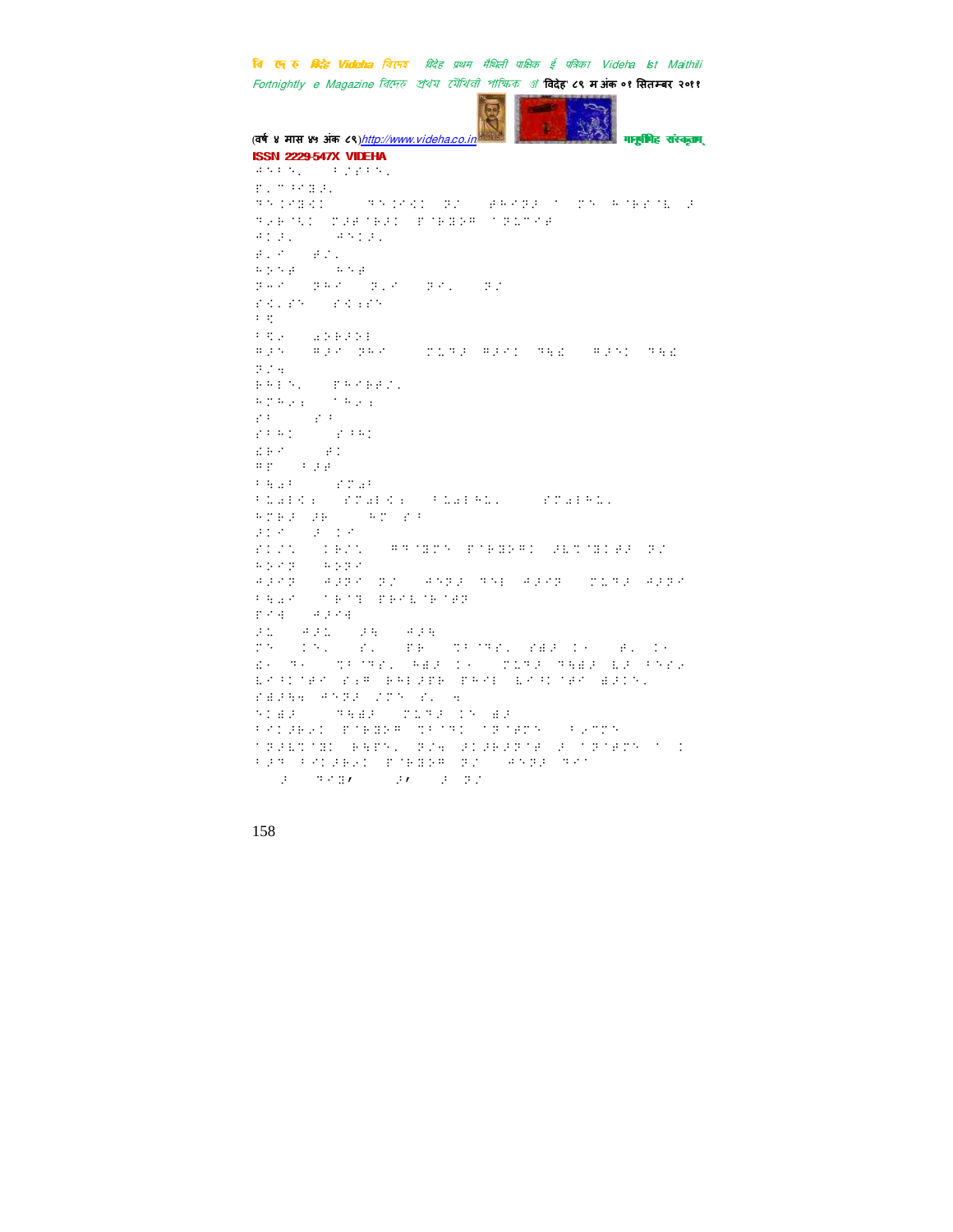Fortnightly e Magazine রিদেত প্রথম মৌথিনী পাক্ষিক *প্র* **বিदेह' ८९ म अंक ०१ सितम्बर २०११** 6 **September** ø (वर्ष ४ मास ४५ अंक ८९) http://www.videha.co.in मानूषीमेह संस्कृतम् **ISSN 2229-547X VIDEHA**  $\left\langle \left( d\left( \nabla_{\theta} \mathcal{L} \right) \right) \left( \nabla_{\theta} \mathcal{L} \right) \right\rangle = \left\langle \left( d\left( \left( \left( \mathcal{L} \right) \right) \right) \right) \left( \left( \left( \left( \left( \mathcal{L} \right) \right) \right) \right) \right) \right\rangle$ Bunded Bay **BAILERS** THE REPORT OF DRIVING A REPORT OF THE REPORT OF meaning the race of radian or porteat  $\theta$  1.4  $\mu$  /  $\tau$ 1008年5月22日 (1971) 1982년 - 1971<br>1985년 - 1998년 - 1992년 - 1992년 - 1992년<br>1993년 - 1998년 - 1992년 - 1992년 - 1992 excess cleaners  $\mathbb{E}[\mathcal{L}_{\mathcal{C}}]$ 中央公司  $-25993533$  $\mathfrak{m}(\mathfrak{p},\mathfrak{q})=\mathfrak{m}(\mathfrak{p},\mathfrak{p})=\mathfrak{m}(\mathfrak{p},\mathfrak{q})$ Control #declinate Cades raak  $\mathbb{R}^n \times \mathbb{R}^n$ BAIN, CONSTRUCT  $\mathbb{E}[\mathcal{V}(\mathbb{E}[\varphi_{\mathcal{A}}])] = \mathbb{E}[\mathcal{V}(\mathbb{E}[\varphi_{\mathcal{A}}])]$  $\begin{array}{llll} \varphi(x) & \varphi(x) & & \\ \varphi(x) \, \varphi(x) & \varphi(x) \, \varphi(x) \\ \varphi(x) \, \varphi(x) & \varphi(x) \\ \varphi(x) & \varphi(x) \\ \varphi(x) & \varphi(x) \end{array}$ ina (1986)<br>Francis (1994) (1994-1995) (1999-1995)<br>Francis (1999-1995)<br>Francis (1999-1995) (1999-1999-1999-1999-1999-1999)  $\mathbb{E}\left[\left\{x,y\right\}\right] = \left\{\left\{x,y,y\right\}\right\}$  $\mathcal{A}(\mathcal{G},\mathcal{F},\mathcal{G}) = \mathcal{A}(\mathcal{G},\mathcal{G},\mathcal{F}) = \mathcal{G}(\mathcal{G},\mathcal{G},\mathcal{G},\mathcal{G}) = \mathcal{G}(\mathcal{G},\mathcal{G},\mathcal{G}) = \mathcal{G}(\mathcal{G},\mathcal{G},\mathcal{G},\mathcal{G},\mathcal{G},\mathcal{G})$ a na kalimatan sa Kabupatén Grégor pela colage apisti (1981)<br>1980 - Carl Carl Care, inskriter alemanist (1981)<br>1980 - Rein Institut, feld con contra freez electronic EVIDENT WAS SERVED WHAT TEXT DESCRIPTION Padas Andel Connection Stage (Seagal prove theat a kolampo i predse u osnovanju od nadanu sa prost  $\mathbb{E}\left[ \mathcal{G} \right] = \left[ \mathcal{G} \right] \mathcal{G} \left[ \mathcal{G} \right] = \left[ \mathcal{G} \right] \mathcal{G} = \left[ \mathcal{G} \right] \mathcal{G} \left[ \mathcal{G} \right] \mathcal{G}$ 

बि एक स्टिट Videha विएक विदेह प्रथम मैथिली पाक्षिक ई पत्रिका Videha Ist Maithili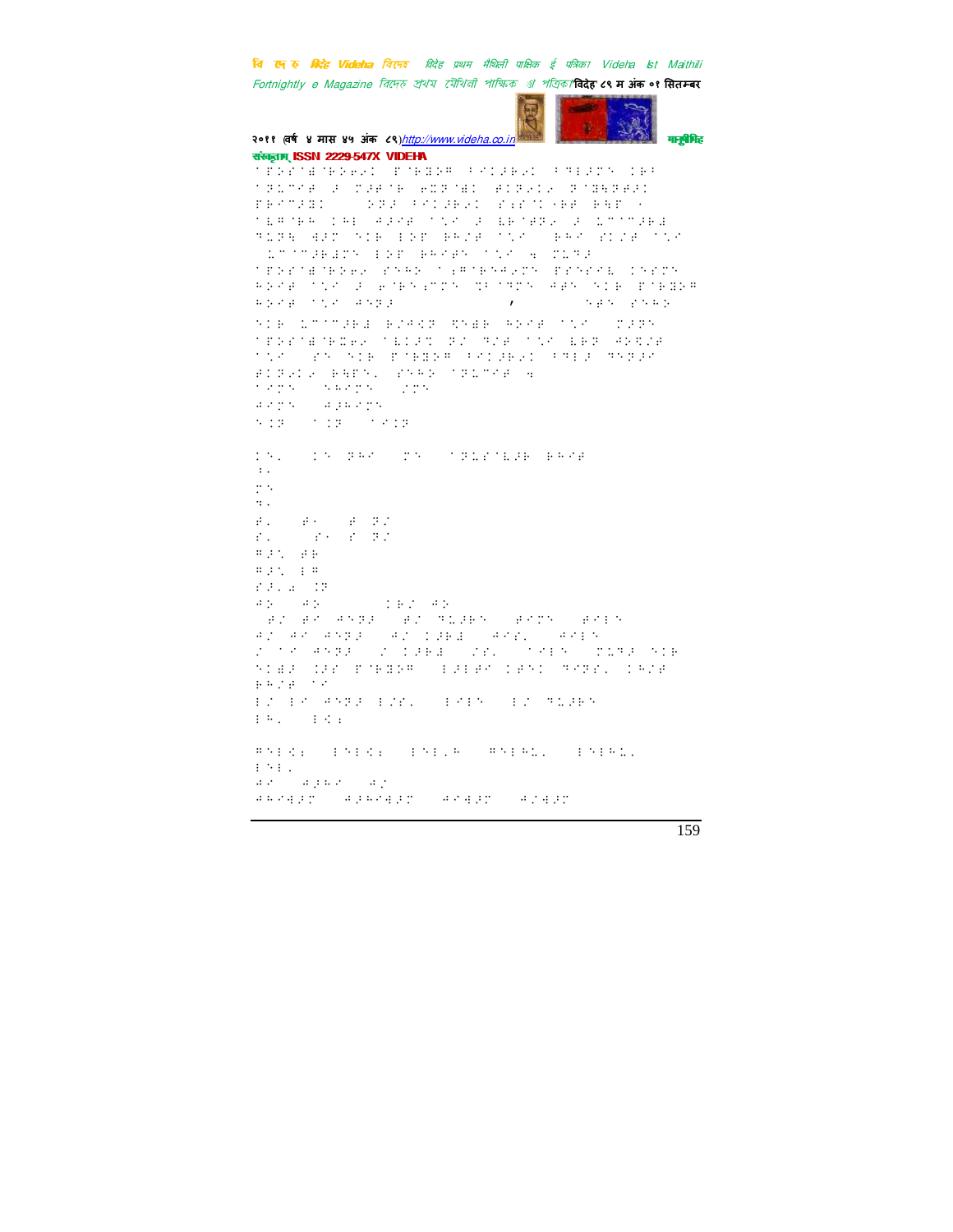चि एत् रू मिन्हे Videha निएन्थ विदेह प्रथम मैथिली पाक्षिक ई पत्रिका Videha Ist Maithili Fortnightly e Magazine রিদেহ প্রথম মৌথিনী পাক্ষিক প্র পত্রিকা**'বিदेह' ८९ म अंक ०१ सितम्बर** 

**Service** 

Q २०११ (वर्ष ४ मास ४५ अंक ८९)http://www.videha.co.in + 1999 मानुषी मानुषीपित संस्कृतम् ISSN 2229-547X VIDEHA 3⢵⣞⢷⢵⢶⢴!3⢷⣝⢵⢻!⢼⢷⢴!⢹6⢼!⢷! ⢽⣅^⢾!⢼!⢼⢾⢷!⢶⣍⢽⣞!⢾⢽⢴⢴!⢽⣝⣓⢽⢾⢼! 3⢷^⢼⣝\*.!⢵⢽⢼!⢼⢷⢴!⣐C⢷⢾!⢷⣓3!r!  $^{\prime}$  G = 0.0  $^{\prime}$  C = 0.0  $^{\prime}$  (  $^{\prime}$  C = 0.0  $^{\prime}$  C = 0.0  $^{\prime}$  C = 0.0  $^{\prime}$  C = 0.0  $^{\prime}$ SQUE SALISTIN DE SALIGE STRATE STRATE STRATE STRATE STRATE STRATE STRATE STRATE STRATE STRATE STRATE STRATE ST )⣅^^⢼⢷⣜!6⢵3!⢷⢳⢾!⣁\*⣒!⣅⢹⢼! 3⢵⣞⢷⢵⢶⢴!⢳⢵!⣐⢻⢷⢺⢴!3⣇!! **A SY BO TO TAT A TAT A STORY ON THE PART OF A SYSTEM OF A SYSTEM OF A SYSTEM OF A SYSTEM OF A SYSTEM OF A SYSTEM** ⢳⢵⢾!⣁!⢺⢽⢼!sbjtpo!e'fusf!⢾!⢳⢵! SIA COMMUNES REPORTED TO THE SECOND PROPERTY. 3⢵⣞⢷⣍⢶⢴!⣇⢼⣉!⢽5!⢹5⢾!⣁!⣇⢷⢽!⢺⢵⣋5⢾! ⣁-!!⢷!3⢷⣝⢵⢻!⢼⢷⢴!⢹6⢼!⢹⢽⢼! anda di atalia ang kalamang ang kalamang ang kalamang ang kalamang ang kalamang ang kalamang ang kalamang ang <br>Si atau sa managkalamang ang kalamang ang kalamang ang kalamang ang kalamang ang kalamang ang kalamang ang kal -!⢳0!5! ⢺-!⢺⢼⢳! ⣈⢽0!⣈⢽0!⣈⢽! F!)!⢽⢳\*!!)⢽⣅⣇⢼⢷!⢷⢳⢾\*!! ⢸r! ! ⢹r!! ⢾F!)⢾r-!⢾!⢽5\*! F!)!r!!⢽5\*! ⢻⢼⣁!⢾⢷! ⢻⢼⣁!6⢻! ⢼F⣔!⣈⢽! ⢺⢵!)⢺⢵!hp-!⢷5!⢺⢵!ep\*! !⢾50⢾!⢺⢽⢼.!⢾5!⢹⣅⢼⢷0!⢾0!⢾6!  $\sigma_{\rm 55}$  , and any property in the set of the set of the set of the set of the set of the set of the set of the set of the set of the set of the set of the set of the set of the set of the set of the set of the set of t 50!⢺⢽⢼.!5!⢼⢷⣜0!5F0!60!⣅⢹⢼!⢷! SIER (186 FEBRE) EREEN IENI PROFINIERE ⢷⢳5⢾!! 6506!⢺⢽⢼!65F0!660!65!⢹⣅⢼⢷! 6⢳F0!6⣊⣐! **#NEXE O ENEXE O ENEXE PRODUCT** 66F! ⢺0!⢺⢼⢳0!⢺5!! ⢺⢳⣚⢼0!⢺⢼⢳⣚⢼0!⢺⣚⢼0!⢺5⣚⢼!!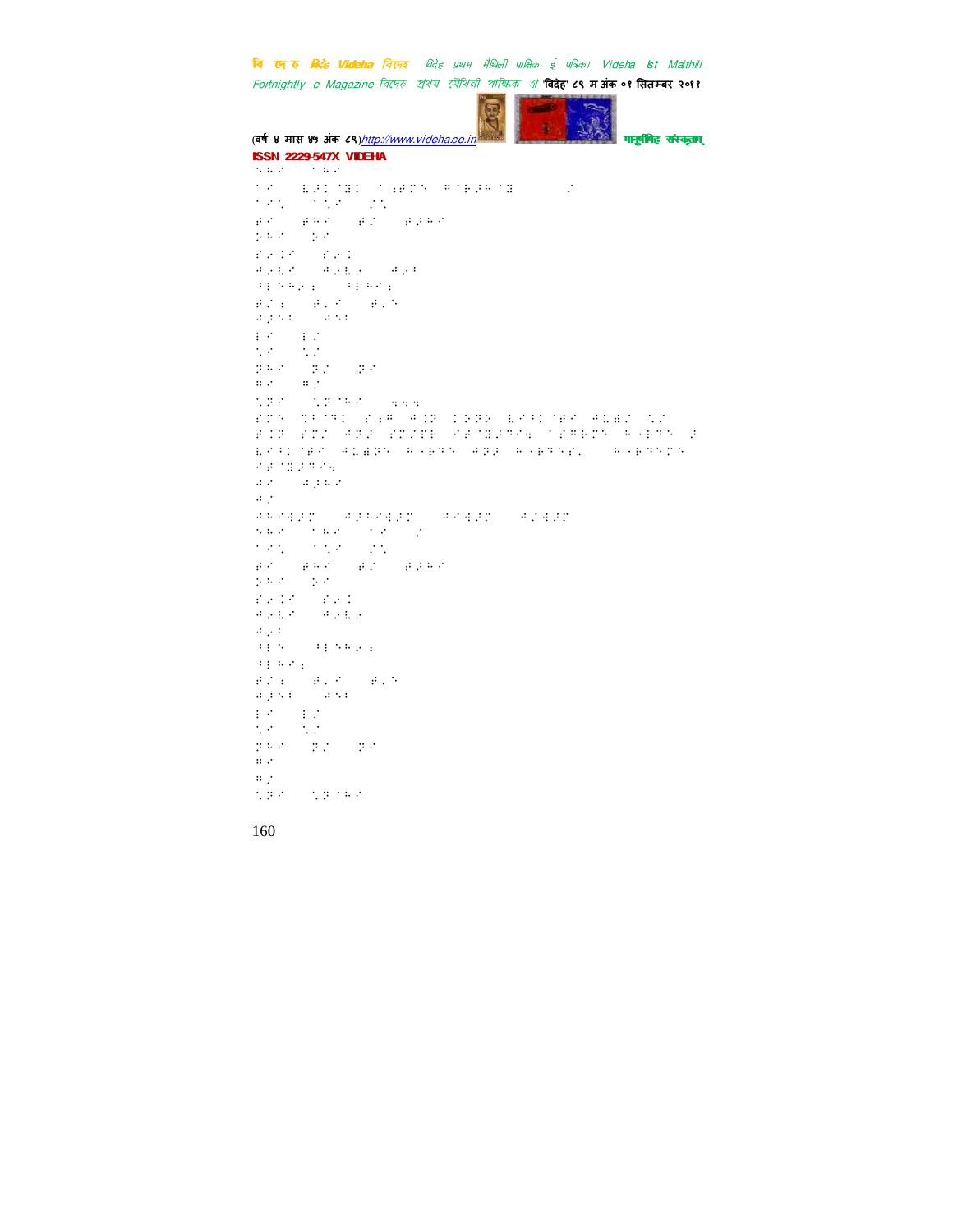चि एत् रू मिन्हे Videha निएन्थ विदेह प्रथम मैथिली पाक्षिक ई पत्रिका Videha Ist Maithili Fortnightly e Magazine विरमह शेथेग द्योंथिवी शीष्मिक औ **विदेह' ८९ म अंक ०१ सितम्बर २०११** 

**Service** 

E (वर्ष ४ मास ४५ अंक ८९)http://www.videha.co.in | मानुष्य संकृताम् | मानुष्यितः संस्कृताम् ISSN 2229-547X VIDEHA  $\mathcal{O}(10^6M_\odot)$  ,  $\mathcal{O}(10^6M_\odot)$  ,  $\mathcal{O}(10^6M_\odot)$ !)⣇⢼⣝!⣐⢾!⢻⢷⢼⢳⣝\*!0!5!!  $\mathcal{D}$  of  $\mathcal{D}$   $\mathcal{D}$   $\mathcal{D}$   $\mathcal{D}$   $\mathcal{D}$   $\mathcal{D}$   $\mathcal{D}$   $\mathcal{D}$ ⢾0!⢾⢳0!⢾50!⢾⢼⢳!! ⢵⢳0!⢵!! ⢴⣈0!⢴⣈!! ⢺⢴⣇0!⢺⢴⣇⢴0!⢺⢴!!! ⢸6⢳⢴⣐0!⢸6⢳⣐!!! ⢾5⣐0!⢾F0!⢾F!!  $\label{eq:3.1} \mathcal{A}(\mathcal{G},\mathcal{V},\mathcal{V}) = \mathcal{I}(\mathcal{M},\mathcal{V}) = \mathcal{I}$ 60!65!! ⣁0!⣁5!! , 1999<br>∄Bert (1992) – 1991 0.200 00 00 ⣁⢽0!⣁⢽⢳!!⣒⣒⣒!! !⣉⢹!⣐⢻!⢺⣈⢽!⢵⢽⢵!⣇⢸⢾!⢺⣅⣞5!⣁5!  $\pm$  0.3  $\pm$  0.5  $\pm$  0.5  $\pm$  0.5  $\pm$  0.5  $\pm$  0.5  $\pm$  0.5  $\pm$  0.5  $\pm$  0.5  $\pm$  0.5  $\pm$  0.5  $\pm$  0.5  $\pm$  0.5  $\pm$  0.5  $\pm$  0.5  $\pm$  0.5  $\pm$  0.5  $\pm$  0.5  $\pm$  0.5  $\pm$  0.5  $\pm$  0.5  $\pm$  0.5  $\pm$  0.5  $\pm$  0.5  $\pm$  0 Les traces and provide the space of the space of the space of the space of the space of the space of the space ⢾⣝⢼⢹⣒!!!! ⢺0!⢺⢼⢳0!!  $\mathcal{A}$ ⢺⢳⣚⢼0!⢺⢼⢳⣚⢼0!⢺⣚⢼0!⢺5⣚⢼! where  $\alpha$  is the  $\alpha$  -dimension of  $\alpha$  $\mathcal{D}(\mathcal{D}) = \mathcal{D}(\mathcal{D})$ ⢾0!⢾⢳0!⢾50!⢾⢼⢳! ⢵⢳0!⢵! ⢴⣈0!⢴⣈! ⢺⢴⣇0!⢺⢴⣇⢴0!!  $\mathcal{U}$  is a  $\mathcal{U}$  $\mathbf{G}_\mathrm{B}$  with a set of  $\mathbf{G}_\mathrm{B}$  $\mathcal{A}$  is a  $\mathcal{A}$  -sec. ⢾5⣐0!⢾F0!⢾F!  $\sigma$  denotes the contract of 60!65! ⣁0!⣁5! ⢽⢳0!⢽50!⢽!  $\mathbf{u}$  $\mathbb{R}^{+}$  : ⣁⢽0!⣁⢽⢳!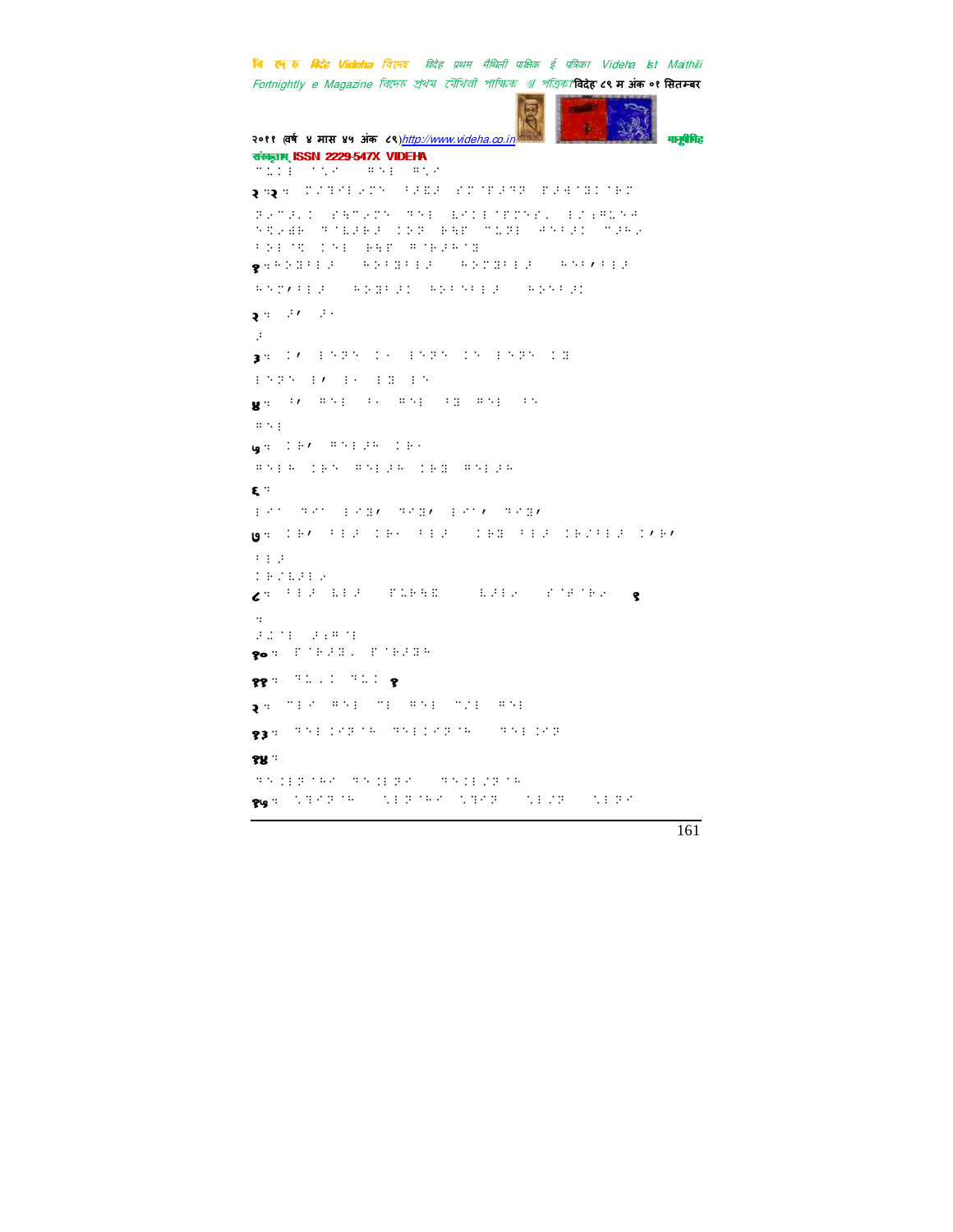```
चि एत् रू मिन्हे Videha निएन्थ विदेह प्रथम मैथिली पाक्षिक ई पत्रिका Videha Ist Maithili
Fortnightly e Magazine রিদেহ প্রথম মৌথিনী পাক্ষিক প্র পত্রিকা'বিदेह' ८९ म अंक ०१ सितम्बर
                                    CONTRACTOR
२०११ (वष
 ४ मास ४५ अंक ८९)http://www.videha.co.in/ मानुषीिमह 
संस्कृतम् ISSN 2229-547X VIDE<del>H</del>A
^⣅6!⣁0!⢻6!⢻⣁!
२⣒२⣒!5⣙6⢴!⢸⢼⣏⢼!3⢼⢹⢽!3⢼⣚⣝⢷!!
⢽⢴^⢼F!⣓^⢴!⢹6!⣇63F!65⣐⢻⣅⢺!
\DeltaSINGE IST AN INSTRUCTION OF THE STREET
6.5\pm0.6 C 1.5\pm0.4 ( 1.6\pm0.4 ( 1.6\pm0.3१⣒⢳⢵⣝6⢼0!⢳⢵⣝6⢼0!⢳⢵⣝6⢼0!⢳'6⢼-!
⢳'6⢼0!⢳⢵⣝⢼0⢳⢵6⢼!0⢳⢵⢼!!
२० जेर जेर
\mathcal{G}_\mathcal{A}३⣒!'!6⢽0r!6⢽0!6⢽0⣝!
6⢽06'06r06⣝06!!
४⣒!⢸'!⢻60⢸r!⢻60⢸⣝!⢻60⢸!
\mathbf{H} \sim \mathbf{F}५⣒!⢷'!⢻6⢼⢳0⢷r!
⢻6⢳0⢷!⢻6⢼⢳0⢷⣝!⢻6⢼⢳!!
६⣒!
60⢹!6⣝'-⢹⣝'-6'-⢹⣝'0!!
७⣒!⢷'!6⢼0⢷r!6⢼0!⢷⣝!6⢼!⢷56⢼0'⢷'
\mathcal{F} \in \mathcal{F}⢷5⣇⢼6⢴!!
८⣒!6⢼!⣇6⢼!)3⣅⢷⣓⣏*-!⣇⢼6⢴!)⢾⢷⢴*!९
\mathcal{H}^+⢼⣌6!⢼⣐⢻6!!
१०⣒!3⢷⢼⣝⣀!3⢷⢼⣝⢳!!
११⣒!⢹⣅⣀⣈!⢹⣅⣈!१
२⣒!^6!⢻6!^6!⢻60^56!⢻6!!
१३⣒!⢹6⣈⢽⢳!⢹6⢽⢳-!⢹6⣈⢽!!
१४ ः
⢹⣈6⢽⢳!⢹⣈6⢽0!⢹⣈65⢽⢳!!
१५⣒!⣁⣙⢽⢳0!⣁6⢽⢳!⣁⣙⢽0!⣁65⢽0!⣁6⢽!!
```

```
161
```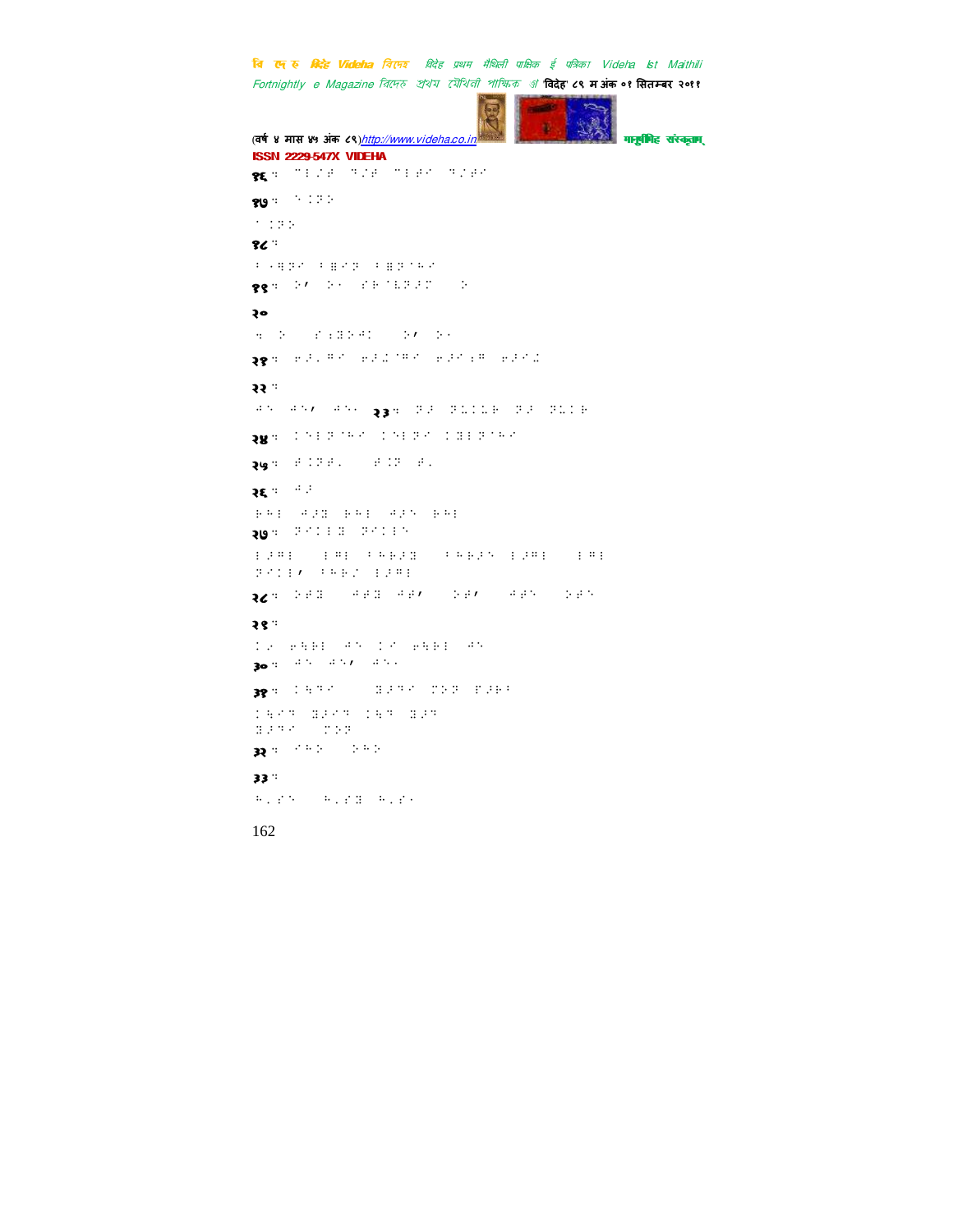```
चि एत् रू मिन्हे Videha निएन्थ विदेह प्रथम मैथिली पाक्षिक ई पत्रिका Videha Ist Maithili
Fortnightly e Magazine  विरमह  शेथेग द्योंथिवी  शीष्मिक  औ विदेह' ८९ म अंक ०१ सितम्बर २०११
(वर्ष ४ मास ४५ अंक ८९)http://www.videha.co.in<br>| मानुषि संस्कृताम्
ISSN 2229-547X VIDEHA 
162
१६⣒!^65⢾0⢹5⢾!^6⢾0⢹5⢾!!
१७⣒!⣈⢽⢵!!
\gamma36 .
\mathbf{C} \times \mathbf{C} \times \mathbf{C} \times \mathbf{C} \times \mathbf{C} \times \mathbf{C} \times \mathbf{C} \times \mathbf{C} \times \mathbf{C} \times \mathbf{C} \times \mathbf{C} \times \mathbf{C} \times \mathbf{C} \times \mathbf{C} \times \mathbf{C} \times \mathbf{C} \times \mathbf{C} \times \mathbf{C} \times \mathbf{C} \times \mathbf{C} \times \mathbf{C} \times \mathbf{C} \times \mathbf{C} \times \mathbf{C} \times \mathbf{C} \times \mathbf{C} \times \mathbf{C} \times \mathbf{१९⣒!⢵'0⢵r)⢷⣇⢽⢼*!⢵!!
२०
⣒!⢵!)⣐⣝⢵⢺*!⢵'0⢵r!!
२१⣒!⢶⢼F⢻0⢶⢼⣌⢻!⢶⢼⣐⢻0⢶⢼⣌!!
२२ ॥
⢺!⢺'0⢺r!२३⣒!⢽⢼.⢽⣅⣅⢷!⢽⢼.⢽⣅⢷!!
२४ वे १००० मध्ये १००० मध्ये अस्ति ।
२७ º FDP - अप्रति का
२६ में जी में
⢷⢳60⢺⢼⣝!⢷⢳60⢺⢼!⢷⢳6!!
२७ व व व व व व व व व क
6⢼⢻60!6⢻6!⢳⢷⢼⣝0!⢳⢷⢼!6⢼⢻60!6⢻6!
\left\langle \mathbf{F}(\mathcal{S})\mathbf{f}(\mathbf{F}(\mathbf{y}))\right\rangle =\left\langle \mathbf{F}(\mathbf{F}(\mathbf{F}(\mathbf{y})))\mathbf{f}(\mathbf{F}(\mathbf{F}(\mathbf{F}(\mathbf{y})))\right\rangle२८⣒!⢵⢾⣝0!⢺⢾⣝!⢺⢾'0!⢵⢾'0!⢺⢾0!⢵⢾!!
२९⣒!
⢴!⢶⣓⢷6!⢺!!⢶⣓⢷6!⢺!!
30 density and 10^{\circ} density and 10^{\circ}३१⣒!⣓⢹!0!⣝⢼⢹)⢵⢽!3⢼⢷*!
⣓⢹0⣝⢼⢹0⣓⢹0⣝⢼⢹0!!
⣝⢼⢹!)⢵⢽*!!
३२⣒!⢳⢵0!⢵⢳⢵!!
३३⣒!!
⢳F0!⢳F⣝!⢳Fr!!
```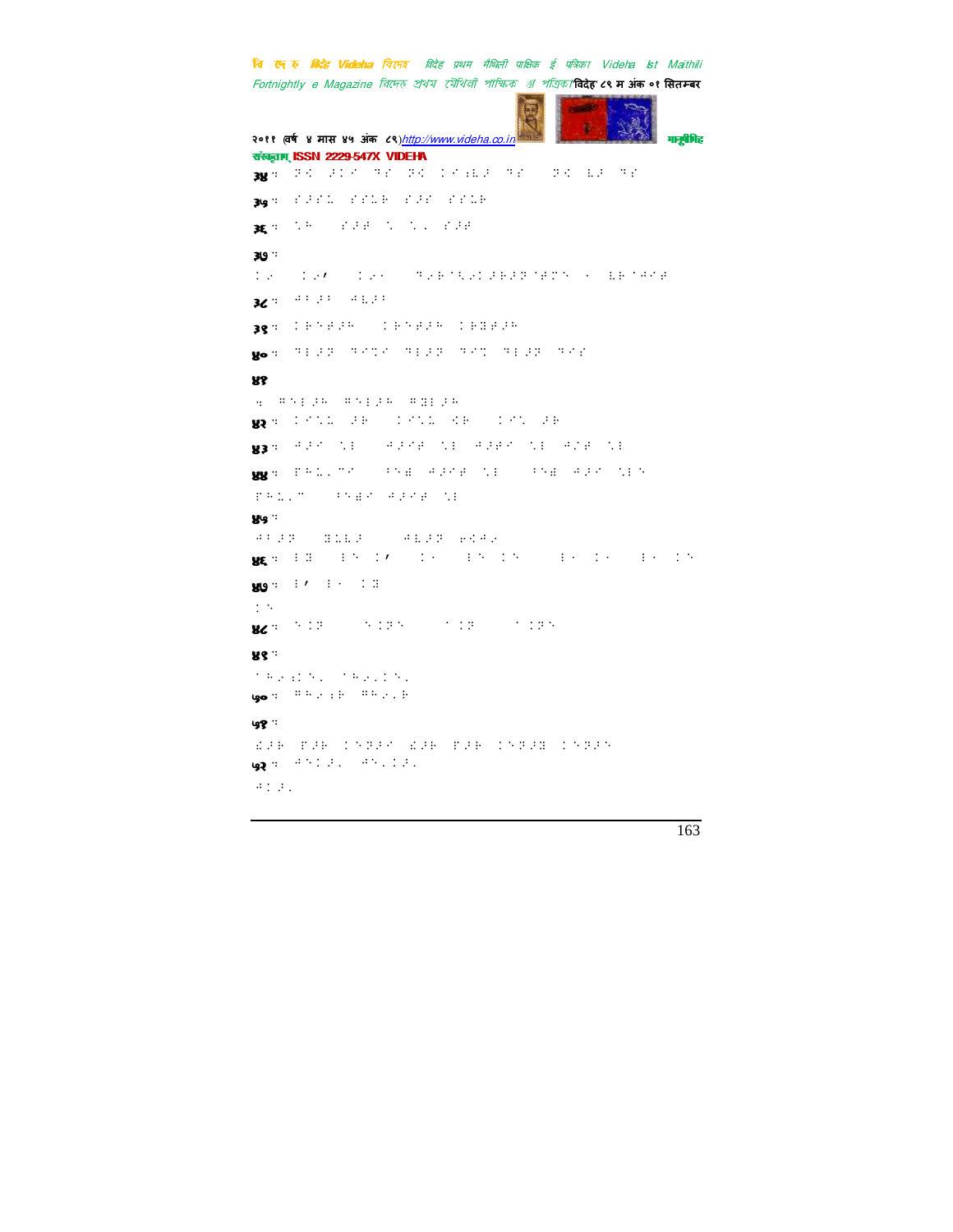चि एत् रू मिन्हे Videha निएन्थ विदेह प्रथम मैथिली पाक्षिक ई पत्रिका Videha Ist Maithili Fortnightly e Magazine রিদেহ প্রথম মৌথিনী পাক্ষিক প্র পত্রিকা**'বিदेह' ८९ म अंक ०१ सितम्बर Service** २०११ (वर्ष ४ मास ४५ अंक ८९)http://www.videha.co.in + 2008 2008 2009 2008 2009 2010 संस्कृतम् ISSN 2229-547X VIDEHA 30 and the state of the state of the state of the ३५⣒!⢼⣅.⣅⢷!⢼.⣅⢷!! ३६⣒!⣁⢳0!⢼⢾!⣁0⣁⣀0⢼⢾!! ∷ وا3 ⢴!!⢴'0!⢴r!)⢹⢴⢷⣃⢴⢼⢷⢼⢽⢾!r!⣇⢷⢺⢾\*!! ३८⣒!⢺⢼!⢺⣇⢼!! ३९⣒!⢷⢾⢼⢳0!⢷⢾⢼⢳!⢷⣝⢾⢼⢳!! ४०⣒!⢹6⢼⢽!⢹⣉!⢹6⢼⢽!⢹⣉0⢹6⢼⢽!⢹!! ४१  $\frac{1}{2} \left( \begin{array}{cc} 0 & 0 & 0 \\ 0 & 0 & 0 \\ 0 & 0 & 0 \\ 0 & 0 & 0 \\ 0 & 0 & 0 \\ 0 & 0 & 0 \\ 0 & 0 & 0 \\ 0 & 0 & 0 \\ 0 & 0 & 0 \\ 0 & 0 & 0 \\ 0 & 0 & 0 \\ 0 & 0 & 0 & 0 \\ 0 & 0 & 0 & 0 \\ 0 & 0 & 0 & 0 \\ 0 & 0 & 0 & 0 & 0 \\ 0 & 0 & 0 & 0 & 0 \\ 0 & 0 & 0 & 0 & 0 \\ 0 & 0 & 0 & 0 & 0 \\ 0 & 0 & 0 &$ ४२⣒!⣁⣅!⢼⢷0!⣁⣅!⣊⢷0!⣁!⢼⢷!! ४३⣒!⢺⢼!⣁60!⢺⢼⢾!⣁6!⢺⢼⢾!⣁60⢺5⢾!⣁6!! ४४⣒!3⢳⣅F^0!⢸⣞!⢺⢼⢾!⣁60!⢸⣞!⢺⢼!⣁6! 3⢳⣅F^0!⢸⣞!⢺⢼⢾!⣁6!! ४५⣒!! ⢺⢼⢽!)⣝⣅⣇⢼\*0!⢺⣇⢼⢽)⢶⣊⢺⢴\*!! ४६⣒!6⣝0!6!'0!r0!6!!0!6r!r0!6r!! ४७⣒!6'06r!⣝0! !! ४८⣒!⣈⢽!0!⣈⢽!0!⣈⢽!0!⣈⢽!! ४९⣒!! ⢳⢴⣐F!⢳⢴FF!! ५०⣒!⢻⢳⢴⣐⢷!⢻⢳⢴F⢷!! **५१**९ : ⣎⢼⢷!3⢼⢷!⢽⢼!⣎⢼⢷!3⢼⢷!⢽⢼⣝0⢽⢼!! ५२⣒!⢺⢼F!⢺F⢼F0!

 $\mathcal{A}$  (for  $\mathcal{F}$  ).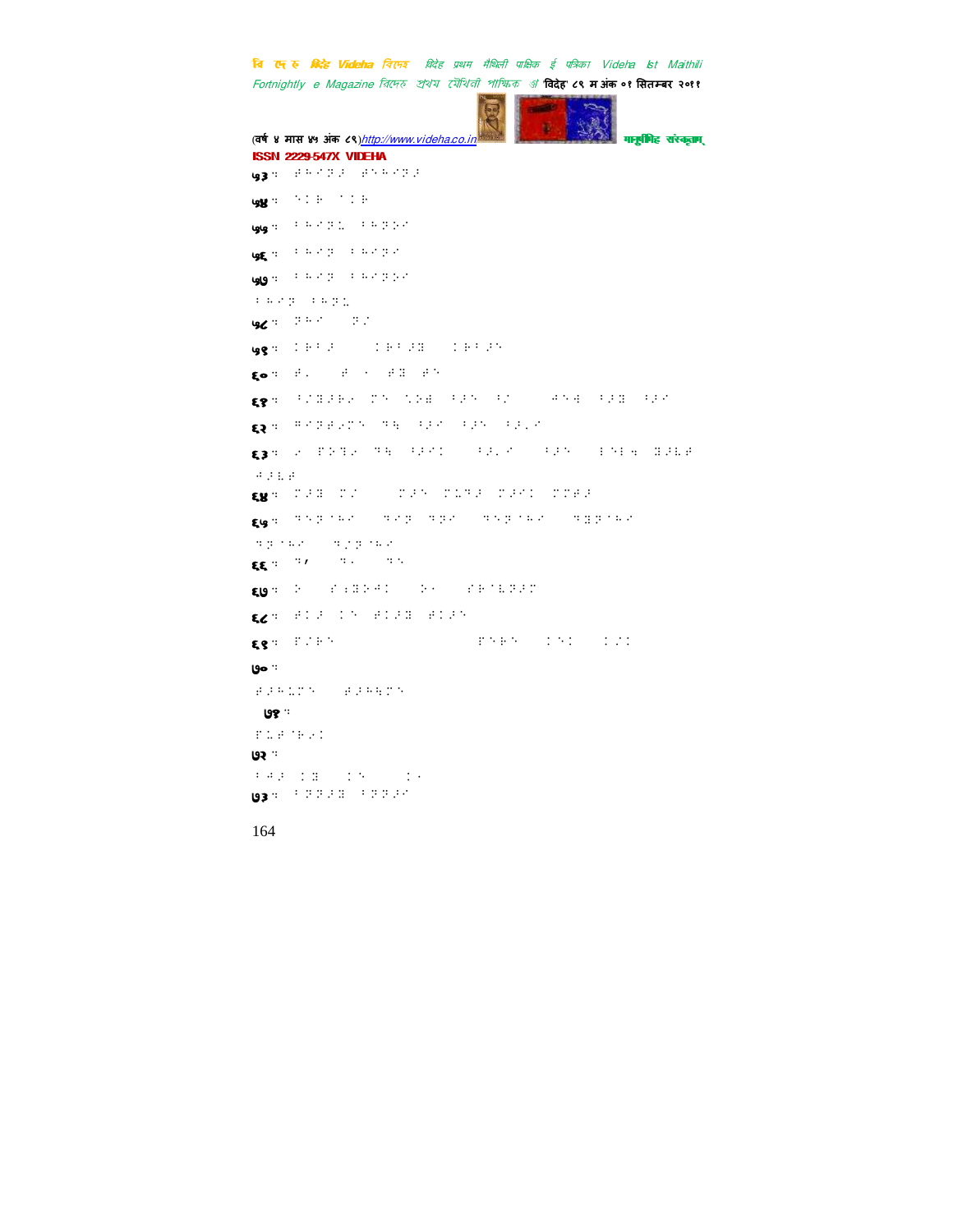चि एत् रू मिन्हे Videha निएन्थ विदेह प्रथम मैथिली पाक्षिक ई पत्रिका Videha Ist Maithili Fortnightly e Magazine विरमह शेथेग द्योंथिवी शीष्मिक औ **विदेह' ८९ म अंक ०१ सितम्बर २०११** (वर्ष ४ मास ४५ अंक ८९)http://www.videha.co.in + 2008 2008 2009 मानुषीपिह संस्कृताम् ISSN 2229-547X VIDEHA ५३⣒!⢾⢳⢽⢼!⢾⢳⢽⢼!! ५४⣒!⢷!⢷!! ين ون النابوتات.<br>الأول ७€ प<sup>ु</sup> असे हो । असे हो ह ५७⣒!⢳⢽.⢳⢽⢵! ⢳⢽.⢳⢽⣅!! ५८⣒!⢽⢳0!⢽5!! ५९⣒!⢷⢼!0!⢷⢼⣝0!⢷⢼!! ६०⣒!⢾F0!⢾!r!⢾⣝0⢾!! ६१⣒!⢸5⣝⢼⢷⢴!!⣁⢵⣞.⢸⢼0⢸50-!⢺⣚.⢸⢼⣝0⢸⢼-!! ६२⣒!⢻⢽⢾⢴!⢹⣓!⢸⢼0⢸⢼0⢸⢼F!!! ६३⣒!⢴!3⢵⣙⢴!⢹⣓!⢸⢼0!⢸⢼F0!⢸⢼0!66⣒!⣝⢼⣇⢾! ⢺⢼⣇⢾!! ६४⣒!⢼⣝!5!0!⢼!⣅⢹⢼!⢼!⢾⢼!! ६५⣒!⢹⢽⢳0!⢹⢽!⢹⢽0!⢹⢽⢳0!⢹⣝⢽⢳! ⢹⢽⢳0!⢹5⢽⢳!! ६६⣒!⢹'0!⢹r0!⢹!! ६७⣒!⢵!)⣐⣝⢵⢺\*!⢵r!)⢷⣇⢽⢼\*!! ६८⣒!⢾⢼!!⢾⢼⣝!⢾⢼!! the state of the state of the state of the state of the state of the state of the state of the state of the state of the state of the state of the state of the state of the state of the state of the state of the state of t ∵ مٯ ⢾⢼⢳⣅0!⢾⢼⢳⣓!! '' १७ 3⣅⢾⢷⢴!!

७२⣒!! ⢺⢼!⣝0!!0!r!! ७३⣒!⢽⢽⢼⣝0⢽⢽⢼!!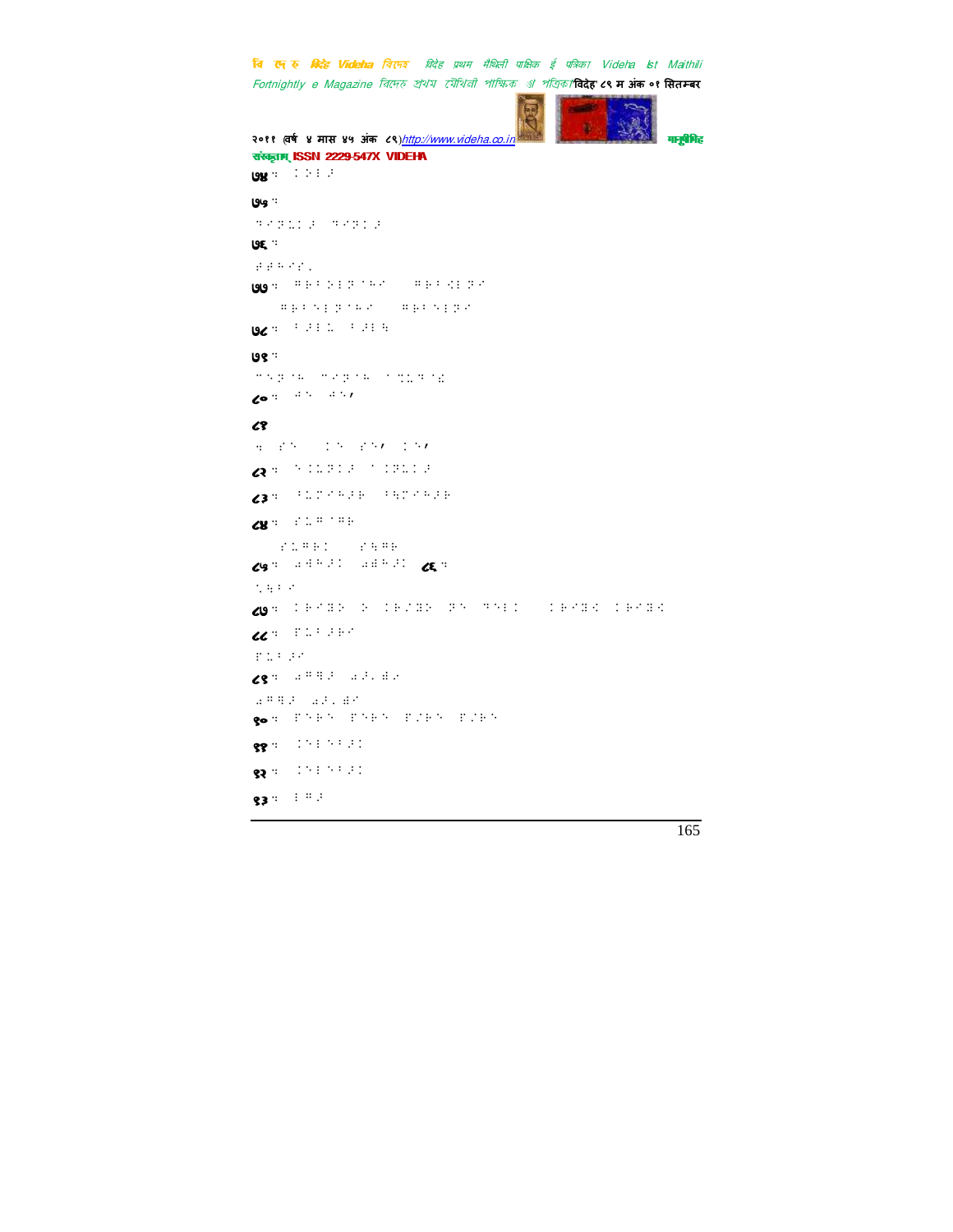```
चि एत् रू मिन्हे Videha निएन्थ विदेह प्रथम मैथिली पाक्षिक ई पत्रिका Videha Ist Maithili
Fortnightly e Magazine রিদেহ প্রথম মৌথিনী পাক্ষিক প্র পত্রিকা'বিदेह' ८९ म अंक ०१ सितम्बर
२०११ (वर्ष ४ मास ४५ अंक ८९)http://www.videha.co.in + 2008 2008 2009 2008 2009 2010
संस्कृतम् ISSN 2229-547X VIDEHA
७४⣒!⢵6⢼!!
99.1⢹⢽⣅⢼!⢹⢽⢼!!
७६⣒!
⢾⢾⢳F!!
७७⣒!⢻⢷⢵6⢽⢳0!⢻⢷⣊6⢽0!
    !!⢻⢷6⢽⢳0!⢻⢷6⢽!!
७८⣒!⢼6⣅!⢼6⣓!!
'' १७
^⢽⢳!^⢽⢳)⣉⣅⢹⣎*!!
\mathcal{L}^{\bullet} is a set of the set of the set of the set of the set of the set of the set of the set of the set of the set of the set of the set of the set of the set of the set of the set of the set of the set of the set o
८१
HE RESERVE TO A 2010 12:00
८२⣒!⣈⣅⢽⢼!⣈⢽⣅⢼!!
८३⣒!⢸⣅⢳⢼⢷!⢸⣓⢳⢼⢷!!
\alpha0!⣅⢻⢷0!⣓⢻⢷!!
८५⣒!⣔⣚⢳⢼!⣔⣞⢳⢼!८६⣒!
\mathcal{F}_1 is a set
८७⣒!⢷⣝⢵0⢵!⢷5⣝⢵!⢽!⢹6!0⢷⣝⣊.⢷⣝⣊!!
८८⣒!3⣅⢼⢷!!
3, 1990
८९⣒!⣔⢻⣛⢼.⣔⢼F⣞⢴!
\mu # \theta /F \mu /F \mu /F \mu९०⣒!3⢷.3⢷!35⢷.35⢷!
९९ मा जिल्लामा अस
९२ मा जाते हैं।<br>इ.स. १९१९ में से प्रकार के प्रकार के प्रकार के प्रकार करने हैं।
\mathbf{S3} if \mathbb{R}^n if \mathbb{R}^n
```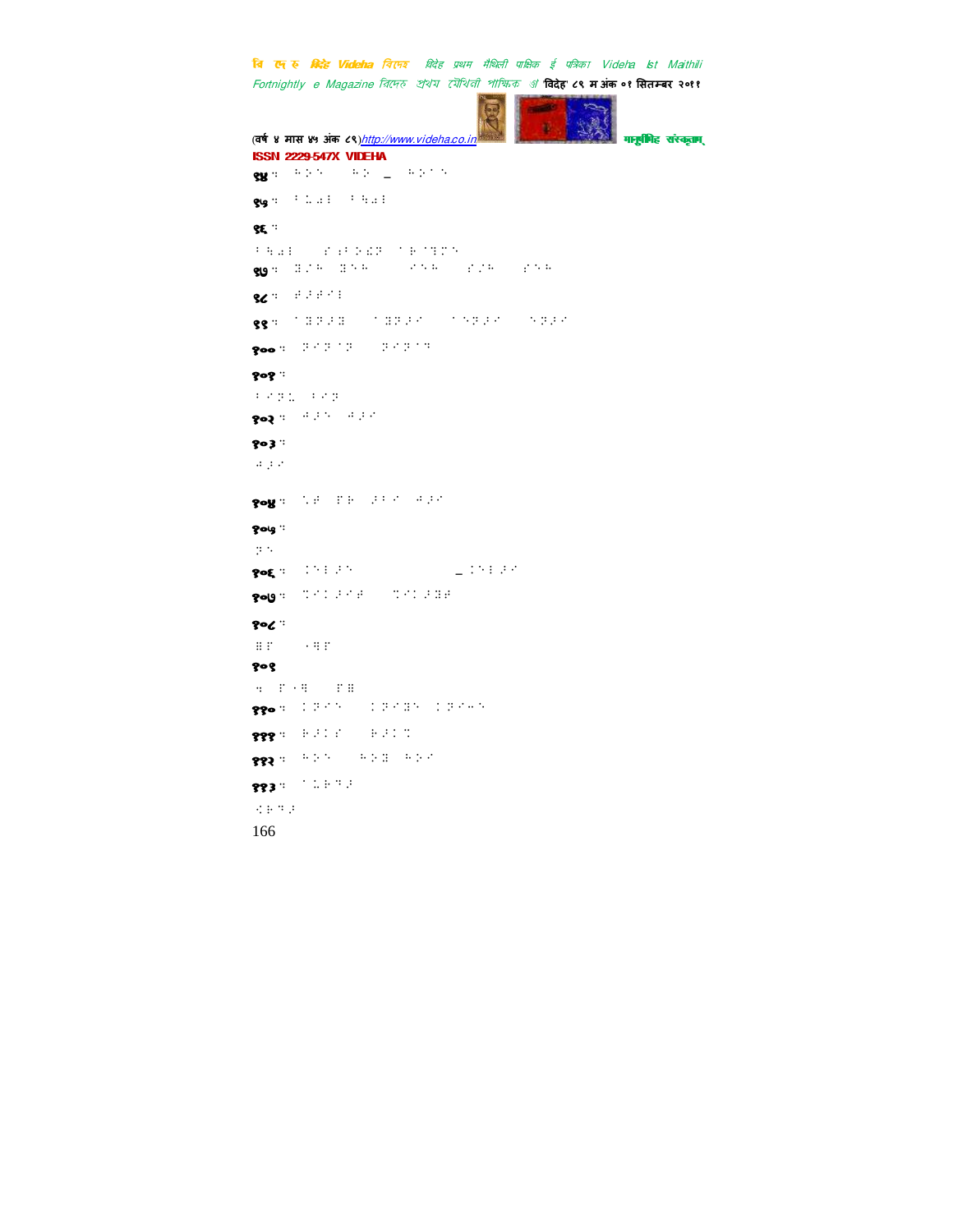```
चि एत् रू मिन्हे Videha निएन्थ विदेह प्रथम मैथिली पाक्षिक ई पत्रिका Videha Ist Maithili
Fortnightly e Magazine  विरमह  शेथेग द्योंथिवी  शीष्मिक  औ विदेह' ८९ म अंक ०१ सितम्बर २०११
(वष
 ४ मास ४५ अंक ८९)http://www.videha.co.in/ मानुषीिमह संकृताम्
ISSN 2229-547X VIDEHA 
166
९४ अपनी सामान्य अधिकारण संस्था हो।
९५⣒!⣅⣔6!⣓⣔6!!
९६ ^{\circ}⣓⣔6!)⣐⢵⣎⢽!⢷⣙*!!
९७⣒!⣝5⢳!⣝⢳!0!⢳0!5⢳0!⢳!!
९८⣒!⢾⢼⢾6!!
९९⣒!⣝⢽⢼⣝.!⣝⢽⢼0!⢽⢼0!⢽⢼!!
१०० चाल संस्कृतिक अधिकारण अ
१०१
⢽⣅!⢽!!
१०२ च नहीं है। यहां स
१०३⣒!!
⢺⢼!)jo!ejggfsfou!tfotf*.mbtu!xpse!
१०४ च २०० व्यापार परिचार परिचार परिचार परिचार परिचार परिचार परिचार परिचार परिचार परिचार परिचार परिचार परिचार प<br>जनसङ्ख्या
९०७\cdot19 N.€
१०६ में जिसे होते हैं कि उपयोग को साथ करने हैं कि इस कारण करने के बाद से साथ करने हैं कि इस कारण करने के बाद स<br>इस कारण करने के बाद से साथ करने के बाद से बाद से कहा है कि इस कारण करने के बाद से बाद से बाद से बाद से बाद से
१०७⣒!⣉⢼⢾.!⣉⢼⣝⢾!!
१०८\mathcal{C} :
⣟3.!C⣛3!!
१०९
⣒!3C⣛.!3⣟!!
१९० : २००० : २००० : २००० : २००० : २००० : २००० : २००० : २००० : २००० : २००० : २००० : २००० : २००० : २००० : २००० : 
१११⣒!⢷⢼.!⢷⢼⣉!!
११२⣒!⢳⢵0!⢳⢵⣝!⢳⢵!!
११३ लाख होती.
⣊⢷⢹⢼!!
```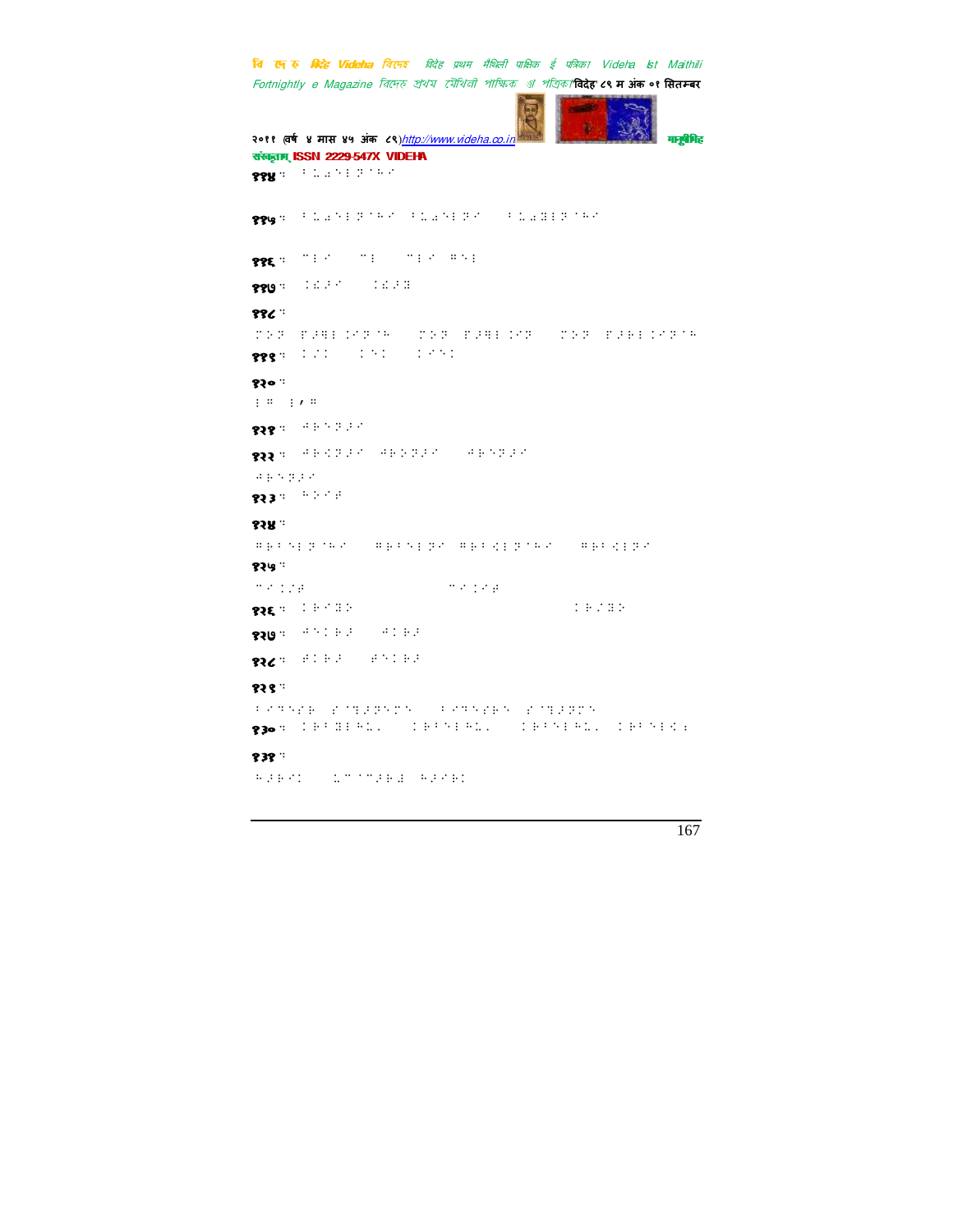```
चि एत् रू मिन्हे Videha निएन्थ विदेह प्रथम मैथिली पाक्षिक ई पत्रिका Videha Ist Maithili
Fortnightly e Magazine রিদেহ প্রথম মৌথিনী পাক্ষিক প্র পত্রিকা'বিदेह' ८९ म अंक ०१ सितम्बर
२०११ (वष
 ४ मास ४५ अंक ८९)http://www.videha.co.in/ मानुषीिमह 
संस्कृतम् ISSN 2229-547X VIDEHA
११४⣒!⣅⣔6⢽⢳!)ejggfsfou!nfbojoh.!
११५⣒!⣅⣔6⢽⢳0⣅⣔6⢽0!⣅⣔⣝6⢽⢳!
११६ वे अधिकारित कार्यक्रम के प्राप्त करने के प्राप्त करने के प्राप्त करने के प्राप्त करने के प्राप्त करने के प
११७⣒!⣈⣎⢼.!⣈⣎⢼⣝!!
११८⣒!
⢵⢽!3⢼⣛6⣈⢽⢳0!⢵⢽!3⢼⣛6⣈⢽0!⢵⢽!3⢼⢷6⣈⢽⢳!!
११९९ : 5.11 : 5.11 : 5.11 : 5.12
१२०⣒!
\frac{1}{2} ( \frac{1}{2} ) \frac{1}{2} ( \frac{1}{2} ) \frac{1}{2}१२१ तक अमेरिक प्रति होता.
१२२⣒!⢺⢷⣊⢽⢼!⢺⢷⢵⢽⢼.!⢺⢷⢽⢼0!
⢺⢷⢽⢼!!
१२३<sup>.</sup> मेरी मेरी मेरे
१२४
⢻⢷6⢽⢳0!⢻⢷6⢽!⢻⢷⣊6⢽⢳0!⢻⢷⣊6⢽!!
१२७
^⣈5⢾.!)up!uftu*^⣈⢾!!
१२६ % अस्ति । अस्ति अस्ति । अस्ति अस्ति । अस्ति अस्ति । अस्ति अस्ति । अस्ति अस्ति । अस्ति अस्ति । अस्ति अस्ति
१२७⣒!⢺⢷⢼.!⢺⢷⢼!!
१२८⣒!⢾⢷⢼.!⢾⢷⢼!!
१२९⣒!!
⢹⢷!⣙⢼⢽0!⢹⢷!⣙⢼⢽!!
830 ft PROBERS, the FREED, the FREED, the FREED
१३१ :
```

```
⢳⢼⢷!)⣅^^⢼⢷⣜!⢳⢼⢷*!!
```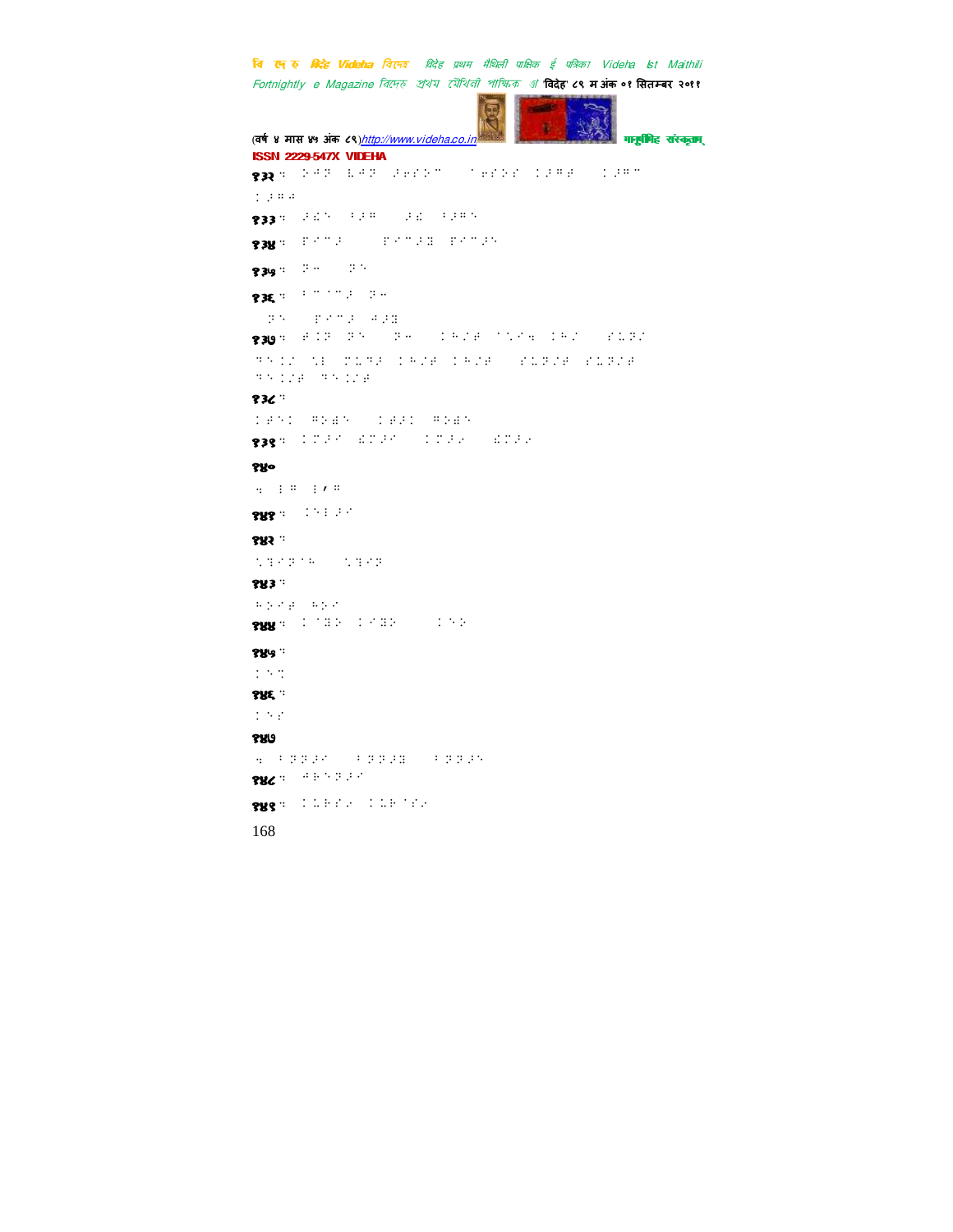चि एत् रू मिन्हे Videha निएन्थ विदेह प्रथम मैथिली पाक्षिक ई पत्रिका Videha Ist Maithili Fortnightly e Magazine विरमह शेथेग द्योंथिवी शीष्मिक औ **विदेह' ८९ म अंक ०१ सितम्बर २०११** (वष ४ मास ४५ अंक ८९)http://www.videha.co.in/ मानुषीिमह संकृताम् ISSN 2229-547X VIDEHA 168 १३२⣒!⢵⢺⢽!⣇⢺⢽!⢼⢶⢵^0!⢶⢵!⢼⢻⢾0!⢼⢻^0! ⢼⢻⢺! १३३⣒!⢼⣎!⢸⢼⢻0!⢼⣎.⢸⢼⢻!! १३४⣒!3^⢼!0!3^⢼⣝03^⢼!! १३७ ा. <sup>11</sup> ला कर् १३६ घ. वे में भारत के साथ )⢽\*!3^⢼!⢺⢼⣝!! १३७⣒!⢾⣈⢽!⢽!)⢽⢲\*!⢳5⢾!⣁⣒!⢳50!⣅⢽50! ⢹⣈5!⣁6!⣅⢹⢼!⢳5⢾.⢳5⢾0!⣅⢽5⢾.⣅⢽5⢾0! ⢹⣈5⢾.⢹⣈5⢾! १३८  $^{\circ}$ ⢾!⢻⢵⣞0!⢾⢼!⢻⢵⣞!! १३९⣒!⢼.⣎⢼0!⢼⢴.!⣎⢼⢴!! १४०  $\alpha_{\rm eff}$  or  $\beta_{\rm eff}$  for  $\beta_{\rm eff}$  (see Fig. १४१ ला हो है।<br>विकास समिति होती १४२ ॥ ⣁⣙⢽⢳0!⣁⣙⢽!! १४३ :  $\mathcal{U}$ **१४४** छ । २००३ मध्य राज्य राज्य राज्य राज्य १४५ %  $\pm$   $\pm$   $\pm$ १४६⣒!  $\mathcal{A}$  is defined as १४७ ⣒!⢽⢽⢼0!⢽⢽⢼⣝0!⢽⢽⢼!! १४८⣒!⢺⢷⢽⢼!! १४९⣒!⣅⢷⢴!⣅⢷⢴!!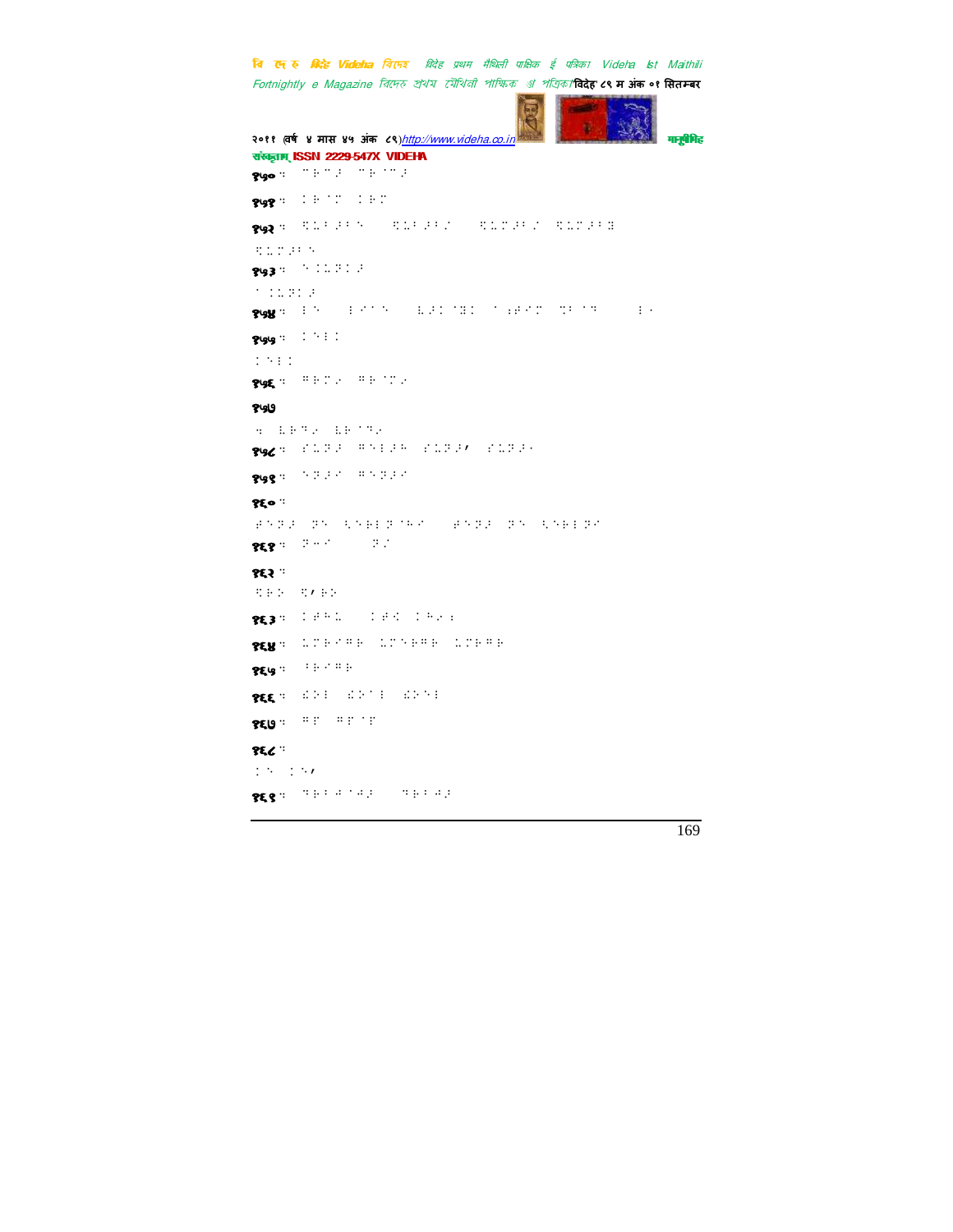```
चि एत् रू मिन्हे Videha निएन्थ विदेह प्रथम मैथिली पाक्षिक ई पत्रिका Videha Ist Maithili
Fortnightly e Magazine রিদেহ প্রথম মৌথিনী পাক্ষিক প্র পত্রিকা'বিदेह' ८९ म अंक ०१ सितम्बर
२०११ (वर्ष ४ मास ४५ अंक ८९)http://www.videha.co.in + 2008 2008 2009 2008 2009 2010
संस्कृताम् ISSN 2229-547X VIDEHA
१५० वर्षक अस्ति । अस्ति कारण संस्थान कारण स
१७१९ के साथ प्रकाश
१५२⣒!⣋⣅⢼0!⣋⣅⢼50!⣋⣅⢼5!⣋⣅⢼⣝0!
⣋⣅⢼!!
१७३ व अधिकार
⣈⣅⢽⢼!!
१५४⣒!60!6!)⣇⢼⣝!⣐⢾!⣉⢹*.!6r!!
१५५\mathbf{g}^{(i)}ा विश्व
6!!
१७६ वि. <sup>म</sup>ेटिक समितिहरू
१५७
\alpha . In Fig. , i.e. the third
१५८⣒!⣅⢽⢼!⢻6⢼⢳!⣅⢽⢼'0⣅⢽⢼r!!
१५९⣒!⢽⢼.⢻⢽⢼!!
१६०⣒!
⢾⢽⢼!⢽!⣃⢷6⢽⢳0!⢾⢽⢼!⢽!⣃⢷6⢽!!
१६१ जनसङ्ख्या हो।<br>जनसङ्ख्या
१६२⣒!!
⣋⢷⢵!⣋'⢷⢵!!
१६३⣒!⢾⢳⣅0!⢾⣊!⢳⢴⣐!!
१६४⣒!⣅⢷⢻⢷.⣅⢷⢻⢷!⣅⢷⢻⢷!!
R\mathbf{S}९\mathbf{S} \mathbf{S} \mathbf{S} \mathbf{S} \mathbf{S} \mathbf{S} \mathbf{S} \mathbf{S}१६६⣒!⣎⢵60⣎⢵6!⣎⢵6!!
१६७ वि. में <sup>अ</sup>इंड
१६८⣒!!
\mathbb{E}\left[ \mathcal{H}^{\mathcal{A}}\right] \leq \mathbb{E}\left[ \mathcal{H}\right] ^{\mathcal{A}}१६९⣒!⢹⢷⢺⢺⢼0!⢹⢷⢺⢼!!
```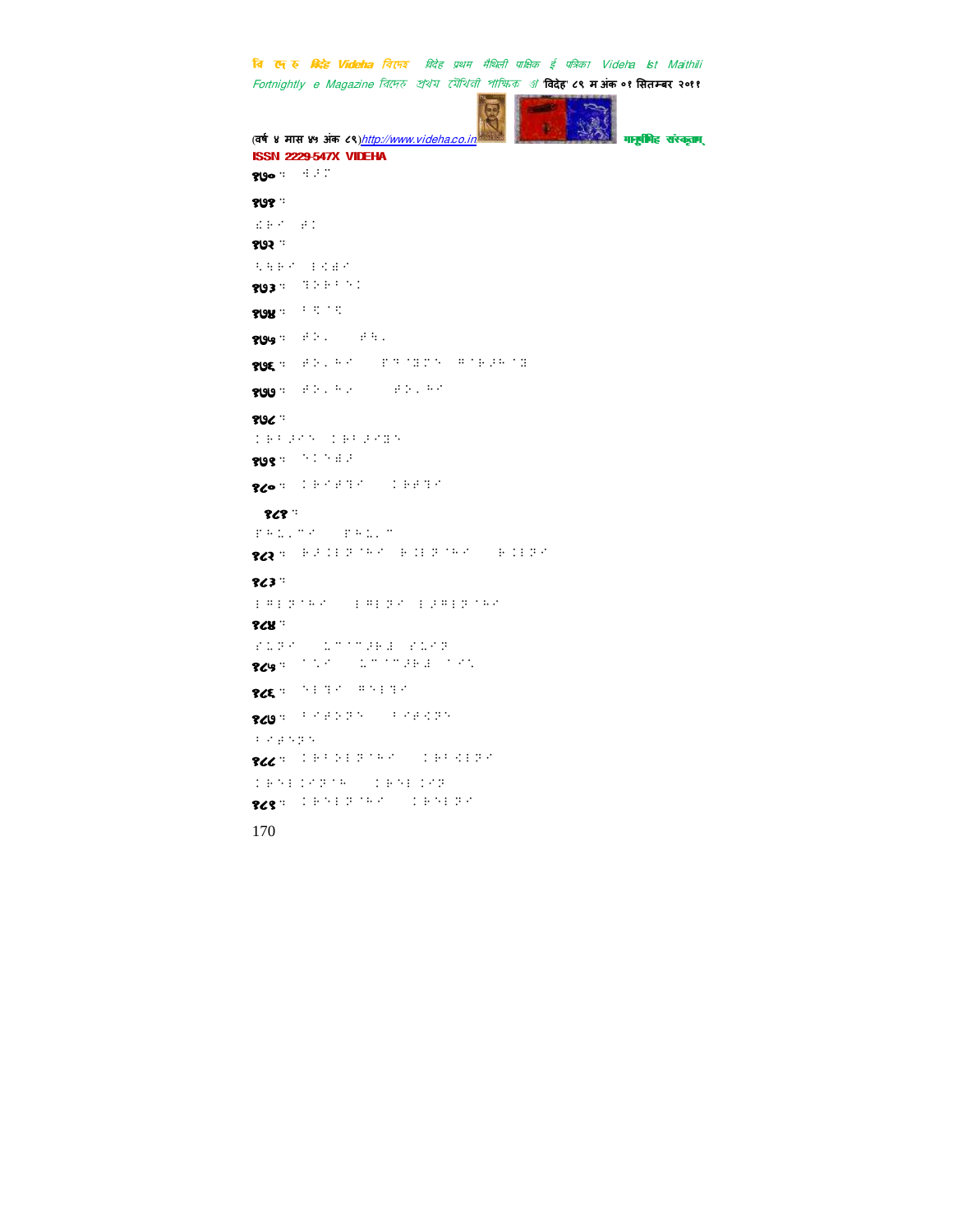चि एत् रू मिन्हे Videha निएन्थ विदेह प्रथम मैथिली पाक्षिक ई पत्रिका Videha Ist Maithili Fortnightly e Magazine विरमह शेथेग द्योंथिवी शीष्मिक औ **विदेह' ८९ म अंक ०१ सितम्बर २०११** 

(वर्ष ४ मास ४५ अंक ८९)http://www.videha.co.in/ मानुसारी मानुसार संस्कृताम् ISSN 2229-547X VIDEHA १७०⣒!⣚⢼!! १७१⣒! ⣎⢷!⢾!! १७२⣒!! ⣃⣓⢷!6⣊⣞!! १७३⣒!⣙⢵⢷!! १७४ ता विशि १७७९ मा में देते गाउँ अप्र १७६⣒!⢾⢵F⢳)!3⢹⣝!⢻⢷⢼⢳⣝\*!! १७७⣒!⢾⢵F⢳⢴!0!⢾⢵F⢳!! १७८⣒! ⢷⢼!⢷⢼⣝!! १७९ मा गाविष १८०⣒!⢷⢾⣙!0⢷⢾⣙!! १८१ ॥ FREE TRUCKS १८२ B B B B B B C B B B B C B B B C B B C B B C B C B B C B C B C B C B C B C B C B C B C B C B C B C B C B C B १८३⣒!! 6⢻6⢽⢳0!6⢻6⢽!6⢼⢻6⢽⢳!! १८४ $\degree$ ⣅⢽!)⣅^^⢼⢷⣜!⣅⢽\*!! १८७ : २००१ : २००१ : २००१ : २००१ : २००१ : २००१ : २००१ : २००१ : २००१ : २००१ : २००१ : २००१ : २००१ : २००१ : २००१ : २००१ : २००१ : २००१ : २००१ : २००१ : २००१ : २००१ : २००१ : २००१ : २००१ : २००१ : २००१ : २००१ : २००१ : २००१ : २००१ : १८६⣒!6⣙!⢻6⣙!! १८७⣒!⢾⢵⢽0!⢾⣊⢽0!! ⢾⢽!! १८८⣒!⢷⢵6⢽⢳0!⢷⣊6⢽0! ⢷6⣈⢽⢳0!⢷6⣈⢽!! १८९⣒!⢷6⢽⢳0!⢷6⢽!!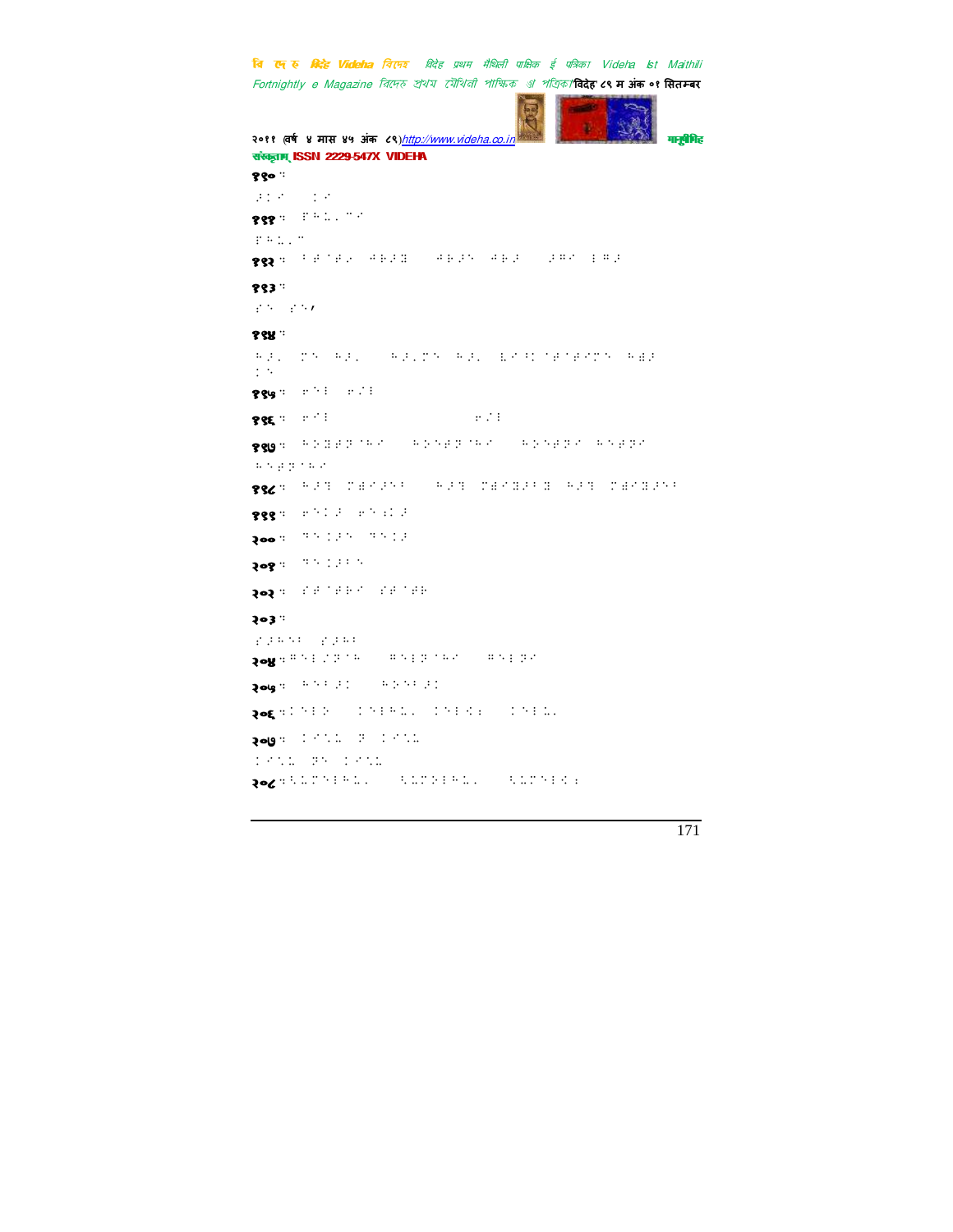```
चि एत् रू मिन्हे Videha निएन्थ विदेह प्रथम मैथिली पाक्षिक ई पत्रिका Videha Ist Maithili
Fortnightly e Magazine রিদেহ প্রথম মৌথিনী পাক্ষিক প্র পত্রিকা'বিदेह' ८९ म अंक ०१ सितम्बर
२०११ (वष
 ४ मास ४५ अंक ८९)http://www.videha.co.in/ मानुषीिमह 
संस्कृतम् ISSN 2229-547X VIDEHA
१९०⣒!!
⢼0!!!
१९१ मध्य मध्य प्रकाश
3⢳⣅F^!!
१९२⣒!⢾⢾⢴!⢺⢷⢼⣝0!⢺⢷⢼!⢺⢷⢼!)⢼⢻!6⢻⢼*!!
१९३⣒!!
\mathcal{L}^{(n)} . \mathcal{L}^{(n)}१९४⣒!!
⢳⢼F!!⢳⢼F!)⢳⢼F!⢳⢼F!⣇⢸⢾⢾!⢳⣞⢼!
\sim१९५ घरतील करते
१९६ मध्य मध्य प्रकाश करते हैं।<br>जनसंख्या कारण
१९७⣒!⢳⢵⣝⢾⢽⢳0!⢳⢵⢾⢽⢳0!⢳⢵⢾⢽0⢳⢾⢽0!
\mu where \mu१९८⣒!⢳⢼⣙!⣞⢼0!⢳⢼⣙!⣞⣝⢼⣝0⢳⢼⣙!⣞⣝⢼!!
१९९⣒!⢶⢼!⢶⣐⢼!!
२०० च <sup>च च द</sup>ी है कि अपने सामाने हैं।
२०१ मा भारत कर
२०२ चा जेले जिले हा
२०३\%⢼⢳!⢼⢳!!
२०४⣒⢻65⢽⢳0!⢻6⢽⢳0!⢻6⢽!!
२०७ घ. <sup>या या</sup> १९७० घ. हे १९७७ घ.
२०६⣒6⢵0!6⢳⣅F06⣊⣐0!6⣅F!!
२०७ व विकास करते हैं।
⣁⣅!⢽!⣁⣅!!
२०८⣒⣃⣅6⢳⣅F0!⣃⣅⢵6⢳⣅F0!⣃⣅6⣊⣐!!
```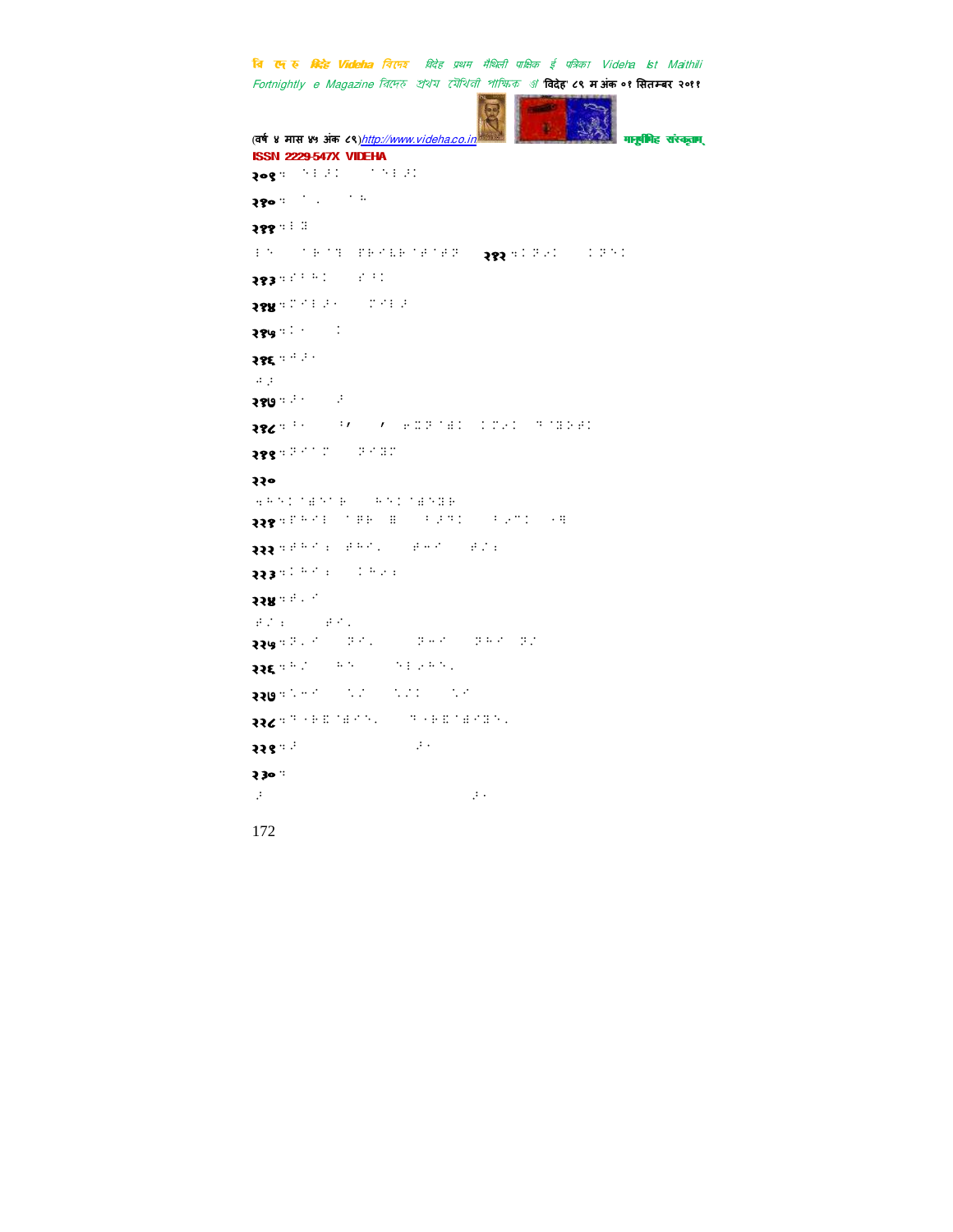```
चि एत् रू मिन्हे Videha निएन्थ विदेह प्रथम मैथिली पाक्षिक ई पत्रिका Videha Ist Maithili
Fortnightly e Magazine  विरमह  शेथेग द्योंथिवी  शीष्मिक  औ विदेह' ८९ म अंक ०१ सितम्बर २०११
(वष
 ४ मास ४५ अंक ८९)http://www.videha.co.in/ मानुषीिमह संकृताम्
ISSN 2229-547X VIDEHA 
172
२०९० की है। 2011 के साथ
२१० पालिक पुरुष कर
२११ लंबेह
6!)⢷⣙.3⢷⣇⢷⢾⢾⢽*!२१२⣒⢽⢴0!⢽!!
२१३ मधी मधी मधी मधी
२१४ वटी होती होती.<br>राजधान
२१५ : \cdot :
२१६⣒⢺⢼r0!
\mathcal{A}(\mathcal{G})२१७ पाउँ विकास समिति हो।
२१८⣒⢸r!0⢸'!)'!⢶⣍⢽⣞!⢴!⢹⣝⢵⢾*!!
२१९ वर्षे से से से से प्रकाश करता है।
२२०
⣒⢳⣞⢷0!⢳⣞⣝⢷!!
२२१⣒3⢳6!⢿⢷!⣟0!⢼⢹0!⢴^!C⣛!!
२२२ घर में में से पानी करते हैं। इस पानी के साथ करते हैं।
२२३ परिमाणिक प्राप्त करते.
२२४⣒⢾F0!!
⢾5⣐!0!⢾F!!
२२५⣒⢽F0!⢽F0!!⢽⢲0!⢽⢳0⢽5!!
२२६ पुरु<br/> \mathcal{S}^{\pm} on \mathcal{S}^{\pm} , where \mathcal{S}^{\pm}२२७ घे जाती है। यह संकट के प्राप्त करने के प्राप्त करने के प्राप्त करने के प्राप्त करने के प्राप्त करने के प्र
२२८⣒⢹C⢷⣏⣞F0!⢹C⢷⣏⣞⣝F!!
२२९\mathbb{R}^dी किया किया किया किया
२३० ^{\circ}F ) define the control of the control of the control of the control of the control of the control of the control of the control of the control of the control of the control of the control of the control of the control of
```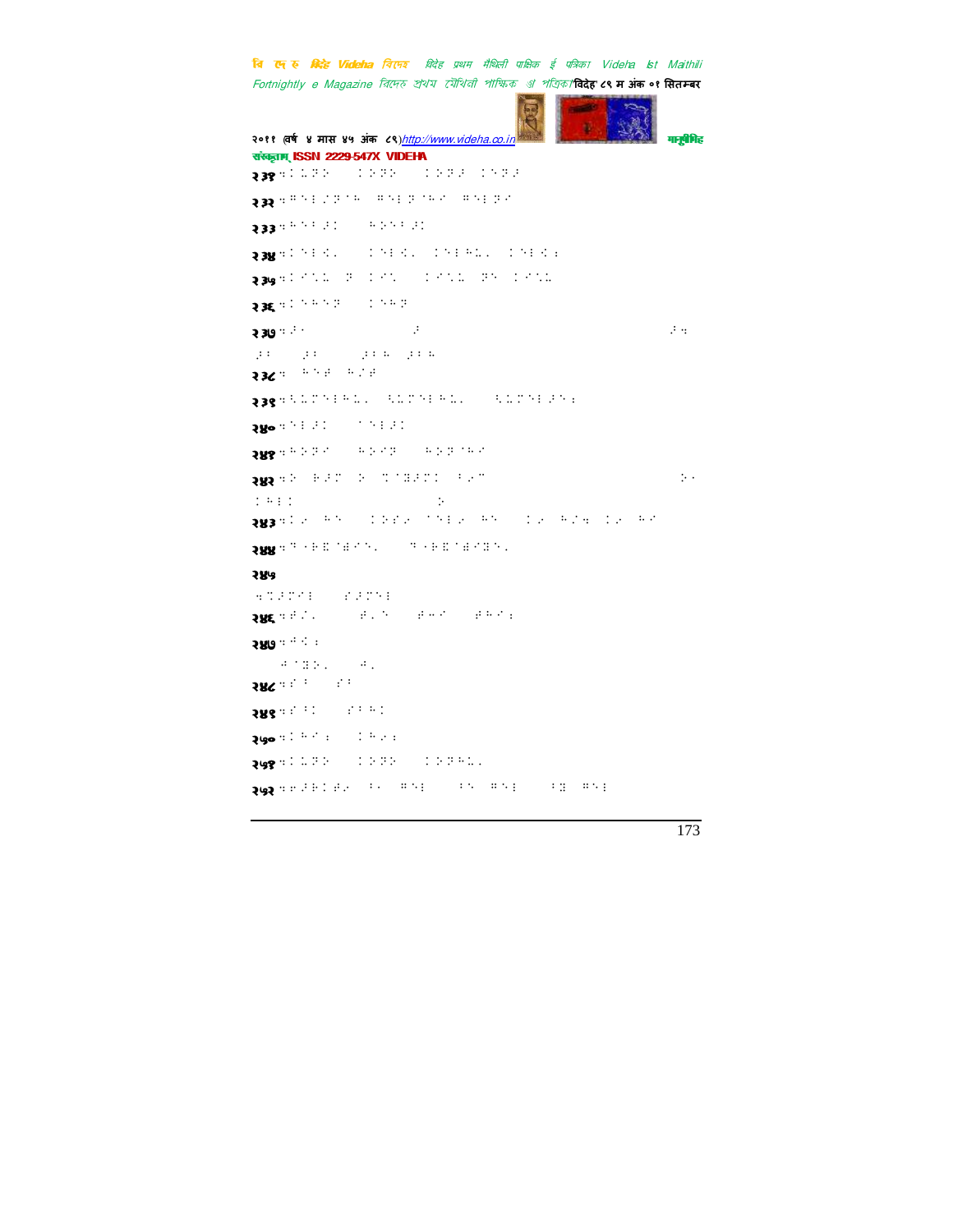चि एत् रू मिन्हे Videha निएन्थ विदेह प्रथम मैथिली पाक्षिक ई पत्रिका Videha Ist Maithili Fortnightly e Magazine রিদেহ প্রথম মৌথিনী পাক্ষিক প্র পত্রিকা**'বিदेह' ८९ म अंक ०१ सितम्बर** २०११ (वर्ष ४ मास ४५ अंक ८९)http://www.videha.co.in + 2008 2008 2009 2008 2009 2010 संस्कृतम् ISSN 2229-547X VIDEHA २३१⣒⣅⢽⢵0!⢵⢽⢵-!⢵⢽⢼0⢽⢼! २३२⣒⢻65⢽⢳.⢻6⢽⢳.⢻6⢽! २३३⣒⢳⢼.!⢳⢵⢼! २३४ तो १९९४ - रोजन का राज्य से साथ से प्राप्त करते हैं। २३५⣒⣁⣅!⢽!⣁.!⣁⣅!⢽!⣁⣅! २३६ घर २००१ मध्य प्राप्त होता.<br>राजनीय २३७ $\sigma$ ने  $\sigma$  $\frac{1}{2}$  is a set of the set of the set of the set of the set of the set of the set of the set of the set of the set of the set of the set of the set of the set of the set of the set of the set of the set of the set of t २३८⣒!⢳⢾.⢳5⢾! २३९⣒⣃⣅6⢳⣅F.⣃⣅6⢳⣅F.!⣃⣅6⢼⣐! २४० वर्ष के सामान का सामान करते हैं।<br>इ.स.च्या का सामान करते हैं कि सामान करते हैं कि सामान करते हैं। २४१⣒⢳⢵⢽.!⢳⢵⢽0!⢳⢵⢽⢳0! २४२⣒⢵.⢷⢼!⢵!⣉⣝⢼!⢴^)dpokvodujpo\*-!⢵r! ⢳6!)if!tbje\*0⢵! २४३⣒⢴!⢳0!⢵⢴!6⢴!⢳0!⢴!⢳5⣒!⢴!⢳! २४४⣒⢹C⢷⣏⣞F0!⢹C⢷⣏⣞⣝F! २४५ ⣒⣉⢼60!⢼6!! २४६⣒⢾5F!0!⢾F0!⢾⢲0!⢾⢳⣐! २४७⣒⢺⣊⣐! 0!⢺⣝⢵F0!⢺F0!! २४८ पाउँ विकास समिति हो। २४९ मधी हो। यो सामग्री २७० घ<sup>ा सा</sup>री ह २५१⣒⣅⢽⢵0!⢵⢽⢵0!⢵⢽⢳⣅F0! २५२⣒⢶⢼⢷⢾⢴!⢸r!⢻60!⢸!⢻60!⢸⣝!⢻6!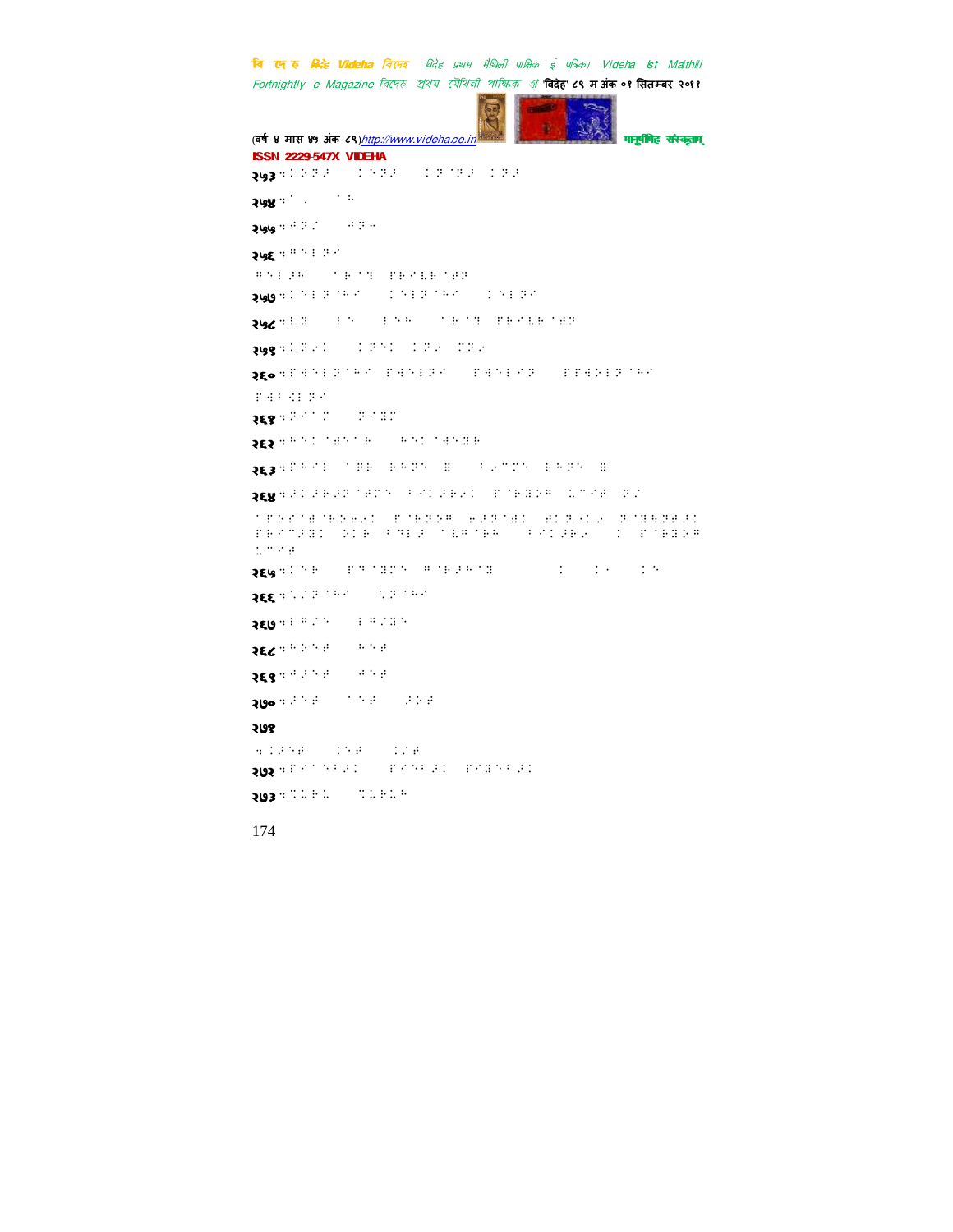```
चि एत् रू मिन्हे Videha निएन्थ विदेह प्रथम मैथिली पाक्षिक ई पत्रिका Videha Ist Maithili
Fortnightly e Magazine  विरमह  शेथेग द्योंथिवी  शीष्मिक  औ विदेह' ८९ म अंक ०१ सितम्बर २०११
(वर्ष ४ मास ४५ अंक ८९)http://www.videha.co.in + 2008 2008 2009 मानुषीपिह संस्कृताम्
ISSN 2229-547X VIDEHA 
२५३⣒⢵⢽⢼0!⢽⢼0!⢽⢽⢼0⢽⢼!
२७४ पालिक
ريا جا جان جان بي.<br>محيد المصري المحمد المحمد المحمد المحمد المحمد المحمد المحمد المحمد المحمد المحمد المحمد المحمد المحمد المحمد
२७६ पालिका होता.<br>राजन
⢻6⢼⢳!)⢷⣙!3⢷⣇⢷⢾⢽*!!
२७७ को विकास करना कर रहे हैं। इस प्रकाश कर रहे हैं कि इस प्रकाश कर रहे हैं कि इस प्रकाश कर रहे हैं कि इस प्रका
२७८ तमे अ. १९४० - इ. २००० तमा अस्ति । इ. २००० तमा अस्ति । इ. २००० तमा अस्ति । इ. २००० तमा अस्ति । इ. २००० तमा
२७९ घ. २००१ - २००१ - २००१ - २००१ - २००१ - २००१ - २००१ - २००१ - २००१ - २००१ - २००१ - २००१ - २००१ - २००१ - २००१ -
२६०⣒3⣚6⢽⢳!3⣚6⢽0!3⣚6⢽0!33⣚⢵6⢽⢳0!
3⣚⣊6⢽0!
२६१⣒⢽0!⢽⣝!
२६२⣒⢳⣞⢷0!⢳⣞⣝⢷!
२६३⣒3⢳6!⢿⢷!⢷⢳⢽!⣟0!⢴^!⢷⢳⢽!⣟!
२६४⣒⢼⢼⢷⢼⢽⢾!⢼⢷⢴!3⢷⣝⢵⢻!⣅^⢾!⢽50!
3⢵⣞⢷⢵⢶⢴!3⢷⣝⢵⢻!⢶⢼⢽⣞!⢾⢽⢴⢴!⢽⣝⣓⢽⢾⢼!
3⢷^⢼⣝!⢵⢷!⢹6⢼!⣇⢻⢷⢳!)⢼⢷⢴*!!3⢷⣝⢵⢻!
\mathbb{Z}^{(m)} and \mathbb{R}^{n}२६५⣒⢷!)3⢹⣝!⢻⢷⢼⢳⣝*!0!.0!r0!!
२६६⣒⣁5⢽⢳.!⣁⢽⢳!
२६७ वर्ष में से इंजी के बाद प्रकाश
२६८⣒⢳⢵⢾0!⢳⢾!
२६९⣒⢺⢼⢾0!⢺⢾0!
२७०⣒⢼⢾0!⢾0!⢼⢵⢾!
२७१
⣒⣈⢼⢾0!⣈⢾0!⣈5⢾!!
२७२ व में अपने अधिकारी अधिकारी अधिकारी अधिकारी अधिकारी अधिकारी अधिकारी अधिकारी अधिकारी अधिकारी अधिकारी अधिकारी
२७३⣒⣉⣅⢷⣅0!⣉⣅⢷⣅⢳!
```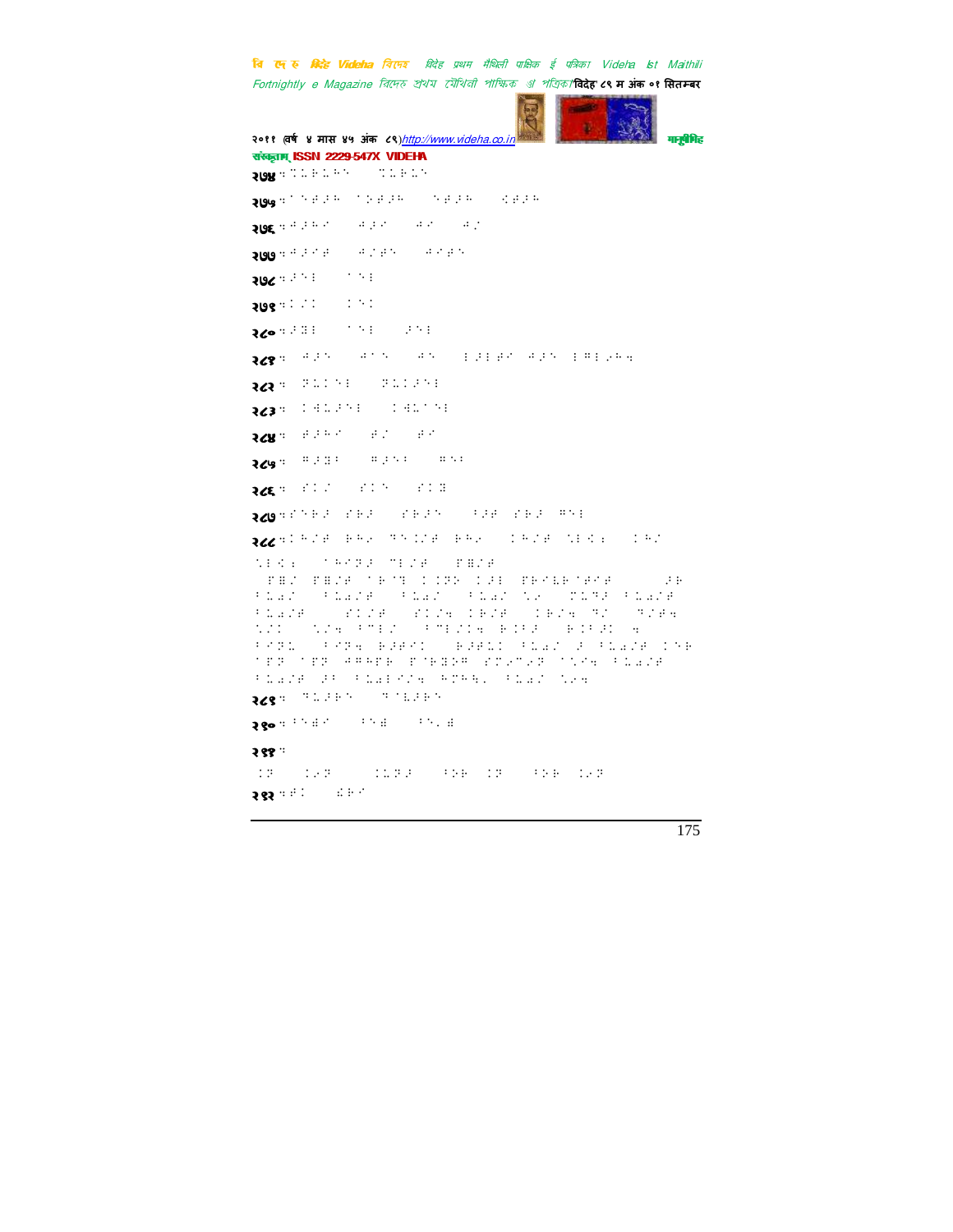चि एत् रू मिन्हे Videha निएन्थ विदेह प्रथम मैथिली पाक्षिक ई पत्रिका Videha Ist Maithili Fortnightly e Magazine রিদেহ প্রথম মৌথিনী পাক্ষিক প্র পত্রিকা**'বিदेह' ८९ म अंक ०१ सितम्बर** 

२०११ (वर्ष ४ मास ४५ अंक ८९)http://www.videha.co.in + 2008 2008 2009 2008 2009 2010 संस्कृतम् ISSN 2229-547X VIDEHA २७४ विशेष सम्मान सम्मान सम् २७५⣒⢾⢼⢳0⢵⢾⢼⢳0!⢾⢼⢳0!⣊⢾⢼⢳! 208 stations of the company of the २७७⣒⢺⢼⢾0!⢺5⢾0!⢺⢾! २७८ कर के साथ प्रथा के साथ प्रथा के साथ प्रथा के साथ प्रथा के साथ प्रथा के साथ प्रथा के साथ प्रथा के साथ प्रथा<br>जनसङ्ख्या के साथ प्रथा के साथ प्रथा के साथ प्रथा के साथ प्रथा के साथ प्रथा के साथ प्रथा के साथ प्रथा के साथ प् २७९ मधी में सामग्री २८०⣒⢼⣝60!60!⢼6! २८१ ते अस्ति । अस्ति । अस्ति । अस्ति । अस्ति । अस्ति । अस्ति । २८२ च ए. २००१ तमा जन्म सा २८३ व अध्यक्ष संस्कृतिका अस्ति । अस्ति अस् २८४ घाट होती होती.<br>२८४ घाट होतील २८७ ९ महिला है। यहाँ विशेष २८६ चा जीत राज्य संगठन २८७⣒⢷⢼0⢷⢼0!⢷⢼!)⢸⢼⢾!⢷⢼!⢻6\*! २८८⣒⢳5⢾!⢷⢳⢴0⢹⣈5⢾!⢷⢳⢴0!⢳5⢾!⣁6⣊⣐0!⢳5! ⣁6⣊⣐.!⢳⢽⢼!^65⢾0!3⣟5⢾! )3 TEC STEPH (19 S TECH CONSTRUCTION) SERVER THAT IS A SERVER THAT IS A SERVER THAT IS A SERVER THAT IS A SERVER THAT IS A SERVER THAT IS A SERVER THAT IS A SERVER THAT IS A SERVER THAT IS A SERVER THAT IS A SERVER THAT IS ⣅⣔50!⣅⣔5⢾!)⣅⣔50!⣅⣔5!⣁⢴-!⣅⢹⢼!⣅⣔5⢾. ⣅⣔5⢾\*0!5⢾0!5⣒!⢷5⢾0!⢷5⣒!⢹50!⢹5⢾⣒! SUS CONSTRUCTION AND RELEASED AT A CONSTRUCTION ⢽⣅0!⢽⣒!⢷⢼⢾0!⢷⢼⢾⣅!⣅⣔5!⢼!⣅⣔5⢾!⢷! 3⢽.3⢽!⢺⢻⢳3⢷!3⢷⣝⢵⢻!⢴^⢴⢽!⣁⣒!⣅⣔5⢾. ⣅⣔5⢾!⢼!⣅⣔65⣒!⢳⢳⣓F!⣅⣔5!⣁⢴⣒!! २८९⣒!⢹⣅⢼⢷0!⢹⣇⢼⢷! २९० पर निर्माण करते हैं। २९१⣒!! ⣈⢽0!⣈⢴⢽0!!⣈⣅⢽⢼!)⢸⢵⢷!⣈⢽0!⢸⢵⢷!⣈⢴⢽\*!! २९२ लाले हैं । जिन्हें स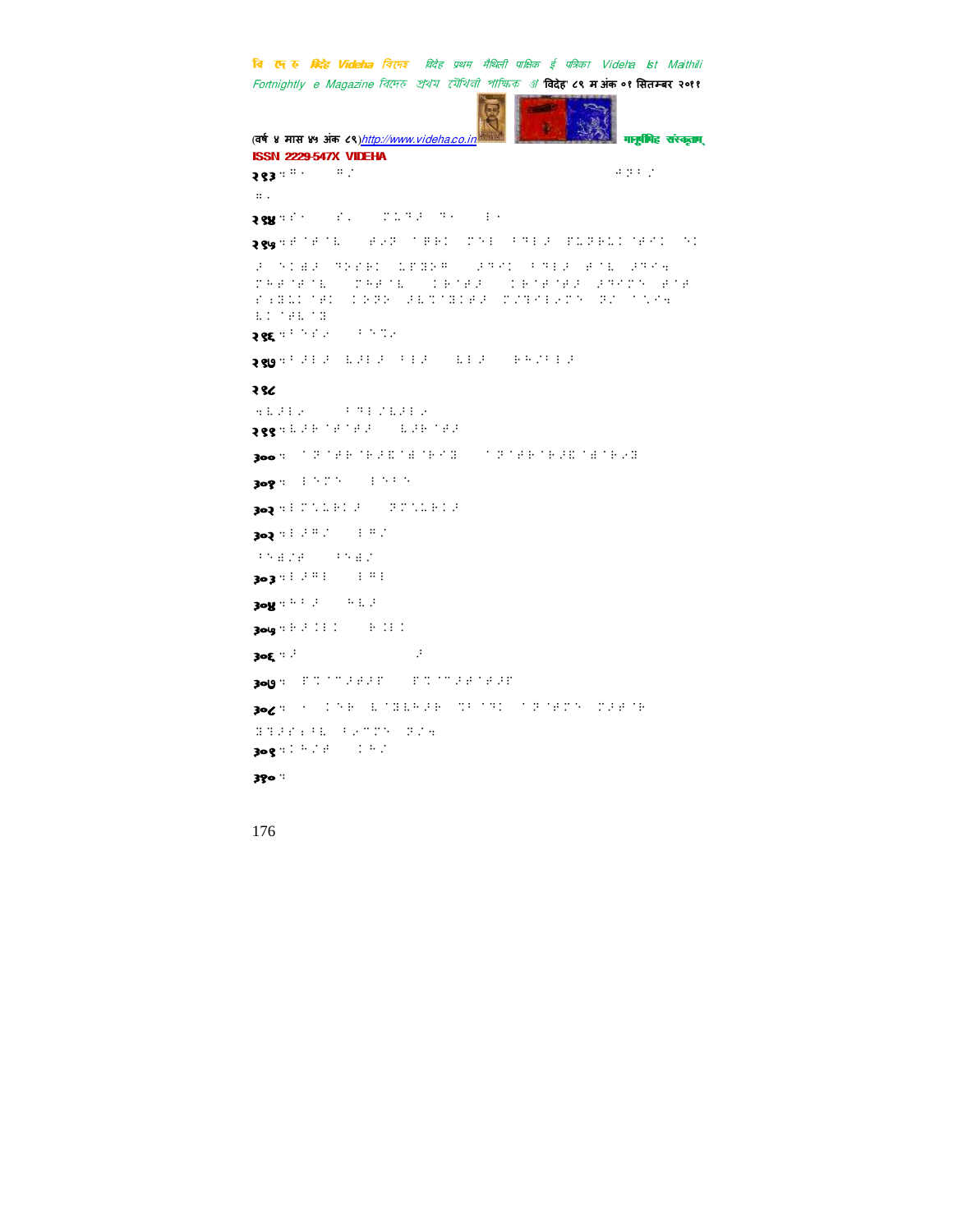```
चि एत् रू मिन्हे Videha निएन्थ विदेह प्रथम मैथिली पाक्षिक ई पत्रिका Videha Ist Maithili
Fortnightly e Magazine  विरमह  शेथेग द्योंथिवी  शीष्मिक  औ विदेह' ८९ म अंक ०१ सितम्बर २०११
(वर्ष ४ मास ४५ अंक ८९)http://www.videha.co.in/ मानुसारी मानुसार संस्कृताम्
ISSN 2229-547X VIDEHA 
२९३⣒⢻r0!⢻5!)nfbojoh!ejggfsfou.⢺⢽5!
rr\bar{\psi}२९४⣒r0!F!)⣅⢹⢼!⢹r-!6r*!
२९५⣒⢾⢾⣇-)⢾⢴⢽!⢿⢷!6!⢹6⢼!3⣅⢽⢷⣅⢾!!
⢼!⣞⢼!⢹⢵⢷!⣅3⣝⢵⢻*!⢼⢹!⢹6⢼!⢾⣇!⢼⢹⣒!
⢳⢾⢾⣇0!⢳⢾⣇0!⢷⢾⢼0!⢷⢾⢾⢼!⢼⢹!⢾⢾!
⣐⣝⣅⢾!⢵⢽⢵!⢼⣇⣉⣝⢾⢼!5⣙6⢴!⢽5!⣁⣒!
⣇⢾⣇⣝!
२९६ वर्ष करता है। यह साल
२९७⣒⢼6⢼0⣇⢼6⢼!6⢼0!⣇6⢼!)⢷⢳56⢼*!
२९८
⣒⣇⢼6⢴0!)⢹65⣇⢼6⢴*!!
२९९⣒⣇⢼⢷⢾⢾⢼0!⣇⢼⢷⢾⢼!
३००⣒!⢽⢾⢷⢷⢼⣏⣞⢷⣝0!⢽⢾⢷⢷⢼⣏⣞⢷⢴⣝!
308 : 6.60\% : 6.60\%३०२⣒6⣁⣅⢷⢼-!⢽⣁⣅⢷⢼!
३०२ वर्तमध्ये अस्ति ।<br>विशेषानुबन्धाः
⢸⣞5⢾0!⢸⣞5*!!
303 परिम<sup>9</sup> हैं कि क
३०४⣒⢳⢼0!⢳⣇⢼!
30g n F F CEO | F CEO
3०६^{\rm{th}}३०७⣒!3⣉^⢼⢾⢼30!3⣉^⢼⢾⢾⢼3!
३०८⣒!r!⢷!⣇⣝⣇⢳⢼⢷!⣉⢹!⢽⢾!⢼⢾⢷-!
⣝⣙⢼⣐⢸⣇!⢴^!⢽5⣒!
308 में मिले से साथ करने
३१०⣒!
```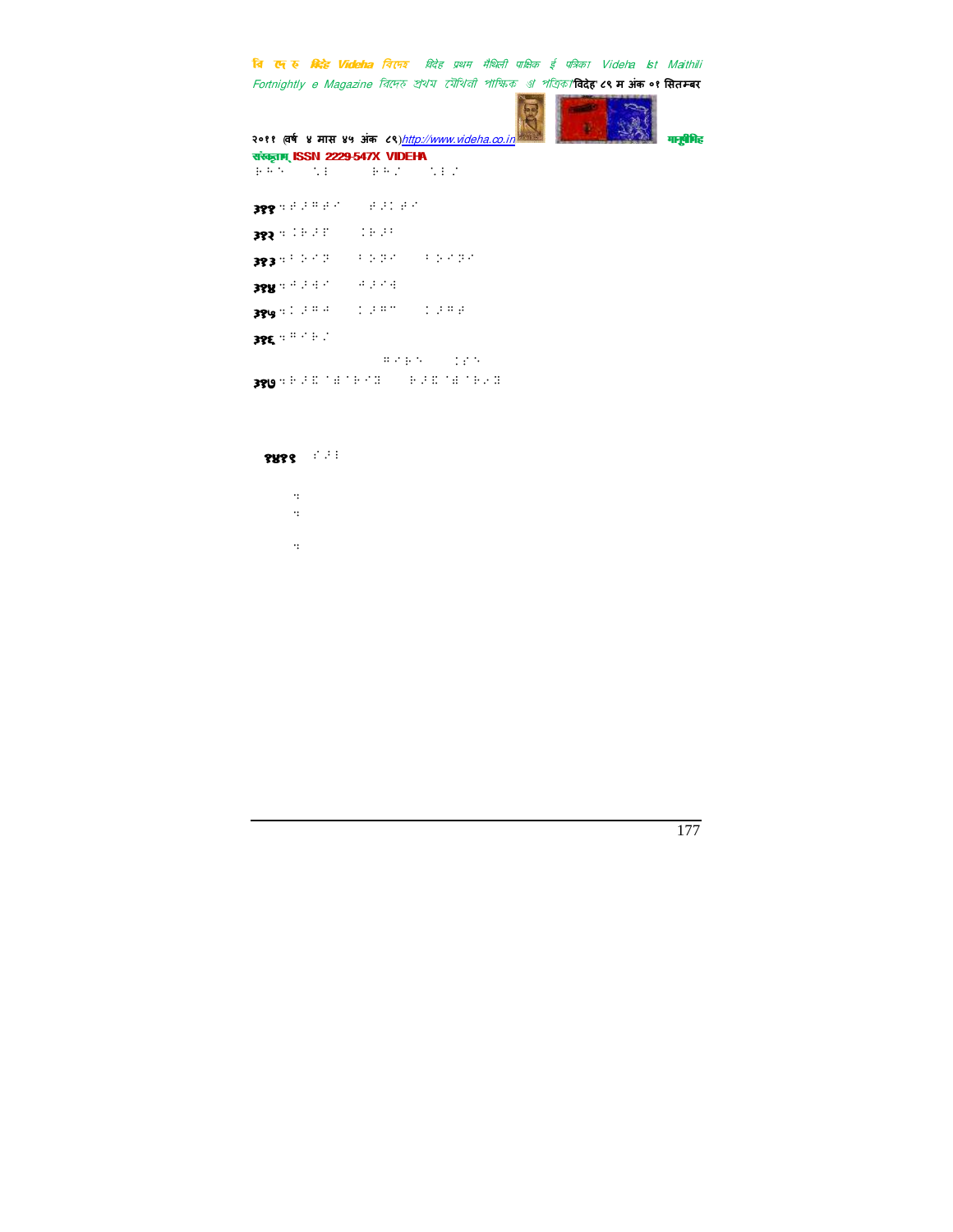चि एत् रू मिन्हे Videha निएन्थ विदेह प्रथम मैथिली पाक्षिक ई पत्रिका Videha Ist Maithili Fortnightly e Magazine রিদেহ প্রথম মৌথিনী পাক্ষিক প্র পত্রিকা**'বিदेह' ८९ म अंक ०१ सितम्बर** 

**Contract Contract Contract Contract Contract Contract Contract Contract Contract Contract Contract Contract Contract Contract Contract Contract Contract Contract Contract Contract Contract Contract Contract Contract Contr** 

|                                 | २०११ (वर्ष ४ मास ४५ अंक ८९) http://www.videha.co.in | मानुषेमिह |
|---------------------------------|-----------------------------------------------------|-----------|
| संस्कृतम् ISSN 2229-547X VIDEHA | (手をない) なおいい いおもの いいなおの                              |           |
| 388 98 28 88 100 881 881        |                                                     |           |
| 383 9 19 24 11 19 29            |                                                     |           |
|                                 | 383 8 5 8 6 8 1 1 1 2 2 8 1 1 1 2 8 6 8 8           |           |
|                                 |                                                     |           |
|                                 | 399.91.2000 - 1.2000 - 1.200                        |           |
| 38E H H H H H                   |                                                     |           |
|                                 | 프로필 두 시간 소리가                                        |           |

३१७⣒⢷⢼⣏⣞⢷⣝0!⢷⢼⣏⣞⢷⢴⣝!

# $888$

- 
- Open Strategies and Strategies and Strategies and Strategies and Strategies and Effects of the state of the state of
	-
	- $\sim$  913.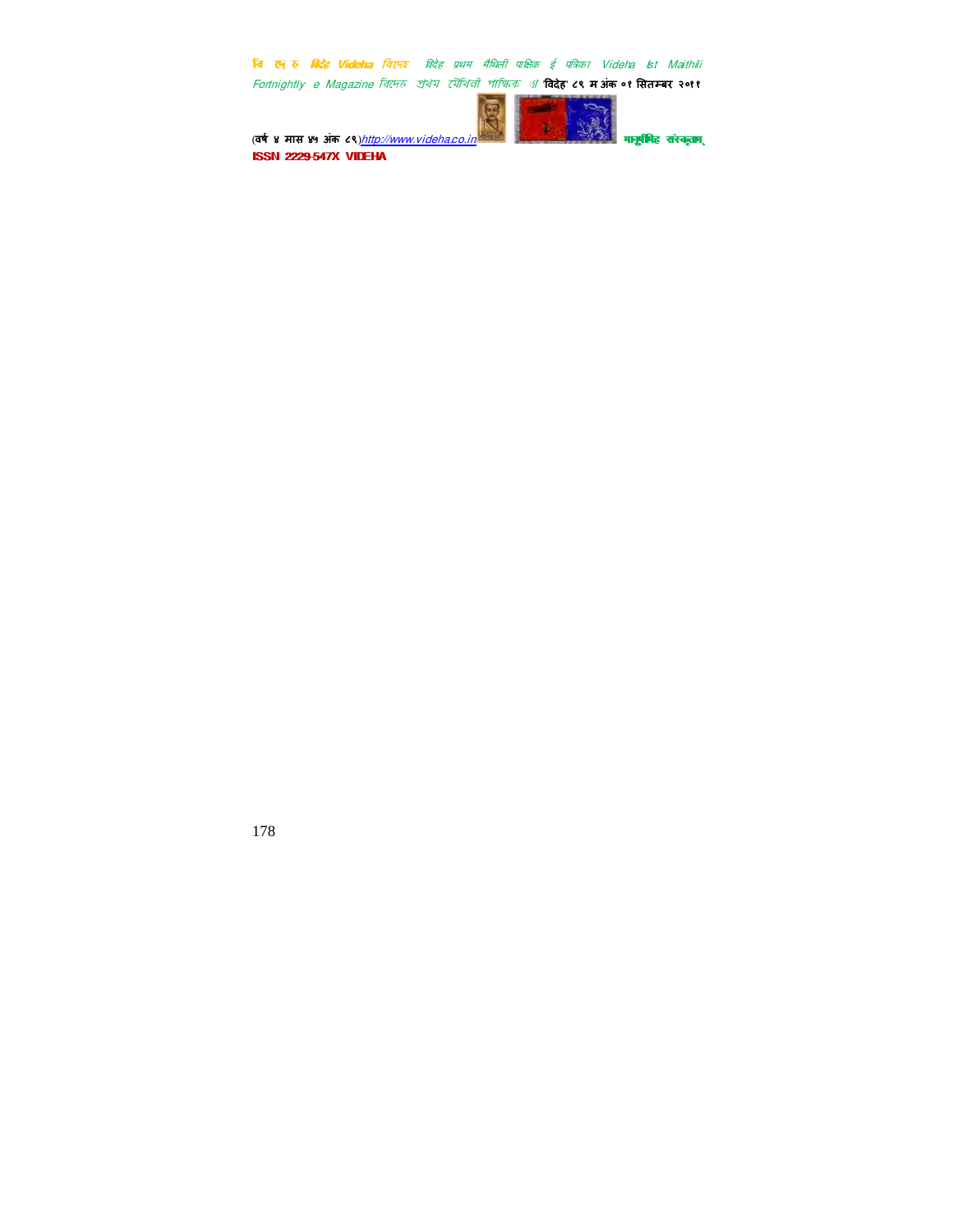चि एत् रू मिन्हे Videha निएन्थ विदेह प्रथम मैथिली पाक्षिक ई पत्रिका Videha Ist Maithili Fortnightly e Magazine विरमह शेथेग द्योंथिवी शीष्मिक औ **विदेह' ८९ म अंक ०१ सितम्बर २०११** 

(वर्ष ४ मास ४५ अंक ८९) $\frac{h}{100}$ /www.videha.co.in  $\sum_{n=1}^{\infty}$  मानुस्थित संस्कृतम्

ISSN 2229-547X VIDEHA

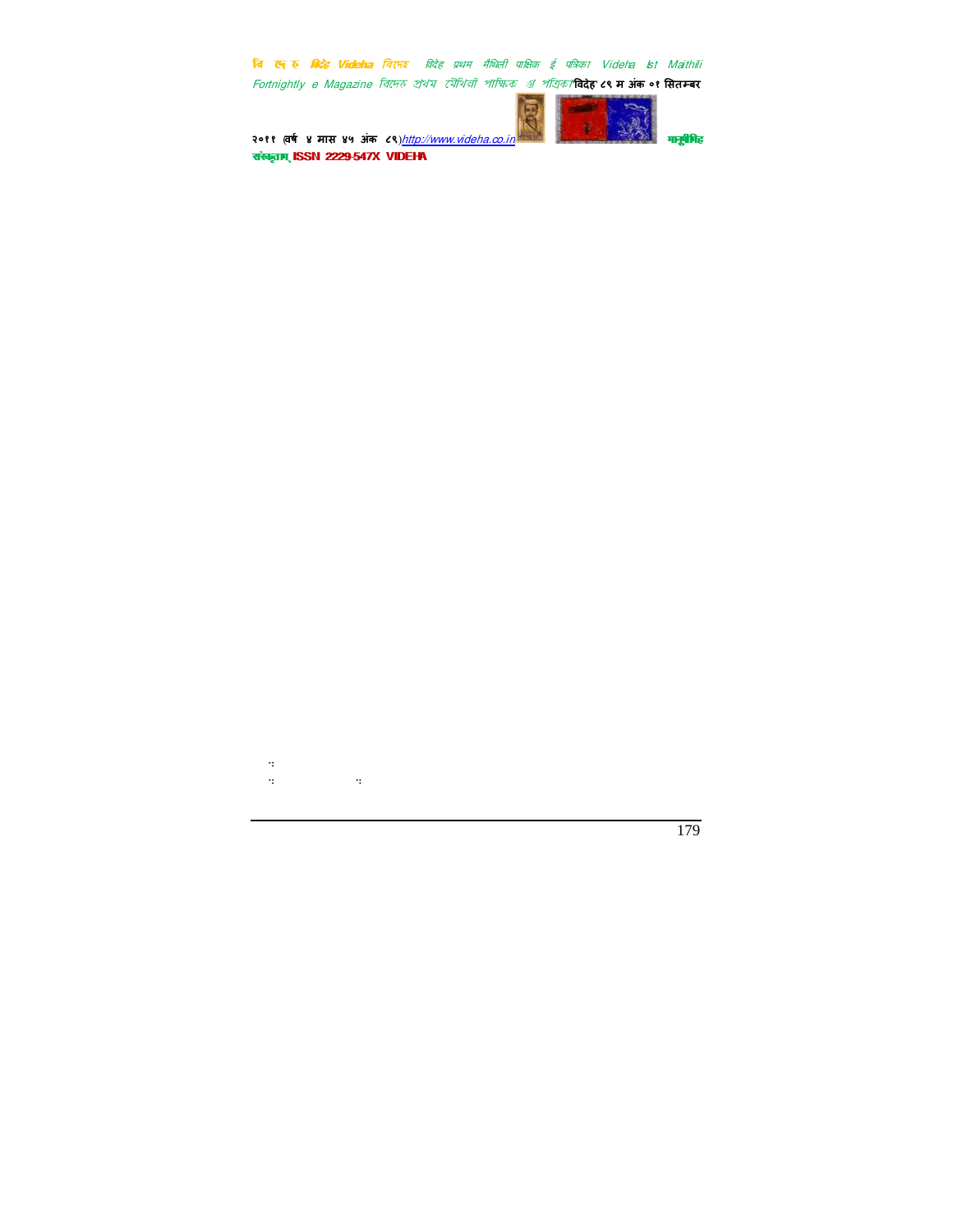चि एत् रू मिन्हे Videha निएन्थ विदेह प्रथम मैथिली पाक्षिक ई पत्रिका Videha Ist Maithili Fortnightly e Magazine রিদেহ প্রথম মৌথিনী পাক্ষিক প্র পত্রিকা**'বিदेह' ८९ म अंक ०१ सितम्बर** 



संस्कृतम् ISSN 2229-547X VIDEHA

9 WJEFIBID: SFTJEFIBID: SFTJEFIBID: SFTJEFIBID: SFTJEFIBID: SFTJEFIBID: SFTJEFIBID: SFTJEFIBID: SFTJEFIBID: SF  $\bar{q}$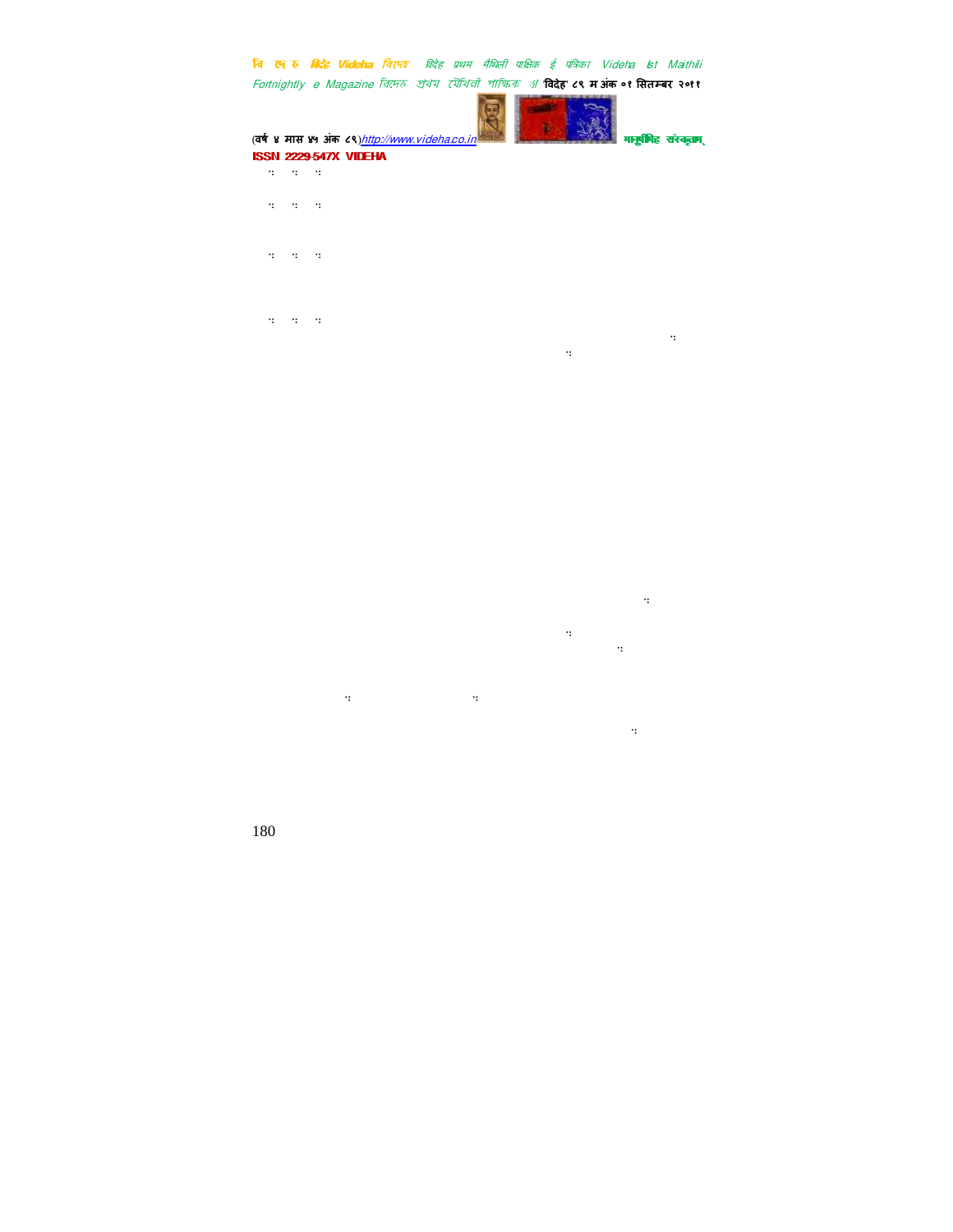चि एत् रू मिन्हे Videha निएन्थ विदेह प्रथम मैथिली पाक्षिक ई पत्रिका Videha Ist Maithili Fortnightly e Magazine विरमह शेथेग द्योंथिवी शीष्मिक औ **विदेह' ८९ म अंक ०१ सितम्बर २०११** 

**COLLEGE TO A** 

|    |          | (वर्ष ४ मास ४५ अंक ८९) http://www.videha.co.in |    | मानुबंधिह संस्कृतम् |
|----|----------|------------------------------------------------|----|---------------------|
|    |          | <b>ISSN 2229-547X VIDEHA</b>                   |    |                     |
| ٠: | <br>- 11 |                                                |    |                     |
|    | ٠:       |                                                |    |                     |
|    |          |                                                |    |                     |
|    |          |                                                |    | ٠:                  |
|    |          |                                                | ٠: |                     |

 $\mathcal{S}_\mathbf{G} = \mathcal{S}_\mathbf{G} \mathcal{S}_\mathbf{G}$ page in the particle of the page of the page of the page of the page of the page of the page of the page of the  $\mathcal{M}_{\mathcal{B}}$  is the contract of the contract of the contract of the contract of the contract of the contract of the contract of the contract of the contract of the contract of the contract of the contract of the contrac pg!Hpwu⣒!pg!Cjibs⣒qvcmjtife!jo!

boe! Nbjuijmje in die naam die naam die naam die naam die naam die naam die naam die naam die naam die naam di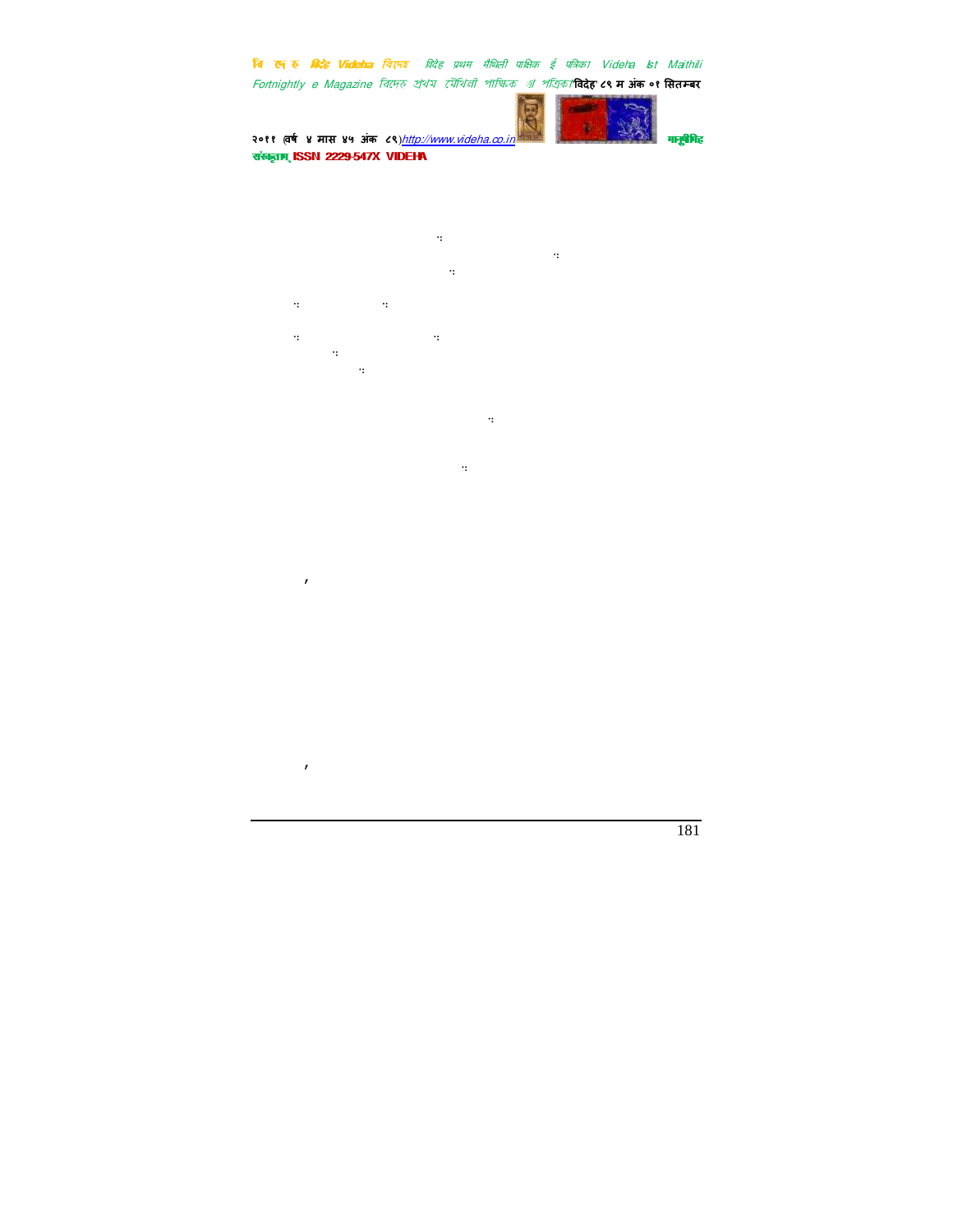चि एत् रू मिन्हे Videha निएन्थ विदेह प्रथम मैथिली पाक्षिक ई पत्रिका Videha Ist Maithili Fortnightly e Magazine রিদেহ প্রথম মৌথিনী পাক্ষিক প্র পত্রিকা**'বিदेह' ८९ म अंक ०१ सितम्बर** 

२०११ (वर्ष ४ मास ४५ अंक ८९)http://www.videha.co.in + 11 200 12 200 12 12 12 13 14 15 17 17 18 17 18

संस्कृतम् ISSN 2229-547X VIDEHA

 $q=\frac{1}{2}$ 

 $\mathcal{L}$ 

 $\mathcal{G}^{\text{G}}(\mathcal{G})$  is the set of the set of the set of the set of the set of the set of the set of the set of the set of the set of the set of the set of the set of the set of the set of the set of the set of the set of Kbntife, Npuifs... Thus the second control of the second control of the second control of the second control of  $K^{\mu\nu}$  tij wij $K^{\mu\nu}$  $\mathbf{q}$  if  $\mathbf{q}$  if  $\mathbf{q}$  and  $\mathbf{q}$  if  $\mathbf{q}$ xxx and the state of the state of the state of the state of the state of the state of people in the state of the state of the state of the state of the state of the state of the state of the state voefs!Nt⣒!Tiwfub!Kib-!Cbtfsb!

 $K_{\rm{H}}$  ) Joejbarnes Cspbexbz-!Mpoepo⣒!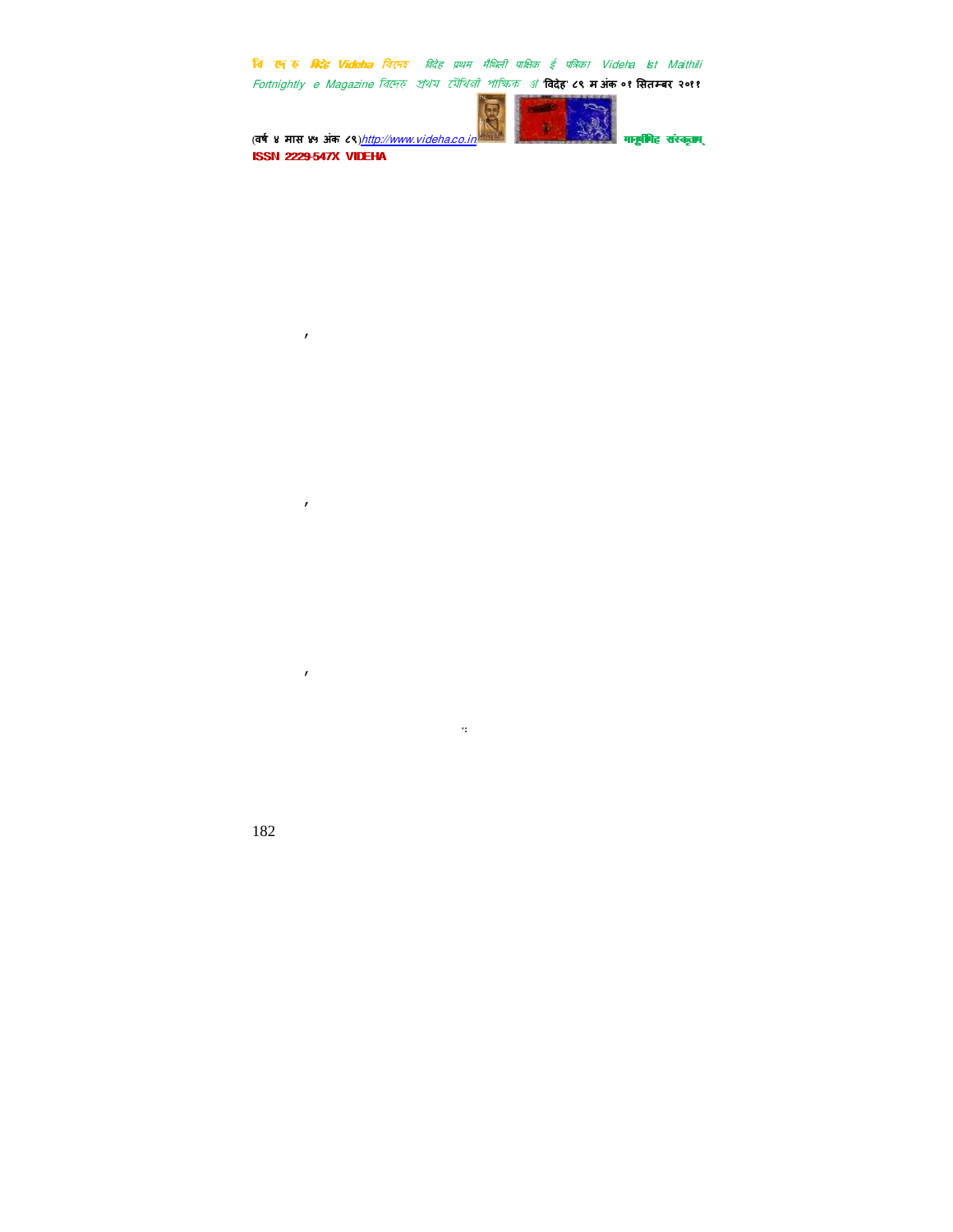चि एत् रू मिन्हे Videha निएन्थ विदेह प्रथम मैथिली पाक्षिक ई पत्रिका Videha Ist Maithili Fortnightly e Magazine -  - 'वदेह' ८९ म अंक ०१ सत बर २०११

(वर्ष ४ मास ४५ अंक ८९) $\frac{h}{100}$ /www.videha.co.in  $\frac{h}{1000}$  मानुस्थान संस्कृताम्

ISSN 2229-547X VIDEHA

 $\mathcal{F}_{\mathcal{F}}$  is the probability of the probability of the probability of the probability of the probability of the probability of the probability of the probability of the probability of the probability of the probabili

 $\mathcal{F}_{\mathcal{F}}$  is the probability of the probability of the probability of the probability of the probability of the probability of the probability of the probability of the probability of the probability of the probabili

 $\mathcal{F}_{\mathcal{F}}$  is the probability of the probability of the probability of the probability of the probability of the probability of the probability of the probability of the probability of the probability of the probabili

hhbkawiefiburga banda banda banda banda banda banda banda banda banda banda banda banda banda banda banda band

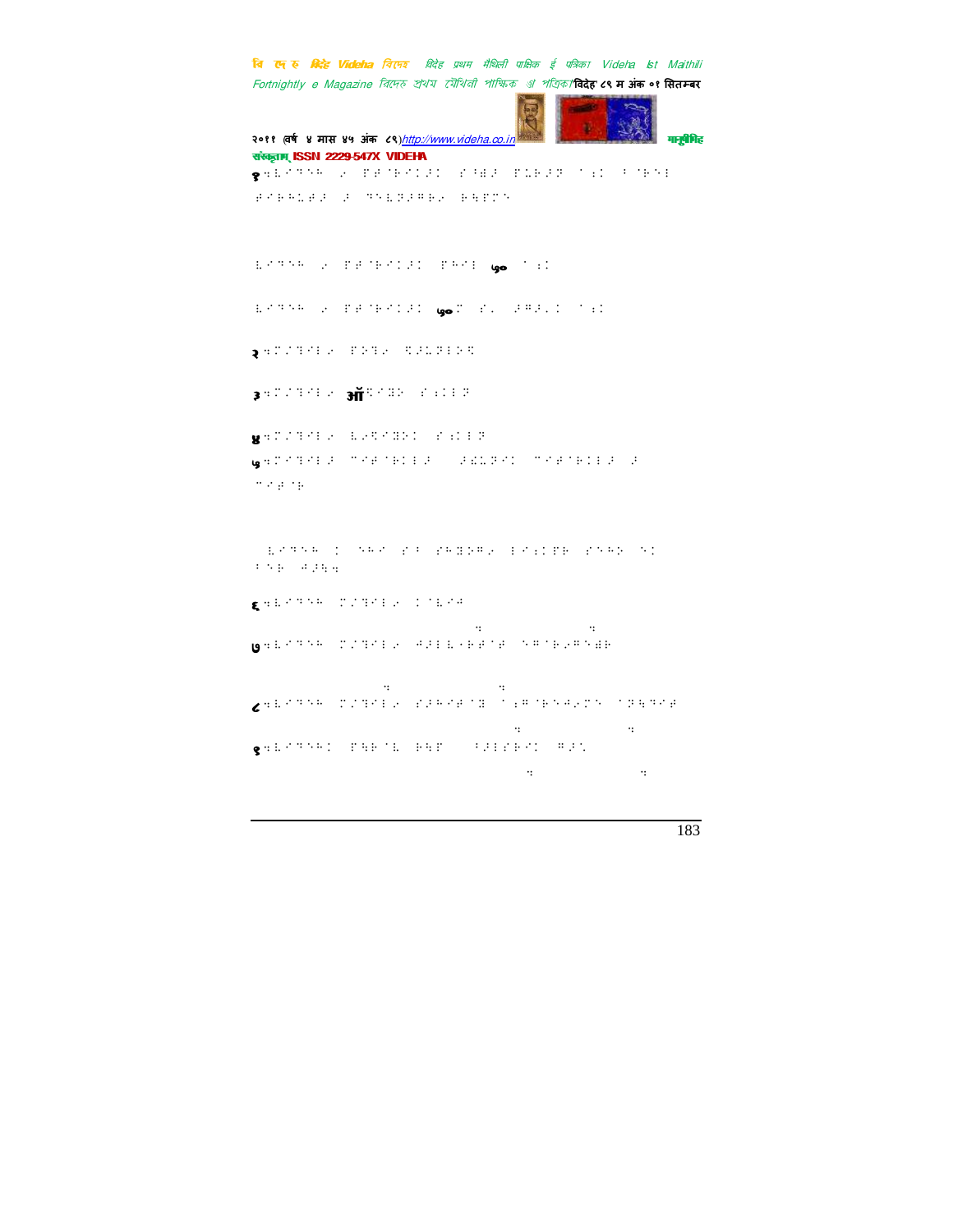चि एत् रू मिन्हे Videha निएन्थ विदेह प्रथम मैथिली पाक्षिक ई पत्रिका Videha Ist Maithili Fortnightly e Magazine রিদেহ প্রথম মৌথিনী পাক্ষিক প্র পত্রিকা**'বিदेह' ८९ म अंक ०१ सितम्बर** २०११ (वर्ष ४ मास ४५ अंक ८९)http://www.videha.co.in + 1999 कर रही थानुभाविह संस्कृतम् ISSN 2229-547X VIDEHA १⣒⣇⢹⢳!⢴.3⢾⢷⢼!⢸⣞⢼!3⣅⢷⢼⢽!⣐!⢷6-! ⢾⢷⢳⣅⢾⢼!⢼!⢹⣇⢽⢼⢻⢷⢴!⢷⣓3!Wjefib!f! ⣇⢹⢳!⢴.3⢾⢷⢼!3⢳6!५०!⣐! ⣇⢹⢳!⢴.3⢾⢷⢼!५०!F!⢼⢻⢼F!⣐! २⣒5⣙6⢴!3⢵⣙⢴!⣋⢼⣅⢽6⢵⣋!Nbjuijmj!Cpplt! ३⣒5⣙6⢴!ऑ⣋⣝⢵!⣐6⢽!Nbjuijmj!Bvejp! ४⣒5⣙6⢴!⣇⢴⣋⣝⢵!⣐6⢽!Nbjuijmj!Wjefpt!! ५⣒⣙6⢼!^⢾⢷6⢼0!⢼⣎⣅⢽!^⢾⢷6⢼!⢼! ^⢾⢷!Njuijmb!Qbjoujoh0!Npefso!Bsu!  $\sim$  Externe in the state of the state of the state of the state of the state of the state of the state of the ⢷!⢺⢼⣓⣒!! ६⣒⣇⢹⢳!5⣙6⢴!⣇⢺!!;!! iuuq;00wjefibration;00wjefibration;00wjefibration;00wjefibration;00wjefibration;00wjefibration;00wjefibration; ७⣒⣇⢹⢳!5⣙6⢴!⢺⢼6⣇C⢷⢾⢾!⢻⢷⢴⢻⣞⢷!;!! bhships and the photographs of the photographs of the photographs of the photographs of the photographs of the ८⣒⣇⢹⢳!5⣙6⢴!⢼⢳⢾⣝!⣐⢻⢷⢺⢴!⢽⣓⢹⢾! ius;00nbeivcboj.bsuvoj.bsuvoj.bsuvoj.bsuvoj.bsuvoj.bsuvoj.bsuvoj.bsuvoj.bsuvoj.bsuvoj.bsuvoj.bsuvoj.bsuvoj.bsu ९⣒⣇⢹⢳!3⣓⢷⣇.⢷⣓3!#⢸⢼6⢷!⢻⢼⣁#!!;!! iuuq;00hbkfoesbuiblvs⣒cmphtqpu⣒dpn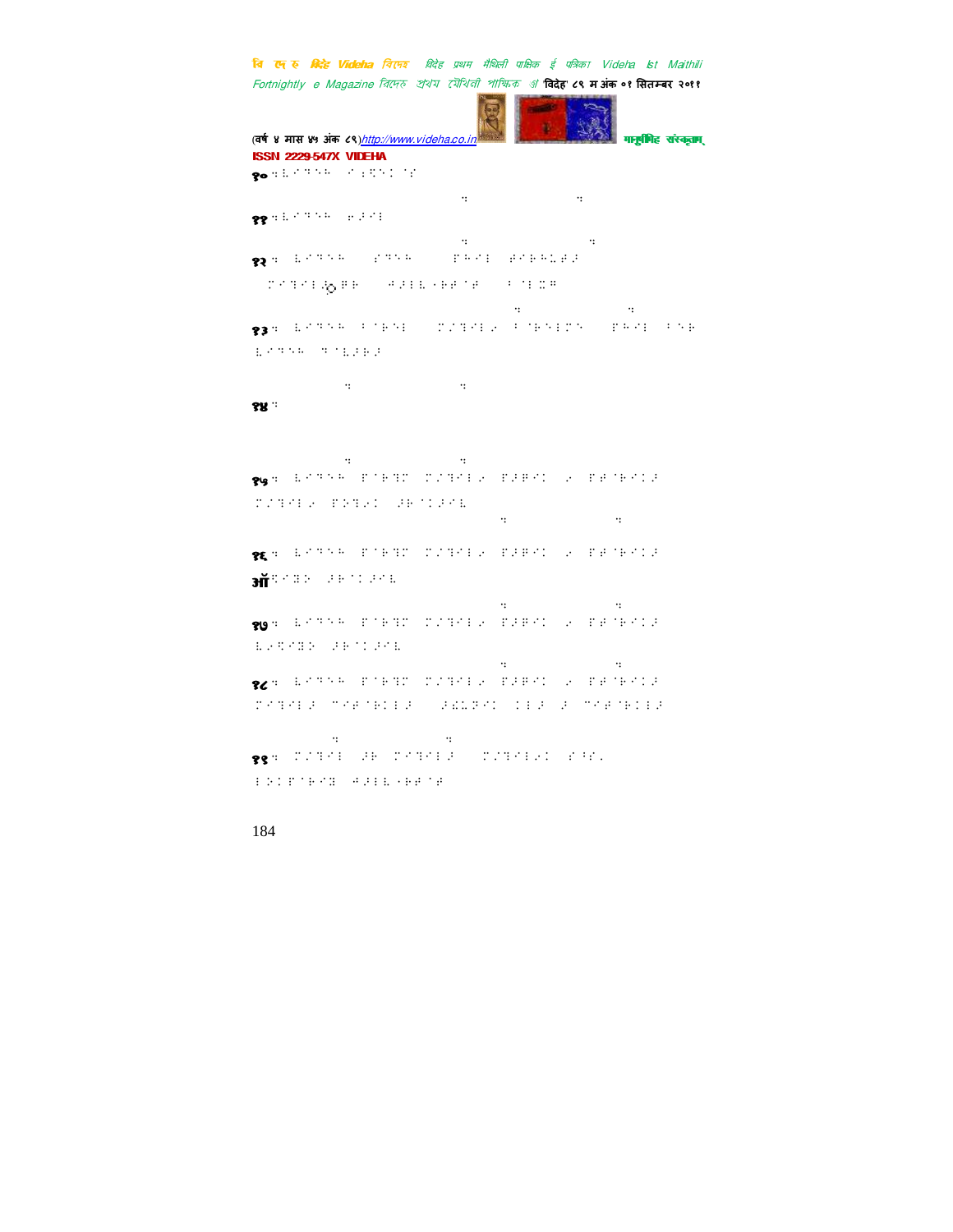चि एत् रू मिन्हे Videha निएन्थ विदेह प्रथम मैथिली पाक्षिक ई पत्रिका Videha Ist Maithili Fortnightly e Magazine -  - 'वदेह' ८९ म अंक ०१ सत बर २०११ (वर्ष ४ मास ४५ अंक ८९)http://www.videha.co.in + 2008 2008 2009 मानुषीपिह संस्कृताम् ISSN 2229-547X VIDEHA १०⣒⣇⢹⢳!⣐⣋!!;!! iuuq;00wjefib234⣒cmphtqpu⣒dpn0! ११⣒⣇⢹⢳!⢶⢼6!;!! ius $\alpha$ १२⣒!⣇⢹⢳;!⢹⢳!;!3⢳6!⢾⢷⢳⣅⢾⢼! )⣙6⢼◌़⢿⢷\*!⢺⢼6⣇C⢷⢾⢾!)6⣍⢻\*!! ius;00wjefib.tbefib.tbefib.tbefib.tbefib.tbefib.tbefib.tbefib.tbefib.tbefib.tbefib.tbefib.tbefib.tbefib.tbefib १३⣒!⣇⢹⢳;⢷6;!5⣙6⢴!⢷6;!3⢳6!⢷! ⣇⢹⢳!⢹⣇⢼⢷⢼! cosby control of the cost १४ $\mathbb{R}$  With  $\mathbb{R}$  and  $\mathbb{R}$  and  $\mathbb{R}$  and  $\mathbb{R}$  and  $\mathbb{R}$  and  $\mathbb{R}$  and  $\mathbb{R}$  and  $\mathbb{R}$  and  $\mathbb{R}$  and  $\mathbb{R}$  and  $\mathbb{R}$  and  $\mathbb{R}$  and  $\mathbb{R}$  and  $\mathbb{R}$  and  $\mathbb{R}$  and  $\mathbb{R}$  bsdigman bsdipped and the complete state of the complete state of १५⣒!⣇⢹⢳!3⢷⣙!5⣙6⢴!3⢼⢿!⢴!3⢾⢷⢼! 5⣙6⢴!3⢵⣙⢴!⢼⢷⢼⣇! iuuq;00wjefib.qpuij १६⣒!⣇⢹⢳!3⢷⣙!5⣙6⢴!3⢼⢿!⢴!3⢾⢷⢼! **ऑ**ॅटेन अधिकारी अनेका ius;00wjefib.bvejpoznatelnih političkih predstavanja politička politička politička politička politička politič १७⣒!⣇⢹⢳!3⢷⣙!5⣙6⢴!3⢼⢿!⢴!3⢾⢷⢼! ⣇⢴⣋⣝⢵!⢼⢷⢼⣇! ium (00wjefib.widpn). १८⣒!⣇⢹⢳!3⢷⣙!5⣙6⢴!3⢼⢿!⢴!3⢾⢷⢼! ⣙6⢼!^⢾⢷6⢼-!⢼⣎⣅⢽!6⢼!⢼!^⢾⢷6⢼!

## 184

quadratic product of the product of the product of the product of the product of the product of the product of

6⢵3⢷⣝!⢺⢼6⣇C⢷⢾⢾\*!

1990 - 2010 - 35 ANDERS STREET, STREET AFRICA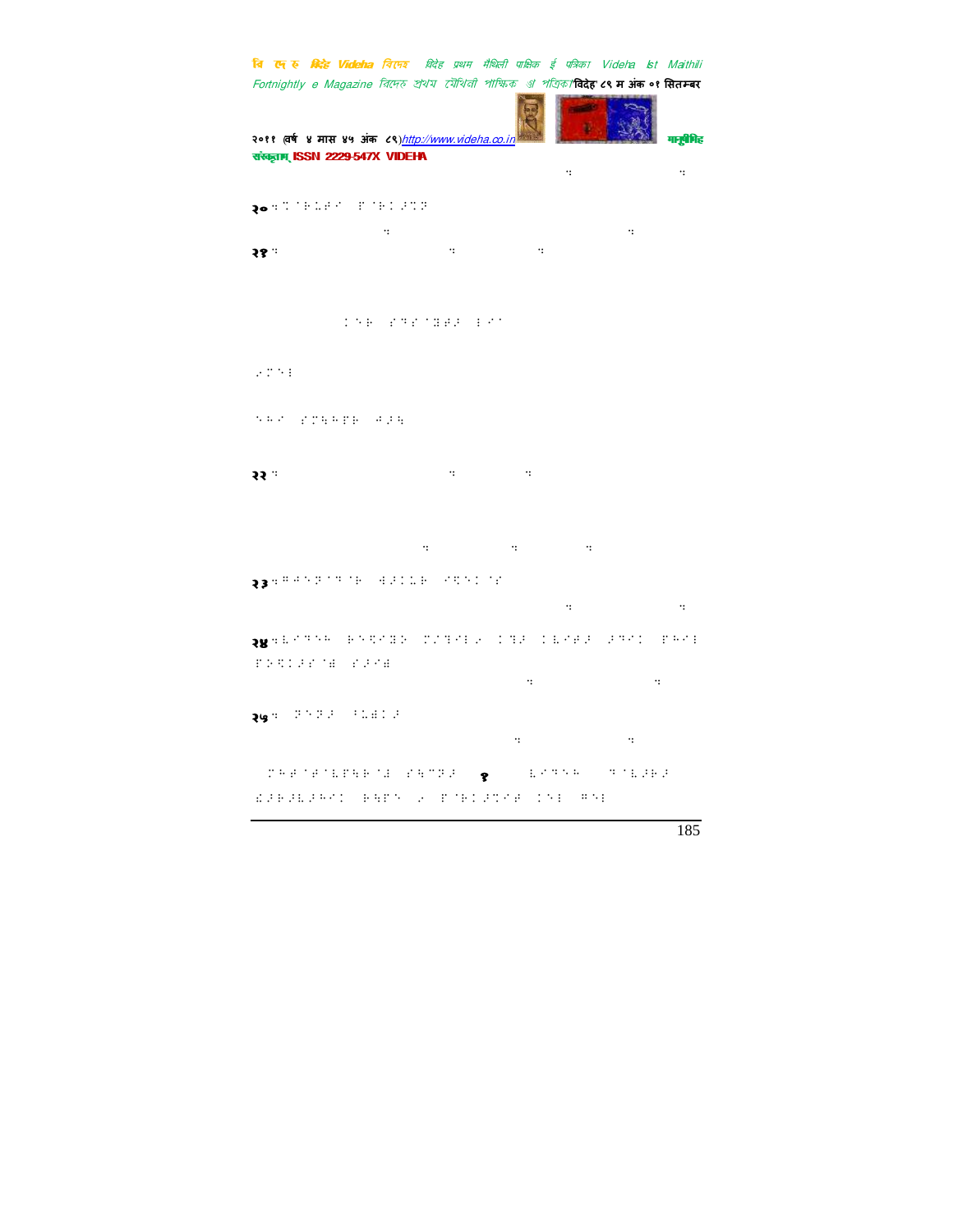चि एत् रू मिन्हे Videha निएन्थ विदेह प्रथम मैथिली पाक्षिक ई पत्रिका Videha Ist Maithili Fortnightly e Magazine রিদেহ প্রথম মৌথিনী পাক্ষিক প্র পত্রিকা**'বিदेह' ८९ म अंक ०१ सितम्बर** २०११ (वर्ष ४ मास ४५ अंक ८९)http://www.videha.co.in + 2008 | सम्बंधिक मानुबनिह संस्कृतम् ISSN 2229-547X VIDEHA ius;00nbjuijmbvsnjuijmbvsnjuijmbvsnjuijmbvsnjuijmbvsnjuijmbvsnjuijmbvsnjuijmbvsniujmbvsniujmbvsniujmbvsniujmbv २०⣒⣉⢷⣅⢾!3⢷⢼⣉⢽! iuuq;00xxx⣒tisvuj.qvcmjdbujpo⣒dpn0! २१ <sup>i</sup> under the photograph of the photographs of the photographs of the photographs of the photographs of the photographs of the photographs of the photographs of the photographs of the photographs of the photographs of WIEFIBE FIBE TO BE SEEN  $\mathcal{L}(\mathcal{V} \times \mathbb{R})$  $\Delta$  B  $\Delta$  :  $\Delta$  2  $\Delta$  2  $\Delta$  :  $\Delta$  :  $\Delta$  :  $\Delta$  :  $\Delta$  :  $\Delta$  :  $\Delta$  :  $\Delta$  :  $\Delta$  :  $\Delta$  :  $\Delta$  :  $\Delta$  :  $\Delta$  :  $\Delta$  :  $\Delta$  :  $\Delta$  :  $\Delta$  :  $\Delta$  :  $\Delta$  :  $\Delta$  :  $\Delta$  :  $\Delta$  :  $\Delta$  :  $\Delta$  :  $\Delta$  :  $\Delta$  :  $\Delta$  :  $\Delta$  २२  $\mathbb{R}^{n}$  is a set of  $\mathbb{R}^{n}$  of  $\mathbb{R}^{n}$  is a set of  $\mathbb{R}^{n}$  of  $\mathbb{R}^{n}$  is a set of  $\mathbb{R}^{n}$  $\sigma$  and  $\sigma$  is  $\sigma$  -contained points of  $\sigma$ २३⣒⢻⢺⢽⢹⢷!⣚⢼⣅⢷!⣋!! iuuq;00hbkfoesbuiblvs234⣒cmphtqpu⣒

२४⣒⣇⢹⢳!⢷⣋⣝⢵;5⣙6⢴!⣙⢼.⣇⢾⢼!⢼⢹!3⢳6! 3⢵⣋⢼⣞!⢼⣞! ius;00wjefib234sbejpedia34sbejpedia34sbejpedia34sbejpedia34sbejpedia34sbejpedia34sbejpedia34sbejpedia34sbejped ر (1945 - 1949 - 19<mark>4)</mark><br>ال

iuuq;00nbohbo.libcbt⣒cmphtqpu⣒dpn0!!!!  $\mathcal{L}$  is a state of the set of the set of the set of the set of the set of the set of the set of the set of the set of ⣎⢼⢷⢼⣇⢼⢳!⢷⣓3!⢴.3⢷⢼⣉⢾!6!⢻6!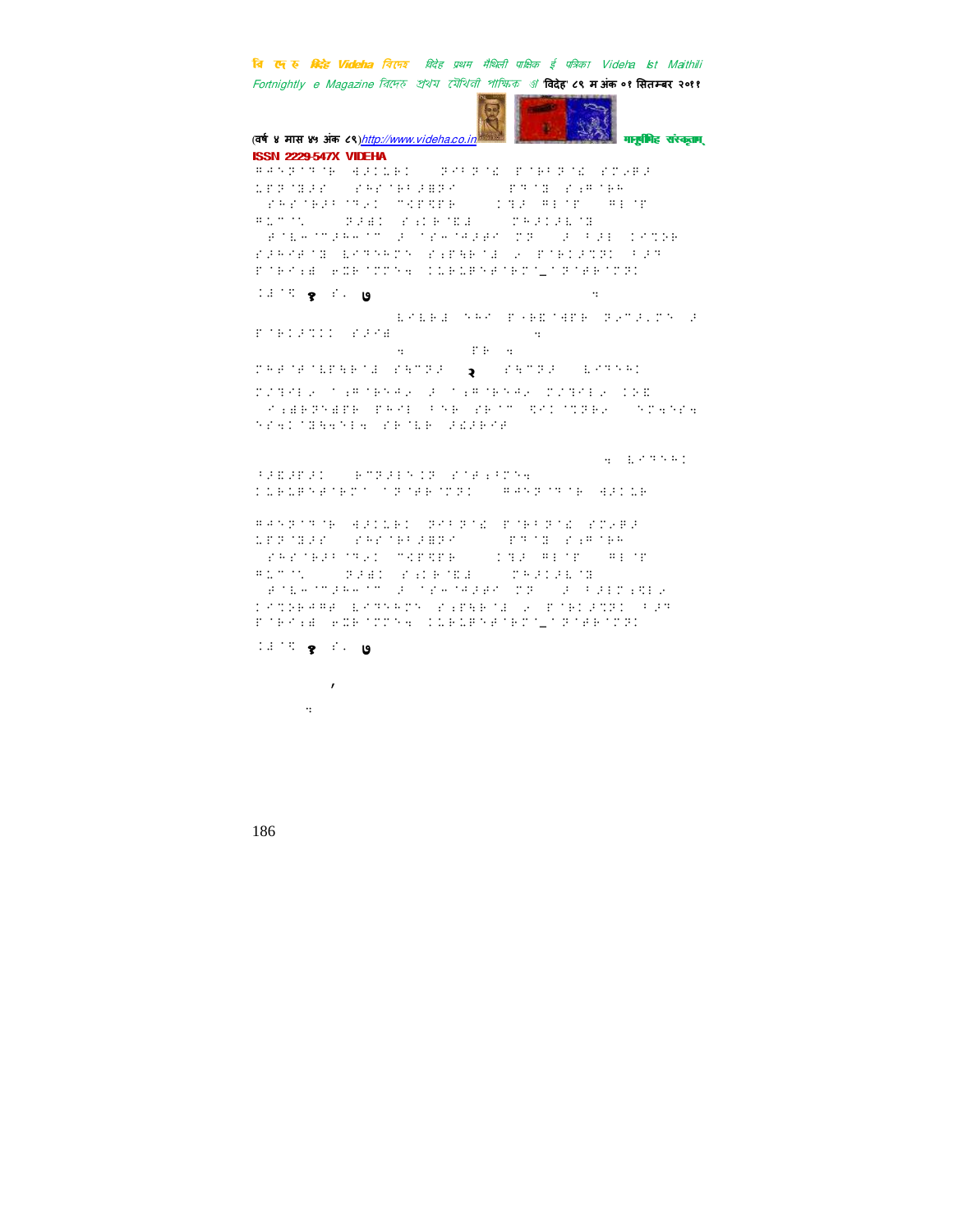चि एत् रू मिन्हे Videha निएन्थ विदेह प्रथम मैथिली पाक्षिक ई पत्रिका Videha Ist Maithili Fortnightly e Magazine -  - 'वदेह' ८९ म अंक ०१ सत बर २०११

**CONTROLLED** 

| (वर्ष ४ मास ४५ अंक ८९)http://www.videha.co.in<br>मानुबंधिह संस्कृतम्<br><b>ISSN 2229-547X VIDEHA</b>                               |
|------------------------------------------------------------------------------------------------------------------------------------|
| A A NO MARCHE CHE A COLECTIVO DE MAIS A CALIFATA A CONFIDENCIA A CONFIDENCIA A CONTINUESTA A CONTINUESTA A CON                     |
| LES MES CONFINS DE SERVICIO DE POLICIA POR D                                                                                       |
| ing Andream Strait (1974) Brethold (1974) 1988 (1975) 1988 (197                                                                    |
| A DIMINI NA MARA DA REGERE MELAN A MARA DA BINGI<br>나라 주의는 주장 때문을 주장하고 있다. 주로 된 주로 관련하는 것 같아서 나라는 지원을 하고 있었다.                      |
| 的复数的最高度 人名德萨尔斯艾尔 人的复数有新式油 人名卡里尔斯克法艾萨瓦 人名法茨                                                                                         |
| e nekaal aade noorsa voolederened h <u>o</u> n dineer ood.                                                                         |
| وپ ∴ یع ∵∷∴:<br>٠:                                                                                                                 |
| 1000 GLA 的复数法人 医麻醉 人名法布拉 不任的的人 医牙花 医上颌外 人名<br>e necessor i elektro<br>$\cdot$ :                                                    |
| <b>Holland Control Editor</b><br>2 원년 1년 1일로 당한 1명 - 공원(1858) - ' <sub>국</sub> 의 '이 공원(1858) - '일본(1868)                           |
| podre su novembre su un novembre su podre su port<br>人名法普斯莫尔普里斯 人名英格兰人姓氏斯 人名斯达尔 人名德斯达尔英斯达尔 人名英海尔顿海<br>医抗原变质 生存在医生病 人名英格兰姓氏 人名法克斯格勒 |
| and the state of the state of                                                                                                      |
| a dan dan diturun mendapat dan berasa menjadi berasa menjadi berasa menjadi berasa menjadi berasa menjadi bera                     |
| 2. 집 화집 회장 공 지화 전 기능 지역 최근 전문 전 2012년 1월 1일 전문 기명 기술 등 역문 진입된                                                                      |
| 프로가 문제가 그만 아프로 마음 마시 민준이 문제로 이용하는 이 문제로 이용 분리된다.                                                                                   |
| 1981年10月13日,北京新疆1985年19月10日,北京中国1987年1985年                                                                                         |
| "的东西的东西和这里是怎么能给的那里的,你们的在这个男子的的。" 男的过去                                                                                              |
| es mins i l'indiad i la del relació di pedidente                                                                                   |
| 이용 주최 관측적 공원 관측적 이 공기 주 공원 주변 공용관이 있으면 이 이 공기 때문에 조정되었다.                                                                           |
| о к фовиння у вік през розу у Уверен разуму проворядому роз                                                                        |
| e ne kaal va de noorsk voor een en en h <u>u</u> n dinae no do                                                                     |

⣈⣜⣋.१!F!७

Uibly's the contraction of the contraction of the contraction of the contraction of the contraction of the contraction of the contraction of the contraction of the contraction of the contraction of the contraction of the ) When  $\mathbf{q}$  is the probability of the probability of the probability of the probability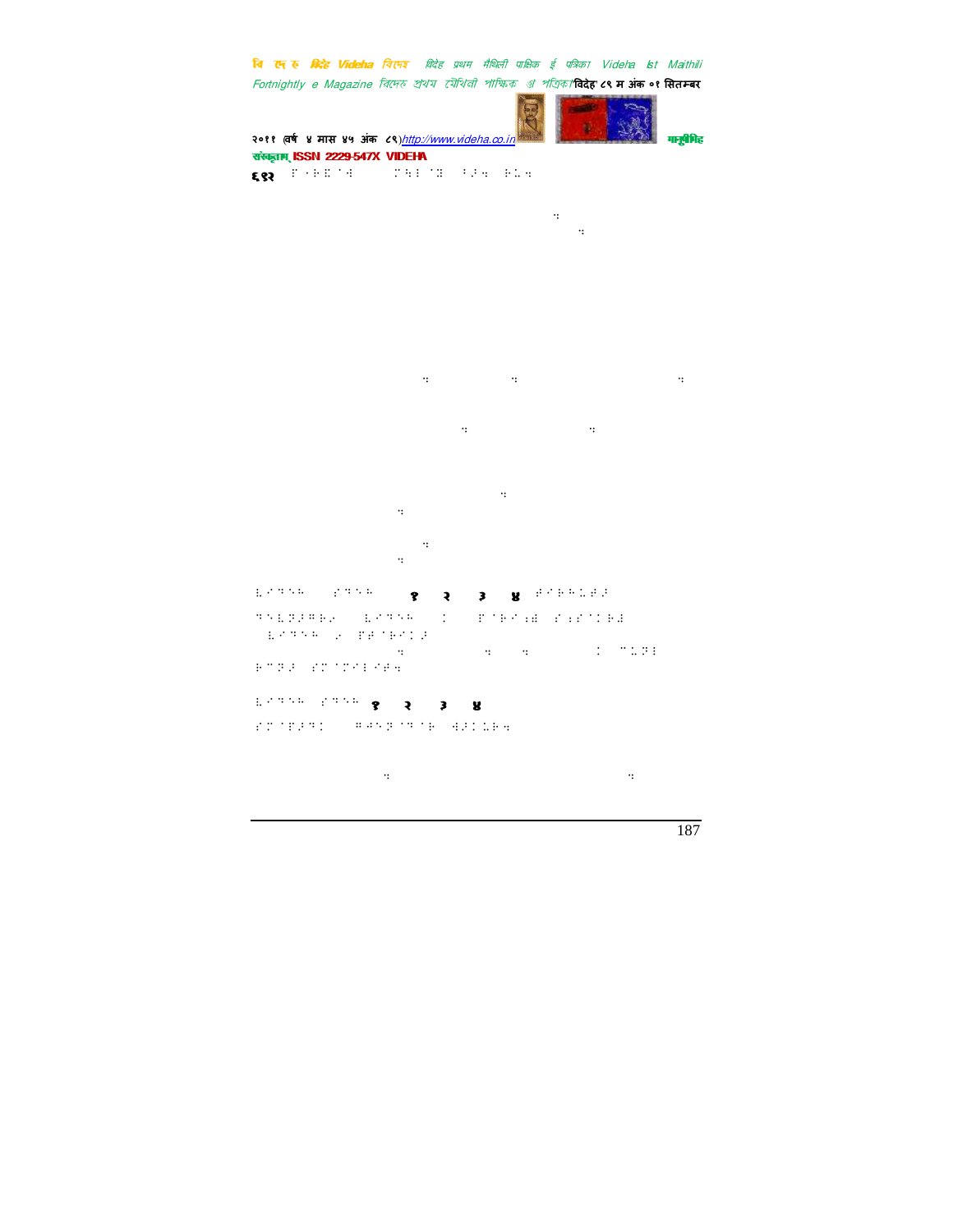चि एक स्टिट Videha विएक विदेह प्रथम मैथिली पाक्षिक ई पत्रिका Videha Ist Maithili Fortnightly e Magazine রিদেত শ্রথম মৌথিনী পাক্ষিক প্রাণবিকা**'বিदेह' ८९ म अंक ०१ सितम्बर** 







 $\langle \cdot; \cdot \rangle$  $\alpha$ 

 $\mathbb{E}[\mathcal{L}^{(n+1)}\mathcal{L}^{(n)}] = \mathcal{L}^{(n+1)}\mathcal{L}^{(n)} = \mathbf{g} = \mathbf{g} = \mathbf{g} = \mathbf{g} = \mathbb{E}[\mathcal{L}^{(n+1)}\mathcal{L}^{(n)}]$ domester (medio di presentatore)  $\sim$  EV with  $\sim$   $\sim$   $\sim$  154.5 keV for The Committee of the Market  $\cdot:$ emplacement value

 $\mathbb{E}[\mathcal{L}^{\text{H}} \mathcal{L}^{\text{H}}] = \mathcal{L}^{\text{H}} \mathcal{L}^{\text{H}} = \textbf{g} \qquad \textbf{g} = \textbf{g} \qquad \textbf{g}$ rocerte a comparador de la posta

 $\langle \cdot, \cdot \rangle$  $\sim 10^4$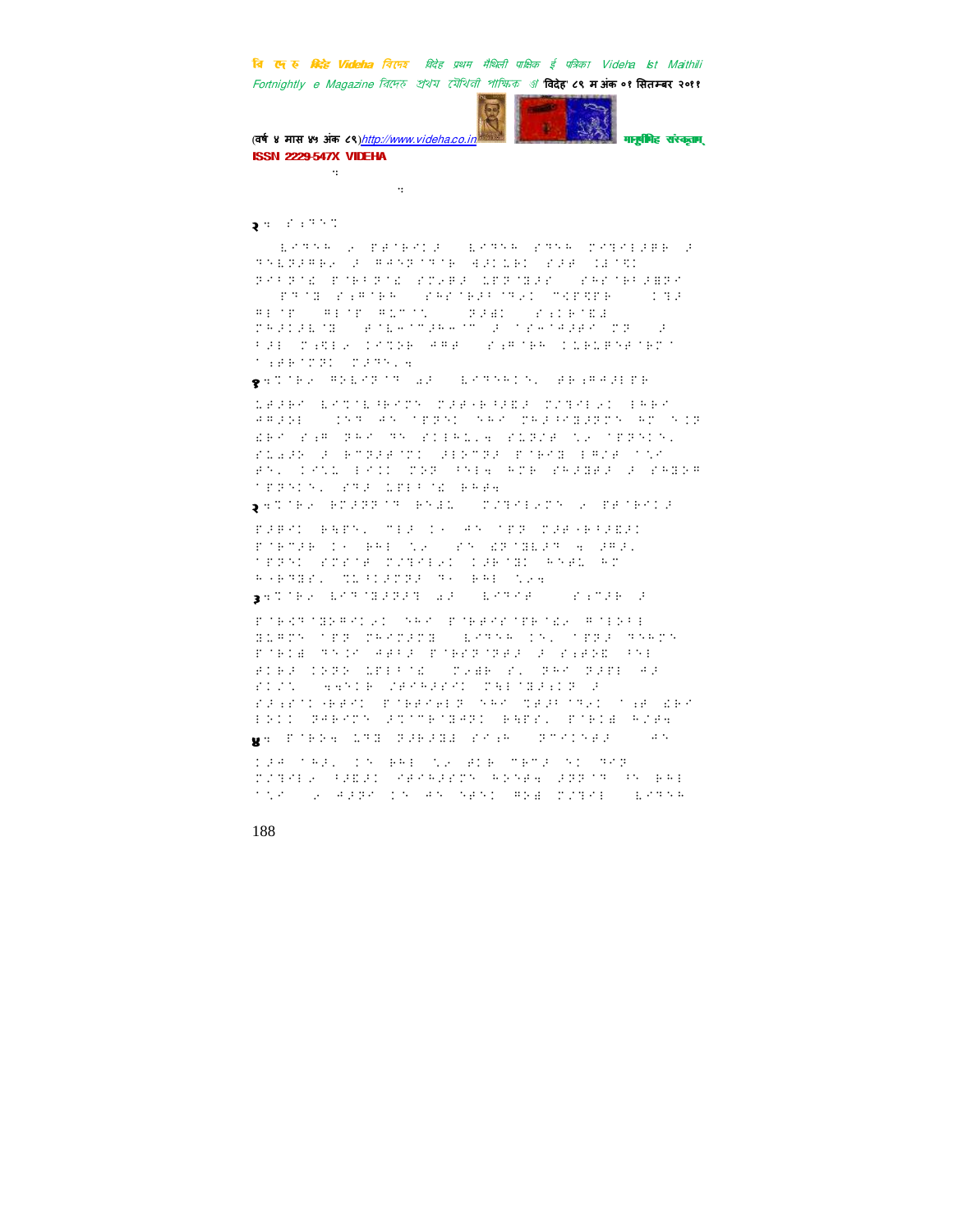बि एक रु मिन्हे Videha विरफ्श विदेह प्रथम मैथिली पाक्षिक ई पत्रिका Videha Ist Maithili Fortnightly e Magazine রিদেত শ্রথম মৌথিনী পাক্ষিক প্র' **বিदेह' ८९ म अंक ०१ सितम्बर २०११** 

(वर्ष ४ मास ४५ अंक ८९)http://www.videha.co..

मानुबंधिह संस्कृतम्

**ISSN 2229-547X VIDEHA**  $\alpha$ 

 $\ddot{\phantom{1}}$ 

 $\mathbf{R}^{(m)} \in \mathbb{R}^{n \times n \times n}$ 

 $\left\langle \left( L_{\alpha} \mathcal{F} \left( \mathcal{F} \right) \right) \right\rangle \left\langle \left( L_{\alpha} \mathcal{F} \right) \right\rangle \left\langle \left( L_{\alpha} \mathcal{F} \right) \right\rangle \left\langle \left( L_{\alpha} \mathcal{F} \right) \right\rangle \left\langle \left( L_{\alpha} \mathcal{F} \right) \right\rangle \left\langle \left( L_{\alpha} \mathcal{F} \right) \right\rangle \left\langle \left( L_{\alpha} \mathcal{F} \right) \right\rangle \left\langle \left( L_{\alpha} \mathcal{F} \right) \right\rangle \left\langle \left( L$ NAEDIRAA DI RANGINANE AIDEEN YIRA TENNI die klasse in de klasse in einziellen und sowie in in een deklanden  $\sim$  100  $\pm$  100  $\pm$ FOR COVERED CHOOSE AREA CONVERSED CORDRARING THEFTOR COPPORE

estimal space on all. ing kawang sini papi pada panga

LASAR LESTERATS TRAFFIC DEL TOTAL ELES ARANE CONTRACTORNE CARACTERARIERS AN INCR Ben references the presence produce the transity. POLICE CALLED ARRESTS CALLED A REPORT OF A RICHARD CONT and critical exist specialised as a second consequent TERNING STRAINERS TEAMERS

g editely leduses this end by courses a discussion and second

EVERY SAFY, TEX IN AN INFORMATION ESPECIAL DE LA PARTICIPA DE LA PORTABLICA DE LA PORTA TERM COORD DIRECT INFORMATION A FERRY LONG PORTRY CREW EARLY NEW genines accompagned as a accomp-- 子宮の子長 一子

ESPARAN MONARCHER SAN SERVICE MARKET REPORTED A RESIDENCE.

BLACK TER CHACKER (BARNA CN) TERR PARCH ESPECIAL PRODUCT APPLE OF CREDIT DEPEND ON ESPECIAL adalah disebut berakhat mengangkat menghalkan mengangkat **THENIB CORPORATE THE MEASURE A** 学生のない advance (executive reasonable) who imputed that is a space ESIT PARKON SOMATORDI RADAL PARLAGENZA ge riese bas assembles Canadhee.  $\sim 1.2$   $\sim$ 

para measures ees coulebe memalispirace DISCUSS FREED PARTNERS POSSES FROM THE PASS the consideration and name are reported to accom-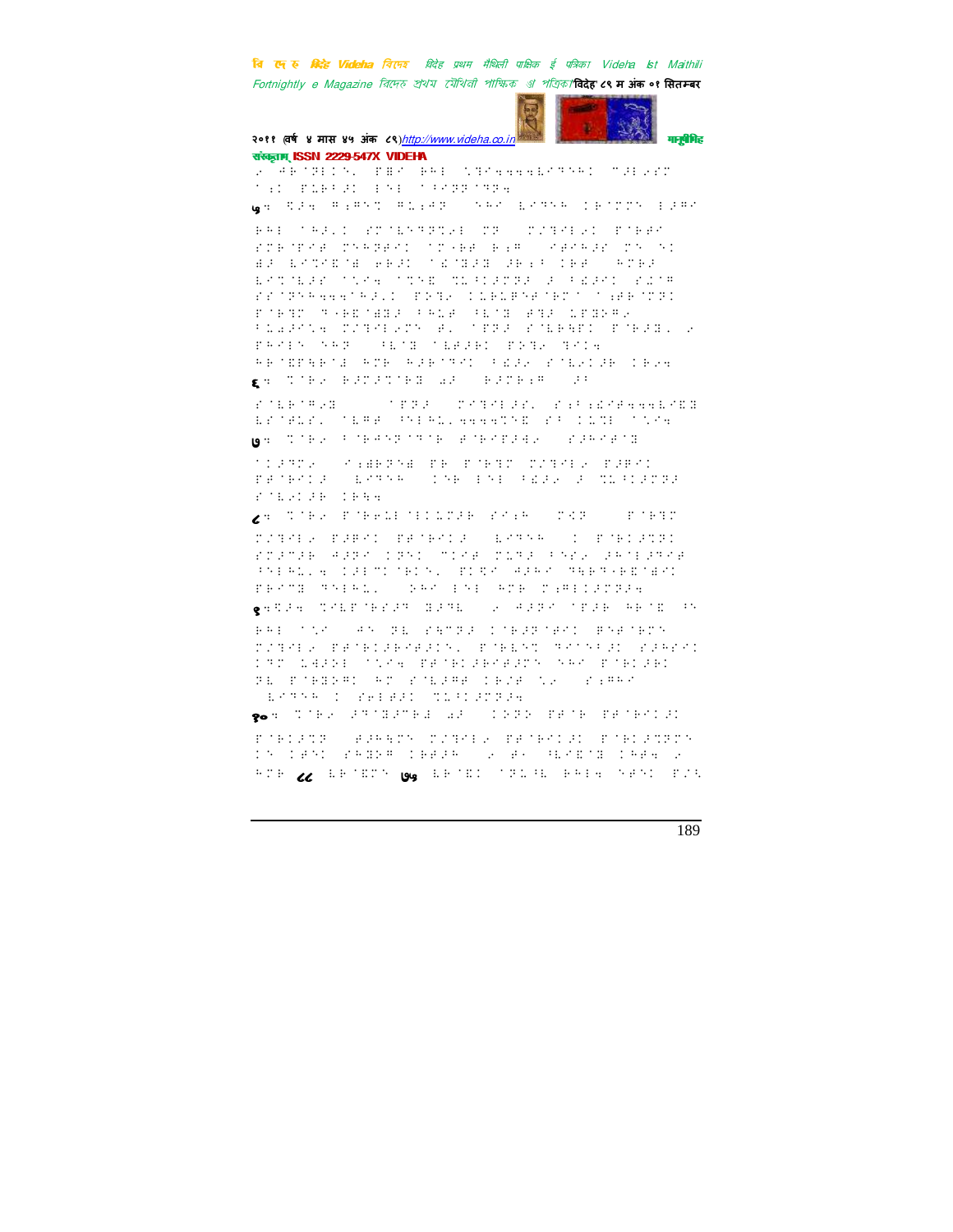चि एक रु मिनेह Videha विएक विदेह प्रथम मैथिली पाक्षिक ई पत्रिका Videha Ist Maithili Fortnightly e Magazine রিদেত শ্রথম মেথিনী পাক্ষিক প্রা পত্রিকা**'বিदेह' ८९ म अंक ०१ सितम्बर** 



२०११ (वर्ष ४ मास ४५ अंक ८९) http://www.videha.co.i संस्कृतम् ISSN 2229-547X VIDEHA

о Тайсавскі вве анвістакачанскага ставовт<br>Сас время паквістная ста

we say alass allows come percent para

BAIL CARLS CONTRAPPORE DR. CONTRACTO POBRA a die spiele in de elektronica (e.e. in elektronica (e.e.)<br>Le provincie se elektronica (e.e.) en elektronica (e.e.)  $\mathcal{L} = \mathcal{L} \left( \frac{1}{2} \mathcal{L} \right) \mathcal{L} \left( \frac{1}{2} \mathcal{L} \right) \mathcal{L} \left( \frac{1}{2} \mathcal{L} \right) \mathcal{L} \left( \frac{1}{2} \mathcal{L} \right) \mathcal{L} \left( \frac{1}{2} \mathcal{L} \right)$ 一种的复数 ERST NEAR TO SPACE ON THE STATE AND A REPORT OF ZONE ana no viele e serve pro su provincia de serve ne pro longe e novo d r teat (a kebiteau) (a ebel (a talleau) bradau)<br>(beukstell toakeunt (e. lithau) (cheeset) riteuau (u resis ser l'insulation resultante RECEPBED AT RIFLAGE CARD CARDS WITHOUT PROP gen direct especial as the speak.  $\sim 1.1$ 

 $\gamma$  , and the state of the state of the state of the state of the state of the state of the state of the state of the state of the state of the state of the state of the state of the state of the state of the state of th STARFINGER archebris (1899) (the ebidar and he sat in the state es directos relações provincias a relação do conseguido

TO SAMPLE CONTRACTOR CONTRACTOR DE CONTRACTO DE SAN DEL CONTRACTO EACHOLA LEONARD CONFIDENTIAL ACCOUNTATION FORECRESSMENT

ge dies mieste industrie ande dies o e namb

CONFIDENTIAL PROPERTY ARRAIGNMENT PORCHOLOGY scripture (Audience des completes conditates and conserved and Abuse (1988) terms (Abuse) and Conservation (Abuse Abuse 2014) rekna svekov sek energisk parenterare estra construction draw. THE REPORTED HETER PA

BAB (1958) (AN DECEMBRIC 1980) 1981 (BNB 1975) putanelly interferomenations in telephonen to the contemporary ciado passa interal da tecesaria e territorias es PEC PORTNAIO AD CROEPACIFICATION CONTRACT access to research that at also

es de la responsa de la partidad de la partidad de la responsa de la partidad de la partidad de la partidad de

ESPECIED - AVANCY CONVEVER CARDO DE PROVISCO TA TEAT PARA TERRA CONTROL PROPERTY TEATS POR 22 ERIEDS ON ERIED ISLE REFER SPESI FIX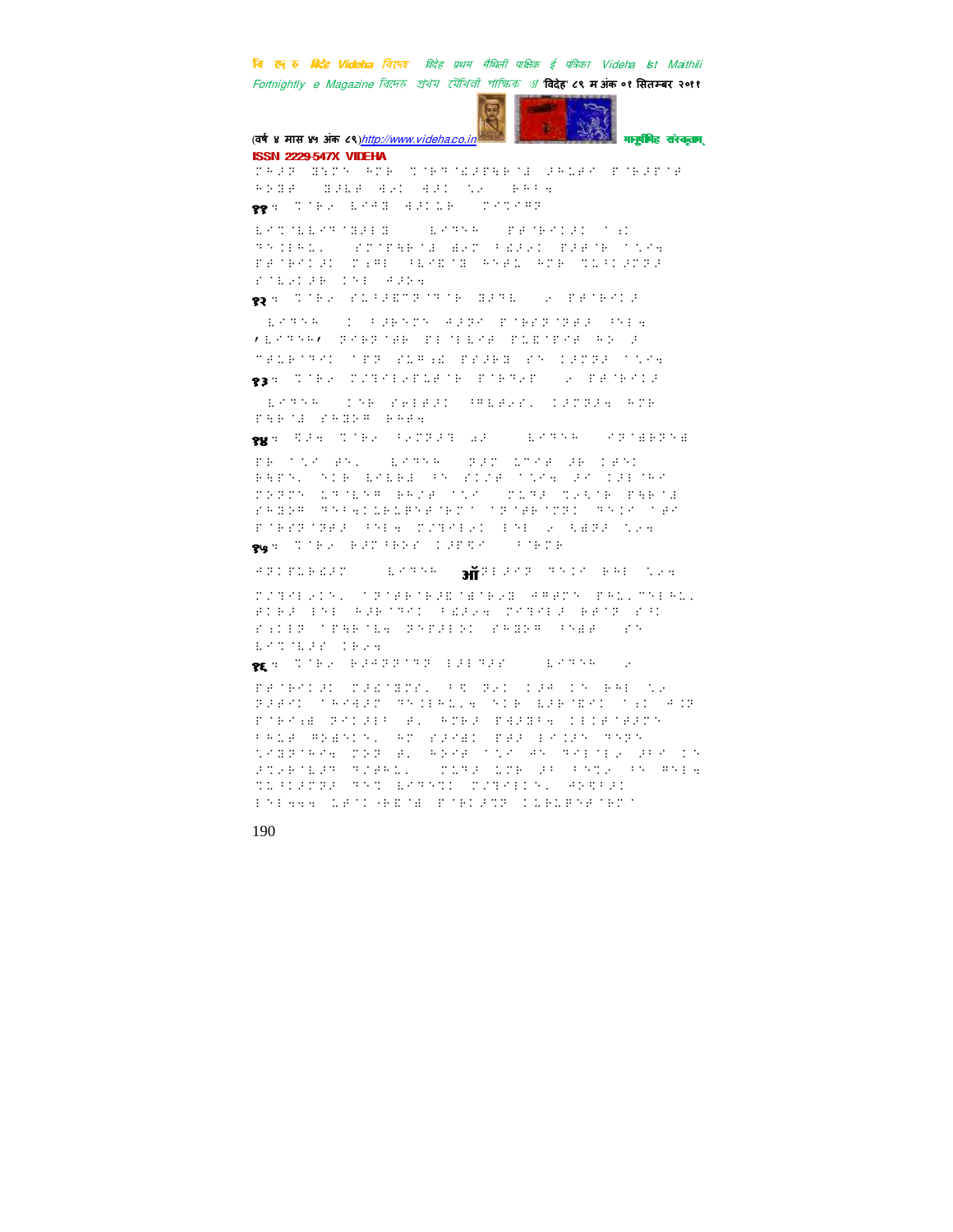बि एक रु मिन्हे Videha विरफ्श विदेह प्रथम मैथिली पाक्षिक ई पत्रिका Videha Ist Maithili Fortnightly e Magazine রিদেত শ্রথম মৌথিনী পাক্ষিক প্র' **বিदेह' ८९ म अंक ०१ सितम्बर २०११** 



## **ISSN 2229-547X VIDEHA**

CARD CONCA TACK TO DATABATE CONSERVATOR DE CA A SHART HIS SALE RESERVE TO A REPORT een dies ander added in marmaran

EVENTURE STORAGE ing a dialect  $\label{eq:4} \begin{array}{ll} \mathbb{E}[\mathcal{B}^{(1)}\mathcal{B}^{(2)}\mathcal{B}^{(1)}\mathcal{B}^{(1)}\mathcal{B}^{(1)}\mathcal{B}^{(1)}\mathcal{B}^{(1)}\mathcal{B}^{(1)}\mathcal{B}^{(1)}\mathcal{B}^{(1)}\mathcal{B}^{(1)}\mathcal{B}^{(1)}\mathcal{B}^{(1)}\mathcal{B}^{(1)}\mathcal{B}^{(1)}\mathcal{B}^{(1)}\mathcal{B}^{(1)}\mathcal{B}^{(1)}\mathcal{B}^{(1)}\mathcal{B}^{(1)}$ mentale public components and an analysis of the structure. The contract of the structure of the structure of the structure of the structure of the structure of the structure of the structure of the structure of the struct POLEN 28 (194) 9224

22 8 CONFIDENTIAL FARM POST OF THE DEPARTMENT OF

SERVING OF CONSENSING ASSAULT TEACHING AND AN ENCOUNTERED → ESP (1999) - 第319第1399 (1999) 918-399 (1990) 92-03-2000 92-03-2000 92-03-2000 92-03-2000 92-03-200 medental infrastructure and research and condensations ese dies durantstanden miersmus seinerts

ERSTAND CONFIDENTIAL PREPART CONTINUES  $\Gamma(A,B) \cap \Gamma(A) = \Gamma(A,B) \cap \Gamma(A) = \Gamma(A,B) \cap \Gamma(A)$ 

ews SPR Comes Perchan and Company Proposerse

PROTOKO BND COESTING SPACE STRAKE ARE CAND BARN, NIB EREBE PN PIZE TIME PROPERTY COSTO LA MESE PROFINO CON PARA CORPORAR DE ina di kacamatan ing Kabupatèn Kabupatèn Kabupatèn Kabupatèn Kabupatèn Kabupatèn Kabupatèn Kabupatèn Kabupatèn TORYSTERS THE CONTRACT INFORMATION gight of the computation of application of the pa-

**APPENDENT** 

TO THE 2005 CONTRACT PROPERTY ARRESTS TO PACEDOS EACO RIER IN EN PRESTACIÓ ELERGICA DE EN ERITRO EN FAILER COPARCINA CRAPPERDIC FAGDAM CANADA COFA EVERENT TERM

ers Times advanced adapted to account  $\sim 100$ 

mainewide: "baandbrat" (FR) due of a4 (15) e4e (15) PRESS CORPERD PROFESSION POR ERROR CONTROL POP riverse productions ened reduce of the redns FRIED RESENCTION CONSTRUCTION CONTROL completed inspires especially as an admission of the anyersem makes. Thimself are more in the TERRITARY TATE ESTATE TESTS IN ANTAR ENERGY CORNER CAPTAIN PROPERTY CORD PNATROL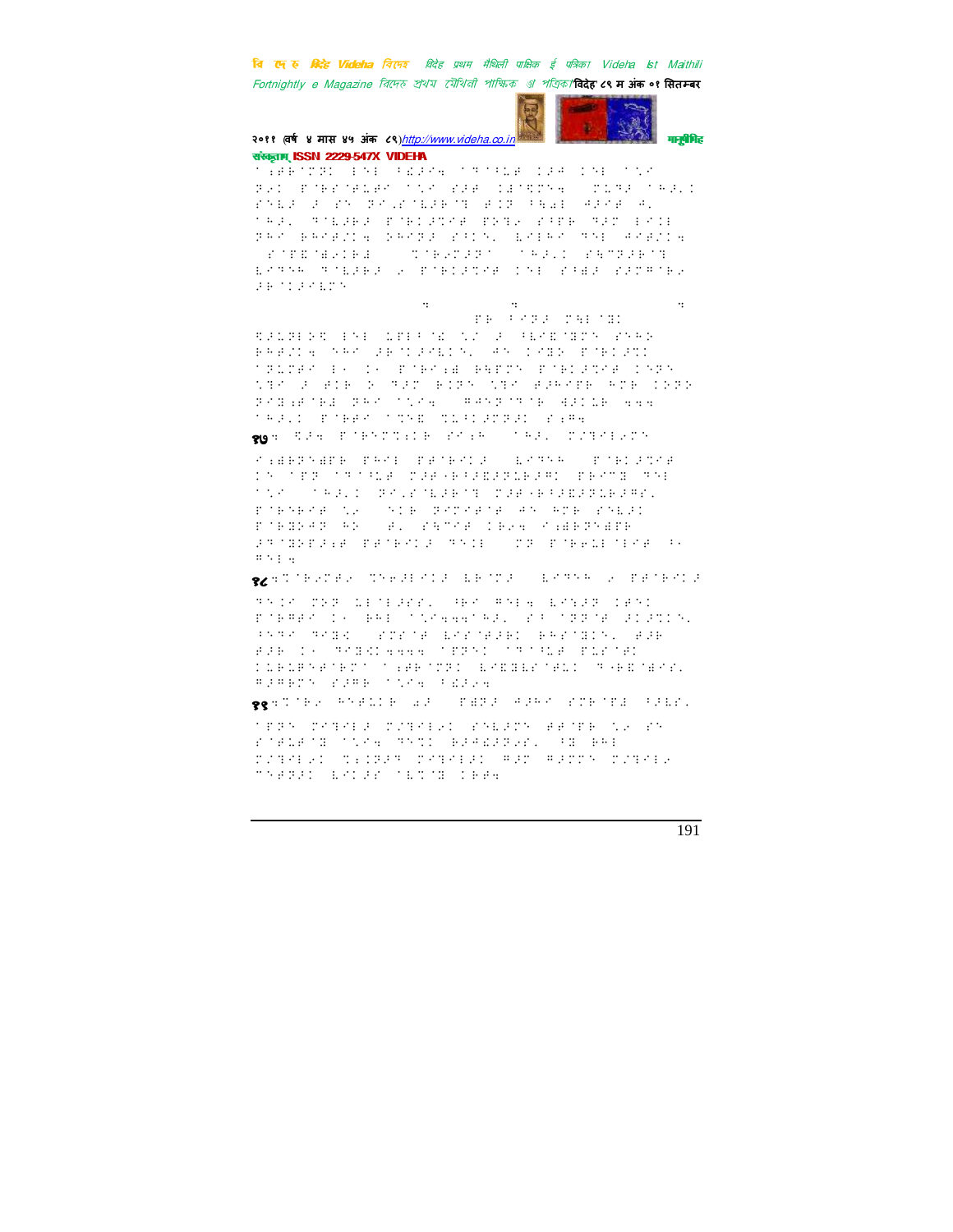बि एक रु मिन्हे Videha विरफ्श विदेह प्रथम मैथिली पाक्षिक ई पत्रिका Videha Ist Maithili Fortnightly e Magazine রিদেহ প্রথম মৌথিরী পাক্ষিক *ঙা প*ত্রিকা**'বিदेह' ८९ म अंक ०१ सितम्बर** 

२०११ (वर्ष ४ मास ४५ अंक ८९) http://www.videha.co.i संस्कृतम् ISSN 2229-547X VIDEHA

 $\dddot{\phantom{0}}$ 



 $\ddots$ 

THERMORE RANGER ARE TRIPLE IN A STAR CONFIDENT duction resorted and in the captain conditions. **September 200** and a construction of the constant of the second second second TRACTORIARA CENTRALADAR CENTRO PARTICIPADE PAK BAKEN & DAKPA BACK, EKEAN PAE AKENDE **CONTRACTOR** CONFIDENTIAL ARTISTS Scheenselede an EVENA CRITERA DO ESPECIARA CONFORMEIRO PARA 法長 こうおくものだ

FRONT POSSESSED ROSSESR (ENE) SPERING (NO )OF PERMITTEN (PNAD BARDIN SART DESCRALIN, TANTIFIER SERIES ndicar is to present approving and interthe late of man eight the easers when idea pedagoga (pael contegio del popolaria del germana TRAVEL ESPARA CONECCIDAD ADRAL CYVAN es de la presidencia de la caractería de la propiecent

KABERNEDE BRKE BRAEKLIK (EKSKA) BRAECRIKA the interest manager and an except particular and construction of the construction of the construction of the  $\sigma_{\rm{eff}}$  and  $\sigma_{\rm{eff}}$  $\mathcal{L}^{\mathcal{A}}(\mathcal{A},\mathcal{B},\mathcal{A})=\mathcal{B}(\mathcal{A}^{\mathcal{A}},\mathcal{B}^{\mathcal{A}})(\mathcal{B},\mathcal{B},\mathcal{B}^{\mathcal{A}})(\mathcal{B}^{\mathcal{A}})(\mathcal{B}^{\mathcal{A}})(\mathcal{B}^{\mathcal{A}})(\mathcal{B}^{\mathcal{A}})(\mathcal{B}^{\mathcal{A}})(\mathcal{B}^{\mathcal{A}})(\mathcal{B}^{\mathcal{A}})(\mathcal{B}^{\mathcal{A}})(\mathcal{B}^{\mathcal{A}})(\mathcal{$ an teamage (member a linear) (line) mineers to each of  $\Omega\cong\{\pm\}$ 

86 A DIRECTOR A CONFIDENTIAL AND A REPORT OF THE CENTRAL ORDER OF A

MAIN TERRIST PERSON HAN PAPE ENSURA DEND program to sales in the early to a surger talk at any of serve the discussion of the case of the second experimental controls of ada in companyaya componicomo ala mala can provide the transformation of the state of the control of the state of the state of  $\mathbb{P}(\mathcal{G},\mathbb{P},\mathbb{P},\mathbb{P},\mathbb{P})=\mathbb{P}(\mathcal{G},\mathbb{P},\mathbb{P})=\mathbb{P}(\mathbb{P},\mathbb{P},\mathbb{P})=\mathbb{P}(\mathbb{P},\mathbb{P},\mathbb{P},\mathbb{P})$ 

eestika kordina aastarata kaks ringi (adam)

TERN CREATE CONTRACT PRESENT BETRE CONTRA PORTRAIN COMMUNIST REPRESENT OF REAL CONTRACTO CONTRACTOR ACTIVITY AND ACTIVITY CONTRACT MARRAT ERISE MEDIC IPPE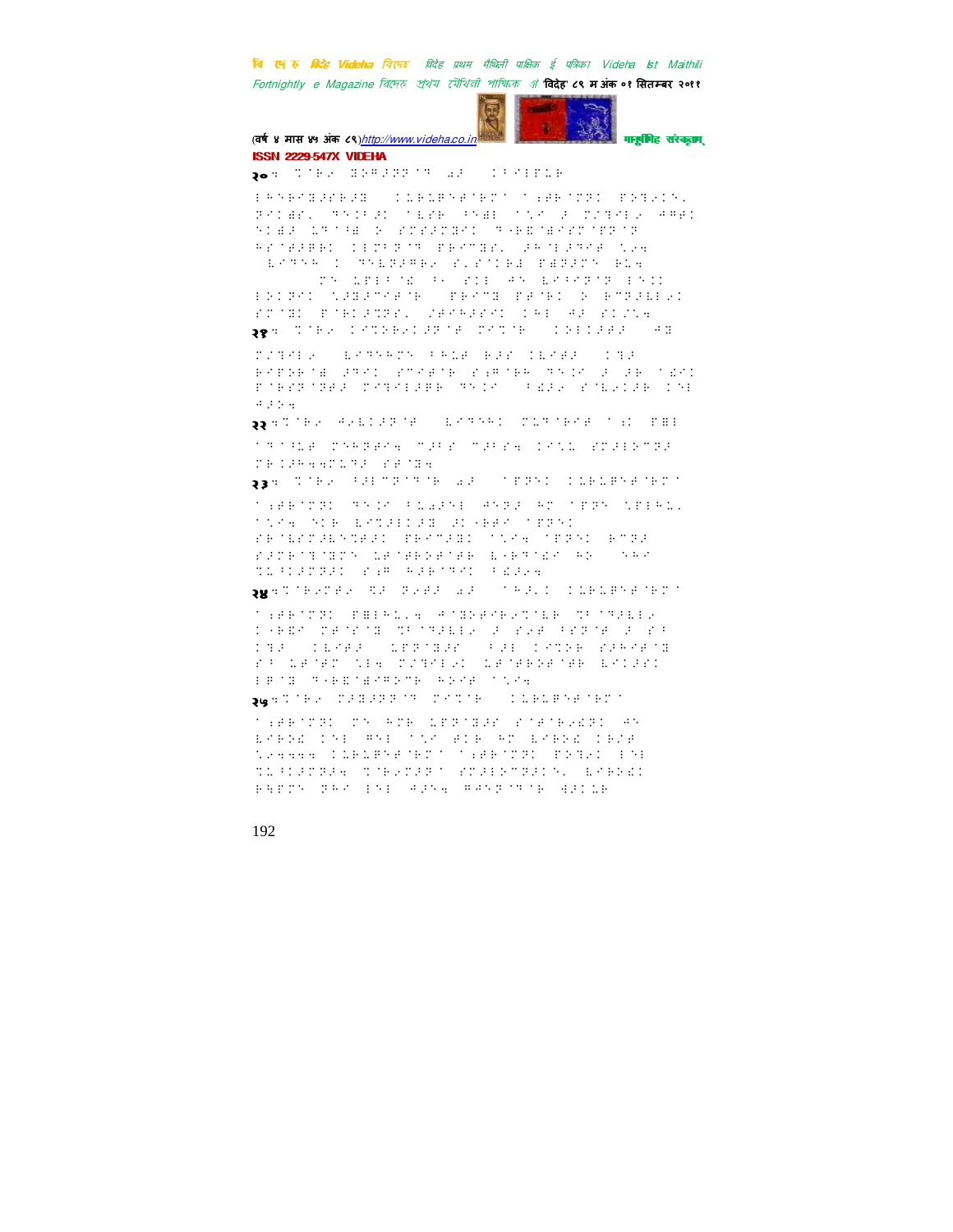बि एक रु मिन्हे Videha विरफ्श विदेह प्रथम मैथिली पाक्षिक ई पत्रिका Videha Ist Maithili Fortnightly e Magazine রিদেত শ্রথম মৌথিনী পাক্ষিক প্র' **বিदेह' ८९ म अंक ०१ सितम्बर २०११** 



(वर्ष ४ मास ४५ अंक ८९) http://www.videha.co.in **ISSN 2229-547X VIDEHA** 

post they discrete thrust internal

E RINER BURGEUR III DIE DEN BIN BIN IN IN BEEITDOOF IE NOU DIN. BRIGGE PROPERTY LEARN PRESS TO A CONTRACT PRESS NO BOSTO DE STATO A CONSTITUCIÓN A BONHA ANOTHERING A 2014 2016 10:00:00:00:00 PERMIDEL CORPORATION AND 法决定保险 计 SPALENHAM SOCIETY BEST PERIOD AND

The LEES of the State And Existing and socialist casarinaria (consideration) a sensas ac a primar il la medita della ciuda a estre della caracterista di provinciale. 200 TORA CATABALAR TRUTH CONSIDER CAR

TV TRES COLLARS FINOR PLACE AND CLARATO - 17 年度 expression (advertisement professional professional advertisement EN ERSPITSES INTERFERENCE PRISON IN ESSAY RIMES ES ARRESTED PRI 开送货品

as en televisione de la provencia de la provencia de la presidencia de la provencia de la provencia del provencia del provencia del provencia del provencia del provencia del provencia del provencia del provencia del proven

nia napeli poedeke i maseli masele i propileda emda TECHNOLOGICAL

aas dies stermense aan indeel bebesenedig

masserg: aver siggly mange an iggly transit novel sie architectus un seek compon PERMITALNOBAD (PERMANDI INSPECTORAL) EMPA PATENTINGS CONTRACTED IN POSSIBLE  $\sim 100$  and  $\sim 100$ TERM PERMIT REPORTED THAT IT REPORT

agent telebrate (state steels) and Constantino preparamento

THE END POSSESSING CHANGE ENDING TO CONSERVE proveded the random proveded and analysis of a series of the THE CONSERVATION OF A REAL PROPERTY OF A REAL PROPERTY and international and there are no manded the second and the second state of EPITE PROPERTYPE PASSE TO CAR

age to tells in the appropriation to the constant term of

THE ENDROL DISTURBED OF PICE AND AN ARCHAEODO CAN EVENS THE RNE TIN SEE RD EVENS TENS .<br>Sysses flatere monocerous production  $\mathfrak{A}^{\mathfrak{a}}_{\mathfrak{a}}\otimes\mathfrak{A}^{\mathfrak{a}}_{\mathfrak{a}}\otimes\mathfrak{A}^{\mathfrak{a}}_{\mathfrak{a}}\otimes\mathfrak{A}^{\mathfrak{a}}_{\mathfrak{a}}\otimes\mathfrak{A}^{\mathfrak{a}}_{\mathfrak{a}}\otimes\mathfrak{A}^{\mathfrak{a}}_{\mathfrak{a}}\otimes\mathfrak{A}^{\mathfrak{a}}_{\mathfrak{a}}\otimes\mathfrak{A}^{\mathfrak{a}}_{\mathfrak{a}}\otimes\mathfrak{A}^{\mathfrak$ BARTA DES ENEUROS PRESENTE ARTIE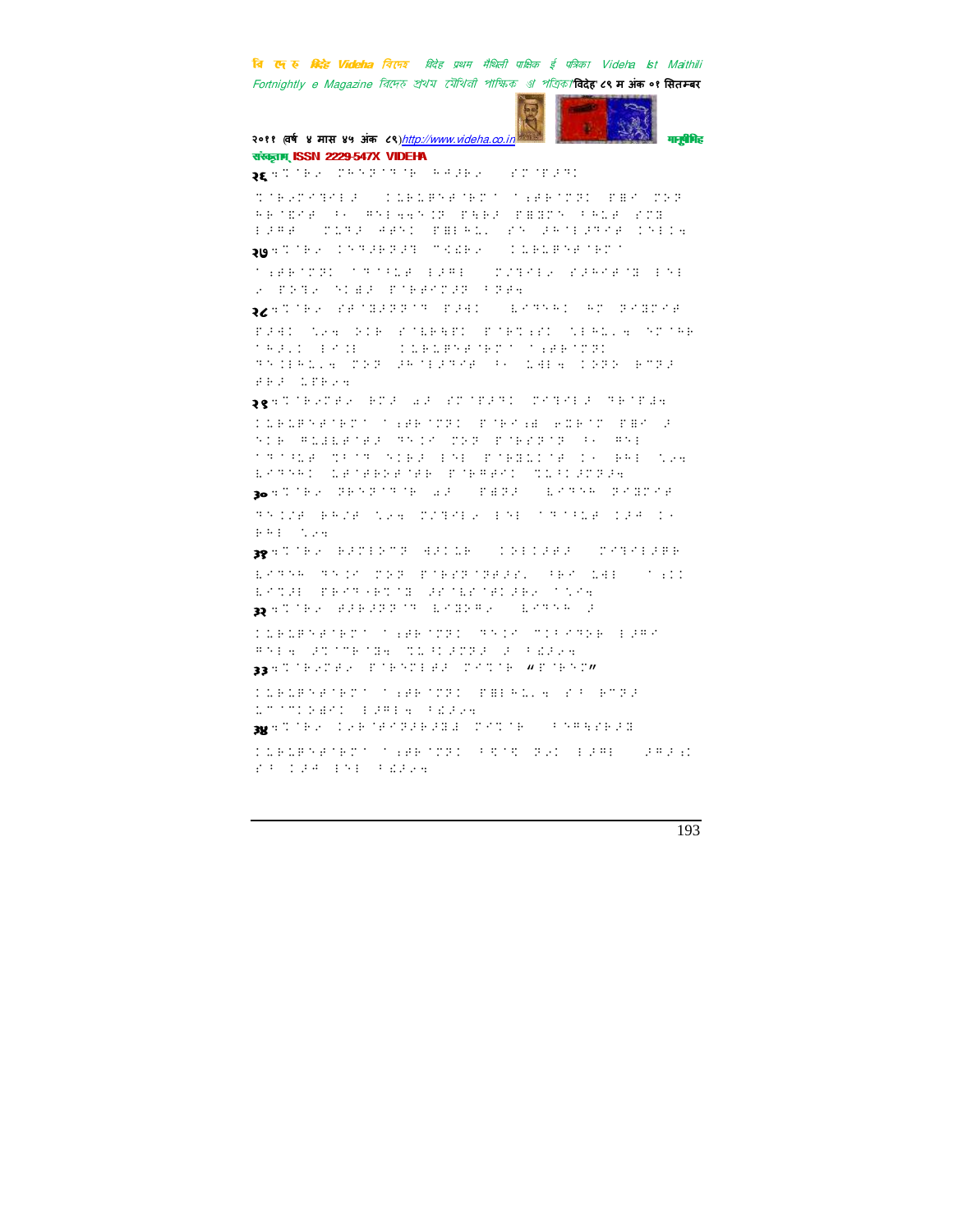बि एक रु मिन्हे Videha विएक विदेह प्रथम मैथिली पाक्षिक ई पत्रिका Videha Ist Maithili Fortnightly e Magazine রিদেত শ্রথম মেথিনী পাক্ষিক প্রা পত্রিকা**'বিदेह' ८९ म अंक ०१ सितम्बर** 



२०११ (वर्ष ४ मास ४५ अंक ८९) http://www.videha.co.ii संस्कृतम् ISSN 2229-547X VIDEHA

**REACTED CANSTRIA ARRAIN SCOTTERS** 

dine voy dans die leisene verden in Saae nodos spektrospe RETERS IN TRABANIS PARS PESS PROPERTY CONSTRUCTION CONTINUES IN STRATEGIC DISTUR  $\pm$  1000 km s  $^{-1}$ aland television september on date of the benefit of the

maakind: hariba queen chiques videoard ena SCRIPTS NIER POBRATUR FRAG

azed tev las taspets laved in averagined propose

FUEL ARE DIE FALERT FARMING AN ALLE DATAB 大井法公会 主席(日) () MAIDEALLA CONSCIENCES MARCHA COME A CONSSOBIOSO **BERGERHAM** 

association and adjournment provided between

CORDENATED TO CHECORD OF TEXTAL ADECTORER OF Note (# base ned) (#Non ) pod (# new # nd ) (+) (#Na) nd habe common species and competitive common survey EVIDARI CORTARDA NARCIPIDARENI CIONI DI PORTA son Times (PENDING TECHNIC Trade Serve description

AND ARTER WELL WAS CONSTRUCTED FOR THE CORPORATION.  $\mathbb{R}^{n} \times \mathbb{R}^{n} \times \mathbb{R}^{n}$ 

send telements and be independent or care age.

EVEN PROVINCING INFORMATION OF A 1991 CONST EXISTENT PERMIT FESTIVAL CAN TEACHER AND SINCE profiles assemblances and 人名德埃斯 人名

CONDITIONS THAT THE SERVE THAT IS A STRIP OF A RIGHT SERVER. A NEW CAST THE TOWN TO ACATA A STATE A RAISE. 3397 TERPER CETENCE BROOK ON THE WEITENDA

COROBNATECT CHARTOGEN PERSON AT PROPER protected and complete and participants

38 4 TO FACTO A RICHARD AREA CONTINUES TO A PARADEDR

CONNECTED CONTRACTOR CONTROL EXCLUSIVE CONTRACT 2010/12/00 12:10:10:20:40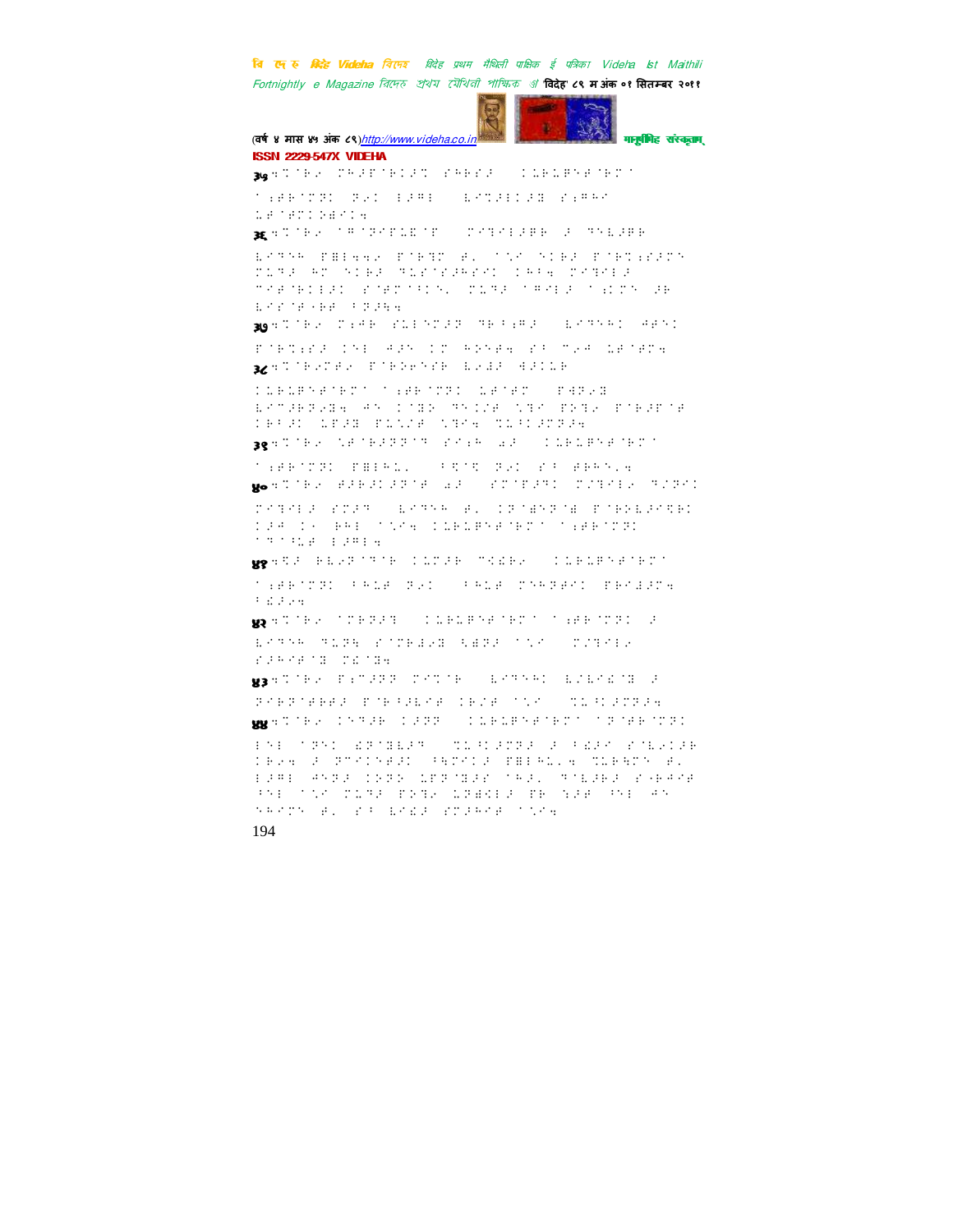चि एक रु मिनेह Videha विएक विदेह प्रथम मैथिली पाक्षिक ई पत्रिका Videha Ist Maithili Fortnightly e Magazine রিদেত শ্রথম মৌথিনী পাক্ষিক প্র' **বিदेह' ८९ म अंक ०१ सितम्बर २०११** 



**ISSN 2229-547X VIDEHA** 

(वर्ष ४ मास ४५ अंक ८९) http://www.videha.co.in

age to tells, other that end in the analysis of the bank of the property

THEFTON DISTURBANCE EXTRICITION CHAR De nezionalista.

**R**ESTER TRIPPEDENE CONSTRUCTS AND STREET

EXPANSION EXPERIENCE AND TO A STEP OF THE EXPLANS DIRA PROVINCES RIPORTERATO CAPACIDAMES. mediana pada ang membangkan mengangkan pada pada salah 电子的过去分词 医牙足足压缩

sendinary disease and particle sections of newspapers

ESPECIAL INFORMACIO PANAHOLIS CARDIACHO senders research and the sense in the sense of the

COROBNATED NON-PARTORIC ORIGIN (FROVE) EXPORTED BY THE PARTICE AND THE PARTY ROOM TERRITORIAN POSTA STRATTORIANA

Bendine a Cardeagana and en ad.  $\mathcal{L}=\mathcal{L}^{\prime}(\mathcal{L}^{\prime},\mathcal{L}^{\prime},\mathcal{L}^{\prime},\mathcal{L}^{\prime},\mathcal{L}^{\prime},\mathcal{L}^{\prime},\mathcal{L}^{\prime},\mathcal{L}^{\prime},\mathcal{L}^{\prime},\mathcal{L}^{\prime},\mathcal{L}^{\prime},\mathcal{L}^{\prime},\mathcal{L}^{\prime},\mathcal{L}^{\prime},\mathcal{L}^{\prime},\mathcal{L}^{\prime},\mathcal{L}^{\prime},\mathcal{L}^{\prime},\mathcal{L}^{\prime},\mathcal{L}^{\prime},\mathcal{$ 

THEFTOR PEERL COORDINATORS EERS E go e dine 2018 a sacramente de altrima de la propiedad de la parte de

CARABA (2009) A CARA (2009) CARABA E CEREZAREO 1986 1986 BREV 1984 11080 BRA 1801 1013 BB 1001 TRICE ERES

weeks alabament conservates in caesares arend

THEFTON PACE OUT PACE CAPEDAN PERSON 大量活动能

**BR** A DITE 2011 DE PARTICULA E PARTECIPITO TO BARCO POLICIA

ERRAN ALBERTANDESSE BEBEIT NORTHERES RUPPER DE CONTINE

washing a management of a conservation and complete

SPARS TRARKS INTO PARTNER IN BURNING TO THE RESIDENCE **SERVICE** A CONTRACTOR RECOVALENCE NECESSARY PROPERTY OF

ENE TRAD ESPABLER TO DE PORTER DE PERSON MERCER TERRE DE STRINERI (PATRICE TELADUR (TDEATN) BU EVALUANDO CODO CERDIDOR INAVILADO DE GARANA FREUNDA CONFIDENCIAL ESSENTIAL PROGRAM PRESIDENT 在中央的第三届公司的第三届的管理、管理总部的第三个人的是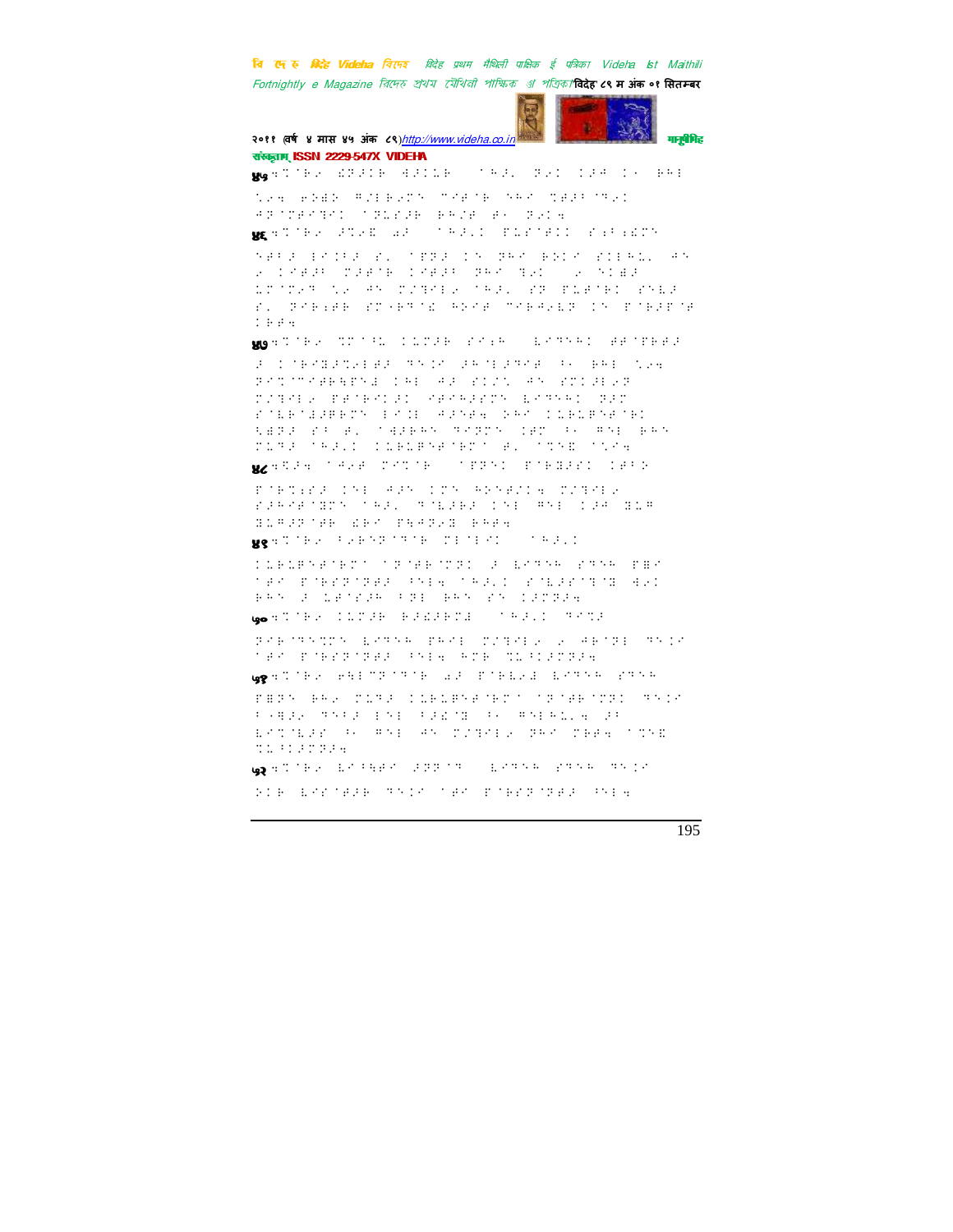बि एक रु मिन्हे Videha विरफ्श विदेह प्रथम मैथिली पाक्षिक ई पत्रिका Videha Ist Maithili Fortnightly e Magazine রিদেত শ্রথম মেথিনী পাক্ষিক প্রা পত্রিকা**'বিदेह' ८९ म अंक ०१ सितम्बर** 



## २०११ (वर्ष ४ मास ४५ अंक ८९)http://www.videha.co. संस्कृतम् ISSN 2229-547X VIDEHA

Westfall career earlier in each and in a more tive series and even invested that there in

A PICOR CRECIA CORDIZAR CARDON CARDONICA yestifac concelled communications of an admi-

NAFA ESPARA VI TERRITOS RESISTINTENDO PA STORES CORPORATIONS OF CONTRACTOR AND LOCADES NEWSTANDON CONTRACTORS PLANAE CONTRACT RU PARARE ROMANIA ANNE CAPARANO DI PIRADIR di Barat

**MO**NDARY CONTROL CONSERVATION CONTRACTOR CORRES

SECTION AT EXTERNAL PROTECTIVE CONTRACTORS CONTRACTORS SAN TRAPPARAL CHE AS SOCO AN SOCIALS CONTRACTOR CONTRACTOR CARACTER CONTRACTOR AND ROBERTSPEEDS ERIC PROPERTIERS COEDENFIED taggive all napses screps damiles sees TEMP CAPACITIES ENPARTED CHAIN CONSTITUTE BERGARD PARK CACINE CONDITIONS CONSIDERS

PORTER A CONFIDENTIAL ANNEXEMENT A CONTRABLE PORTABLY TRACTORER IN THE RESEARCH gendings inspective control  $\mathcal{F} \in \mathcal{F}$  ,  $\mathcal{F}$ 

posterene montre nee modification en la presenta e n a kollanda kardida ya Undoa Undoa ya Nasa ya Nasa ya Nasa.<br>Alikuwa wa Nasa ya Undoa Undoa ya Nasa ya Kasa ya Nasa.

Gond the Colorade Geargers. **アプログラム 中央性的** 

BARTANDA ERANA ERAIL DIBABU UNUA PETRI UANG THAT ESPERANT PRESENTED WITHOUT

We all the company that was contracted a contract option

PERSONAL PLAN CLASSES (APC) CROBB (PR) (ASIS)  $\mathbb{E} \left[ \left\{ \mathcal{A} \left[ \mathcal{A} \right] \right\} \right] \left\{ \mathcal{A} \left[ \mathcal{A} \right] \right\} \left\{ \mathcal{A} \left[ \mathcal{A} \right] \right\} \left\{ \mathcal{A} \left[ \mathcal{A} \right] \right\} \left\{ \mathcal{A} \right\} \left\{ \mathcal{A} \left[ \mathcal{A} \right] \right\} \left\{ \mathcal{A} \left[ \mathcal{A} \right] \right\} \left\{ \mathcal{A} \left[ \mathcal{A} \right] \right\} \left\{ \mathcal{A} \left$ EVERENCE PROPERTY CONTRACTOR PROPERTY THAT miner and also

WE WITCH A COLORADOR OF DEPARTMENT CONTROL CONTROL

SCR (EXPORAR) PROCESS PORTRADORES (PREN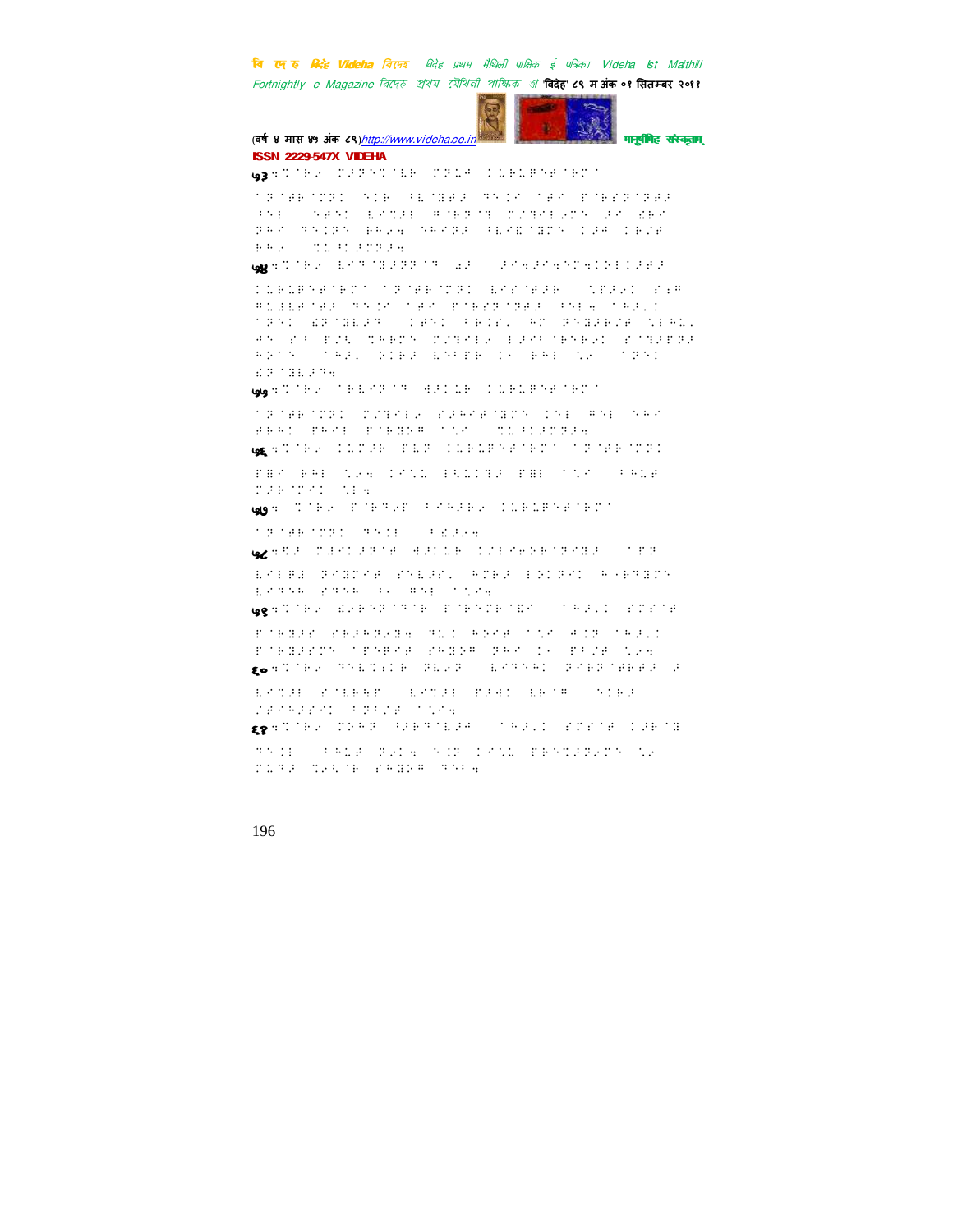चि एक रु मिनेह Videha विएक विदेह प्रथम मैथिली पाक्षिक ई पत्रिका Videha Ist Maithili Fortnightly e Magazine রিদেত প্রথম মৌথিনী পাক্ষিক *প্র* **বিदेह' ८९ म अंक ०१ सितम्बर २०११** 



(वर्ष ४ मास ४५ अंक ८९) http://www.videha.co.in **ISSN 2229-547X VIDEHA** 

es dine 2007 and need the condense completed that

nd naar tod om hotel maar daar was tyd maan wat taal dagaal  $\mathbb{R}^{(n)}$  and  $\mathbb{R}^{n}$  . The state  $\mathbb{R}^{n}$  is a set of  $\mathbb{R}^{n}$ 

George Contents and the Contents of the Contents of the Contents of the Contents of the Contents of the Contents of

CONDITIONS THAT IT IS A REPORT OF A REPORT OF A REPORT OF A R ROBERTAR (PAID) THRU BISED TRAR (PAEH) TRAVI TRAD ERPORTAS (DEAD) FEDER PROPAGEERA CERD. AN SEP BOR CORRON CONFINS BURGLIEN PROVIDENT あたたち、このある。これはある、おやも前あっても、ああまったみつ **The San** 2010/01/23:41

GONDON CHARLES AND THE RESIDENCE OF A SERVE THAT T

TRIANGER TRANSPORTER CONTRACTORS AND TRIAL AND TRIAL READ TRAB TROESE CONC. TO CONTRAC

GENERAL CONSECTION CONDITIONS THAT IS THE TOST

FER PRESSURE TRAD PALISED THE SAME PRISE DRESDAY (SEA)

**GO** RECEIVED THE REPORT OF PERSONAL CONFIDENT PROPERTY

TRIANGED PRINT (FRANK)

ezera dariarre eaise inferencemento

ERIPS DROITER STERR PRESS INTO THE RESIDENCE For a with the angle  $\alpha$  and  $\beta$  , and  $\beta$  are  $\beta$  . The set of  $\beta$ 

Gentland adentified in tenderand **Constant Cardinal** 

ESPERANT PERPERANG TROOP PARALLING TROP CRACO ESPERANTS SERVENE VARIABLE PARTIES EPICE CONFI conditely dealth: Paled - aktive: deadthead a

EVIDE VANERE (EVIDE TAB) ERNE (VIBA  $\label{eq:2.1} \begin{split} \mathcal{L}(\mathcal{S},\mathcal{S})&=\mathcal{L}(\mathcal{S},\mathcal{S})\mathcal{L}(\mathcal{S})\mathcal{L}(\mathcal{S})\mathcal{L}(\mathcal{S})\mathcal{L}(\mathcal{S})\mathcal{L}(\mathcal{S})\mathcal{L}(\mathcal{S})\mathcal{L}(\mathcal{S})\mathcal{L}(\mathcal{S})\mathcal{L}(\mathcal{S})\mathcal{L}(\mathcal{S})\mathcal{L}(\mathcal{S})\mathcal{L}(\mathcal{S})\mathcal{L}(\mathcal{S})\mathcal{L}(\mathcal{S})\$ 

contra cosas destacas cosas entre terra TAIL PARAGE TRIANS INTO INTO TEACHERS. TERRITARY ROCKER CRAFT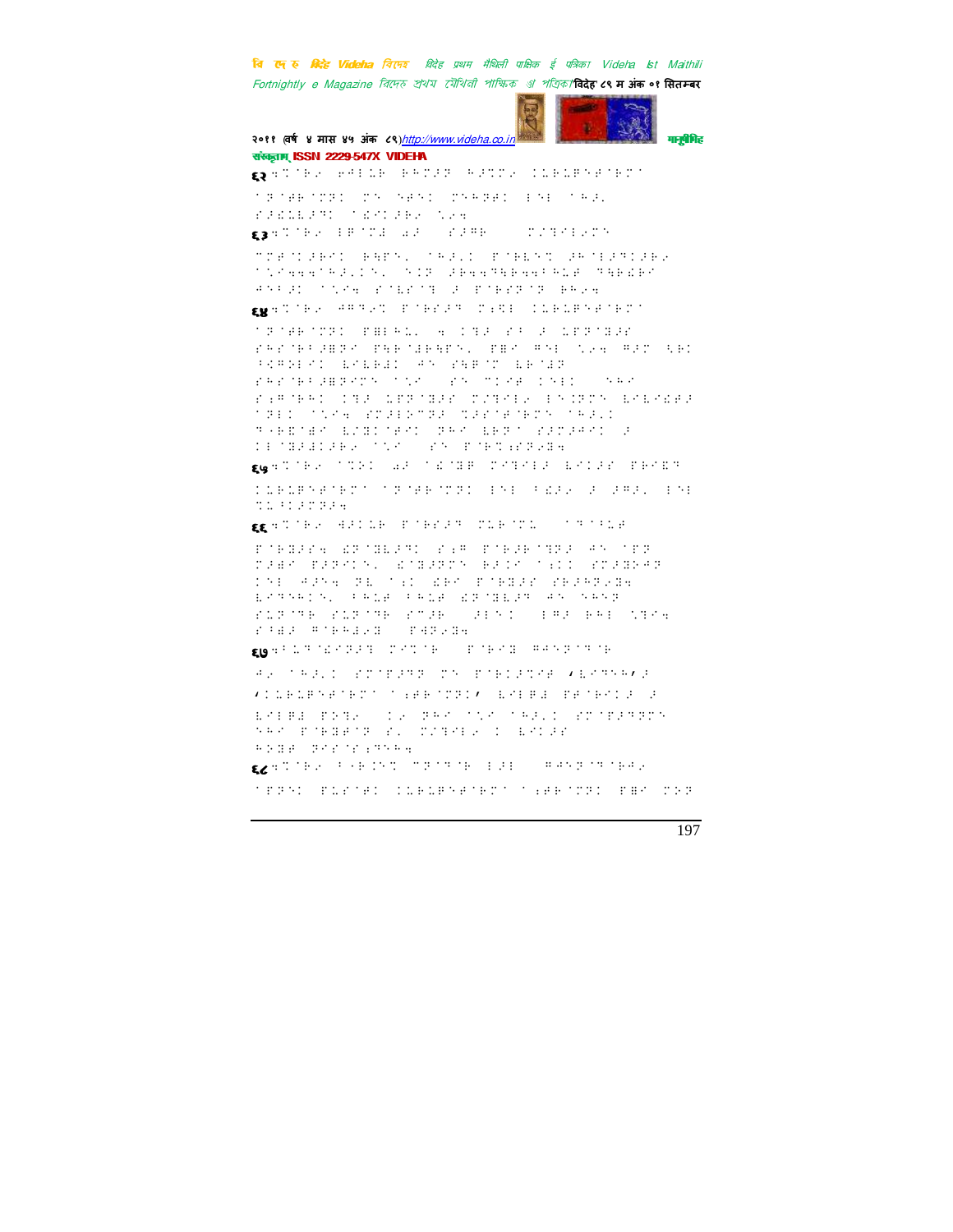चि एत् रु प्रिन्हेड Videha विएन्ड विदेह प्रथम मैथिली पाक्षिक ई पत्रिका Videha Ist Maithili Fortnightly e Magazine রিদেত শ্রথম মেথিনী পাক্ষিক প্রা পত্রিকা**'বিदेह' ८९ म अंक ०१ सितम्बर** 



२०११ (वर्ष ४ मास ४५ अंक ८९) http://www.videha.co.ii संस्कृतम् ISSN 2229-547X VIDEHA

**EX** HISTORY COMPOSED A RISPLANT CONSIDERATION nd neerodd Cons Sand Conseded Canal Select RUBBERT TESTURES TORE

EBSTREE ERICLE WAS STARRED  $-7.73813773$ 

more to a exist learn you in easily in teach of late to a risk a will TO CHARACTER LOCAL CONCRETE RANGER AND PROPERTY AND ASSESSMENT CAPACITY AND THE PARTIES ARE ARREST

EBROSSE PROVIDENTAL DVDG CORDENESSO

TRIANTED PERMIT A DIRA 2000 DERICA FAR TESTERES TRESPERS, THE SPACE SERVICES SERVICE FRANKLY EREBIT AN INSPIT ERIC 的复数计算机使用其实的第三人称单数 人名英格兰地名 经费用的 医外耳炎 人名英格兰 REAR TEACH CONSTITUTION CONTROL CONTROL CONTROLLABLES TRED IN SALE ROUGENT AN INVESTIGATION IN ACCO SARETER ELSELTARI SARRI ERA TERRITORIA TESTERED RESORTED A SOCIETY RETURNER.

EGAN TERMINORS CORPORATE PROPERTY ERIC CONTENTS

CONDITIONS TO THE THE TOROTO OF SALE CONTRACTOR AND no spaneas.

EE 6 TOP 200 421 DR CE TRAVAR CODE TO DOC ON RITROP

ESPERANT MARKED VIOLATION CONFIDENTIAL AND SEA naski padkonsti znaganov sa okličivom kada ed presidente de manifesta en reducción en entre a kalendari sebagai sebagai dan sebagai dalam kecamatan.<br>Kecamatan sebagai sebagai dan sebagai dan sebagai dan sebagai dan sebagai dan sebagai dan sebagai dan sebagai POSTER POSTER POSE  $\sim$  24.5% for ○ 主共共の主共主の九百名分  $\mathcal{E}^{-1}$  and  $\mathcal{F}^{-1}$  is the end on  $\mathcal{E}^{+}$  . If any one is

EBARD TERRET DROTE CONFIDENTIAL

AU TAULT SCHEDAD CA PIECESSA (ESAPA) VILEDRAPHON CONFERENCES / LABRE CREARING to para the tag of an energy EVERA PORTS A RICHARD RESEARCH DO TO THE VIOLENCE ARE A SHEET BAY TESTARY EZHOTEV FREDVOLUDENTE EVEN I PRVDININGV

SPRAY PLYMAT CLELENAMENT SAFTRED PEACHER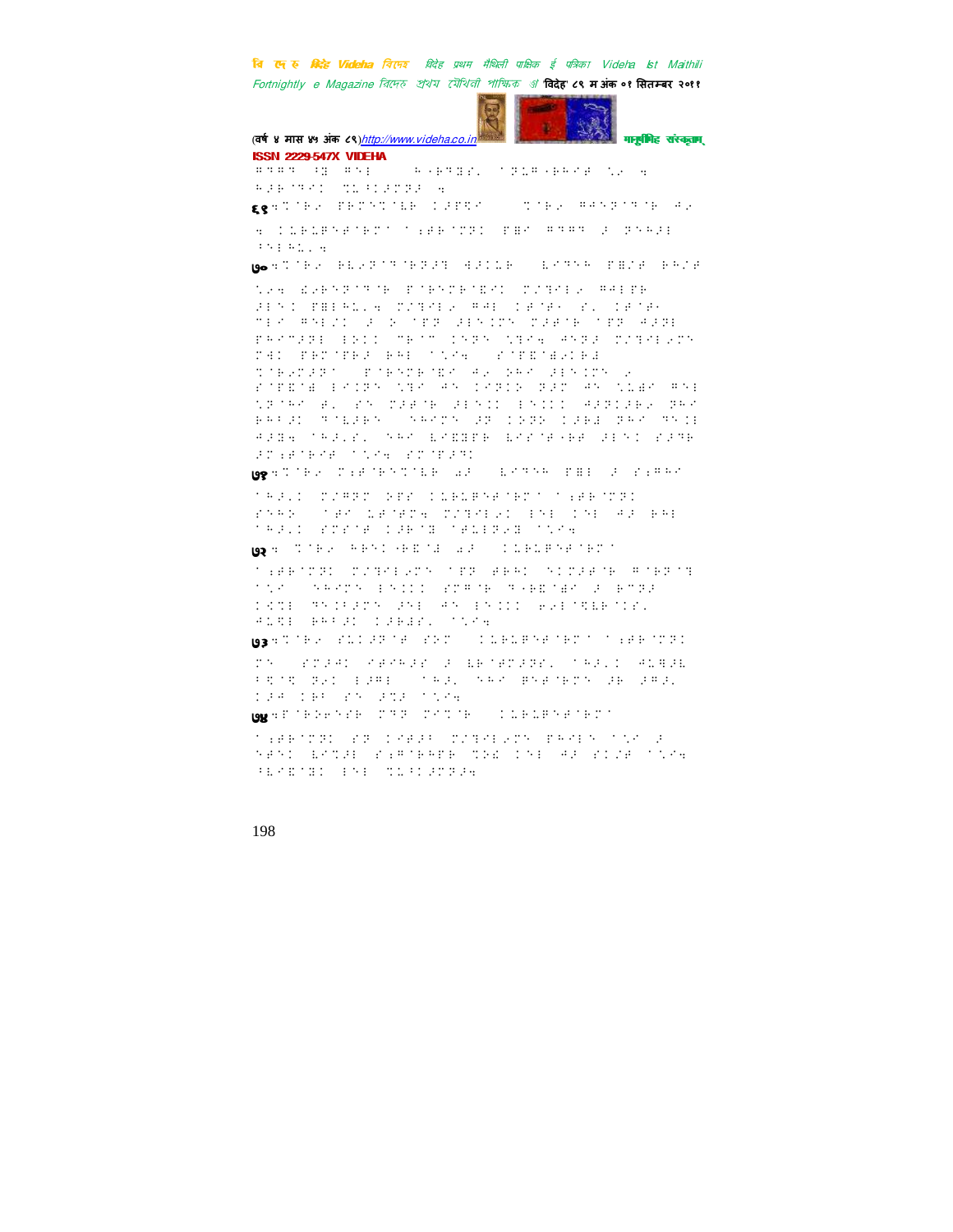चि एक रु मिनेह Videha विएक विदेह प्रथम मैथिली पाक्षिक ई पत्रिका Videha Ist Maithili Fortnightly e Magazine রিদেত শ্রথম মৌথিনী পাক্ষিক প্র' **বিदेह' ८९ म अंक ०१ सितम्बर २०११** 



A COLENDAR MEDIAN VERENCIS DO PER CAMARA CON SAROS  $\pm$  5  $\pm$  5  $\pm$  1  $\pm$ 

God The Base of Beast Section Cardio Personal Card

NORTH ADAPTED TO THE TEST PER CERTIFICATION CONTENTS. al Signification of the Constantinoperation of the Case TER PRESIDENT STREET SENIOR DOGETA TER PROPE EARTERE ENCLOSE TO CARACTERS AND POSSESS nai menyebut bertukan termenakiba CONFIDENTIAL ESPECIENT AND DAMINERS CONTIN Promote excess that as captal begin as toget ase NORTH ANN AN INSERTIAL SERVICE AND COMPOSED CORP. BARDI STEDEN (SAMON DE LODO LOBE DAN STOL A 2008 CORPORATIONAL CONSTRUCTION OF A REPORT OF A 2008 advance can concern caracteristic

egen teles mas reportes cast in a choose mean of an above

TRAVEL COMPACT SERVICES ENRICHED TO SPECTACE ENADO CORSO DE MEDIA CONTRADO EN EL CONECADO ARE teati anale ias malaasa noo

**BR** HE STORY CREAT HED TO COLD CONDITIONS TECH

THE ENDROLL DUCKERS ADAPTED BE ADDED A DOBE THE REPORT TO A CONFIDENTIAL CONTINUES IN FEDERAL ACENDA TRINE IN DEPTY SPECIAL ENDING: WAS CREATED. RESERVANCE DEBENS (1978)

edine 2 laborana lasci liberaren hiriagenost

TA CATARI ARABAN A BRARTADEL ARALI ALBAR 中国の第一課会社、主張展生、一方を送出したもの、事を選択事業を、受賞し送算法、 para participal against a

**OR** RETERMINE CONSUMPTION **CONSEQUENTATION** 

massembring business increasements in each of NEND EKTER SPERADE TOE DOE HE FOOD OF TOP FERENHOL ENE COLFOURNER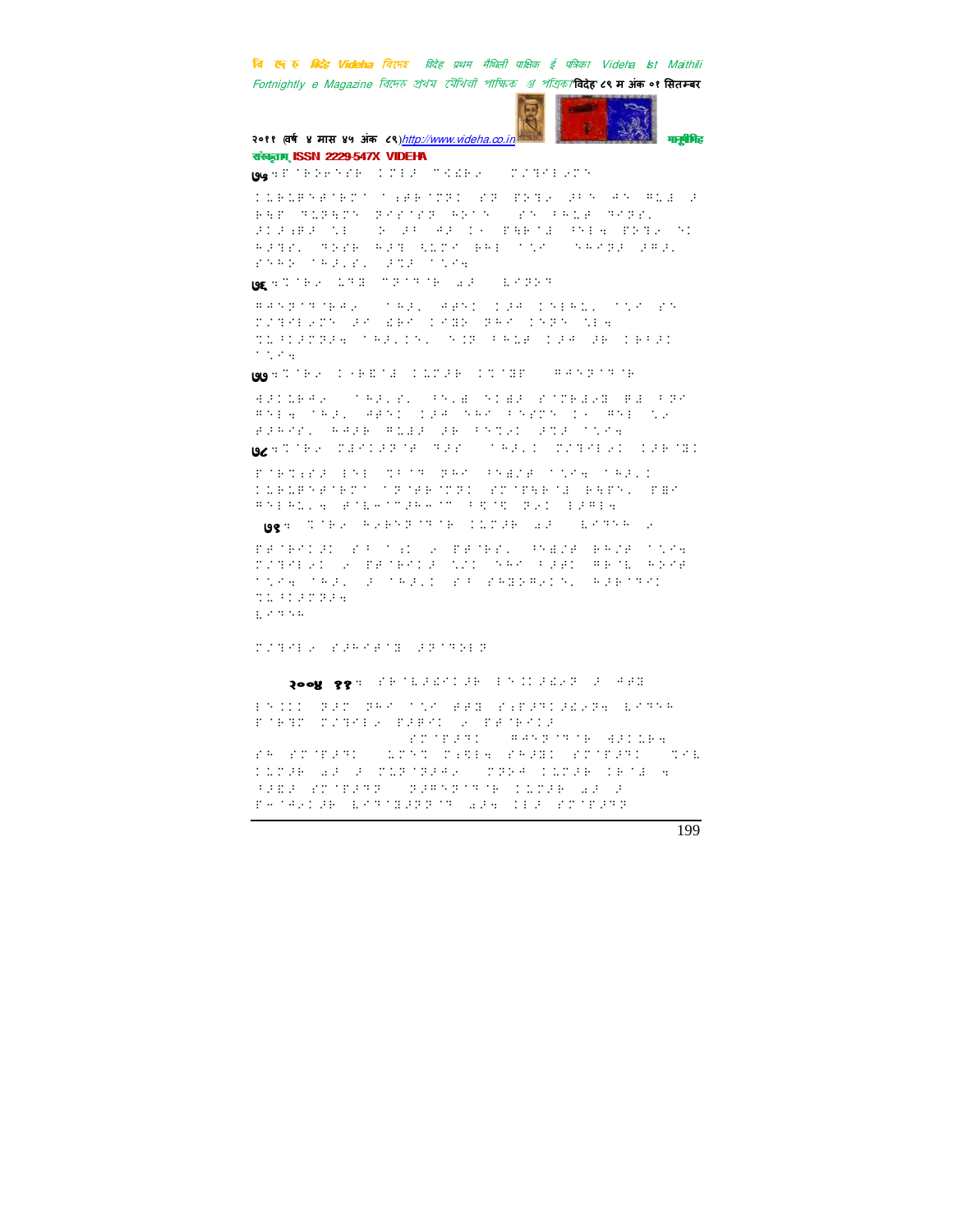चि एक रु मिनेह Videha विएक विदेह प्रथम मैथिली पाक्षिक ई पत्रिका Videha Ist Maithili Fortnightly e Magazine রিদেত শ্রথম মৌথিনী পাক্ষিক প্রাপত্রিকা**'বিदेह' ८९ म अंक ०१ सितम्बर** 

 $\overline{r}$ 

|                                 | २०११ (वर्ष ४ मास ४५ अंक ८९) http://www.videha.co.in 2001 |  |
|---------------------------------|----------------------------------------------------------|--|
| संस्कृतम् ISSN 2229-547X VIDEHA |                                                          |  |

**De** a Porte Service of Die Allimidate All III Dichter Allimidate

commentation are through through the service of BAT PLEATH ERRITO ROOM (RN PALE PLEATH) ana ama chine camba a che che ma che che che con RUNAL POAR RUN CONVIRGE TOOL SARABU URU. PARA TRAVEL SAMPLE NA

egencine a condition primare couple  $\sim$  1.  $<$  1.5  $\%$ 

 $\frac{1}{2} \left( \frac{1}{2} \left( \frac{1}{2} \right) \left( \frac{1}{2} \right) \left( \frac{1}{2} \right) \left( \frac{1}{2} \right) \left( \frac{1}{2} \right) \left( \frac{1}{2} \right) \left( \frac{1}{2} \right) \left( \frac{1}{2} \right) \left( \frac{1}{2} \right) \left( \frac{1}{2} \right) \left( \frac{1}{2} \right) \left( \frac{1}{2} \right) \left( \frac{1}{2} \right) \left( \frac{1}{2} \right) \left( \frac{1}{2} \right) \left( \frac{1}{$ TERRISTRA (1920) NO CROSS PER CAR CAR CAR CARRIER  $\gamma$  in  $\gamma$  ,  $\gamma$ 

editely disease counsel contain likewathing

RESIDENCE CARDINAL PALE CALES NOTES EST PER PRO 共の主義にの共良と、将軍のような法律、の共に、もの学芸のことに、共の主になる adence (engage engage de engage donde opra eziem ne vilma kopise i mpari i in neputi i pomika politipe nad

PORTER PORT TO THE PART ENERGY TO THE TABLE COROBNATED TO SPAR TO BOOK TORRITA (PRON. COBS # NEADLY CATER TO ARREST CRISIS ON DEALER

Best Street Readerships (10008 - 22) in governments

n skraf (neder i de ineder i skref skrapeger og i eder nekt miner amages  $\mathbb{R}^{2n \times n \times n}$ 

TO BALLA CORPORATION ARE TRAINED.

Room 68 a Channel State Contractor Contractor  $\pm$  5.000  $\pm$  0.201  $\pm$  0.30  $\pm$  1.500  $\pm$  2.300  $\pm$  2.300  $\pm$  2.300  $\pm$  2.300  $\pm$ ESPECIAL CONTACT A CONTEMPORATION SETTERNI SARANDINIS SERIES. CONSTITUTION CONSTITUTIONS 学生 学生的生活生产  $\sim 10^{11}$  k portal as a robertal create portal personal